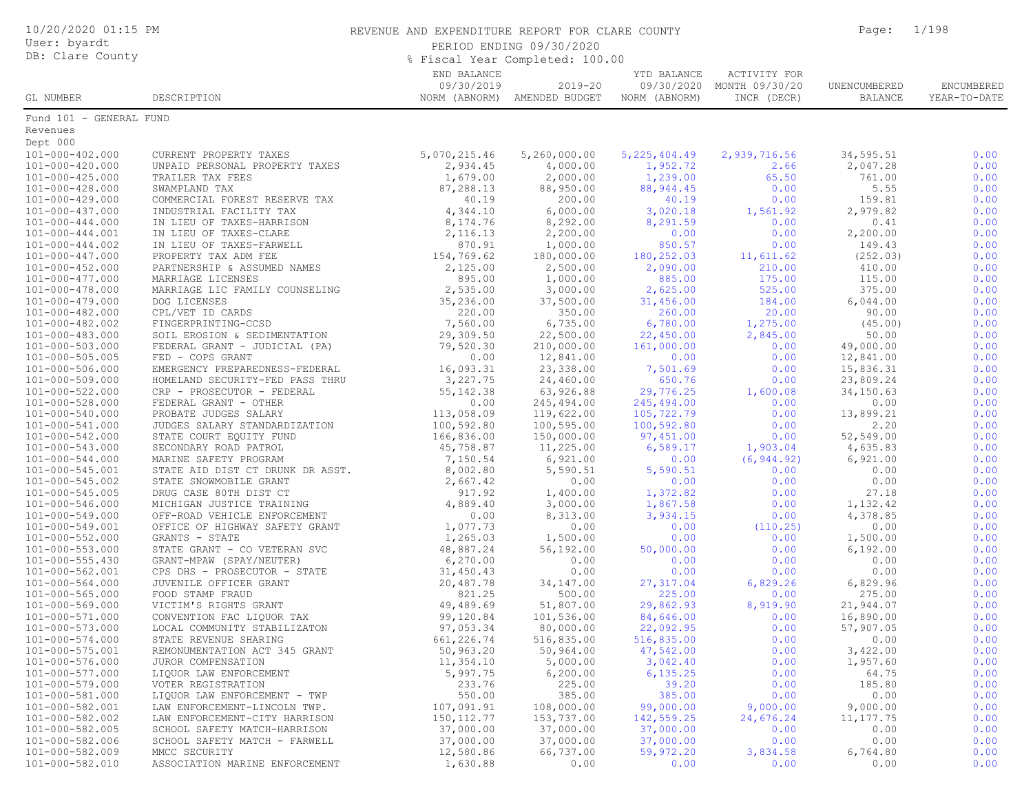| 10/20/2020 01:15 PM<br>User: byardt<br>DB: Clare County |                                                                   | REVENUE AND EXPENDITURE REPORT FOR CLARE COUNTY<br>PERIOD ENDING 09/30/2020<br>% Fiscal Year Completed: 100.00 | Page:                                       | 1/198                        |                                                          |                         |                            |
|---------------------------------------------------------|-------------------------------------------------------------------|----------------------------------------------------------------------------------------------------------------|---------------------------------------------|------------------------------|----------------------------------------------------------|-------------------------|----------------------------|
| GL NUMBER                                               | DESCRIPTION                                                       | END BALANCE<br>09/30/2019                                                                                      | $2019 - 20$<br>NORM (ABNORM) AMENDED BUDGET | YTD BALANCE<br>NORM (ABNORM) | ACTIVITY FOR<br>09/30/2020 MONTH 09/30/20<br>INCR (DECR) | UNENCUMBERED<br>BALANCE | ENCUMBERED<br>YEAR-TO-DATE |
| Fund 101 - GENERAL FUND                                 |                                                                   |                                                                                                                |                                             |                              |                                                          |                         |                            |
| Revenues                                                |                                                                   |                                                                                                                |                                             |                              |                                                          |                         |                            |
| Dept 000<br>101-000-402.000                             | CURRENT PROPERTY TAXES                                            | 5,070,215.46                                                                                                   | 5,260,000.00                                | 5, 225, 404.49               | 2,939,716.56                                             | 34,595.51               | 0.00                       |
| 101-000-420.000                                         | UNPAID PERSONAL PROPERTY TAXES                                    | 2,934.45                                                                                                       | 4,000.00                                    | 1,952.72                     | 2.66                                                     | 2,047.28                | 0.00                       |
| $101 - 000 - 425.000$                                   | TRAILER TAX FEES                                                  | 1,679.00                                                                                                       | 2,000.00                                    | 1,239.00                     | 65.50                                                    | 761.00                  | 0.00                       |
| 101-000-428.000                                         | SWAMPLAND TAX                                                     | 87,288.13                                                                                                      | 88,950.00                                   | 88, 944.45                   | 0.00                                                     | 5.55                    | 0.00                       |
| 101-000-429.000                                         | COMMERCIAL FOREST RESERVE TAX                                     | 40.19                                                                                                          | 200.00                                      | 40.19                        | 0.00                                                     | 159.81                  | 0.00                       |
| 101-000-437.000                                         | INDUSTRIAL FACILITY TAX                                           | 4,344.10<br>8,174.76                                                                                           | 6,000.00                                    | 3,020.18                     | 1,561.92                                                 | 2,979.82                | 0.00<br>0.00               |
| 101-000-444.000<br>101-000-444.001                      | IN LIEU OF TAXES-HARRISON<br>IN LIEU OF TAXES-CLARE               | 2,116.13                                                                                                       | 8,292.00<br>2,200.00                        | 8,291.59<br>0.00             | 0.00<br>0.00                                             | 0.41<br>2,200.00        | 0.00                       |
| $101 - 000 - 444.002$                                   | IN LIEU OF TAXES-FARWELL                                          | 870.91                                                                                                         | 1,000.00                                    | 850.57                       | 0.00                                                     | 149.43                  | 0.00                       |
| 101-000-447.000                                         | PROPERTY TAX ADM FEE                                              | 154,769.62                                                                                                     | 180,000.00                                  | 180,252.03                   | 11,611.62                                                | (252.03)                | 0.00                       |
| $101 - 000 - 452.000$                                   | PARTNERSHIP & ASSUMED NAMES                                       | 2,125.00                                                                                                       | 2,500.00                                    | 2,090.00                     | 210.00                                                   | 410.00                  | 0.00                       |
| 101-000-477.000                                         | MARRIAGE LICENSES                                                 | 895.00                                                                                                         | 1,000.00                                    | 885.00                       | 175.00                                                   | 115.00                  | 0.00                       |
| 101-000-478.000<br>101-000-479.000                      | MARRIAGE LIC FAMILY COUNSELING<br>DOG LICENSES                    | 2,535.00<br>35,236.00                                                                                          | 3,000.00<br>37,500.00                       | 2,625.00<br>31,456.00        | 525.00<br>184.00                                         | 375.00<br>6,044.00      | 0.00<br>0.00               |
| 101-000-482.000                                         | CPL/VET ID CARDS                                                  | 220.00                                                                                                         | 350.00                                      | 260.00                       | 20.00                                                    | 90.00                   | 0.00                       |
| 101-000-482.002                                         | FINGERPRINTING-CCSD                                               | 7,560.00                                                                                                       | 6,735.00                                    | 6,780.00                     | 1,275.00                                                 | (45.00)                 | 0.00                       |
| 101-000-483.000                                         | SOIL EROSION & SEDIMENTATION                                      | 29,309.50                                                                                                      | 22,500.00                                   | 22,450.00                    | 2,845.00                                                 | 50.00                   | 0.00                       |
| $101 - 000 - 503.000$                                   | FEDERAL GRANT - JUDICIAL (PA)                                     | 79,520.30                                                                                                      | 210,000.00                                  | 161,000.00                   | 0.00                                                     | 49,000.00               | 0.00                       |
| 101-000-505.005                                         | FED - COPS GRANT                                                  | 0.00                                                                                                           | 12,841.00                                   | 0.00                         | 0.00                                                     | 12,841.00               | 0.00                       |
| 101-000-506.000<br>101-000-509.000                      | EMERGENCY PREPAREDNESS-FEDERAL<br>HOMELAND SECURITY-FED PASS THRU | 16,093.31<br>3,227.75                                                                                          | 23,338.00<br>24,460.00                      | 7,501.69<br>650.76           | 0.00<br>0.00                                             | 15,836.31<br>23,809.24  | 0.00<br>0.00               |
| 101-000-522.000                                         | CRP - PROSECUTOR - FEDERAL                                        | 55, 142.38                                                                                                     | 63,926.88                                   | 29,776.25                    | 1,600.08                                                 | 34,150.63               | 0.00                       |
| 101-000-528.000                                         | FEDERAL GRANT - OTHER                                             | 0.00                                                                                                           | 245,494.00                                  | 245,494.00                   | 0.00                                                     | 0.00                    | 0.00                       |
| 101-000-540.000                                         | PROBATE JUDGES SALARY                                             | 113,058.09                                                                                                     | 119,622.00                                  | 105,722.79                   | 0.00                                                     | 13,899.21               | 0.00                       |
| $101 - 000 - 541.000$                                   | JUDGES SALARY STANDARDIZATION                                     | 100,592.80                                                                                                     | 100,595.00                                  | 100,592.80                   | 0.00                                                     | 2.20                    | 0.00                       |
| 101-000-542.000<br>101-000-543.000                      | STATE COURT EQUITY FUND<br>SECONDARY ROAD PATROL                  | 166,836.00                                                                                                     | 150,000.00<br>11,225.00                     | 97,451.00<br>6,589.17        | 0.00<br>1,903.04                                         | 52,549.00<br>4,635.83   | 0.00<br>0.00               |
| 101-000-544.000                                         | MARINE SAFETY PROGRAM                                             | 45,758.87<br>7,150.54                                                                                          | 6,921.00                                    | 0.00                         | (6, 944.92)                                              | 6,921.00                | 0.00                       |
| 101-000-545.001                                         | STATE AID DIST CT DRUNK DR ASST.                                  | 8,002.80                                                                                                       | 5,590.51                                    | 5,590.51                     | 0.00                                                     | 0.00                    | 0.00                       |
| 101-000-545.002                                         | STATE SNOWMOBILE GRANT                                            | 2,667.42                                                                                                       | 0.00                                        | 0.00                         | 0.00                                                     | 0.00                    | 0.00                       |
| 101-000-545.005                                         | DRUG CASE 80TH DIST CT                                            | 917.92                                                                                                         | 1,400.00                                    | 1,372.82                     | 0.00                                                     | 27.18                   | 0.00                       |
| 101-000-546.000                                         | MICHIGAN JUSTICE TRAINING                                         | 4,889.40                                                                                                       | 3,000.00                                    | 1,867.58                     | 0.00                                                     | 1,132.42                | 0.00                       |
| 101-000-549.000<br>101-000-549.001                      | OFF-ROAD VEHICLE ENFORCEMENT<br>OFFICE OF HIGHWAY SAFETY GRANT    | 0.00<br>1,077.73                                                                                               | 8,313.00<br>0.00                            | 3,934.15<br>0.00             | 0.00<br>(110.25)                                         | 4,378.85<br>0.00        | 0.00<br>0.00               |
| 101-000-552.000                                         | GRANTS - STATE                                                    | 1,265.03                                                                                                       | 1,500.00                                    | 0.00                         | 0.00                                                     | 1,500.00                | 0.00                       |
| 101-000-553.000                                         | STATE GRANT - CO VETERAN SVC                                      | 48,887.24                                                                                                      | 56,192.00                                   | 50,000.00                    | 0.00                                                     | 6,192.00                | 0.00                       |
| $101 - 000 - 555.430$                                   | GRANT-MPAW (SPAY/NEUTER)                                          | 6, 270.00                                                                                                      | 0.00                                        | 0.00                         | 0.00                                                     | 0.00                    | 0.00                       |
| 101-000-562.001                                         | CPS DHS - PROSECUTOR - STATE                                      | 31,450.43                                                                                                      | 0.00                                        | 0.00                         | 0.00                                                     | 0.00                    | 0.00                       |
| 101-000-564.000                                         | JUVENILE OFFICER GRANT                                            | 20,487.78                                                                                                      | 34,147.00                                   | 27, 317.04                   | 6,829.26                                                 | 6,829.96                | 0.00                       |
| 101-000-565.000<br>101-000-569.000                      | FOOD STAMP FRAUD<br>VICTIM'S RIGHTS GRANT                         | 821.25<br>49,489.69                                                                                            | 500.00<br>51,807.00                         | 225.00<br>29,862.93          | 0.00<br>8,919.90                                         | 275.00<br>21,944.07     | 0.00<br>0.00               |
| 101-000-571.000                                         | CONVENTION FAC LIQUOR TAX                                         | 99,120.84                                                                                                      | 101,536.00                                  | 84,646.00                    | 0.00                                                     | 16,890.00               | 0.00                       |
| 101-000-573.000                                         | LOCAL COMMUNITY STABILIZATON                                      | 97,053.34                                                                                                      | 80,000.00                                   | 22,092.95                    | 0.00                                                     | 57,907.05               | 0.00                       |
| 101-000-574.000                                         | STATE REVENUE SHARING                                             | 661,226.74                                                                                                     | 516,835.00                                  | 516,835.00                   | 0.00                                                     | 0.00                    | 0.00                       |
| 101-000-575.001                                         | REMONUMENTATION ACT 345 GRANT                                     | 50,963.20                                                                                                      | 50,964.00                                   | 47,542.00                    | 0.00                                                     | 3,422.00                | 0.00                       |
| 101-000-576.000<br>101-000-577.000                      | JUROR COMPENSATION<br>LIQUOR LAW ENFORCEMENT                      | 11,354.10<br>5,997.75                                                                                          | 5,000.00<br>6, 200.00                       | 3,042.40<br>6, 135.25        | 0.00<br>0.00                                             | 1,957.60<br>64.75       | 0.00<br>0.00               |
| 101-000-579.000                                         | VOTER REGISTRATION                                                | 233.76                                                                                                         | 225.00                                      | 39.20                        | 0.00                                                     | 185.80                  | 0.00                       |
| 101-000-581.000                                         | LIQUOR LAW ENFORCEMENT - TWP                                      | 550.00                                                                                                         | 385.00                                      | 385.00                       | 0.00                                                     | 0.00                    | 0.00                       |
| 101-000-582.001                                         | LAW ENFORCEMENT-LINCOLN TWP.                                      | 107,091.91                                                                                                     | 108,000.00                                  | 99,000.00                    | 9,000.00                                                 | 9,000.00                | 0.00                       |
| 101-000-582.002                                         | LAW ENFORCEMENT-CITY HARRISON                                     | 150, 112.77                                                                                                    | 153,737.00                                  | 142,559.25                   | 24,676.24                                                | 11, 177.75              | 0.00                       |
| 101-000-582.005                                         | SCHOOL SAFETY MATCH-HARRISON                                      | 37,000.00                                                                                                      | 37,000.00                                   | 37,000.00                    | 0.00                                                     | 0.00                    | 0.00                       |
| 101-000-582.006<br>101-000-582.009                      | SCHOOL SAFETY MATCH - FARWELL<br>MMCC SECURITY                    | 37,000.00<br>12,580.86                                                                                         | 37,000.00<br>66,737.00                      | 37,000.00<br>59,972.20       | 0.00<br>3,834.58                                         | 0.00<br>6,764.80        | 0.00<br>0.00               |
| 101-000-582.010                                         | ASSOCIATION MARINE ENFORCEMENT                                    | 1,630.88                                                                                                       | 0.00                                        | 0.00                         | 0.00                                                     | 0.00                    | 0.00                       |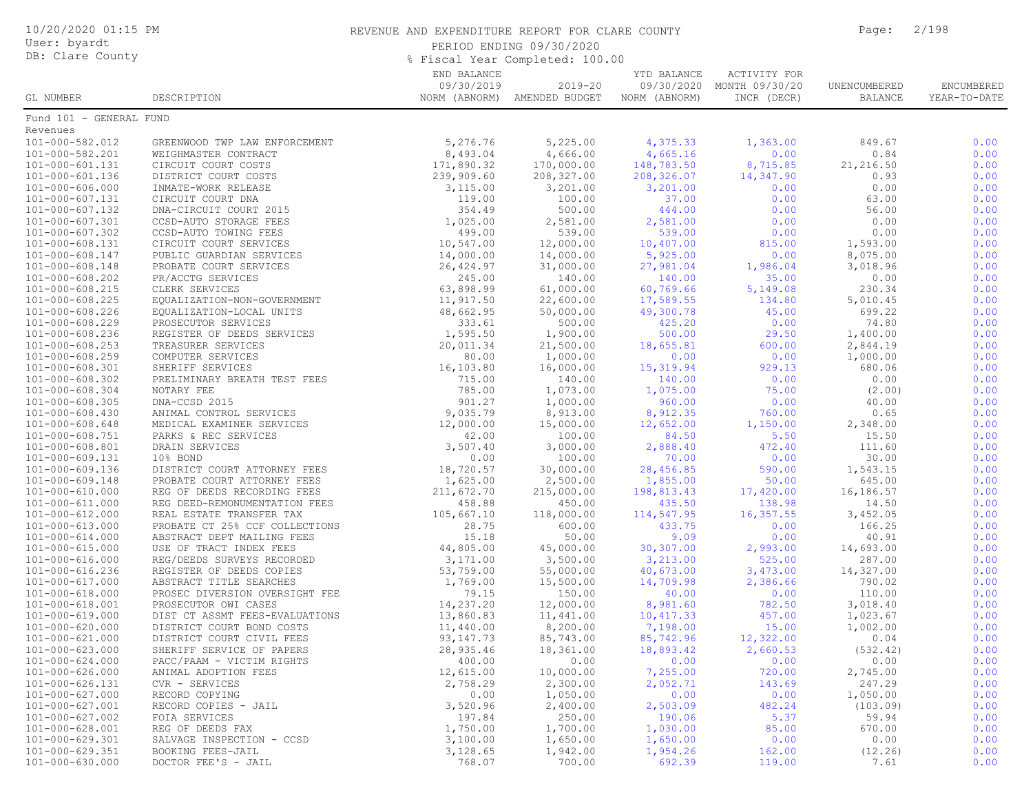| 10/20/2020 01:15 PM<br>User: byardt<br>DB: Clare County |                                                              | REVENUE AND EXPENDITURE REPORT FOR CLARE COUNTY<br>PERIOD ENDING 09/30/2020<br>% Fiscal Year Completed: 100.00 | Page:                                       | 2/198                                      |                                               |                                |                            |
|---------------------------------------------------------|--------------------------------------------------------------|----------------------------------------------------------------------------------------------------------------|---------------------------------------------|--------------------------------------------|-----------------------------------------------|--------------------------------|----------------------------|
| GL NUMBER                                               | DESCRIPTION                                                  | END BALANCE<br>09/30/2019                                                                                      | $2019 - 20$<br>NORM (ABNORM) AMENDED BUDGET | YTD BALANCE<br>09/30/2020<br>NORM (ABNORM) | ACTIVITY FOR<br>MONTH 09/30/20<br>INCR (DECR) | UNENCUMBERED<br><b>BALANCE</b> | ENCUMBERED<br>YEAR-TO-DATE |
| Fund 101 - GENERAL FUND                                 |                                                              |                                                                                                                |                                             |                                            |                                               |                                |                            |
| Revenues<br>101-000-582.012                             |                                                              | 5,276.76                                                                                                       | 5,225.00                                    | 4,375.33                                   | 1,363.00                                      | 849.67                         | 0.00                       |
| 101-000-582.201                                         | GREENWOOD TWP LAW ENFORCEMENT<br>WEIGHMASTER CONTRACT        | 8,493.04                                                                                                       | 4,666.00                                    | 4,665.16                                   | 0.00                                          | 0.84                           | 0.00                       |
| 101-000-601.131                                         | CIRCUIT COURT COSTS                                          | 171,890.32                                                                                                     | 170,000.00                                  | 148,783.50                                 | 8,715.85                                      | 21, 216.50                     | 0.00                       |
| 101-000-601.136                                         | DISTRICT COURT COSTS                                         | 239,909.60                                                                                                     | 208,327.00                                  | 208,326.07                                 | 14,347.90                                     | 0.93                           | 0.00                       |
| $101 - 000 - 606.000$                                   | INMATE-WORK RELEASE                                          | 3,115.00                                                                                                       | 3,201.00                                    | 3,201.00                                   | 0.00                                          | 0.00                           | 0.00                       |
| 101-000-607.131                                         | CIRCUIT COURT DNA                                            | 119.00                                                                                                         | 100.00                                      | 37.00                                      | 0.00                                          | 63.00                          | 0.00                       |
| 101-000-607.132                                         | DNA-CIRCUIT COURT 2015                                       | 354.49                                                                                                         | 500.00                                      | 444.00                                     | 0.00                                          | 56.00                          | 0.00                       |
| 101-000-607.301                                         | CCSD-AUTO STORAGE FEES                                       | 1,025.00                                                                                                       | 2,581.00                                    | 2,581.00                                   | 0.00                                          | 0.00                           | 0.00                       |
| 101-000-607.302                                         | CCSD-AUTO TOWING FEES                                        | 499.00                                                                                                         | 539.00                                      | 539.00                                     | 0.00                                          | 0.00                           | 0.00                       |
| 101-000-608.131<br>101-000-608.147                      | CIRCUIT COURT SERVICES<br>PUBLIC GUARDIAN SERVICES           | 10,547.00<br>14,000.00                                                                                         | 12,000.00<br>14,000.00                      | 10,407.00<br>5,925.00                      | 815.00<br>0.00                                | 1,593.00<br>8,075.00           | 0.00<br>0.00               |
| 101-000-608.148                                         | PROBATE COURT SERVICES                                       | 26, 424.97                                                                                                     | 31,000.00                                   | 27,981.04                                  | 1,986.04                                      | 3,018.96                       | 0.00                       |
| 101-000-608.202                                         | PR/ACCTG SERVICES                                            | 245.00                                                                                                         | 140.00                                      | 140.00                                     | 35.00                                         | 0.00                           | 0.00                       |
| $101 - 000 - 608.215$                                   | CLERK SERVICES                                               | 63,898.99                                                                                                      | 61,000.00                                   | 60,769.66                                  | 5,149.08                                      | 230.34                         | 0.00                       |
| $101 - 000 - 608.225$                                   | EQUALIZATION-NON-GOVERNMENT                                  | 11,917.50                                                                                                      | 22,600.00                                   | 17,589.55                                  | 134.80                                        | 5,010.45                       | 0.00                       |
| 101-000-608.226                                         | EQUALIZATION-LOCAL UNITS                                     | 48,662.95                                                                                                      | 50,000.00                                   | 49,300.78                                  | 45.00                                         | 699.22                         | 0.00                       |
| 101-000-608.229                                         | PROSECUTOR SERVICES                                          | 333.61                                                                                                         | 500.00                                      | 425.20                                     | 0.00                                          | 74.80                          | 0.00                       |
| $101 - 000 - 608.236$                                   | REGISTER OF DEEDS SERVICES                                   | 1,595.50                                                                                                       | 1,900.00                                    | 500.00                                     | 29.50                                         | 1,400.00                       | 0.00                       |
| $101 - 000 - 608.253$                                   | TREASURER SERVICES                                           | 20,011.34                                                                                                      | 21,500.00                                   | 18,655.81                                  | 600.00                                        | 2,844.19                       | 0.00                       |
| $101 - 000 - 608.259$                                   | COMPUTER SERVICES                                            | 80.00                                                                                                          | 1,000.00                                    | 0.00                                       | 0.00                                          | 1,000.00                       | 0.00                       |
| 101-000-608.301<br>$101 - 000 - 608.302$                | SHERIFF SERVICES<br>PRELIMINARY BREATH TEST FEES             | 16,103.80<br>715.00                                                                                            | 16,000.00<br>140.00                         | 15,319.94<br>140.00                        | 929.13<br>0.00                                | 680.06<br>0.00                 | 0.00<br>0.00               |
| 101-000-608.304                                         | NOTARY FEE                                                   | 785.00                                                                                                         | 1,073.00                                    | 1,075.00                                   | 75.00                                         | (2.00)                         | 0.00                       |
| $101 - 000 - 608.305$                                   | DNA-CCSD 2015                                                | 901.27                                                                                                         | 1,000.00                                    | 960.00                                     | 0.00                                          | 40.00                          | 0.00                       |
| $101 - 000 - 608.430$                                   | ANIMAL CONTROL SERVICES                                      | 9,035.79                                                                                                       | 8,913.00                                    | 8,912.35                                   | 760.00                                        | 0.65                           | 0.00                       |
| $101 - 000 - 608.648$                                   | MEDICAL EXAMINER SERVICES                                    | 12,000.00                                                                                                      | 15,000.00                                   | 12,652.00                                  | 1,150.00                                      | 2,348.00                       | 0.00                       |
| 101-000-608.751                                         | PARKS & REC SERVICES                                         | 42.00                                                                                                          | 100.00                                      | 84.50                                      | 5.50                                          | 15.50                          | 0.00                       |
| 101-000-608.801                                         | DRAIN SERVICES                                               | 3,507.40                                                                                                       | 3,000.00                                    | 2,888.40                                   | 472.40                                        | 111.60                         | 0.00                       |
| 101-000-609.131                                         | 10% BOND                                                     | 0.00                                                                                                           | 100.00                                      | 70.00                                      | 0.00                                          | 30.00                          | 0.00                       |
| 101-000-609.136                                         | DISTRICT COURT ATTORNEY FEES                                 | 18,720.57                                                                                                      | 30,000.00                                   | 28,456.85                                  | 590.00                                        | 1,543.15                       | 0.00                       |
| 101-000-609.148                                         | PROBATE COURT ATTORNEY FEES                                  | 1,625.00                                                                                                       | 2,500.00                                    | 1,855.00                                   | 50.00                                         | 645.00                         | 0.00                       |
| 101-000-610.000<br>101-000-611.000                      | REG OF DEEDS RECORDING FEES<br>REG DEED-REMONUMENTATION FEES | 211,672.70<br>458.88                                                                                           | 215,000.00<br>450.00                        | 198,813.43<br>435.50                       | 17,420.00<br>138.98                           | 16,186.57<br>14.50             | 0.00<br>0.00               |
| 101-000-612.000                                         | REAL ESTATE TRANSFER TAX                                     | 105,667.10                                                                                                     | 118,000.00                                  | 114,547.95                                 | 16,357.55                                     | 3,452.05                       | 0.00                       |
| 101-000-613.000                                         | PROBATE CT 25% CCF COLLECTIONS                               | 28.75                                                                                                          | 600.00                                      | 433.75                                     | 0.00                                          | 166.25                         | 0.00                       |
| 101-000-614.000                                         | ABSTRACT DEPT MAILING FEES                                   | 15.18                                                                                                          | 50.00                                       | 9.09                                       | 0.00                                          | 40.91                          | 0.00                       |
| $101 - 000 - 615.000$                                   | USE OF TRACT INDEX FEES                                      | 44,805.00                                                                                                      | 45,000.00                                   | 30,307.00                                  | 2,993.00                                      | 14,693.00                      | 0.00                       |
| $101 - 000 - 616.000$                                   | REG/DEEDS SURVEYS RECORDED                                   | 3,171.00                                                                                                       | 3,500.00                                    | 3,213.00                                   | 525.00                                        | 287.00                         | 0.00                       |
| 101-000-616.236                                         | REGISTER OF DEEDS COPIES                                     | 53,759.00                                                                                                      | 55,000.00                                   | 40,673.00                                  | 3,473.00                                      | 14,327.00                      | 0.00                       |
| 101-000-617.000                                         | ABSTRACT TITLE SEARCHES                                      | 1,769.00                                                                                                       | 15,500.00                                   | 14,709.98                                  | 2,386.66                                      | 790.02                         | 0.00                       |
| 101-000-618.000                                         | PROSEC DIVERSION OVERSIGHT FEE                               | 79.15                                                                                                          | 150.00                                      | 40.00                                      | 0.00                                          | 110.00                         | 0.00                       |
| 101-000-618.001                                         | PROSECUTOR OWI CASES                                         | 14,237.20                                                                                                      | 12,000.00                                   | 8,981.60                                   | 782.50                                        | 3,018.40                       | 0.00                       |
| 101-000-619.000<br>101-000-620.000                      | DIST CT ASSMT FEES-EVALUATIONS<br>DISTRICT COURT BOND COSTS  | 13,860.83<br>11,440.00                                                                                         | 11,441.00<br>8,200.00                       | 10,417.33<br>7,198.00                      | 457.00<br>15.00                               | 1,023.67<br>1,002.00           | 0.00<br>0.00               |
| 101-000-621.000                                         | DISTRICT COURT CIVIL FEES                                    | 93, 147. 73                                                                                                    | 85,743.00                                   | 85,742.96                                  | 12,322.00                                     | 0.04                           | 0.00                       |
| 101-000-623.000                                         | SHERIFF SERVICE OF PAPERS                                    | 28,935.46                                                                                                      | 18,361.00                                   | 18,893.42                                  | 2,660.53                                      | (532.42)                       | 0.00                       |
| 101-000-624.000                                         | PACC/PAAM - VICTIM RIGHTS                                    | 400.00                                                                                                         | 0.00                                        | 0.00                                       | 0.00                                          | 0.00                           | 0.00                       |
| 101-000-626.000                                         | ANIMAL ADOPTION FEES                                         | 12,615.00                                                                                                      | 10,000.00                                   | 7,255.00                                   | 720.00                                        | 2,745.00                       | 0.00                       |
| 101-000-626.131                                         | CVR - SERVICES                                               | 2,758.29                                                                                                       | 2,300.00                                    | 2,052.71                                   | 143.69                                        | 247.29                         | 0.00                       |
| 101-000-627.000                                         | RECORD COPYING                                               | 0.00                                                                                                           | 1,050.00                                    | 0.00                                       | 0.00                                          | 1,050.00                       | 0.00                       |
| 101-000-627.001                                         | RECORD COPIES - JAIL                                         | 3,520.96                                                                                                       | 2,400.00                                    | 2,503.09                                   | 482.24                                        | (103.09)                       | 0.00                       |
| 101-000-627.002                                         | FOIA SERVICES                                                | 197.84                                                                                                         | 250.00                                      | 190.06                                     | 5.37                                          | 59.94                          | 0.00                       |
| 101-000-628.001                                         | REG OF DEEDS FAX                                             | 1,750.00                                                                                                       | 1,700.00                                    | 1,030.00                                   | 85.00                                         | 670.00                         | 0.00                       |
| 101-000-629.301<br>101-000-629.351                      | SALVAGE INSPECTION - CCSD<br>BOOKING FEES-JAIL               | 3,100.00<br>3,128.65                                                                                           | 1,650.00<br>1,942.00                        | 1,650.00<br>1,954.26                       | 0.00<br>162.00                                | 0.00<br>(12.26)                | 0.00<br>0.00               |
| 101-000-630.000                                         | DOCTOR FEE'S - JAIL                                          | 768.07                                                                                                         | 700.00                                      | 692.39                                     | 119.00                                        | 7.61                           | 0.00                       |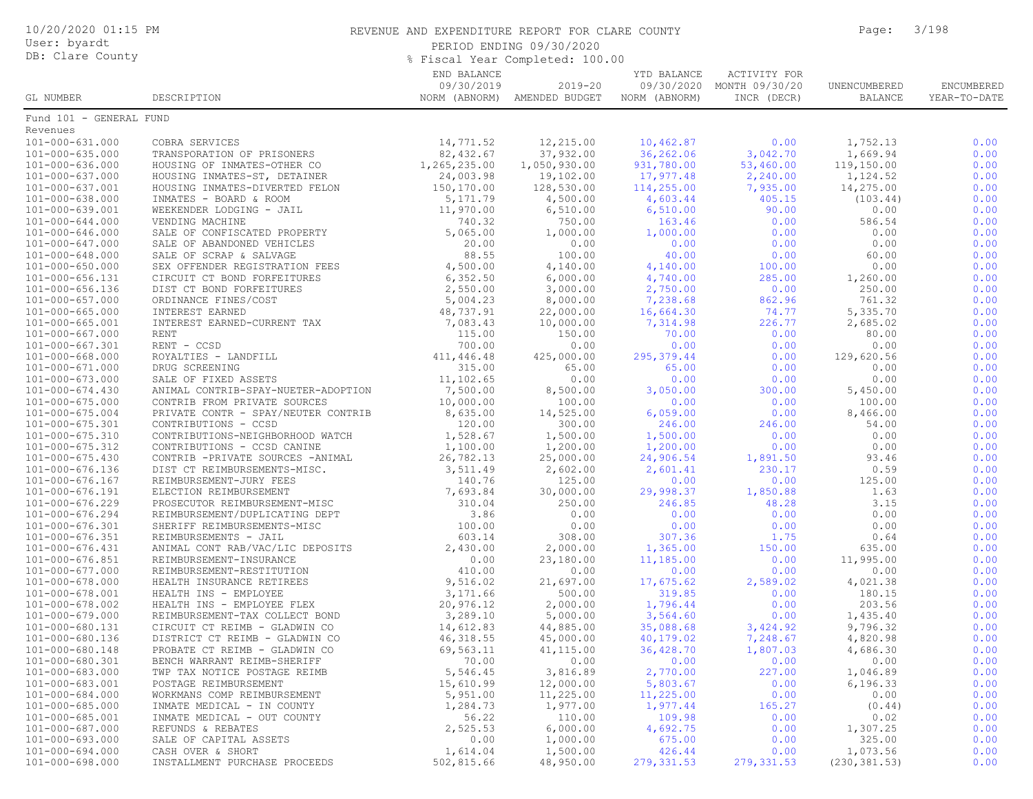| 10/20/2020 01:15 PM<br>User: byardt<br>DB: Clare County |                                                          | REVENUE AND EXPENDITURE REPORT FOR CLARE COUNTY<br>PERIOD ENDING 09/30/2020<br>% Fiscal Year Completed: 100.00 | Page:                                       | 3/198                        |                                                          |                         |                            |
|---------------------------------------------------------|----------------------------------------------------------|----------------------------------------------------------------------------------------------------------------|---------------------------------------------|------------------------------|----------------------------------------------------------|-------------------------|----------------------------|
| GL NUMBER                                               | DESCRIPTION                                              | END BALANCE<br>09/30/2019                                                                                      | $2019 - 20$<br>NORM (ABNORM) AMENDED BUDGET | YTD BALANCE<br>NORM (ABNORM) | ACTIVITY FOR<br>09/30/2020 MONTH 09/30/20<br>INCR (DECR) | UNENCUMBERED<br>BALANCE | ENCUMBERED<br>YEAR-TO-DATE |
| Fund 101 - GENERAL FUND                                 |                                                          |                                                                                                                |                                             |                              |                                                          |                         |                            |
| Revenues                                                |                                                          |                                                                                                                |                                             |                              |                                                          |                         |                            |
| 101-000-631.000                                         | COBRA SERVICES                                           | 14,771.52                                                                                                      | 12,215.00                                   | 10,462.87                    | 0.00                                                     | 1,752.13                | 0.00                       |
| $101 - 000 - 635.000$                                   | TRANSPORATION OF PRISONERS                               | 82, 432.67                                                                                                     | 37,932.00                                   | 36,262.06                    | 3,042.70                                                 | 1,669.94                | 0.00                       |
| 101-000-636.000                                         | HOUSING OF INMATES-OTHER CO                              | 1,265,235.00                                                                                                   | 1,050,930.00                                | 931,780.00                   | 53,460.00                                                | 119,150.00              | 0.00                       |
| 101-000-637.000                                         | HOUSING INMATES-ST, DETAINER                             | 24,003.98                                                                                                      | 19,102.00                                   | 17,977.48                    | 2,240.00                                                 | 1,124.52                | 0.00                       |
| 101-000-637.001<br>101-000-638.000                      | HOUSING INMATES-DIVERTED FELON<br>INMATES - BOARD & ROOM | 150,170.00<br>5, 171.79                                                                                        | 128,530.00<br>4,500.00                      | 114,255.00<br>4,603.44       | 7,935.00<br>405.15                                       | 14,275.00<br>(103.44)   | 0.00<br>0.00               |
| 101-000-639.001                                         | WEEKENDER LODGING - JAIL                                 | 11,970.00                                                                                                      | 6, 510.00                                   | 6,510.00                     | 90.00                                                    | 0.00                    | 0.00                       |
| 101-000-644.000                                         | VENDING MACHINE                                          | 740.32                                                                                                         | 750.00                                      | 163.46                       | 0.00                                                     | 586.54                  | 0.00                       |
| 101-000-646.000                                         | SALE OF CONFISCATED PROPERTY                             | 5,065.00                                                                                                       | 1,000.00                                    | 1,000.00                     | 0.00                                                     | 0.00                    | 0.00                       |
| 101-000-647.000                                         | SALE OF ABANDONED VEHICLES                               | 20.00                                                                                                          | 0.00                                        | 0.00                         | 0.00                                                     | 0.00                    | 0.00                       |
| 101-000-648.000                                         | SALE OF SCRAP & SALVAGE                                  | 88.55                                                                                                          | 100.00                                      | 40.00                        | 0.00                                                     | 60.00                   | 0.00                       |
| 101-000-650.000                                         | SEX OFFENDER REGISTRATION FEES                           | 4,500.00                                                                                                       | 4,140.00                                    | 4,140.00                     | 100.00                                                   | 0.00                    | 0.00                       |
| 101-000-656.131                                         | CIRCUIT CT BOND FORFEITURES                              | 6,352.50                                                                                                       | 6,000.00                                    | 4,740.00                     | 285.00                                                   | 1,260.00                | 0.00                       |
| 101-000-656.136                                         | DIST CT BOND FORFEITURES                                 | 2,550.00                                                                                                       | 3,000.00                                    | 2,750.00                     | 0.00                                                     | 250.00                  | 0.00                       |
| $101 - 000 - 657.000$                                   | ORDINANCE FINES/COST                                     | 5,004.23                                                                                                       | 8,000.00                                    | 7,238.68                     | 862.96                                                   | 761.32                  | 0.00                       |
| 101-000-665.000                                         | INTEREST EARNED                                          | 48,737.91                                                                                                      | 22,000.00                                   | 16,664.30                    | 74.77                                                    | 5,335.70                | 0.00                       |
| 101-000-665.001                                         | INTEREST EARNED-CURRENT TAX                              | 7,083.43                                                                                                       | 10,000.00                                   | 7,314.98                     | 226.77                                                   | 2,685.02                | 0.00                       |
| 101-000-667.000                                         | RENT                                                     | 115.00                                                                                                         | 150.00                                      | 70.00                        | 0.00                                                     | 80.00                   | 0.00                       |
| $101 - 000 - 667.301$                                   | RENT - CCSD                                              | 700.00                                                                                                         | 0.00                                        | 0.00                         | 0.00                                                     | 0.00                    | 0.00                       |
| 101-000-668.000                                         | ROYALTIES - LANDFILL                                     | 411,446.48<br>315.00                                                                                           | 425,000.00<br>65.00                         | 295, 379.44                  | 0.00<br>0.00                                             | 129,620.56              | 0.00<br>0.00               |
| 101-000-671.000<br>101-000-673.000                      | DRUG SCREENING<br>SALE OF FIXED ASSETS                   | 11,102.65                                                                                                      | 0.00                                        | 65.00<br>0.00                | 0.00                                                     | 0.00<br>0.00            | 0.00                       |
| $101 - 000 - 674.430$                                   | ANIMAL CONTRIB-SPAY-NUETER-ADOPTION                      | 7,500.00                                                                                                       | 8,500.00                                    | 3,050.00                     | 300.00                                                   | 5,450.00                | 0.00                       |
| $101 - 000 - 675.000$                                   | CONTRIB FROM PRIVATE SOURCES                             | 10,000.00                                                                                                      | 100.00                                      | 0.00                         | 0.00                                                     | 100.00                  | 0.00                       |
| $101 - 000 - 675.004$                                   | PRIVATE CONTR - SPAY/NEUTER CONTRIB                      | 8,635.00                                                                                                       | 14,525.00                                   | 6,059.00                     | 0.00                                                     | 8,466.00                | 0.00                       |
| 101-000-675.301                                         | CONTRIBUTIONS - CCSD                                     | 120.00                                                                                                         | 300.00                                      | 246.00                       | 246.00                                                   | 54.00                   | 0.00                       |
| 101-000-675.310                                         | CONTRIBUTIONS-NEIGHBORHOOD WATCH                         | 1,528.67                                                                                                       | 1,500.00                                    | 1,500.00                     | 0.00                                                     | 0.00                    | 0.00                       |
| 101-000-675.312                                         | CONTRIBUTIONS - CCSD CANINE                              | 1,100.00                                                                                                       | 1,200.00                                    | 1,200.00                     | 0.00                                                     | 0.00                    | 0.00                       |
| $101 - 000 - 675.430$                                   | CONTRIB -PRIVATE SOURCES -ANIMAL                         | 26,782.13                                                                                                      | 25,000.00                                   | 24,906.54                    | 1,891.50                                                 | 93.46                   | 0.00                       |
| 101-000-676.136                                         | DIST CT REIMBURSEMENTS-MISC.                             | 3,511.49                                                                                                       | 2,602.00                                    | 2,601.41                     | 230.17                                                   | 0.59                    | 0.00                       |
| 101-000-676.167                                         | REIMBURSEMENT-JURY FEES                                  | 140.76                                                                                                         | 125.00                                      | 0.00                         | 0.00                                                     | 125.00                  | 0.00                       |
| 101-000-676.191                                         | ELECTION REIMBURSEMENT                                   | 7,693.84                                                                                                       | 30,000.00                                   | 29,998.37                    | 1,850.88                                                 | 1.63                    | 0.00                       |
| 101-000-676.229                                         | PROSECUTOR REIMBURSEMENT-MISC                            | 310.04                                                                                                         | 250.00                                      | 246.85                       | 48.28                                                    | 3.15                    | 0.00                       |
| 101-000-676.294<br>101-000-676.301                      | REIMBURSEMENT/DUPLICATING DEPT                           | 3.86<br>100.00                                                                                                 | 0.00<br>0.00                                | 0.00<br>0.00                 | 0.00<br>0.00                                             | 0.00<br>0.00            | 0.00<br>0.00               |
| 101-000-676.351                                         | SHERIFF REIMBURSEMENTS-MISC<br>REIMBURSEMENTS - JAIL     | 603.14                                                                                                         | 308.00                                      | 307.36                       | 1.75                                                     | 0.64                    | 0.00                       |
| 101-000-676.431                                         | ANIMAL CONT RAB/VAC/LIC DEPOSITS                         | 2,430.00                                                                                                       | 2,000.00                                    | 1,365.00                     | 150.00                                                   | 635.00                  | 0.00                       |
| 101-000-676.851                                         | REIMBURSEMENT-INSURANCE                                  | 0.00                                                                                                           | 23,180.00                                   | 11,185.00                    | 0.00                                                     | 11,995.00               | 0.00                       |
| 101-000-677.000                                         | REIMBURSEMENT-RESTITUTION                                | 410.00                                                                                                         | 0.00                                        | 0.00                         | 0.00                                                     | 0.00                    | 0.00                       |
| 101-000-678.000                                         | HEALTH INSURANCE RETIREES                                | 9,516.02                                                                                                       | 21,697.00                                   | 17,675.62                    | 2,589.02                                                 | 4,021.38                | 0.00                       |
| 101-000-678.001                                         | HEALTH INS - EMPLOYEE                                    | 3,171.66                                                                                                       | 500.00                                      | 319.85                       | 0.00                                                     | 180.15                  | 0.00                       |
| 101-000-678.002                                         | HEALTH INS - EMPLOYEE FLEX                               | 20,976.12                                                                                                      | 2,000.00                                    | 1,796.44                     | 0.00                                                     | 203.56                  | 0.00                       |
| $101 - 000 - 679.000$                                   | REIMBURSEMENT-TAX COLLECT BOND                           | 3,289.10                                                                                                       | 5,000.00                                    | 3,564.60                     | 0.00                                                     | 1,435.40                | 0.00                       |
| 101-000-680.131                                         | CIRCUIT CT REIMB - GLADWIN CO                            | 14,612.83                                                                                                      | 44,885.00                                   | 35,088.68                    | 3,424.92                                                 | 9,796.32                | 0.00                       |
| 101-000-680.136                                         | DISTRICT CT REIMB - GLADWIN CO                           | 46, 318.55                                                                                                     | 45,000.00                                   | 40,179.02                    | 7,248.67                                                 | 4,820.98                | 0.00                       |
| 101-000-680.148                                         | PROBATE CT REIMB - GLADWIN CO                            | 69,563.11                                                                                                      | 41, 115.00                                  | 36,428.70                    | 1,807.03                                                 | 4,686.30                | 0.00                       |
| 101-000-680.301                                         | BENCH WARRANT REIMB-SHERIFF                              | 70.00                                                                                                          | 0.00                                        | 0.00                         | 0.00                                                     | 0.00                    | 0.00                       |
| 101-000-683.000                                         | TWP TAX NOTICE POSTAGE REIMB                             | 5,546.45                                                                                                       | 3,816.89                                    | 2,770.00                     | 227.00                                                   | 1,046.89                | 0.00                       |
| 101-000-683.001<br>101-000-684.000                      | POSTAGE REIMBURSEMENT<br>WORKMANS COMP REIMBURSEMENT     | 15,610.99<br>5,951.00                                                                                          | 12,000.00<br>11,225.00                      | 5,803.67<br>11,225.00        | 0.00<br>0.00                                             | 6, 196.33<br>0.00       | 0.00<br>0.00               |
| 101-000-685.000                                         | INMATE MEDICAL - IN COUNTY                               | 1,284.73                                                                                                       | 1,977.00                                    | 1,977.44                     | 165.27                                                   | (0.44)                  | 0.00                       |
| 101-000-685.001                                         | INMATE MEDICAL - OUT COUNTY                              | 56.22                                                                                                          | 110.00                                      | 109.98                       | 0.00                                                     | 0.02                    | 0.00                       |
| 101-000-687.000                                         | REFUNDS & REBATES                                        | 2,525.53                                                                                                       | 6,000.00                                    | 4,692.75                     | 0.00                                                     | 1,307.25                | 0.00                       |
| 101-000-693.000                                         | SALE OF CAPITAL ASSETS                                   | 0.00                                                                                                           | 1,000.00                                    | 675.00                       | 0.00                                                     | 325.00                  | 0.00                       |
| 101-000-694.000                                         | CASH OVER & SHORT                                        | 1,614.04                                                                                                       | 1,500.00                                    | 426.44                       | 0.00                                                     | 1,073.56                | 0.00                       |
| 101-000-698.000                                         | INSTALLMENT PURCHASE PROCEEDS                            | 502,815.66                                                                                                     | 48,950.00                                   | 279, 331.53                  | 279, 331.53                                              | (230, 381.53)           | 0.00                       |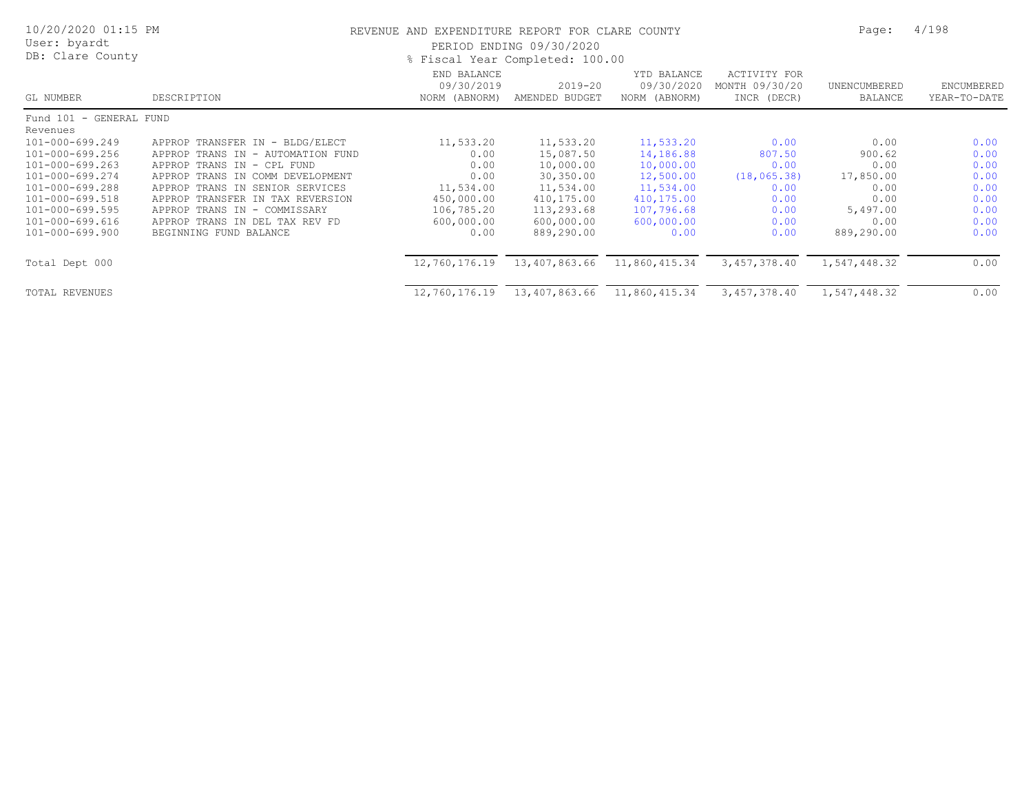| 10/20/2020 01:15 PM<br>User: byardt<br>DB: Clare County                                                                                                                             | REVENUE AND EXPENDITURE REPORT FOR CLARE COUNTY<br>PERIOD ENDING 09/30/2020<br>% Fiscal Year Completed: 100.00                                                                                                                                                                                                        |                                                                                                  |                                                                                                                       |                                                                                                                 |                                                                                | Page:                                                                                 | 4/198                                                                |
|-------------------------------------------------------------------------------------------------------------------------------------------------------------------------------------|-----------------------------------------------------------------------------------------------------------------------------------------------------------------------------------------------------------------------------------------------------------------------------------------------------------------------|--------------------------------------------------------------------------------------------------|-----------------------------------------------------------------------------------------------------------------------|-----------------------------------------------------------------------------------------------------------------|--------------------------------------------------------------------------------|---------------------------------------------------------------------------------------|----------------------------------------------------------------------|
| GL NUMBER                                                                                                                                                                           | DESCRIPTION                                                                                                                                                                                                                                                                                                           | END BALANCE<br>09/30/2019<br>NORM (ABNORM)                                                       | 2019-20<br>AMENDED BUDGET                                                                                             | YTD BALANCE<br>09/30/2020<br>NORM (ABNORM)                                                                      | ACTIVITY FOR<br>MONTH 09/30/20<br>INCR (DECR)                                  | UNENCUMBERED<br>BALANCE                                                               | ENCUMBERED<br>YEAR-TO-DATE                                           |
| Fund 101 - GENERAL FUND                                                                                                                                                             |                                                                                                                                                                                                                                                                                                                       |                                                                                                  |                                                                                                                       |                                                                                                                 |                                                                                |                                                                                       |                                                                      |
| Revenues<br>101-000-699.249<br>101-000-699.256<br>101-000-699.263<br>101-000-699.274<br>101-000-699.288<br>101-000-699.518<br>101-000-699.595<br>101-000-699.616<br>101-000-699.900 | APPROP TRANSFER IN - BLDG/ELECT<br>APPROP TRANS IN - AUTOMATION FUND<br>APPROP TRANS IN -<br>CPL FUND<br>APPROP TRANS IN<br>COMM DEVELOPMENT<br>APPROP TRANS IN<br>SENIOR SERVICES<br>APPROP TRANSFER IN TAX REVERSION<br>APPROP TRANS IN -<br>COMMISSARY<br>APPROP TRANS IN DEL TAX REV FD<br>BEGINNING FUND BALANCE | 11,533.20<br>0.00<br>0.00<br>0.00<br>11,534.00<br>450,000.00<br>106,785.20<br>600,000.00<br>0.00 | 11,533.20<br>15,087.50<br>10,000.00<br>30,350.00<br>11,534.00<br>410,175.00<br>113,293.68<br>600,000.00<br>889,290.00 | 11,533.20<br>14,186.88<br>10,000.00<br>12,500.00<br>11,534.00<br>410,175.00<br>107,796.68<br>600,000.00<br>0.00 | 0.00<br>807.50<br>0.00<br>(18, 065.38)<br>0.00<br>0.00<br>0.00<br>0.00<br>0.00 | 0.00<br>900.62<br>0.00<br>17,850.00<br>0.00<br>0.00<br>5,497.00<br>0.00<br>889,290.00 | 0.00<br>0.00<br>0.00<br>0.00<br>0.00<br>0.00<br>0.00<br>0.00<br>0.00 |
| Total Dept 000                                                                                                                                                                      |                                                                                                                                                                                                                                                                                                                       | 12,760,176.19                                                                                    | 13,407,863.66                                                                                                         | 11,860,415.34                                                                                                   | 3,457,378.40                                                                   | 1,547,448.32                                                                          | 0.00                                                                 |
| <b>TOTAL REVENUES</b>                                                                                                                                                               |                                                                                                                                                                                                                                                                                                                       | 12,760,176.19                                                                                    | 13,407,863.66                                                                                                         | 11,860,415.34                                                                                                   | 3,457,378.40                                                                   | 1,547,448.32                                                                          | 0.00                                                                 |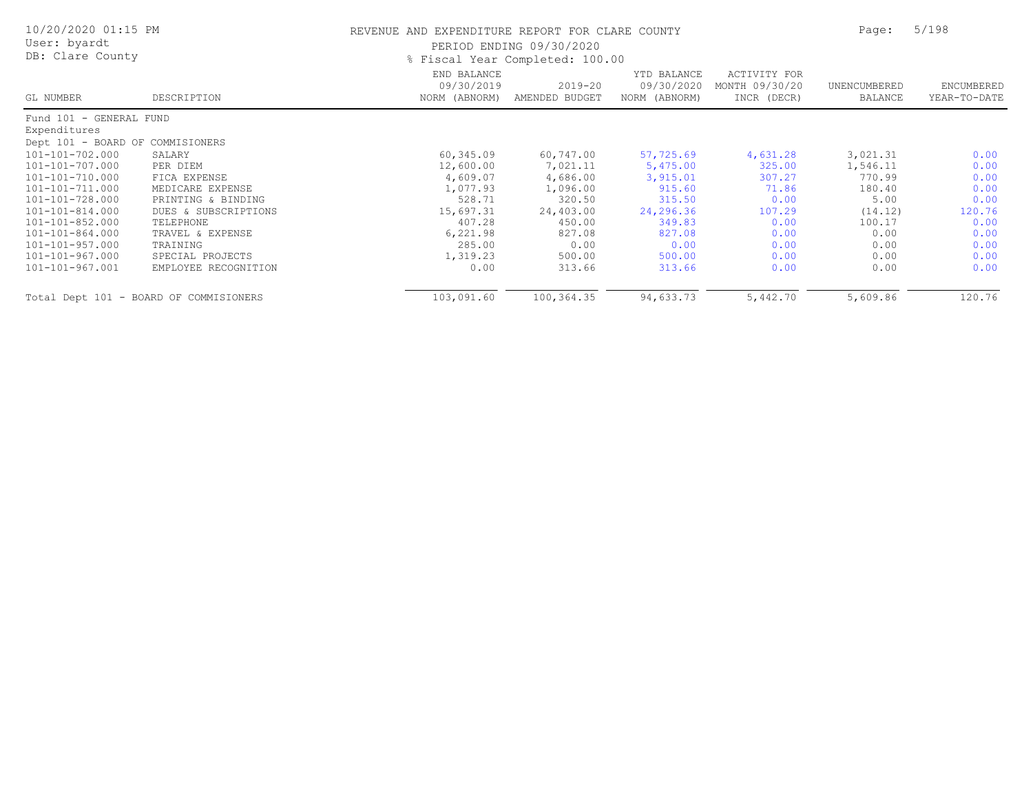| 10/20/2020 01:15 PM<br>User: byardt<br>DB: Clare County |                                        | REVENUE AND EXPENDITURE REPORT FOR CLARE COUNTY | PERIOD ENDING 09/30/2020<br>% Fiscal Year Completed: 100.00 |                                            |                                               | Page:                   | 5/198                      |  |
|---------------------------------------------------------|----------------------------------------|-------------------------------------------------|-------------------------------------------------------------|--------------------------------------------|-----------------------------------------------|-------------------------|----------------------------|--|
| GL NUMBER                                               | DESCRIPTION                            | END BALANCE<br>09/30/2019<br>NORM (ABNORM)      | $2019 - 20$<br>AMENDED BUDGET                               | YTD BALANCE<br>09/30/2020<br>NORM (ABNORM) | ACTIVITY FOR<br>MONTH 09/30/20<br>INCR (DECR) | UNENCUMBERED<br>BALANCE | ENCUMBERED<br>YEAR-TO-DATE |  |
| Fund 101 - GENERAL FUND                                 |                                        |                                                 |                                                             |                                            |                                               |                         |                            |  |
| Expenditures                                            |                                        |                                                 |                                                             |                                            |                                               |                         |                            |  |
| Dept 101 - BOARD OF COMMISIONERS                        |                                        |                                                 |                                                             |                                            |                                               |                         |                            |  |
| 101-101-702.000                                         | SALARY                                 | 60,345.09                                       | 60,747.00                                                   | 57,725.69                                  | 4,631.28                                      | 3,021.31                | 0.00                       |  |
| 101-101-707.000                                         | PER DIEM                               | 12,600.00                                       | 7,021.11                                                    | 5,475.00                                   | 325.00                                        | 1,546.11                | 0.00                       |  |
| 101-101-710.000                                         | FICA EXPENSE                           | 4,609.07                                        | 4,686.00                                                    | 3,915.01                                   | 307.27                                        | 770.99                  | 0.00                       |  |
| 101-101-711.000                                         | MEDICARE EXPENSE                       | 1,077.93                                        | 1,096.00                                                    | 915.60                                     | 71.86                                         | 180.40                  | 0.00                       |  |
| 101-101-728.000                                         | PRINTING & BINDING                     | 528.71                                          | 320.50                                                      | 315.50                                     | 0.00                                          | 5.00                    | 0.00                       |  |
| 101-101-814.000                                         | DUES & SUBSCRIPTIONS                   | 15,697.31                                       | 24,403.00                                                   | 24,296.36                                  | 107.29                                        | (14.12)                 | 120.76                     |  |
| 101-101-852.000                                         | TELEPHONE                              | 407.28                                          | 450.00                                                      | 349.83                                     | 0.00                                          | 100.17                  | 0.00                       |  |
| 101-101-864.000                                         | TRAVEL & EXPENSE                       | 6,221.98                                        | 827.08                                                      | 827.08                                     | 0.00                                          | 0.00                    | 0.00                       |  |
| 101-101-957.000                                         | TRAINING                               | 285.00                                          | 0.00                                                        | 0.00                                       | 0.00                                          | 0.00                    | 0.00                       |  |
| 101-101-967.000                                         | SPECIAL PROJECTS                       | 1,319.23                                        | 500.00                                                      | 500.00                                     | 0.00                                          | 0.00                    | 0.00                       |  |
| 101-101-967.001                                         | EMPLOYEE RECOGNITION                   | 0.00                                            | 313.66                                                      | 313.66                                     | 0.00                                          | 0.00                    | 0.00                       |  |
|                                                         | Total Dept 101 - BOARD OF COMMISIONERS | 103,091.60                                      | 100,364.35                                                  | 94,633.73                                  | 5,442.70                                      | 5,609.86                | 120.76                     |  |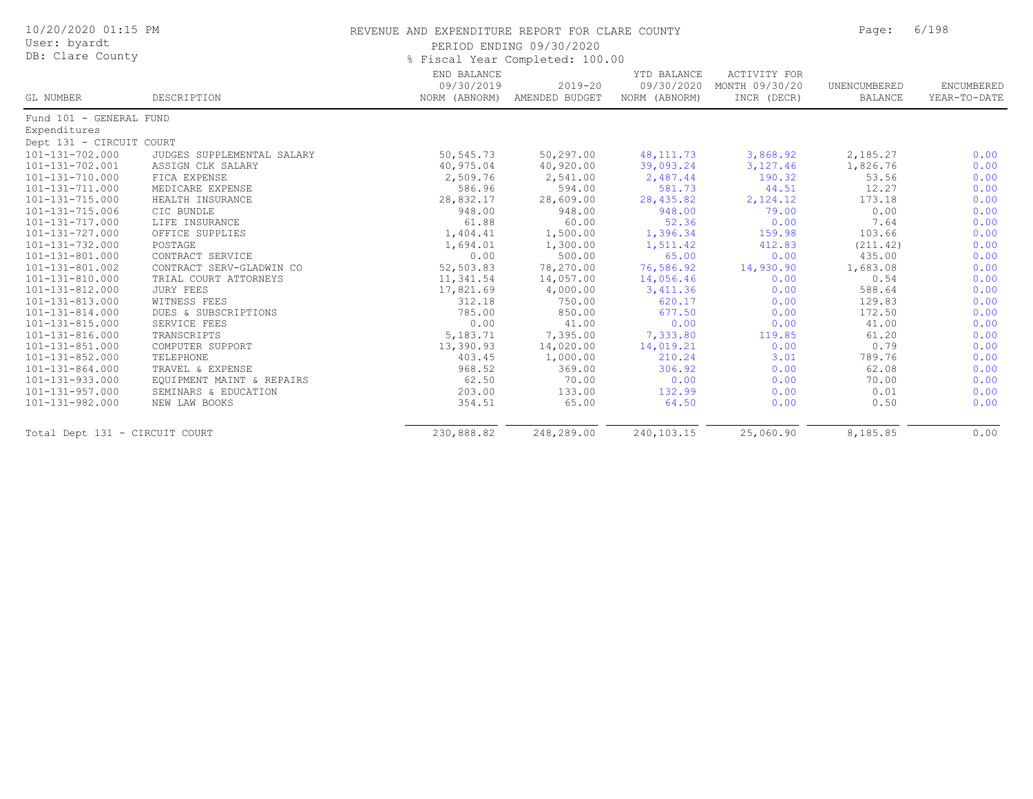| 10/20/2020 01:15 PM<br>User: byardt |                            | REVENUE AND EXPENDITURE REPORT FOR CLARE COUNTY | PERIOD ENDING 09/30/2020      |                                            |                                                      | Page:                   | 6/198                      |
|-------------------------------------|----------------------------|-------------------------------------------------|-------------------------------|--------------------------------------------|------------------------------------------------------|-------------------------|----------------------------|
| DB: Clare County                    |                            | % Fiscal Year Completed: 100.00                 |                               |                                            |                                                      |                         |                            |
| GL NUMBER                           | DESCRIPTION                | END BALANCE<br>09/30/2019<br>NORM (ABNORM)      | $2019 - 20$<br>AMENDED BUDGET | YTD BALANCE<br>09/30/2020<br>NORM (ABNORM) | <b>ACTIVITY FOR</b><br>MONTH 09/30/20<br>INCR (DECR) | UNENCUMBERED<br>BALANCE | ENCUMBERED<br>YEAR-TO-DATE |
| Fund 101 - GENERAL FUND             |                            |                                                 |                               |                                            |                                                      |                         |                            |
| Expenditures                        |                            |                                                 |                               |                                            |                                                      |                         |                            |
| Dept 131 - CIRCUIT COURT            |                            |                                                 |                               |                                            |                                                      |                         |                            |
| $101 - 131 - 702.000$               | JUDGES SUPPLEMENTAL SALARY | 50,545.73                                       | 50, 297.00                    | 48, 111.73                                 | 3,868.92                                             | 2,185.27                | 0.00                       |
| 101-131-702.001                     | ASSIGN CLK SALARY          | 40,975.04                                       | 40,920.00                     | 39,093.24                                  | 3,127.46                                             | 1,826.76                | 0.00                       |
| 101-131-710.000                     | FICA EXPENSE               | 2,509.76                                        | 2,541.00                      | 2,487.44                                   | 190.32                                               | 53.56                   | 0.00                       |
| 101-131-711.000                     | MEDICARE EXPENSE           | 586.96                                          | 594.00                        | 581.73                                     | 44.51                                                | 12.27                   | 0.00                       |
| 101-131-715.000                     | HEALTH INSURANCE           | 28,832.17                                       | 28,609.00                     | 28,435.82                                  | 2,124.12                                             | 173.18                  | 0.00                       |
| 101-131-715.006                     | CIC BUNDLE                 | 948.00                                          | 948.00                        | 948.00                                     | 79.00                                                | 0.00                    | 0.00                       |
| 101-131-717.000                     | LIFE INSURANCE             | 61.88                                           | 60.00                         | 52.36                                      | 0.00                                                 | 7.64                    | 0.00                       |
| 101-131-727.000                     | OFFICE SUPPLIES            | 1,404.41                                        | 1,500.00                      | 1,396.34                                   | 159.98                                               | 103.66                  | 0.00                       |
| 101-131-732.000                     | POSTAGE                    | 1,694.01                                        | 1,300.00                      | 1,511.42                                   | 412.83                                               | (211.42)                | 0.00                       |
| 101-131-801.000                     | CONTRACT SERVICE           | 0.00                                            | 500.00                        | 65.00                                      | 0.00                                                 | 435.00                  | 0.00                       |
| 101-131-801.002                     | CONTRACT SERV-GLADWIN CO   | 52,503.83                                       | 78,270.00                     | 76,586.92                                  | 14,930.90                                            | 1,683.08                | 0.00                       |
| 101-131-810.000                     | TRIAL COURT ATTORNEYS      | 11,341.54                                       | 14,057.00                     | 14,056.46                                  | 0.00                                                 | 0.54                    | 0.00                       |
| $101 - 131 - 812.000$               | <b>JURY FEES</b>           | 17,821.69                                       | 4,000.00                      | 3,411.36                                   | 0.00                                                 | 588.64                  | 0.00                       |
| 101-131-813.000                     | WITNESS FEES               | 312.18                                          | 750.00                        | 620.17                                     | 0.00                                                 | 129.83                  | 0.00                       |
| 101-131-814.000                     | DUES & SUBSCRIPTIONS       | 785.00                                          | 850.00                        | 677.50                                     | 0.00                                                 | 172.50                  | 0.00                       |
| 101-131-815.000                     | SERVICE FEES               | 0.00                                            | 41.00                         | 0.00                                       | 0.00                                                 | 41.00                   | 0.00                       |
| 101-131-816.000                     | TRANSCRIPTS                | 5,183.71                                        | 7,395.00                      | 7,333.80                                   | 119.85                                               | 61.20                   | 0.00                       |
| 101-131-851.000                     | COMPUTER SUPPORT           | 13,390.93                                       | 14,020.00                     | 14,019.21                                  | 0.00                                                 | 0.79                    | 0.00                       |
| 101-131-852.000                     | TELEPHONE                  | 403.45                                          | 1,000.00                      | 210.24                                     | 3.01                                                 | 789.76                  | 0.00                       |
| $101 - 131 - 864.000$               | TRAVEL & EXPENSE           | 968.52                                          | 369.00                        | 306.92                                     | 0.00                                                 | 62.08                   | 0.00                       |
| 101-131-933.000                     | EQUIPMENT MAINT & REPAIRS  | 62.50                                           | 70.00                         | 0.00                                       | 0.00                                                 | 70.00                   | 0.00                       |
| 101-131-957.000                     | SEMINARS & EDUCATION       | 203.00                                          | 133.00                        | 132.99                                     | 0.00                                                 | 0.01                    | 0.00                       |
| 101-131-982.000                     | NEW LAW BOOKS              | 354.51                                          | 65.00                         | 64.50                                      | 0.00                                                 | 0.50                    | 0.00                       |
| Total Dept 131 - CIRCUIT COURT      |                            | 230,888.82                                      | 248,289.00                    | 240,103.15                                 | 25,060.90                                            | 8,185.85                | 0.00                       |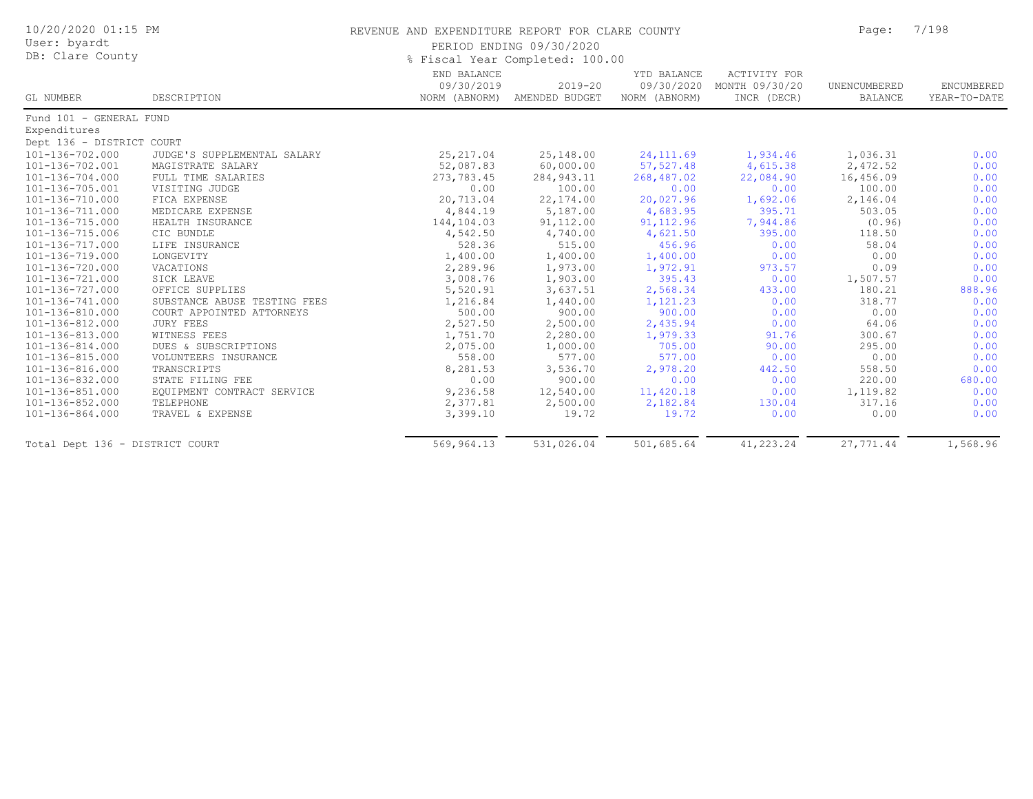| 10/20/2020 01:15 PM<br>User: byardt<br>DB: Clare County |                              | REVENUE AND EXPENDITURE REPORT FOR CLARE COUNTY<br>PERIOD ENDING 09/30/2020<br>% Fiscal Year Completed: 100.00 |                                             |                                            |                                                      |                                | 7/198                      |  |
|---------------------------------------------------------|------------------------------|----------------------------------------------------------------------------------------------------------------|---------------------------------------------|--------------------------------------------|------------------------------------------------------|--------------------------------|----------------------------|--|
| GL NUMBER                                               | DESCRIPTION                  | END BALANCE<br>09/30/2019                                                                                      | $2019 - 20$<br>NORM (ABNORM) AMENDED BUDGET | YTD BALANCE<br>09/30/2020<br>NORM (ABNORM) | <b>ACTIVITY FOR</b><br>MONTH 09/30/20<br>INCR (DECR) | UNENCUMBERED<br><b>BALANCE</b> | ENCUMBERED<br>YEAR-TO-DATE |  |
| Fund 101 - GENERAL FUND                                 |                              |                                                                                                                |                                             |                                            |                                                      |                                |                            |  |
| Expenditures                                            |                              |                                                                                                                |                                             |                                            |                                                      |                                |                            |  |
| Dept 136 - DISTRICT COURT                               |                              |                                                                                                                |                                             |                                            |                                                      |                                |                            |  |
| 101-136-702.000                                         | JUDGE'S SUPPLEMENTAL SALARY  | 25, 217.04                                                                                                     | 25,148.00                                   | 24, 111.69                                 | 1,934.46                                             | 1,036.31                       | 0.00                       |  |
| 101-136-702.001                                         | MAGISTRATE SALARY            | 52,087.83                                                                                                      | 60,000.00                                   | 57,527.48                                  | 4,615.38                                             | 2,472.52                       | 0.00                       |  |
| 101-136-704.000                                         | FULL TIME SALARIES           | 273,783.45                                                                                                     | 284, 943.11                                 | 268,487.02                                 | 22,084.90                                            | 16,456.09                      | 0.00                       |  |
| 101-136-705.001                                         | VISITING JUDGE               | 0.00                                                                                                           | 100.00                                      | 0.00                                       | 0.00                                                 | 100.00                         | 0.00                       |  |
| 101-136-710.000                                         | FICA EXPENSE                 | 20,713.04                                                                                                      | 22, 174.00                                  | 20,027.96                                  | 1,692.06                                             | 2,146.04                       | 0.00                       |  |
| 101-136-711.000                                         | MEDICARE EXPENSE             | 4,844.19                                                                                                       | 5,187.00                                    | 4,683.95                                   | 395.71                                               | 503.05                         | 0.00                       |  |
| 101-136-715.000                                         | HEALTH INSURANCE             | 144,104.03                                                                                                     | 91, 112.00                                  | 91, 112.96                                 | 7,944.86                                             | (0.96)                         | 0.00                       |  |
| 101-136-715.006                                         | CIC BUNDLE                   | 4,542.50                                                                                                       | 4,740.00                                    | 4,621.50                                   | 395.00                                               | 118.50                         | 0.00                       |  |
| 101-136-717.000                                         | LIFE INSURANCE               | 528.36                                                                                                         | 515.00                                      | 456.96                                     | 0.00                                                 | 58.04                          | 0.00                       |  |
| 101-136-719.000                                         | LONGEVITY                    | 1,400.00                                                                                                       | 1,400.00                                    | 1,400.00                                   | 0.00                                                 | 0.00                           | 0.00                       |  |
| 101-136-720.000                                         | VACATIONS                    | 2,289.96                                                                                                       | 1,973.00                                    | 1,972.91                                   | 973.57                                               | 0.09                           | 0.00                       |  |
| 101-136-721.000                                         | SICK LEAVE                   | 3,008.76                                                                                                       | 1,903.00                                    | 395.43                                     | 0.00                                                 | 1,507.57                       | 0.00                       |  |
| 101-136-727.000                                         | OFFICE SUPPLIES              | 5,520.91                                                                                                       | 3,637.51                                    | 2,568.34                                   | 433.00                                               | 180.21                         | 888.96                     |  |
| 101-136-741.000                                         | SUBSTANCE ABUSE TESTING FEES | 1,216.84                                                                                                       | 1,440.00                                    | 1,121.23                                   | 0.00                                                 | 318.77                         | 0.00                       |  |
| 101-136-810.000                                         | COURT APPOINTED ATTORNEYS    | 500.00                                                                                                         | 900.00                                      | 900.00                                     | 0.00                                                 | 0.00                           | 0.00                       |  |
| 101-136-812.000                                         | <b>JURY FEES</b>             | 2,527.50                                                                                                       | 2,500.00                                    | 2,435.94                                   | 0.00                                                 | 64.06                          | 0.00                       |  |
| 101-136-813.000                                         | WITNESS FEES                 | 1,751.70                                                                                                       | 2,280.00                                    | 1,979.33                                   | 91.76                                                | 300.67                         | 0.00                       |  |
| 101-136-814.000                                         | DUES & SUBSCRIPTIONS         | 2,075.00                                                                                                       | 1,000.00                                    | 705.00                                     | 90.00                                                | 295.00                         | 0.00                       |  |
| 101-136-815.000                                         | VOLUNTEERS INSURANCE         | 558.00                                                                                                         | 577.00                                      | 577.00                                     | 0.00                                                 | 0.00                           | 0.00                       |  |
| 101-136-816.000                                         | TRANSCRIPTS                  | 8,281.53                                                                                                       | 3,536.70                                    | 2,978.20                                   | 442.50                                               | 558.50                         | 0.00                       |  |
| 101-136-832.000                                         | STATE FILING FEE             | 0.00                                                                                                           | 900.00                                      | 0.00                                       | 0.00                                                 | 220.00                         | 680.00                     |  |
| 101-136-851.000                                         | EQUIPMENT CONTRACT SERVICE   | 9,236.58                                                                                                       | 12,540.00                                   | 11,420.18                                  | 0.00                                                 | 1,119.82                       | 0.00                       |  |
| 101-136-852.000                                         | TELEPHONE                    | 2,377.81                                                                                                       | 2,500.00                                    | 2,182.84                                   | 130.04                                               | 317.16                         | 0.00                       |  |
| 101-136-864.000                                         | TRAVEL & EXPENSE             | 3,399.10                                                                                                       | 19.72                                       | 19.72                                      | 0.00                                                 | 0.00                           | 0.00                       |  |
| Total Dept 136 - DISTRICT COURT                         |                              | 569,964.13                                                                                                     | 531,026.04                                  | 501,685.64                                 | 41,223.24                                            | 27,771.44                      | 1,568.96                   |  |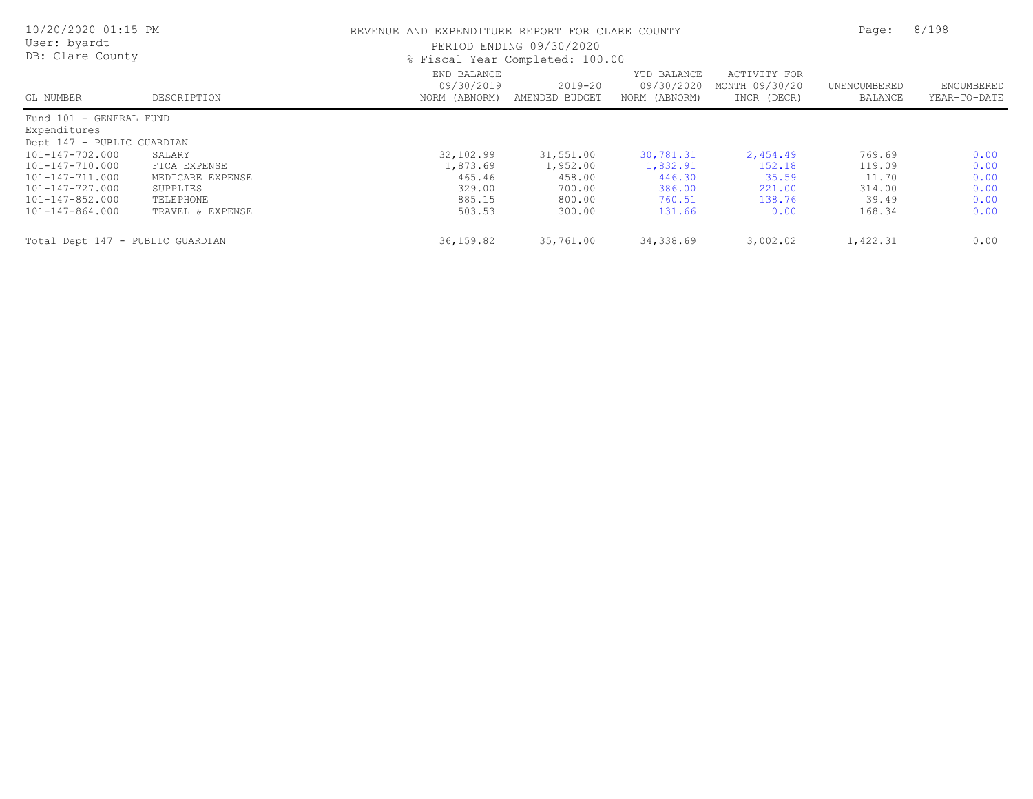| 10/20/2020 01:15 PM<br>User: byardt<br>DB: Clare County |                  |                                            | REVENUE AND EXPENDITURE REPORT FOR CLARE COUNTY<br>PERIOD ENDING 09/30/2020<br>% Fiscal Year Completed: 100.00 |                                            |                                               |                         |                            |
|---------------------------------------------------------|------------------|--------------------------------------------|----------------------------------------------------------------------------------------------------------------|--------------------------------------------|-----------------------------------------------|-------------------------|----------------------------|
| GL NUMBER                                               | DESCRIPTION      | END BALANCE<br>09/30/2019<br>NORM (ABNORM) | $2019 - 20$<br>AMENDED BUDGET                                                                                  | YTD BALANCE<br>09/30/2020<br>NORM (ABNORM) | ACTIVITY FOR<br>MONTH 09/30/20<br>INCR (DECR) | UNENCUMBERED<br>BALANCE | ENCUMBERED<br>YEAR-TO-DATE |
| Fund 101 - GENERAL FUND                                 |                  |                                            |                                                                                                                |                                            |                                               |                         |                            |
| Expenditures                                            |                  |                                            |                                                                                                                |                                            |                                               |                         |                            |
| Dept 147 - PUBLIC GUARDIAN                              |                  |                                            |                                                                                                                |                                            |                                               |                         |                            |
| 101-147-702.000                                         | SALARY           | 32,102.99                                  | 31,551.00                                                                                                      | 30,781.31                                  | 2,454.49                                      | 769.69                  | 0.00                       |
| 101-147-710.000                                         | FICA EXPENSE     | 1,873.69                                   | 1,952.00                                                                                                       | 1,832.91                                   | 152.18                                        | 119.09                  | 0.00                       |
| 101-147-711.000                                         | MEDICARE EXPENSE | 465.46                                     | 458.00                                                                                                         | 446.30                                     | 35.59                                         | 11.70                   | 0.00                       |
| 101-147-727.000                                         | SUPPLIES         | 329.00                                     | 700.00                                                                                                         | 386.00                                     | 221.00                                        | 314.00                  | 0.00                       |
| 101-147-852.000                                         | TELEPHONE        | 885.15                                     | 800.00                                                                                                         | 760.51                                     | 138.76                                        | 39.49                   | 0.00                       |
| 101-147-864.000                                         | TRAVEL & EXPENSE | 503.53                                     | 300.00                                                                                                         | 131.66                                     | 0.00                                          | 168.34                  | 0.00                       |
| Total Dept 147 - PUBLIC GUARDIAN                        |                  | 36, 159.82                                 | 35,761.00                                                                                                      | 34,338.69                                  | 3,002.02                                      | 1,422.31                | 0.00                       |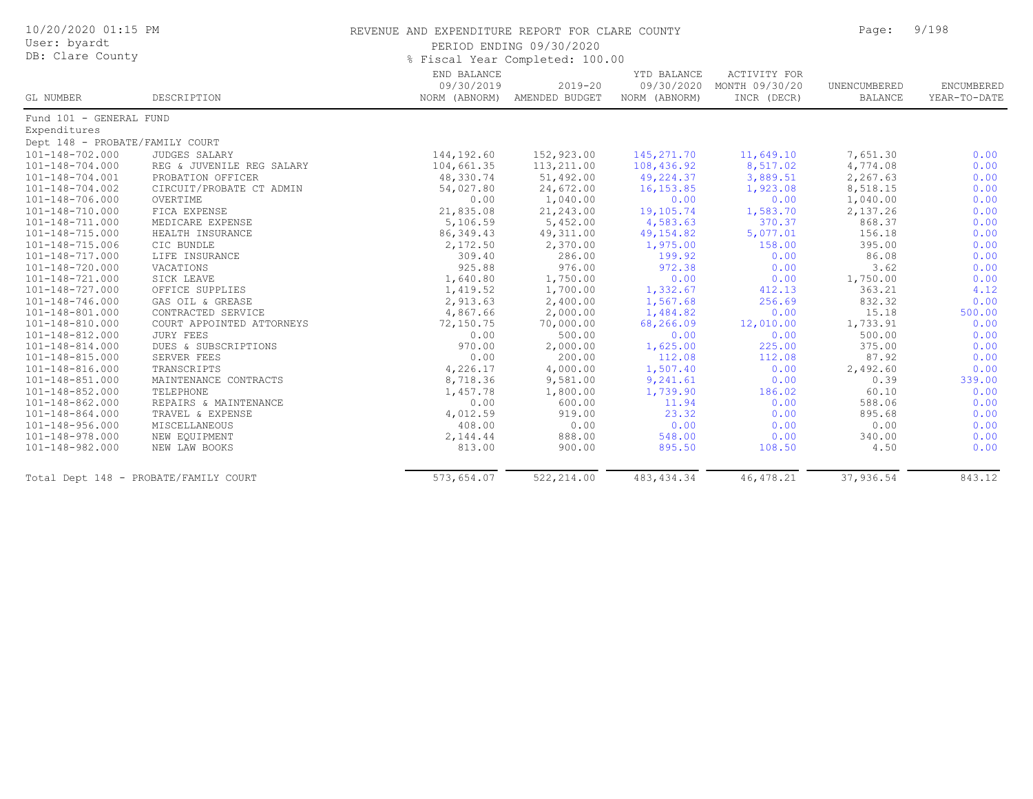| 10/20/2020 01:15 PM<br>User: byardt<br>DB: Clare County |                           | REVENUE AND EXPENDITURE REPORT FOR CLARE COUNTY | PERIOD ENDING 09/30/2020<br>% Fiscal Year Completed: 100.00 |                                            |                                                      | Page:                   | 9/198                             |
|---------------------------------------------------------|---------------------------|-------------------------------------------------|-------------------------------------------------------------|--------------------------------------------|------------------------------------------------------|-------------------------|-----------------------------------|
| GL NUMBER                                               | DESCRIPTION               | END BALANCE<br>09/30/2019<br>NORM (ABNORM)      | $2019 - 20$<br>AMENDED BUDGET                               | YTD BALANCE<br>09/30/2020<br>NORM (ABNORM) | <b>ACTIVITY FOR</b><br>MONTH 09/30/20<br>INCR (DECR) | UNENCUMBERED<br>BALANCE | <b>ENCUMBERED</b><br>YEAR-TO-DATE |
| Fund 101 - GENERAL FUND                                 |                           |                                                 |                                                             |                                            |                                                      |                         |                                   |
| Expenditures                                            |                           |                                                 |                                                             |                                            |                                                      |                         |                                   |
| Dept 148 - PROBATE/FAMILY COURT                         |                           |                                                 |                                                             |                                            |                                                      |                         |                                   |
| 101-148-702.000                                         | JUDGES SALARY             | 144,192.60                                      | 152,923.00                                                  | 145, 271.70                                | 11,649.10                                            | 7,651.30                | 0.00                              |
| $101 - 148 - 704.000$                                   | REG & JUVENILE REG SALARY | 104,661.35                                      | 113,211.00                                                  | 108,436.92                                 | 8,517.02                                             | 4,774.08                | 0.00                              |
| 101-148-704.001                                         | PROBATION OFFICER         | 48,330.74                                       | 51,492.00                                                   | 49,224.37                                  | 3,889.51                                             | 2,267.63                | 0.00                              |
| 101-148-704.002                                         | CIRCUIT/PROBATE CT ADMIN  | 54,027.80                                       | 24,672.00                                                   | 16, 153.85                                 | 1,923.08                                             | 8,518.15                | 0.00                              |
| 101-148-706.000                                         | OVERTIME                  | 0.00                                            | 1,040.00                                                    | 0.00                                       | 0.00                                                 | 1,040.00                | 0.00                              |
| 101-148-710.000                                         | FICA EXPENSE              | 21,835.08                                       | 21,243.00                                                   | 19,105.74                                  | 1,583.70                                             | 2,137.26                | 0.00                              |
| 101-148-711.000                                         | MEDICARE EXPENSE          | 5,106.59                                        | 5,452.00                                                    | 4,583.63                                   | 370.37                                               | 868.37                  | 0.00                              |
| 101-148-715.000                                         | HEALTH INSURANCE          | 86, 349.43                                      | 49, 311.00                                                  | 49, 154.82                                 | 5,077.01                                             | 156.18                  | 0.00                              |
| $101 - 148 - 715.006$                                   | CIC BUNDLE                | 2,172.50                                        | 2,370.00                                                    | 1,975.00                                   | 158.00                                               | 395.00                  | 0.00                              |
| 101-148-717.000                                         | LIFE INSURANCE            | 309.40                                          | 286.00                                                      | 199.92                                     | 0.00                                                 | 86.08                   | 0.00                              |
| 101-148-720.000                                         | VACATIONS                 | 925.88                                          | 976.00                                                      | 972.38                                     | 0.00                                                 | 3.62                    | 0.00                              |
| 101-148-721.000                                         | SICK LEAVE                | 1,640.80                                        | 1,750.00                                                    | 0.00                                       | 0.00                                                 | 1,750.00                | 0.00                              |
| 101-148-727.000                                         | OFFICE SUPPLIES           | 1,419.52                                        | 1,700.00                                                    | 1,332.67                                   | 412.13                                               | 363.21                  | 4.12                              |
| $101 - 148 - 746.000$                                   | GAS OIL & GREASE          | 2,913.63                                        | 2,400.00                                                    | 1,567.68                                   | 256.69                                               | 832.32                  | 0.00                              |
| 101-148-801.000                                         | CONTRACTED SERVICE        | 4,867.66                                        | 2,000.00                                                    | 1,484.82                                   | 0.00                                                 | 15.18                   | 500.00                            |
| 101-148-810.000                                         | COURT APPOINTED ATTORNEYS | 72,150.75                                       | 70,000.00                                                   | 68,266.09                                  | 12,010.00                                            | 1,733.91                | 0.00                              |
| 101-148-812.000                                         | <b>JURY FEES</b>          | 0.00                                            | 500.00                                                      | 0.00                                       | 0.00                                                 | 500.00                  | 0.00                              |
| 101-148-814.000                                         | DUES & SUBSCRIPTIONS      | 970.00                                          | 2,000.00                                                    | 1,625.00                                   | 225.00                                               | 375.00                  | 0.00                              |
| 101-148-815.000                                         | SERVER FEES               | 0.00                                            | 200.00                                                      | 112.08                                     | 112.08                                               | 87.92                   | 0.00                              |
| 101-148-816.000                                         | TRANSCRIPTS               | 4,226.17                                        | 4,000.00                                                    | 1,507.40                                   | 0.00                                                 | 2,492.60                | 0.00                              |
| 101-148-851.000                                         | MAINTENANCE CONTRACTS     | 8,718.36                                        | 9,581.00                                                    | 9,241.61                                   | 0.00                                                 | 0.39                    | 339.00                            |
| 101-148-852.000                                         | TELEPHONE                 | 1,457.78                                        | 1,800.00                                                    | 1,739.90                                   | 186.02                                               | 60.10                   | 0.00                              |
| 101-148-862.000                                         | REPAIRS & MAINTENANCE     | 0.00                                            | 600.00                                                      | 11.94                                      | 0.00                                                 | 588.06                  | 0.00                              |
| $101 - 148 - 864.000$                                   | TRAVEL & EXPENSE          | 4,012.59                                        | 919.00                                                      | 23.32                                      | 0.00                                                 | 895.68                  | 0.00                              |
| 101-148-956.000                                         | MISCELLANEOUS             | 408.00                                          | 0.00                                                        | 0.00                                       | 0.00                                                 | 0.00                    | 0.00                              |
| $101 - 148 - 978.000$                                   | NEW EQUIPMENT             | 2,144.44                                        | 888.00                                                      | 548.00                                     | 0.00                                                 | 340.00                  | 0.00                              |
| 101-148-982.000                                         | NEW LAW BOOKS             | 813.00                                          | 900.00                                                      | 895.50                                     | 108.50                                               | 4.50                    | 0.00                              |
| Total Dept 148 - PROBATE/FAMILY COURT                   |                           | 573,654.07                                      | 522,214.00                                                  | 483, 434.34                                | 46, 478.21                                           | 37,936.54               | 843.12                            |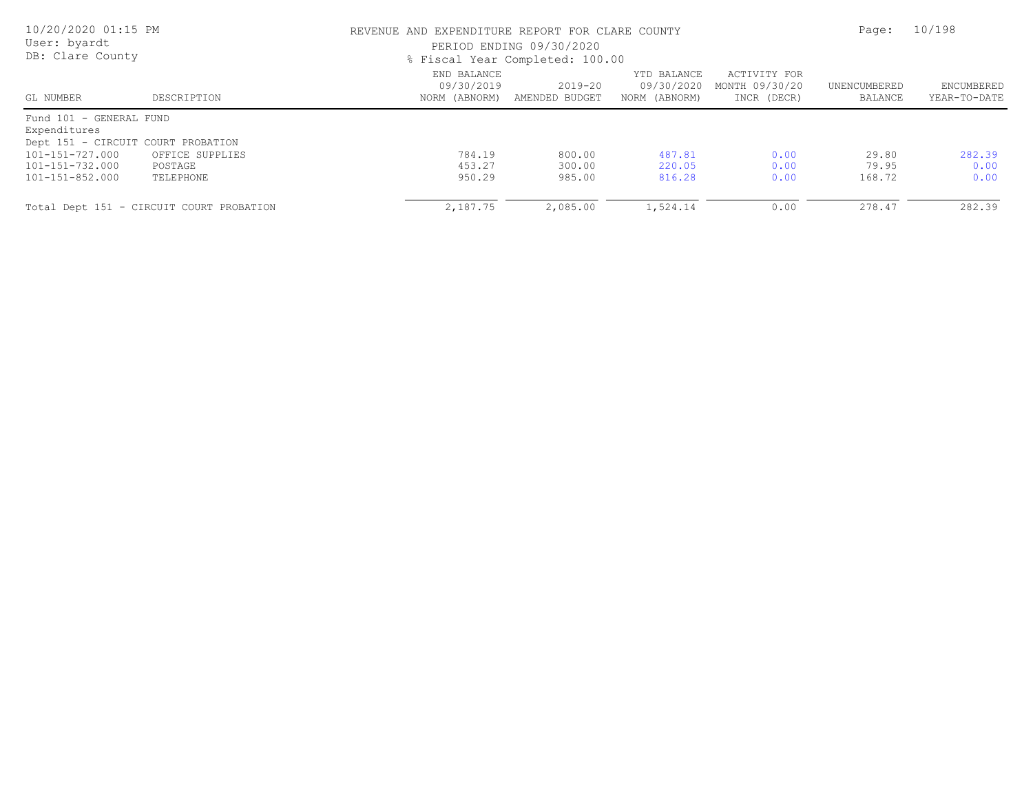| 10/20/2020 01:15 PM<br>User: byardt<br>DB: Clare County |                                          | REVENUE AND EXPENDITURE REPORT FOR CLARE COUNTY<br>PERIOD ENDING 09/30/2020<br>% Fiscal Year Completed: 100.00 |                           |                                            |                                               | Page:                   | 10/198                            |  |
|---------------------------------------------------------|------------------------------------------|----------------------------------------------------------------------------------------------------------------|---------------------------|--------------------------------------------|-----------------------------------------------|-------------------------|-----------------------------------|--|
| GL NUMBER                                               | DESCRIPTION                              | END BALANCE<br>09/30/2019<br>NORM (ABNORM)                                                                     | 2019-20<br>AMENDED BUDGET | YTD BALANCE<br>09/30/2020<br>NORM (ABNORM) | ACTIVITY FOR<br>MONTH 09/30/20<br>INCR (DECR) | UNENCUMBERED<br>BALANCE | <b>ENCUMBERED</b><br>YEAR-TO-DATE |  |
| Fund 101 - GENERAL FUND<br>Expenditures                 |                                          |                                                                                                                |                           |                                            |                                               |                         |                                   |  |
| Dept 151 - CIRCUIT COURT PROBATION                      |                                          |                                                                                                                |                           |                                            |                                               |                         |                                   |  |
| 101-151-727.000                                         | OFFICE SUPPLIES                          | 784.19                                                                                                         | 800.00                    | 487.81                                     | 0.00                                          | 29.80                   | 282.39                            |  |
| 101-151-732.000                                         | POSTAGE                                  | 453.27                                                                                                         | 300.00                    | 220.05                                     | 0.00                                          | 79.95                   | 0.00                              |  |
| 101-151-852.000                                         | TELEPHONE                                | 950.29                                                                                                         | 985.00                    | 816.28                                     | 0.00                                          | 168.72                  | 0.00                              |  |
|                                                         | Total Dept 151 - CIRCUIT COURT PROBATION | 2,187.75                                                                                                       | 2,085.00                  | 1,524.14                                   | 0.00                                          | 278.47                  | 282.39                            |  |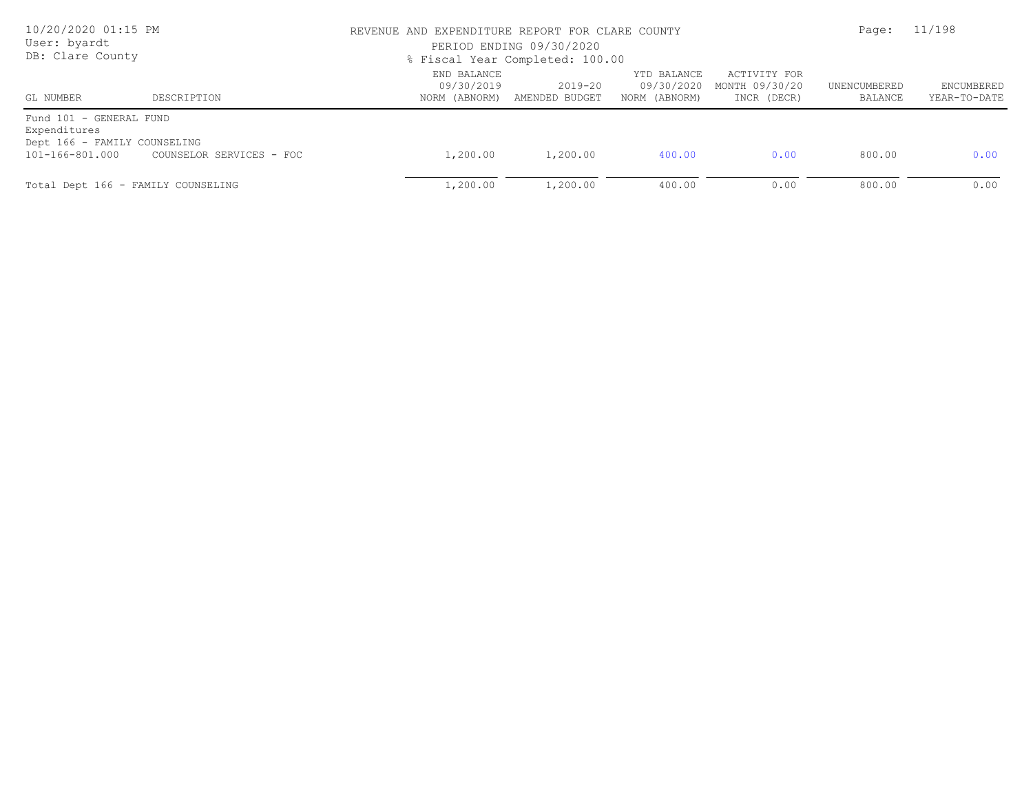| 10/20/2020 01:15 PM<br>User: byardt<br>DB: Clare County                                    |                          | REVENUE AND EXPENDITURE REPORT FOR CLARE COUNTY<br>PERIOD ENDING 09/30/2020<br>% Fiscal Year Completed: 100.00 | Page:                     | 11/198                                     |                                               |                         |                            |
|--------------------------------------------------------------------------------------------|--------------------------|----------------------------------------------------------------------------------------------------------------|---------------------------|--------------------------------------------|-----------------------------------------------|-------------------------|----------------------------|
| GL NUMBER                                                                                  | DESCRIPTION              | END BALANCE<br>09/30/2019<br>NORM (ABNORM)                                                                     | 2019-20<br>AMENDED BUDGET | YTD BALANCE<br>09/30/2020<br>NORM (ABNORM) | ACTIVITY FOR<br>MONTH 09/30/20<br>INCR (DECR) | UNENCUMBERED<br>BALANCE | ENCUMBERED<br>YEAR-TO-DATE |
| Fund 101 - GENERAL FUND<br>Expenditures<br>Dept 166 - FAMILY COUNSELING<br>101-166-801.000 | COUNSELOR SERVICES - FOC | 1,200.00                                                                                                       | 1,200.00                  | 400.00                                     | 0.00                                          | 800.00                  | 0.00                       |
| Total Dept 166 - FAMILY COUNSELING                                                         |                          | 1,200.00                                                                                                       | 1,200.00                  | 400.00                                     | 0.00                                          | 800.00                  | 0.00                       |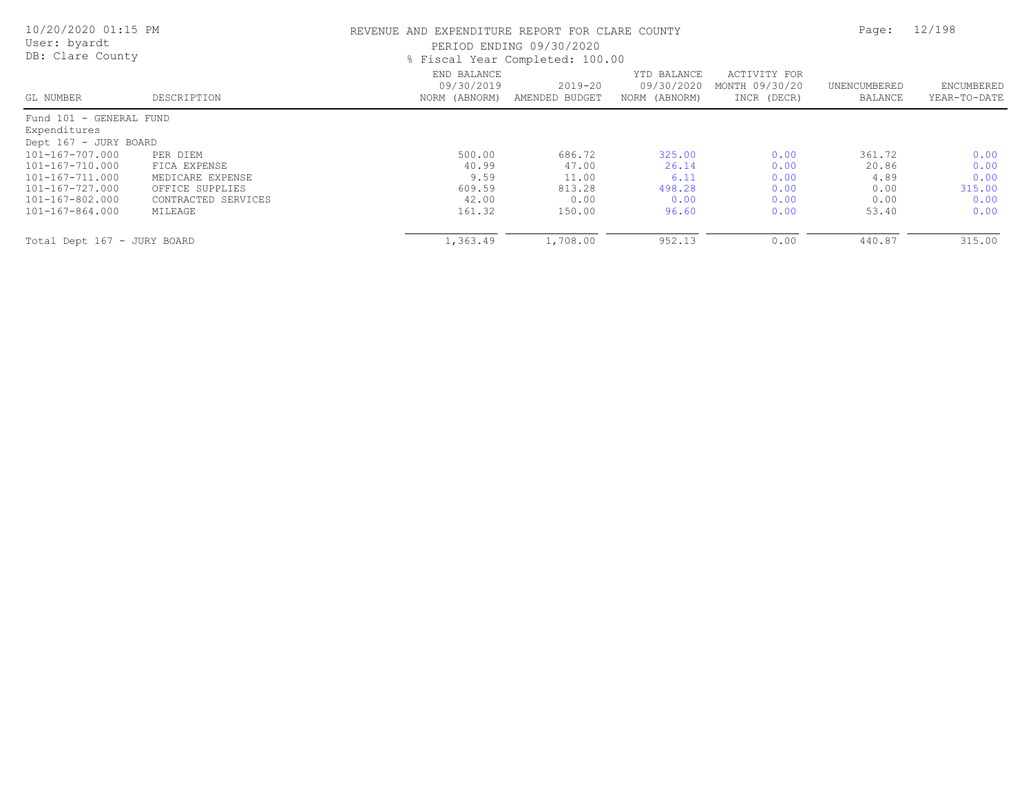| 10/20/2020 01:15 PM<br>User: byardt<br>DB: Clare County |                     |                                            | REVENUE AND EXPENDITURE REPORT FOR CLARE COUNTY<br>PERIOD ENDING 09/30/2020<br>% Fiscal Year Completed: 100.00 |                                            |                                               |                         |                            |
|---------------------------------------------------------|---------------------|--------------------------------------------|----------------------------------------------------------------------------------------------------------------|--------------------------------------------|-----------------------------------------------|-------------------------|----------------------------|
| GL NUMBER                                               | DESCRIPTION         | END BALANCE<br>09/30/2019<br>NORM (ABNORM) | $2019 - 20$<br>AMENDED BUDGET                                                                                  | YTD BALANCE<br>09/30/2020<br>NORM (ABNORM) | ACTIVITY FOR<br>MONTH 09/30/20<br>INCR (DECR) | UNENCUMBERED<br>BALANCE | ENCUMBERED<br>YEAR-TO-DATE |
| Fund 101 - GENERAL FUND                                 |                     |                                            |                                                                                                                |                                            |                                               |                         |                            |
| Expenditures                                            |                     |                                            |                                                                                                                |                                            |                                               |                         |                            |
| Dept 167 - JURY BOARD                                   |                     |                                            |                                                                                                                |                                            |                                               |                         |                            |
| 101-167-707.000                                         | PER DIEM            | 500.00                                     | 686.72                                                                                                         | 325.00                                     | 0.00                                          | 361.72                  | 0.00                       |
| 101-167-710.000                                         | FICA EXPENSE        | 40.99                                      | 47.00                                                                                                          | 26.14                                      | 0.00                                          | 20.86                   | 0.00                       |
| 101-167-711.000                                         | MEDICARE EXPENSE    | 9.59                                       | 11.00                                                                                                          | 6.11                                       | 0.00                                          | 4.89                    | 0.00                       |
| 101-167-727.000                                         | OFFICE SUPPLIES     | 609.59                                     | 813.28                                                                                                         | 498.28                                     | 0.00                                          | 0.00                    | 315.00                     |
| 101-167-802.000                                         | CONTRACTED SERVICES | 42.00                                      | 0.00                                                                                                           | 0.00                                       | 0.00                                          | 0.00                    | 0.00                       |
| 101-167-864.000                                         | MILEAGE             | 161.32                                     | 150.00                                                                                                         | 96.60                                      | 0.00                                          | 53.40                   | 0.00                       |
| Total Dept 167 - JURY BOARD                             |                     | 1,363.49                                   | 1,708.00                                                                                                       | 952.13                                     | 0.00                                          | 440.87                  | 315.00                     |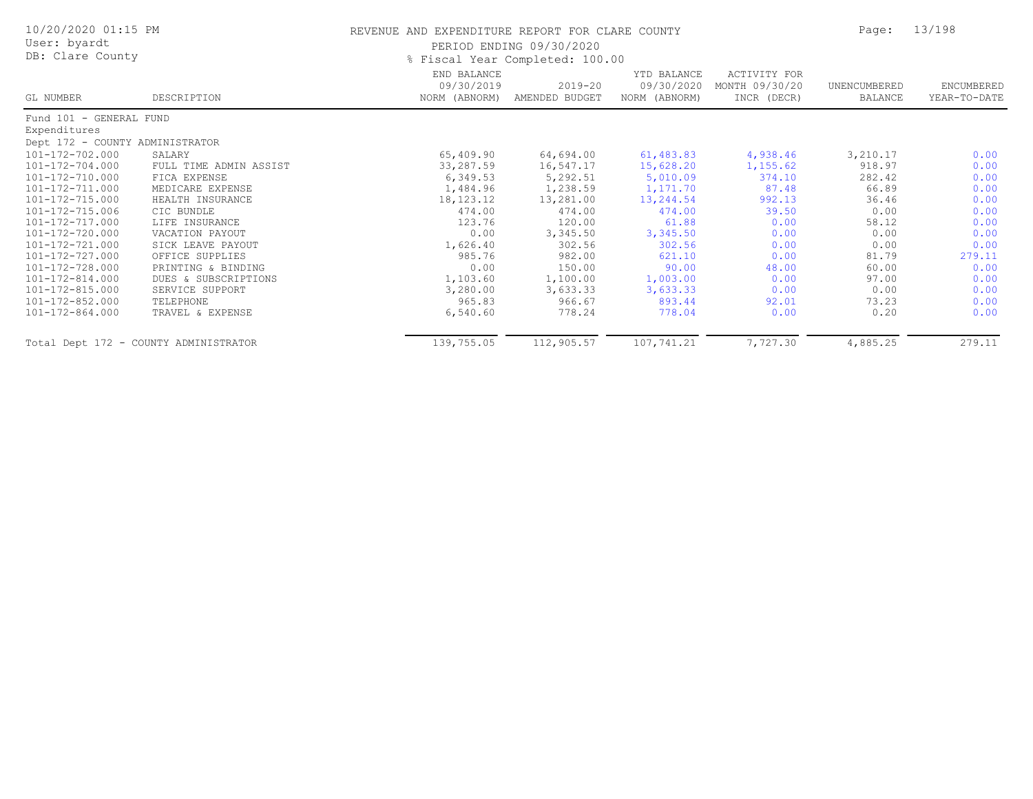| 10/20/2020 01:15 PM<br>User: byardt<br>DB: Clare County |                        | REVENUE AND EXPENDITURE REPORT FOR CLARE COUNTY<br>PERIOD ENDING 09/30/2020<br>% Fiscal Year Completed: 100.00 |                           |                                            |                                               |                         | 13/198                     |
|---------------------------------------------------------|------------------------|----------------------------------------------------------------------------------------------------------------|---------------------------|--------------------------------------------|-----------------------------------------------|-------------------------|----------------------------|
| GL NUMBER                                               | DESCRIPTION            | END BALANCE<br>09/30/2019<br>NORM (ABNORM)                                                                     | 2019-20<br>AMENDED BUDGET | YTD BALANCE<br>09/30/2020<br>NORM (ABNORM) | ACTIVITY FOR<br>MONTH 09/30/20<br>INCR (DECR) | UNENCUMBERED<br>BALANCE | ENCUMBERED<br>YEAR-TO-DATE |
| Fund 101 - GENERAL FUND                                 |                        |                                                                                                                |                           |                                            |                                               |                         |                            |
| Expenditures                                            |                        |                                                                                                                |                           |                                            |                                               |                         |                            |
| Dept 172 - COUNTY ADMINISTRATOR                         |                        |                                                                                                                |                           |                                            |                                               |                         |                            |
| 101-172-702.000                                         | SALARY                 | 65,409.90                                                                                                      | 64,694.00                 | 61,483.83                                  | 4,938.46                                      | 3,210.17                | 0.00                       |
| 101-172-704.000                                         | FULL TIME ADMIN ASSIST | 33,287.59                                                                                                      | 16,547.17                 | 15,628.20                                  | 1,155.62                                      | 918.97                  | 0.00                       |
| 101-172-710.000                                         | FICA EXPENSE           | 6,349.53                                                                                                       | 5,292.51                  | 5,010.09                                   | 374.10                                        | 282.42                  | 0.00                       |
| 101-172-711.000                                         | MEDICARE EXPENSE       | 1,484.96                                                                                                       | 1,238.59                  | 1,171.70                                   | 87.48                                         | 66.89                   | 0.00                       |
| 101-172-715.000                                         | HEALTH INSURANCE       | 18, 123. 12                                                                                                    | 13,281.00                 | 13,244.54                                  | 992.13                                        | 36.46                   | 0.00                       |
| 101-172-715.006                                         | CIC BUNDLE             | 474.00                                                                                                         | 474.00                    | 474.00                                     | 39.50                                         | 0.00                    | 0.00                       |
| 101-172-717.000                                         | LIFE INSURANCE         | 123.76                                                                                                         | 120.00                    | 61.88                                      | 0.00                                          | 58.12                   | 0.00                       |
| 101-172-720.000                                         | VACATION PAYOUT        | 0.00                                                                                                           | 3,345.50                  | 3,345.50                                   | 0.00                                          | 0.00                    | 0.00                       |
| 101-172-721.000                                         | SICK LEAVE PAYOUT      | 1,626.40                                                                                                       | 302.56                    | 302.56                                     | 0.00                                          | 0.00                    | 0.00                       |
| 101-172-727.000                                         | OFFICE SUPPLIES        | 985.76                                                                                                         | 982.00                    | 621.10                                     | 0.00                                          | 81.79                   | 279.11                     |
| 101-172-728.000                                         | PRINTING & BINDING     | 0.00                                                                                                           | 150.00                    | 90.00                                      | 48.00                                         | 60.00                   | 0.00                       |
| 101-172-814.000                                         | DUES & SUBSCRIPTIONS   | 1,103.60                                                                                                       | 1,100.00                  | 1,003.00                                   | 0.00                                          | 97.00                   | 0.00                       |
| 101-172-815.000                                         | SERVICE SUPPORT        | 3,280.00                                                                                                       | 3,633.33                  | 3,633.33                                   | 0.00                                          | 0.00                    | 0.00                       |
| 101-172-852.000                                         | TELEPHONE              | 965.83                                                                                                         | 966.67                    | 893.44                                     | 92.01                                         | 73.23                   | 0.00                       |
| 101-172-864.000                                         | TRAVEL & EXPENSE       | 6,540.60                                                                                                       | 778.24                    | 778.04                                     | 0.00                                          | 0.20                    | 0.00                       |
| Total Dept 172 - COUNTY ADMINISTRATOR                   |                        | 139,755.05                                                                                                     | 112,905.57                | 107,741.21                                 | 7,727.30                                      | 4,885.25                | 279.11                     |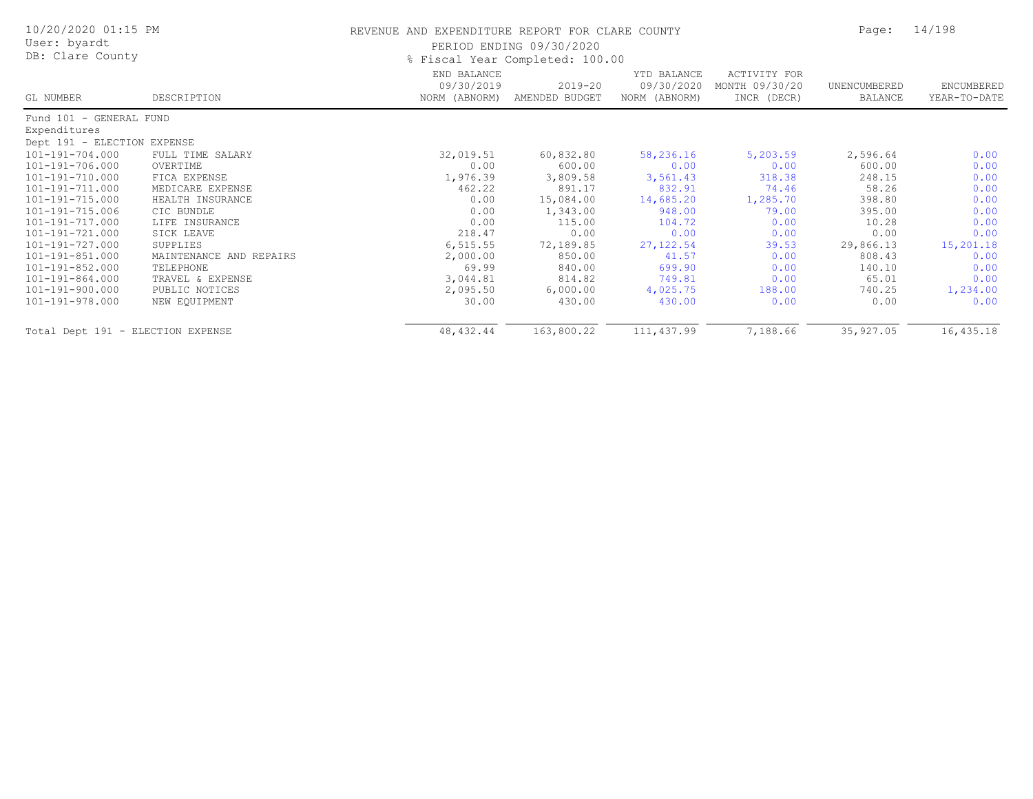| 10/20/2020 01:15 PM<br>User: byardt<br>DB: Clare County |                         | REVENUE AND EXPENDITURE REPORT FOR CLARE COUNTY | PERIOD ENDING 09/30/2020<br>% Fiscal Year Completed: 100.00 |                                            |                                               | Page:                   | 14/198                     |
|---------------------------------------------------------|-------------------------|-------------------------------------------------|-------------------------------------------------------------|--------------------------------------------|-----------------------------------------------|-------------------------|----------------------------|
| GL NUMBER                                               | DESCRIPTION             | END BALANCE<br>09/30/2019<br>NORM (ABNORM)      | $2019 - 20$<br>AMENDED BUDGET                               | YTD BALANCE<br>09/30/2020<br>NORM (ABNORM) | ACTIVITY FOR<br>MONTH 09/30/20<br>INCR (DECR) | UNENCUMBERED<br>BALANCE | ENCUMBERED<br>YEAR-TO-DATE |
| Fund 101 - GENERAL FUND                                 |                         |                                                 |                                                             |                                            |                                               |                         |                            |
| Expenditures                                            |                         |                                                 |                                                             |                                            |                                               |                         |                            |
| Dept 191 - ELECTION EXPENSE                             |                         |                                                 |                                                             |                                            |                                               |                         |                            |
| 101-191-704.000                                         | FULL TIME SALARY        | 32,019.51                                       | 60,832.80                                                   | 58,236.16                                  | 5,203.59                                      | 2,596.64                | 0.00                       |
| 101-191-706.000                                         | OVERTIME                | 0.00                                            | 600.00                                                      | 0.00                                       | 0.00                                          | 600.00                  | 0.00                       |
| 101-191-710.000                                         | FICA EXPENSE            | 1,976.39                                        | 3,809.58                                                    | 3,561.43                                   | 318.38                                        | 248.15                  | 0.00                       |
| 101-191-711.000                                         | MEDICARE EXPENSE        | 462.22                                          | 891.17                                                      | 832.91                                     | 74.46                                         | 58.26                   | 0.00                       |
| 101-191-715.000                                         | HEALTH INSURANCE        | 0.00                                            | 15,084.00                                                   | 14,685.20                                  | 1,285.70                                      | 398.80                  | 0.00                       |
| 101-191-715.006                                         | CIC BUNDLE              | 0.00                                            | 1,343.00                                                    | 948.00                                     | 79.00                                         | 395.00                  | 0.00                       |
| 101-191-717.000                                         | LIFE INSURANCE          | 0.00                                            | 115.00                                                      | 104.72                                     | 0.00                                          | 10.28                   | 0.00                       |
| 101-191-721.000                                         | SICK LEAVE              | 218.47                                          | 0.00                                                        | 0.00                                       | 0.00                                          | 0.00                    | 0.00                       |
| 101-191-727.000                                         | SUPPLIES                | 6, 515.55                                       | 72,189.85                                                   | 27, 122.54                                 | 39.53                                         | 29,866.13               | 15,201.18                  |
| 101-191-851.000                                         | MAINTENANCE AND REPAIRS | 2,000.00                                        | 850.00                                                      | 41.57                                      | 0.00                                          | 808.43                  | 0.00                       |
| 101-191-852.000                                         | TELEPHONE               | 69.99                                           | 840.00                                                      | 699.90                                     | 0.00                                          | 140.10                  | 0.00                       |
| 101-191-864.000                                         | TRAVEL & EXPENSE        | 3,044.81                                        | 814.82                                                      | 749.81                                     | 0.00                                          | 65.01                   | 0.00                       |
| 101-191-900.000                                         | PUBLIC NOTICES          | 2,095.50                                        | 6,000.00                                                    | 4,025.75                                   | 188.00                                        | 740.25                  | 1,234.00                   |
| 101-191-978.000                                         | NEW EQUIPMENT           | 30.00                                           | 430.00                                                      | 430.00                                     | 0.00                                          | 0.00                    | 0.00                       |
| Total Dept 191 - ELECTION EXPENSE                       |                         | 48, 432.44                                      | 163,800.22                                                  | 111, 437.99                                | 7,188.66                                      | 35, 927.05              | 16,435.18                  |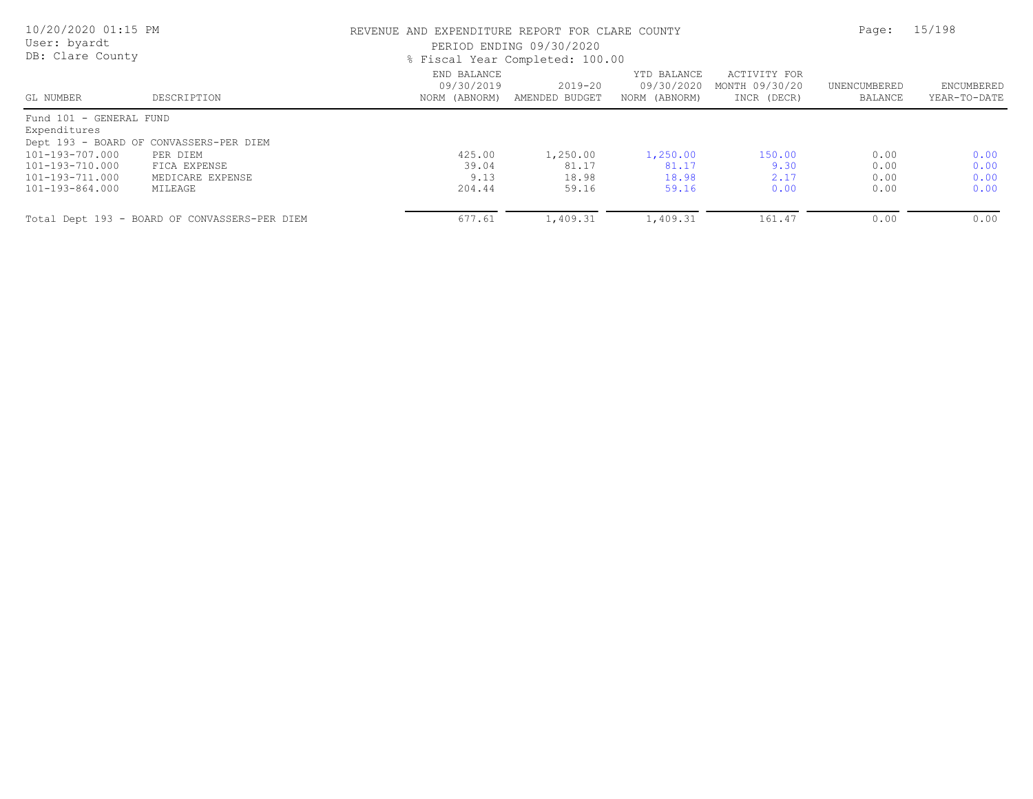| 10/20/2020 01:15 PM<br>User: byardt<br>DB: Clare County |                                               | REVENUE AND EXPENDITURE REPORT FOR CLARE COUNTY<br>PERIOD ENDING 09/30/2020<br>% Fiscal Year Completed: 100.00 | Page:                     | 15/198                                     |                                               |                         |                            |
|---------------------------------------------------------|-----------------------------------------------|----------------------------------------------------------------------------------------------------------------|---------------------------|--------------------------------------------|-----------------------------------------------|-------------------------|----------------------------|
| GL NUMBER                                               | DESCRIPTION                                   | END BALANCE<br>09/30/2019<br>NORM (ABNORM)                                                                     | 2019-20<br>AMENDED BUDGET | YTD BALANCE<br>09/30/2020<br>NORM (ABNORM) | ACTIVITY FOR<br>MONTH 09/30/20<br>INCR (DECR) | UNENCUMBERED<br>BALANCE | ENCUMBERED<br>YEAR-TO-DATE |
| Fund 101 - GENERAL FUND                                 |                                               |                                                                                                                |                           |                                            |                                               |                         |                            |
| Expenditures                                            |                                               |                                                                                                                |                           |                                            |                                               |                         |                            |
|                                                         | Dept 193 - BOARD OF CONVASSERS-PER DIEM       |                                                                                                                |                           |                                            |                                               |                         |                            |
| 101-193-707.000                                         | PER DIEM                                      | 425.00                                                                                                         | 1,250.00                  | 1,250.00                                   | 150.00                                        | 0.00                    | 0.00                       |
| 101-193-710.000                                         | FICA EXPENSE                                  | 39.04                                                                                                          | 81.17                     | 81.17                                      | 9.30                                          | 0.00                    | 0.00                       |
| 101-193-711.000                                         | MEDICARE EXPENSE                              | 9.13                                                                                                           | 18.98                     | 18.98                                      | 2.17                                          | 0.00                    | 0.00                       |
| 101-193-864.000                                         | MILEAGE                                       | 204.44                                                                                                         | 59.16                     | 59.16                                      | 0.00                                          | 0.00                    | 0.00                       |
|                                                         | Total Dept 193 - BOARD OF CONVASSERS-PER DIEM | 677.61                                                                                                         | 1,409.31                  | 1,409.31                                   | 161.47                                        | 0.00                    | 0.00                       |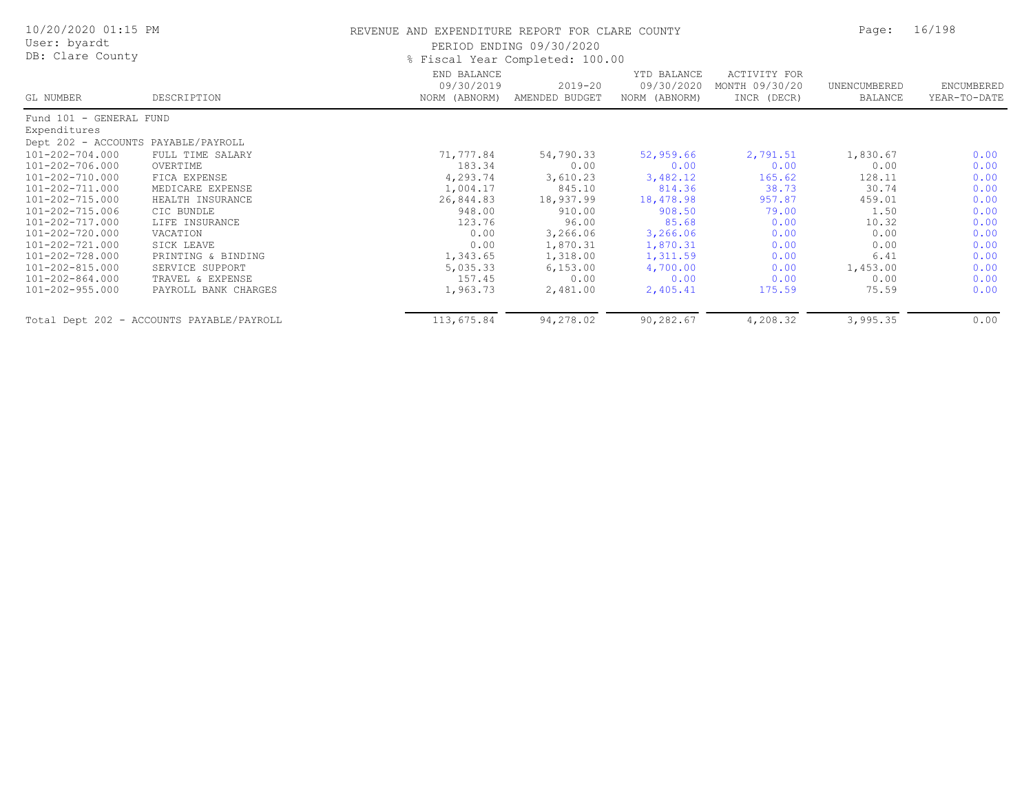| 10/20/2020 01:15 PM<br>User: byardt<br>DB: Clare County |                                           | REVENUE AND EXPENDITURE REPORT FOR CLARE COUNTY | PERIOD ENDING 09/30/2020<br>% Fiscal Year Completed: 100.00 |                                            |                                               | Page:                   | 16/198                            |
|---------------------------------------------------------|-------------------------------------------|-------------------------------------------------|-------------------------------------------------------------|--------------------------------------------|-----------------------------------------------|-------------------------|-----------------------------------|
| GL NUMBER                                               | DESCRIPTION                               | END BALANCE<br>09/30/2019<br>NORM (ABNORM)      | 2019-20<br>AMENDED BUDGET                                   | YTD BALANCE<br>09/30/2020<br>NORM (ABNORM) | ACTIVITY FOR<br>MONTH 09/30/20<br>INCR (DECR) | UNENCUMBERED<br>BALANCE | <b>ENCUMBERED</b><br>YEAR-TO-DATE |
| Fund 101 - GENERAL FUND                                 |                                           |                                                 |                                                             |                                            |                                               |                         |                                   |
| Expenditures                                            |                                           |                                                 |                                                             |                                            |                                               |                         |                                   |
| Dept 202 - ACCOUNTS PAYABLE/PAYROLL                     |                                           |                                                 |                                                             |                                            |                                               |                         |                                   |
| 101-202-704.000                                         | FULL TIME SALARY                          | 71,777.84                                       | 54,790.33                                                   | 52,959.66                                  | 2,791.51                                      | 1,830.67                | 0.00                              |
| 101-202-706.000                                         | OVERTIME                                  | 183.34                                          | 0.00                                                        | 0.00                                       | 0.00                                          | 0.00                    | 0.00                              |
| 101-202-710.000                                         | FICA EXPENSE                              | 4,293.74                                        | 3,610.23                                                    | 3,482.12                                   | 165.62                                        | 128.11                  | 0.00                              |
| 101-202-711.000                                         | MEDICARE EXPENSE                          | 1,004.17                                        | 845.10                                                      | 814.36                                     | 38.73                                         | 30.74                   | 0.00                              |
| 101-202-715.000                                         | HEALTH INSURANCE                          | 26,844.83                                       | 18,937.99                                                   | 18,478.98                                  | 957.87                                        | 459.01                  | 0.00                              |
| 101-202-715.006                                         | CIC BUNDLE                                | 948.00                                          | 910.00                                                      | 908.50                                     | 79.00                                         | 1.50                    | 0.00                              |
| 101-202-717.000                                         | LIFE INSURANCE                            | 123.76                                          | 96.00                                                       | 85.68                                      | 0.00                                          | 10.32                   | 0.00                              |
| 101-202-720.000                                         | VACATION                                  | 0.00                                            | 3,266.06                                                    | 3,266.06                                   | 0.00                                          | 0.00                    | 0.00                              |
| 101-202-721.000                                         | SICK LEAVE                                | 0.00                                            | 1,870.31                                                    | 1,870.31                                   | 0.00                                          | 0.00                    | 0.00                              |
| 101-202-728.000                                         | PRINTING & BINDING                        | 1,343.65                                        | 1,318.00                                                    | 1,311.59                                   | 0.00                                          | 6.41                    | 0.00                              |
| 101-202-815.000                                         | SERVICE SUPPORT                           | 5,035.33                                        | 6,153.00                                                    | 4,700.00                                   | 0.00                                          | 1,453.00                | 0.00                              |
| 101-202-864.000                                         | TRAVEL & EXPENSE                          | 157.45                                          | 0.00                                                        | 0.00                                       | 0.00                                          | 0.00                    | 0.00                              |
| 101-202-955.000                                         | PAYROLL BANK CHARGES                      | 1,963.73                                        | 2,481.00                                                    | 2,405.41                                   | 175.59                                        | 75.59                   | 0.00                              |
|                                                         | Total Dept 202 - ACCOUNTS PAYABLE/PAYROLL | 113,675.84                                      | 94,278.02                                                   | 90,282.67                                  | 4,208.32                                      | 3,995.35                | 0.00                              |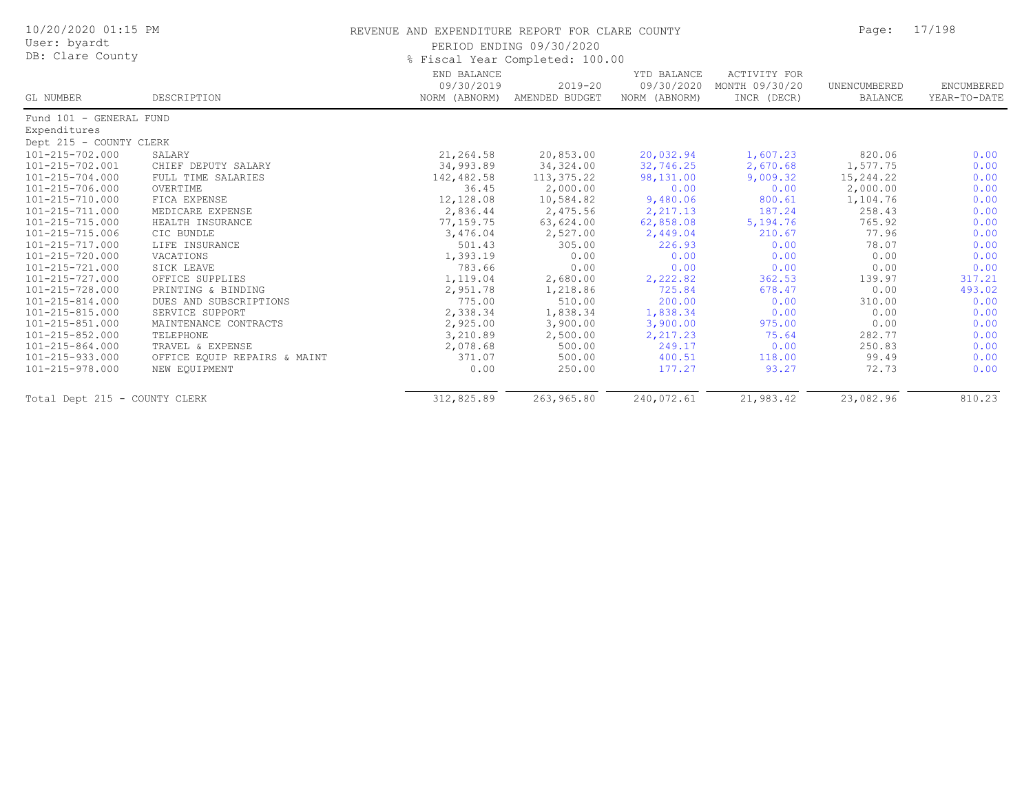| 10/20/2020 01:15 PM<br>User: byardt<br>DB: Clare County |                              | REVENUE AND EXPENDITURE REPORT FOR CLARE COUNTY | PERIOD ENDING 09/30/2020<br>% Fiscal Year Completed: 100.00 |                                            |                                                      | Page:                          | 17/198                     |
|---------------------------------------------------------|------------------------------|-------------------------------------------------|-------------------------------------------------------------|--------------------------------------------|------------------------------------------------------|--------------------------------|----------------------------|
| GL NUMBER                                               | DESCRIPTION                  | END BALANCE<br>09/30/2019<br>NORM (ABNORM)      | $2019 - 20$<br>AMENDED BUDGET                               | YTD BALANCE<br>09/30/2020<br>NORM (ABNORM) | <b>ACTIVITY FOR</b><br>MONTH 09/30/20<br>INCR (DECR) | UNENCUMBERED<br><b>BALANCE</b> | ENCUMBERED<br>YEAR-TO-DATE |
| Fund 101 - GENERAL FUND                                 |                              |                                                 |                                                             |                                            |                                                      |                                |                            |
| Expenditures                                            |                              |                                                 |                                                             |                                            |                                                      |                                |                            |
| Dept 215 - COUNTY CLERK                                 |                              |                                                 |                                                             |                                            |                                                      |                                |                            |
| 101-215-702.000                                         | SALARY                       | 21,264.58                                       | 20,853.00                                                   | 20,032.94                                  | 1,607.23                                             | 820.06                         | 0.00                       |
| 101-215-702.001                                         | CHIEF DEPUTY SALARY          | 34,993.89                                       | 34, 324.00                                                  | 32,746.25                                  | 2,670.68                                             | 1,577.75                       | 0.00                       |
| 101-215-704.000                                         | FULL TIME SALARIES           | 142,482.58                                      | 113,375.22                                                  | 98,131.00                                  | 9,009.32                                             | 15,244.22                      | 0.00                       |
| 101-215-706.000                                         | OVERTIME                     | 36.45                                           | 2,000.00                                                    | 0.00                                       | 0.00                                                 | 2,000.00                       | 0.00                       |
| 101-215-710.000                                         | FICA EXPENSE                 | 12,128.08                                       | 10,584.82                                                   | 9,480.06                                   | 800.61                                               | 1,104.76                       | 0.00                       |
| 101-215-711.000                                         | MEDICARE EXPENSE             | 2,836.44                                        | 2,475.56                                                    | 2,217.13                                   | 187.24                                               | 258.43                         | 0.00                       |
| 101-215-715.000                                         | HEALTH INSURANCE             | 77,159.75                                       | 63,624.00                                                   | 62,858.08                                  | 5,194.76                                             | 765.92                         | 0.00                       |
| 101-215-715.006                                         | CIC BUNDLE                   | 3,476.04                                        | 2,527.00                                                    | 2,449.04                                   | 210.67                                               | 77.96                          | 0.00                       |
| 101-215-717.000                                         | LIFE INSURANCE               | 501.43                                          | 305.00                                                      | 226.93                                     | 0.00                                                 | 78.07                          | 0.00                       |
| 101-215-720.000                                         | VACATIONS                    | 1,393.19                                        | 0.00                                                        | 0.00                                       | 0.00                                                 | 0.00                           | 0.00                       |
| 101-215-721.000                                         | SICK LEAVE                   | 783.66                                          | 0.00                                                        | 0.00                                       | 0.00                                                 | 0.00                           | 0.00                       |
| 101-215-727.000                                         | OFFICE SUPPLIES              | 1,119.04                                        | 2,680.00                                                    | 2,222.82                                   | 362.53                                               | 139.97                         | 317.21                     |
| 101-215-728.000                                         | PRINTING & BINDING           | 2,951.78                                        | 1,218.86                                                    | 725.84                                     | 678.47                                               | 0.00                           | 493.02                     |
| 101-215-814.000                                         | DUES AND SUBSCRIPTIONS       | 775.00                                          | 510.00                                                      | 200.00                                     | 0.00                                                 | 310.00                         | 0.00                       |
| 101-215-815.000                                         | SERVICE SUPPORT              | 2,338.34                                        | 1,838.34                                                    | 1,838.34                                   | 0.00                                                 | 0.00                           | 0.00                       |
| 101-215-851.000                                         | MAINTENANCE CONTRACTS        | 2,925.00                                        | 3,900.00                                                    | 3,900.00                                   | 975.00                                               | 0.00                           | 0.00                       |
| 101-215-852.000                                         | TELEPHONE                    | 3,210.89                                        | 2,500.00                                                    | 2,217.23                                   | 75.64                                                | 282.77                         | 0.00                       |
| 101-215-864.000                                         | TRAVEL & EXPENSE             | 2,078.68                                        | 500.00                                                      | 249.17                                     | 0.00                                                 | 250.83                         | 0.00                       |
| 101-215-933.000                                         | OFFICE EQUIP REPAIRS & MAINT | 371.07                                          | 500.00                                                      | 400.51                                     | 118.00                                               | 99.49                          | 0.00                       |
| 101-215-978.000                                         | NEW EQUIPMENT                | 0.00                                            | 250.00                                                      | 177.27                                     | 93.27                                                | 72.73                          | 0.00                       |
| Total Dept 215 - COUNTY CLERK                           |                              | 312,825.89                                      | 263,965.80                                                  | 240,072.61                                 | 21,983.42                                            | 23,082.96                      | 810.23                     |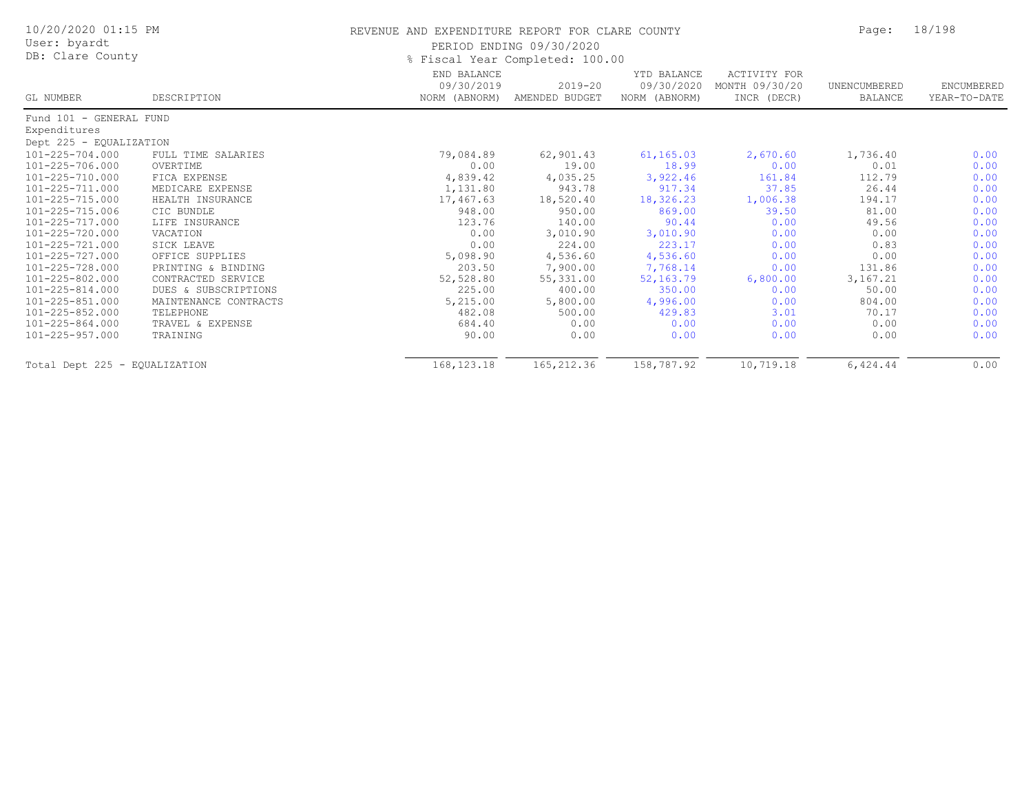| 10/20/2020 01:15 PM<br>User: byardt |                       | REVENUE AND EXPENDITURE REPORT FOR CLARE COUNTY | PERIOD ENDING 09/30/2020                                         |                                            |                                               | Page:                   | 18/198                     |
|-------------------------------------|-----------------------|-------------------------------------------------|------------------------------------------------------------------|--------------------------------------------|-----------------------------------------------|-------------------------|----------------------------|
| DB: Clare County<br>GL NUMBER       | DESCRIPTION           | END BALANCE<br>09/30/2019<br>NORM (ABNORM)      | % Fiscal Year Completed: 100.00<br>$2019 - 20$<br>AMENDED BUDGET | YTD BALANCE<br>09/30/2020<br>NORM (ABNORM) | ACTIVITY FOR<br>MONTH 09/30/20<br>INCR (DECR) | UNENCUMBERED<br>BALANCE | ENCUMBERED<br>YEAR-TO-DATE |
| Fund 101 - GENERAL FUND             |                       |                                                 |                                                                  |                                            |                                               |                         |                            |
| Expenditures                        |                       |                                                 |                                                                  |                                            |                                               |                         |                            |
| Dept 225 - EQUALIZATION             |                       |                                                 |                                                                  |                                            |                                               |                         |                            |
| 101-225-704.000                     | FULL TIME SALARIES    | 79,084.89                                       | 62,901.43                                                        | 61,165.03                                  | 2,670.60                                      | 1,736.40                | 0.00                       |
| 101-225-706.000                     | OVERTIME              | 0.00                                            | 19.00                                                            | 18.99                                      | 0.00                                          | 0.01                    | 0.00                       |
| 101-225-710.000                     | FICA EXPENSE          | 4,839.42                                        | 4,035.25                                                         | 3,922.46                                   | 161.84                                        | 112.79                  | 0.00                       |
| 101-225-711.000                     | MEDICARE EXPENSE      | 1,131.80                                        | 943.78                                                           | 917.34                                     | 37.85                                         | 26.44                   | 0.00                       |
| 101-225-715.000                     | HEALTH INSURANCE      | 17,467.63                                       | 18,520.40                                                        | 18,326.23                                  | 1,006.38                                      | 194.17                  | 0.00                       |
| 101-225-715.006                     | CIC BUNDLE            | 948.00                                          | 950.00                                                           | 869.00                                     | 39.50                                         | 81.00                   | 0.00                       |
| 101-225-717.000                     | LIFE INSURANCE        | 123.76                                          | 140.00                                                           | 90.44                                      | 0.00                                          | 49.56                   | 0.00                       |
| 101-225-720.000                     | VACATION              | 0.00                                            | 3,010.90                                                         | 3,010.90                                   | 0.00                                          | 0.00                    | 0.00                       |
| 101-225-721.000                     | SICK LEAVE            | 0.00                                            | 224.00                                                           | 223.17                                     | 0.00                                          | 0.83                    | 0.00                       |
| 101-225-727.000                     | OFFICE SUPPLIES       | 5,098.90                                        | 4,536.60                                                         | 4,536.60                                   | 0.00                                          | 0.00                    | 0.00                       |
| 101-225-728.000                     | PRINTING & BINDING    | 203.50                                          | 7,900.00                                                         | 7,768.14                                   | 0.00                                          | 131.86                  | 0.00                       |
| 101-225-802.000                     | CONTRACTED SERVICE    | 52,528.80                                       | 55,331.00                                                        | 52,163.79                                  | 6,800.00                                      | 3, 167. 21              | 0.00                       |
| $101 - 225 - 814.000$               | DUES & SUBSCRIPTIONS  | 225.00                                          | 400.00                                                           | 350.00                                     | 0.00                                          | 50.00                   | 0.00                       |
| $101 - 225 - 851.000$               | MAINTENANCE CONTRACTS | 5,215.00                                        | 5,800.00                                                         | 4,996.00                                   | 0.00                                          | 804.00                  | 0.00                       |
| 101-225-852.000                     | TELEPHONE             | 482.08                                          | 500.00                                                           | 429.83                                     | 3.01                                          | 70.17                   | 0.00                       |
| 101-225-864.000                     | TRAVEL & EXPENSE      | 684.40                                          | 0.00                                                             | 0.00                                       | 0.00                                          | 0.00                    | 0.00                       |
| 101-225-957.000                     | TRAINING              | 90.00                                           | 0.00                                                             | 0.00                                       | 0.00                                          | 0.00                    | 0.00                       |
| Total Dept 225 - EQUALIZATION       |                       | 168, 123. 18                                    | 165,212.36                                                       | 158,787.92                                 | 10,719.18                                     | 6,424.44                | 0.00                       |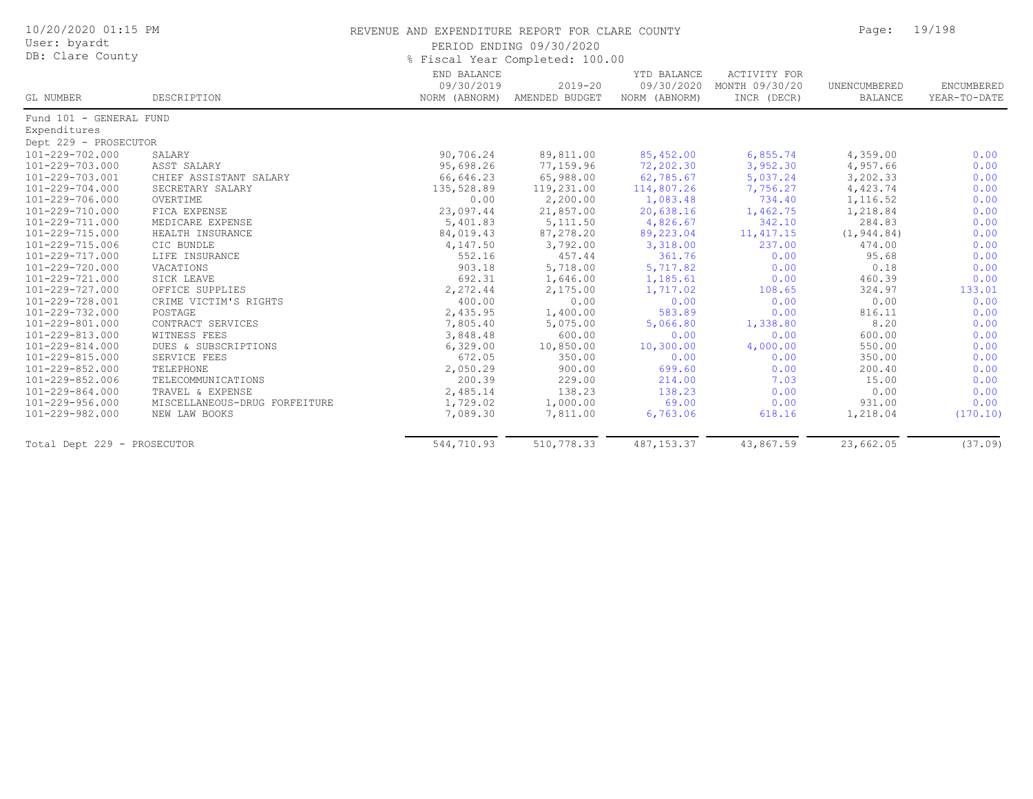| 10/20/2020 01:15 PM<br>User: byardt |                               | REVENUE AND EXPENDITURE REPORT FOR CLARE COUNTY<br>PERIOD ENDING 09/30/2020 | Page:                                       | 19/198                                     |                                                      |                                |                            |
|-------------------------------------|-------------------------------|-----------------------------------------------------------------------------|---------------------------------------------|--------------------------------------------|------------------------------------------------------|--------------------------------|----------------------------|
| DB: Clare County                    |                               | % Fiscal Year Completed: 100.00                                             |                                             |                                            |                                                      |                                |                            |
| GL NUMBER                           | DESCRIPTION                   | END BALANCE<br>09/30/2019                                                   | $2019 - 20$<br>NORM (ABNORM) AMENDED BUDGET | YTD BALANCE<br>09/30/2020<br>NORM (ABNORM) | <b>ACTIVITY FOR</b><br>MONTH 09/30/20<br>INCR (DECR) | UNENCUMBERED<br><b>BALANCE</b> | ENCUMBERED<br>YEAR-TO-DATE |
| Fund 101 - GENERAL FUND             |                               |                                                                             |                                             |                                            |                                                      |                                |                            |
| Expenditures                        |                               |                                                                             |                                             |                                            |                                                      |                                |                            |
| Dept 229 - PROSECUTOR               |                               |                                                                             |                                             |                                            |                                                      |                                |                            |
| 101-229-702.000                     | SALARY                        | 90,706.24                                                                   | 89,811.00                                   | 85,452.00                                  | 6,855.74                                             | 4,359.00                       | 0.00                       |
| 101-229-703.000                     | ASST SALARY                   | 95,698.26                                                                   | 77,159.96                                   | 72,202.30                                  | 3,952.30                                             | 4,957.66                       | 0.00                       |
| 101-229-703.001                     | CHIEF ASSISTANT SALARY        | 66,646.23                                                                   | 65,988.00                                   | 62,785.67                                  | 5,037.24                                             | 3,202.33                       | 0.00                       |
| 101-229-704.000                     | SECRETARY SALARY              | 135,528.89                                                                  | 119,231.00                                  | 114,807.26                                 | 7,756.27                                             | 4,423.74                       | 0.00                       |
| 101-229-706.000                     | OVERTIME                      | 0.00                                                                        | 2,200.00                                    | 1,083.48                                   | 734.40                                               | 1,116.52                       | 0.00                       |
| 101-229-710.000                     | FICA EXPENSE                  | 23,097.44                                                                   | 21,857.00                                   | 20,638.16                                  | 1,462.75                                             | 1,218.84                       | 0.00                       |
| 101-229-711.000                     | MEDICARE EXPENSE              | 5,401.83                                                                    | 5, 111.50                                   | 4,826.67                                   | 342.10                                               | 284.83                         | 0.00                       |
| 101-229-715.000                     | HEALTH INSURANCE              | 84,019.43                                                                   | 87,278.20                                   | 89,223.04                                  | 11, 417.15                                           | (1, 944.84)                    | 0.00                       |
| 101-229-715.006                     | CIC BUNDLE                    | 4,147.50                                                                    | 3,792.00                                    | 3,318.00                                   | 237.00                                               | 474.00                         | 0.00                       |
| 101-229-717.000                     | LIFE INSURANCE                | 552.16                                                                      | 457.44                                      | 361.76                                     | 0.00                                                 | 95.68                          | 0.00                       |
| 101-229-720.000                     | VACATIONS                     | 903.18                                                                      | 5,718.00                                    | 5,717.82                                   | 0.00                                                 | 0.18                           | 0.00                       |
| 101-229-721.000                     | SICK LEAVE                    | 692.31                                                                      | 1,646.00                                    | 1,185.61                                   | 0.00                                                 | 460.39                         | 0.00                       |
| 101-229-727.000                     | OFFICE SUPPLIES               | 2,272.44                                                                    | 2,175.00                                    | 1,717.02                                   | 108.65                                               | 324.97                         | 133.01                     |
| 101-229-728.001                     | CRIME VICTIM'S RIGHTS         | 400.00                                                                      | 0.00                                        | 0.00                                       | 0.00                                                 | 0.00                           | 0.00                       |
| 101-229-732.000                     | POSTAGE                       | 2,435.95                                                                    | 1,400.00                                    | 583.89                                     | 0.00                                                 | 816.11                         | 0.00                       |
| 101-229-801.000                     | CONTRACT SERVICES             | 7,805.40                                                                    | 5,075.00                                    | 5,066.80                                   | 1,338.80                                             | 8.20                           | 0.00                       |
| 101-229-813.000                     | WITNESS FEES                  | 3,848.48                                                                    | 600.00                                      | 0.00                                       | 0.00                                                 | 600.00                         | 0.00                       |
| 101-229-814.000                     | DUES & SUBSCRIPTIONS          | 6,329.00                                                                    | 10,850.00                                   | 10,300.00                                  | 4,000.00                                             | 550.00                         | 0.00                       |
| 101-229-815.000                     | SERVICE FEES                  | 672.05                                                                      | 350.00                                      | 0.00                                       | 0.00                                                 | 350.00                         | 0.00                       |
| 101-229-852.000                     | TELEPHONE                     | 2,050.29                                                                    | 900.00                                      | 699.60                                     | 0.00                                                 | 200.40                         | 0.00                       |
| 101-229-852.006                     | TELECOMMUNICATIONS            | 200.39                                                                      | 229.00                                      | 214.00                                     | 7.03                                                 | 15.00                          | 0.00                       |
| 101-229-864.000                     | TRAVEL & EXPENSE              | 2,485.14                                                                    | 138.23                                      | 138.23                                     | 0.00                                                 | 0.00                           | 0.00                       |
| 101-229-956.000                     | MISCELLANEOUS-DRUG FORFEITURE | 1,729.02                                                                    | 1,000.00                                    | 69.00                                      | 0.00                                                 | 931.00                         | 0.00                       |
| 101-229-982.000                     | NEW LAW BOOKS                 | 7,089.30                                                                    | 7,811.00                                    | 6,763.06                                   | 618.16                                               | 1,218.04                       | (170.10)                   |
| Total Dept 229 - PROSECUTOR         |                               | 544,710.93                                                                  | 510,778.33                                  | 487, 153.37                                | 43,867.59                                            | 23,662.05                      | (37.09)                    |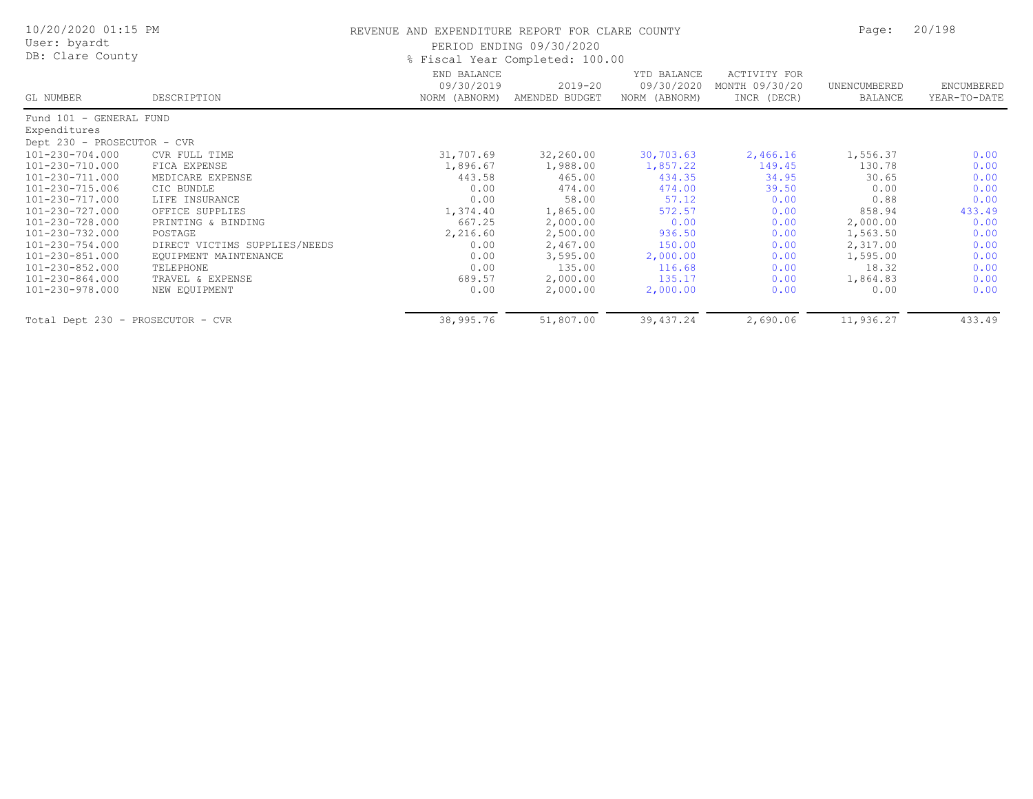| 10/20/2020 01:15 PM               |                               | REVENUE AND EXPENDITURE REPORT FOR CLARE COUNTY | 20/198<br>Page:               |                                            |                                               |                         |                            |  |  |
|-----------------------------------|-------------------------------|-------------------------------------------------|-------------------------------|--------------------------------------------|-----------------------------------------------|-------------------------|----------------------------|--|--|
| User: byardt                      |                               |                                                 | PERIOD ENDING 09/30/2020      |                                            |                                               |                         |                            |  |  |
| DB: Clare County                  |                               | % Fiscal Year Completed: 100.00                 |                               |                                            |                                               |                         |                            |  |  |
| GL NUMBER                         | DESCRIPTION                   | END BALANCE<br>09/30/2019<br>NORM (ABNORM)      | $2019 - 20$<br>AMENDED BUDGET | YTD BALANCE<br>09/30/2020<br>NORM (ABNORM) | ACTIVITY FOR<br>MONTH 09/30/20<br>INCR (DECR) | UNENCUMBERED<br>BALANCE | ENCUMBERED<br>YEAR-TO-DATE |  |  |
| Fund 101 - GENERAL FUND           |                               |                                                 |                               |                                            |                                               |                         |                            |  |  |
| Expenditures                      |                               |                                                 |                               |                                            |                                               |                         |                            |  |  |
| Dept 230 - PROSECUTOR - CVR       |                               |                                                 |                               |                                            |                                               |                         |                            |  |  |
| 101-230-704.000                   | CVR FULL TIME                 | 31,707.69                                       | 32,260.00                     | 30,703.63                                  | 2,466.16                                      | 1,556.37                | 0.00                       |  |  |
| 101-230-710.000                   | FICA EXPENSE                  | 1,896.67                                        | 1,988.00                      | 1,857.22                                   | 149.45                                        | 130.78                  | 0.00                       |  |  |
| 101-230-711.000                   | MEDICARE EXPENSE              | 443.58                                          | 465.00                        | 434.35                                     | 34.95                                         | 30.65                   | 0.00                       |  |  |
| 101-230-715.006                   | CIC BUNDLE                    | 0.00                                            | 474.00                        | 474.00                                     | 39.50                                         | 0.00                    | 0.00                       |  |  |
| 101-230-717.000                   | LIFE INSURANCE                | 0.00                                            | 58.00                         | 57.12                                      | 0.00                                          | 0.88                    | 0.00                       |  |  |
| 101-230-727.000                   | OFFICE SUPPLIES               | 1,374.40                                        | 1,865.00                      | 572.57                                     | 0.00                                          | 858.94                  | 433.49                     |  |  |
| 101-230-728.000                   | PRINTING & BINDING            | 667.25                                          | 2,000.00                      | 0.00                                       | 0.00                                          | 2,000.00                | 0.00                       |  |  |
| 101-230-732.000                   | POSTAGE                       | 2,216.60                                        | 2,500.00                      | 936.50                                     | 0.00                                          | 1,563.50                | 0.00                       |  |  |
| 101-230-754.000                   | DIRECT VICTIMS SUPPLIES/NEEDS | 0.00                                            | 2,467.00                      | 150.00                                     | 0.00                                          | 2,317.00                | 0.00                       |  |  |
| 101-230-851.000                   | EQUIPMENT MAINTENANCE         | 0.00                                            | 3,595.00                      | 2,000.00                                   | 0.00                                          | 1,595.00                | 0.00                       |  |  |
| 101-230-852.000                   | TELEPHONE                     | 0.00                                            | 135.00                        | 116.68                                     | 0.00                                          | 18.32                   | 0.00                       |  |  |
| 101-230-864.000                   | TRAVEL & EXPENSE              | 689.57                                          | 2,000.00                      | 135.17                                     | 0.00                                          | 1,864.83                | 0.00                       |  |  |
| 101-230-978.000                   | NEW EQUIPMENT                 | 0.00                                            | 2,000.00                      | 2,000.00                                   | 0.00                                          | 0.00                    | 0.00                       |  |  |
| Total Dept 230 - PROSECUTOR - CVR |                               | 38,995.76                                       | 51,807.00                     | 39, 437.24                                 | 2,690.06                                      | 11,936.27               | 433.49                     |  |  |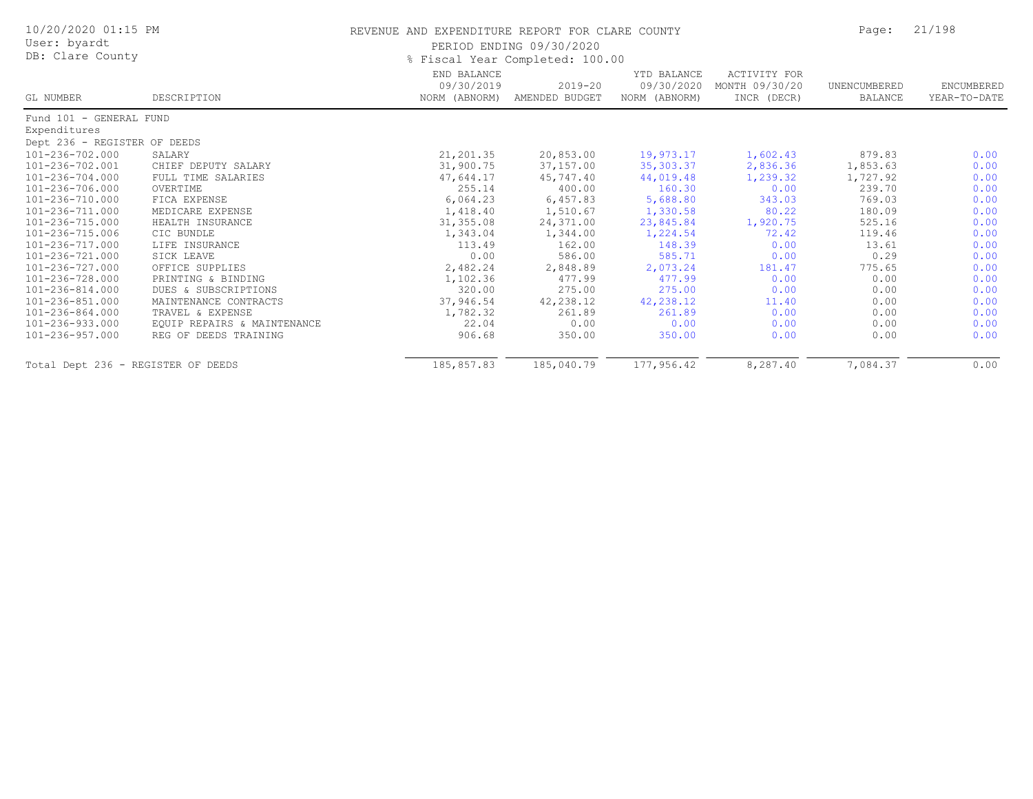| 10/20/2020 01:15 PM<br>User: byardt<br>DB: Clare County |                             | REVENUE AND EXPENDITURE REPORT FOR CLARE COUNTY<br>PERIOD ENDING 09/30/2020<br>% Fiscal Year Completed: 100.00 |                           |                                            |                                                      |                         | 21/198                     |
|---------------------------------------------------------|-----------------------------|----------------------------------------------------------------------------------------------------------------|---------------------------|--------------------------------------------|------------------------------------------------------|-------------------------|----------------------------|
| GL NUMBER                                               | DESCRIPTION                 | END BALANCE<br>09/30/2019<br>NORM (ABNORM)                                                                     | 2019-20<br>AMENDED BUDGET | YTD BALANCE<br>09/30/2020<br>NORM (ABNORM) | <b>ACTIVITY FOR</b><br>MONTH 09/30/20<br>INCR (DECR) | UNENCUMBERED<br>BALANCE | ENCUMBERED<br>YEAR-TO-DATE |
| Fund 101 - GENERAL FUND                                 |                             |                                                                                                                |                           |                                            |                                                      |                         |                            |
| Expenditures                                            |                             |                                                                                                                |                           |                                            |                                                      |                         |                            |
| Dept 236 - REGISTER OF DEEDS                            |                             |                                                                                                                |                           |                                            |                                                      |                         |                            |
| 101-236-702.000                                         | SALARY                      | 21,201.35                                                                                                      | 20,853.00                 | 19,973.17                                  | 1,602.43                                             | 879.83                  | 0.00                       |
| 101-236-702.001                                         | CHIEF DEPUTY SALARY         | 31,900.75                                                                                                      | 37,157.00                 | 35,303.37                                  | 2,836.36                                             | 1,853.63                | 0.00                       |
| 101-236-704.000                                         | FULL TIME SALARIES          | 47,644.17                                                                                                      | 45,747.40                 | 44,019.48                                  | 1,239.32                                             | 1,727.92                | 0.00                       |
| 101-236-706.000                                         | OVERTIME                    | 255.14                                                                                                         | 400.00                    | 160.30                                     | 0.00                                                 | 239.70                  | 0.00                       |
| 101-236-710.000                                         | FICA EXPENSE                | 6,064.23                                                                                                       | 6,457.83                  | 5,688.80                                   | 343.03                                               | 769.03                  | 0.00                       |
| 101-236-711.000                                         | MEDICARE EXPENSE            | 1,418.40                                                                                                       | 1,510.67                  | 1,330.58                                   | 80.22                                                | 180.09                  | 0.00                       |
| 101-236-715.000                                         | HEALTH INSURANCE            | 31, 355.08                                                                                                     | 24,371.00                 | 23,845.84                                  | 1,920.75                                             | 525.16                  | 0.00                       |
| 101-236-715.006                                         | CIC BUNDLE                  | 1,343.04                                                                                                       | 1,344.00                  | 1,224.54                                   | 72.42                                                | 119.46                  | 0.00                       |
| 101-236-717.000                                         | LIFE INSURANCE              | 113.49                                                                                                         | 162.00                    | 148.39                                     | 0.00                                                 | 13.61                   | 0.00                       |
| 101-236-721.000                                         | SICK LEAVE                  | 0.00                                                                                                           | 586.00                    | 585.71                                     | 0.00                                                 | 0.29                    | 0.00                       |
| 101-236-727.000                                         | OFFICE SUPPLIES             | 2,482.24                                                                                                       | 2,848.89                  | 2,073.24                                   | 181.47                                               | 775.65                  | 0.00                       |
| 101-236-728.000                                         | PRINTING & BINDING          | 1,102.36                                                                                                       | 477.99                    | 477.99                                     | 0.00                                                 | 0.00                    | 0.00                       |
| 101-236-814.000                                         | DUES & SUBSCRIPTIONS        | 320.00                                                                                                         | 275.00                    | 275.00                                     | 0.00                                                 | 0.00                    | 0.00                       |
| 101-236-851.000                                         | MAINTENANCE CONTRACTS       | 37,946.54                                                                                                      | 42,238.12                 | 42,238.12                                  | 11.40                                                | 0.00                    | 0.00                       |
| 101-236-864.000                                         | TRAVEL & EXPENSE            | 1,782.32                                                                                                       | 261.89                    | 261.89                                     | 0.00                                                 | 0.00                    | 0.00                       |
| 101-236-933.000                                         | EQUIP REPAIRS & MAINTENANCE | 22.04                                                                                                          | 0.00                      | 0.00                                       | 0.00                                                 | 0.00                    | 0.00                       |
| 101-236-957.000                                         | REG OF DEEDS TRAINING       | 906.68                                                                                                         | 350.00                    | 350.00                                     | 0.00                                                 | 0.00                    | 0.00                       |
| Total Dept 236 - REGISTER OF DEEDS                      |                             | 185,857.83                                                                                                     | 185,040.79                | 177,956.42                                 | 8,287.40                                             | 7,084.37                | 0.00                       |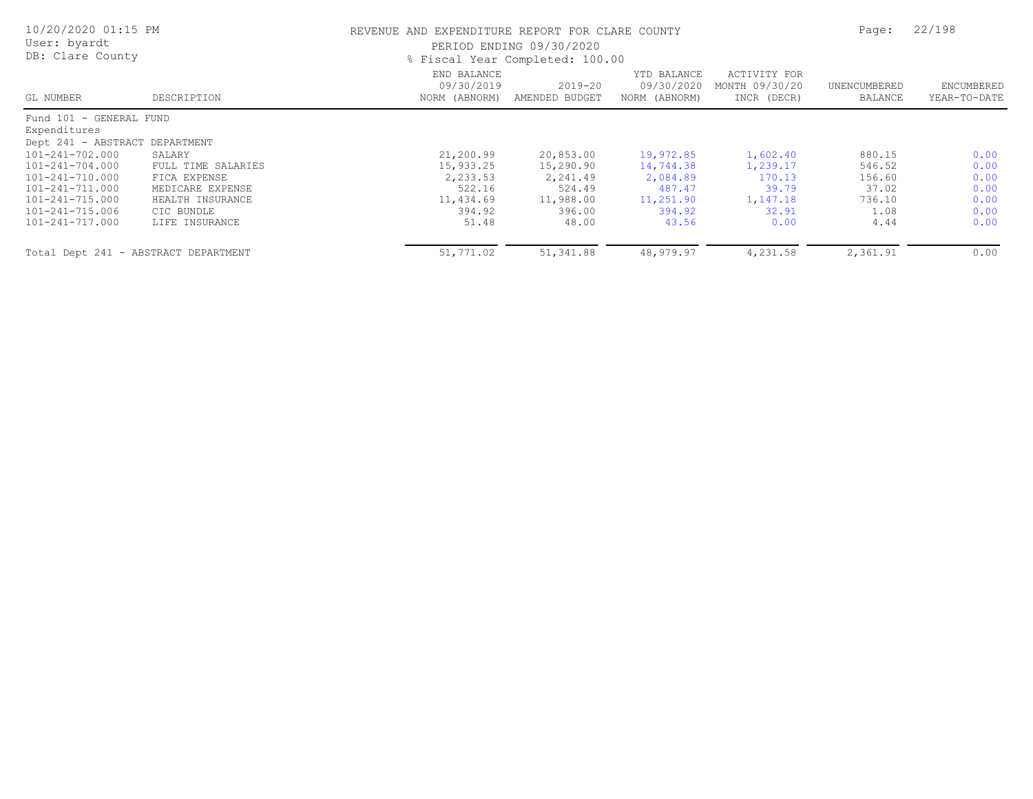| 10/20/2020 01:15 PM<br>User: byardt<br>DB: Clare County |                    | REVENUE AND EXPENDITURE REPORT FOR CLARE COUNTY | PERIOD ENDING 09/30/2020<br>% Fiscal Year Completed: 100.00 |                                            |                                               | Page:                   | 22/198                     |
|---------------------------------------------------------|--------------------|-------------------------------------------------|-------------------------------------------------------------|--------------------------------------------|-----------------------------------------------|-------------------------|----------------------------|
| GL NUMBER                                               | DESCRIPTION        | END BALANCE<br>09/30/2019<br>NORM (ABNORM)      | $2019 - 20$<br>AMENDED BUDGET                               | YTD BALANCE<br>09/30/2020<br>NORM (ABNORM) | ACTIVITY FOR<br>MONTH 09/30/20<br>INCR (DECR) | UNENCUMBERED<br>BALANCE | ENCUMBERED<br>YEAR-TO-DATE |
| Fund 101 - GENERAL FUND                                 |                    |                                                 |                                                             |                                            |                                               |                         |                            |
| Expenditures                                            |                    |                                                 |                                                             |                                            |                                               |                         |                            |
| Dept 241 - ABSTRACT DEPARTMENT                          |                    |                                                 |                                                             |                                            |                                               |                         |                            |
| 101-241-702.000                                         | SALARY             | 21,200.99                                       | 20,853.00                                                   | 19,972.85                                  | 1,602.40                                      | 880.15                  | 0.00                       |
| 101-241-704.000                                         | FULL TIME SALARIES | 15,933.25                                       | 15,290.90                                                   | 14,744.38                                  | 1,239.17                                      | 546.52                  | 0.00                       |
| 101-241-710.000                                         | FICA EXPENSE       | 2,233.53                                        | 2,241.49                                                    | 2,084.89                                   | 170.13                                        | 156.60                  | 0.00                       |
| 101-241-711.000                                         | MEDICARE EXPENSE   | 522.16                                          | 524.49                                                      | 487.47                                     | 39.79                                         | 37.02                   | 0.00                       |
| 101-241-715.000                                         | HEALTH INSURANCE   | 11,434.69                                       | 11,988.00                                                   | 11,251.90                                  | 1,147.18                                      | 736.10                  | 0.00                       |
| 101-241-715.006                                         | CIC BUNDLE         | 394.92                                          | 396.00                                                      | 394.92                                     | 32.91                                         | 1.08                    | 0.00                       |
| 101-241-717.000                                         | LIFE INSURANCE     | 51.48                                           | 48.00                                                       | 43.56                                      | 0.00                                          | 4.44                    | 0.00                       |
| Total Dept 241 - ABSTRACT DEPARTMENT                    |                    | 51,771.02                                       | 51,341.88                                                   | 48,979.97                                  | 4,231.58                                      | 2,361.91                | 0.00                       |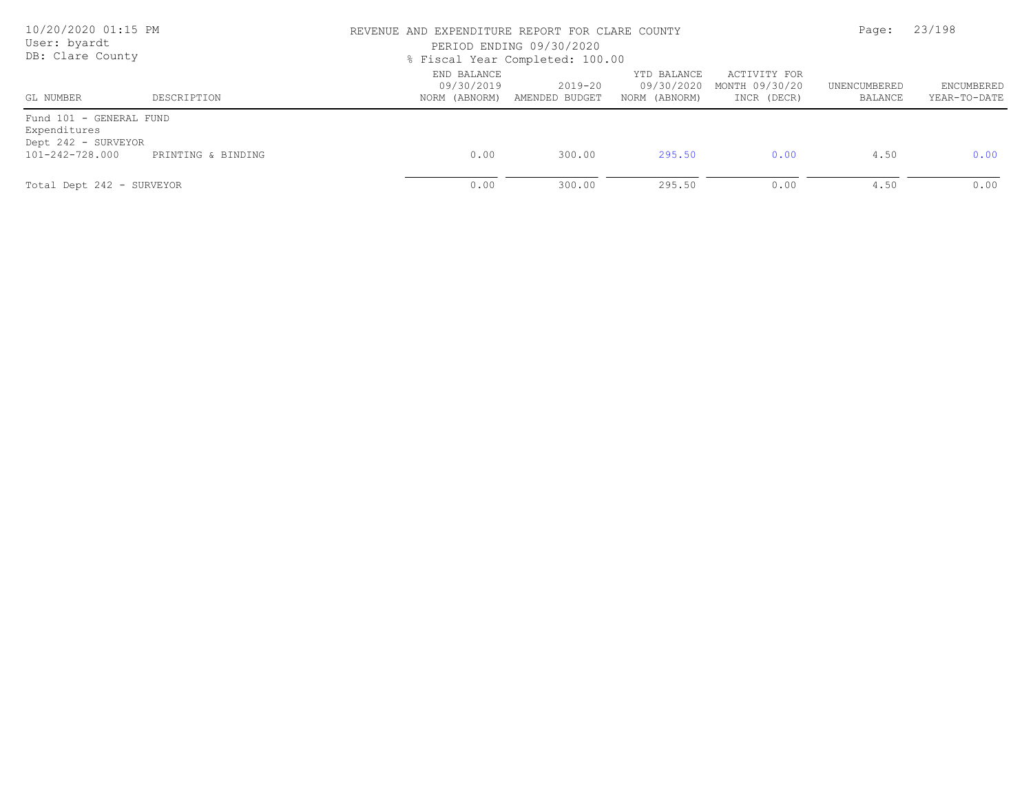| 10/20/2020 01:15 PM<br>User: byardt<br>DB: Clare County                           |                    |                           | REVENUE AND EXPENDITURE REPORT FOR CLARE COUNTY<br>PERIOD ENDING 09/30/2020<br>% Fiscal Year Completed: 100.00 |                                            |                                               |                         |                            |
|-----------------------------------------------------------------------------------|--------------------|---------------------------|----------------------------------------------------------------------------------------------------------------|--------------------------------------------|-----------------------------------------------|-------------------------|----------------------------|
| GL NUMBER                                                                         | DESCRIPTION        | END BALANCE<br>09/30/2019 | $2019 - 20$<br>NORM (ABNORM) AMENDED BUDGET                                                                    | YTD BALANCE<br>09/30/2020<br>NORM (ABNORM) | ACTIVITY FOR<br>MONTH 09/30/20<br>INCR (DECR) | UNENCUMBERED<br>BALANCE | ENCUMBERED<br>YEAR-TO-DATE |
| Fund 101 - GENERAL FUND<br>Expenditures<br>Dept 242 - SURVEYOR<br>101-242-728.000 | PRINTING & BINDING | 0.00                      | 300.00                                                                                                         | 295.50                                     | 0.00                                          | 4.50                    | 0.00                       |
| Total Dept 242 - SURVEYOR                                                         |                    | 0.00                      | 300.00                                                                                                         | 295.50                                     | 0.00                                          | 4.50                    | 0.00                       |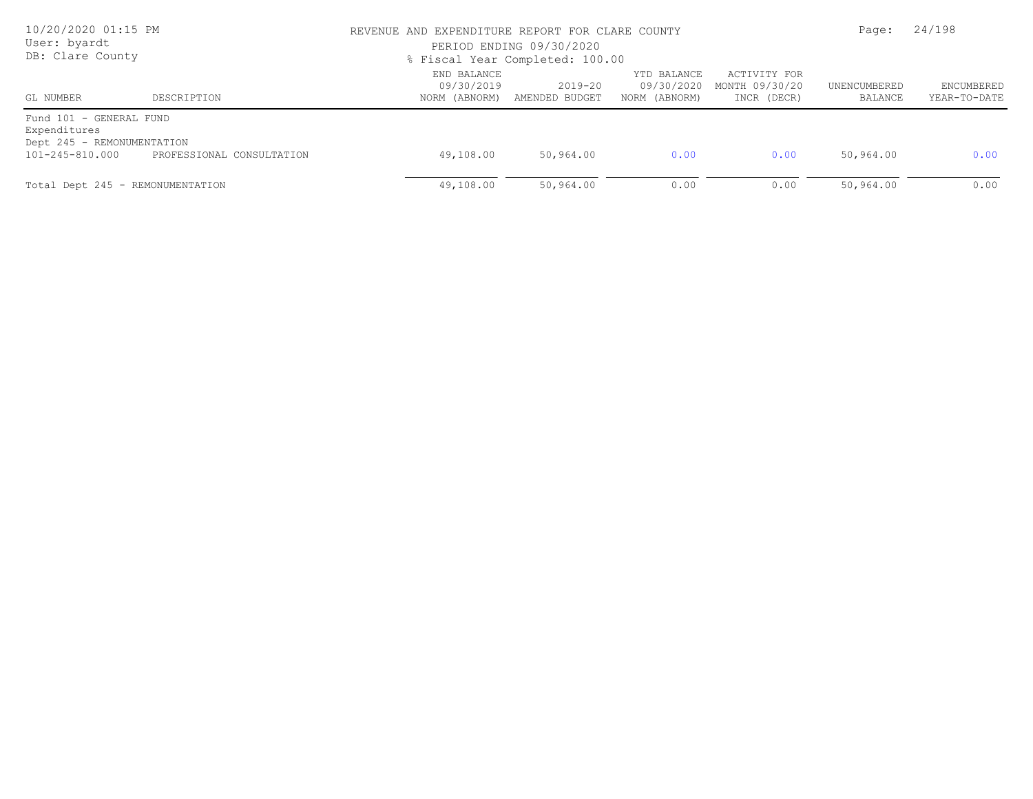| 10/20/2020 01:15 PM<br>User: byardt<br>DB: Clare County                                  |                           | REVENUE AND EXPENDITURE REPORT FOR CLARE COUNTY<br>PERIOD ENDING 09/30/2020<br>% Fiscal Year Completed: 100.00 | Page:                     | 24/198                                     |                                               |                         |                            |
|------------------------------------------------------------------------------------------|---------------------------|----------------------------------------------------------------------------------------------------------------|---------------------------|--------------------------------------------|-----------------------------------------------|-------------------------|----------------------------|
| GL NUMBER                                                                                | DESCRIPTION               | END BALANCE<br>09/30/2019<br>NORM (ABNORM)                                                                     | 2019-20<br>AMENDED BUDGET | YTD BALANCE<br>09/30/2020<br>NORM (ABNORM) | ACTIVITY FOR<br>MONTH 09/30/20<br>INCR (DECR) | UNENCUMBERED<br>BALANCE | ENCUMBERED<br>YEAR-TO-DATE |
| Fund 101 - GENERAL FUND<br>Expenditures<br>Dept 245 - REMONUMENTATION<br>101-245-810.000 | PROFESSIONAL CONSULTATION | 49,108.00                                                                                                      | 50,964.00                 | 0.00                                       | 0.00                                          | 50,964.00               | 0.00                       |
| Total Dept 245 - REMONUMENTATION                                                         |                           | 49,108.00                                                                                                      | 50,964.00                 | 0.00                                       | 0.00                                          | 50,964.00               | 0.00                       |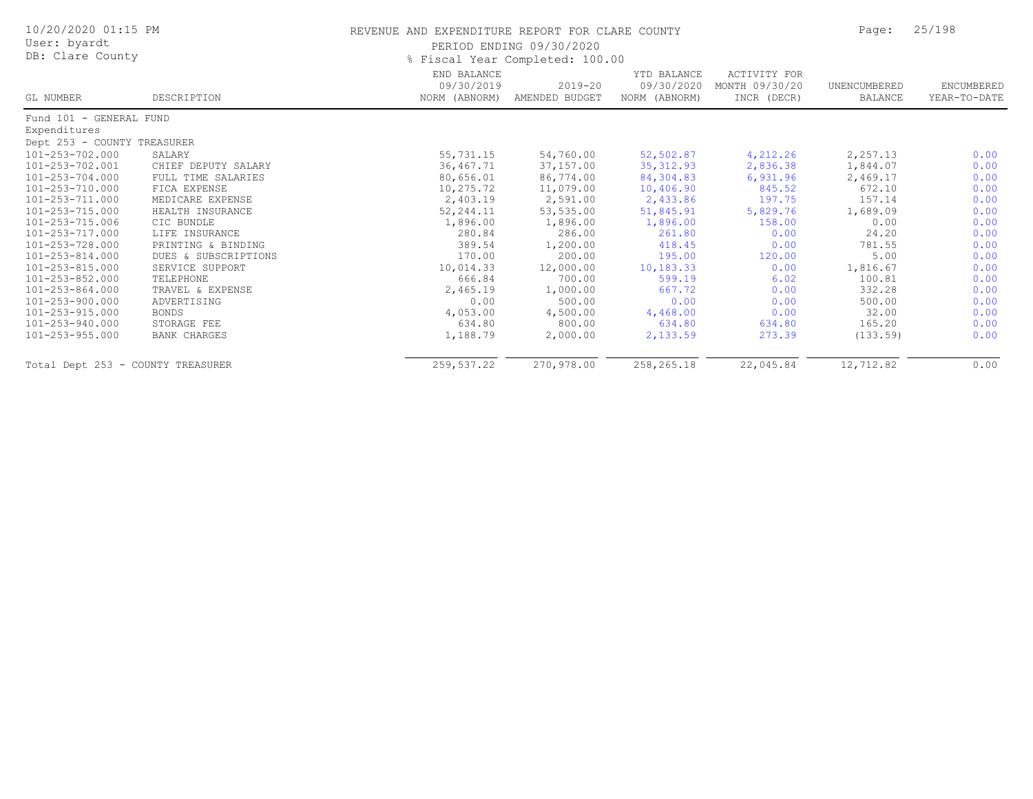| 10/20/2020 01:15 PM<br>User: byardt<br>DB: Clare County |                      | REVENUE AND EXPENDITURE REPORT FOR CLARE COUNTY | PERIOD ENDING 09/30/2020<br>% Fiscal Year Completed: 100.00 |                           |                                | Page:          | 25/198       |
|---------------------------------------------------------|----------------------|-------------------------------------------------|-------------------------------------------------------------|---------------------------|--------------------------------|----------------|--------------|
|                                                         |                      | END BALANCE<br>09/30/2019                       | $2019 - 20$                                                 | YTD BALANCE<br>09/30/2020 | ACTIVITY FOR<br>MONTH 09/30/20 | UNENCUMBERED   | ENCUMBERED   |
| GL NUMBER                                               | DESCRIPTION          | NORM (ABNORM)                                   | AMENDED BUDGET                                              | NORM (ABNORM)             | INCR (DECR)                    | <b>BALANCE</b> | YEAR-TO-DATE |
| Fund 101 - GENERAL FUND                                 |                      |                                                 |                                                             |                           |                                |                |              |
| Expenditures                                            |                      |                                                 |                                                             |                           |                                |                |              |
| Dept 253 - COUNTY TREASURER                             |                      |                                                 |                                                             |                           |                                |                |              |
| 101-253-702.000                                         | SALARY               | 55,731.15                                       | 54,760.00                                                   | 52,502.87                 | 4,212.26                       | 2,257.13       | 0.00         |
| 101-253-702.001                                         | CHIEF DEPUTY SALARY  | 36, 467.71                                      | 37,157.00                                                   | 35, 312.93                | 2,836.38                       | 1,844.07       | 0.00         |
| 101-253-704.000                                         | FULL TIME SALARIES   | 80,656.01                                       | 86,774.00                                                   | 84,304.83                 | 6,931.96                       | 2,469.17       | 0.00         |
| 101-253-710.000                                         | FICA EXPENSE         | 10,275.72                                       | 11,079.00                                                   | 10,406.90                 | 845.52                         | 672.10         | 0.00         |
| 101-253-711.000                                         | MEDICARE EXPENSE     | 2,403.19                                        | 2,591.00                                                    | 2,433.86                  | 197.75                         | 157.14         | 0.00         |
| 101-253-715.000                                         | HEALTH INSURANCE     | 52, 244.11                                      | 53,535.00                                                   | 51,845.91                 | 5,829.76                       | 1,689.09       | 0.00         |
| 101-253-715.006                                         | CIC BUNDLE           | 1,896.00                                        | 1,896.00                                                    | 1,896.00                  | 158.00                         | 0.00           | 0.00         |
| 101-253-717.000                                         | LIFE INSURANCE       | 280.84                                          | 286.00                                                      | 261.80                    | 0.00                           | 24.20          | 0.00         |
| 101-253-728.000                                         | PRINTING & BINDING   | 389.54                                          | 1,200.00                                                    | 418.45                    | 0.00                           | 781.55         | 0.00         |
| 101-253-814.000                                         | DUES & SUBSCRIPTIONS | 170.00                                          | 200.00                                                      | 195.00                    | 120.00                         | 5.00           | 0.00         |
| 101-253-815.000                                         | SERVICE SUPPORT      | 10,014.33                                       | 12,000.00                                                   | 10, 183.33                | 0.00                           | 1,816.67       | 0.00         |
| 101-253-852.000                                         | TELEPHONE            | 666.84                                          | 700.00                                                      | 599.19                    | 6.02                           | 100.81         | 0.00         |
| $101 - 253 - 864.000$                                   | TRAVEL & EXPENSE     | 2,465.19                                        | 1,000.00                                                    | 667.72                    | 0.00                           | 332.28         | 0.00         |
| 101-253-900.000                                         | ADVERTISING          | 0.00                                            | 500.00                                                      | 0.00                      | 0.00                           | 500.00         | 0.00         |
| 101-253-915.000                                         | BONDS                | 4,053.00                                        | 4,500.00                                                    | 4,468.00                  | 0.00                           | 32.00          | 0.00         |
| 101-253-940.000                                         | STORAGE FEE          | 634.80                                          | 800.00                                                      | 634.80                    | 634.80                         | 165.20         | 0.00         |
| 101-253-955.000                                         | <b>BANK CHARGES</b>  | 1,188.79                                        | 2,000.00                                                    | 2,133.59                  | 273.39                         | (133.59)       | 0.00         |
| Total Dept 253 - COUNTY TREASURER                       |                      | 259,537.22                                      | 270,978.00                                                  | 258,265.18                | 22,045.84                      | 12,712.82      | 0.00         |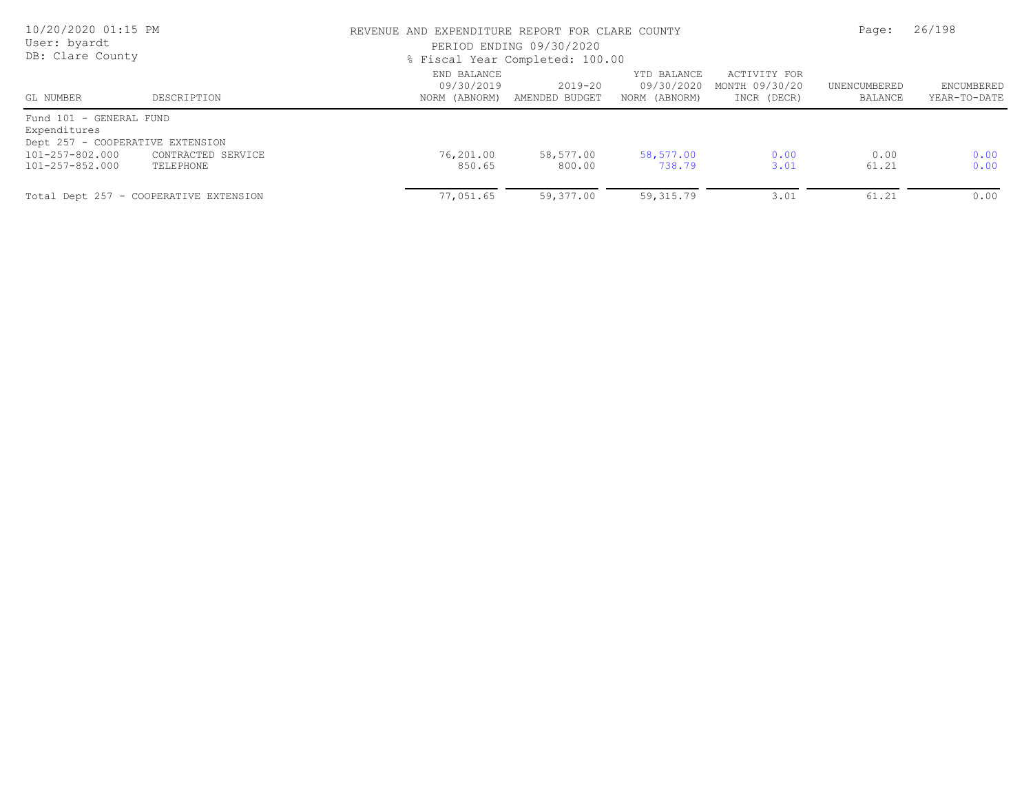| 10/20/2020 01:15 PM<br>User: byardt<br>DB: Clare County                                                              |                                                     |                                            | REVENUE AND EXPENDITURE REPORT FOR CLARE COUNTY<br>PERIOD ENDING 09/30/2020<br>% Fiscal Year Completed: 100.00 |                                            |                                               |                         |                            |
|----------------------------------------------------------------------------------------------------------------------|-----------------------------------------------------|--------------------------------------------|----------------------------------------------------------------------------------------------------------------|--------------------------------------------|-----------------------------------------------|-------------------------|----------------------------|
| GL NUMBER                                                                                                            | DESCRIPTION                                         | END BALANCE<br>09/30/2019<br>NORM (ABNORM) | 2019-20<br>AMENDED BUDGET                                                                                      | YTD BALANCE<br>09/30/2020<br>NORM (ABNORM) | ACTIVITY FOR<br>MONTH 09/30/20<br>INCR (DECR) | UNENCUMBERED<br>BALANCE | ENCUMBERED<br>YEAR-TO-DATE |
| Fund 101 - GENERAL FUND<br>Expenditures<br>Dept 257 - COOPERATIVE EXTENSION<br>101-257-802.000<br>CONTRACTED SERVICE |                                                     | 76,201.00<br>850.65                        | 58,577.00<br>800.00                                                                                            | 58,577.00<br>738.79                        | 0.00<br>3.01                                  | 0.00<br>61.21           | 0.00<br>0.00               |
| 101-257-852.000                                                                                                      | TELEPHONE<br>Total Dept 257 - COOPERATIVE EXTENSION | 77,051.65                                  | 59,377.00                                                                                                      | 59,315.79                                  | 3.01                                          | 61.21                   | 0.00                       |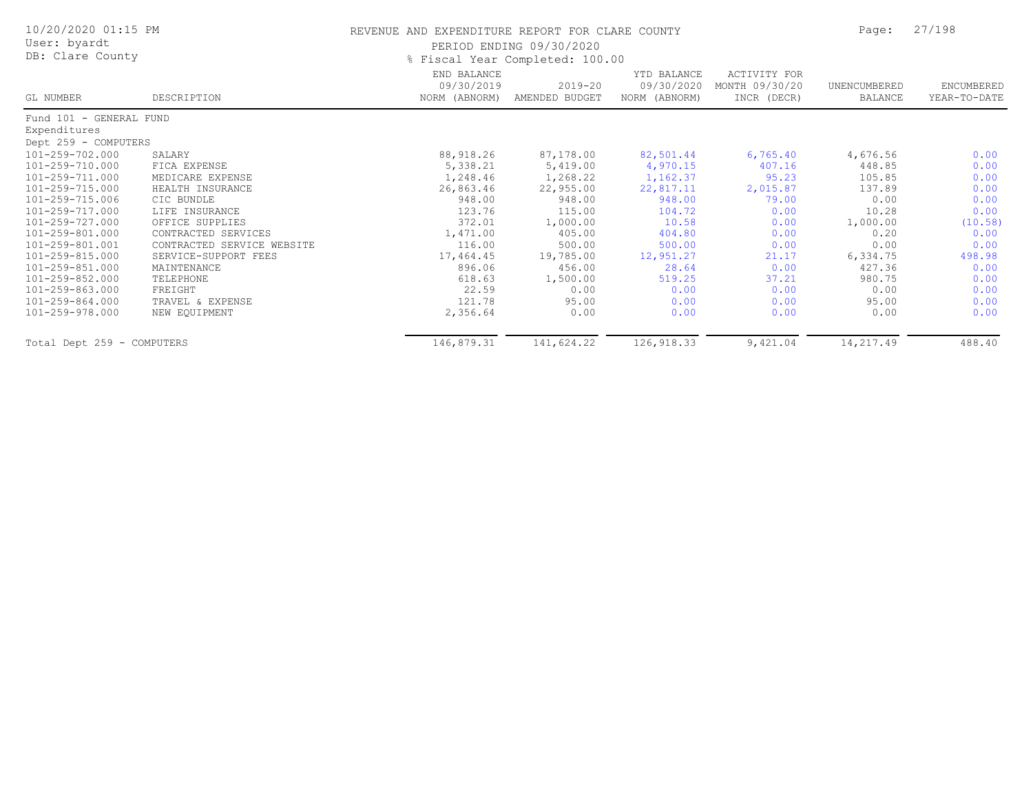| 10/20/2020 01:15 PM<br>User: byardt<br>DB: Clare County |                            | REVENUE AND EXPENDITURE REPORT FOR CLARE COUNTY<br>PERIOD ENDING 09/30/2020<br>% Fiscal Year Completed: 100.00 | Page:                         | 27/198                                     |                                               |                         |                            |
|---------------------------------------------------------|----------------------------|----------------------------------------------------------------------------------------------------------------|-------------------------------|--------------------------------------------|-----------------------------------------------|-------------------------|----------------------------|
| GL NUMBER                                               | DESCRIPTION                | END BALANCE<br>09/30/2019<br>NORM (ABNORM)                                                                     | $2019 - 20$<br>AMENDED BUDGET | YTD BALANCE<br>09/30/2020<br>NORM (ABNORM) | ACTIVITY FOR<br>MONTH 09/30/20<br>INCR (DECR) | UNENCUMBERED<br>BALANCE | ENCUMBERED<br>YEAR-TO-DATE |
| Fund 101 - GENERAL FUND                                 |                            |                                                                                                                |                               |                                            |                                               |                         |                            |
| Expenditures                                            |                            |                                                                                                                |                               |                                            |                                               |                         |                            |
| Dept 259 - COMPUTERS                                    |                            |                                                                                                                |                               |                                            |                                               |                         |                            |
| 101-259-702.000                                         | SALARY                     | 88,918.26                                                                                                      | 87,178.00                     | 82,501.44                                  | 6,765.40                                      | 4,676.56                | 0.00                       |
| 101-259-710.000                                         | FICA EXPENSE               | 5,338.21                                                                                                       | 5,419.00                      | 4,970.15                                   | 407.16                                        | 448.85                  | 0.00                       |
| 101-259-711.000                                         | MEDICARE EXPENSE           | 1,248.46                                                                                                       | 1,268.22                      | 1,162.37                                   | 95.23                                         | 105.85                  | 0.00                       |
| 101-259-715.000                                         | HEALTH INSURANCE           | 26,863.46                                                                                                      | 22,955.00                     | 22,817.11                                  | 2,015.87                                      | 137.89                  | 0.00                       |
| 101-259-715.006                                         | CIC BUNDLE                 | 948.00                                                                                                         | 948.00                        | 948.00                                     | 79.00                                         | 0.00                    | 0.00                       |
| 101-259-717.000                                         | LIFE INSURANCE             | 123.76                                                                                                         | 115.00                        | 104.72                                     | 0.00                                          | 10.28                   | 0.00                       |
| 101-259-727.000                                         | OFFICE SUPPLIES            | 372.01                                                                                                         | 1,000.00                      | 10.58                                      | 0.00                                          | 1,000.00                | (10.58)                    |
| 101-259-801.000                                         | CONTRACTED SERVICES        | 1,471.00                                                                                                       | 405.00                        | 404.80                                     | 0.00                                          | 0.20                    | 0.00                       |
| 101-259-801.001                                         | CONTRACTED SERVICE WEBSITE | 116.00                                                                                                         | 500.00                        | 500.00                                     | 0.00                                          | 0.00                    | 0.00                       |
| 101-259-815.000                                         | SERVICE-SUPPORT FEES       | 17,464.45                                                                                                      | 19,785.00                     | 12,951.27                                  | 21.17                                         | 6,334.75                | 498.98                     |
| 101-259-851.000                                         | MAINTENANCE                | 896.06                                                                                                         | 456.00                        | 28.64                                      | 0.00                                          | 427.36                  | 0.00                       |
| 101-259-852.000                                         | TELEPHONE                  | 618.63                                                                                                         | 1,500.00                      | 519.25                                     | 37.21                                         | 980.75                  | 0.00                       |
| 101-259-863.000                                         | FREIGHT                    | 22.59                                                                                                          | 0.00                          | 0.00                                       | 0.00                                          | 0.00                    | 0.00                       |
| 101-259-864.000                                         | TRAVEL & EXPENSE           | 121.78                                                                                                         | 95.00                         | 0.00                                       | 0.00                                          | 95.00                   | 0.00                       |
| 101-259-978.000                                         | NEW EQUIPMENT              | 2,356.64                                                                                                       | 0.00                          | 0.00                                       | 0.00                                          | 0.00                    | 0.00                       |
| Total Dept 259 - COMPUTERS                              |                            | 146,879.31                                                                                                     | 141,624.22                    | 126,918.33                                 | 9,421.04                                      | 14,217.49               | 488.40                     |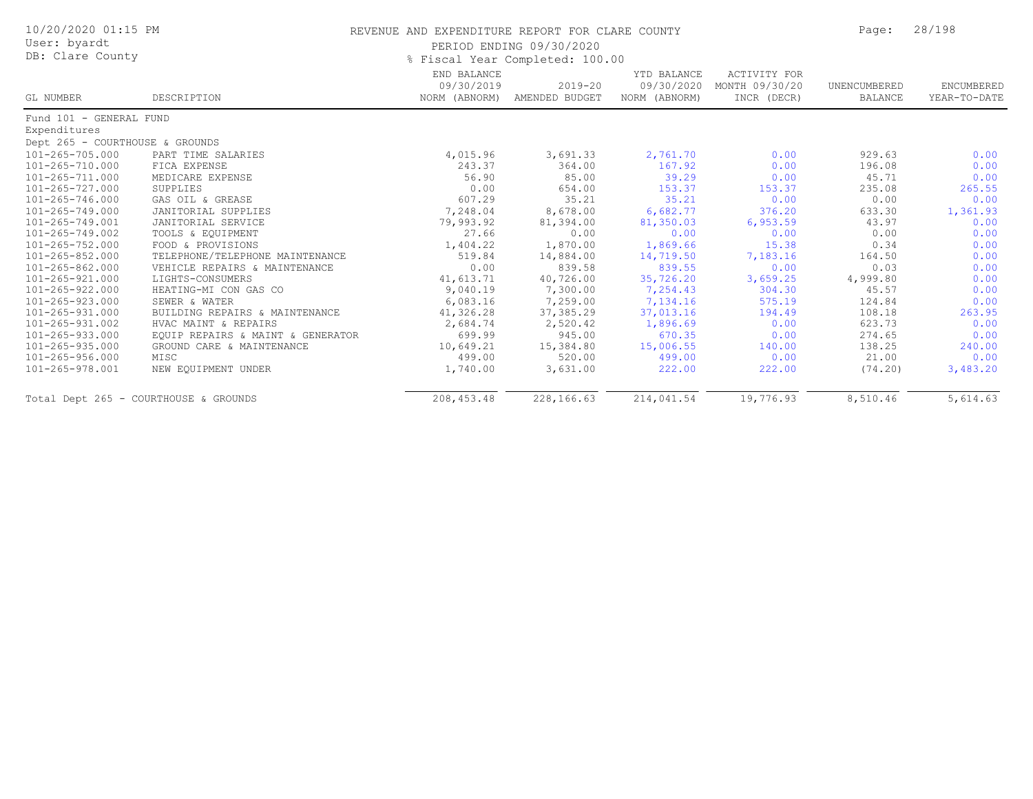| 10/20/2020 01:15 PM<br>User: byardt<br>DB: Clare County |                                   | REVENUE AND EXPENDITURE REPORT FOR CLARE COUNTY | PERIOD ENDING 09/30/2020<br>% Fiscal Year Completed: 100.00 |                                            |                                               | Page:                          | 28/198                     |
|---------------------------------------------------------|-----------------------------------|-------------------------------------------------|-------------------------------------------------------------|--------------------------------------------|-----------------------------------------------|--------------------------------|----------------------------|
| GL NUMBER                                               | DESCRIPTION                       | END BALANCE<br>09/30/2019<br>NORM (ABNORM)      | $2019 - 20$<br>AMENDED BUDGET                               | YTD BALANCE<br>09/30/2020<br>NORM (ABNORM) | ACTIVITY FOR<br>MONTH 09/30/20<br>INCR (DECR) | UNENCUMBERED<br><b>BALANCE</b> | ENCUMBERED<br>YEAR-TO-DATE |
| Fund 101 - GENERAL FUND                                 |                                   |                                                 |                                                             |                                            |                                               |                                |                            |
| Expenditures                                            |                                   |                                                 |                                                             |                                            |                                               |                                |                            |
| Dept 265 - COURTHOUSE & GROUNDS                         |                                   |                                                 |                                                             |                                            |                                               |                                |                            |
| 101-265-705.000                                         | PART TIME SALARIES                | 4,015.96                                        | 3,691.33                                                    | 2,761.70                                   | 0.00                                          | 929.63                         | 0.00                       |
| 101-265-710.000                                         | FICA EXPENSE                      | 243.37                                          | 364.00                                                      | 167.92                                     | 0.00                                          | 196.08                         | 0.00                       |
| 101-265-711.000                                         | MEDICARE EXPENSE                  | 56.90                                           | 85.00                                                       | 39.29                                      | 0.00                                          | 45.71                          | 0.00                       |
| 101-265-727.000                                         | SUPPLIES                          | 0.00                                            | 654.00                                                      | 153.37                                     | 153.37                                        | 235.08                         | 265.55                     |
| 101-265-746.000                                         | GAS OIL & GREASE                  | 607.29                                          | 35.21                                                       | 35.21                                      | 0.00                                          | 0.00                           | 0.00                       |
| 101-265-749.000                                         | JANITORIAL SUPPLIES               | 7,248.04                                        | 8,678.00                                                    | 6,682.77                                   | 376.20                                        | 633.30                         | 1,361.93                   |
| 101-265-749.001                                         | JANITORIAL SERVICE                | 79,993.92                                       | 81,394.00                                                   | 81,350.03                                  | 6,953.59                                      | 43.97                          | 0.00                       |
| 101-265-749.002                                         | TOOLS & EQUIPMENT                 | 27.66                                           | 0.00                                                        | 0.00                                       | 0.00                                          | 0.00                           | 0.00                       |
| 101-265-752.000                                         | FOOD & PROVISIONS                 | 1,404.22                                        | 1,870.00                                                    | 1,869.66                                   | 15.38                                         | 0.34                           | 0.00                       |
| 101-265-852.000                                         | TELEPHONE/TELEPHONE MAINTENANCE   | 519.84                                          | 14,884.00                                                   | 14,719.50                                  | 7,183.16                                      | 164.50                         | 0.00                       |
| 101-265-862.000                                         | VEHICLE REPAIRS & MAINTENANCE     | 0.00                                            | 839.58                                                      | 839.55                                     | 0.00                                          | 0.03                           | 0.00                       |
| 101-265-921.000                                         | LIGHTS-CONSUMERS                  | 41,613.71                                       | 40,726.00                                                   | 35,726.20                                  | 3,659.25                                      | 4,999.80                       | 0.00                       |
| 101-265-922.000                                         | HEATING-MI CON GAS CO             | 9,040.19                                        | 7,300.00                                                    | 7,254.43                                   | 304.30                                        | 45.57                          | 0.00                       |
| 101-265-923.000                                         | SEWER & WATER                     | 6,083.16                                        | 7,259.00                                                    | 7,134.16                                   | 575.19                                        | 124.84                         | 0.00                       |
| 101-265-931.000                                         | BUILDING REPAIRS & MAINTENANCE    | 41,326.28                                       | 37, 385.29                                                  | 37,013.16                                  | 194.49                                        | 108.18                         | 263.95                     |
| 101-265-931.002                                         | HVAC MAINT & REPAIRS              | 2,684.74                                        | 2,520.42                                                    | 1,896.69                                   | 0.00                                          | 623.73                         | 0.00                       |
| 101-265-933.000                                         | EQUIP REPAIRS & MAINT & GENERATOR | 699.99                                          | 945.00                                                      | 670.35                                     | 0.00                                          | 274.65                         | 0.00                       |
| 101-265-935.000                                         | GROUND CARE & MAINTENANCE         | 10,649.21                                       | 15,384.80                                                   | 15,006.55                                  | 140.00                                        | 138.25                         | 240.00                     |
| 101-265-956.000                                         | MISC                              | 499.00                                          | 520.00                                                      | 499.00                                     | 0.00                                          | 21.00                          | 0.00                       |
| 101-265-978.001                                         | NEW EQUIPMENT UNDER               | 1,740.00                                        | 3,631.00                                                    | 222.00                                     | 222.00                                        | (74, 20)                       | 3,483.20                   |
| Total Dept 265 - COURTHOUSE & GROUNDS                   |                                   | 208, 453.48                                     | 228,166.63                                                  | 214,041.54                                 | 19,776.93                                     | 8,510.46                       | 5,614.63                   |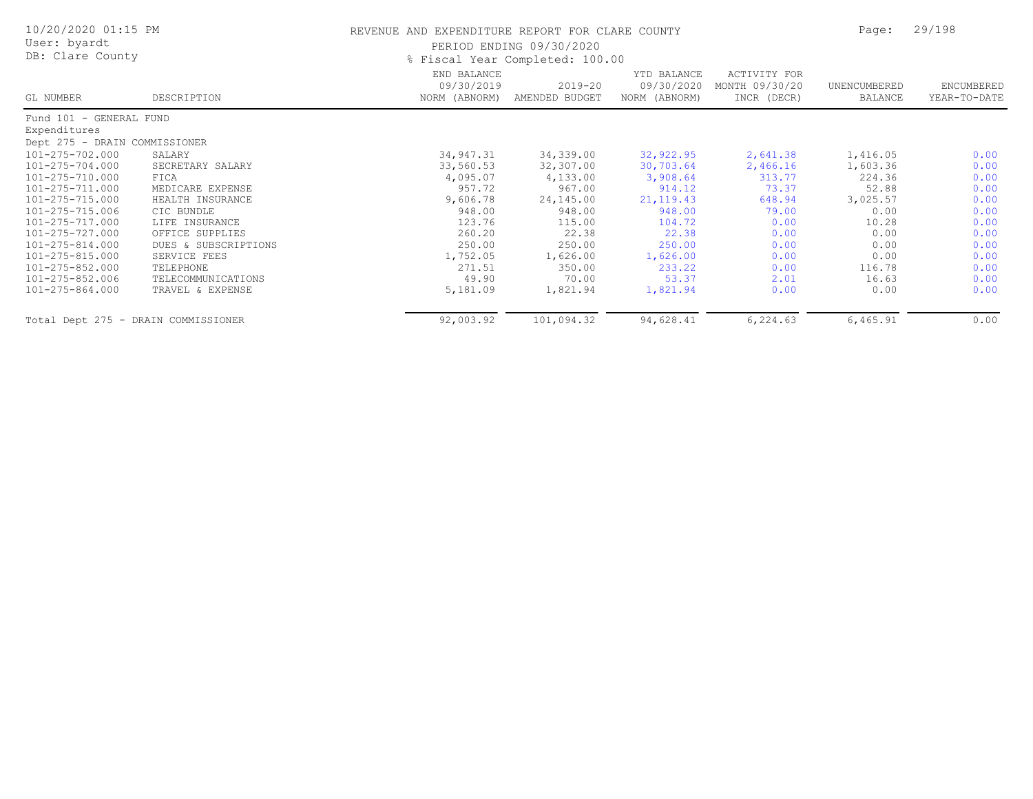| 10/20/2020 01:15 PM<br>User: byardt<br>DB: Clare County |                      | REVENUE AND EXPENDITURE REPORT FOR CLARE COUNTY | PERIOD ENDING 09/30/2020<br>% Fiscal Year Completed: 100.00 |                                            |                                               | Page:                   | 29/198                     |
|---------------------------------------------------------|----------------------|-------------------------------------------------|-------------------------------------------------------------|--------------------------------------------|-----------------------------------------------|-------------------------|----------------------------|
| GL NUMBER                                               | DESCRIPTION          | END BALANCE<br>09/30/2019<br>NORM (ABNORM)      | $2019 - 20$<br>AMENDED BUDGET                               | YTD BALANCE<br>09/30/2020<br>NORM (ABNORM) | ACTIVITY FOR<br>MONTH 09/30/20<br>INCR (DECR) | UNENCUMBERED<br>BALANCE | ENCUMBERED<br>YEAR-TO-DATE |
| Fund 101 - GENERAL FUND                                 |                      |                                                 |                                                             |                                            |                                               |                         |                            |
| Expenditures                                            |                      |                                                 |                                                             |                                            |                                               |                         |                            |
| Dept 275 - DRAIN COMMISSIONER                           |                      |                                                 |                                                             |                                            |                                               |                         |                            |
| 101-275-702.000                                         | SALARY               | 34,947.31                                       | 34,339.00                                                   | 32,922.95                                  | 2,641.38                                      | 1,416.05                | 0.00                       |
| 101-275-704.000                                         | SECRETARY SALARY     | 33,560.53                                       | 32,307.00                                                   | 30,703.64                                  | 2,466.16                                      | 1,603.36                | 0.00                       |
| 101-275-710.000                                         | FICA                 | 4,095.07                                        | 4,133.00                                                    | 3,908.64                                   | 313.77                                        | 224.36                  | 0.00                       |
| 101-275-711.000                                         | MEDICARE EXPENSE     | 957.72                                          | 967.00                                                      | 914.12                                     | 73.37                                         | 52.88                   | 0.00                       |
| 101-275-715.000                                         | HEALTH INSURANCE     | 9,606.78                                        | 24,145.00                                                   | 21, 119. 43                                | 648.94                                        | 3,025.57                | 0.00                       |
| 101-275-715.006                                         | CIC BUNDLE           | 948.00                                          | 948.00                                                      | 948.00                                     | 79.00                                         | 0.00                    | 0.00                       |
| 101-275-717.000                                         | LIFE INSURANCE       | 123.76                                          | 115.00                                                      | 104.72                                     | 0.00                                          | 10.28                   | 0.00                       |
| 101-275-727.000                                         | OFFICE SUPPLIES      | 260.20                                          | 22.38                                                       | 22.38                                      | 0.00                                          | 0.00                    | 0.00                       |
| 101-275-814.000                                         | DUES & SUBSCRIPTIONS | 250.00                                          | 250.00                                                      | 250.00                                     | 0.00                                          | 0.00                    | 0.00                       |
| 101-275-815.000                                         | SERVICE FEES         | 1,752.05                                        | 1,626.00                                                    | 1,626.00                                   | 0.00                                          | 0.00                    | 0.00                       |
| 101-275-852.000                                         | TELEPHONE            | 271.51                                          | 350.00                                                      | 233.22                                     | 0.00                                          | 116.78                  | 0.00                       |
| 101-275-852.006                                         | TELECOMMUNICATIONS   | 49.90                                           | 70.00                                                       | 53.37                                      | 2.01                                          | 16.63                   | 0.00                       |
| 101-275-864.000                                         | TRAVEL & EXPENSE     | 5,181.09                                        | 1,821.94                                                    | 1,821.94                                   | 0.00                                          | 0.00                    | 0.00                       |
| Total Dept 275 - DRAIN COMMISSIONER                     |                      | 92,003.92                                       | 101,094.32                                                  | 94,628.41                                  | 6,224.63                                      | 6,465.91                | 0.00                       |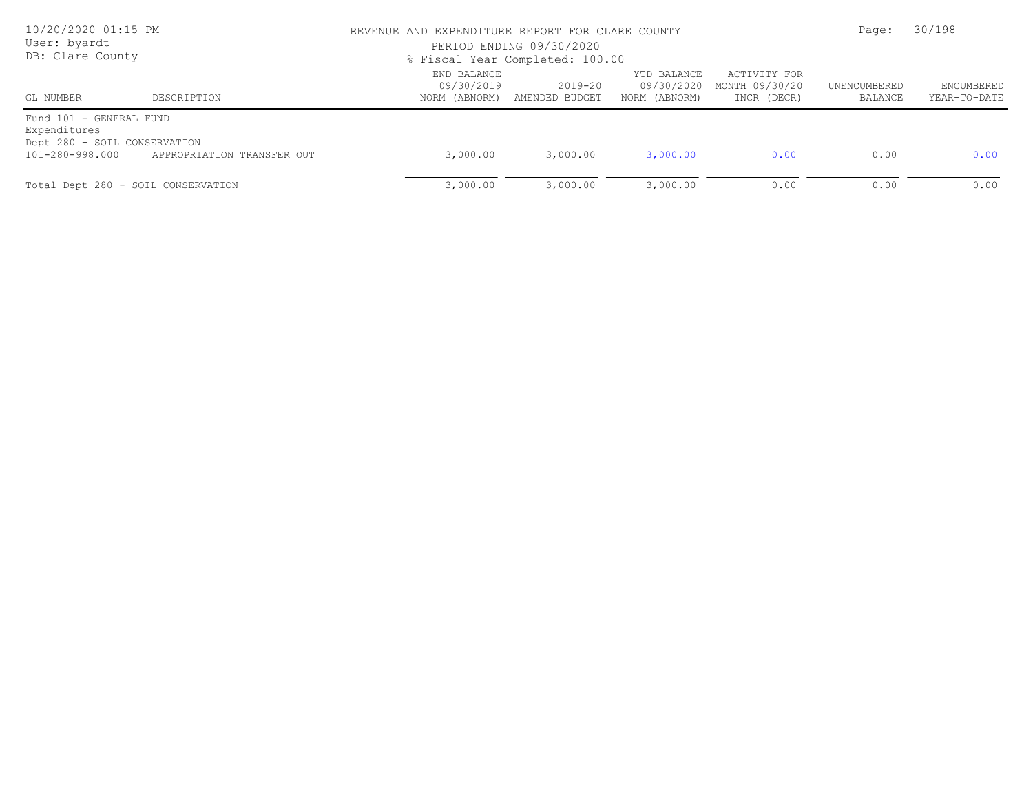| 10/20/2020 01:15 PM<br>User: byardt<br>DB: Clare County                                    |                            | REVENUE AND EXPENDITURE REPORT FOR CLARE COUNTY<br>PERIOD ENDING 09/30/2020<br>% Fiscal Year Completed: 100.00 |                                             |                                            |                                               |                         | 30/198                     |  |
|--------------------------------------------------------------------------------------------|----------------------------|----------------------------------------------------------------------------------------------------------------|---------------------------------------------|--------------------------------------------|-----------------------------------------------|-------------------------|----------------------------|--|
| GL NUMBER                                                                                  | DESCRIPTION                | END BALANCE<br>09/30/2019                                                                                      | $2019 - 20$<br>NORM (ABNORM) AMENDED BUDGET | YTD BALANCE<br>09/30/2020<br>NORM (ABNORM) | ACTIVITY FOR<br>MONTH 09/30/20<br>INCR (DECR) | UNENCUMBERED<br>BALANCE | ENCUMBERED<br>YEAR-TO-DATE |  |
| Fund 101 - GENERAL FUND<br>Expenditures<br>Dept 280 - SOIL CONSERVATION<br>101-280-998.000 | APPROPRIATION TRANSFER OUT | 3,000.00                                                                                                       | 3,000.00                                    | 3,000.00                                   | 0.00                                          | 0.00                    | 0.00                       |  |
| Total Dept 280 - SOIL CONSERVATION                                                         |                            | 3,000.00                                                                                                       | 3,000.00                                    | 3,000.00                                   | 0.00                                          | 0.00                    | 0.00                       |  |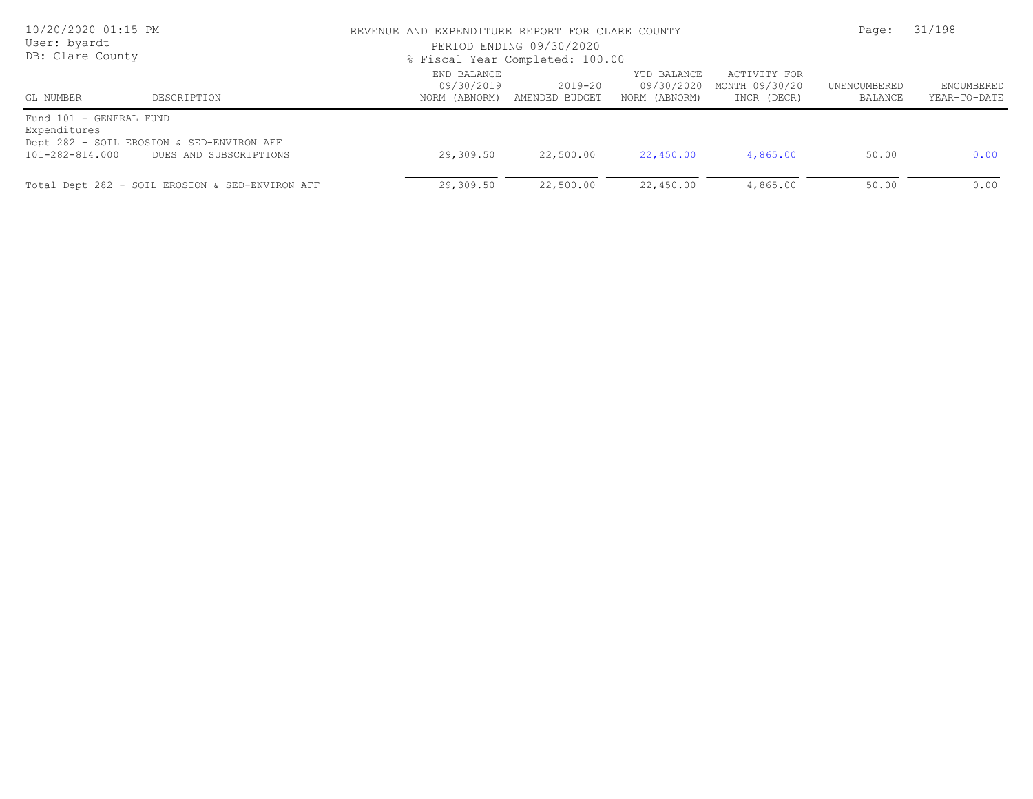| 10/20/2020 01:15 PM<br>User: byardt<br>DB: Clare County    |                                                                     | REVENUE AND EXPENDITURE REPORT FOR CLARE COUNTY<br>PERIOD ENDING 09/30/2020<br>% Fiscal Year Completed: 100.00 |                               |                                            |                                               |                         | 31/198                     |  |
|------------------------------------------------------------|---------------------------------------------------------------------|----------------------------------------------------------------------------------------------------------------|-------------------------------|--------------------------------------------|-----------------------------------------------|-------------------------|----------------------------|--|
| GL NUMBER                                                  | DESCRIPTION                                                         | END BALANCE<br>09/30/2019<br>NORM (ABNORM)                                                                     | $2019 - 20$<br>AMENDED BUDGET | YTD BALANCE<br>09/30/2020<br>NORM (ABNORM) | ACTIVITY FOR<br>MONTH 09/30/20<br>INCR (DECR) | UNENCUMBERED<br>BALANCE | ENCUMBERED<br>YEAR-TO-DATE |  |
| Fund 101 - GENERAL FUND<br>Expenditures<br>101-282-814.000 | Dept 282 - SOIL EROSION & SED-ENVIRON AFF<br>DUES AND SUBSCRIPTIONS | 29,309.50                                                                                                      | 22,500.00                     | 22,450.00                                  | 4,865.00                                      | 50.00                   | 0.00                       |  |
|                                                            | Total Dept 282 - SOIL EROSION & SED-ENVIRON AFF                     | 29,309.50                                                                                                      | 22,500.00                     | 22,450.00                                  | 4,865.00                                      | 50.00                   | 0.00                       |  |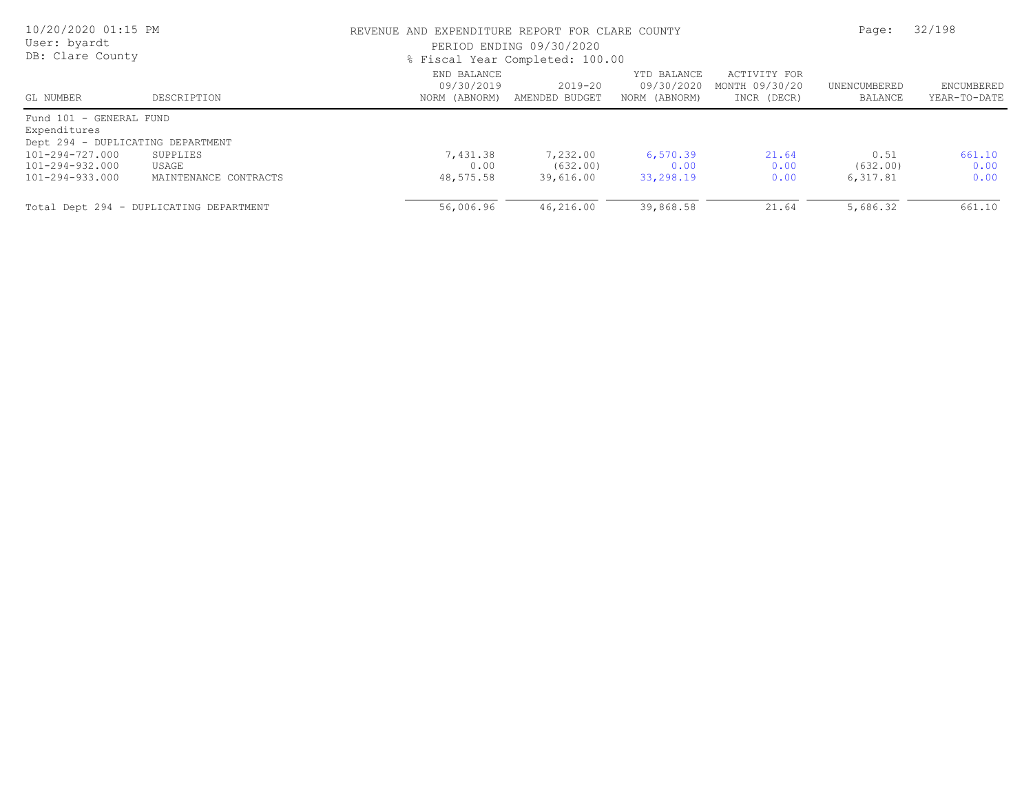| 10/20/2020 01:15 PM<br>User: byardt<br>DB: Clare County |                                         |                                            | REVENUE AND EXPENDITURE REPORT FOR CLARE COUNTY<br>PERIOD ENDING 09/30/2020<br>% Fiscal Year Completed: 100.00 |                                            |                                               |                         |                            |
|---------------------------------------------------------|-----------------------------------------|--------------------------------------------|----------------------------------------------------------------------------------------------------------------|--------------------------------------------|-----------------------------------------------|-------------------------|----------------------------|
| GL NUMBER                                               | DESCRIPTION                             | END BALANCE<br>09/30/2019<br>NORM (ABNORM) | 2019-20<br>AMENDED BUDGET                                                                                      | YTD BALANCE<br>09/30/2020<br>NORM (ABNORM) | ACTIVITY FOR<br>MONTH 09/30/20<br>INCR (DECR) | UNENCUMBERED<br>BALANCE | ENCUMBERED<br>YEAR-TO-DATE |
| Fund 101 - GENERAL FUND<br>Expenditures                 |                                         |                                            |                                                                                                                |                                            |                                               |                         |                            |
| Dept 294 - DUPLICATING DEPARTMENT                       |                                         |                                            |                                                                                                                |                                            |                                               |                         |                            |
| 101-294-727.000                                         | SUPPLIES                                | 7,431.38                                   | 7,232.00                                                                                                       | 6,570.39                                   | 21.64                                         | 0.51                    | 661.10                     |
| 101-294-932.000                                         | USAGE                                   | 0.00                                       | (632,00)                                                                                                       | 0.00                                       | 0.00                                          | (632,00)                | 0.00                       |
| 101-294-933.000                                         | MAINTENANCE CONTRACTS                   | 48,575.58                                  | 39,616.00                                                                                                      | 33,298.19                                  | 0.00                                          | 6,317.81                | 0.00                       |
|                                                         | Total Dept 294 - DUPLICATING DEPARTMENT | 56,006.96                                  | 46,216.00                                                                                                      | 39,868.58                                  | 21.64                                         | 5,686.32                | 661.10                     |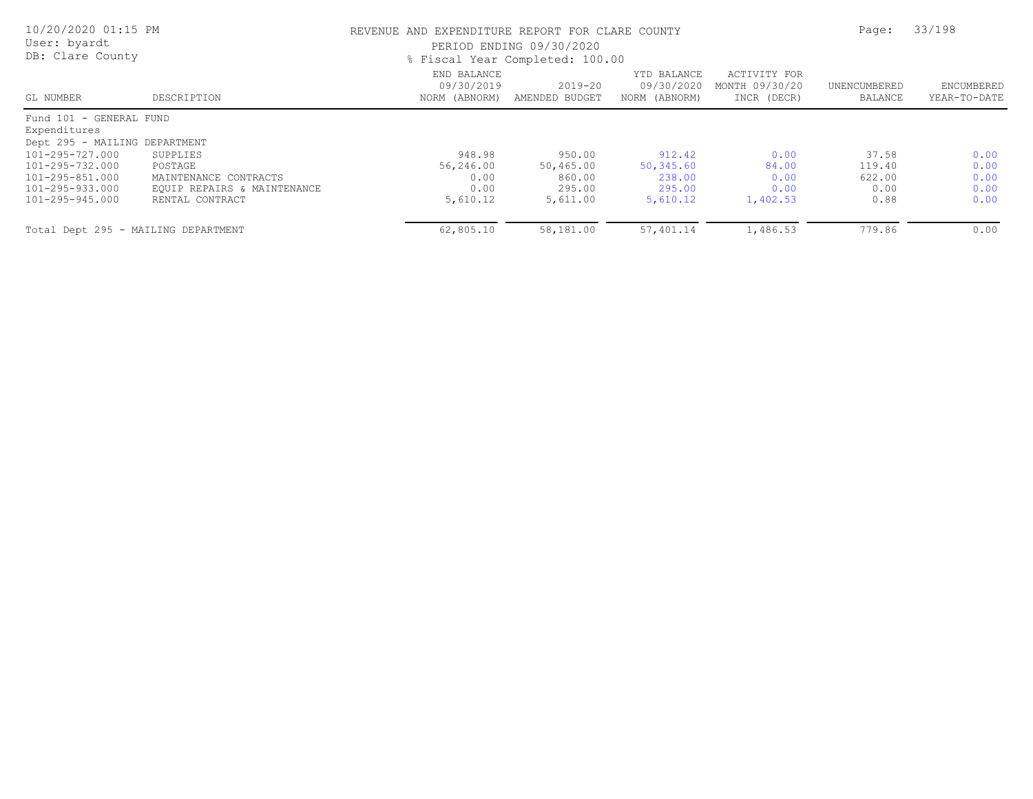| 10/20/2020 01:15 PM<br>User: byardt<br>DB: Clare County |                             |                                            | REVENUE AND EXPENDITURE REPORT FOR CLARE COUNTY<br>PERIOD ENDING 09/30/2020<br>% Fiscal Year Completed: 100.00 |                                            |                                               |                         |                            |
|---------------------------------------------------------|-----------------------------|--------------------------------------------|----------------------------------------------------------------------------------------------------------------|--------------------------------------------|-----------------------------------------------|-------------------------|----------------------------|
| GL NUMBER                                               | DESCRIPTION                 | END BALANCE<br>09/30/2019<br>NORM (ABNORM) | $2019 - 20$<br>AMENDED BUDGET                                                                                  | YTD BALANCE<br>09/30/2020<br>NORM (ABNORM) | ACTIVITY FOR<br>MONTH 09/30/20<br>INCR (DECR) | UNENCUMBERED<br>BALANCE | ENCUMBERED<br>YEAR-TO-DATE |
| Fund 101 - GENERAL FUND                                 |                             |                                            |                                                                                                                |                                            |                                               |                         |                            |
| Expenditures<br>Dept 295 - MAILING DEPARTMENT           |                             |                                            |                                                                                                                |                                            |                                               |                         |                            |
| 101-295-727.000                                         | SUPPLIES                    | 948.98                                     | 950.00                                                                                                         | 912.42                                     | 0.00                                          | 37.58                   | 0.00                       |
| 101-295-732.000                                         | POSTAGE                     | 56,246.00                                  | 50,465.00                                                                                                      | 50,345.60                                  | 84.00                                         | 119.40                  | 0.00                       |
| 101-295-851.000                                         | MAINTENANCE CONTRACTS       | 0.00                                       | 860.00                                                                                                         | 238.00                                     | 0.00                                          | 622.00                  | 0.00                       |
| 101-295-933.000                                         | EQUIP REPAIRS & MAINTENANCE | 0.00                                       | 295.00                                                                                                         | 295.00                                     | 0.00                                          | 0.00                    | 0.00                       |
| 101-295-945.000                                         | RENTAL CONTRACT             | 5,610.12                                   | 5,611.00                                                                                                       | 5,610.12                                   | 1,402.53                                      | 0.88                    | 0.00                       |
| Total Dept 295 - MAILING DEPARTMENT                     |                             | 62,805.10                                  | 58,181.00                                                                                                      | 57,401.14                                  | 1,486.53                                      | 779.86                  | 0.00                       |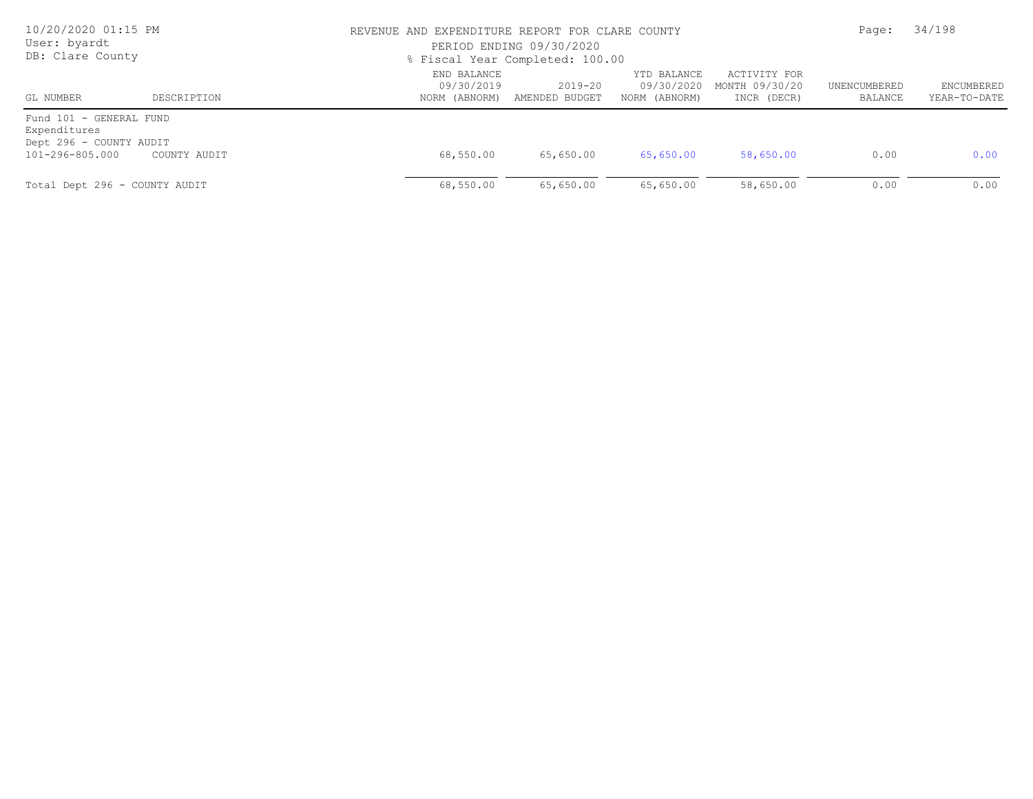| 10/20/2020 01:15 PM<br>User: byardt<br>DB: Clare County                               |              |                           | REVENUE AND EXPENDITURE REPORT FOR CLARE COUNTY<br>PERIOD ENDING 09/30/2020<br>% Fiscal Year Completed: 100.00 |                                            |                                               |                         |                            |
|---------------------------------------------------------------------------------------|--------------|---------------------------|----------------------------------------------------------------------------------------------------------------|--------------------------------------------|-----------------------------------------------|-------------------------|----------------------------|
| GL NUMBER                                                                             | DESCRIPTION  | END BALANCE<br>09/30/2019 | $2019 - 20$<br>NORM (ABNORM) AMENDED BUDGET                                                                    | YTD BALANCE<br>09/30/2020<br>NORM (ABNORM) | ACTIVITY FOR<br>MONTH 09/30/20<br>INCR (DECR) | UNENCUMBERED<br>BALANCE | ENCUMBERED<br>YEAR-TO-DATE |
| Fund 101 - GENERAL FUND<br>Expenditures<br>Dept 296 - COUNTY AUDIT<br>101-296-805.000 | COUNTY AUDIT | 68,550.00                 | 65,650.00                                                                                                      | 65,650.00                                  | 58,650.00                                     | 0.00                    | 0.00                       |
| Total Dept 296 - COUNTY AUDIT                                                         |              | 68,550.00                 | 65,650.00                                                                                                      | 65,650.00                                  | 58,650.00                                     | 0.00                    | 0.00                       |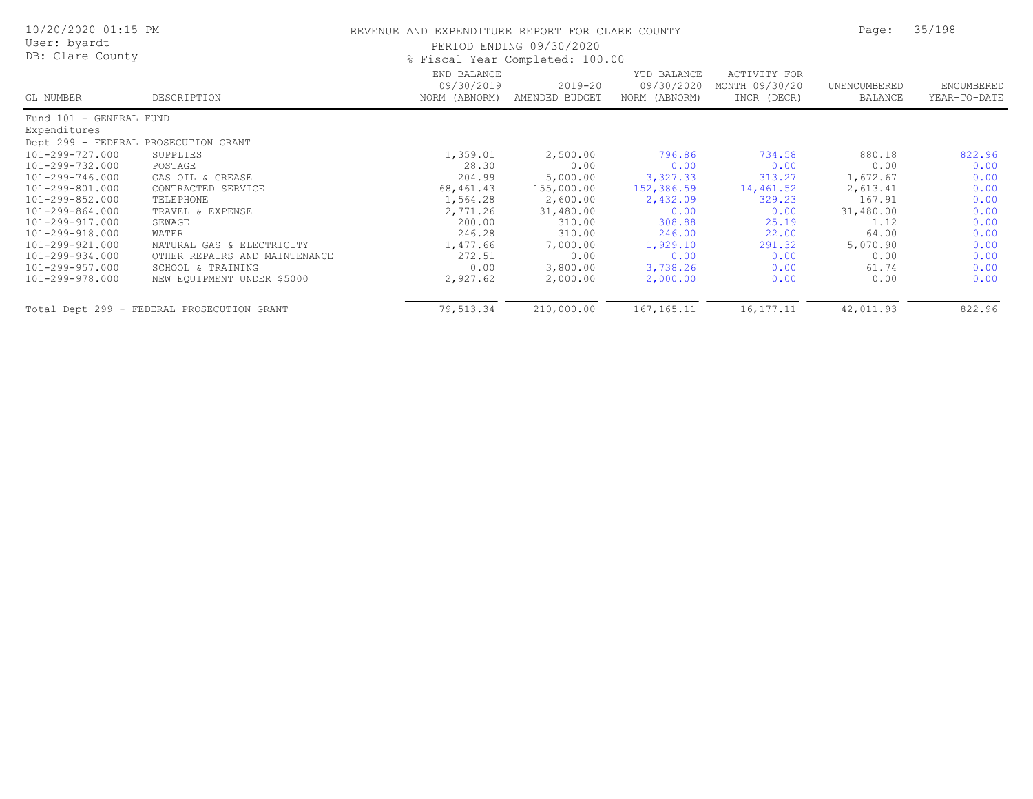| 10/20/2020 01:15 PM<br>User: byardt<br>DB: Clare County |                                            | REVENUE AND EXPENDITURE REPORT FOR CLARE COUNTY | PERIOD ENDING 09/30/2020<br>% Fiscal Year Completed: 100.00 |                                            |                                               | Page:                   | 35/198                     |
|---------------------------------------------------------|--------------------------------------------|-------------------------------------------------|-------------------------------------------------------------|--------------------------------------------|-----------------------------------------------|-------------------------|----------------------------|
| GL NUMBER                                               | DESCRIPTION                                | END BALANCE<br>09/30/2019<br>NORM (ABNORM)      | 2019-20<br>AMENDED BUDGET                                   | YTD BALANCE<br>09/30/2020<br>NORM (ABNORM) | ACTIVITY FOR<br>MONTH 09/30/20<br>INCR (DECR) | UNENCUMBERED<br>BALANCE | ENCUMBERED<br>YEAR-TO-DATE |
| Fund 101 - GENERAL FUND                                 |                                            |                                                 |                                                             |                                            |                                               |                         |                            |
| Expenditures                                            |                                            |                                                 |                                                             |                                            |                                               |                         |                            |
| Dept 299 - FEDERAL PROSECUTION GRANT                    |                                            |                                                 |                                                             |                                            |                                               |                         |                            |
| 101-299-727.000                                         | SUPPLIES                                   | 1,359.01                                        | 2,500.00                                                    | 796.86                                     | 734.58                                        | 880.18                  | 822.96                     |
| 101-299-732.000                                         | POSTAGE                                    | 28.30                                           | 0.00                                                        | 0.00                                       | 0.00                                          | 0.00                    | 0.00                       |
| 101-299-746.000                                         | GAS OIL & GREASE                           | 204.99                                          | 5,000.00                                                    | 3,327.33                                   | 313.27                                        | 1,672.67                | 0.00                       |
| 101-299-801.000                                         | CONTRACTED SERVICE                         | 68,461.43                                       | 155,000.00                                                  | 152,386.59                                 | 14,461.52                                     | 2,613.41                | 0.00                       |
| 101-299-852.000                                         | TELEPHONE                                  | 1,564.28                                        | 2,600.00                                                    | 2,432.09                                   | 329.23                                        | 167.91                  | 0.00                       |
| 101-299-864.000                                         | TRAVEL & EXPENSE                           | 2,771.26                                        | 31,480.00                                                   | 0.00                                       | 0.00                                          | 31,480.00               | 0.00                       |
| 101-299-917.000                                         | SEWAGE                                     | 200.00                                          | 310.00                                                      | 308.88                                     | 25.19                                         | 1.12                    | 0.00                       |
| 101-299-918.000                                         | WATER                                      | 246.28                                          | 310.00                                                      | 246.00                                     | 22.00                                         | 64.00                   | 0.00                       |
| 101-299-921.000                                         | NATURAL GAS & ELECTRICITY                  | 1,477.66                                        | 7,000.00                                                    | 1,929.10                                   | 291.32                                        | 5,070.90                | 0.00                       |
| 101-299-934.000                                         | OTHER REPAIRS AND MAINTENANCE              | 272.51                                          | 0.00                                                        | 0.00                                       | 0.00                                          | 0.00                    | 0.00                       |
| 101-299-957.000                                         | SCHOOL & TRAINING                          | 0.00                                            | 3,800.00                                                    | 3,738.26                                   | 0.00                                          | 61.74                   | 0.00                       |
| 101-299-978.000                                         | NEW EQUIPMENT UNDER \$5000                 | 2,927.62                                        | 2,000.00                                                    | 2,000.00                                   | 0.00                                          | 0.00                    | 0.00                       |
|                                                         | Total Dept 299 - FEDERAL PROSECUTION GRANT | 79,513.34                                       | 210,000.00                                                  | 167, 165. 11                               | 16, 177. 11                                   | 42,011.93               | 822.96                     |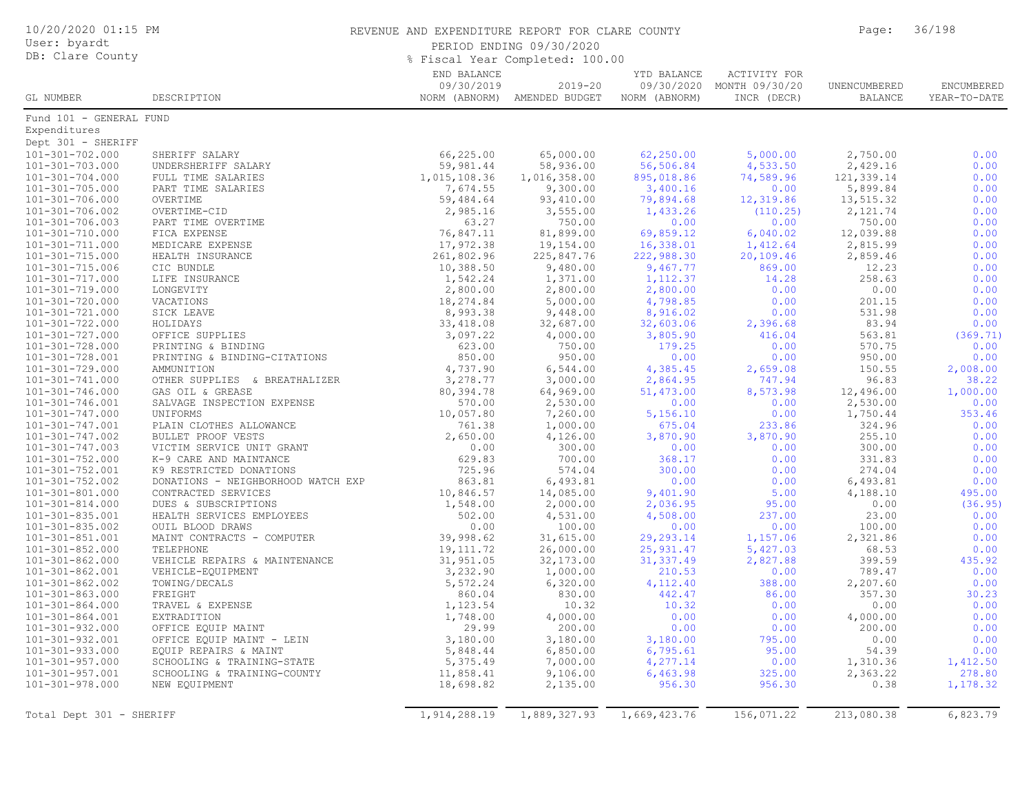| User: byardt<br>PERIOD ENDING 09/30/2020<br>% Fiscal Year Completed: 100.00<br>END BALANCE<br>ACTIVITY FOR<br>YTD BALANCE<br>09/30/2019<br>09/30/2020<br>MONTH 09/30/20<br>$2019 - 20$<br>UNENCUMBERED<br>GL NUMBER<br>DESCRIPTION<br>NORM (ABNORM) AMENDED BUDGET<br>NORM (ABNORM)<br>INCR (DECR)<br><b>BALANCE</b><br>Fund 101 - GENERAL FUND<br>Expenditures<br>66,225.00<br>62,250.00<br>2,750.00<br>SHERIFF SALARY<br>65,000.00<br>5,000.00<br>0.00<br>59,981.44<br>58,936.00<br>56,506.84<br>4,533.50<br>2,429.16<br>0.00<br>UNDERSHERIFF SALARY<br>121,339.14<br>$101 - 301 - 704.000$<br>1,015,108.36<br>1,016,358.00<br>895,018.86<br>74,589.96<br>0.00<br>FULL TIME SALARIES<br>7,674.55<br>5,899.84<br>0.00<br>101-301-705.000<br>PART TIME SALARIES<br>9,300.00<br>3,400.16<br>0.00<br>$101 - 301 - 706.000$<br>OVERTIME<br>59,484.64<br>93,410.00<br>79,894.68<br>12,319.86<br>13,515.32<br>0.00<br>OVERTIME-CID<br>2,985.16<br>3,555.00<br>2,121.74<br>0.00<br>1,433.26<br>(110.25)<br>750.00<br>0.00<br>PART TIME OVERTIME<br>63.27<br>750.00<br>0.00<br>0.00<br>0.00<br>FICA EXPENSE<br>76,847.11<br>81,899.00<br>69,859.12<br>6,040.02<br>12,039.88<br>17,972.38<br>19,154.00<br>16,338.01<br>1,412.64<br>2,815.99<br>0.00<br>MEDICARE EXPENSE<br>261,802.96<br>225,847.76<br>20,109.46<br>2,859.46<br>0.00<br>HEALTH INSURANCE<br>222,988.30<br>0.00<br>CIC BUNDLE<br>10,388.50<br>9,480.00<br>9,467.77<br>869.00<br>12.23<br>LIFE INSURANCE<br>1,542.24<br>14.28<br>258.63<br>0.00<br>101-301-717.000<br>1,371.00<br>1, 112.37<br>0.00<br>$101 - 301 - 719.000$<br>2,800.00<br>2,800.00<br>0.00<br>0.00<br>LONGEVITY<br>2,800.00<br>101-301-720.000<br>VACATIONS<br>18,274.84<br>5,000.00<br>4,798.85<br>0.00<br>201.15<br>0.00<br>8,993.38<br>8,916.02<br>531.98<br>0.00<br>SICK LEAVE<br>9,448.00<br>0.00<br>83.94<br>0.00<br>101-301-722.000<br>HOLIDAYS<br>33,418.08<br>32,687.00<br>32,603.06<br>2,396.68<br>(369.71)<br>OFFICE SUPPLIES<br>3,097.22<br>4,000.00<br>3,805.90<br>416.04<br>563.81<br>623.00<br>750.00<br>570.75<br>179.25<br>0.00<br>0.00<br>PRINTING & BINDING<br>101-301-728.001<br>850.00<br>950.00<br>0.00<br>950.00<br>0.00<br>PRINTING & BINDING-CITATIONS<br>0.00<br>4,737.90<br>150.55<br>2,008.00<br>AMMUNITION<br>6,544.00<br>4,385.45<br>2,659.08<br>3,278.77<br>96.83<br>38.22<br>101-301-741.000<br>OTHER SUPPLIES & BREATHALIZER<br>3,000.00<br>2,864.95<br>747.94<br>$101 - 301 - 746.000$<br>80,394.78<br>64,969.00<br>51,473.00<br>8,573.98<br>12,496.00<br>1,000.00<br>GAS OIL & GREASE<br>570.00<br>2,530.00<br>0.00<br>101-301-746.001<br>SALVAGE INSPECTION EXPENSE<br>2,530.00<br>0.00<br>0.00<br>UNIFORMS<br>10,057.80<br>7,260.00<br>5,156.10<br>0.00<br>1,750.44<br>353.46<br>PLAIN CLOTHES ALLOWANCE<br>761.38<br>1,000.00<br>675.04<br>233.86<br>324.96<br>0.00<br>2,650.00<br>3,870.90<br>255.10<br>0.00<br>BULLET PROOF VESTS<br>4,126.00<br>3,870.90<br>VICTIM SERVICE UNIT GRANT<br>0.00<br>300.00<br>0.00<br>300.00<br>0.00<br>0.00<br>K-9 CARE AND MAINTANCE<br>629.83<br>700.00<br>368.17<br>0.00<br>331.83<br>0.00<br>725.96<br>101-301-752.001<br>574.04<br>300.00<br>0.00<br>274.04<br>0.00<br>K9 RESTRICTED DONATIONS<br>863.81<br>101-301-752.002<br>6,493.81<br>0.00<br>0.00<br>6,493.81<br>0.00<br>DONATIONS - NEIGHBORHOOD WATCH EXP<br>4,188.10<br>495.00<br>CONTRACTED SERVICES<br>10,846.57<br>14,085.00<br>9,401.90<br>5.00<br>DUES & SUBSCRIPTIONS<br>1,548.00<br>2,000.00<br>2,036.95<br>95.00<br>0.00<br>(36.95)<br>HEALTH SERVICES EMPLOYEES<br>502.00<br>4,531.00<br>4,508.00<br>237.00<br>23.00<br>0.00<br>0.00<br>100.00<br>0.00<br>0.00<br>100.00<br>OUIL BLOOD DRAWS<br>0.00<br>39,998.62<br>31,615.00<br>2,321.86<br>0.00<br>MAINT CONTRACTS - COMPUTER<br>29, 293. 14<br>1,157.06<br>0.00<br>TELEPHONE<br>19, 111.72<br>26,000.00<br>25,931.47<br>5,427.03<br>68.53<br>31,951.05<br>31, 337.49<br>399.59<br>435.92<br>$101 - 301 - 862.000$<br>VEHICLE REPAIRS & MAINTENANCE<br>32,173.00<br>2,827.88<br>3,232.90<br>1,000.00<br>210.53<br>789.47<br>0.00<br>101-301-862.001<br>0.00<br>VEHICLE-EQUIPMENT<br>$101 - 301 - 862.002$<br>TOWING/DECALS<br>5,572.24<br>6,320.00<br>4,112.40<br>388.00<br>2,207.60<br>0.00<br>30.23<br>FREIGHT<br>860.04<br>830.00<br>442.47<br>86.00<br>357.30<br>1,123.54<br>0.00<br>TRAVEL & EXPENSE<br>10.32<br>10.32<br>0.00<br>0.00<br>4,000.00<br>101-301-864.001<br>EXTRADITION<br>1,748.00<br>0.00<br>0.00<br>4,000.00<br>0.00<br>200.00<br>29.99<br>0.00<br>0.00<br>200.00<br>0.00<br>OFFICE EQUIP MAINT<br>3,180.00<br>0.00<br>3,180.00<br>3,180.00<br>795.00<br>0.00<br>OFFICE EQUIP MAINT - LEIN<br>5,848.44<br>6,850.00<br>6,795.61<br>95.00<br>54.39<br>0.00<br>EQUIP REPAIRS & MAINT<br>$101 - 301 - 957.000$<br>5,375.49<br>7,000.00<br>4,277.14<br>0.00<br>1,310.36<br>1,412.50<br>SCHOOLING & TRAINING-STATE<br>101-301-957.001<br>SCHOOLING & TRAINING-COUNTY<br>11,858.41<br>9,106.00<br>6,463.98<br>325.00<br>2,363.22<br>278.80 | 10/20/2020 01:15 PM |  | REVENUE AND EXPENDITURE REPORT FOR CLARE COUNTY |  |  |  |                            |
|-----------------------------------------------------------------------------------------------------------------------------------------------------------------------------------------------------------------------------------------------------------------------------------------------------------------------------------------------------------------------------------------------------------------------------------------------------------------------------------------------------------------------------------------------------------------------------------------------------------------------------------------------------------------------------------------------------------------------------------------------------------------------------------------------------------------------------------------------------------------------------------------------------------------------------------------------------------------------------------------------------------------------------------------------------------------------------------------------------------------------------------------------------------------------------------------------------------------------------------------------------------------------------------------------------------------------------------------------------------------------------------------------------------------------------------------------------------------------------------------------------------------------------------------------------------------------------------------------------------------------------------------------------------------------------------------------------------------------------------------------------------------------------------------------------------------------------------------------------------------------------------------------------------------------------------------------------------------------------------------------------------------------------------------------------------------------------------------------------------------------------------------------------------------------------------------------------------------------------------------------------------------------------------------------------------------------------------------------------------------------------------------------------------------------------------------------------------------------------------------------------------------------------------------------------------------------------------------------------------------------------------------------------------------------------------------------------------------------------------------------------------------------------------------------------------------------------------------------------------------------------------------------------------------------------------------------------------------------------------------------------------------------------------------------------------------------------------------------------------------------------------------------------------------------------------------------------------------------------------------------------------------------------------------------------------------------------------------------------------------------------------------------------------------------------------------------------------------------------------------------------------------------------------------------------------------------------------------------------------------------------------------------------------------------------------------------------------------------------------------------------------------------------------------------------------------------------------------------------------------------------------------------------------------------------------------------------------------------------------------------------------------------------------------------------------------------------------------------------------------------------------------------------------------------------------------------------------------------------------------------------------------------------------------------------------------------------------------------------------------------------------------------------------------------------------------------------------------------------------------------------------------------------------------------------------------------------------------------------------------------------------------------------------------------------------------------------------------------------------------------------------------------------------------------------------------------------------------------------------------------------------------------------------------------------------------------------------------------------------|---------------------|--|-------------------------------------------------|--|--|--|----------------------------|
| Dept 301 - SHERIFF<br>101-301-702.000<br>101-301-706.003<br>101-301-710.000<br>$101 - 301 - 711.000$<br>101-301-715.000<br>101-301-715.006<br>101-301-721.000<br>101-301-727.000<br>101-301-728.000<br>101-301-729.000<br>101-301-747.001<br>101-301-747.002<br>$101 - 301 - 747.003$<br>101-301-752.000<br>101-301-814.000<br>101-301-835.001<br>$101 - 301 - 835.002$<br>101-301-851.001<br>101-301-852.000<br>101-301-863.000<br>101-301-932.000<br>101-301-932.001                                                                                                                                                                                                                                                                                                                                                                                                                                                                                                                                                                                                                                                                                                                                                                                                                                                                                                                                                                                                                                                                                                                                                                                                                                                                                                                                                                                                                                                                                                                                                                                                                                                                                                                                                                                                                                                                                                                                                                                                                                                                                                                                                                                                                                                                                                                                                                                                                                                                                                                                                                                                                                                                                                                                                                                                                                                                                                                                                                                                                                                                                                                                                                                                                                                                                                                                                                                                                                                                                                                                                                                                                                                                                                                                                                                                                                                                                                                                                                                                                                                                                                                                                                                                                                                                                                                                                                                                                                                                                                            | DB: Clare County    |  |                                                 |  |  |  |                            |
| 101-301-703.000<br>101-301-706.002<br>101-301-747.000<br>101-301-801.000<br>$101 - 301 - 864.000$<br>101-301-933.000                                                                                                                                                                                                                                                                                                                                                                                                                                                                                                                                                                                                                                                                                                                                                                                                                                                                                                                                                                                                                                                                                                                                                                                                                                                                                                                                                                                                                                                                                                                                                                                                                                                                                                                                                                                                                                                                                                                                                                                                                                                                                                                                                                                                                                                                                                                                                                                                                                                                                                                                                                                                                                                                                                                                                                                                                                                                                                                                                                                                                                                                                                                                                                                                                                                                                                                                                                                                                                                                                                                                                                                                                                                                                                                                                                                                                                                                                                                                                                                                                                                                                                                                                                                                                                                                                                                                                                                                                                                                                                                                                                                                                                                                                                                                                                                                                                                              |                     |  |                                                 |  |  |  |                            |
|                                                                                                                                                                                                                                                                                                                                                                                                                                                                                                                                                                                                                                                                                                                                                                                                                                                                                                                                                                                                                                                                                                                                                                                                                                                                                                                                                                                                                                                                                                                                                                                                                                                                                                                                                                                                                                                                                                                                                                                                                                                                                                                                                                                                                                                                                                                                                                                                                                                                                                                                                                                                                                                                                                                                                                                                                                                                                                                                                                                                                                                                                                                                                                                                                                                                                                                                                                                                                                                                                                                                                                                                                                                                                                                                                                                                                                                                                                                                                                                                                                                                                                                                                                                                                                                                                                                                                                                                                                                                                                                                                                                                                                                                                                                                                                                                                                                                                                                                                                                   |                     |  |                                                 |  |  |  | ENCUMBERED<br>YEAR-TO-DATE |
|                                                                                                                                                                                                                                                                                                                                                                                                                                                                                                                                                                                                                                                                                                                                                                                                                                                                                                                                                                                                                                                                                                                                                                                                                                                                                                                                                                                                                                                                                                                                                                                                                                                                                                                                                                                                                                                                                                                                                                                                                                                                                                                                                                                                                                                                                                                                                                                                                                                                                                                                                                                                                                                                                                                                                                                                                                                                                                                                                                                                                                                                                                                                                                                                                                                                                                                                                                                                                                                                                                                                                                                                                                                                                                                                                                                                                                                                                                                                                                                                                                                                                                                                                                                                                                                                                                                                                                                                                                                                                                                                                                                                                                                                                                                                                                                                                                                                                                                                                                                   |                     |  |                                                 |  |  |  |                            |
|                                                                                                                                                                                                                                                                                                                                                                                                                                                                                                                                                                                                                                                                                                                                                                                                                                                                                                                                                                                                                                                                                                                                                                                                                                                                                                                                                                                                                                                                                                                                                                                                                                                                                                                                                                                                                                                                                                                                                                                                                                                                                                                                                                                                                                                                                                                                                                                                                                                                                                                                                                                                                                                                                                                                                                                                                                                                                                                                                                                                                                                                                                                                                                                                                                                                                                                                                                                                                                                                                                                                                                                                                                                                                                                                                                                                                                                                                                                                                                                                                                                                                                                                                                                                                                                                                                                                                                                                                                                                                                                                                                                                                                                                                                                                                                                                                                                                                                                                                                                   |                     |  |                                                 |  |  |  |                            |
|                                                                                                                                                                                                                                                                                                                                                                                                                                                                                                                                                                                                                                                                                                                                                                                                                                                                                                                                                                                                                                                                                                                                                                                                                                                                                                                                                                                                                                                                                                                                                                                                                                                                                                                                                                                                                                                                                                                                                                                                                                                                                                                                                                                                                                                                                                                                                                                                                                                                                                                                                                                                                                                                                                                                                                                                                                                                                                                                                                                                                                                                                                                                                                                                                                                                                                                                                                                                                                                                                                                                                                                                                                                                                                                                                                                                                                                                                                                                                                                                                                                                                                                                                                                                                                                                                                                                                                                                                                                                                                                                                                                                                                                                                                                                                                                                                                                                                                                                                                                   |                     |  |                                                 |  |  |  |                            |
|                                                                                                                                                                                                                                                                                                                                                                                                                                                                                                                                                                                                                                                                                                                                                                                                                                                                                                                                                                                                                                                                                                                                                                                                                                                                                                                                                                                                                                                                                                                                                                                                                                                                                                                                                                                                                                                                                                                                                                                                                                                                                                                                                                                                                                                                                                                                                                                                                                                                                                                                                                                                                                                                                                                                                                                                                                                                                                                                                                                                                                                                                                                                                                                                                                                                                                                                                                                                                                                                                                                                                                                                                                                                                                                                                                                                                                                                                                                                                                                                                                                                                                                                                                                                                                                                                                                                                                                                                                                                                                                                                                                                                                                                                                                                                                                                                                                                                                                                                                                   |                     |  |                                                 |  |  |  |                            |
|                                                                                                                                                                                                                                                                                                                                                                                                                                                                                                                                                                                                                                                                                                                                                                                                                                                                                                                                                                                                                                                                                                                                                                                                                                                                                                                                                                                                                                                                                                                                                                                                                                                                                                                                                                                                                                                                                                                                                                                                                                                                                                                                                                                                                                                                                                                                                                                                                                                                                                                                                                                                                                                                                                                                                                                                                                                                                                                                                                                                                                                                                                                                                                                                                                                                                                                                                                                                                                                                                                                                                                                                                                                                                                                                                                                                                                                                                                                                                                                                                                                                                                                                                                                                                                                                                                                                                                                                                                                                                                                                                                                                                                                                                                                                                                                                                                                                                                                                                                                   |                     |  |                                                 |  |  |  |                            |
|                                                                                                                                                                                                                                                                                                                                                                                                                                                                                                                                                                                                                                                                                                                                                                                                                                                                                                                                                                                                                                                                                                                                                                                                                                                                                                                                                                                                                                                                                                                                                                                                                                                                                                                                                                                                                                                                                                                                                                                                                                                                                                                                                                                                                                                                                                                                                                                                                                                                                                                                                                                                                                                                                                                                                                                                                                                                                                                                                                                                                                                                                                                                                                                                                                                                                                                                                                                                                                                                                                                                                                                                                                                                                                                                                                                                                                                                                                                                                                                                                                                                                                                                                                                                                                                                                                                                                                                                                                                                                                                                                                                                                                                                                                                                                                                                                                                                                                                                                                                   |                     |  |                                                 |  |  |  |                            |
|                                                                                                                                                                                                                                                                                                                                                                                                                                                                                                                                                                                                                                                                                                                                                                                                                                                                                                                                                                                                                                                                                                                                                                                                                                                                                                                                                                                                                                                                                                                                                                                                                                                                                                                                                                                                                                                                                                                                                                                                                                                                                                                                                                                                                                                                                                                                                                                                                                                                                                                                                                                                                                                                                                                                                                                                                                                                                                                                                                                                                                                                                                                                                                                                                                                                                                                                                                                                                                                                                                                                                                                                                                                                                                                                                                                                                                                                                                                                                                                                                                                                                                                                                                                                                                                                                                                                                                                                                                                                                                                                                                                                                                                                                                                                                                                                                                                                                                                                                                                   |                     |  |                                                 |  |  |  |                            |
|                                                                                                                                                                                                                                                                                                                                                                                                                                                                                                                                                                                                                                                                                                                                                                                                                                                                                                                                                                                                                                                                                                                                                                                                                                                                                                                                                                                                                                                                                                                                                                                                                                                                                                                                                                                                                                                                                                                                                                                                                                                                                                                                                                                                                                                                                                                                                                                                                                                                                                                                                                                                                                                                                                                                                                                                                                                                                                                                                                                                                                                                                                                                                                                                                                                                                                                                                                                                                                                                                                                                                                                                                                                                                                                                                                                                                                                                                                                                                                                                                                                                                                                                                                                                                                                                                                                                                                                                                                                                                                                                                                                                                                                                                                                                                                                                                                                                                                                                                                                   |                     |  |                                                 |  |  |  |                            |
|                                                                                                                                                                                                                                                                                                                                                                                                                                                                                                                                                                                                                                                                                                                                                                                                                                                                                                                                                                                                                                                                                                                                                                                                                                                                                                                                                                                                                                                                                                                                                                                                                                                                                                                                                                                                                                                                                                                                                                                                                                                                                                                                                                                                                                                                                                                                                                                                                                                                                                                                                                                                                                                                                                                                                                                                                                                                                                                                                                                                                                                                                                                                                                                                                                                                                                                                                                                                                                                                                                                                                                                                                                                                                                                                                                                                                                                                                                                                                                                                                                                                                                                                                                                                                                                                                                                                                                                                                                                                                                                                                                                                                                                                                                                                                                                                                                                                                                                                                                                   |                     |  |                                                 |  |  |  |                            |
|                                                                                                                                                                                                                                                                                                                                                                                                                                                                                                                                                                                                                                                                                                                                                                                                                                                                                                                                                                                                                                                                                                                                                                                                                                                                                                                                                                                                                                                                                                                                                                                                                                                                                                                                                                                                                                                                                                                                                                                                                                                                                                                                                                                                                                                                                                                                                                                                                                                                                                                                                                                                                                                                                                                                                                                                                                                                                                                                                                                                                                                                                                                                                                                                                                                                                                                                                                                                                                                                                                                                                                                                                                                                                                                                                                                                                                                                                                                                                                                                                                                                                                                                                                                                                                                                                                                                                                                                                                                                                                                                                                                                                                                                                                                                                                                                                                                                                                                                                                                   |                     |  |                                                 |  |  |  |                            |
|                                                                                                                                                                                                                                                                                                                                                                                                                                                                                                                                                                                                                                                                                                                                                                                                                                                                                                                                                                                                                                                                                                                                                                                                                                                                                                                                                                                                                                                                                                                                                                                                                                                                                                                                                                                                                                                                                                                                                                                                                                                                                                                                                                                                                                                                                                                                                                                                                                                                                                                                                                                                                                                                                                                                                                                                                                                                                                                                                                                                                                                                                                                                                                                                                                                                                                                                                                                                                                                                                                                                                                                                                                                                                                                                                                                                                                                                                                                                                                                                                                                                                                                                                                                                                                                                                                                                                                                                                                                                                                                                                                                                                                                                                                                                                                                                                                                                                                                                                                                   |                     |  |                                                 |  |  |  |                            |
|                                                                                                                                                                                                                                                                                                                                                                                                                                                                                                                                                                                                                                                                                                                                                                                                                                                                                                                                                                                                                                                                                                                                                                                                                                                                                                                                                                                                                                                                                                                                                                                                                                                                                                                                                                                                                                                                                                                                                                                                                                                                                                                                                                                                                                                                                                                                                                                                                                                                                                                                                                                                                                                                                                                                                                                                                                                                                                                                                                                                                                                                                                                                                                                                                                                                                                                                                                                                                                                                                                                                                                                                                                                                                                                                                                                                                                                                                                                                                                                                                                                                                                                                                                                                                                                                                                                                                                                                                                                                                                                                                                                                                                                                                                                                                                                                                                                                                                                                                                                   |                     |  |                                                 |  |  |  |                            |
|                                                                                                                                                                                                                                                                                                                                                                                                                                                                                                                                                                                                                                                                                                                                                                                                                                                                                                                                                                                                                                                                                                                                                                                                                                                                                                                                                                                                                                                                                                                                                                                                                                                                                                                                                                                                                                                                                                                                                                                                                                                                                                                                                                                                                                                                                                                                                                                                                                                                                                                                                                                                                                                                                                                                                                                                                                                                                                                                                                                                                                                                                                                                                                                                                                                                                                                                                                                                                                                                                                                                                                                                                                                                                                                                                                                                                                                                                                                                                                                                                                                                                                                                                                                                                                                                                                                                                                                                                                                                                                                                                                                                                                                                                                                                                                                                                                                                                                                                                                                   |                     |  |                                                 |  |  |  |                            |
|                                                                                                                                                                                                                                                                                                                                                                                                                                                                                                                                                                                                                                                                                                                                                                                                                                                                                                                                                                                                                                                                                                                                                                                                                                                                                                                                                                                                                                                                                                                                                                                                                                                                                                                                                                                                                                                                                                                                                                                                                                                                                                                                                                                                                                                                                                                                                                                                                                                                                                                                                                                                                                                                                                                                                                                                                                                                                                                                                                                                                                                                                                                                                                                                                                                                                                                                                                                                                                                                                                                                                                                                                                                                                                                                                                                                                                                                                                                                                                                                                                                                                                                                                                                                                                                                                                                                                                                                                                                                                                                                                                                                                                                                                                                                                                                                                                                                                                                                                                                   |                     |  |                                                 |  |  |  |                            |
|                                                                                                                                                                                                                                                                                                                                                                                                                                                                                                                                                                                                                                                                                                                                                                                                                                                                                                                                                                                                                                                                                                                                                                                                                                                                                                                                                                                                                                                                                                                                                                                                                                                                                                                                                                                                                                                                                                                                                                                                                                                                                                                                                                                                                                                                                                                                                                                                                                                                                                                                                                                                                                                                                                                                                                                                                                                                                                                                                                                                                                                                                                                                                                                                                                                                                                                                                                                                                                                                                                                                                                                                                                                                                                                                                                                                                                                                                                                                                                                                                                                                                                                                                                                                                                                                                                                                                                                                                                                                                                                                                                                                                                                                                                                                                                                                                                                                                                                                                                                   |                     |  |                                                 |  |  |  |                            |
|                                                                                                                                                                                                                                                                                                                                                                                                                                                                                                                                                                                                                                                                                                                                                                                                                                                                                                                                                                                                                                                                                                                                                                                                                                                                                                                                                                                                                                                                                                                                                                                                                                                                                                                                                                                                                                                                                                                                                                                                                                                                                                                                                                                                                                                                                                                                                                                                                                                                                                                                                                                                                                                                                                                                                                                                                                                                                                                                                                                                                                                                                                                                                                                                                                                                                                                                                                                                                                                                                                                                                                                                                                                                                                                                                                                                                                                                                                                                                                                                                                                                                                                                                                                                                                                                                                                                                                                                                                                                                                                                                                                                                                                                                                                                                                                                                                                                                                                                                                                   |                     |  |                                                 |  |  |  |                            |
|                                                                                                                                                                                                                                                                                                                                                                                                                                                                                                                                                                                                                                                                                                                                                                                                                                                                                                                                                                                                                                                                                                                                                                                                                                                                                                                                                                                                                                                                                                                                                                                                                                                                                                                                                                                                                                                                                                                                                                                                                                                                                                                                                                                                                                                                                                                                                                                                                                                                                                                                                                                                                                                                                                                                                                                                                                                                                                                                                                                                                                                                                                                                                                                                                                                                                                                                                                                                                                                                                                                                                                                                                                                                                                                                                                                                                                                                                                                                                                                                                                                                                                                                                                                                                                                                                                                                                                                                                                                                                                                                                                                                                                                                                                                                                                                                                                                                                                                                                                                   |                     |  |                                                 |  |  |  |                            |
|                                                                                                                                                                                                                                                                                                                                                                                                                                                                                                                                                                                                                                                                                                                                                                                                                                                                                                                                                                                                                                                                                                                                                                                                                                                                                                                                                                                                                                                                                                                                                                                                                                                                                                                                                                                                                                                                                                                                                                                                                                                                                                                                                                                                                                                                                                                                                                                                                                                                                                                                                                                                                                                                                                                                                                                                                                                                                                                                                                                                                                                                                                                                                                                                                                                                                                                                                                                                                                                                                                                                                                                                                                                                                                                                                                                                                                                                                                                                                                                                                                                                                                                                                                                                                                                                                                                                                                                                                                                                                                                                                                                                                                                                                                                                                                                                                                                                                                                                                                                   |                     |  |                                                 |  |  |  |                            |
|                                                                                                                                                                                                                                                                                                                                                                                                                                                                                                                                                                                                                                                                                                                                                                                                                                                                                                                                                                                                                                                                                                                                                                                                                                                                                                                                                                                                                                                                                                                                                                                                                                                                                                                                                                                                                                                                                                                                                                                                                                                                                                                                                                                                                                                                                                                                                                                                                                                                                                                                                                                                                                                                                                                                                                                                                                                                                                                                                                                                                                                                                                                                                                                                                                                                                                                                                                                                                                                                                                                                                                                                                                                                                                                                                                                                                                                                                                                                                                                                                                                                                                                                                                                                                                                                                                                                                                                                                                                                                                                                                                                                                                                                                                                                                                                                                                                                                                                                                                                   |                     |  |                                                 |  |  |  |                            |
|                                                                                                                                                                                                                                                                                                                                                                                                                                                                                                                                                                                                                                                                                                                                                                                                                                                                                                                                                                                                                                                                                                                                                                                                                                                                                                                                                                                                                                                                                                                                                                                                                                                                                                                                                                                                                                                                                                                                                                                                                                                                                                                                                                                                                                                                                                                                                                                                                                                                                                                                                                                                                                                                                                                                                                                                                                                                                                                                                                                                                                                                                                                                                                                                                                                                                                                                                                                                                                                                                                                                                                                                                                                                                                                                                                                                                                                                                                                                                                                                                                                                                                                                                                                                                                                                                                                                                                                                                                                                                                                                                                                                                                                                                                                                                                                                                                                                                                                                                                                   |                     |  |                                                 |  |  |  |                            |
|                                                                                                                                                                                                                                                                                                                                                                                                                                                                                                                                                                                                                                                                                                                                                                                                                                                                                                                                                                                                                                                                                                                                                                                                                                                                                                                                                                                                                                                                                                                                                                                                                                                                                                                                                                                                                                                                                                                                                                                                                                                                                                                                                                                                                                                                                                                                                                                                                                                                                                                                                                                                                                                                                                                                                                                                                                                                                                                                                                                                                                                                                                                                                                                                                                                                                                                                                                                                                                                                                                                                                                                                                                                                                                                                                                                                                                                                                                                                                                                                                                                                                                                                                                                                                                                                                                                                                                                                                                                                                                                                                                                                                                                                                                                                                                                                                                                                                                                                                                                   |                     |  |                                                 |  |  |  |                            |
|                                                                                                                                                                                                                                                                                                                                                                                                                                                                                                                                                                                                                                                                                                                                                                                                                                                                                                                                                                                                                                                                                                                                                                                                                                                                                                                                                                                                                                                                                                                                                                                                                                                                                                                                                                                                                                                                                                                                                                                                                                                                                                                                                                                                                                                                                                                                                                                                                                                                                                                                                                                                                                                                                                                                                                                                                                                                                                                                                                                                                                                                                                                                                                                                                                                                                                                                                                                                                                                                                                                                                                                                                                                                                                                                                                                                                                                                                                                                                                                                                                                                                                                                                                                                                                                                                                                                                                                                                                                                                                                                                                                                                                                                                                                                                                                                                                                                                                                                                                                   |                     |  |                                                 |  |  |  |                            |
|                                                                                                                                                                                                                                                                                                                                                                                                                                                                                                                                                                                                                                                                                                                                                                                                                                                                                                                                                                                                                                                                                                                                                                                                                                                                                                                                                                                                                                                                                                                                                                                                                                                                                                                                                                                                                                                                                                                                                                                                                                                                                                                                                                                                                                                                                                                                                                                                                                                                                                                                                                                                                                                                                                                                                                                                                                                                                                                                                                                                                                                                                                                                                                                                                                                                                                                                                                                                                                                                                                                                                                                                                                                                                                                                                                                                                                                                                                                                                                                                                                                                                                                                                                                                                                                                                                                                                                                                                                                                                                                                                                                                                                                                                                                                                                                                                                                                                                                                                                                   |                     |  |                                                 |  |  |  |                            |
|                                                                                                                                                                                                                                                                                                                                                                                                                                                                                                                                                                                                                                                                                                                                                                                                                                                                                                                                                                                                                                                                                                                                                                                                                                                                                                                                                                                                                                                                                                                                                                                                                                                                                                                                                                                                                                                                                                                                                                                                                                                                                                                                                                                                                                                                                                                                                                                                                                                                                                                                                                                                                                                                                                                                                                                                                                                                                                                                                                                                                                                                                                                                                                                                                                                                                                                                                                                                                                                                                                                                                                                                                                                                                                                                                                                                                                                                                                                                                                                                                                                                                                                                                                                                                                                                                                                                                                                                                                                                                                                                                                                                                                                                                                                                                                                                                                                                                                                                                                                   |                     |  |                                                 |  |  |  |                            |
|                                                                                                                                                                                                                                                                                                                                                                                                                                                                                                                                                                                                                                                                                                                                                                                                                                                                                                                                                                                                                                                                                                                                                                                                                                                                                                                                                                                                                                                                                                                                                                                                                                                                                                                                                                                                                                                                                                                                                                                                                                                                                                                                                                                                                                                                                                                                                                                                                                                                                                                                                                                                                                                                                                                                                                                                                                                                                                                                                                                                                                                                                                                                                                                                                                                                                                                                                                                                                                                                                                                                                                                                                                                                                                                                                                                                                                                                                                                                                                                                                                                                                                                                                                                                                                                                                                                                                                                                                                                                                                                                                                                                                                                                                                                                                                                                                                                                                                                                                                                   |                     |  |                                                 |  |  |  |                            |
|                                                                                                                                                                                                                                                                                                                                                                                                                                                                                                                                                                                                                                                                                                                                                                                                                                                                                                                                                                                                                                                                                                                                                                                                                                                                                                                                                                                                                                                                                                                                                                                                                                                                                                                                                                                                                                                                                                                                                                                                                                                                                                                                                                                                                                                                                                                                                                                                                                                                                                                                                                                                                                                                                                                                                                                                                                                                                                                                                                                                                                                                                                                                                                                                                                                                                                                                                                                                                                                                                                                                                                                                                                                                                                                                                                                                                                                                                                                                                                                                                                                                                                                                                                                                                                                                                                                                                                                                                                                                                                                                                                                                                                                                                                                                                                                                                                                                                                                                                                                   |                     |  |                                                 |  |  |  |                            |
|                                                                                                                                                                                                                                                                                                                                                                                                                                                                                                                                                                                                                                                                                                                                                                                                                                                                                                                                                                                                                                                                                                                                                                                                                                                                                                                                                                                                                                                                                                                                                                                                                                                                                                                                                                                                                                                                                                                                                                                                                                                                                                                                                                                                                                                                                                                                                                                                                                                                                                                                                                                                                                                                                                                                                                                                                                                                                                                                                                                                                                                                                                                                                                                                                                                                                                                                                                                                                                                                                                                                                                                                                                                                                                                                                                                                                                                                                                                                                                                                                                                                                                                                                                                                                                                                                                                                                                                                                                                                                                                                                                                                                                                                                                                                                                                                                                                                                                                                                                                   |                     |  |                                                 |  |  |  |                            |
|                                                                                                                                                                                                                                                                                                                                                                                                                                                                                                                                                                                                                                                                                                                                                                                                                                                                                                                                                                                                                                                                                                                                                                                                                                                                                                                                                                                                                                                                                                                                                                                                                                                                                                                                                                                                                                                                                                                                                                                                                                                                                                                                                                                                                                                                                                                                                                                                                                                                                                                                                                                                                                                                                                                                                                                                                                                                                                                                                                                                                                                                                                                                                                                                                                                                                                                                                                                                                                                                                                                                                                                                                                                                                                                                                                                                                                                                                                                                                                                                                                                                                                                                                                                                                                                                                                                                                                                                                                                                                                                                                                                                                                                                                                                                                                                                                                                                                                                                                                                   |                     |  |                                                 |  |  |  |                            |
|                                                                                                                                                                                                                                                                                                                                                                                                                                                                                                                                                                                                                                                                                                                                                                                                                                                                                                                                                                                                                                                                                                                                                                                                                                                                                                                                                                                                                                                                                                                                                                                                                                                                                                                                                                                                                                                                                                                                                                                                                                                                                                                                                                                                                                                                                                                                                                                                                                                                                                                                                                                                                                                                                                                                                                                                                                                                                                                                                                                                                                                                                                                                                                                                                                                                                                                                                                                                                                                                                                                                                                                                                                                                                                                                                                                                                                                                                                                                                                                                                                                                                                                                                                                                                                                                                                                                                                                                                                                                                                                                                                                                                                                                                                                                                                                                                                                                                                                                                                                   |                     |  |                                                 |  |  |  |                            |
|                                                                                                                                                                                                                                                                                                                                                                                                                                                                                                                                                                                                                                                                                                                                                                                                                                                                                                                                                                                                                                                                                                                                                                                                                                                                                                                                                                                                                                                                                                                                                                                                                                                                                                                                                                                                                                                                                                                                                                                                                                                                                                                                                                                                                                                                                                                                                                                                                                                                                                                                                                                                                                                                                                                                                                                                                                                                                                                                                                                                                                                                                                                                                                                                                                                                                                                                                                                                                                                                                                                                                                                                                                                                                                                                                                                                                                                                                                                                                                                                                                                                                                                                                                                                                                                                                                                                                                                                                                                                                                                                                                                                                                                                                                                                                                                                                                                                                                                                                                                   |                     |  |                                                 |  |  |  |                            |
|                                                                                                                                                                                                                                                                                                                                                                                                                                                                                                                                                                                                                                                                                                                                                                                                                                                                                                                                                                                                                                                                                                                                                                                                                                                                                                                                                                                                                                                                                                                                                                                                                                                                                                                                                                                                                                                                                                                                                                                                                                                                                                                                                                                                                                                                                                                                                                                                                                                                                                                                                                                                                                                                                                                                                                                                                                                                                                                                                                                                                                                                                                                                                                                                                                                                                                                                                                                                                                                                                                                                                                                                                                                                                                                                                                                                                                                                                                                                                                                                                                                                                                                                                                                                                                                                                                                                                                                                                                                                                                                                                                                                                                                                                                                                                                                                                                                                                                                                                                                   |                     |  |                                                 |  |  |  |                            |
|                                                                                                                                                                                                                                                                                                                                                                                                                                                                                                                                                                                                                                                                                                                                                                                                                                                                                                                                                                                                                                                                                                                                                                                                                                                                                                                                                                                                                                                                                                                                                                                                                                                                                                                                                                                                                                                                                                                                                                                                                                                                                                                                                                                                                                                                                                                                                                                                                                                                                                                                                                                                                                                                                                                                                                                                                                                                                                                                                                                                                                                                                                                                                                                                                                                                                                                                                                                                                                                                                                                                                                                                                                                                                                                                                                                                                                                                                                                                                                                                                                                                                                                                                                                                                                                                                                                                                                                                                                                                                                                                                                                                                                                                                                                                                                                                                                                                                                                                                                                   |                     |  |                                                 |  |  |  |                            |
|                                                                                                                                                                                                                                                                                                                                                                                                                                                                                                                                                                                                                                                                                                                                                                                                                                                                                                                                                                                                                                                                                                                                                                                                                                                                                                                                                                                                                                                                                                                                                                                                                                                                                                                                                                                                                                                                                                                                                                                                                                                                                                                                                                                                                                                                                                                                                                                                                                                                                                                                                                                                                                                                                                                                                                                                                                                                                                                                                                                                                                                                                                                                                                                                                                                                                                                                                                                                                                                                                                                                                                                                                                                                                                                                                                                                                                                                                                                                                                                                                                                                                                                                                                                                                                                                                                                                                                                                                                                                                                                                                                                                                                                                                                                                                                                                                                                                                                                                                                                   |                     |  |                                                 |  |  |  |                            |
|                                                                                                                                                                                                                                                                                                                                                                                                                                                                                                                                                                                                                                                                                                                                                                                                                                                                                                                                                                                                                                                                                                                                                                                                                                                                                                                                                                                                                                                                                                                                                                                                                                                                                                                                                                                                                                                                                                                                                                                                                                                                                                                                                                                                                                                                                                                                                                                                                                                                                                                                                                                                                                                                                                                                                                                                                                                                                                                                                                                                                                                                                                                                                                                                                                                                                                                                                                                                                                                                                                                                                                                                                                                                                                                                                                                                                                                                                                                                                                                                                                                                                                                                                                                                                                                                                                                                                                                                                                                                                                                                                                                                                                                                                                                                                                                                                                                                                                                                                                                   |                     |  |                                                 |  |  |  |                            |
|                                                                                                                                                                                                                                                                                                                                                                                                                                                                                                                                                                                                                                                                                                                                                                                                                                                                                                                                                                                                                                                                                                                                                                                                                                                                                                                                                                                                                                                                                                                                                                                                                                                                                                                                                                                                                                                                                                                                                                                                                                                                                                                                                                                                                                                                                                                                                                                                                                                                                                                                                                                                                                                                                                                                                                                                                                                                                                                                                                                                                                                                                                                                                                                                                                                                                                                                                                                                                                                                                                                                                                                                                                                                                                                                                                                                                                                                                                                                                                                                                                                                                                                                                                                                                                                                                                                                                                                                                                                                                                                                                                                                                                                                                                                                                                                                                                                                                                                                                                                   |                     |  |                                                 |  |  |  |                            |
|                                                                                                                                                                                                                                                                                                                                                                                                                                                                                                                                                                                                                                                                                                                                                                                                                                                                                                                                                                                                                                                                                                                                                                                                                                                                                                                                                                                                                                                                                                                                                                                                                                                                                                                                                                                                                                                                                                                                                                                                                                                                                                                                                                                                                                                                                                                                                                                                                                                                                                                                                                                                                                                                                                                                                                                                                                                                                                                                                                                                                                                                                                                                                                                                                                                                                                                                                                                                                                                                                                                                                                                                                                                                                                                                                                                                                                                                                                                                                                                                                                                                                                                                                                                                                                                                                                                                                                                                                                                                                                                                                                                                                                                                                                                                                                                                                                                                                                                                                                                   |                     |  |                                                 |  |  |  |                            |
|                                                                                                                                                                                                                                                                                                                                                                                                                                                                                                                                                                                                                                                                                                                                                                                                                                                                                                                                                                                                                                                                                                                                                                                                                                                                                                                                                                                                                                                                                                                                                                                                                                                                                                                                                                                                                                                                                                                                                                                                                                                                                                                                                                                                                                                                                                                                                                                                                                                                                                                                                                                                                                                                                                                                                                                                                                                                                                                                                                                                                                                                                                                                                                                                                                                                                                                                                                                                                                                                                                                                                                                                                                                                                                                                                                                                                                                                                                                                                                                                                                                                                                                                                                                                                                                                                                                                                                                                                                                                                                                                                                                                                                                                                                                                                                                                                                                                                                                                                                                   |                     |  |                                                 |  |  |  |                            |
|                                                                                                                                                                                                                                                                                                                                                                                                                                                                                                                                                                                                                                                                                                                                                                                                                                                                                                                                                                                                                                                                                                                                                                                                                                                                                                                                                                                                                                                                                                                                                                                                                                                                                                                                                                                                                                                                                                                                                                                                                                                                                                                                                                                                                                                                                                                                                                                                                                                                                                                                                                                                                                                                                                                                                                                                                                                                                                                                                                                                                                                                                                                                                                                                                                                                                                                                                                                                                                                                                                                                                                                                                                                                                                                                                                                                                                                                                                                                                                                                                                                                                                                                                                                                                                                                                                                                                                                                                                                                                                                                                                                                                                                                                                                                                                                                                                                                                                                                                                                   |                     |  |                                                 |  |  |  |                            |
|                                                                                                                                                                                                                                                                                                                                                                                                                                                                                                                                                                                                                                                                                                                                                                                                                                                                                                                                                                                                                                                                                                                                                                                                                                                                                                                                                                                                                                                                                                                                                                                                                                                                                                                                                                                                                                                                                                                                                                                                                                                                                                                                                                                                                                                                                                                                                                                                                                                                                                                                                                                                                                                                                                                                                                                                                                                                                                                                                                                                                                                                                                                                                                                                                                                                                                                                                                                                                                                                                                                                                                                                                                                                                                                                                                                                                                                                                                                                                                                                                                                                                                                                                                                                                                                                                                                                                                                                                                                                                                                                                                                                                                                                                                                                                                                                                                                                                                                                                                                   |                     |  |                                                 |  |  |  |                            |
|                                                                                                                                                                                                                                                                                                                                                                                                                                                                                                                                                                                                                                                                                                                                                                                                                                                                                                                                                                                                                                                                                                                                                                                                                                                                                                                                                                                                                                                                                                                                                                                                                                                                                                                                                                                                                                                                                                                                                                                                                                                                                                                                                                                                                                                                                                                                                                                                                                                                                                                                                                                                                                                                                                                                                                                                                                                                                                                                                                                                                                                                                                                                                                                                                                                                                                                                                                                                                                                                                                                                                                                                                                                                                                                                                                                                                                                                                                                                                                                                                                                                                                                                                                                                                                                                                                                                                                                                                                                                                                                                                                                                                                                                                                                                                                                                                                                                                                                                                                                   |                     |  |                                                 |  |  |  |                            |
|                                                                                                                                                                                                                                                                                                                                                                                                                                                                                                                                                                                                                                                                                                                                                                                                                                                                                                                                                                                                                                                                                                                                                                                                                                                                                                                                                                                                                                                                                                                                                                                                                                                                                                                                                                                                                                                                                                                                                                                                                                                                                                                                                                                                                                                                                                                                                                                                                                                                                                                                                                                                                                                                                                                                                                                                                                                                                                                                                                                                                                                                                                                                                                                                                                                                                                                                                                                                                                                                                                                                                                                                                                                                                                                                                                                                                                                                                                                                                                                                                                                                                                                                                                                                                                                                                                                                                                                                                                                                                                                                                                                                                                                                                                                                                                                                                                                                                                                                                                                   |                     |  |                                                 |  |  |  |                            |
|                                                                                                                                                                                                                                                                                                                                                                                                                                                                                                                                                                                                                                                                                                                                                                                                                                                                                                                                                                                                                                                                                                                                                                                                                                                                                                                                                                                                                                                                                                                                                                                                                                                                                                                                                                                                                                                                                                                                                                                                                                                                                                                                                                                                                                                                                                                                                                                                                                                                                                                                                                                                                                                                                                                                                                                                                                                                                                                                                                                                                                                                                                                                                                                                                                                                                                                                                                                                                                                                                                                                                                                                                                                                                                                                                                                                                                                                                                                                                                                                                                                                                                                                                                                                                                                                                                                                                                                                                                                                                                                                                                                                                                                                                                                                                                                                                                                                                                                                                                                   |                     |  |                                                 |  |  |  |                            |
|                                                                                                                                                                                                                                                                                                                                                                                                                                                                                                                                                                                                                                                                                                                                                                                                                                                                                                                                                                                                                                                                                                                                                                                                                                                                                                                                                                                                                                                                                                                                                                                                                                                                                                                                                                                                                                                                                                                                                                                                                                                                                                                                                                                                                                                                                                                                                                                                                                                                                                                                                                                                                                                                                                                                                                                                                                                                                                                                                                                                                                                                                                                                                                                                                                                                                                                                                                                                                                                                                                                                                                                                                                                                                                                                                                                                                                                                                                                                                                                                                                                                                                                                                                                                                                                                                                                                                                                                                                                                                                                                                                                                                                                                                                                                                                                                                                                                                                                                                                                   |                     |  |                                                 |  |  |  |                            |
|                                                                                                                                                                                                                                                                                                                                                                                                                                                                                                                                                                                                                                                                                                                                                                                                                                                                                                                                                                                                                                                                                                                                                                                                                                                                                                                                                                                                                                                                                                                                                                                                                                                                                                                                                                                                                                                                                                                                                                                                                                                                                                                                                                                                                                                                                                                                                                                                                                                                                                                                                                                                                                                                                                                                                                                                                                                                                                                                                                                                                                                                                                                                                                                                                                                                                                                                                                                                                                                                                                                                                                                                                                                                                                                                                                                                                                                                                                                                                                                                                                                                                                                                                                                                                                                                                                                                                                                                                                                                                                                                                                                                                                                                                                                                                                                                                                                                                                                                                                                   |                     |  |                                                 |  |  |  |                            |
|                                                                                                                                                                                                                                                                                                                                                                                                                                                                                                                                                                                                                                                                                                                                                                                                                                                                                                                                                                                                                                                                                                                                                                                                                                                                                                                                                                                                                                                                                                                                                                                                                                                                                                                                                                                                                                                                                                                                                                                                                                                                                                                                                                                                                                                                                                                                                                                                                                                                                                                                                                                                                                                                                                                                                                                                                                                                                                                                                                                                                                                                                                                                                                                                                                                                                                                                                                                                                                                                                                                                                                                                                                                                                                                                                                                                                                                                                                                                                                                                                                                                                                                                                                                                                                                                                                                                                                                                                                                                                                                                                                                                                                                                                                                                                                                                                                                                                                                                                                                   |                     |  |                                                 |  |  |  |                            |
|                                                                                                                                                                                                                                                                                                                                                                                                                                                                                                                                                                                                                                                                                                                                                                                                                                                                                                                                                                                                                                                                                                                                                                                                                                                                                                                                                                                                                                                                                                                                                                                                                                                                                                                                                                                                                                                                                                                                                                                                                                                                                                                                                                                                                                                                                                                                                                                                                                                                                                                                                                                                                                                                                                                                                                                                                                                                                                                                                                                                                                                                                                                                                                                                                                                                                                                                                                                                                                                                                                                                                                                                                                                                                                                                                                                                                                                                                                                                                                                                                                                                                                                                                                                                                                                                                                                                                                                                                                                                                                                                                                                                                                                                                                                                                                                                                                                                                                                                                                                   |                     |  |                                                 |  |  |  |                            |
|                                                                                                                                                                                                                                                                                                                                                                                                                                                                                                                                                                                                                                                                                                                                                                                                                                                                                                                                                                                                                                                                                                                                                                                                                                                                                                                                                                                                                                                                                                                                                                                                                                                                                                                                                                                                                                                                                                                                                                                                                                                                                                                                                                                                                                                                                                                                                                                                                                                                                                                                                                                                                                                                                                                                                                                                                                                                                                                                                                                                                                                                                                                                                                                                                                                                                                                                                                                                                                                                                                                                                                                                                                                                                                                                                                                                                                                                                                                                                                                                                                                                                                                                                                                                                                                                                                                                                                                                                                                                                                                                                                                                                                                                                                                                                                                                                                                                                                                                                                                   |                     |  |                                                 |  |  |  |                            |
|                                                                                                                                                                                                                                                                                                                                                                                                                                                                                                                                                                                                                                                                                                                                                                                                                                                                                                                                                                                                                                                                                                                                                                                                                                                                                                                                                                                                                                                                                                                                                                                                                                                                                                                                                                                                                                                                                                                                                                                                                                                                                                                                                                                                                                                                                                                                                                                                                                                                                                                                                                                                                                                                                                                                                                                                                                                                                                                                                                                                                                                                                                                                                                                                                                                                                                                                                                                                                                                                                                                                                                                                                                                                                                                                                                                                                                                                                                                                                                                                                                                                                                                                                                                                                                                                                                                                                                                                                                                                                                                                                                                                                                                                                                                                                                                                                                                                                                                                                                                   |                     |  |                                                 |  |  |  |                            |
| 101-301-978.000<br>18,698.82<br>2,135.00<br>956.30<br>956.30<br>0.38<br>1,178.32<br>NEW EQUIPMENT                                                                                                                                                                                                                                                                                                                                                                                                                                                                                                                                                                                                                                                                                                                                                                                                                                                                                                                                                                                                                                                                                                                                                                                                                                                                                                                                                                                                                                                                                                                                                                                                                                                                                                                                                                                                                                                                                                                                                                                                                                                                                                                                                                                                                                                                                                                                                                                                                                                                                                                                                                                                                                                                                                                                                                                                                                                                                                                                                                                                                                                                                                                                                                                                                                                                                                                                                                                                                                                                                                                                                                                                                                                                                                                                                                                                                                                                                                                                                                                                                                                                                                                                                                                                                                                                                                                                                                                                                                                                                                                                                                                                                                                                                                                                                                                                                                                                                 |                     |  |                                                 |  |  |  |                            |
| 1,914,288.19<br>6,823.79<br>1,889,327.93<br>1,669,423.76<br>156,071.22<br>213,080.38<br>Total Dept 301 - SHERIFF                                                                                                                                                                                                                                                                                                                                                                                                                                                                                                                                                                                                                                                                                                                                                                                                                                                                                                                                                                                                                                                                                                                                                                                                                                                                                                                                                                                                                                                                                                                                                                                                                                                                                                                                                                                                                                                                                                                                                                                                                                                                                                                                                                                                                                                                                                                                                                                                                                                                                                                                                                                                                                                                                                                                                                                                                                                                                                                                                                                                                                                                                                                                                                                                                                                                                                                                                                                                                                                                                                                                                                                                                                                                                                                                                                                                                                                                                                                                                                                                                                                                                                                                                                                                                                                                                                                                                                                                                                                                                                                                                                                                                                                                                                                                                                                                                                                                  |                     |  |                                                 |  |  |  |                            |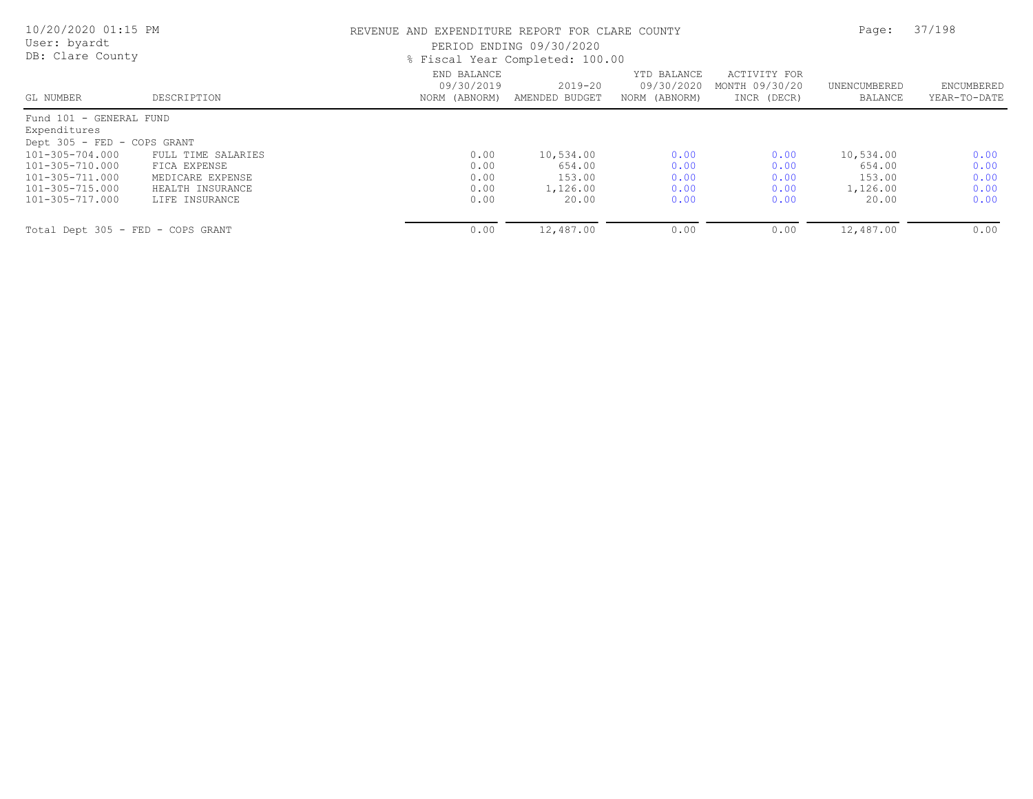| 10/20/2020 01:15 PM<br>User: byardt<br>DB: Clare County                                                                                            |                                                                            |                                            | REVENUE AND EXPENDITURE REPORT FOR CLARE COUNTY<br>PERIOD ENDING 09/30/2020<br>% Fiscal Year Completed: 100.00 |                                            |                                               |                                           |                              |
|----------------------------------------------------------------------------------------------------------------------------------------------------|----------------------------------------------------------------------------|--------------------------------------------|----------------------------------------------------------------------------------------------------------------|--------------------------------------------|-----------------------------------------------|-------------------------------------------|------------------------------|
| GL NUMBER                                                                                                                                          | DESCRIPTION                                                                | END BALANCE<br>09/30/2019<br>NORM (ABNORM) | $2019 - 20$<br>AMENDED BUDGET                                                                                  | YTD BALANCE<br>09/30/2020<br>NORM (ABNORM) | ACTIVITY FOR<br>MONTH 09/30/20<br>INCR (DECR) | UNENCUMBERED<br>BALANCE                   | ENCUMBERED<br>YEAR-TO-DATE   |
| Fund 101 - GENERAL FUND<br>Expenditures<br>Dept 305 - FED - COPS GRANT<br>101-305-704.000<br>101-305-710.000<br>101-305-711.000<br>101-305-715.000 | FULL TIME SALARIES<br>FICA EXPENSE<br>MEDICARE EXPENSE<br>HEALTH INSURANCE | 0.00<br>0.00<br>0.00<br>0.00               | 10,534.00<br>654.00<br>153.00<br>1,126.00                                                                      | 0.00<br>0.00<br>0.00<br>0.00               | 0.00<br>0.00<br>0.00<br>0.00                  | 10,534.00<br>654.00<br>153.00<br>1,126.00 | 0.00<br>0.00<br>0.00<br>0.00 |
| 101-305-717.000                                                                                                                                    | LIFE INSURANCE                                                             | 0.00                                       | 20.00                                                                                                          | 0.00                                       | 0.00                                          | 20.00                                     | 0.00                         |
| Total Dept 305 - FED - COPS GRANT                                                                                                                  |                                                                            | 0.00                                       | 12,487.00                                                                                                      | 0.00                                       | 0.00                                          | 12,487.00                                 | 0.00                         |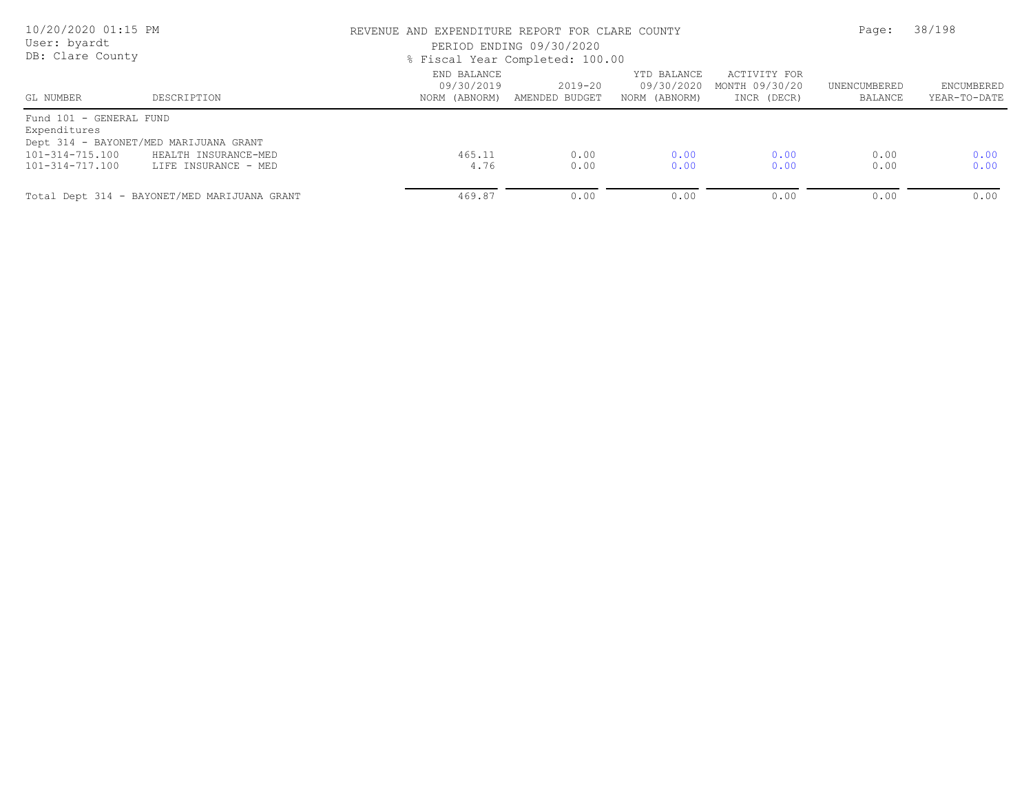| 10/20/2020 01:15 PM<br>User: byardt<br>DB: Clare County |                                              | REVENUE AND EXPENDITURE REPORT FOR CLARE COUNTY<br>PERIOD ENDING 09/30/2020<br>% Fiscal Year Completed: 100.00 |                           | Page:                                      | 38/198                                        |                         |                                   |
|---------------------------------------------------------|----------------------------------------------|----------------------------------------------------------------------------------------------------------------|---------------------------|--------------------------------------------|-----------------------------------------------|-------------------------|-----------------------------------|
| GL NUMBER                                               | DESCRIPTION                                  | END BALANCE<br>09/30/2019<br>NORM (ABNORM)                                                                     | 2019-20<br>AMENDED BUDGET | YTD BALANCE<br>09/30/2020<br>NORM (ABNORM) | ACTIVITY FOR<br>MONTH 09/30/20<br>INCR (DECR) | UNENCUMBERED<br>BALANCE | <b>ENCUMBERED</b><br>YEAR-TO-DATE |
| Fund 101 - GENERAL FUND<br>Expenditures                 |                                              |                                                                                                                |                           |                                            |                                               |                         |                                   |
| Dept 314 - BAYONET/MED MARIJUANA GRANT                  |                                              |                                                                                                                |                           |                                            |                                               |                         |                                   |
| 101-314-715.100                                         | HEALTH INSURANCE-MED                         | 465.11                                                                                                         | 0.00                      | 0.00                                       | 0.00                                          | 0.00                    | 0.00                              |
| 101-314-717.100                                         | LIFE INSURANCE - MED                         | 4.76                                                                                                           | 0.00                      | 0.00                                       | 0.00                                          | 0.00                    | 0.00                              |
|                                                         | Total Dept 314 - BAYONET/MED MARIJUANA GRANT | 469.87                                                                                                         | 0.00                      | 0.00                                       | 0.00                                          | 0.00                    | 0.00                              |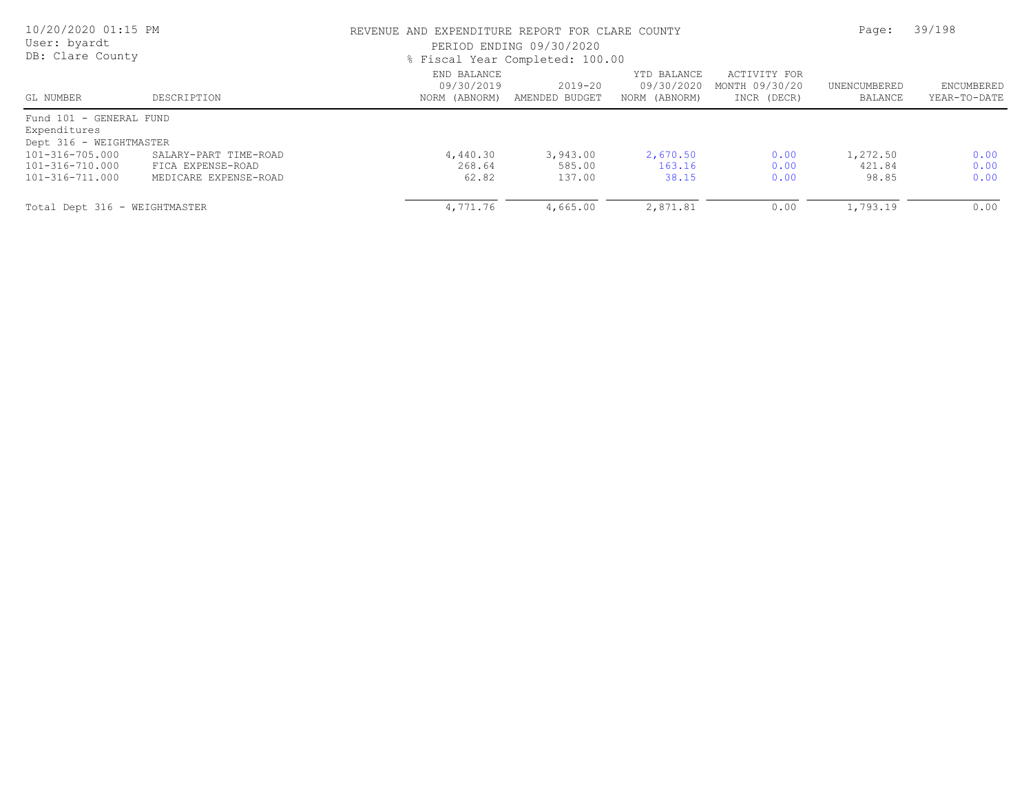| 10/20/2020 01:15 PM<br>User: byardt<br>DB: Clare County |                       | REVENUE AND EXPENDITURE REPORT FOR CLARE COUNTY<br>PERIOD ENDING 09/30/2020<br>% Fiscal Year Completed: 100.00 |                               | Page:                                      | 39/198                                        |                         |                            |
|---------------------------------------------------------|-----------------------|----------------------------------------------------------------------------------------------------------------|-------------------------------|--------------------------------------------|-----------------------------------------------|-------------------------|----------------------------|
| GL NUMBER                                               | DESCRIPTION           | END BALANCE<br>09/30/2019<br>NORM (ABNORM)                                                                     | $2019 - 20$<br>AMENDED BUDGET | YTD BALANCE<br>09/30/2020<br>NORM (ABNORM) | ACTIVITY FOR<br>MONTH 09/30/20<br>INCR (DECR) | UNENCUMBERED<br>BALANCE | ENCUMBERED<br>YEAR-TO-DATE |
| Fund 101 - GENERAL FUND                                 |                       |                                                                                                                |                               |                                            |                                               |                         |                            |
| Expenditures<br>Dept 316 - WEIGHTMASTER                 |                       |                                                                                                                |                               |                                            |                                               |                         |                            |
| 101-316-705.000                                         | SALARY-PART TIME-ROAD | 4,440.30                                                                                                       | 3,943.00                      | 2,670.50                                   | 0.00                                          | 1,272.50                | 0.00                       |
| 101-316-710.000                                         | FICA EXPENSE-ROAD     | 268.64                                                                                                         | 585.00                        | 163.16                                     | 0.00                                          | 421.84                  | 0.00                       |
| 101-316-711.000                                         | MEDICARE EXPENSE-ROAD | 62.82                                                                                                          | 137.00                        | 38.15                                      | 0.00                                          | 98.85                   | 0.00                       |
| Total Dept 316 - WEIGHTMASTER                           |                       | 4,771.76                                                                                                       | 4,665.00                      | 2,871.81                                   | 0.00                                          | 1,793.19                | 0.00                       |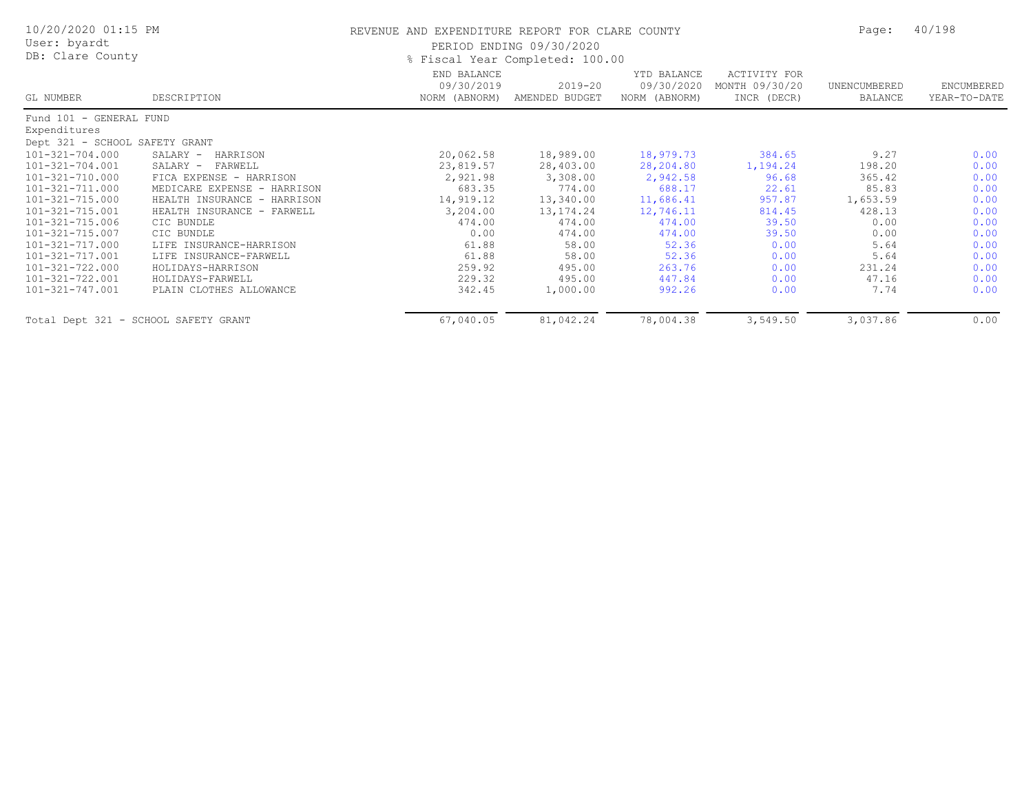| 10/20/2020 01:15 PM                  |                             | REVENUE AND EXPENDITURE REPORT FOR CLARE COUNTY | Page:                           | 40/198                                     |                                               |                         |                            |
|--------------------------------------|-----------------------------|-------------------------------------------------|---------------------------------|--------------------------------------------|-----------------------------------------------|-------------------------|----------------------------|
| User: byardt                         |                             |                                                 | PERIOD ENDING 09/30/2020        |                                            |                                               |                         |                            |
| DB: Clare County                     |                             |                                                 | % Fiscal Year Completed: 100.00 |                                            |                                               |                         |                            |
| GL NUMBER                            | DESCRIPTION                 | END BALANCE<br>09/30/2019<br>NORM (ABNORM)      | $2019 - 20$<br>AMENDED BUDGET   | YTD BALANCE<br>09/30/2020<br>NORM (ABNORM) | ACTIVITY FOR<br>MONTH 09/30/20<br>INCR (DECR) | UNENCUMBERED<br>BALANCE | ENCUMBERED<br>YEAR-TO-DATE |
| Fund 101 - GENERAL FUND              |                             |                                                 |                                 |                                            |                                               |                         |                            |
| Expenditures                         |                             |                                                 |                                 |                                            |                                               |                         |                            |
| Dept 321 - SCHOOL SAFETY GRANT       |                             |                                                 |                                 |                                            |                                               |                         |                            |
| 101-321-704.000                      | SALARY -<br>HARRISON        | 20,062.58                                       | 18,989.00                       | 18,979.73                                  | 384.65                                        | 9.27                    | 0.00                       |
| 101-321-704.001                      | SALARY -<br>FARWELL         | 23,819.57                                       | 28,403.00                       | 28,204.80                                  | 1,194.24                                      | 198.20                  | 0.00                       |
| 101-321-710.000                      | FICA EXPENSE - HARRISON     | 2,921.98                                        | 3,308.00                        | 2,942.58                                   | 96.68                                         | 365.42                  | 0.00                       |
| 101-321-711.000                      | MEDICARE EXPENSE - HARRISON | 683.35                                          | 774.00                          | 688.17                                     | 22.61                                         | 85.83                   | 0.00                       |
| 101-321-715.000                      | HEALTH INSURANCE - HARRISON | 14,919.12                                       | 13,340.00                       | 11,686.41                                  | 957.87                                        | 1,653.59                | 0.00                       |
| 101-321-715.001                      | HEALTH INSURANCE - FARWELL  | 3,204.00                                        | 13, 174. 24                     | 12,746.11                                  | 814.45                                        | 428.13                  | 0.00                       |
| 101-321-715.006                      | CIC BUNDLE                  | 474.00                                          | 474.00                          | 474.00                                     | 39.50                                         | 0.00                    | 0.00                       |
| 101-321-715.007                      | CIC BUNDLE                  | 0.00                                            | 474.00                          | 474.00                                     | 39.50                                         | 0.00                    | 0.00                       |
| 101-321-717.000                      | LIFE INSURANCE-HARRISON     | 61.88                                           | 58.00                           | 52.36                                      | 0.00                                          | 5.64                    | 0.00                       |
| 101-321-717.001                      | LIFE INSURANCE-FARWELL      | 61.88                                           | 58.00                           | 52.36                                      | 0.00                                          | 5.64                    | 0.00                       |
| 101-321-722.000                      | HOLIDAYS-HARRISON           | 259.92                                          | 495.00                          | 263.76                                     | 0.00                                          | 231.24                  | 0.00                       |
| 101-321-722.001                      | HOLIDAYS-FARWELL            | 229.32                                          | 495.00                          | 447.84                                     | 0.00                                          | 47.16                   | 0.00                       |
| 101-321-747.001                      | PLAIN CLOTHES ALLOWANCE     | 342.45                                          | 1,000.00                        | 992.26                                     | 0.00                                          | 7.74                    | 0.00                       |
| Total Dept 321 - SCHOOL SAFETY GRANT |                             | 67,040.05                                       | 81,042.24                       | 78,004.38                                  | 3,549.50                                      | 3,037.86                | 0.00                       |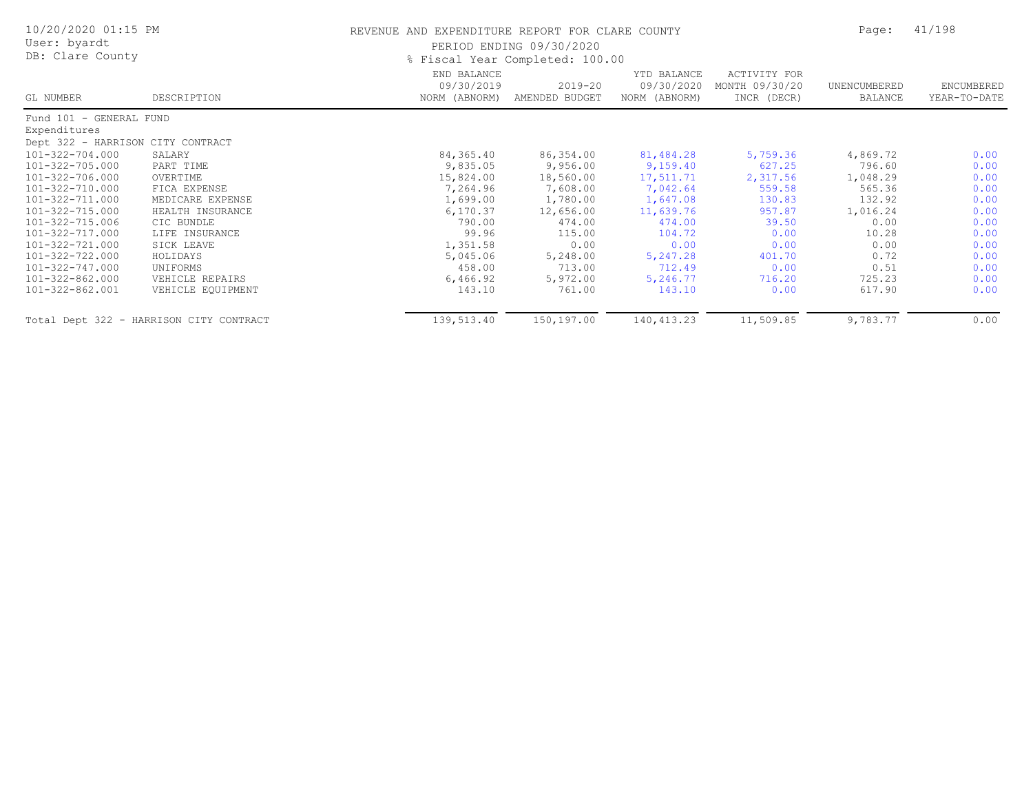| 10/20/2020 01:15 PM<br>User: byardt<br>DB: Clare County |                                         | REVENUE AND EXPENDITURE REPORT FOR CLARE COUNTY | PERIOD ENDING 09/30/2020<br>% Fiscal Year Completed: 100.00 |                                            |                                               | Page:                   | 41/198                     |
|---------------------------------------------------------|-----------------------------------------|-------------------------------------------------|-------------------------------------------------------------|--------------------------------------------|-----------------------------------------------|-------------------------|----------------------------|
| GL NUMBER                                               | DESCRIPTION                             | END BALANCE<br>09/30/2019<br>NORM (ABNORM)      | 2019-20<br>AMENDED BUDGET                                   | YTD BALANCE<br>09/30/2020<br>NORM (ABNORM) | ACTIVITY FOR<br>MONTH 09/30/20<br>INCR (DECR) | UNENCUMBERED<br>BALANCE | ENCUMBERED<br>YEAR-TO-DATE |
| Fund 101 - GENERAL FUND                                 |                                         |                                                 |                                                             |                                            |                                               |                         |                            |
| Expenditures                                            |                                         |                                                 |                                                             |                                            |                                               |                         |                            |
| Dept 322 - HARRISON CITY CONTRACT                       |                                         |                                                 |                                                             |                                            |                                               |                         |                            |
| 101-322-704.000                                         | SALARY                                  | 84,365.40                                       | 86,354.00                                                   | 81,484.28                                  | 5,759.36                                      | 4,869.72                | 0.00                       |
| 101-322-705.000                                         | PART TIME                               | 9,835.05                                        | 9,956.00                                                    | 9,159.40                                   | 627.25                                        | 796.60                  | 0.00                       |
| 101-322-706.000                                         | OVERTIME                                | 15,824.00                                       | 18,560.00                                                   | 17,511.71                                  | 2,317.56                                      | 1,048.29                | 0.00                       |
| 101-322-710.000                                         | FICA EXPENSE                            | 7,264.96                                        | 7,608.00                                                    | 7,042.64                                   | 559.58                                        | 565.36                  | 0.00                       |
| 101-322-711.000                                         | MEDICARE EXPENSE                        | 1,699.00                                        | 1,780.00                                                    | 1,647.08                                   | 130.83                                        | 132.92                  | 0.00                       |
| 101-322-715.000                                         | HEALTH INSURANCE                        | 6, 170.37                                       | 12,656.00                                                   | 11,639.76                                  | 957.87                                        | 1,016.24                | 0.00                       |
| 101-322-715.006                                         | CIC BUNDLE                              | 790.00                                          | 474.00                                                      | 474.00                                     | 39.50                                         | 0.00                    | 0.00                       |
| 101-322-717.000                                         | LIFE INSURANCE                          | 99.96                                           | 115.00                                                      | 104.72                                     | 0.00                                          | 10.28                   | 0.00                       |
| 101-322-721.000                                         | SICK LEAVE                              | 1,351.58                                        | 0.00                                                        | 0.00                                       | 0.00                                          | 0.00                    | 0.00                       |
| 101-322-722.000                                         | HOLIDAYS                                | 5,045.06                                        | 5,248.00                                                    | 5,247.28                                   | 401.70                                        | 0.72                    | 0.00                       |
| 101-322-747.000                                         | UNIFORMS                                | 458.00                                          | 713.00                                                      | 712.49                                     | 0.00                                          | 0.51                    | 0.00                       |
| 101-322-862.000                                         | VEHICLE REPAIRS                         | 6,466.92                                        | 5,972.00                                                    | 5,246.77                                   | 716.20                                        | 725.23                  | 0.00                       |
| 101-322-862.001                                         | VEHICLE EQUIPMENT                       | 143.10                                          | 761.00                                                      | 143.10                                     | 0.00                                          | 617.90                  | 0.00                       |
|                                                         | Total Dept 322 - HARRISON CITY CONTRACT | 139,513.40                                      | 150,197.00                                                  | 140, 413.23                                | 11,509.85                                     | 9,783.77                | 0.00                       |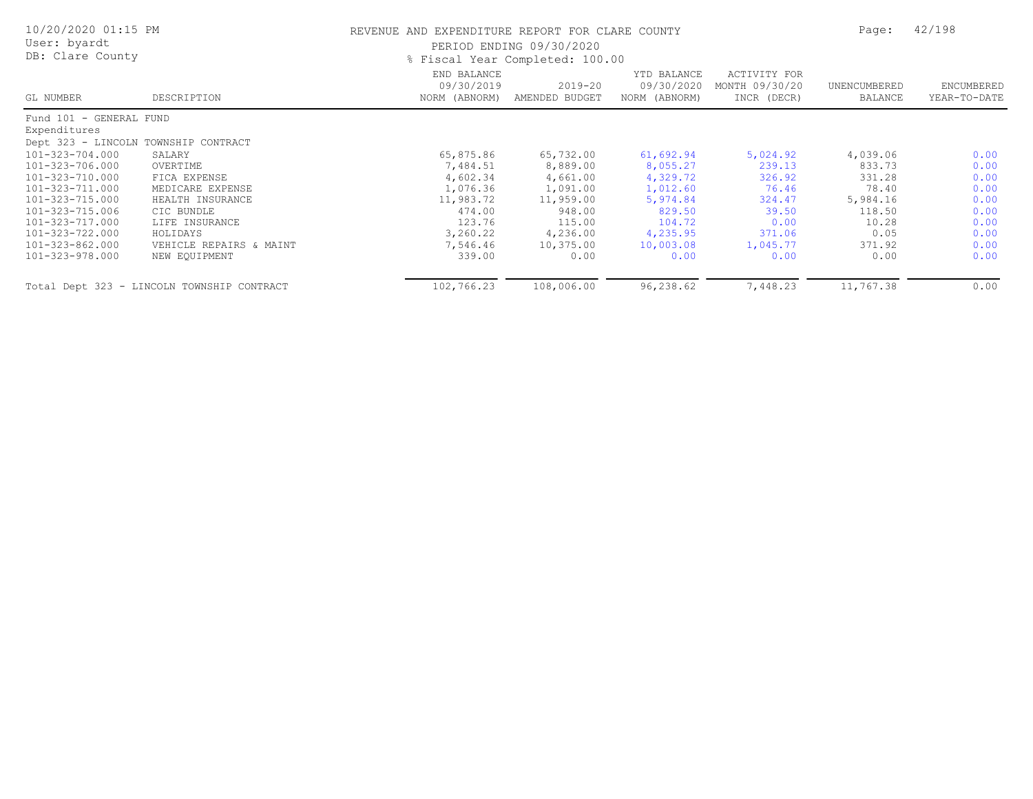| 10/20/2020 01:15 PM<br>User: byardt<br>DB: Clare County |                                            | REVENUE AND EXPENDITURE REPORT FOR CLARE COUNTY<br>PERIOD ENDING 09/30/2020<br>% Fiscal Year Completed: 100.00 |                           |                                            |                                                      |                         | 42/198                     |  |
|---------------------------------------------------------|--------------------------------------------|----------------------------------------------------------------------------------------------------------------|---------------------------|--------------------------------------------|------------------------------------------------------|-------------------------|----------------------------|--|
| GL NUMBER                                               | DESCRIPTION                                | END BALANCE<br>09/30/2019<br>NORM (ABNORM)                                                                     | 2019-20<br>AMENDED BUDGET | YTD BALANCE<br>09/30/2020<br>NORM (ABNORM) | <b>ACTIVITY FOR</b><br>MONTH 09/30/20<br>INCR (DECR) | UNENCUMBERED<br>BALANCE | ENCUMBERED<br>YEAR-TO-DATE |  |
| Fund 101 - GENERAL FUND                                 |                                            |                                                                                                                |                           |                                            |                                                      |                         |                            |  |
| Expenditures                                            |                                            |                                                                                                                |                           |                                            |                                                      |                         |                            |  |
| Dept 323 - LINCOLN TOWNSHIP CONTRACT                    |                                            |                                                                                                                |                           |                                            |                                                      |                         |                            |  |
| 101-323-704.000                                         | SALARY                                     | 65,875.86                                                                                                      | 65,732.00                 | 61,692.94                                  | 5,024.92                                             | 4,039.06                | 0.00                       |  |
| 101-323-706.000                                         | OVERTIME                                   | 7,484.51                                                                                                       | 8,889.00                  | 8,055.27                                   | 239.13                                               | 833.73                  | 0.00                       |  |
| 101-323-710.000                                         | FICA EXPENSE                               | 4,602.34                                                                                                       | 4,661.00                  | 4,329.72                                   | 326.92                                               | 331.28                  | 0.00                       |  |
| 101-323-711.000                                         | MEDICARE EXPENSE                           | 1,076.36                                                                                                       | 1,091.00                  | 1,012.60                                   | 76.46                                                | 78.40                   | 0.00                       |  |
| 101-323-715.000                                         | HEALTH INSURANCE                           | 11,983.72                                                                                                      | 11,959.00                 | 5,974.84                                   | 324.47                                               | 5,984.16                | 0.00                       |  |
| 101-323-715.006                                         | CIC BUNDLE                                 | 474.00                                                                                                         | 948.00                    | 829.50                                     | 39.50                                                | 118.50                  | 0.00                       |  |
| 101-323-717.000                                         | LIFE INSURANCE                             | 123.76                                                                                                         | 115.00                    | 104.72                                     | 0.00                                                 | 10.28                   | 0.00                       |  |
| 101-323-722.000                                         | HOLIDAYS                                   | 3,260.22                                                                                                       | 4,236.00                  | 4,235.95                                   | 371.06                                               | 0.05                    | 0.00                       |  |
| 101-323-862.000                                         | VEHICLE REPAIRS & MAINT                    | 7,546.46                                                                                                       | 10,375.00                 | 10,003.08                                  | 1,045.77                                             | 371.92                  | 0.00                       |  |
| 101-323-978.000                                         | NEW EQUIPMENT                              | 339.00                                                                                                         | 0.00                      | 0.00                                       | 0.00                                                 | 0.00                    | 0.00                       |  |
|                                                         | Total Dept 323 - LINCOLN TOWNSHIP CONTRACT | 102,766.23                                                                                                     | 108,006.00                | 96,238.62                                  | 7,448.23                                             | 11,767.38               | 0.00                       |  |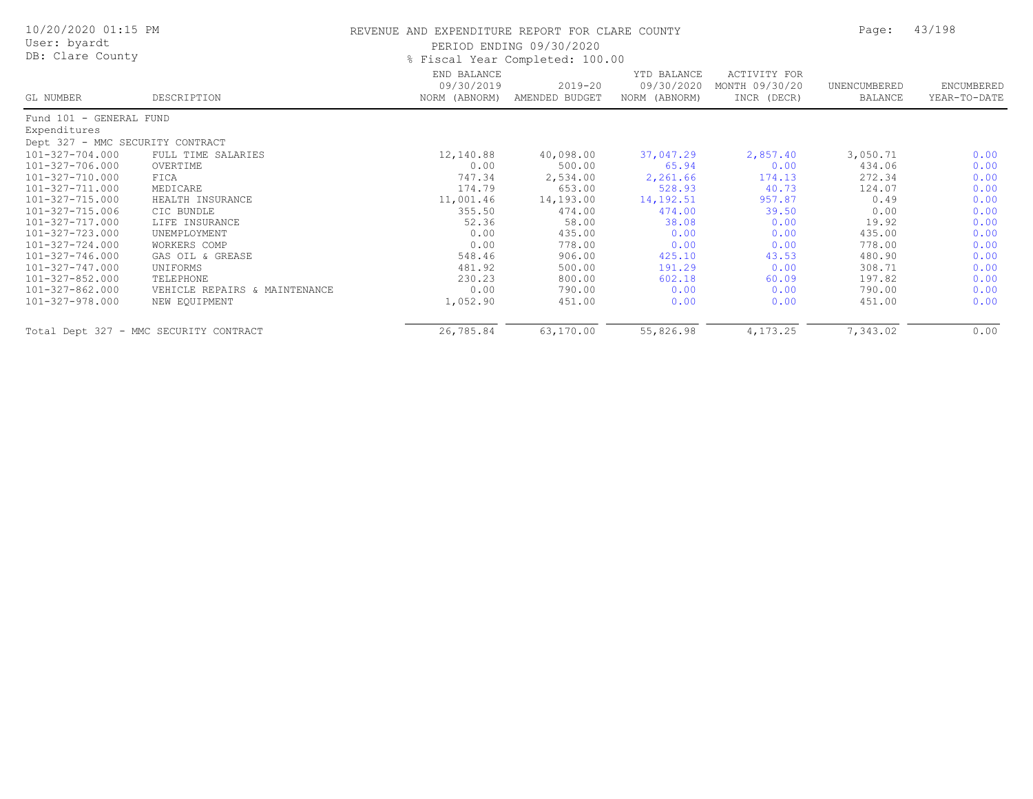| 10/20/2020 01:15 PM<br>User: byardt<br>DB: Clare County |                                        | REVENUE AND EXPENDITURE REPORT FOR CLARE COUNTY | PERIOD ENDING 09/30/2020<br>% Fiscal Year Completed: 100.00 |                                            |                                               | Page:                   | 43/198                     |
|---------------------------------------------------------|----------------------------------------|-------------------------------------------------|-------------------------------------------------------------|--------------------------------------------|-----------------------------------------------|-------------------------|----------------------------|
| GL NUMBER                                               | DESCRIPTION                            | END BALANCE<br>09/30/2019<br>NORM (ABNORM)      | $2019 - 20$<br>AMENDED BUDGET                               | YTD BALANCE<br>09/30/2020<br>NORM (ABNORM) | ACTIVITY FOR<br>MONTH 09/30/20<br>INCR (DECR) | UNENCUMBERED<br>BALANCE | ENCUMBERED<br>YEAR-TO-DATE |
| Fund 101 - GENERAL FUND                                 |                                        |                                                 |                                                             |                                            |                                               |                         |                            |
| Expenditures                                            |                                        |                                                 |                                                             |                                            |                                               |                         |                            |
| Dept 327 - MMC SECURITY CONTRACT                        |                                        |                                                 |                                                             |                                            |                                               |                         |                            |
| 101-327-704.000                                         | FULL TIME SALARIES                     | 12,140.88                                       | 40,098.00                                                   | 37,047.29                                  | 2,857.40                                      | 3,050.71                | 0.00                       |
| 101-327-706.000                                         | OVERTIME                               | 0.00                                            | 500.00                                                      | 65.94                                      | 0.00                                          | 434.06                  | 0.00                       |
| 101-327-710.000                                         | FICA                                   | 747.34                                          | 2,534.00                                                    | 2,261.66                                   | 174.13                                        | 272.34                  | 0.00                       |
| 101-327-711.000                                         | MEDICARE                               | 174.79                                          | 653.00                                                      | 528.93                                     | 40.73                                         | 124.07                  | 0.00                       |
| 101-327-715.000                                         | HEALTH INSURANCE                       | 11,001.46                                       | 14,193.00                                                   | 14, 192.51                                 | 957.87                                        | 0.49                    | 0.00                       |
| 101-327-715.006                                         | CIC BUNDLE                             | 355.50                                          | 474.00                                                      | 474.00                                     | 39.50                                         | 0.00                    | 0.00                       |
| 101-327-717.000                                         | LIFE INSURANCE                         | 52.36                                           | 58.00                                                       | 38.08                                      | 0.00                                          | 19.92                   | 0.00                       |
| 101-327-723.000                                         | UNEMPLOYMENT                           | 0.00                                            | 435.00                                                      | 0.00                                       | 0.00                                          | 435.00                  | 0.00                       |
| 101-327-724.000                                         | WORKERS COMP                           | 0.00                                            | 778.00                                                      | 0.00                                       | 0.00                                          | 778.00                  | 0.00                       |
| 101-327-746.000                                         | GAS OIL & GREASE                       | 548.46                                          | 906.00                                                      | 425.10                                     | 43.53                                         | 480.90                  | 0.00                       |
| 101-327-747.000                                         | UNIFORMS                               | 481.92                                          | 500.00                                                      | 191.29                                     | 0.00                                          | 308.71                  | 0.00                       |
| 101-327-852.000                                         | TELEPHONE                              | 230.23                                          | 800.00                                                      | 602.18                                     | 60.09                                         | 197.82                  | 0.00                       |
| 101-327-862.000                                         | VEHICLE REPAIRS & MAINTENANCE          | 0.00                                            | 790.00                                                      | 0.00                                       | 0.00                                          | 790.00                  | 0.00                       |
| 101-327-978.000                                         | NEW EQUIPMENT                          | 1,052.90                                        | 451.00                                                      | 0.00                                       | 0.00                                          | 451.00                  | 0.00                       |
|                                                         | Total Dept 327 - MMC SECURITY CONTRACT | 26,785.84                                       | 63,170.00                                                   | 55,826.98                                  | 4,173.25                                      | 7,343.02                | 0.00                       |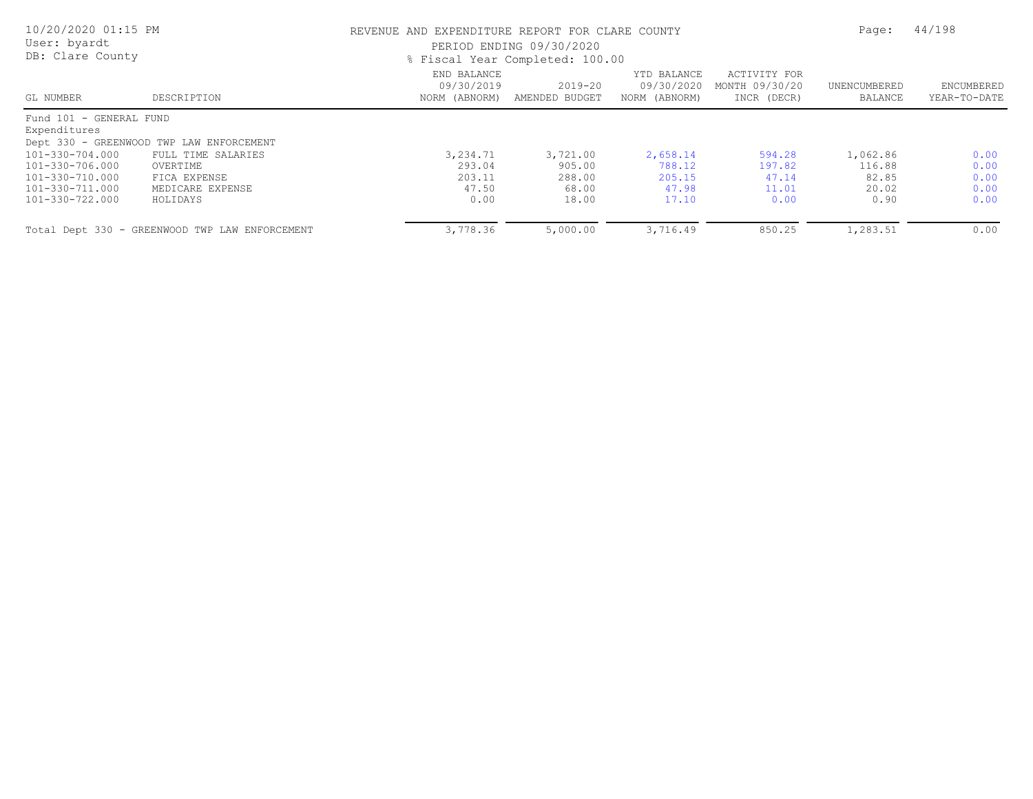| 10/20/2020 01:15 PM<br>User: byardt<br>DB: Clare County                  |                                                                    | REVENUE AND EXPENDITURE REPORT FOR CLARE COUNTY<br>PERIOD ENDING 09/30/2020<br>% Fiscal Year Completed: 100.00 | Page:                                 | 44/198                                     |                                               |                                      |                              |
|--------------------------------------------------------------------------|--------------------------------------------------------------------|----------------------------------------------------------------------------------------------------------------|---------------------------------------|--------------------------------------------|-----------------------------------------------|--------------------------------------|------------------------------|
| GL NUMBER                                                                | DESCRIPTION                                                        | END BALANCE<br>09/30/2019<br>NORM (ABNORM)                                                                     | $2019 - 20$<br>AMENDED BUDGET         | YTD BALANCE<br>09/30/2020<br>NORM (ABNORM) | ACTIVITY FOR<br>MONTH 09/30/20<br>INCR (DECR) | UNENCUMBERED<br>BALANCE              | ENCUMBERED<br>YEAR-TO-DATE   |
| Fund 101 - GENERAL FUND<br>Expenditures                                  | Dept 330 - GREENWOOD TWP LAW ENFORCEMENT                           |                                                                                                                |                                       |                                            |                                               |                                      |                              |
| 101-330-704.000<br>101-330-706.000<br>101-330-710.000<br>101-330-711.000 | FULL TIME SALARIES<br>OVERTIME<br>FICA EXPENSE<br>MEDICARE EXPENSE | 3,234.71<br>293.04<br>203.11<br>47.50                                                                          | 3,721.00<br>905.00<br>288.00<br>68.00 | 2,658.14<br>788.12<br>205.15<br>47.98      | 594.28<br>197.82<br>47.14<br>11.01            | 1,062.86<br>116.88<br>82.85<br>20.02 | 0.00<br>0.00<br>0.00<br>0.00 |
| 101-330-722.000                                                          | HOLIDAYS                                                           | 0.00                                                                                                           | 18.00                                 | 17.10                                      | 0.00                                          | 0.90                                 | 0.00                         |
|                                                                          | Total Dept 330 - GREENWOOD TWP LAW ENFORCEMENT                     | 3,778.36                                                                                                       | 5,000.00                              | 3,716.49                                   | 850.25                                        | 1,283.51                             | 0.00                         |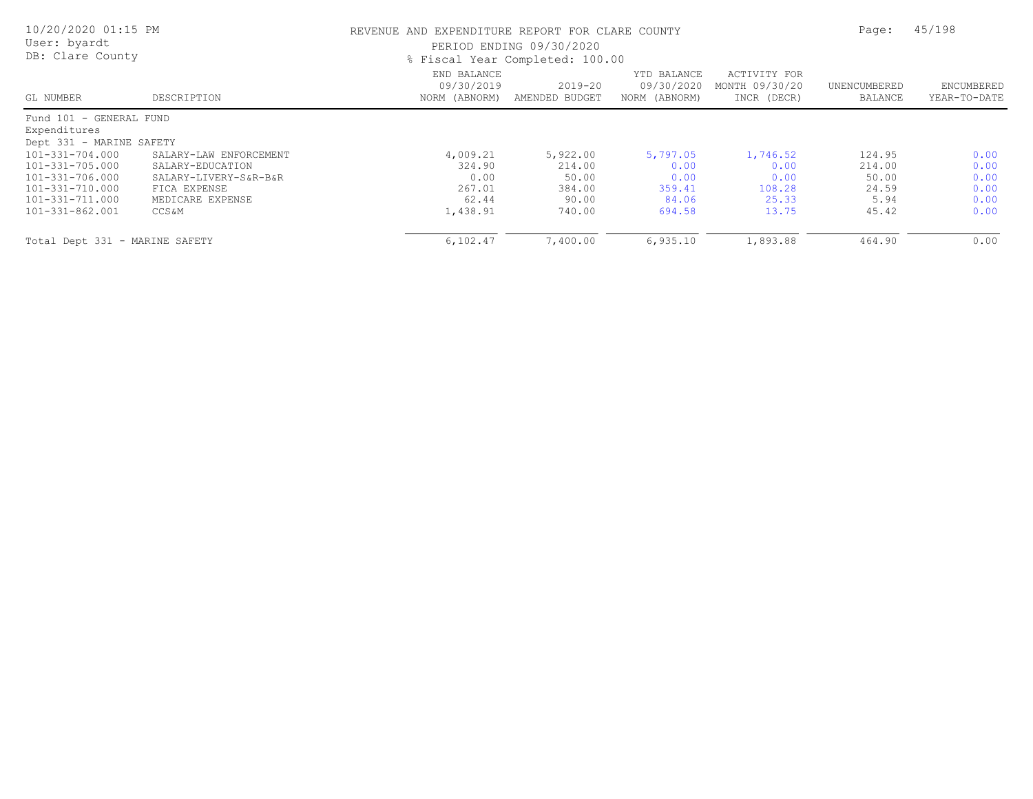| 10/20/2020 01:15 PM<br>User: byardt<br>DB: Clare County |                        |                                            | REVENUE AND EXPENDITURE REPORT FOR CLARE COUNTY<br>PERIOD ENDING 09/30/2020<br>% Fiscal Year Completed: 100.00 |                                            |                                               |                         |                            |
|---------------------------------------------------------|------------------------|--------------------------------------------|----------------------------------------------------------------------------------------------------------------|--------------------------------------------|-----------------------------------------------|-------------------------|----------------------------|
| GL NUMBER                                               | DESCRIPTION            | END BALANCE<br>09/30/2019<br>NORM (ABNORM) | 2019-20<br>AMENDED BUDGET                                                                                      | YTD BALANCE<br>09/30/2020<br>NORM (ABNORM) | ACTIVITY FOR<br>MONTH 09/30/20<br>INCR (DECR) | UNENCUMBERED<br>BALANCE | ENCUMBERED<br>YEAR-TO-DATE |
| Fund 101 - GENERAL FUND                                 |                        |                                            |                                                                                                                |                                            |                                               |                         |                            |
| Expenditures                                            |                        |                                            |                                                                                                                |                                            |                                               |                         |                            |
| Dept 331 - MARINE SAFETY                                |                        |                                            |                                                                                                                |                                            |                                               |                         |                            |
| 101-331-704.000                                         | SALARY-LAW ENFORCEMENT | 4,009.21                                   | 5,922.00                                                                                                       | 5,797.05                                   | 1,746.52                                      | 124.95                  | 0.00                       |
| 101-331-705.000                                         | SALARY-EDUCATION       | 324.90                                     | 214.00                                                                                                         | 0.00                                       | 0.00                                          | 214.00                  | 0.00                       |
| 101-331-706.000                                         | SALARY-LIVERY-S&R-B&R  | 0.00                                       | 50.00                                                                                                          | 0.00                                       | 0.00                                          | 50.00                   | 0.00                       |
| 101-331-710.000                                         | FICA EXPENSE           | 267.01                                     | 384.00                                                                                                         | 359.41                                     | 108.28                                        | 24.59                   | 0.00                       |
| 101-331-711.000                                         | MEDICARE EXPENSE       | 62.44                                      | 90.00                                                                                                          | 84.06                                      | 25.33                                         | 5.94                    | 0.00                       |
| 101-331-862.001                                         | CCS &M                 | 1,438.91                                   | 740.00                                                                                                         | 694.58                                     | 13.75                                         | 45.42                   | 0.00                       |
| Total Dept 331 - MARINE SAFETY                          |                        | 6,102.47                                   | 7,400.00                                                                                                       | 6,935.10                                   | 1,893.88                                      | 464.90                  | 0.00                       |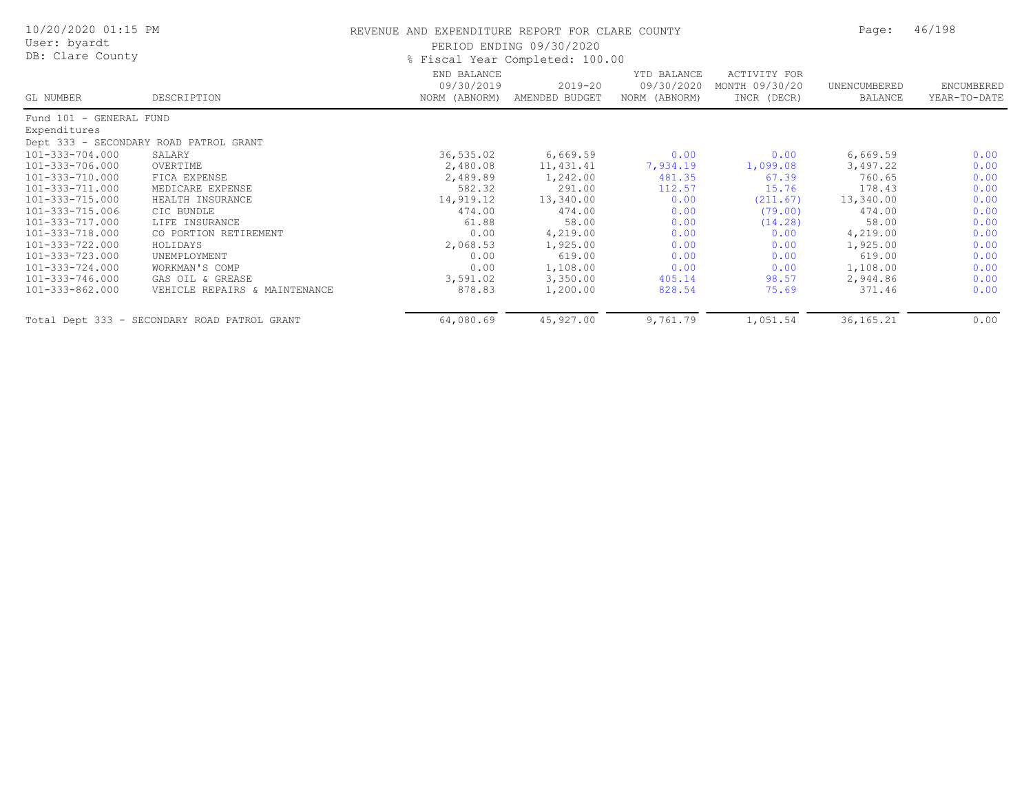| 10/20/2020 01:15 PM     |                                              | REVENUE AND EXPENDITURE REPORT FOR CLARE COUNTY | Page:                         | 46/198                                     |                                               |                         |                            |
|-------------------------|----------------------------------------------|-------------------------------------------------|-------------------------------|--------------------------------------------|-----------------------------------------------|-------------------------|----------------------------|
| User: byardt            |                                              | PERIOD ENDING 09/30/2020                        |                               |                                            |                                               |                         |                            |
| DB: Clare County        |                                              |                                                 |                               |                                            |                                               |                         |                            |
| GL NUMBER               | DESCRIPTION                                  | END BALANCE<br>09/30/2019<br>NORM (ABNORM)      | $2019 - 20$<br>AMENDED BUDGET | YTD BALANCE<br>09/30/2020<br>NORM (ABNORM) | ACTIVITY FOR<br>MONTH 09/30/20<br>INCR (DECR) | UNENCUMBERED<br>BALANCE | ENCUMBERED<br>YEAR-TO-DATE |
| Fund 101 - GENERAL FUND |                                              |                                                 |                               |                                            |                                               |                         |                            |
| Expenditures            |                                              |                                                 |                               |                                            |                                               |                         |                            |
|                         | Dept 333 - SECONDARY ROAD PATROL GRANT       |                                                 |                               |                                            |                                               |                         |                            |
| 101-333-704.000         | SALARY                                       | 36,535.02                                       | 6,669.59                      | 0.00                                       | 0.00                                          | 6,669.59                | 0.00                       |
| 101-333-706.000         | OVERTIME                                     | 2,480.08                                        | 11,431.41                     | 7,934.19                                   | 1,099.08                                      | 3,497.22                | 0.00                       |
| 101-333-710.000         | FICA EXPENSE                                 | 2,489.89                                        | 1,242.00                      | 481.35                                     | 67.39                                         | 760.65                  | 0.00                       |
| 101-333-711.000         | MEDICARE EXPENSE                             | 582.32                                          | 291.00                        | 112.57                                     | 15.76                                         | 178.43                  | 0.00                       |
| 101-333-715.000         | HEALTH INSURANCE                             | 14,919.12                                       | 13,340.00                     | 0.00                                       | (211.67)                                      | 13,340.00               | 0.00                       |
| 101-333-715.006         | CIC BUNDLE                                   | 474.00                                          | 474.00                        | 0.00                                       | (79.00)                                       | 474.00                  | 0.00                       |
| 101-333-717.000         | LIFE INSURANCE                               | 61.88                                           | 58.00                         | 0.00                                       | (14.28)                                       | 58.00                   | 0.00                       |
| 101-333-718.000         | CO PORTION RETIREMENT                        | 0.00                                            | 4,219.00                      | 0.00                                       | 0.00                                          | 4,219.00                | 0.00                       |
| 101-333-722.000         | HOLIDAYS                                     | 2,068.53                                        | 1,925.00                      | 0.00                                       | 0.00                                          | 1,925.00                | 0.00                       |
| 101-333-723.000         | UNEMPLOYMENT                                 | 0.00                                            | 619.00                        | 0.00                                       | 0.00                                          | 619.00                  | 0.00                       |
| 101-333-724.000         | WORKMAN'S COMP                               | 0.00                                            | 1,108.00                      | 0.00                                       | 0.00                                          | 1,108.00                | 0.00                       |
| 101-333-746.000         | GAS OIL & GREASE                             | 3,591.02                                        | 3,350.00                      | 405.14                                     | 98.57                                         | 2,944.86                | 0.00                       |
| 101-333-862.000         | VEHICLE REPAIRS & MAINTENANCE                | 878.83                                          | 1,200.00                      | 828.54                                     | 75.69                                         | 371.46                  | 0.00                       |
|                         | Total Dept 333 - SECONDARY ROAD PATROL GRANT | 64,080.69                                       | 45,927.00                     | 9,761.79                                   | 1,051.54                                      | 36, 165. 21             | 0.00                       |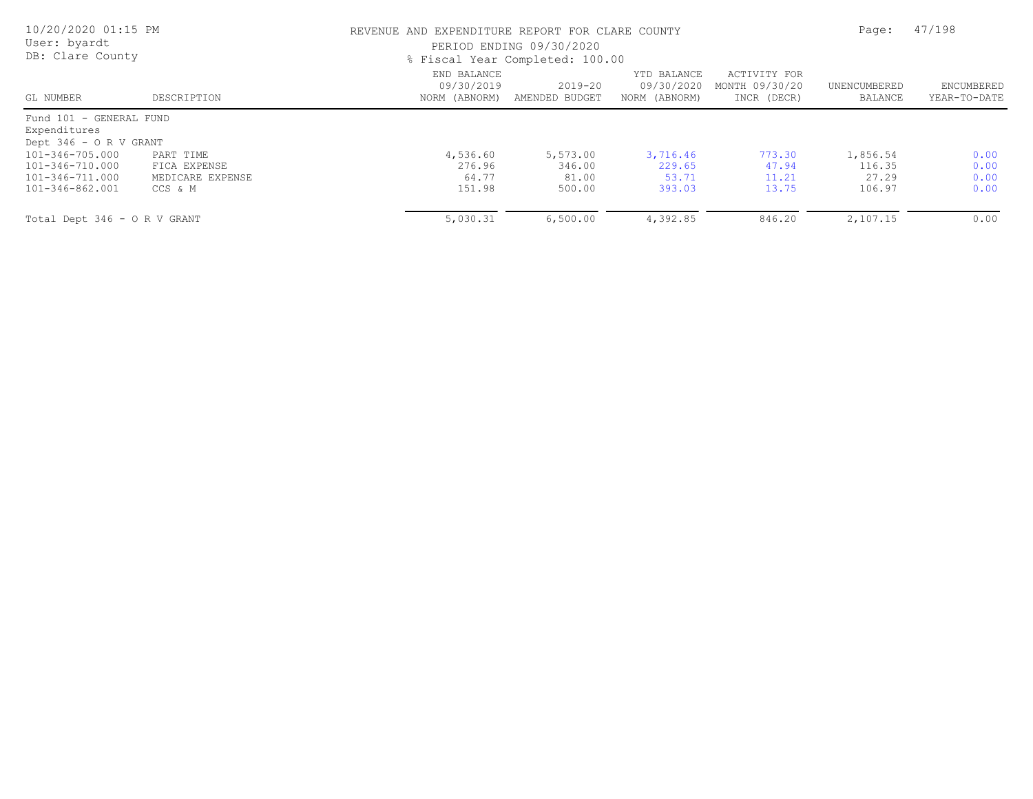| 10/20/2020 01:15 PM<br>User: byardt<br>DB: Clare County                  |                                                          |                                            | REVENUE AND EXPENDITURE REPORT FOR CLARE COUNTY<br>PERIOD ENDING 09/30/2020<br>% Fiscal Year Completed: 100.00 |                                            |                                               |                                       |                              |
|--------------------------------------------------------------------------|----------------------------------------------------------|--------------------------------------------|----------------------------------------------------------------------------------------------------------------|--------------------------------------------|-----------------------------------------------|---------------------------------------|------------------------------|
| GL NUMBER                                                                | DESCRIPTION                                              | END BALANCE<br>09/30/2019<br>NORM (ABNORM) | 2019-20<br>AMENDED BUDGET                                                                                      | YTD BALANCE<br>09/30/2020<br>NORM (ABNORM) | ACTIVITY FOR<br>MONTH 09/30/20<br>INCR (DECR) | UNENCUMBERED<br>BALANCE               | ENCUMBERED<br>YEAR-TO-DATE   |
| Fund 101 - GENERAL FUND<br>Expenditures<br>Dept 346 - O R V GRANT        |                                                          |                                            |                                                                                                                |                                            |                                               |                                       |                              |
| 101-346-705.000<br>101-346-710.000<br>101-346-711.000<br>101-346-862.001 | PART TIME<br>FICA EXPENSE<br>MEDICARE EXPENSE<br>CCS & M | 4,536.60<br>276.96<br>64.77<br>151.98      | 5,573.00<br>346.00<br>81.00<br>500.00                                                                          | 3,716.46<br>229.65<br>53.71<br>393.03      | 773.30<br>47.94<br>11.21<br>13.75             | 1,856.54<br>116.35<br>27.29<br>106.97 | 0.00<br>0.00<br>0.00<br>0.00 |
| Total Dept 346 - O R V GRANT                                             |                                                          | 5,030.31                                   | 6,500.00                                                                                                       | 4,392.85                                   | 846.20                                        | 2,107.15                              | 0.00                         |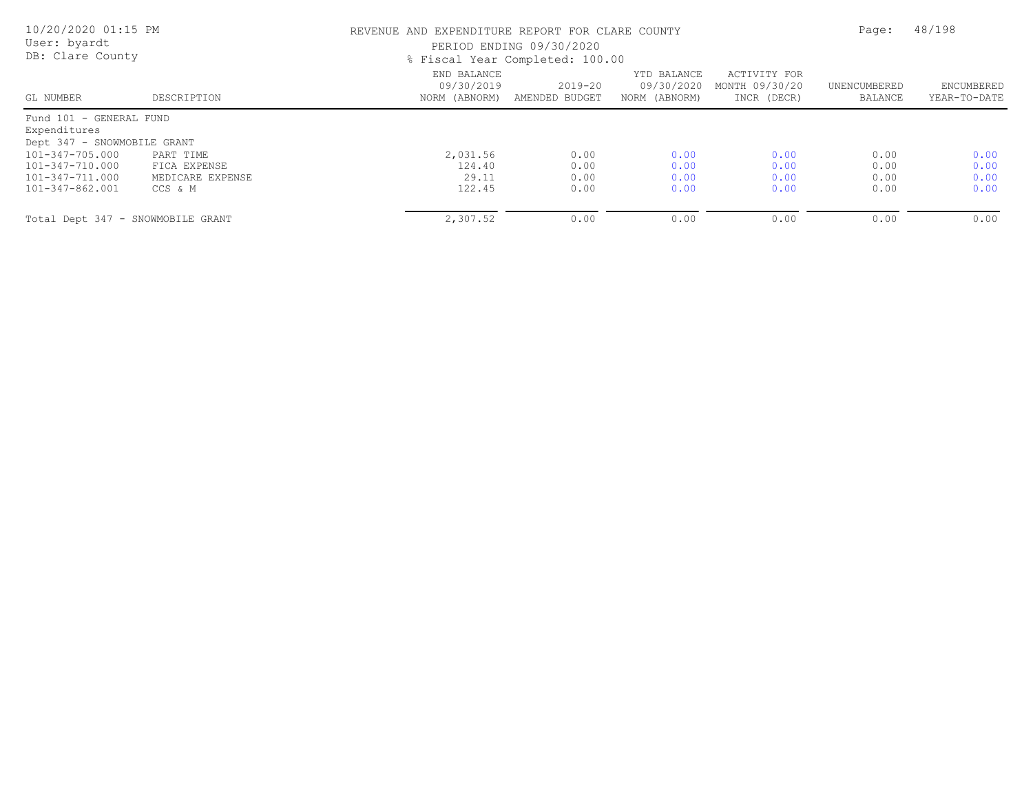| 10/20/2020 01:15 PM<br>User: byardt<br>DB: Clare County |                  |                                            | REVENUE AND EXPENDITURE REPORT FOR CLARE COUNTY<br>PERIOD ENDING 09/30/2020<br>% Fiscal Year Completed: 100.00 |                                            |                                               |                         |                            |
|---------------------------------------------------------|------------------|--------------------------------------------|----------------------------------------------------------------------------------------------------------------|--------------------------------------------|-----------------------------------------------|-------------------------|----------------------------|
| GL NUMBER                                               | DESCRIPTION      | END BALANCE<br>09/30/2019<br>NORM (ABNORM) | $2019 - 20$<br>AMENDED BUDGET                                                                                  | YTD BALANCE<br>09/30/2020<br>NORM (ABNORM) | ACTIVITY FOR<br>MONTH 09/30/20<br>INCR (DECR) | UNENCUMBERED<br>BALANCE | ENCUMBERED<br>YEAR-TO-DATE |
| Fund 101 - GENERAL FUND                                 |                  |                                            |                                                                                                                |                                            |                                               |                         |                            |
| Expenditures                                            |                  |                                            |                                                                                                                |                                            |                                               |                         |                            |
| Dept 347 - SNOWMOBILE GRANT                             |                  |                                            |                                                                                                                |                                            |                                               |                         |                            |
| 101-347-705.000                                         | PART TIME        | 2,031.56                                   | 0.00                                                                                                           | 0.00                                       | 0.00                                          | 0.00                    | 0.00                       |
| 101-347-710.000                                         | FICA EXPENSE     | 124.40                                     | 0.00                                                                                                           | 0.00                                       | 0.00                                          | 0.00                    | 0.00                       |
| 101-347-711.000                                         | MEDICARE EXPENSE | 29.11                                      | 0.00                                                                                                           | 0.00                                       | 0.00                                          | 0.00                    | 0.00                       |
| 101-347-862.001                                         | CCS & M          | 122.45                                     | 0.00                                                                                                           | 0.00                                       | 0.00                                          | 0.00                    | 0.00                       |
| Total Dept 347 - SNOWMOBILE GRANT                       |                  | 2,307.52                                   | 0.00                                                                                                           | 0.00                                       | 0.00                                          | 0.00                    | 0.00                       |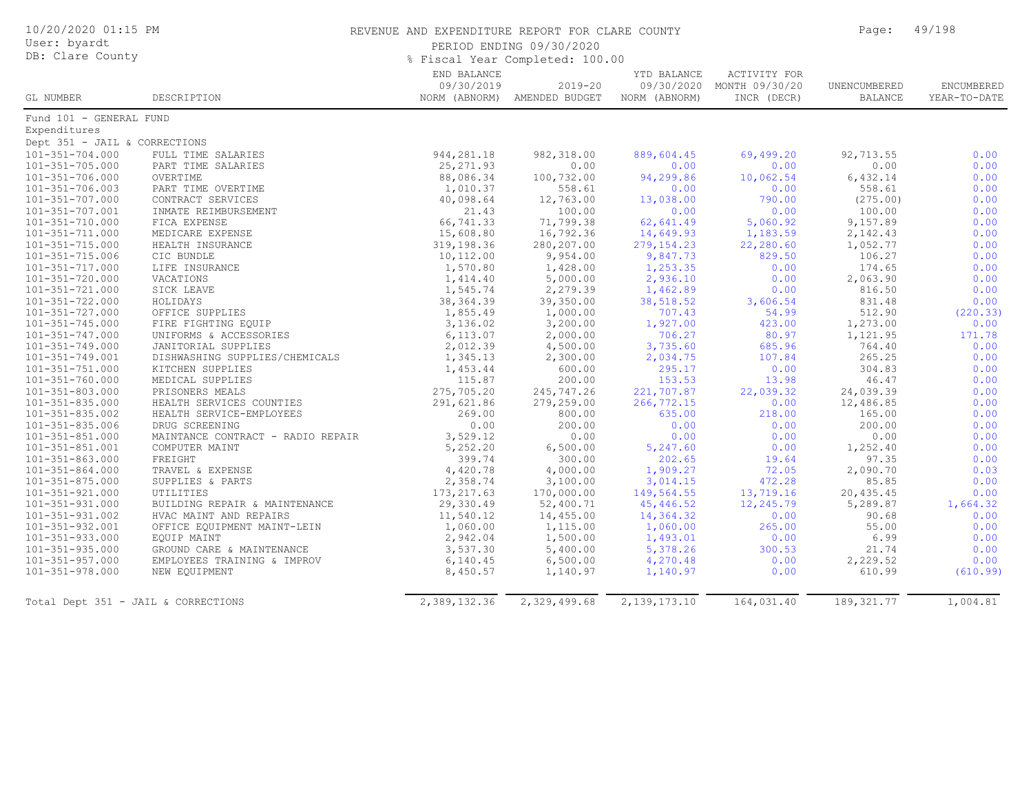| 10/20/2020 01:15 PM                 |                                   | REVENUE AND EXPENDITURE REPORT FOR CLARE COUNTY | Page:                        | 49/198              |                           |                |              |  |
|-------------------------------------|-----------------------------------|-------------------------------------------------|------------------------------|---------------------|---------------------------|----------------|--------------|--|
| User: byardt                        |                                   |                                                 | PERIOD ENDING 09/30/2020     |                     |                           |                |              |  |
| DB: Clare County                    |                                   |                                                 |                              |                     |                           |                |              |  |
|                                     |                                   | % Fiscal Year Completed: 100.00                 |                              | <b>ACTIVITY FOR</b> |                           |                |              |  |
|                                     |                                   | END BALANCE<br>09/30/2019                       | $2019 - 20$                  | YTD BALANCE         | 09/30/2020 MONTH 09/30/20 | UNENCUMBERED   | ENCUMBERED   |  |
| GL NUMBER                           | DESCRIPTION                       |                                                 | NORM (ABNORM) AMENDED BUDGET | NORM (ABNORM)       | INCR (DECR)               | <b>BALANCE</b> | YEAR-TO-DATE |  |
| Fund 101 - GENERAL FUND             |                                   |                                                 |                              |                     |                           |                |              |  |
| Expenditures                        |                                   |                                                 |                              |                     |                           |                |              |  |
| Dept 351 - JAIL & CORRECTIONS       |                                   |                                                 |                              |                     |                           |                |              |  |
| $101 - 351 - 704.000$               | FULL TIME SALARIES                | 944,281.18                                      | 982, 318.00                  | 889,604.45          | 69,499.20                 | 92,713.55      | 0.00         |  |
| $101 - 351 - 705.000$               | PART TIME SALARIES                | 25, 271.93                                      | 0.00                         | 0.00                | 0.00                      | 0.00           | 0.00         |  |
| $101 - 351 - 706.000$               | OVERTIME                          | 88,086.34                                       | 100,732.00                   | 94,299.86           | 10,062.54                 | 6,432.14       | 0.00         |  |
| $101 - 351 - 706.003$               | PART TIME OVERTIME                | 1,010.37                                        | 558.61                       | 0.00                | 0.00                      | 558.61         | 0.00         |  |
| $101 - 351 - 707.000$               | CONTRACT SERVICES                 | 40,098.64                                       | 12,763.00                    | 13,038.00           | 790.00                    | (275.00)       | 0.00         |  |
| 101-351-707.001                     | INMATE REIMBURSEMENT              | 21.43                                           | 100.00                       | 0.00                | 0.00                      | 100.00         | 0.00         |  |
| 101-351-710.000                     | FICA EXPENSE                      | 66,741.33                                       | 71,799.38                    | 62,641.49           | 5,060.92                  | 9,157.89       | 0.00         |  |
| 101-351-711.000                     | MEDICARE EXPENSE                  | 15,608.80                                       | 16,792.36                    | 14,649.93           | 1,183.59                  | 2,142.43       | 0.00         |  |
| 101-351-715.000                     | HEALTH INSURANCE                  | 319,198.36                                      | 280,207.00                   | 279, 154.23         | 22,280.60                 | 1,052.77       | 0.00         |  |
| $101 - 351 - 715.006$               | CIC BUNDLE                        | 10,112.00                                       | 9,954.00                     | 9,847.73            | 829.50                    | 106.27         | 0.00         |  |
| 101-351-717.000                     | LIFE INSURANCE                    | 1,570.80                                        | 1,428.00                     | 1,253.35            | 0.00                      | 174.65         | 0.00         |  |
| 101-351-720.000                     | VACATIONS                         | 1,414.40                                        | 5,000.00                     | 2,936.10            | 0.00                      | 2,063.90       | 0.00         |  |
| 101-351-721.000                     | SICK LEAVE                        | 1,545.74                                        | 2,279.39                     | 1,462.89            | 0.00                      | 816.50         | 0.00         |  |
| $101 - 351 - 722.000$               | HOLIDAYS                          | 38, 364.39                                      | 39,350.00                    | 38,518.52           | 3,606.54                  | 831.48         | 0.00         |  |
| $101 - 351 - 727.000$               | OFFICE SUPPLIES                   | 1,855.49                                        | 1,000.00                     | 707.43              | 54.99                     | 512.90         | (220.33)     |  |
| 101-351-745.000                     | FIRE FIGHTING EQUIP               | 3,136.02                                        | 3,200.00                     | 1,927.00            | 423.00                    | 1,273.00       | 0.00         |  |
| 101-351-747.000                     | UNIFORMS & ACCESSORIES            | 6, 113.07                                       | 2,000.00                     | 706.27              | 80.97                     | 1,121.95       | 171.78       |  |
| 101-351-749.000                     | JANITORIAL SUPPLIES               | 2,012.39                                        | 4,500.00                     | 3,735.60            | 685.96                    | 764.40         | 0.00         |  |
| 101-351-749.001                     | DISHWASHING SUPPLIES/CHEMICALS    | 1,345.13                                        | 2,300.00                     | 2,034.75            | 107.84                    | 265.25         | 0.00         |  |
| $101 - 351 - 751.000$               | KITCHEN SUPPLIES                  | 1,453.44                                        | 600.00                       | 295.17              | 0.00                      | 304.83         | 0.00         |  |
| $101 - 351 - 760.000$               | MEDICAL SUPPLIES                  | 115.87                                          | 200.00                       | 153.53              | 13.98                     | 46.47          | 0.00         |  |
| $101 - 351 - 803.000$               | PRISONERS MEALS                   | 275,705.20                                      | 245,747.26                   | 221,707.87          | 22,039.32                 | 24,039.39      | 0.00         |  |
| $101 - 351 - 835.000$               | HEALTH SERVICES COUNTIES          | 291,621.86                                      | 279,259.00                   | 266,772.15          | 0.00                      | 12,486.85      | 0.00         |  |
| 101-351-835.002                     | HEALTH SERVICE-EMPLOYEES          | 269.00                                          | 800.00                       | 635.00              | 218.00                    | 165.00         | 0.00         |  |
| $101 - 351 - 835.006$               | DRUG SCREENING                    | 0.00                                            | 200.00                       | 0.00                | 0.00                      | 200.00         | 0.00         |  |
| $101 - 351 - 851.000$               | MAINTANCE CONTRACT - RADIO REPAIR | 3,529.12                                        | 0.00                         | 0.00                | 0.00                      | 0.00           | 0.00         |  |
| 101-351-851.001                     | COMPUTER MAINT                    | 5,252.20                                        | 6,500.00                     | 5,247.60            | 0.00                      | 1,252.40       | 0.00         |  |
| $101 - 351 - 863.000$               | FREIGHT                           | 399.74                                          | 300.00                       | 202.65              | 19.64                     | 97.35          | 0.00         |  |
| $101 - 351 - 864.000$               | TRAVEL & EXPENSE                  | 4,420.78                                        | 4,000.00                     | 1,909.27            | 72.05                     | 2,090.70       | 0.03         |  |
| $101 - 351 - 875.000$               | SUPPLIES & PARTS                  | 2,358.74                                        | 3,100.00                     | 3,014.15            | 472.28                    | 85.85          | 0.00         |  |
| $101 - 351 - 921.000$               | UTILITIES                         | 173, 217.63                                     | 170,000.00                   | 149,564.55          | 13,719.16                 | 20,435.45      | 0.00         |  |
| 101-351-931.000                     | BUILDING REPAIR & MAINTENANCE     | 29,330.49                                       | 52,400.71                    | 45,446.52           | 12,245.79                 | 5,289.87       | 1,664.32     |  |
| 101-351-931.002                     | HVAC MAINT AND REPAIRS            | 11,540.12                                       | 14,455.00                    | 14,364.32           | 0.00                      | 90.68          | 0.00         |  |
| 101-351-932.001                     | OFFICE EQUIPMENT MAINT-LEIN       | 1,060.00                                        | 1,115.00                     | 1,060.00            | 265.00                    | 55.00          | 0.00         |  |
| 101-351-933.000                     | EQUIP MAINT                       | 2,942.04                                        | 1,500.00                     | 1,493.01            | 0.00                      | 6.99           | 0.00         |  |
| $101 - 351 - 935.000$               | GROUND CARE & MAINTENANCE         | 3,537.30                                        | 5,400.00                     | 5,378.26            | 300.53                    | 21.74          | 0.00         |  |
| $101 - 351 - 957.000$               | EMPLOYEES TRAINING & IMPROV       | 6, 140.45                                       | 6,500.00                     | 4,270.48            | 0.00                      | 2,229.52       | 0.00         |  |
| 101-351-978.000                     | NEW EQUIPMENT                     | 8,450.57                                        | 1,140.97                     | 1,140.97            | 0.00                      | 610.99         | (610.99)     |  |
|                                     |                                   |                                                 |                              |                     |                           |                |              |  |
| Total Dept 351 - JAIL & CORRECTIONS |                                   | 2,389,132.36                                    | 2,329,499.68                 | 2, 139, 173. 10     | 164,031.40                | 189, 321.77    | 1,004.81     |  |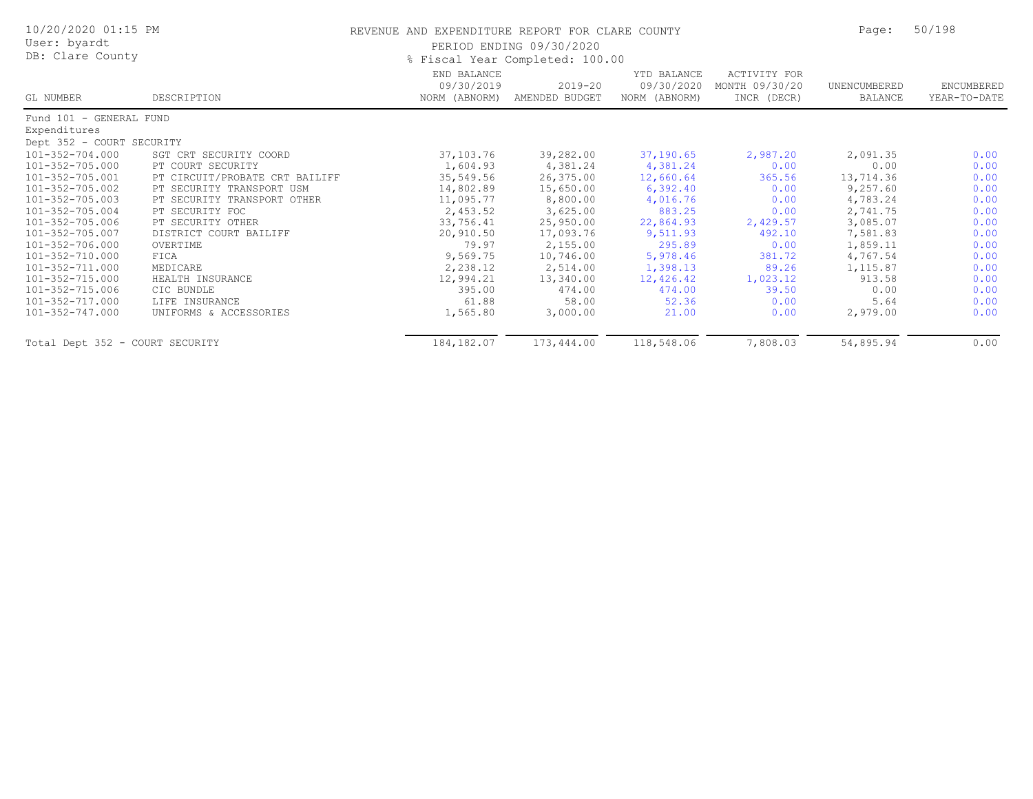| 10/20/2020 01:15 PM<br>User: byardt<br>DB: Clare County |                                | REVENUE AND EXPENDITURE REPORT FOR CLARE COUNTY<br>PERIOD ENDING 09/30/2020<br>% Fiscal Year Completed: 100.00 | Page:                         | 50/198                                     |                                               |                         |                            |
|---------------------------------------------------------|--------------------------------|----------------------------------------------------------------------------------------------------------------|-------------------------------|--------------------------------------------|-----------------------------------------------|-------------------------|----------------------------|
| GL NUMBER                                               | DESCRIPTION                    | END BALANCE<br>09/30/2019<br>NORM (ABNORM)                                                                     | $2019 - 20$<br>AMENDED BUDGET | YTD BALANCE<br>09/30/2020<br>NORM (ABNORM) | ACTIVITY FOR<br>MONTH 09/30/20<br>INCR (DECR) | UNENCUMBERED<br>BALANCE | ENCUMBERED<br>YEAR-TO-DATE |
| Fund 101 - GENERAL FUND                                 |                                |                                                                                                                |                               |                                            |                                               |                         |                            |
| Expenditures                                            |                                |                                                                                                                |                               |                                            |                                               |                         |                            |
| Dept 352 - COURT SECURITY                               |                                |                                                                                                                |                               |                                            |                                               |                         |                            |
| $101 - 352 - 704.000$                                   | SGT CRT SECURITY COORD         | 37,103.76                                                                                                      | 39,282.00                     | 37,190.65                                  | 2,987.20                                      | 2,091.35                | 0.00                       |
| 101-352-705.000                                         | PT COURT SECURITY              | 1,604.93                                                                                                       | 4,381.24                      | 4,381.24                                   | 0.00                                          | 0.00                    | 0.00                       |
| 101-352-705.001                                         | PT CIRCUIT/PROBATE CRT BAILIFF | 35,549.56                                                                                                      | 26,375.00                     | 12,660.64                                  | 365.56                                        | 13,714.36               | 0.00                       |
| 101-352-705.002                                         | PT SECURITY TRANSPORT USM      | 14,802.89                                                                                                      | 15,650.00                     | 6,392.40                                   | 0.00                                          | 9,257.60                | 0.00                       |
| 101-352-705.003                                         | PT SECURITY TRANSPORT OTHER    | 11,095.77                                                                                                      | 8,800.00                      | 4,016.76                                   | 0.00                                          | 4,783.24                | 0.00                       |
| 101-352-705.004                                         | PT SECURITY FOC                | 2,453.52                                                                                                       | 3,625.00                      | 883.25                                     | 0.00                                          | 2,741.75                | 0.00                       |
| 101-352-705.006                                         | PT SECURITY OTHER              | 33,756.41                                                                                                      | 25,950.00                     | 22,864.93                                  | 2,429.57                                      | 3,085.07                | 0.00                       |
| 101-352-705.007                                         | DISTRICT COURT BAILIFF         | 20,910.50                                                                                                      | 17,093.76                     | 9,511.93                                   | 492.10                                        | 7,581.83                | 0.00                       |
| 101-352-706.000                                         | OVERTIME                       | 79.97                                                                                                          | 2,155.00                      | 295.89                                     | 0.00                                          | 1,859.11                | 0.00                       |
| 101-352-710.000                                         | FICA                           | 9,569.75                                                                                                       | 10,746.00                     | 5,978.46                                   | 381.72                                        | 4,767.54                | 0.00                       |
| 101-352-711.000                                         | MEDICARE                       | 2,238.12                                                                                                       | 2,514.00                      | 1,398.13                                   | 89.26                                         | 1,115.87                | 0.00                       |
| 101-352-715.000                                         | HEALTH INSURANCE               | 12,994.21                                                                                                      | 13,340.00                     | 12,426.42                                  | 1,023.12                                      | 913.58                  | 0.00                       |
| 101-352-715.006                                         | CIC BUNDLE                     | 395.00                                                                                                         | 474.00                        | 474.00                                     | 39.50                                         | 0.00                    | 0.00                       |
| 101-352-717.000                                         | LIFE INSURANCE                 | 61.88                                                                                                          | 58.00                         | 52.36                                      | 0.00                                          | 5.64                    | 0.00                       |
| 101-352-747.000                                         | UNIFORMS & ACCESSORIES         | 1,565.80                                                                                                       | 3,000.00                      | 21.00                                      | 0.00                                          | 2,979.00                | 0.00                       |
| Total Dept 352 - COURT SECURITY                         |                                | 184, 182.07                                                                                                    | 173,444.00                    | 118,548.06                                 | 7,808.03                                      | 54,895.94               | 0.00                       |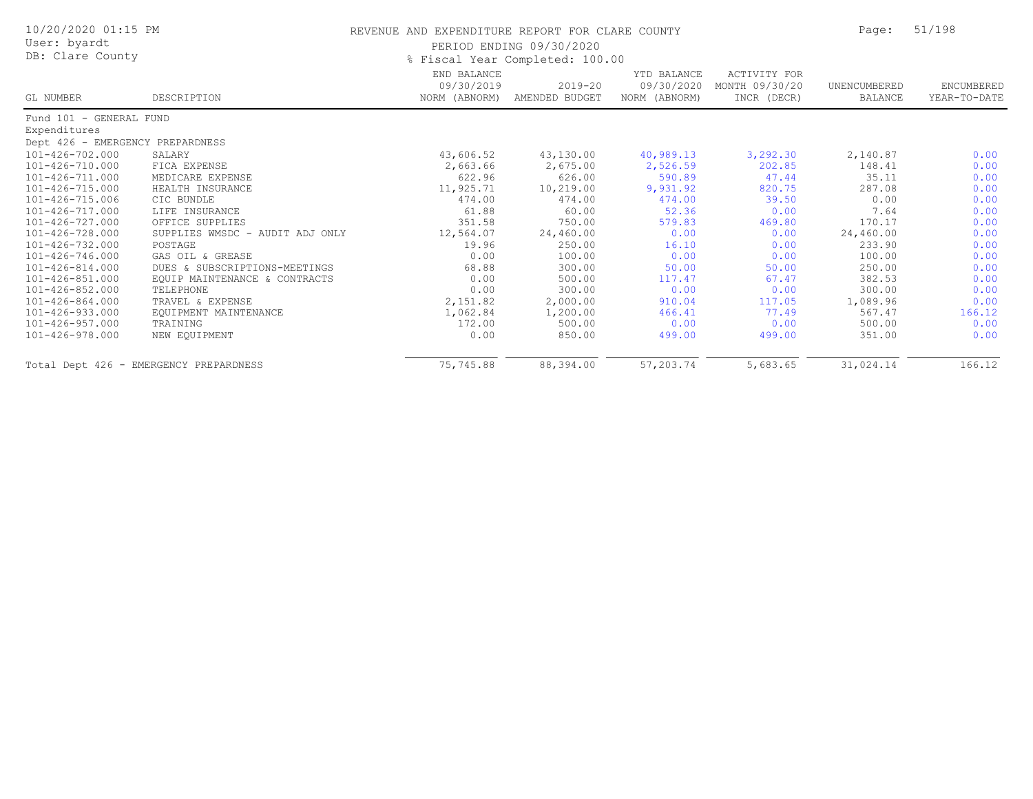| 10/20/2020 01:15 PM<br>User: byardt<br>DB: Clare County |                                        | REVENUE AND EXPENDITURE REPORT FOR CLARE COUNTY | PERIOD ENDING 09/30/2020<br>% Fiscal Year Completed: 100.00 |                                            |                                                      | Page:                   | 51/198                     |
|---------------------------------------------------------|----------------------------------------|-------------------------------------------------|-------------------------------------------------------------|--------------------------------------------|------------------------------------------------------|-------------------------|----------------------------|
| GL NUMBER                                               | DESCRIPTION                            | END BALANCE<br>09/30/2019<br>NORM (ABNORM)      | $2019 - 20$<br>AMENDED BUDGET                               | YTD BALANCE<br>09/30/2020<br>NORM (ABNORM) | <b>ACTIVITY FOR</b><br>MONTH 09/30/20<br>INCR (DECR) | UNENCUMBERED<br>BALANCE | ENCUMBERED<br>YEAR-TO-DATE |
| Fund 101 - GENERAL FUND                                 |                                        |                                                 |                                                             |                                            |                                                      |                         |                            |
| Expenditures                                            |                                        |                                                 |                                                             |                                            |                                                      |                         |                            |
| Dept 426 - EMERGENCY PREPARDNESS                        |                                        |                                                 |                                                             |                                            |                                                      |                         |                            |
| 101-426-702.000                                         | SALARY                                 | 43,606.52                                       | 43,130.00                                                   | 40,989.13                                  | 3,292.30                                             | 2,140.87                | 0.00                       |
| 101-426-710.000                                         | FICA EXPENSE                           | 2,663.66                                        | 2,675.00                                                    | 2,526.59                                   | 202.85                                               | 148.41                  | 0.00                       |
| 101-426-711.000                                         | MEDICARE EXPENSE                       | 622.96                                          | 626.00                                                      | 590.89                                     | 47.44                                                | 35.11                   | 0.00                       |
| 101-426-715.000                                         | HEALTH INSURANCE                       | 11,925.71                                       | 10,219.00                                                   | 9,931.92                                   | 820.75                                               | 287.08                  | 0.00                       |
| 101-426-715.006                                         | CIC BUNDLE                             | 474.00                                          | 474.00                                                      | 474.00                                     | 39.50                                                | 0.00                    | 0.00                       |
| 101-426-717.000                                         | LIFE INSURANCE                         | 61.88                                           | 60.00                                                       | 52.36                                      | 0.00                                                 | 7.64                    | 0.00                       |
| 101-426-727.000                                         | OFFICE SUPPLIES                        | 351.58                                          | 750.00                                                      | 579.83                                     | 469.80                                               | 170.17                  | 0.00                       |
| 101-426-728.000                                         | SUPPLIES WMSDC - AUDIT ADJ ONLY        | 12,564.07                                       | 24,460.00                                                   | 0.00                                       | 0.00                                                 | 24,460.00               | 0.00                       |
| 101-426-732.000                                         | POSTAGE                                | 19.96                                           | 250.00                                                      | 16.10                                      | 0.00                                                 | 233.90                  | 0.00                       |
| 101-426-746.000                                         | GAS OIL & GREASE                       | 0.00                                            | 100.00                                                      | 0.00                                       | 0.00                                                 | 100.00                  | 0.00                       |
| $101 - 426 - 814.000$                                   | DUES & SUBSCRIPTIONS-MEETINGS          | 68.88                                           | 300.00                                                      | 50.00                                      | 50.00                                                | 250.00                  | 0.00                       |
| $101 - 426 - 851.000$                                   | EQUIP MAINTENANCE & CONTRACTS          | 0.00                                            | 500.00                                                      | 117.47                                     | 67.47                                                | 382.53                  | 0.00                       |
| 101-426-852.000                                         | TELEPHONE                              | 0.00                                            | 300.00                                                      | 0.00                                       | 0.00                                                 | 300.00                  | 0.00                       |
| $101 - 426 - 864.000$                                   | TRAVEL & EXPENSE                       | 2,151.82                                        | 2,000.00                                                    | 910.04                                     | 117.05                                               | 1,089.96                | 0.00                       |
| 101-426-933.000                                         | EQUIPMENT MAINTENANCE                  | 1,062.84                                        | 1,200.00                                                    | 466.41                                     | 77.49                                                | 567.47                  | 166.12                     |
| $101 - 426 - 957.000$                                   | TRAINING                               | 172.00                                          | 500.00                                                      | 0.00                                       | 0.00                                                 | 500.00                  | 0.00                       |
| 101-426-978.000                                         | NEW EQUIPMENT                          | 0.00                                            | 850.00                                                      | 499.00                                     | 499.00                                               | 351.00                  | 0.00                       |
|                                                         | Total Dept 426 - EMERGENCY PREPARDNESS | 75,745.88                                       | 88,394.00                                                   | 57,203.74                                  | 5,683.65                                             | 31,024.14               | 166.12                     |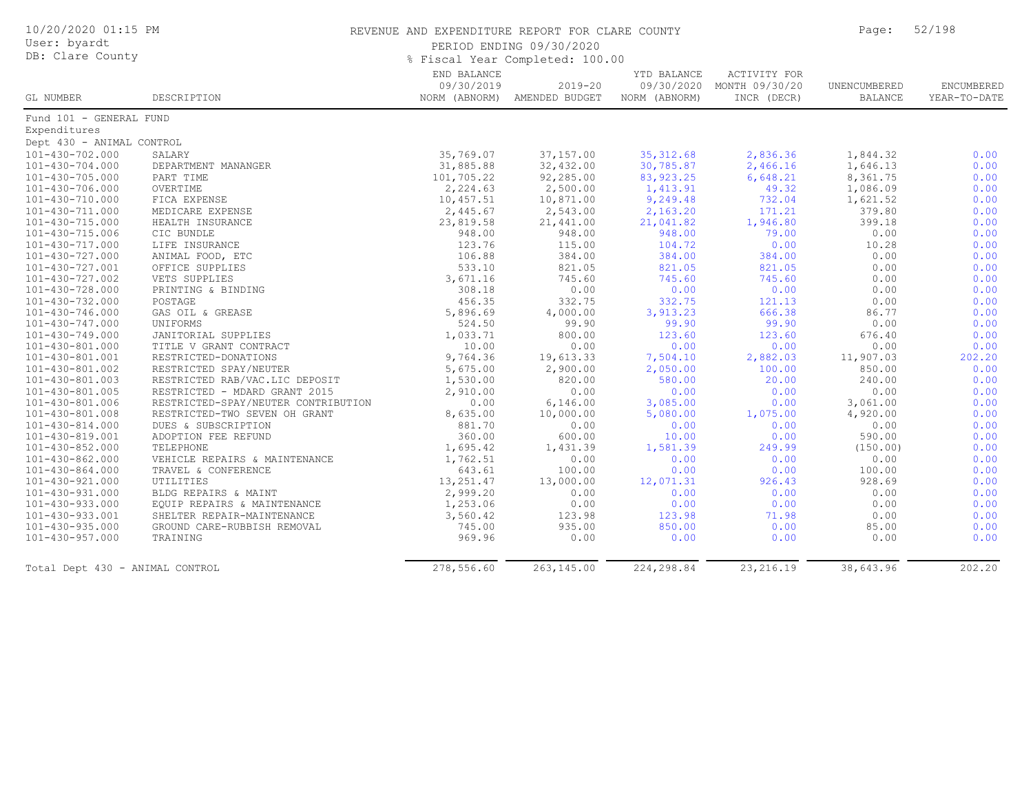| 10/20/2020 01:15 PM<br>User: byardt<br>DB: Clare County |                                     | REVENUE AND EXPENDITURE REPORT FOR CLARE COUNTY<br>PERIOD ENDING 09/30/2020<br>% Fiscal Year Completed: 100.00 |                                             |                                            |                                               |                                | 52/198                     |  |
|---------------------------------------------------------|-------------------------------------|----------------------------------------------------------------------------------------------------------------|---------------------------------------------|--------------------------------------------|-----------------------------------------------|--------------------------------|----------------------------|--|
| <b>GL NUMBER</b>                                        | DESCRIPTION                         | END BALANCE<br>09/30/2019                                                                                      | $2019 - 20$<br>NORM (ABNORM) AMENDED BUDGET | YTD BALANCE<br>09/30/2020<br>NORM (ABNORM) | ACTIVITY FOR<br>MONTH 09/30/20<br>INCR (DECR) | UNENCUMBERED<br><b>BALANCE</b> | ENCUMBERED<br>YEAR-TO-DATE |  |
| Fund 101 - GENERAL FUND                                 |                                     |                                                                                                                |                                             |                                            |                                               |                                |                            |  |
| Expenditures                                            |                                     |                                                                                                                |                                             |                                            |                                               |                                |                            |  |
| Dept 430 - ANIMAL CONTROL                               |                                     |                                                                                                                |                                             |                                            |                                               |                                |                            |  |
| 101-430-702.000                                         | SALARY                              | 35,769.07                                                                                                      | 37,157.00                                   | 35, 312.68                                 | 2,836.36                                      | 1,844.32                       | 0.00                       |  |
| $101 - 430 - 704.000$                                   | DEPARTMENT MANANGER                 | 31,885.88                                                                                                      | 32,432.00                                   | 30,785.87                                  | 2,466.16                                      | 1,646.13                       | 0.00                       |  |
| $101 - 430 - 705.000$                                   | PART TIME                           | 101,705.22                                                                                                     | 92,285.00                                   | 83, 923. 25                                | 6,648.21                                      | 8,361.75                       | 0.00                       |  |
| 101-430-706.000                                         | OVERTIME                            | 2,224.63                                                                                                       | 2,500.00                                    | 1,413.91                                   | 49.32                                         | 1,086.09                       | 0.00                       |  |
| 101-430-710.000                                         | FICA EXPENSE                        | 10,457.51                                                                                                      | 10,871.00                                   | 9,249.48                                   | 732.04                                        | 1,621.52                       | 0.00                       |  |
| 101-430-711.000                                         | MEDICARE EXPENSE                    | 2,445.67                                                                                                       | 2,543.00                                    | 2,163.20                                   | 171.21                                        | 379.80                         | 0.00                       |  |
| 101-430-715.000                                         | HEALTH INSURANCE                    | 23,819.58                                                                                                      | 21,441.00                                   | 21,041.82                                  | 1,946.80                                      | 399.18                         | 0.00                       |  |
| 101-430-715.006                                         | CIC BUNDLE                          | 948.00                                                                                                         | 948.00                                      | 948.00                                     | 79.00                                         | 0.00                           | 0.00                       |  |
| 101-430-717.000                                         | LIFE INSURANCE                      | 123.76                                                                                                         | 115.00                                      | 104.72                                     | 0.00                                          | 10.28                          | 0.00                       |  |
| 101-430-727.000                                         | ANIMAL FOOD, ETC                    | 106.88                                                                                                         | 384.00                                      | 384.00                                     | 384.00                                        | 0.00                           | 0.00                       |  |
| 101-430-727.001                                         | OFFICE SUPPLIES                     | 533.10                                                                                                         | 821.05                                      | 821.05                                     | 821.05                                        | 0.00                           | 0.00                       |  |
| 101-430-727.002                                         | VETS SUPPLIES                       | 3,671.16                                                                                                       | 745.60                                      | 745.60                                     | 745.60                                        | 0.00                           | 0.00                       |  |
| 101-430-728.000                                         | PRINTING & BINDING                  | 308.18                                                                                                         | 0.00                                        | 0.00                                       | 0.00                                          | 0.00                           | 0.00                       |  |
| $101 - 430 - 732.000$                                   | POSTAGE                             | 456.35                                                                                                         | 332.75                                      | 332.75                                     | 121.13                                        | 0.00                           | 0.00                       |  |
| $101 - 430 - 746.000$                                   | GAS OIL & GREASE                    | 5,896.69                                                                                                       | 4,000.00                                    | 3,913.23                                   | 666.38                                        | 86.77                          | 0.00                       |  |
| $101 - 430 - 747.000$                                   | UNIFORMS                            | 524.50                                                                                                         | 99.90                                       | 99.90                                      | 99.90                                         | 0.00                           | 0.00                       |  |
| 101-430-749.000                                         | JANITORIAL SUPPLIES                 | 1,033.71                                                                                                       | 800.00                                      | 123.60                                     | 123.60                                        | 676.40                         | 0.00                       |  |
| 101-430-801.000                                         | TITLE V GRANT CONTRACT              | 10.00                                                                                                          | 0.00                                        | 0.00                                       | 0.00                                          | 0.00                           | 0.00                       |  |
| 101-430-801.001                                         | RESTRICTED-DONATIONS                | 9,764.36                                                                                                       | 19,613.33                                   | 7,504.10                                   | 2,882.03                                      | 11,907.03                      | 202.20                     |  |
| 101-430-801.002                                         | RESTRICTED SPAY/NEUTER              | 5,675.00                                                                                                       | 2,900.00                                    | 2,050.00                                   | 100.00                                        | 850.00                         | 0.00                       |  |
| 101-430-801.003                                         | RESTRICTED RAB/VAC.LIC DEPOSIT      | 1,530.00                                                                                                       | 820.00                                      | 580.00                                     | 20.00                                         | 240.00                         | 0.00                       |  |
| 101-430-801.005                                         | RESTRICTED - MDARD GRANT 2015       | 2,910.00                                                                                                       | 0.00                                        | 0.00                                       | 0.00                                          | 0.00                           | 0.00                       |  |
| 101-430-801.006                                         | RESTRICTED-SPAY/NEUTER CONTRIBUTION | 0.00                                                                                                           | 6, 146.00                                   | 3,085.00                                   | 0.00                                          | 3,061.00                       | 0.00                       |  |
| 101-430-801.008                                         | RESTRICTED-TWO SEVEN OH GRANT       | 8,635.00                                                                                                       | 10,000.00                                   | 5,080.00                                   | 1,075.00                                      | 4,920.00                       | 0.00                       |  |
| $101 - 430 - 814.000$                                   | DUES & SUBSCRIPTION                 | 881.70                                                                                                         | 0.00                                        | 0.00                                       | 0.00                                          | 0.00                           | 0.00                       |  |
| 101-430-819.001                                         | ADOPTION FEE REFUND                 | 360.00                                                                                                         | 600.00                                      | 10.00                                      | 0.00                                          | 590.00                         | 0.00                       |  |
| 101-430-852.000                                         | TELEPHONE                           | 1,695.42                                                                                                       | 1,431.39                                    | 1,581.39                                   | 249.99                                        | (150.00)                       | 0.00                       |  |
| $101 - 430 - 862.000$                                   | VEHICLE REPAIRS & MAINTENANCE       | 1,762.51                                                                                                       | 0.00                                        | 0.00                                       | 0.00                                          | 0.00                           | 0.00                       |  |
| $101 - 430 - 864.000$                                   | TRAVEL & CONFERENCE                 | 643.61                                                                                                         | 100.00                                      | 0.00                                       | 0.00                                          | 100.00                         | 0.00                       |  |
| 101-430-921.000                                         | UTILITIES                           | 13,251.47                                                                                                      | 13,000.00                                   | 12,071.31                                  | 926.43                                        | 928.69                         | 0.00                       |  |
| 101-430-931.000                                         | BLDG REPAIRS & MAINT                | 2,999.20                                                                                                       | 0.00                                        | 0.00                                       | 0.00                                          | 0.00                           | 0.00                       |  |
| 101-430-933.000                                         | EQUIP REPAIRS & MAINTENANCE         | 1,253.06                                                                                                       | 0.00                                        | 0.00                                       | 0.00                                          | 0.00                           | 0.00                       |  |
| 101-430-933.001                                         | SHELTER REPAIR-MAINTENANCE          | 3,560.42                                                                                                       | 123.98                                      | 123.98                                     | 71.98                                         | 0.00                           | 0.00                       |  |
| $101 - 430 - 935.000$                                   | GROUND CARE-RUBBISH REMOVAL         | 745.00                                                                                                         | 935.00                                      | 850.00                                     | 0.00                                          | 85.00                          | 0.00                       |  |
| $101 - 430 - 957.000$                                   | TRAINING                            | 969.96                                                                                                         | 0.00                                        | 0.00                                       | 0.00                                          | 0.00                           | 0.00                       |  |
|                                                         |                                     |                                                                                                                |                                             |                                            |                                               |                                |                            |  |
| Total Dept 430 - ANIMAL CONTROL                         |                                     | 278,556.60                                                                                                     | 263,145.00                                  | 224,298.84                                 | 23, 216.19                                    | 38,643.96                      | 202.20                     |  |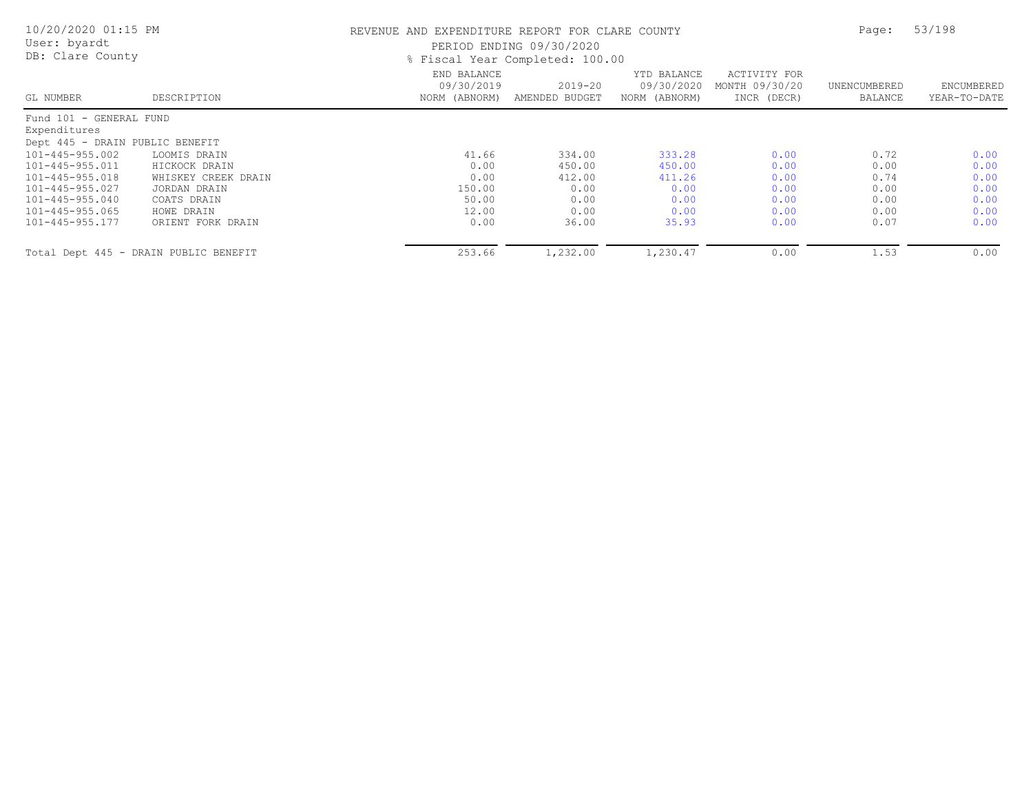| 10/20/2020 01:15 PM<br>User: byardt<br>DB: Clare County |                                       | REVENUE AND EXPENDITURE REPORT FOR CLARE COUNTY | PERIOD ENDING 09/30/2020<br>% Fiscal Year Completed: 100.00 |                                            |                                               | Page:                   | 53/198                     |
|---------------------------------------------------------|---------------------------------------|-------------------------------------------------|-------------------------------------------------------------|--------------------------------------------|-----------------------------------------------|-------------------------|----------------------------|
| GL NUMBER                                               | DESCRIPTION                           | END BALANCE<br>09/30/2019<br>NORM (ABNORM)      | $2019 - 20$<br>AMENDED BUDGET                               | YTD BALANCE<br>09/30/2020<br>NORM (ABNORM) | ACTIVITY FOR<br>MONTH 09/30/20<br>INCR (DECR) | UNENCUMBERED<br>BALANCE | ENCUMBERED<br>YEAR-TO-DATE |
| Fund 101 - GENERAL FUND                                 |                                       |                                                 |                                                             |                                            |                                               |                         |                            |
| Expenditures                                            |                                       |                                                 |                                                             |                                            |                                               |                         |                            |
| Dept 445 - DRAIN PUBLIC BENEFIT                         |                                       |                                                 |                                                             |                                            |                                               |                         |                            |
| 101-445-955.002                                         | LOOMIS DRAIN                          | 41.66                                           | 334.00                                                      | 333.28                                     | 0.00                                          | 0.72                    | 0.00                       |
| 101-445-955.011                                         | HICKOCK DRAIN                         | 0.00                                            | 450.00                                                      | 450.00                                     | 0.00                                          | 0.00                    | 0.00                       |
| 101-445-955.018                                         | WHISKEY CREEK DRAIN                   | 0.00                                            | 412.00                                                      | 411.26                                     | 0.00                                          | 0.74                    | 0.00                       |
| 101-445-955.027                                         | JORDAN DRAIN                          | 150.00                                          | 0.00                                                        | 0.00                                       | 0.00                                          | 0.00                    | 0.00                       |
| 101-445-955.040                                         | COATS DRAIN                           | 50.00                                           | 0.00                                                        | 0.00                                       | 0.00                                          | 0.00                    | 0.00                       |
| 101-445-955.065                                         | HOWE DRAIN                            | 12.00                                           | 0.00                                                        | 0.00                                       | 0.00                                          | 0.00                    | 0.00                       |
| 101-445-955.177                                         | ORIENT FORK DRAIN                     | 0.00                                            | 36.00                                                       | 35.93                                      | 0.00                                          | 0.07                    | 0.00                       |
|                                                         | Total Dept 445 - DRAIN PUBLIC BENEFIT | 253.66                                          | 1,232.00                                                    | 1,230.47                                   | 0.00                                          | 1.53                    | 0.00                       |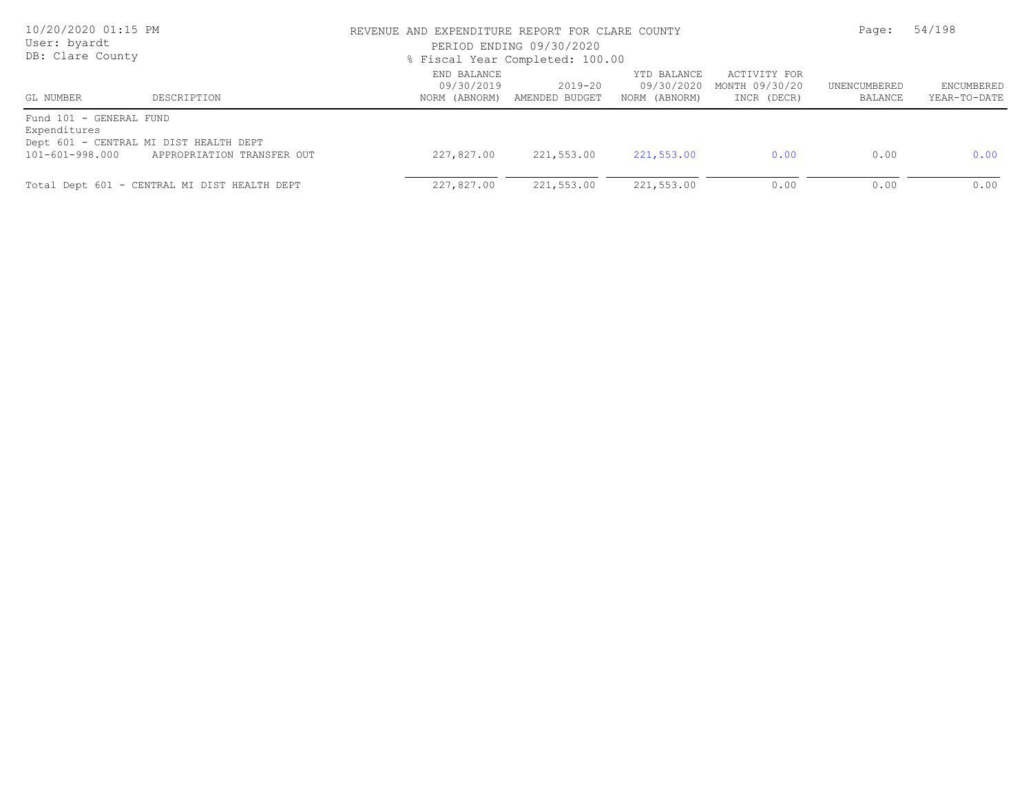| 10/20/2020 01:15 PM<br>User: byardt<br>DB: Clare County    |                                                                      | REVENUE AND EXPENDITURE REPORT FOR CLARE COUNTY<br>PERIOD ENDING 09/30/2020<br>% Fiscal Year Completed: 100.00 | Page:                         | 54/198                                     |                                               |                         |                            |
|------------------------------------------------------------|----------------------------------------------------------------------|----------------------------------------------------------------------------------------------------------------|-------------------------------|--------------------------------------------|-----------------------------------------------|-------------------------|----------------------------|
| GL NUMBER                                                  | DESCRIPTION                                                          | END BALANCE<br>09/30/2019<br>NORM (ABNORM)                                                                     | $2019 - 20$<br>AMENDED BUDGET | YTD BALANCE<br>09/30/2020<br>NORM (ABNORM) | ACTIVITY FOR<br>MONTH 09/30/20<br>INCR (DECR) | UNENCUMBERED<br>BALANCE | ENCUMBERED<br>YEAR-TO-DATE |
| Fund 101 - GENERAL FUND<br>Expenditures<br>101-601-998.000 | Dept 601 - CENTRAL MI DIST HEALTH DEPT<br>APPROPRIATION TRANSFER OUT | 227,827,00                                                                                                     | 221,553.00                    | 221,553.00                                 | 0.00                                          | 0.00                    | 0.00                       |
|                                                            | Total Dept 601 - CENTRAL MI DIST HEALTH DEPT                         | 227,827.00                                                                                                     | 221,553.00                    | 221,553.00                                 | 0.00                                          | 0.00                    | 0.00                       |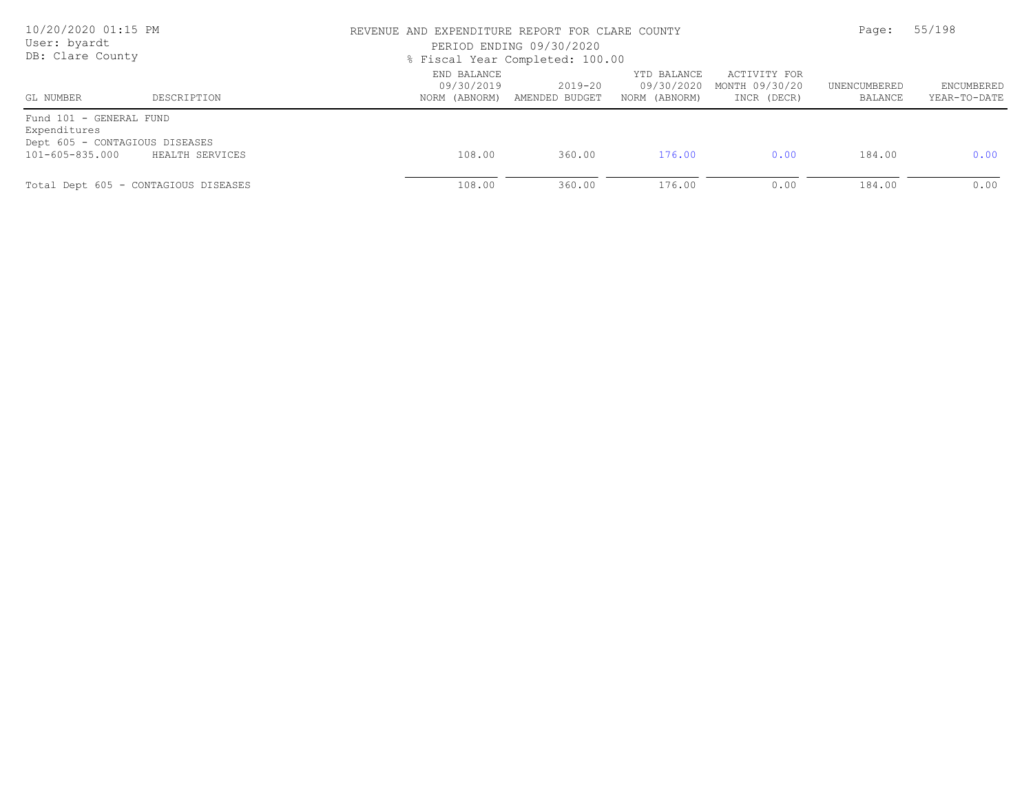| 10/20/2020 01:15 PM<br>User: byardt<br>DB: Clare County                                      |                                      | REVENUE AND EXPENDITURE REPORT FOR CLARE COUNTY | PERIOD ENDING 09/30/2020<br>% Fiscal Year Completed: 100.00 |                                            |                                               |                         | 55/198                     |  |
|----------------------------------------------------------------------------------------------|--------------------------------------|-------------------------------------------------|-------------------------------------------------------------|--------------------------------------------|-----------------------------------------------|-------------------------|----------------------------|--|
| GL NUMBER                                                                                    | DESCRIPTION                          | END BALANCE<br>09/30/2019<br>NORM (ABNORM)      | $2019 - 20$<br>AMENDED BUDGET                               | YTD BALANCE<br>09/30/2020<br>NORM (ABNORM) | ACTIVITY FOR<br>MONTH 09/30/20<br>INCR (DECR) | UNENCUMBERED<br>BALANCE | ENCUMBERED<br>YEAR-TO-DATE |  |
| Fund 101 - GENERAL FUND<br>Expenditures<br>Dept 605 - CONTAGIOUS DISEASES<br>101-605-835.000 | HEALTH SERVICES                      | 108.00                                          | 360.00                                                      | 176.00                                     | 0.00                                          | 184.00                  | 0.00                       |  |
|                                                                                              | Total Dept 605 - CONTAGIOUS DISEASES | 108.00                                          | 360.00                                                      | 176.00                                     | 0.00                                          | 184.00                  | 0.00                       |  |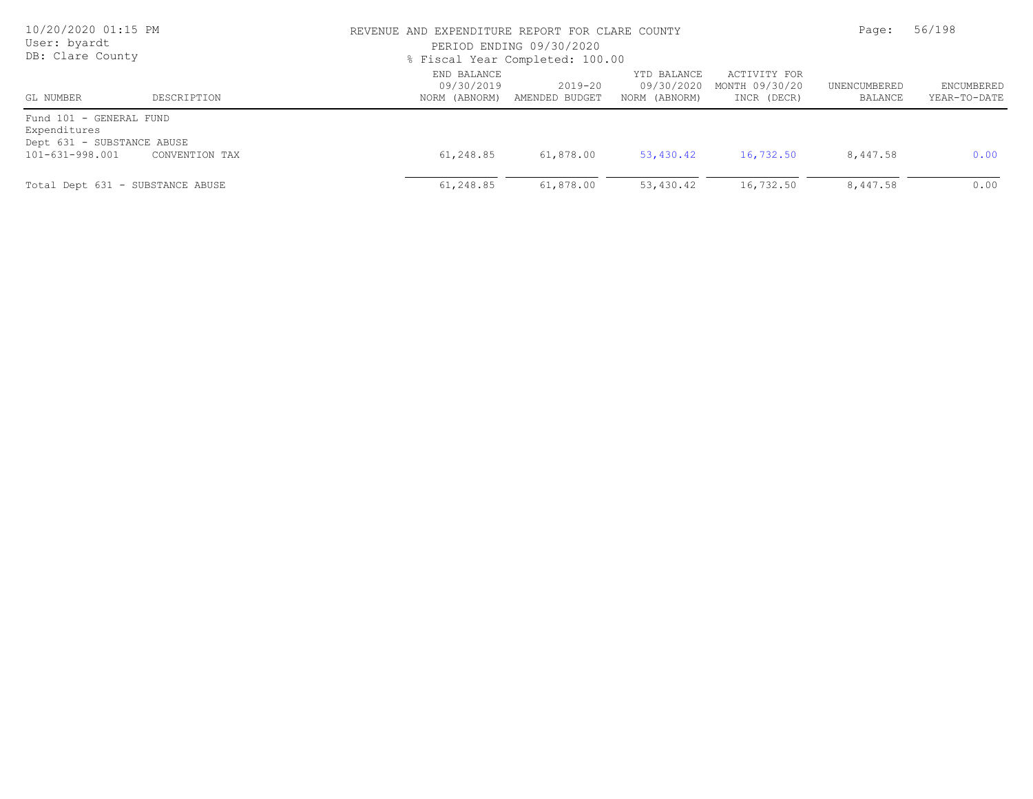| 10/20/2020 01:15 PM<br>User: byardt<br>DB: Clare County                                  |                |                                            | REVENUE AND EXPENDITURE REPORT FOR CLARE COUNTY<br>PERIOD ENDING 09/30/2020<br>% Fiscal Year Completed: 100.00 |                                            |                                               |                         | 56/198                     |  |
|------------------------------------------------------------------------------------------|----------------|--------------------------------------------|----------------------------------------------------------------------------------------------------------------|--------------------------------------------|-----------------------------------------------|-------------------------|----------------------------|--|
| GL NUMBER                                                                                | DESCRIPTION    | END BALANCE<br>09/30/2019<br>NORM (ABNORM) | 2019-20<br>AMENDED BUDGET                                                                                      | YTD BALANCE<br>09/30/2020<br>NORM (ABNORM) | ACTIVITY FOR<br>MONTH 09/30/20<br>INCR (DECR) | UNENCUMBERED<br>BALANCE | ENCUMBERED<br>YEAR-TO-DATE |  |
| Fund 101 - GENERAL FUND<br>Expenditures<br>Dept 631 - SUBSTANCE ABUSE<br>101-631-998.001 | CONVENTION TAX | 61,248.85                                  | 61,878.00                                                                                                      | 53,430.42                                  | 16,732.50                                     | 8,447.58                | 0.00                       |  |
| Total Dept 631 - SUBSTANCE ABUSE                                                         |                | 61,248.85                                  | 61,878.00                                                                                                      | 53,430.42                                  | 16,732.50                                     | 8,447.58                | 0.00                       |  |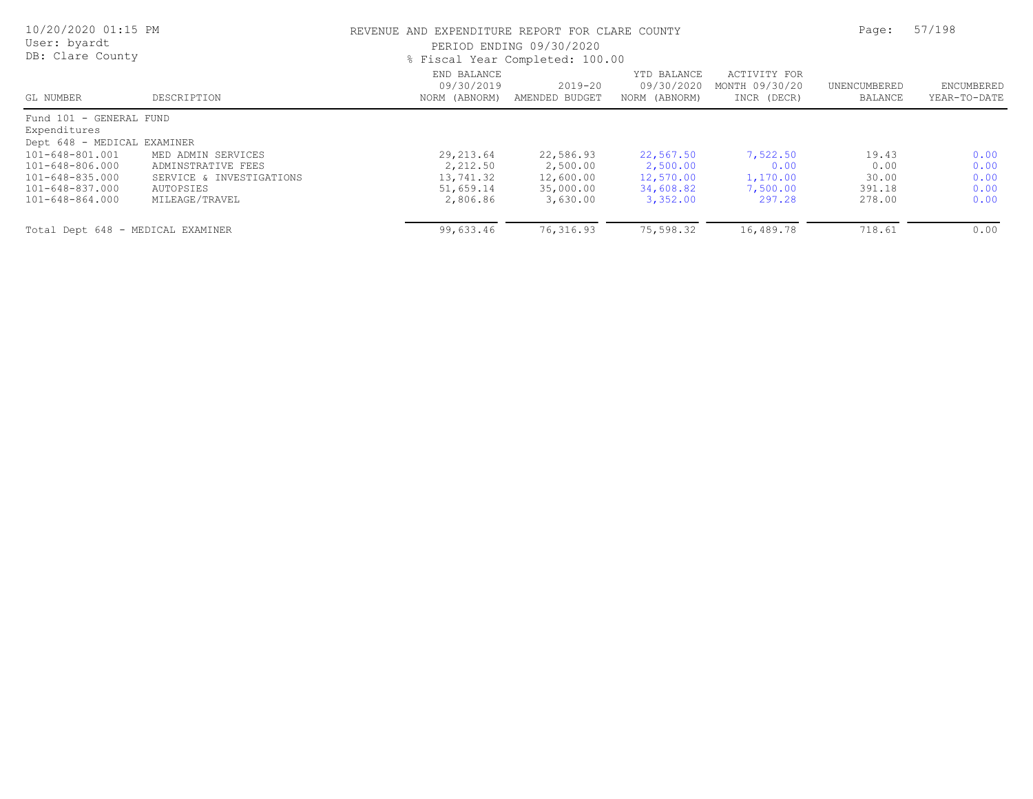| 10/20/2020 01:15 PM<br>User: byardt<br>DB: Clare County                                     |                                                                                                     |                                                              | REVENUE AND EXPENDITURE REPORT FOR CLARE COUNTY<br>PERIOD ENDING 09/30/2020<br>% Fiscal Year Completed: 100.00 |                                                             |                                                    |                                            |                                      |
|---------------------------------------------------------------------------------------------|-----------------------------------------------------------------------------------------------------|--------------------------------------------------------------|----------------------------------------------------------------------------------------------------------------|-------------------------------------------------------------|----------------------------------------------------|--------------------------------------------|--------------------------------------|
| GL NUMBER                                                                                   | DESCRIPTION                                                                                         | END BALANCE<br>09/30/2019<br>NORM (ABNORM)                   | 2019-20<br>AMENDED BUDGET                                                                                      | YTD BALANCE<br>09/30/2020<br>NORM (ABNORM)                  | ACTIVITY FOR<br>MONTH 09/30/20<br>INCR (DECR)      | UNENCUMBERED<br>BALANCE                    | <b>ENCUMBERED</b><br>YEAR-TO-DATE    |
| Fund 101 - GENERAL FUND<br>Expenditures<br>Dept 648 - MEDICAL EXAMINER                      |                                                                                                     |                                                              |                                                                                                                |                                                             |                                                    |                                            |                                      |
| 101-648-801.001<br>101-648-806.000<br>101-648-835.000<br>101-648-837.000<br>101-648-864.000 | MED ADMIN SERVICES<br>ADMINSTRATIVE FEES<br>SERVICE & INVESTIGATIONS<br>AUTOPSIES<br>MILEAGE/TRAVEL | 29, 213.64<br>2,212.50<br>13,741.32<br>51,659.14<br>2,806.86 | 22,586.93<br>2,500.00<br>12,600.00<br>35,000.00<br>3,630.00                                                    | 22,567.50<br>2,500.00<br>12,570.00<br>34,608.82<br>3,352.00 | 7,522.50<br>0.00<br>1,170.00<br>7,500.00<br>297.28 | 19.43<br>0.00<br>30.00<br>391.18<br>278.00 | 0.00<br>0.00<br>0.00<br>0.00<br>0.00 |
| Total Dept 648 - MEDICAL EXAMINER                                                           |                                                                                                     | 99,633.46                                                    | 76,316.93                                                                                                      | 75,598.32                                                   | 16,489.78                                          | 718.61                                     | 0.00                                 |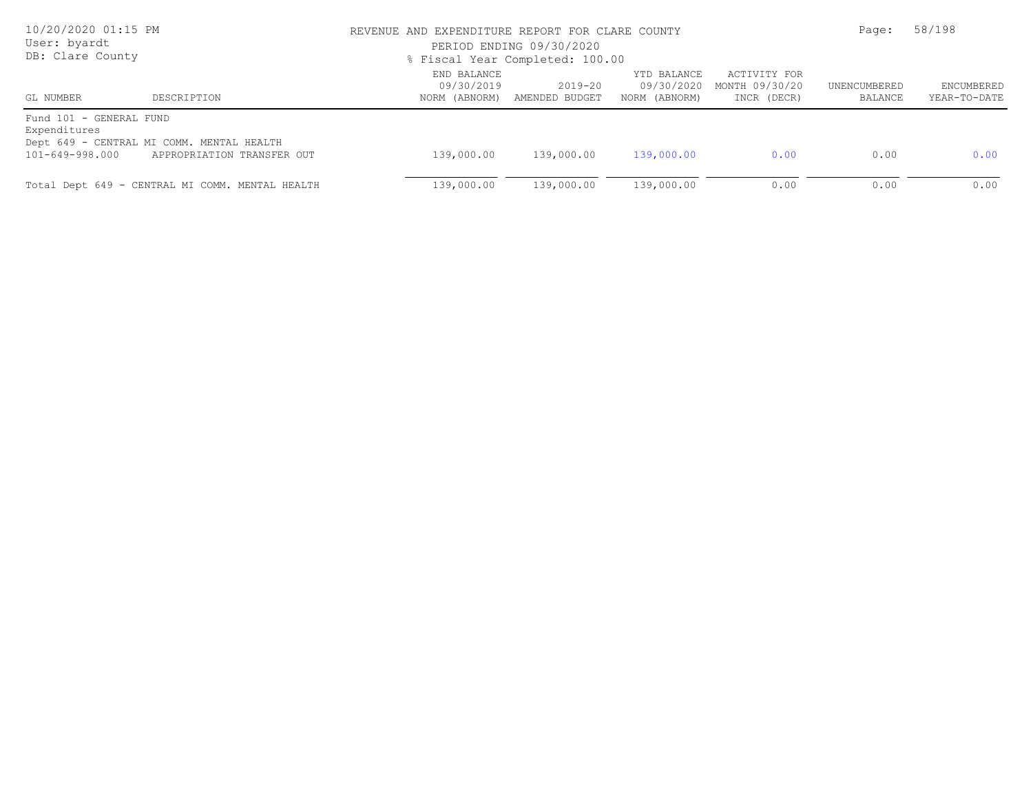| 10/20/2020 01:15 PM<br>User: byardt<br>DB: Clare County    |                                                                         | REVENUE AND EXPENDITURE REPORT FOR CLARE COUNTY<br>PERIOD ENDING 09/30/2020<br>% Fiscal Year Completed: 100.00 | Page:                                       | 58/198                                     |                                               |                         |                            |
|------------------------------------------------------------|-------------------------------------------------------------------------|----------------------------------------------------------------------------------------------------------------|---------------------------------------------|--------------------------------------------|-----------------------------------------------|-------------------------|----------------------------|
| GL NUMBER                                                  | DESCRIPTION                                                             | END BALANCE<br>09/30/2019                                                                                      | $2019 - 20$<br>NORM (ABNORM) AMENDED BUDGET | YTD BALANCE<br>09/30/2020<br>NORM (ABNORM) | ACTIVITY FOR<br>MONTH 09/30/20<br>INCR (DECR) | UNENCUMBERED<br>BALANCE | ENCUMBERED<br>YEAR-TO-DATE |
| Fund 101 - GENERAL FUND<br>Expenditures<br>101-649-998.000 | Dept 649 - CENTRAL MI COMM. MENTAL HEALTH<br>APPROPRIATION TRANSFER OUT | 139,000.00                                                                                                     | 139,000.00                                  | 139,000.00                                 | 0.00                                          | 0.00                    | 0.00                       |
|                                                            | Total Dept 649 - CENTRAL MI COMM. MENTAL HEALTH                         | 139,000.00                                                                                                     | 139,000.00                                  | 139,000.00                                 | 0.00                                          | 0.00                    | 0.00                       |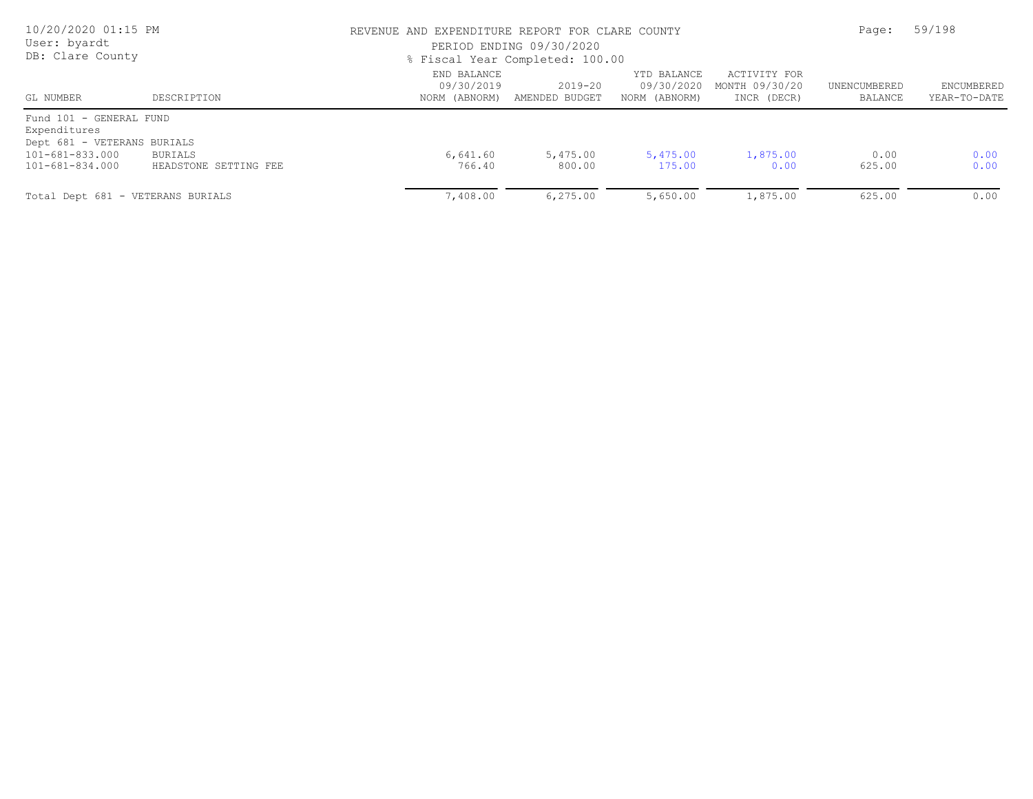| 10/20/2020 01:15 PM<br>User: byardt<br>DB: Clare County                |                                  | REVENUE AND EXPENDITURE REPORT FOR CLARE COUNTY<br>PERIOD ENDING 09/30/2020<br>% Fiscal Year Completed: 100.00 | Page:                     | 59/198                                     |                                               |                         |                            |
|------------------------------------------------------------------------|----------------------------------|----------------------------------------------------------------------------------------------------------------|---------------------------|--------------------------------------------|-----------------------------------------------|-------------------------|----------------------------|
| GL NUMBER                                                              | DESCRIPTION                      | END BALANCE<br>09/30/2019<br>NORM (ABNORM)                                                                     | 2019-20<br>AMENDED BUDGET | YTD BALANCE<br>09/30/2020<br>NORM (ABNORM) | ACTIVITY FOR<br>MONTH 09/30/20<br>INCR (DECR) | UNENCUMBERED<br>BALANCE | ENCUMBERED<br>YEAR-TO-DATE |
| Fund 101 - GENERAL FUND<br>Expenditures<br>Dept 681 - VETERANS BURIALS |                                  |                                                                                                                |                           |                                            |                                               |                         |                            |
| 101-681-833.000<br>101-681-834.000                                     | BURIALS<br>HEADSTONE SETTING FEE | 6,641.60<br>766.40                                                                                             | 5,475.00<br>800.00        | 5,475.00<br>175.00                         | 1,875.00<br>0.00                              | 0.00<br>625.00          | 0.00<br>0.00               |
| Total Dept 681 - VETERANS BURIALS                                      |                                  | 7,408.00                                                                                                       | 6, 275.00                 | 5,650.00                                   | 1,875.00                                      | 625.00                  | 0.00                       |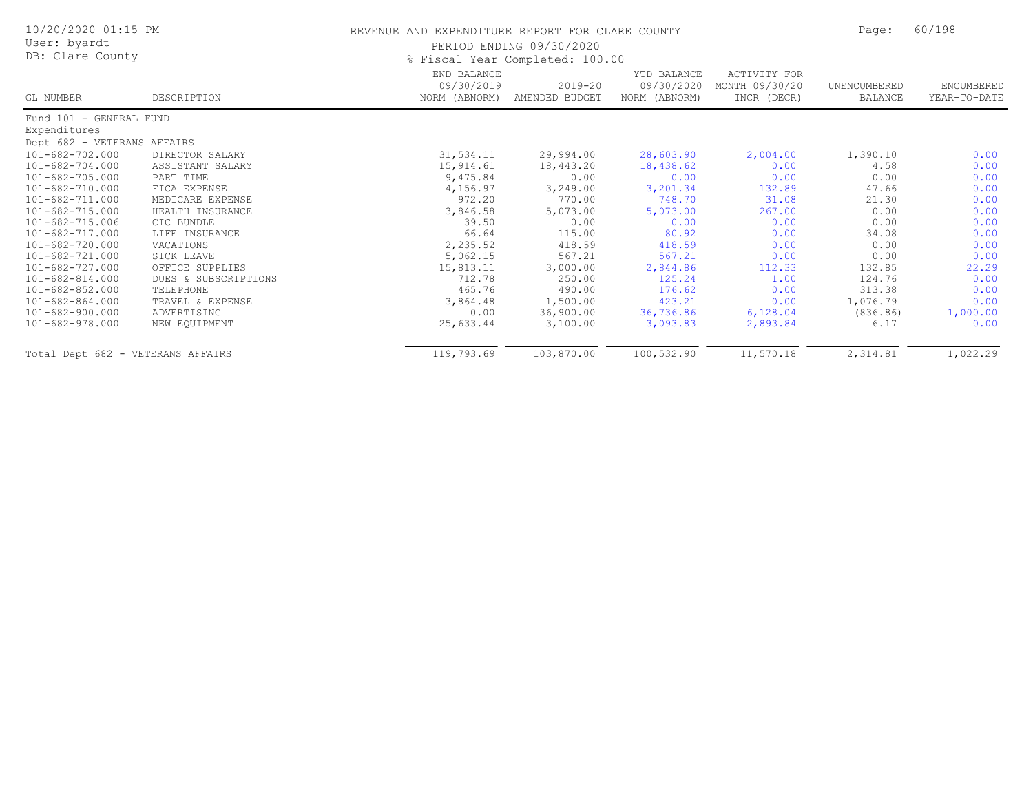| 10/20/2020 01:15 PM<br>User: byardt |                      | REVENUE AND EXPENDITURE REPORT FOR CLARE COUNTY | PERIOD ENDING 09/30/2020      |                                            |                                               | Page:                   | 60/198                     |
|-------------------------------------|----------------------|-------------------------------------------------|-------------------------------|--------------------------------------------|-----------------------------------------------|-------------------------|----------------------------|
| DB: Clare County                    |                      | % Fiscal Year Completed: 100.00                 |                               |                                            |                                               |                         |                            |
| GL NUMBER                           | DESCRIPTION          | END BALANCE<br>09/30/2019<br>NORM (ABNORM)      | $2019 - 20$<br>AMENDED BUDGET | YTD BALANCE<br>09/30/2020<br>NORM (ABNORM) | ACTIVITY FOR<br>MONTH 09/30/20<br>INCR (DECR) | UNENCUMBERED<br>BALANCE | ENCUMBERED<br>YEAR-TO-DATE |
| Fund 101 - GENERAL FUND             |                      |                                                 |                               |                                            |                                               |                         |                            |
| Expenditures                        |                      |                                                 |                               |                                            |                                               |                         |                            |
| Dept 682 - VETERANS AFFAIRS         |                      |                                                 |                               |                                            |                                               |                         |                            |
| 101-682-702.000                     | DIRECTOR SALARY      | 31,534.11                                       | 29,994.00                     | 28,603.90                                  | 2,004.00                                      | 1,390.10                | 0.00                       |
| 101-682-704.000                     | ASSISTANT SALARY     | 15,914.61                                       | 18,443.20                     | 18,438.62                                  | 0.00                                          | 4.58                    | 0.00                       |
| 101-682-705.000                     | PART TIME            | 9,475.84                                        | 0.00                          | 0.00                                       | 0.00                                          | 0.00                    | 0.00                       |
| 101-682-710.000                     | FICA EXPENSE         | 4,156.97                                        | 3,249.00                      | 3,201.34                                   | 132.89                                        | 47.66                   | 0.00                       |
| 101-682-711.000                     | MEDICARE EXPENSE     | 972.20                                          | 770.00                        | 748.70                                     | 31.08                                         | 21.30                   | 0.00                       |
| 101-682-715.000                     | HEALTH INSURANCE     | 3,846.58                                        | 5,073.00                      | 5,073.00                                   | 267.00                                        | 0.00                    | 0.00                       |
| 101-682-715.006                     | CIC BUNDLE           | 39.50                                           | 0.00                          | 0.00                                       | 0.00                                          | 0.00                    | 0.00                       |
| 101-682-717.000                     | LIFE INSURANCE       | 66.64                                           | 115.00                        | 80.92                                      | 0.00                                          | 34.08                   | 0.00                       |
| 101-682-720.000                     | VACATIONS            | 2,235.52                                        | 418.59                        | 418.59                                     | 0.00                                          | 0.00                    | 0.00                       |
| 101-682-721.000                     | SICK LEAVE           | 5,062.15                                        | 567.21                        | 567.21                                     | 0.00                                          | 0.00                    | 0.00                       |
| 101-682-727.000                     | OFFICE SUPPLIES      | 15,813.11                                       | 3,000.00                      | 2,844.86                                   | 112.33                                        | 132.85                  | 22.29                      |
| $101 - 682 - 814.000$               | DUES & SUBSCRIPTIONS | 712.78                                          | 250.00                        | 125.24                                     | 1.00                                          | 124.76                  | 0.00                       |
| 101-682-852.000                     | TELEPHONE            | 465.76                                          | 490.00                        | 176.62                                     | 0.00                                          | 313.38                  | 0.00                       |
| $101 - 682 - 864.000$               | TRAVEL & EXPENSE     | 3,864.48                                        | 1,500.00                      | 423.21                                     | 0.00                                          | 1,076.79                | 0.00                       |
| 101-682-900.000                     | ADVERTISING          | 0.00                                            | 36,900.00                     | 36,736.86                                  | 6,128.04                                      | (836.86)                | 1,000.00                   |
| 101-682-978.000                     | NEW EQUIPMENT        | 25,633.44                                       | 3,100.00                      | 3,093.83                                   | 2,893.84                                      | 6.17                    | 0.00                       |
| Total Dept 682 - VETERANS AFFAIRS   |                      | 119,793.69                                      | 103,870.00                    | 100,532.90                                 | 11,570.18                                     | 2,314.81                | 1,022.29                   |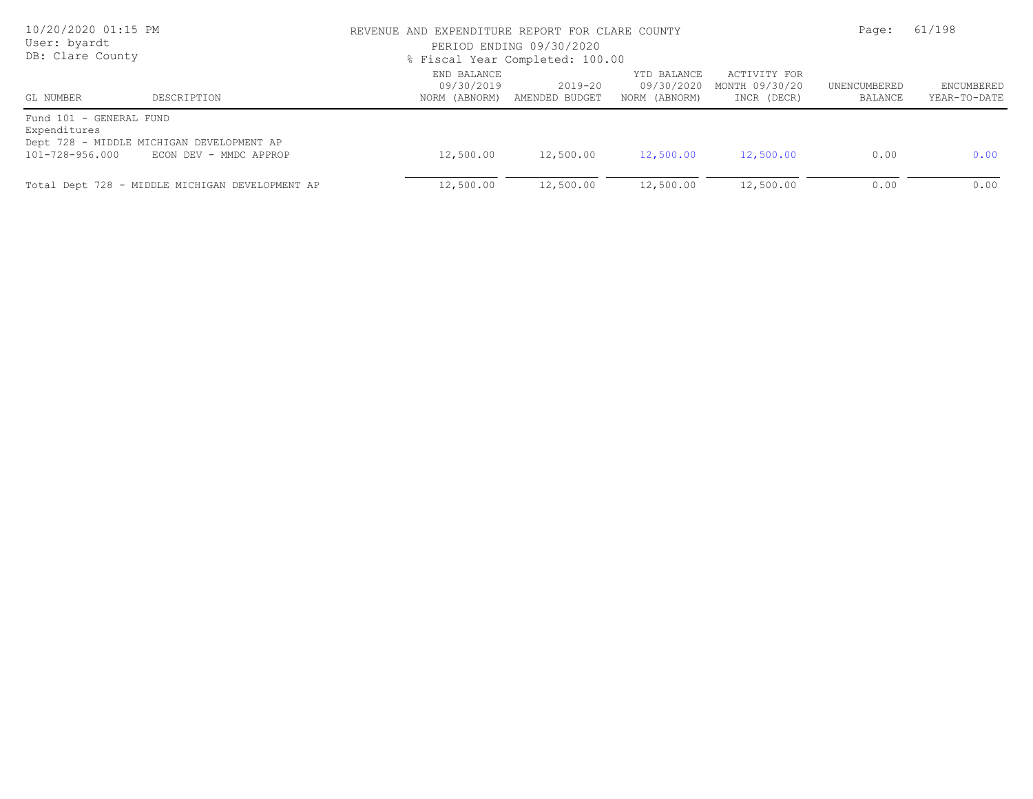| 10/20/2020 01:15 PM<br>User: byardt<br>DB: Clare County    |                                                                     | REVENUE AND EXPENDITURE REPORT FOR CLARE COUNTY<br>PERIOD ENDING 09/30/2020<br>% Fiscal Year Completed: 100.00 |                               |                                            |                                               | Page:                   | 61/198                     |  |
|------------------------------------------------------------|---------------------------------------------------------------------|----------------------------------------------------------------------------------------------------------------|-------------------------------|--------------------------------------------|-----------------------------------------------|-------------------------|----------------------------|--|
| GL NUMBER                                                  | DESCRIPTION                                                         | END BALANCE<br>09/30/2019<br>NORM (ABNORM)                                                                     | $2019 - 20$<br>AMENDED BUDGET | YTD BALANCE<br>09/30/2020<br>NORM (ABNORM) | ACTIVITY FOR<br>MONTH 09/30/20<br>INCR (DECR) | UNENCUMBERED<br>BALANCE | ENCUMBERED<br>YEAR-TO-DATE |  |
| Fund 101 - GENERAL FUND<br>Expenditures<br>101-728-956.000 | Dept 728 - MIDDLE MICHIGAN DEVELOPMENT AP<br>ECON DEV - MMDC APPROP | 12,500.00                                                                                                      | 12,500.00                     | 12,500.00                                  | 12,500.00                                     | 0.00                    | 0.00                       |  |
|                                                            | Total Dept 728 - MIDDLE MICHIGAN DEVELOPMENT AP                     | 12,500.00                                                                                                      | 12,500.00                     | 12,500.00                                  | 12,500.00                                     | 0.00                    | 0.00                       |  |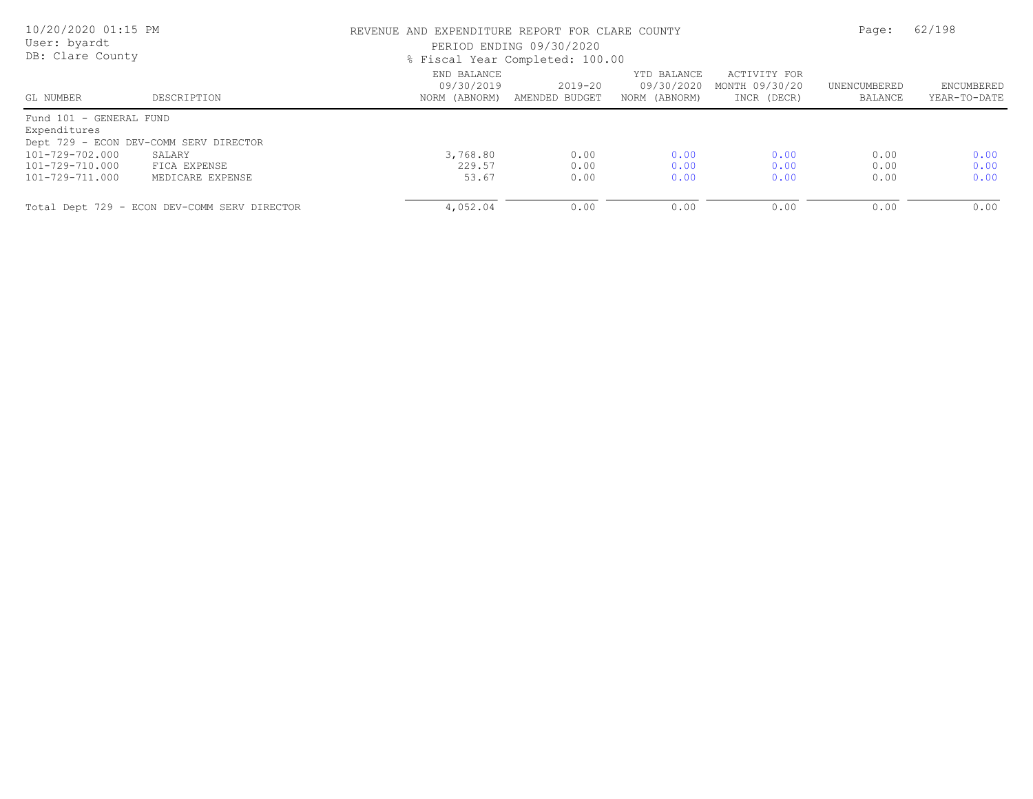| 10/20/2020 01:15 PM<br>User: byardt<br>DB: Clare County |                                              | REVENUE AND EXPENDITURE REPORT FOR CLARE COUNTY<br>PERIOD ENDING 09/30/2020<br>% Fiscal Year Completed: 100.00 |                           |                                            |                                               | Page:                   | 62/198                            |  |
|---------------------------------------------------------|----------------------------------------------|----------------------------------------------------------------------------------------------------------------|---------------------------|--------------------------------------------|-----------------------------------------------|-------------------------|-----------------------------------|--|
| GL NUMBER                                               | DESCRIPTION                                  | END BALANCE<br>09/30/2019<br>NORM (ABNORM)                                                                     | 2019-20<br>AMENDED BUDGET | YTD BALANCE<br>09/30/2020<br>NORM (ABNORM) | ACTIVITY FOR<br>MONTH 09/30/20<br>INCR (DECR) | UNENCUMBERED<br>BALANCE | <b>ENCUMBERED</b><br>YEAR-TO-DATE |  |
| Fund 101 - GENERAL FUND<br>Expenditures                 |                                              |                                                                                                                |                           |                                            |                                               |                         |                                   |  |
|                                                         | Dept 729 - ECON DEV-COMM SERV DIRECTOR       |                                                                                                                |                           |                                            |                                               |                         |                                   |  |
| 101-729-702.000                                         | SALARY                                       | 3,768.80                                                                                                       | 0.00                      | 0.00                                       | 0.00                                          | 0.00                    | 0.00                              |  |
| 101-729-710.000                                         | FICA EXPENSE                                 | 229.57                                                                                                         | 0.00                      | 0.00                                       | 0.00                                          | 0.00                    | 0.00                              |  |
| 101-729-711.000                                         | MEDICARE EXPENSE                             | 53.67                                                                                                          | 0.00                      | 0.00                                       | 0.00                                          | 0.00                    | 0.00                              |  |
|                                                         | Total Dept 729 - ECON DEV-COMM SERV DIRECTOR | 4,052.04                                                                                                       | 0.00                      | 0.00                                       | 0.00                                          | 0.00                    | 0.00                              |  |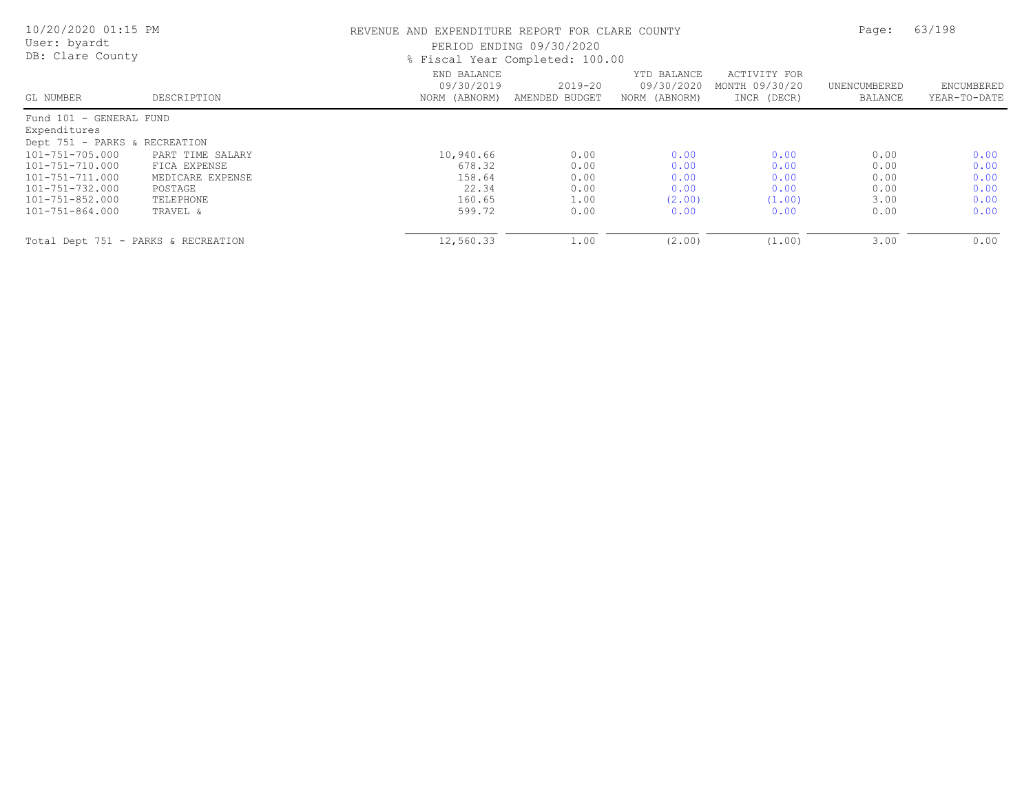| 10/20/2020 01:15 PM<br>User: byardt<br>DB: Clare County |                  |                                            | REVENUE AND EXPENDITURE REPORT FOR CLARE COUNTY<br>PERIOD ENDING 09/30/2020<br>% Fiscal Year Completed: 100.00 |                                            |                                               |                         |                            |
|---------------------------------------------------------|------------------|--------------------------------------------|----------------------------------------------------------------------------------------------------------------|--------------------------------------------|-----------------------------------------------|-------------------------|----------------------------|
| GL NUMBER                                               | DESCRIPTION      | END BALANCE<br>09/30/2019<br>NORM (ABNORM) | $2019 - 20$<br>AMENDED BUDGET                                                                                  | YTD BALANCE<br>09/30/2020<br>NORM (ABNORM) | ACTIVITY FOR<br>MONTH 09/30/20<br>INCR (DECR) | UNENCUMBERED<br>BALANCE | ENCUMBERED<br>YEAR-TO-DATE |
| Fund 101 - GENERAL FUND                                 |                  |                                            |                                                                                                                |                                            |                                               |                         |                            |
| Expenditures                                            |                  |                                            |                                                                                                                |                                            |                                               |                         |                            |
| Dept 751 - PARKS & RECREATION                           |                  |                                            |                                                                                                                |                                            |                                               |                         |                            |
| 101-751-705.000                                         | PART TIME SALARY | 10,940.66                                  | 0.00                                                                                                           | 0.00                                       | 0.00                                          | 0.00                    | 0.00                       |
| 101-751-710.000                                         | FICA EXPENSE     | 678.32                                     | 0.00                                                                                                           | 0.00                                       | 0.00                                          | 0.00                    | 0.00                       |
| 101-751-711.000                                         | MEDICARE EXPENSE | 158.64                                     | 0.00                                                                                                           | 0.00                                       | 0.00                                          | 0.00                    | 0.00                       |
| 101-751-732.000                                         | POSTAGE          | 22.34                                      | 0.00                                                                                                           | 0.00                                       | 0.00                                          | 0.00                    | 0.00                       |
| 101-751-852.000                                         | TELEPHONE        | 160.65                                     | 1.00                                                                                                           | (2.00)                                     | (1.00)                                        | 3.00                    | 0.00                       |
| 101-751-864.000                                         | TRAVEL &         | 599.72                                     | 0.00                                                                                                           | 0.00                                       | 0.00                                          | 0.00                    | 0.00                       |
| Total Dept 751 - PARKS & RECREATION                     |                  | 12,560.33                                  | 1.00                                                                                                           | (2.00)                                     | (1.00)                                        | 3.00                    | 0.00                       |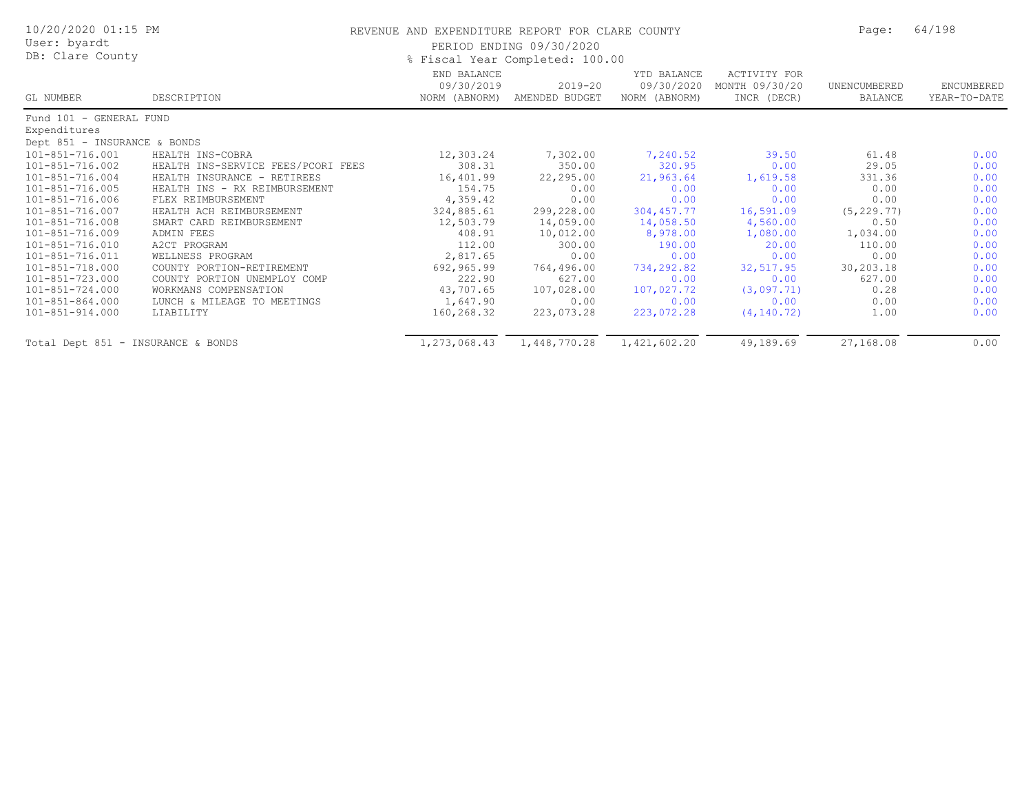| 10/20/2020 01:15 PM<br>User: byardt<br>DB: Clare County |                                    | REVENUE AND EXPENDITURE REPORT FOR CLARE COUNTY | PERIOD ENDING 09/30/2020<br>% Fiscal Year Completed: 100.00 |                                            |                                                      | Page:                   | 64/198                     |  |
|---------------------------------------------------------|------------------------------------|-------------------------------------------------|-------------------------------------------------------------|--------------------------------------------|------------------------------------------------------|-------------------------|----------------------------|--|
| GL NUMBER                                               | DESCRIPTION                        | END BALANCE<br>09/30/2019<br>NORM (ABNORM)      | $2019 - 20$<br>AMENDED BUDGET                               | YTD BALANCE<br>09/30/2020<br>NORM (ABNORM) | <b>ACTIVITY FOR</b><br>MONTH 09/30/20<br>INCR (DECR) | UNENCUMBERED<br>BALANCE | ENCUMBERED<br>YEAR-TO-DATE |  |
| Fund 101 - GENERAL FUND                                 |                                    |                                                 |                                                             |                                            |                                                      |                         |                            |  |
| Expenditures                                            |                                    |                                                 |                                                             |                                            |                                                      |                         |                            |  |
| Dept 851 - INSURANCE & BONDS                            |                                    |                                                 |                                                             |                                            |                                                      |                         |                            |  |
| 101-851-716.001                                         | HEALTH INS-COBRA                   | 12,303.24                                       | 7,302.00                                                    | 7,240.52                                   | 39.50                                                | 61.48                   | 0.00                       |  |
| 101-851-716.002                                         | HEALTH INS-SERVICE FEES/PCORI FEES | 308.31                                          | 350.00                                                      | 320.95                                     | 0.00                                                 | 29.05                   | 0.00                       |  |
| 101-851-716.004                                         | HEALTH INSURANCE - RETIREES        | 16,401.99                                       | 22,295.00                                                   | 21,963.64                                  | 1,619.58                                             | 331.36                  | 0.00                       |  |
| 101-851-716.005                                         | HEALTH INS - RX REIMBURSEMENT      | 154.75                                          | 0.00                                                        | 0.00                                       | 0.00                                                 | 0.00                    | 0.00                       |  |
| 101-851-716.006                                         | FLEX REIMBURSEMENT                 | 4,359.42                                        | 0.00                                                        | 0.00                                       | 0.00                                                 | 0.00                    | 0.00                       |  |
| 101-851-716.007                                         | HEALTH ACH REIMBURSEMENT           | 324,885.61                                      | 299,228.00                                                  | 304, 457.77                                | 16,591.09                                            | (5, 229.77)             | 0.00                       |  |
| 101-851-716.008                                         | SMART CARD REIMBURSEMENT           | 12,503.79                                       | 14,059.00                                                   | 14,058.50                                  | 4,560.00                                             | 0.50                    | 0.00                       |  |
| 101-851-716.009                                         | ADMIN FEES                         | 408.91                                          | 10,012.00                                                   | 8,978.00                                   | 1,080.00                                             | 1,034.00                | 0.00                       |  |
| 101-851-716.010                                         | A2CT PROGRAM                       | 112.00                                          | 300.00                                                      | 190.00                                     | 20.00                                                | 110.00                  | 0.00                       |  |
| 101-851-716.011                                         | WELLNESS PROGRAM                   | 2,817.65                                        | 0.00                                                        | 0.00                                       | 0.00                                                 | 0.00                    | 0.00                       |  |
| 101-851-718.000                                         | COUNTY PORTION-RETIREMENT          | 692,965.99                                      | 764,496.00                                                  | 734,292.82                                 | 32,517.95                                            | 30,203.18               | 0.00                       |  |
| 101-851-723.000                                         | COUNTY PORTION UNEMPLOY COMP       | 222.90                                          | 627.00                                                      | 0.00                                       | 0.00                                                 | 627.00                  | 0.00                       |  |
| 101-851-724.000                                         | WORKMANS COMPENSATION              | 43,707.65                                       | 107,028.00                                                  | 107,027.72                                 | (3,097.71)                                           | 0.28                    | 0.00                       |  |
| 101-851-864.000                                         | LUNCH & MILEAGE TO MEETINGS        | 1,647.90                                        | 0.00                                                        | 0.00                                       | 0.00                                                 | 0.00                    | 0.00                       |  |
| 101-851-914.000                                         | LIABILITY                          | 160,268.32                                      | 223,073.28                                                  | 223,072.28                                 | (4, 140.72)                                          | 1.00                    | 0.00                       |  |
| Total Dept 851 - INSURANCE & BONDS                      |                                    | 1,273,068.43                                    | 1,448,770.28                                                | 1,421,602.20                               | 49,189.69                                            | 27,168.08               | 0.00                       |  |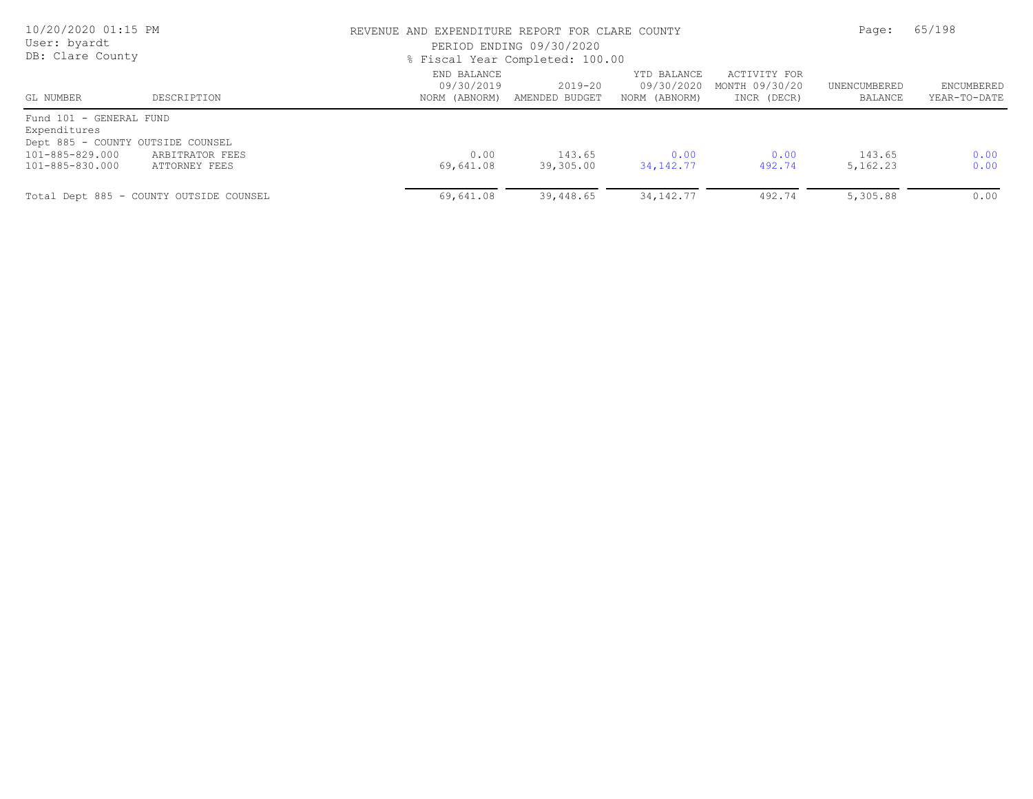| 10/20/2020 01:15 PM<br>User: byardt<br>DB: Clare County |                                         | REVENUE AND EXPENDITURE REPORT FOR CLARE COUNTY<br>PERIOD ENDING 09/30/2020<br>% Fiscal Year Completed: 100.00 | Page:                     | 65/198                                     |                                               |                         |                            |
|---------------------------------------------------------|-----------------------------------------|----------------------------------------------------------------------------------------------------------------|---------------------------|--------------------------------------------|-----------------------------------------------|-------------------------|----------------------------|
| GL NUMBER                                               | DESCRIPTION                             | END BALANCE<br>09/30/2019<br>NORM (ABNORM)                                                                     | 2019-20<br>AMENDED BUDGET | YTD BALANCE<br>09/30/2020<br>NORM (ABNORM) | ACTIVITY FOR<br>MONTH 09/30/20<br>INCR (DECR) | UNENCUMBERED<br>BALANCE | ENCUMBERED<br>YEAR-TO-DATE |
| Fund 101 - GENERAL FUND<br>Expenditures                 |                                         |                                                                                                                |                           |                                            |                                               |                         |                            |
| Dept 885 - COUNTY OUTSIDE COUNSEL                       |                                         |                                                                                                                |                           |                                            |                                               |                         |                            |
| 101-885-829.000                                         | ARBITRATOR FEES                         | 0.00                                                                                                           | 143.65                    | 0.00                                       | 0.00                                          | 143.65                  | 0.00                       |
| 101-885-830.000                                         | ATTORNEY FEES                           | 69,641.08                                                                                                      | 39,305.00                 | 34, 142. 77                                | 492.74                                        | 5, 162.23               | 0.00                       |
|                                                         | Total Dept 885 - COUNTY OUTSIDE COUNSEL | 69,641.08                                                                                                      | 39,448.65                 | 34, 142. 77                                | 492.74                                        | 5,305.88                | 0.00                       |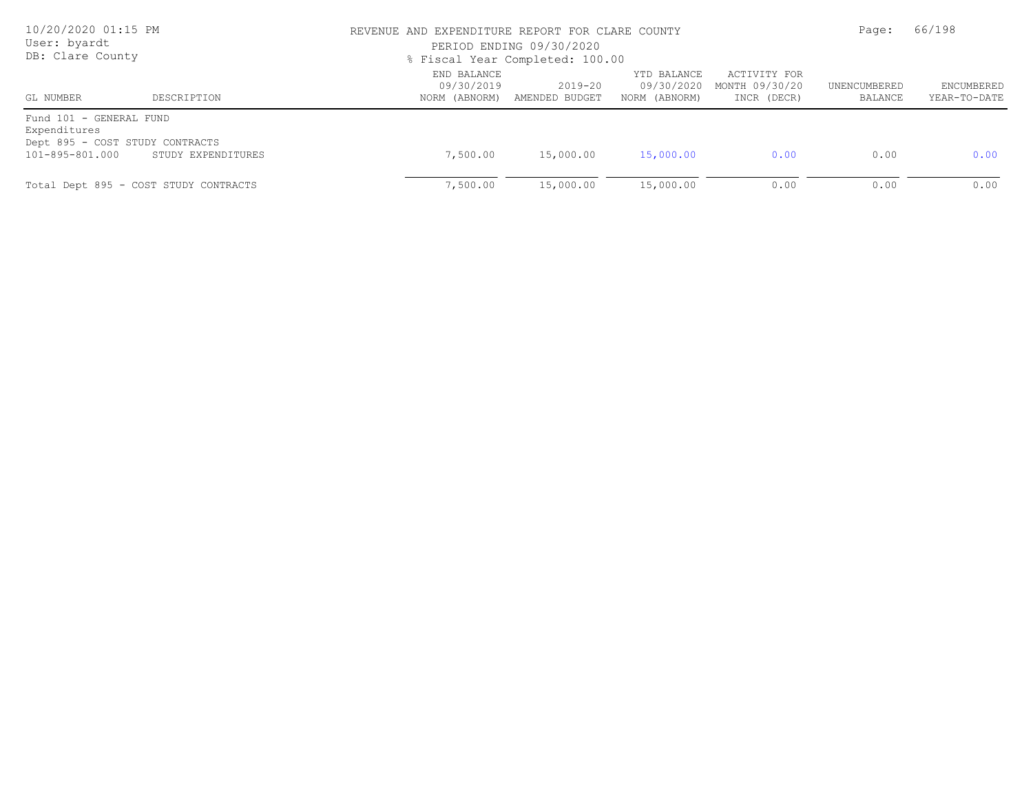| 10/20/2020 01:15 PM<br>User: byardt<br>DB: Clare County                                       |                                       | REVENUE AND EXPENDITURE REPORT FOR CLARE COUNTY<br>PERIOD ENDING 09/30/2020<br>% Fiscal Year Completed: 100.00 | Page:                         | 66/198                                     |                                               |                         |                                   |
|-----------------------------------------------------------------------------------------------|---------------------------------------|----------------------------------------------------------------------------------------------------------------|-------------------------------|--------------------------------------------|-----------------------------------------------|-------------------------|-----------------------------------|
| GL NUMBER                                                                                     | DESCRIPTION                           | END BALANCE<br>09/30/2019<br>NORM (ABNORM)                                                                     | $2019 - 20$<br>AMENDED BUDGET | YTD BALANCE<br>09/30/2020<br>NORM (ABNORM) | ACTIVITY FOR<br>MONTH 09/30/20<br>INCR (DECR) | UNENCUMBERED<br>BALANCE | <b>ENCUMBERED</b><br>YEAR-TO-DATE |
| Fund 101 - GENERAL FUND<br>Expenditures<br>Dept 895 - COST STUDY CONTRACTS<br>101-895-801.000 | STUDY EXPENDITURES                    | 7,500.00                                                                                                       | 15,000.00                     | 15,000.00                                  | 0.00                                          | 0.00                    | 0.00                              |
|                                                                                               | Total Dept 895 - COST STUDY CONTRACTS | 7,500.00                                                                                                       | 15,000.00                     | 15,000.00                                  | 0.00                                          | 0.00                    | 0.00                              |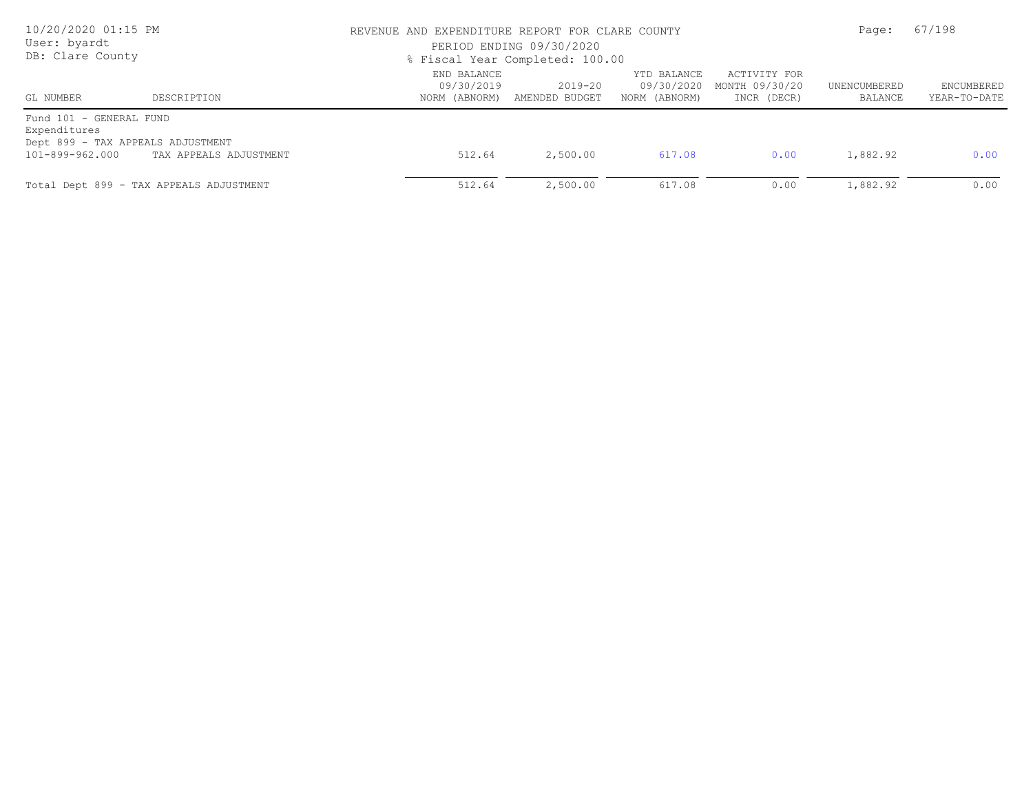| 10/20/2020 01:15 PM<br>User: byardt<br>DB: Clare County                                         |                                         |                                            | REVENUE AND EXPENDITURE REPORT FOR CLARE COUNTY<br>PERIOD ENDING 09/30/2020<br>% Fiscal Year Completed: 100.00 |                                            |                                               |                         | 67/198                     |  |
|-------------------------------------------------------------------------------------------------|-----------------------------------------|--------------------------------------------|----------------------------------------------------------------------------------------------------------------|--------------------------------------------|-----------------------------------------------|-------------------------|----------------------------|--|
| GL NUMBER                                                                                       | DESCRIPTION                             | END BALANCE<br>09/30/2019<br>NORM (ABNORM) | 2019-20<br>AMENDED BUDGET                                                                                      | YTD BALANCE<br>09/30/2020<br>NORM (ABNORM) | ACTIVITY FOR<br>MONTH 09/30/20<br>INCR (DECR) | UNENCUMBERED<br>BALANCE | ENCUMBERED<br>YEAR-TO-DATE |  |
| Fund 101 - GENERAL FUND<br>Expenditures<br>Dept 899 - TAX APPEALS ADJUSTMENT<br>101-899-962.000 | TAX APPEALS ADJUSTMENT                  | 512.64                                     | 2,500.00                                                                                                       | 617.08                                     | 0.00                                          | 1,882.92                | 0.00                       |  |
|                                                                                                 | Total Dept 899 - TAX APPEALS ADJUSTMENT | 512.64                                     | 2,500.00                                                                                                       | 617.08                                     | 0.00                                          | 1,882.92                | 0.00                       |  |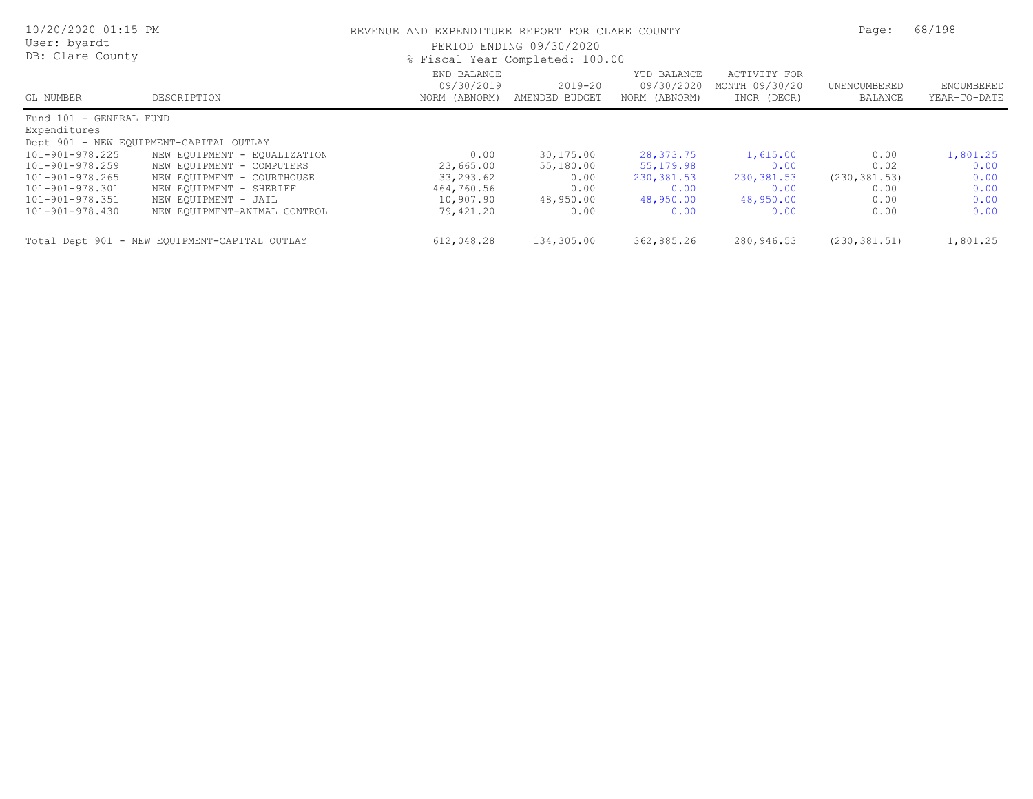| 10/20/2020 01:15 PM<br>User: byardt<br>DB: Clare County |                                               |                                            | REVENUE AND EXPENDITURE REPORT FOR CLARE COUNTY<br>PERIOD ENDING 09/30/2020<br>% Fiscal Year Completed: 100.00 |                                            |                                               |                         |                            |
|---------------------------------------------------------|-----------------------------------------------|--------------------------------------------|----------------------------------------------------------------------------------------------------------------|--------------------------------------------|-----------------------------------------------|-------------------------|----------------------------|
| GL NUMBER                                               | DESCRIPTION                                   | END BALANCE<br>09/30/2019<br>NORM (ABNORM) | $2019 - 20$<br>AMENDED BUDGET                                                                                  | YTD BALANCE<br>09/30/2020<br>NORM (ABNORM) | ACTIVITY FOR<br>MONTH 09/30/20<br>INCR (DECR) | UNENCUMBERED<br>BALANCE | ENCUMBERED<br>YEAR-TO-DATE |
| Fund 101 - GENERAL FUND                                 |                                               |                                            |                                                                                                                |                                            |                                               |                         |                            |
| Expenditures                                            |                                               |                                            |                                                                                                                |                                            |                                               |                         |                            |
|                                                         | Dept 901 - NEW EQUIPMENT-CAPITAL OUTLAY       |                                            |                                                                                                                |                                            |                                               |                         |                            |
| 101-901-978.225                                         | NEW EQUIPMENT - EQUALIZATION                  | 0.00                                       | 30,175.00                                                                                                      | 28,373.75                                  | 1,615.00                                      | 0.00                    | 1,801.25                   |
| 101-901-978.259                                         | NEW EQUIPMENT - COMPUTERS                     | 23,665.00                                  | 55,180.00                                                                                                      | 55,179.98                                  | 0.00                                          | 0.02                    | 0.00                       |
| 101-901-978.265                                         | NEW EQUIPMENT - COURTHOUSE                    | 33,293.62                                  | 0.00                                                                                                           | 230,381.53                                 | 230, 381.53                                   | (230, 381.53)           | 0.00                       |
| 101-901-978.301                                         | NEW EQUIPMENT - SHERIFF                       | 464,760.56                                 | 0.00                                                                                                           | 0.00                                       | 0.00                                          | 0.00                    | 0.00                       |
| 101-901-978.351                                         | NEW EQUIPMENT - JAIL                          | 10,907.90                                  | 48,950.00                                                                                                      | 48,950.00                                  | 48,950.00                                     | 0.00                    | 0.00                       |
| 101-901-978.430                                         | NEW EQUIPMENT-ANIMAL CONTROL                  | 79,421.20                                  | 0.00                                                                                                           | 0.00                                       | 0.00                                          | 0.00                    | 0.00                       |
|                                                         | Total Dept 901 - NEW EQUIPMENT-CAPITAL OUTLAY | 612,048.28                                 | 134,305.00                                                                                                     | 362,885.26                                 | 280,946.53                                    | (230, 381.51)           | 1,801.25                   |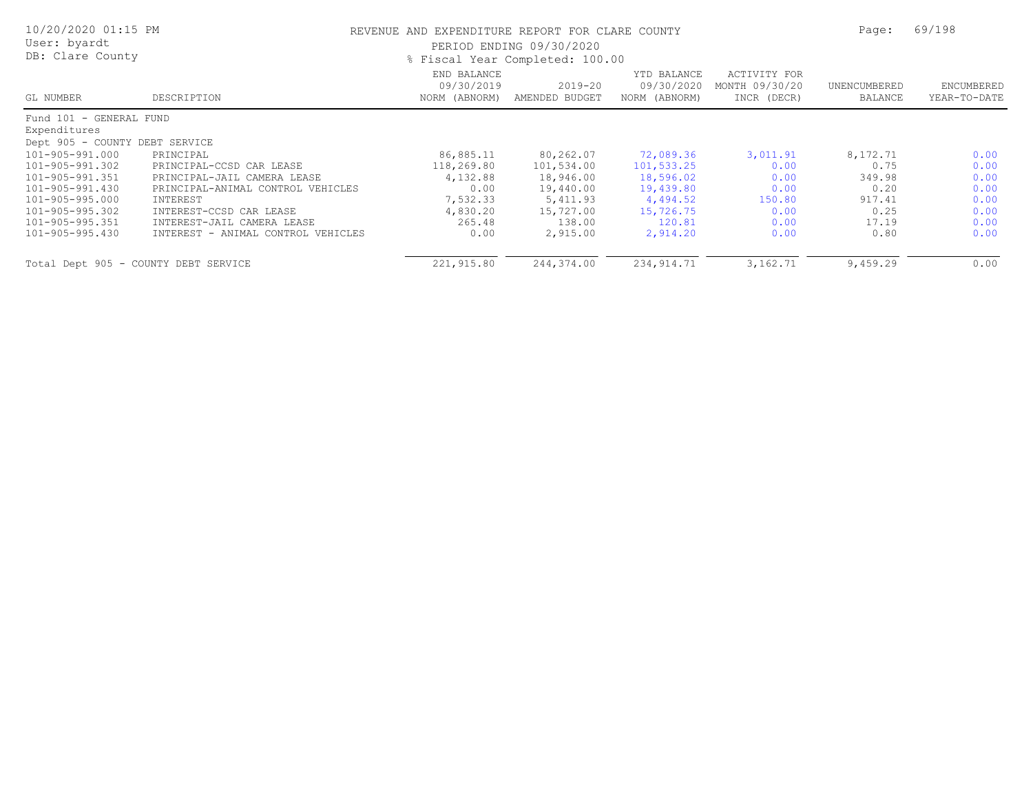| 10/20/2020 01:15 PM<br>User: byardt<br>DB: Clare County |                                    | REVENUE AND EXPENDITURE REPORT FOR CLARE COUNTY<br>PERIOD ENDING 09/30/2020<br>% Fiscal Year Completed: 100.00 |                           |                                            |                                               |                         | 69/198                     |
|---------------------------------------------------------|------------------------------------|----------------------------------------------------------------------------------------------------------------|---------------------------|--------------------------------------------|-----------------------------------------------|-------------------------|----------------------------|
| GL NUMBER                                               | DESCRIPTION                        | END BALANCE<br>09/30/2019<br>NORM (ABNORM)                                                                     | 2019-20<br>AMENDED BUDGET | YTD BALANCE<br>09/30/2020<br>NORM (ABNORM) | ACTIVITY FOR<br>MONTH 09/30/20<br>INCR (DECR) | UNENCUMBERED<br>BALANCE | ENCUMBERED<br>YEAR-TO-DATE |
| Fund 101 - GENERAL FUND                                 |                                    |                                                                                                                |                           |                                            |                                               |                         |                            |
| Expenditures                                            |                                    |                                                                                                                |                           |                                            |                                               |                         |                            |
| Dept 905 - COUNTY DEBT SERVICE                          |                                    |                                                                                                                |                           |                                            |                                               |                         |                            |
| 101-905-991.000                                         | PRINCIPAL                          | 86,885.11                                                                                                      | 80,262.07                 | 72,089.36                                  | 3,011.91                                      | 8,172.71                | 0.00                       |
| 101-905-991.302                                         | PRINCIPAL-CCSD CAR LEASE           | 118,269.80                                                                                                     | 101,534.00                | 101,533.25                                 | 0.00                                          | 0.75                    | 0.00                       |
| 101-905-991.351                                         | PRINCIPAL-JAIL CAMERA LEASE        | 4,132.88                                                                                                       | 18,946.00                 | 18,596.02                                  | 0.00                                          | 349.98                  | 0.00                       |
| 101-905-991.430                                         | PRINCIPAL-ANIMAL CONTROL VEHICLES  | 0.00                                                                                                           | 19,440.00                 | 19,439.80                                  | 0.00                                          | 0.20                    | 0.00                       |
| 101-905-995.000                                         | INTEREST                           | 7,532.33                                                                                                       | 5,411.93                  | 4,494.52                                   | 150.80                                        | 917.41                  | 0.00                       |
| 101-905-995.302                                         | INTEREST-CCSD CAR LEASE            | 4,830.20                                                                                                       | 15,727.00                 | 15,726.75                                  | 0.00                                          | 0.25                    | 0.00                       |
| 101-905-995.351                                         | INTEREST-JAIL CAMERA LEASE         | 265.48                                                                                                         | 138.00                    | 120.81                                     | 0.00                                          | 17.19                   | 0.00                       |
| 101-905-995.430                                         | INTEREST - ANIMAL CONTROL VEHICLES | 0.00                                                                                                           | 2,915.00                  | 2,914.20                                   | 0.00                                          | 0.80                    | 0.00                       |
| Total Dept 905 - COUNTY DEBT SERVICE                    |                                    | 221,915.80                                                                                                     | 244,374.00                | 234, 914.71                                | 3,162.71                                      | 9,459.29                | 0.00                       |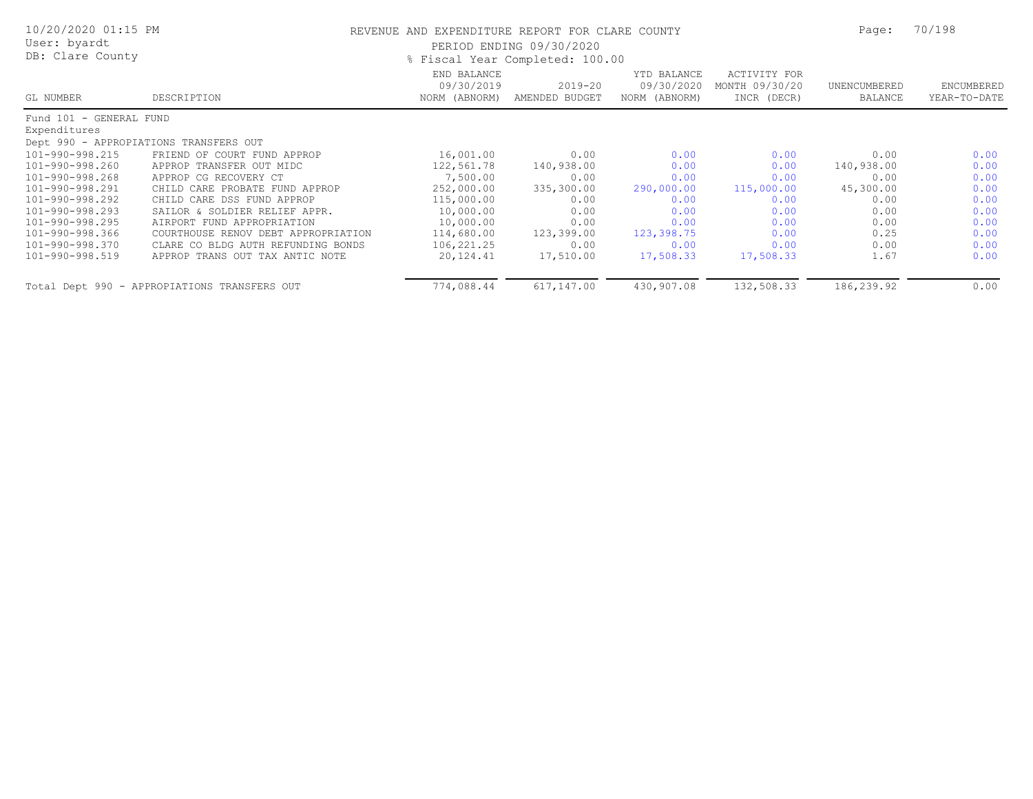| 10/20/2020 01:15 PM<br>User: byardt<br>DB: Clare County |                                              | REVENUE AND EXPENDITURE REPORT FOR CLARE COUNTY<br>PERIOD ENDING 09/30/2020<br>% Fiscal Year Completed: 100.00 |                               |                                            |                                               |                         | 70/198                     |
|---------------------------------------------------------|----------------------------------------------|----------------------------------------------------------------------------------------------------------------|-------------------------------|--------------------------------------------|-----------------------------------------------|-------------------------|----------------------------|
| GL NUMBER                                               | DESCRIPTION                                  | END BALANCE<br>09/30/2019<br>NORM (ABNORM)                                                                     | $2019 - 20$<br>AMENDED BUDGET | YTD BALANCE<br>09/30/2020<br>NORM (ABNORM) | ACTIVITY FOR<br>MONTH 09/30/20<br>INCR (DECR) | UNENCUMBERED<br>BALANCE | ENCUMBERED<br>YEAR-TO-DATE |
| Fund 101 - GENERAL FUND<br>Expenditures                 |                                              |                                                                                                                |                               |                                            |                                               |                         |                            |
|                                                         | Dept 990 - APPROPIATIONS TRANSFERS OUT       |                                                                                                                |                               |                                            |                                               |                         |                            |
| 101-990-998.215                                         | FRIEND OF COURT FUND APPROP                  | 16,001.00                                                                                                      | 0.00                          | 0.00                                       | 0.00                                          | 0.00                    | 0.00                       |
| 101-990-998.260                                         | APPROP TRANSFER OUT MIDC                     | 122,561.78                                                                                                     | 140,938.00                    | 0.00                                       | 0.00                                          | 140,938.00              | 0.00                       |
| 101-990-998.268                                         | APPROP CG RECOVERY CT                        | 7,500.00                                                                                                       | 0.00                          | 0.00                                       | 0.00                                          | 0.00                    | 0.00                       |
| 101-990-998.291                                         | CHILD CARE PROBATE FUND APPROP               | 252,000.00                                                                                                     | 335,300.00                    | 290,000.00                                 | 115,000.00                                    | 45,300.00               | 0.00                       |
| 101-990-998.292                                         | CHILD CARE DSS FUND APPROP                   | 115,000.00                                                                                                     | 0.00                          | 0.00                                       | 0.00                                          | 0.00                    | 0.00                       |
| 101-990-998.293                                         | SAILOR & SOLDIER RELIEF APPR.                | 10,000.00                                                                                                      | 0.00                          | 0.00                                       | 0.00                                          | 0.00                    | 0.00                       |
| 101-990-998.295                                         | AIRPORT FUND APPROPRIATION                   | 10,000.00                                                                                                      | 0.00                          | 0.00                                       | 0.00                                          | 0.00                    | 0.00                       |
| 101-990-998.366                                         | COURTHOUSE RENOV DEBT APPROPRIATION          | 114,680.00                                                                                                     | 123,399.00                    | 123,398.75                                 | 0.00                                          | 0.25                    | 0.00                       |
| 101-990-998.370                                         | CLARE CO BLDG AUTH REFUNDING BONDS           | 106,221.25                                                                                                     | 0.00                          | 0.00                                       | 0.00                                          | 0.00                    | 0.00                       |
| 101-990-998.519                                         | APPROP TRANS OUT TAX ANTIC NOTE              | 20,124.41                                                                                                      | 17,510.00                     | 17,508.33                                  | 17,508.33                                     | 1.67                    | 0.00                       |
|                                                         | Total Dept 990 - APPROPIATIONS TRANSFERS OUT | 774,088.44                                                                                                     | 617,147.00                    | 430,907.08                                 | 132,508.33                                    | 186,239.92              | 0.00                       |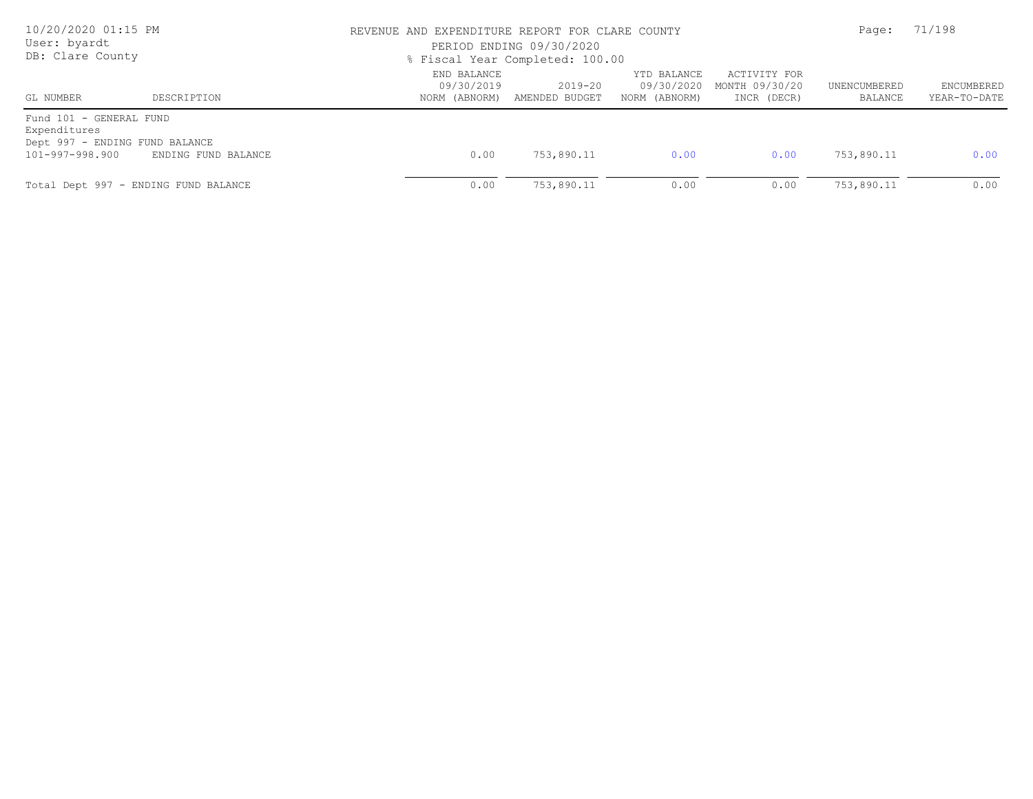| 10/20/2020 01:15 PM<br>User: byardt<br>DB: Clare County                                      |                                      |                           | REVENUE AND EXPENDITURE REPORT FOR CLARE COUNTY<br>PERIOD ENDING 09/30/2020<br>% Fiscal Year Completed: 100.00 |                                            |                                               |                         |                            |
|----------------------------------------------------------------------------------------------|--------------------------------------|---------------------------|----------------------------------------------------------------------------------------------------------------|--------------------------------------------|-----------------------------------------------|-------------------------|----------------------------|
| GL NUMBER                                                                                    | DESCRIPTION                          | END BALANCE<br>09/30/2019 | $2019 - 20$<br>NORM (ABNORM) AMENDED BUDGET                                                                    | YTD BALANCE<br>09/30/2020<br>NORM (ABNORM) | ACTIVITY FOR<br>MONTH 09/30/20<br>INCR (DECR) | UNENCUMBERED<br>BALANCE | ENCUMBERED<br>YEAR-TO-DATE |
| Fund 101 - GENERAL FUND<br>Expenditures<br>Dept 997 - ENDING FUND BALANCE<br>101-997-998.900 | ENDING FUND BALANCE                  | 0.00                      | 753,890.11                                                                                                     | 0.00                                       | 0.00                                          | 753,890.11              | 0.00                       |
|                                                                                              | Total Dept 997 - ENDING FUND BALANCE | 0.00                      | 753,890.11                                                                                                     | 0.00                                       | 0.00                                          | 753,890.11              | 0.00                       |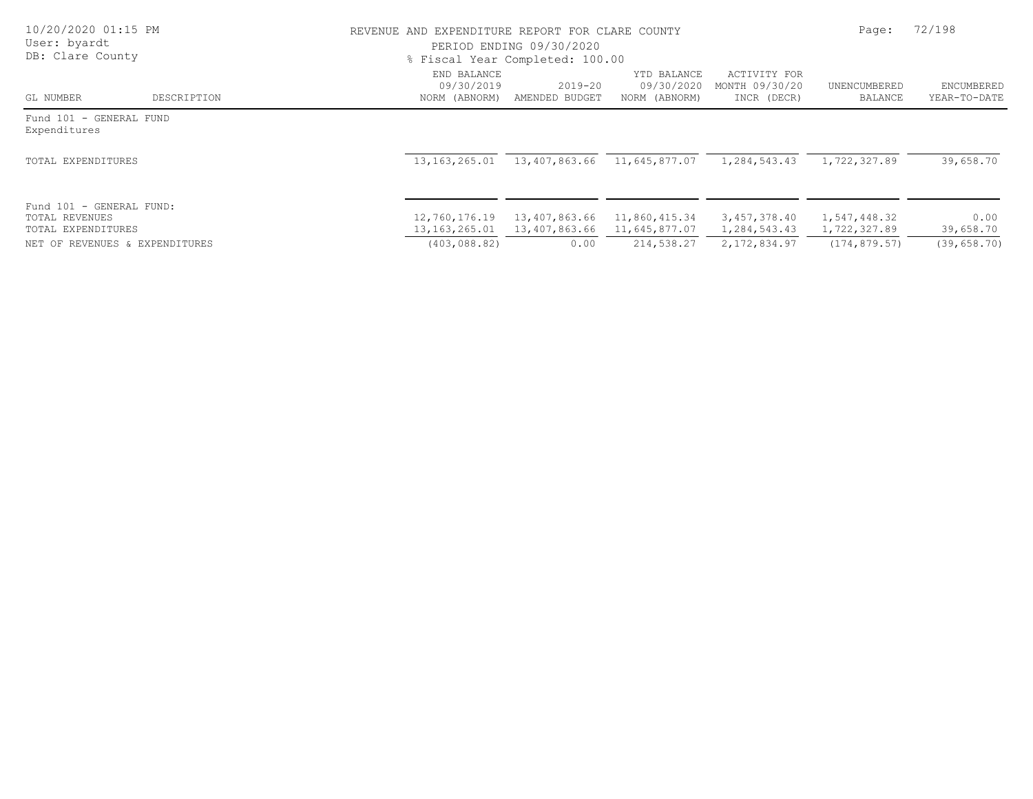| 10/20/2020 01:15 PM<br>User: byardt<br>DB: Clare County          |             |                                            | REVENUE AND EXPENDITURE REPORT FOR CLARE COUNTY<br>PERIOD ENDING 09/30/2020<br>% Fiscal Year Completed: 100.00 |                                            |                                               |                              |                            |
|------------------------------------------------------------------|-------------|--------------------------------------------|----------------------------------------------------------------------------------------------------------------|--------------------------------------------|-----------------------------------------------|------------------------------|----------------------------|
| GL NUMBER                                                        | DESCRIPTION | END BALANCE<br>09/30/2019<br>NORM (ABNORM) | $2019 - 20$<br>AMENDED BUDGET                                                                                  | YTD BALANCE<br>09/30/2020<br>NORM (ABNORM) | ACTIVITY FOR<br>MONTH 09/30/20<br>INCR (DECR) | UNENCUMBERED<br>BALANCE      | ENCUMBERED<br>YEAR-TO-DATE |
| Fund 101 - GENERAL FUND<br>Expenditures                          |             |                                            |                                                                                                                |                                            |                                               |                              |                            |
| TOTAL EXPENDITURES                                               |             | 13, 163, 265.01                            |                                                                                                                | 13,407,863.66 11,645,877.07                | 1,284,543.43                                  | 1,722,327.89                 | 39,658.70                  |
| Fund 101 - GENERAL FUND:<br>TOTAL REVENUES<br>TOTAL EXPENDITURES |             | 12,760,176.19<br>13,163,265.01             | 13,407,863.66<br>13,407,863.66                                                                                 | 11,860,415.34<br>11,645,877.07             | 3,457,378.40<br>1,284,543.43                  | 1,547,448.32<br>1,722,327.89 | 0.00<br>39,658.70          |
| NET OF REVENUES & EXPENDITURES                                   |             | (403, 088, 82)                             | 0.00                                                                                                           | 214,538.27                                 | 2,172,834.97                                  | (174, 879.57)                | (39, 658, 70)              |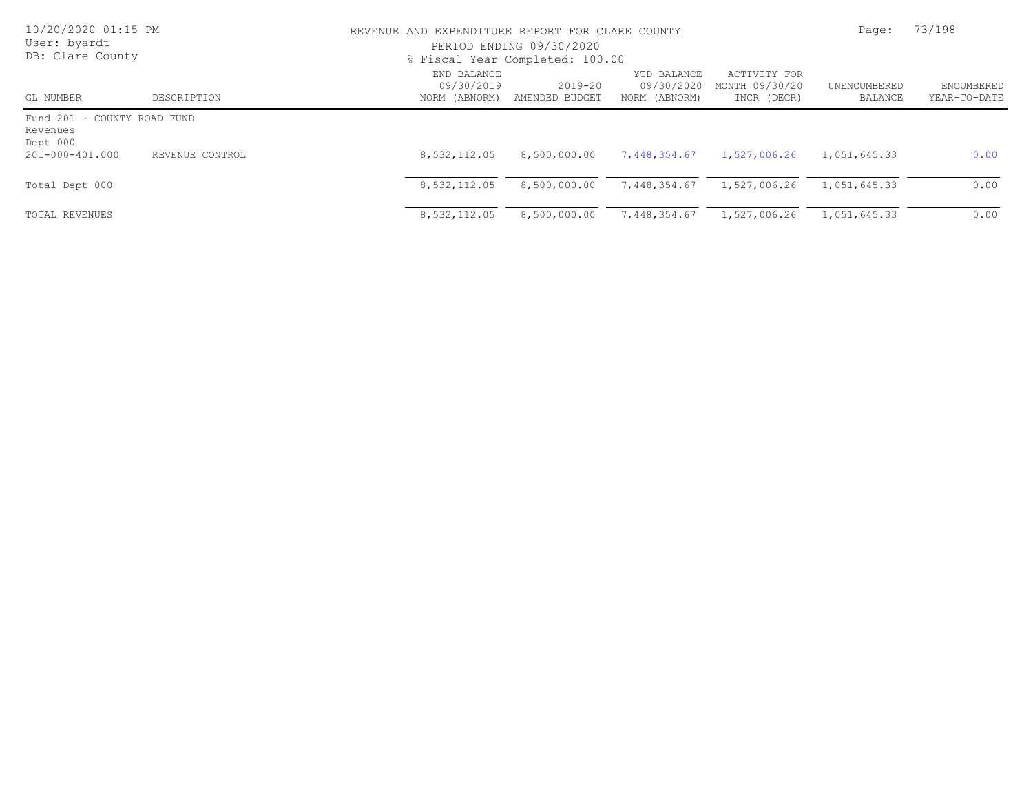| 10/20/2020 01:15 PM<br>User: byardt<br>DB: Clare County |                 |                                            | REVENUE AND EXPENDITURE REPORT FOR CLARE COUNTY<br>PERIOD ENDING 09/30/2020<br>% Fiscal Year Completed: 100.00 |                                            |                                               |                         |                            |
|---------------------------------------------------------|-----------------|--------------------------------------------|----------------------------------------------------------------------------------------------------------------|--------------------------------------------|-----------------------------------------------|-------------------------|----------------------------|
| GL NUMBER                                               | DESCRIPTION     | END BALANCE<br>09/30/2019<br>NORM (ABNORM) | $2019 - 20$<br>AMENDED BUDGET                                                                                  | YTD BALANCE<br>09/30/2020<br>NORM (ABNORM) | ACTIVITY FOR<br>MONTH 09/30/20<br>INCR (DECR) | UNENCUMBERED<br>BALANCE | ENCUMBERED<br>YEAR-TO-DATE |
| Fund 201 - COUNTY ROAD FUND<br>Revenues<br>Dept 000     |                 |                                            |                                                                                                                |                                            |                                               |                         |                            |
| 201-000-401.000                                         | REVENUE CONTROL | 8,532,112.05                               | 8,500,000.00                                                                                                   | 7,448,354.67                               | 1,527,006.26                                  | 1,051,645.33            | 0.00                       |
| Total Dept 000                                          |                 | 8,532,112.05                               | 8,500,000.00                                                                                                   | 7,448,354.67                               | 1,527,006.26                                  | 1,051,645.33            | 0.00                       |
| TOTAL REVENUES                                          |                 | 8,532,112.05                               | 8,500,000.00                                                                                                   | 7,448,354.67                               | 1,527,006.26                                  | 1,051,645.33            | 0.00                       |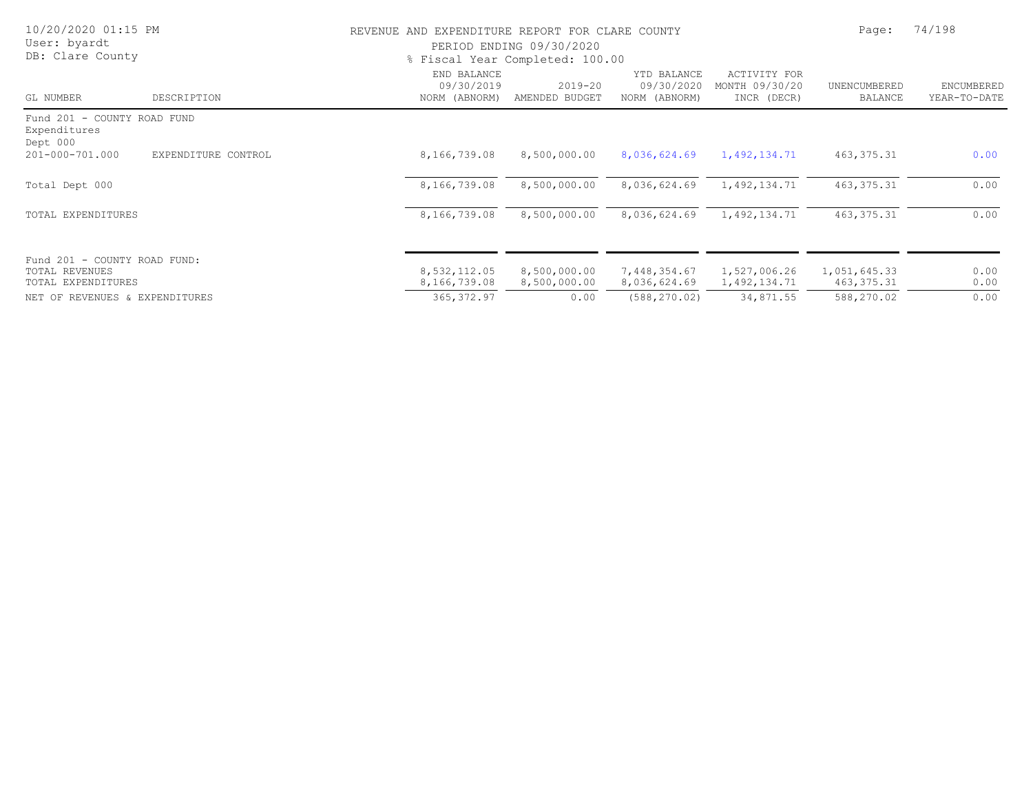| 10/20/2020 01:15 PM<br>User: byardt<br>DB: Clare County              |                     | REVENUE AND EXPENDITURE REPORT FOR CLARE COUNTY<br>PERIOD ENDING 09/30/2020<br>% Fiscal Year Completed: 100.00 | Page:                         | 74/198                                     |                                                      |                             |                            |
|----------------------------------------------------------------------|---------------------|----------------------------------------------------------------------------------------------------------------|-------------------------------|--------------------------------------------|------------------------------------------------------|-----------------------------|----------------------------|
| GL NUMBER                                                            | DESCRIPTION         | END BALANCE<br>09/30/2019<br>NORM (ABNORM)                                                                     | $2019 - 20$<br>AMENDED BUDGET | YTD BALANCE<br>09/30/2020<br>NORM (ABNORM) | <b>ACTIVITY FOR</b><br>MONTH 09/30/20<br>INCR (DECR) | UNENCUMBERED<br>BALANCE     | ENCUMBERED<br>YEAR-TO-DATE |
| Fund 201 - COUNTY ROAD FUND<br>Expenditures<br>Dept 000              |                     |                                                                                                                |                               |                                            |                                                      |                             |                            |
| 201-000-701.000                                                      | EXPENDITURE CONTROL | 8,166,739.08                                                                                                   | 8,500,000.00                  | 8,036,624.69                               | 1,492,134.71                                         | 463, 375. 31                | 0.00                       |
| Total Dept 000                                                       |                     | 8,166,739.08                                                                                                   | 8,500,000.00                  | 8,036,624.69                               | 1,492,134.71                                         | 463, 375. 31                | 0.00                       |
| TOTAL EXPENDITURES                                                   |                     | 8,166,739.08                                                                                                   | 8,500,000.00                  | 8,036,624.69                               | 1,492,134.71                                         | 463, 375. 31                | 0.00                       |
| Fund 201 - COUNTY ROAD FUND:<br>TOTAL REVENUES<br>TOTAL EXPENDITURES |                     | 8,532,112.05<br>8,166,739.08                                                                                   | 8,500,000.00<br>8,500,000.00  | 7,448,354.67<br>8,036,624.69               | 1,527,006.26<br>1,492,134.71                         | 1,051,645.33<br>463, 375.31 | 0.00<br>0.00               |
| NET OF REVENUES & EXPENDITURES                                       |                     | 365, 372.97                                                                                                    | 0.00                          | (588, 270, 02)                             | 34,871.55                                            | 588,270.02                  | 0.00                       |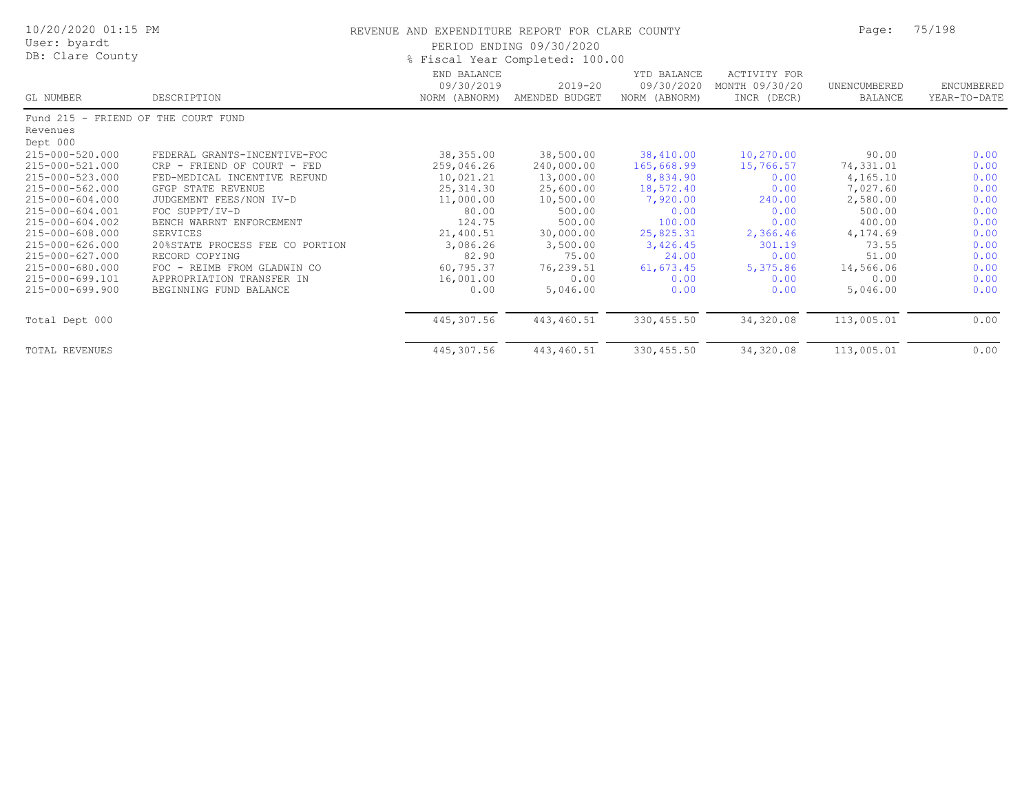| 10/20/2020 01:15 PM<br>User: byardt<br>DB: Clare County |                                 | REVENUE AND EXPENDITURE REPORT FOR CLARE COUNTY<br>PERIOD ENDING 09/30/2020<br>% Fiscal Year Completed: 100.00 | Page:                         | 75/198                                     |                                                      |                         |                            |
|---------------------------------------------------------|---------------------------------|----------------------------------------------------------------------------------------------------------------|-------------------------------|--------------------------------------------|------------------------------------------------------|-------------------------|----------------------------|
| GL NUMBER                                               | DESCRIPTION                     | END BALANCE<br>09/30/2019<br>NORM (ABNORM)                                                                     | $2019 - 20$<br>AMENDED BUDGET | YTD BALANCE<br>09/30/2020<br>NORM (ABNORM) | <b>ACTIVITY FOR</b><br>MONTH 09/30/20<br>INCR (DECR) | UNENCUMBERED<br>BALANCE | ENCUMBERED<br>YEAR-TO-DATE |
| Fund 215 - FRIEND OF THE COURT FUND                     |                                 |                                                                                                                |                               |                                            |                                                      |                         |                            |
| Revenues                                                |                                 |                                                                                                                |                               |                                            |                                                      |                         |                            |
| Dept 000                                                |                                 |                                                                                                                |                               |                                            |                                                      |                         |                            |
| 215-000-520.000                                         | FEDERAL GRANTS-INCENTIVE-FOC    | 38,355.00                                                                                                      | 38,500.00                     | 38,410.00                                  | 10,270.00                                            | 90.00                   | 0.00                       |
| 215-000-521.000                                         | CRP - FRIEND OF COURT - FED     | 259,046.26                                                                                                     | 240,000.00                    | 165,668.99                                 | 15,766.57                                            | 74,331.01               | 0.00                       |
| 215-000-523.000                                         | FED-MEDICAL INCENTIVE REFUND    | 10,021.21                                                                                                      | 13,000.00                     | 8,834.90                                   | 0.00                                                 | 4,165.10                | 0.00                       |
| 215-000-562.000                                         | GFGP STATE REVENUE              | 25, 314.30                                                                                                     | 25,600.00                     | 18,572.40                                  | 0.00                                                 | 7,027.60                | 0.00                       |
| 215-000-604.000                                         | JUDGEMENT FEES/NON IV-D         | 11,000.00                                                                                                      | 10,500.00                     | 7,920.00                                   | 240.00                                               | 2,580.00                | 0.00                       |
| 215-000-604.001                                         | FOC SUPPT/IV-D                  | 80.00                                                                                                          | 500.00                        | 0.00                                       | 0.00                                                 | 500.00                  | 0.00                       |
| 215-000-604.002                                         | BENCH WARRNT ENFORCEMENT        | 124.75                                                                                                         | 500.00                        | 100.00                                     | 0.00                                                 | 400.00                  | 0.00                       |
| 215-000-608.000                                         | SERVICES                        | 21,400.51                                                                                                      | 30,000.00                     | 25,825.31                                  | 2,366.46                                             | 4,174.69                | 0.00                       |
| 215-000-626.000                                         | 20%STATE PROCESS FEE CO PORTION | 3,086.26                                                                                                       | 3,500.00                      | 3,426.45                                   | 301.19                                               | 73.55                   | 0.00                       |
| 215-000-627.000                                         | RECORD COPYING                  | 82.90                                                                                                          | 75.00                         | 24.00                                      | 0.00                                                 | 51.00                   | 0.00                       |
| 215-000-680.000                                         | FOC - REIMB FROM GLADWIN CO     | 60,795.37                                                                                                      | 76,239.51                     | 61, 673.45                                 | 5,375.86                                             | 14,566.06               | 0.00                       |
| 215-000-699.101                                         | APPROPRIATION TRANSFER IN       | 16,001.00                                                                                                      | 0.00                          | 0.00                                       | 0.00                                                 | 0.00                    | 0.00                       |
| 215-000-699.900                                         | BEGINNING FUND BALANCE          | 0.00                                                                                                           | 5,046.00                      | 0.00                                       | 0.00                                                 | 5,046.00                | 0.00                       |
| Total Dept 000                                          |                                 | 445,307.56                                                                                                     | 443,460.51                    | 330,455.50                                 | 34,320.08                                            | 113,005.01              | 0.00                       |
| <b>TOTAL REVENUES</b>                                   |                                 | 445,307.56                                                                                                     | 443,460.51                    | 330, 455.50                                | 34,320.08                                            | 113,005.01              | 0.00                       |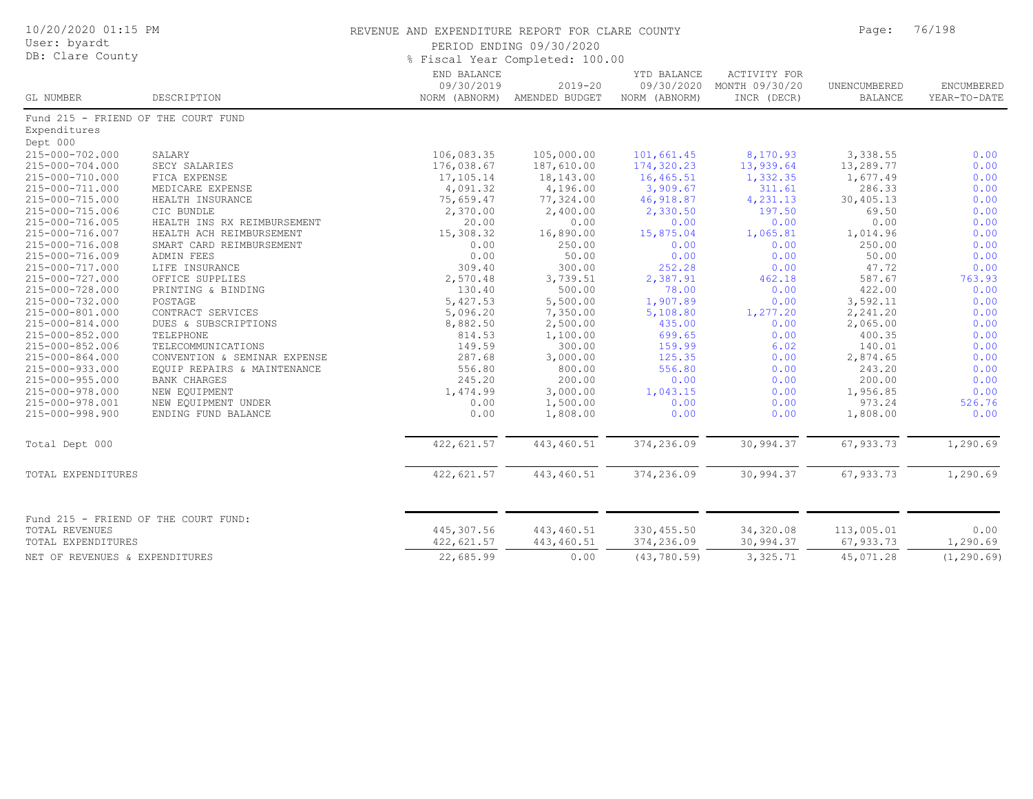| 10/20/2020 01:15 PM<br>REVENUE AND EXPENDITURE REPORT FOR CLARE COUNTY<br>User: byardt<br>PERIOD ENDING 09/30/2020<br>DB: Clare County<br>% Fiscal Year Completed: 100.00 |                              |                           |                                             |                                            | Page:                                                | 76/198                         |                                   |
|---------------------------------------------------------------------------------------------------------------------------------------------------------------------------|------------------------------|---------------------------|---------------------------------------------|--------------------------------------------|------------------------------------------------------|--------------------------------|-----------------------------------|
| GL NUMBER                                                                                                                                                                 | DESCRIPTION                  | END BALANCE<br>09/30/2019 | $2019 - 20$<br>NORM (ABNORM) AMENDED BUDGET | YTD BALANCE<br>09/30/2020<br>NORM (ABNORM) | <b>ACTIVITY FOR</b><br>MONTH 09/30/20<br>INCR (DECR) | UNENCUMBERED<br><b>BALANCE</b> | <b>ENCUMBERED</b><br>YEAR-TO-DATE |
| Fund 215 - FRIEND OF THE COURT FUND                                                                                                                                       |                              |                           |                                             |                                            |                                                      |                                |                                   |
| Expenditures                                                                                                                                                              |                              |                           |                                             |                                            |                                                      |                                |                                   |
| Dept 000                                                                                                                                                                  |                              |                           |                                             |                                            |                                                      |                                |                                   |
| 215-000-702.000                                                                                                                                                           | SALARY                       | 106,083.35                | 105,000.00                                  | 101,661.45                                 | 8,170.93                                             | 3,338.55                       | 0.00                              |
| 215-000-704.000                                                                                                                                                           | SECY SALARIES                | 176,038.67                | 187,610.00                                  | 174,320.23                                 | 13,939.64                                            | 13,289.77                      | 0.00                              |
| 215-000-710.000                                                                                                                                                           | FICA EXPENSE                 | 17,105.14                 | 18,143.00                                   | 16,465.51                                  | 1,332.35                                             | 1,677.49                       | 0.00                              |
| 215-000-711.000                                                                                                                                                           | MEDICARE EXPENSE             | 4,091.32                  | 4,196.00                                    | 3,909.67                                   | 311.61                                               | 286.33                         | 0.00                              |
| 215-000-715.000                                                                                                                                                           | HEALTH INSURANCE             | 75,659.47                 | 77,324.00                                   | 46,918.87                                  | 4,231.13                                             | 30,405.13                      | 0.00                              |
| 215-000-715.006                                                                                                                                                           | CIC BUNDLE                   | 2,370.00                  | 2,400.00                                    | 2,330.50                                   | 197.50                                               | 69.50                          | 0.00                              |
| 215-000-716.005                                                                                                                                                           | HEALTH INS RX REIMBURSEMENT  | 20.00                     | 0.00                                        | 0.00                                       | 0.00                                                 | 0.00                           | 0.00                              |
| 215-000-716.007                                                                                                                                                           | HEALTH ACH REIMBURSEMENT     | 15,308.32                 | 16,890.00                                   | 15,875.04                                  | 1,065.81                                             | 1,014.96                       | 0.00                              |
| 215-000-716.008                                                                                                                                                           | SMART CARD REIMBURSEMENT     | 0.00                      | 250.00                                      | 0.00                                       | 0.00                                                 | 250.00                         | 0.00                              |
| 215-000-716.009                                                                                                                                                           | ADMIN FEES                   | 0.00                      | 50.00                                       | 0.00                                       | 0.00                                                 | 50.00                          | 0.00                              |
| 215-000-717.000                                                                                                                                                           | LIFE INSURANCE               | 309.40                    | 300.00                                      | 252.28                                     | 0.00                                                 | 47.72                          | 0.00                              |
| 215-000-727.000                                                                                                                                                           | OFFICE SUPPLIES              | 2,570.48                  | 3,739.51                                    | 2,387.91                                   | 462.18                                               | 587.67                         | 763.93                            |
| 215-000-728.000                                                                                                                                                           | PRINTING & BINDING           | 130.40                    | 500.00                                      | 78.00                                      | 0.00                                                 | 422.00                         | 0.00                              |
| 215-000-732.000                                                                                                                                                           | POSTAGE                      | 5,427.53                  | 5,500.00                                    | 1,907.89                                   | 0.00                                                 | 3,592.11                       | 0.00                              |
| 215-000-801.000                                                                                                                                                           | CONTRACT SERVICES            | 5,096.20                  | 7,350.00                                    | 5,108.80                                   | 1,277.20                                             | 2,241.20                       | 0.00                              |
| 215-000-814.000                                                                                                                                                           | DUES & SUBSCRIPTIONS         | 8,882.50                  | 2,500.00                                    | 435.00                                     | 0.00                                                 | 2,065.00                       | 0.00                              |
| 215-000-852.000                                                                                                                                                           | TELEPHONE                    | 814.53                    | 1,100.00                                    | 699.65                                     | 0.00                                                 | 400.35                         | 0.00                              |
| 215-000-852.006                                                                                                                                                           | TELECOMMUNICATIONS           | 149.59                    | 300.00                                      | 159.99                                     | 6.02                                                 | 140.01                         | 0.00                              |
| 215-000-864.000                                                                                                                                                           | CONVENTION & SEMINAR EXPENSE | 287.68                    | 3,000.00                                    | 125.35                                     | 0.00                                                 | 2,874.65                       | 0.00                              |
| 215-000-933.000                                                                                                                                                           | EQUIP REPAIRS & MAINTENANCE  | 556.80                    | 800.00                                      | 556.80                                     | 0.00                                                 | 243.20                         | 0.00                              |
| 215-000-955.000                                                                                                                                                           | <b>BANK CHARGES</b>          | 245.20                    | 200.00                                      | 0.00                                       | 0.00                                                 | 200.00                         | 0.00                              |
| 215-000-978.000                                                                                                                                                           | NEW EQUIPMENT                | 1,474.99                  | 3,000.00                                    | 1,043.15                                   | 0.00                                                 | 1,956.85                       | 0.00                              |
| 215-000-978.001                                                                                                                                                           | NEW EQUIPMENT UNDER          | 0.00                      | 1,500.00                                    | 0.00                                       | 0.00                                                 | 973.24                         | 526.76                            |
| 215-000-998.900                                                                                                                                                           | ENDING FUND BALANCE          | 0.00                      | 1,808.00                                    | 0.00                                       | 0.00                                                 | 1,808.00                       | 0.00                              |
| Total Dept 000                                                                                                                                                            |                              | 422,621.57                | 443,460.51                                  | 374,236.09                                 | 30,994.37                                            | 67, 933.73                     | 1,290.69                          |
| TOTAL EXPENDITURES                                                                                                                                                        |                              | 422,621.57                | 443,460.51                                  | 374,236.09                                 | 30,994.37                                            | 67,933.73                      | 1,290.69                          |
| Fund 215 - FRIEND OF THE COURT FUND:<br>TOTAL REVENUES<br>TOTAL EXPENDITURES                                                                                              |                              | 445,307.56<br>422,621.57  | 443,460.51<br>443,460.51                    | 330, 455.50<br>374,236.09                  | 34,320.08<br>30,994.37                               | 113,005.01<br>67,933.73        | 0.00<br>1,290.69                  |
| NET OF REVENUES & EXPENDITURES                                                                                                                                            |                              | 22,685.99                 | 0.00                                        | (43, 780.59)                               | 3,325.71                                             | 45,071.28                      | (1, 290.69)                       |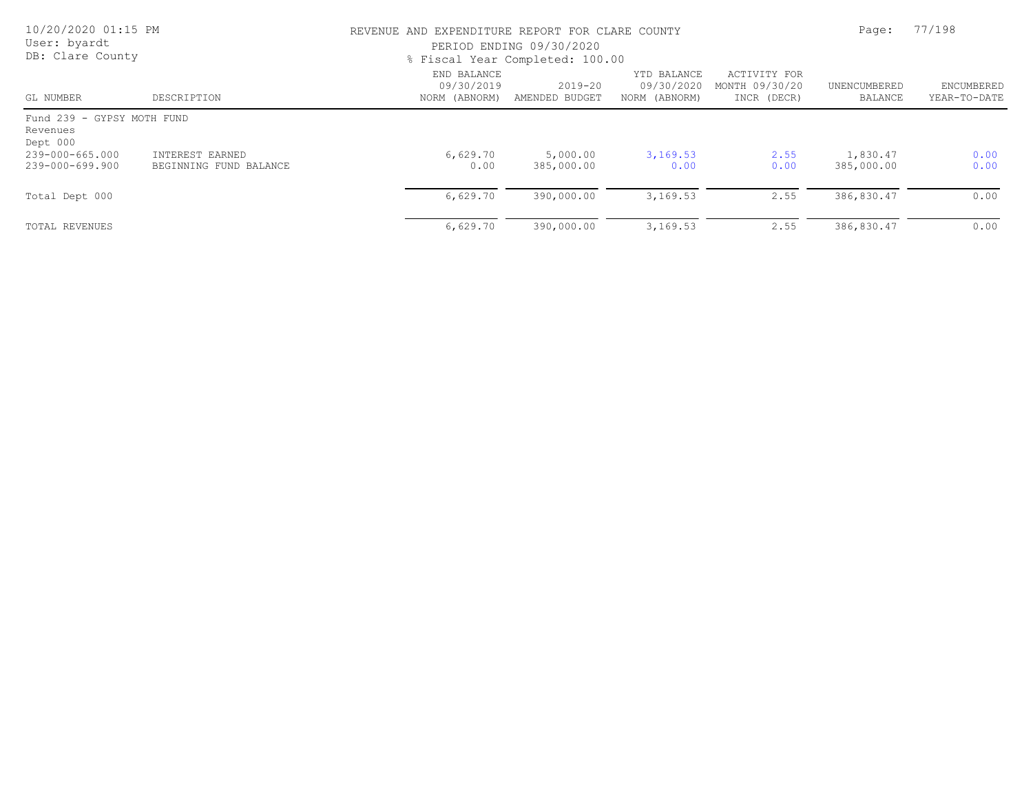| 10/20/2020 01:15 PM<br>User: byardt<br>DB: Clare County |                                           |                                            | REVENUE AND EXPENDITURE REPORT FOR CLARE COUNTY<br>PERIOD ENDING 09/30/2020<br>% Fiscal Year Completed: 100.00 |                                            |                                               |                         |                            |
|---------------------------------------------------------|-------------------------------------------|--------------------------------------------|----------------------------------------------------------------------------------------------------------------|--------------------------------------------|-----------------------------------------------|-------------------------|----------------------------|
| GL NUMBER                                               | DESCRIPTION                               | END BALANCE<br>09/30/2019<br>NORM (ABNORM) | $2019 - 20$<br>AMENDED BUDGET                                                                                  | YTD BALANCE<br>09/30/2020<br>NORM (ABNORM) | ACTIVITY FOR<br>MONTH 09/30/20<br>INCR (DECR) | UNENCUMBERED<br>BALANCE | ENCUMBERED<br>YEAR-TO-DATE |
| Fund 239 - GYPSY MOTH FUND<br>Revenues<br>Dept 000      |                                           |                                            |                                                                                                                |                                            |                                               |                         |                            |
| 239-000-665.000<br>239-000-699.900                      | INTEREST EARNED<br>BEGINNING FUND BALANCE | 6,629.70<br>0.00                           | 5,000.00<br>385,000.00                                                                                         | 3,169.53<br>0.00                           | 2.55<br>0.00                                  | 1,830.47<br>385,000.00  | 0.00<br>0.00               |
| Total Dept 000                                          |                                           | 6,629.70                                   | 390,000.00                                                                                                     | 3,169.53                                   | 2.55                                          | 386,830.47              | 0.00                       |
| TOTAL REVENUES                                          |                                           | 6,629.70                                   | 390,000.00                                                                                                     | 3,169.53                                   | 2.55                                          | 386,830.47              | 0.00                       |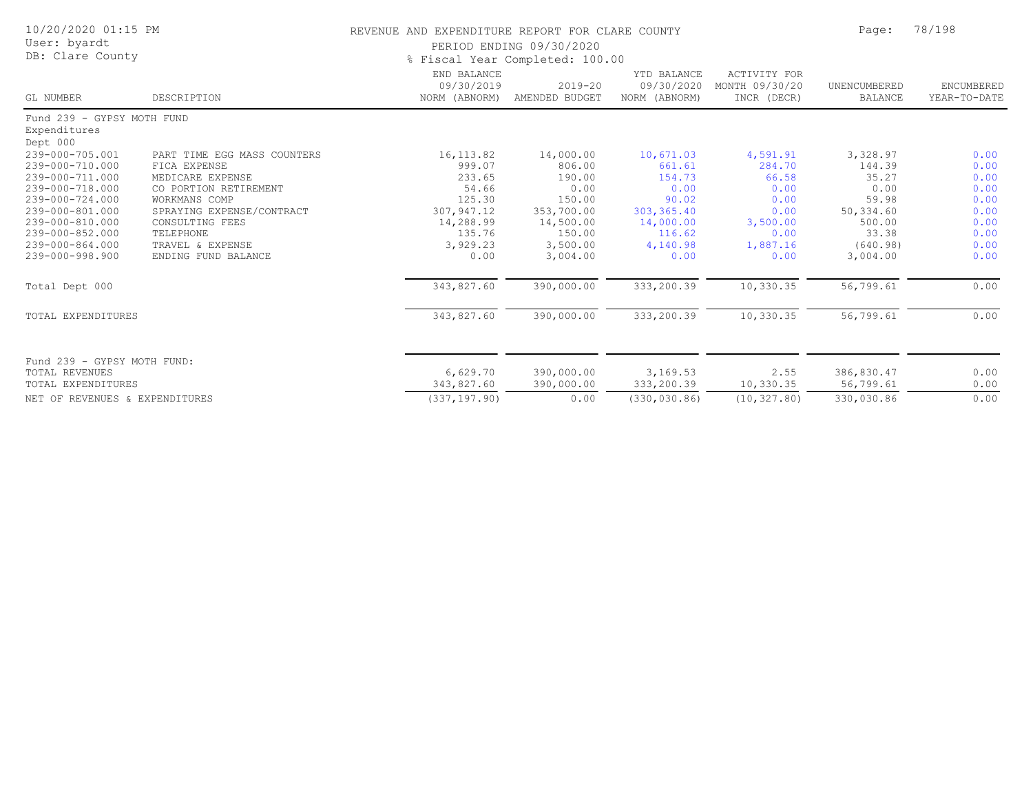| 10/20/2020 01:15 PM<br>User: byardt<br>DB: Clare County |                             | REVENUE AND EXPENDITURE REPORT FOR CLARE COUNTY<br>PERIOD ENDING 09/30/2020<br>% Fiscal Year Completed: 100.00 | Page:                         | 78/198                                     |                                                      |                                |                            |
|---------------------------------------------------------|-----------------------------|----------------------------------------------------------------------------------------------------------------|-------------------------------|--------------------------------------------|------------------------------------------------------|--------------------------------|----------------------------|
| GL NUMBER                                               | DESCRIPTION                 | END BALANCE<br>09/30/2019<br>NORM (ABNORM)                                                                     | $2019 - 20$<br>AMENDED BUDGET | YTD BALANCE<br>09/30/2020<br>NORM (ABNORM) | <b>ACTIVITY FOR</b><br>MONTH 09/30/20<br>INCR (DECR) | UNENCUMBERED<br><b>BALANCE</b> | ENCUMBERED<br>YEAR-TO-DATE |
| Fund 239 - GYPSY MOTH FUND                              |                             |                                                                                                                |                               |                                            |                                                      |                                |                            |
| Expenditures                                            |                             |                                                                                                                |                               |                                            |                                                      |                                |                            |
| Dept 000<br>239-000-705.001                             | PART TIME EGG MASS COUNTERS | 16, 113.82                                                                                                     | 14,000.00                     | 10,671.03                                  | 4,591.91                                             | 3,328.97                       | 0.00                       |
| 239-000-710.000                                         | FICA EXPENSE                | 999.07                                                                                                         | 806.00                        | 661.61                                     | 284.70                                               | 144.39                         | 0.00                       |
| 239-000-711.000                                         | MEDICARE EXPENSE            | 233.65                                                                                                         | 190.00                        | 154.73                                     | 66.58                                                | 35.27                          | 0.00                       |
| 239-000-718.000                                         | CO PORTION RETIREMENT       | 54.66                                                                                                          | 0.00                          | 0.00                                       | 0.00                                                 | 0.00                           | 0.00                       |
| 239-000-724.000                                         | WORKMANS COMP               | 125.30                                                                                                         | 150.00                        | 90.02                                      | 0.00                                                 | 59.98                          | 0.00                       |
| 239-000-801.000                                         | SPRAYING EXPENSE/CONTRACT   | 307,947.12                                                                                                     | 353,700.00                    | 303, 365.40                                | 0.00                                                 | 50,334.60                      | 0.00                       |
| 239-000-810.000                                         | CONSULTING FEES             | 14,288.99                                                                                                      | 14,500.00                     | 14,000.00                                  | 3,500.00                                             | 500.00                         | 0.00                       |
| 239-000-852.000                                         | TELEPHONE                   | 135.76                                                                                                         | 150.00                        | 116.62                                     | 0.00                                                 | 33.38                          | 0.00                       |
| 239-000-864.000                                         | TRAVEL & EXPENSE            | 3,929.23                                                                                                       | 3,500.00                      | 4,140.98                                   | 1,887.16                                             | (640.98)                       | 0.00                       |
| 239-000-998.900                                         | ENDING FUND BALANCE         | 0.00                                                                                                           | 3,004.00                      | 0.00                                       | 0.00                                                 | 3,004.00                       | 0.00                       |
| Total Dept 000                                          |                             | 343,827.60                                                                                                     | 390,000.00                    | 333,200.39                                 | 10,330.35                                            | 56,799.61                      | 0.00                       |
| TOTAL EXPENDITURES                                      |                             | 343,827.60                                                                                                     | 390,000.00                    | 333,200.39                                 | 10,330.35                                            | 56,799.61                      | 0.00                       |
| Fund 239 - GYPSY MOTH FUND:                             |                             |                                                                                                                |                               |                                            |                                                      |                                |                            |
| <b>TOTAL REVENUES</b>                                   |                             | 6,629.70                                                                                                       | 390,000.00                    | 3,169.53                                   | 2.55                                                 | 386,830.47                     | 0.00                       |
| TOTAL EXPENDITURES                                      |                             | 343,827.60                                                                                                     | 390,000.00                    | 333,200.39                                 | 10,330.35                                            | 56,799.61                      | 0.00                       |
| NET OF REVENUES & EXPENDITURES                          |                             | (337, 197.90)                                                                                                  | 0.00                          | (330, 030.86)                              | (10, 327.80)                                         | 330,030.86                     | 0.00                       |
|                                                         |                             |                                                                                                                |                               |                                            |                                                      |                                |                            |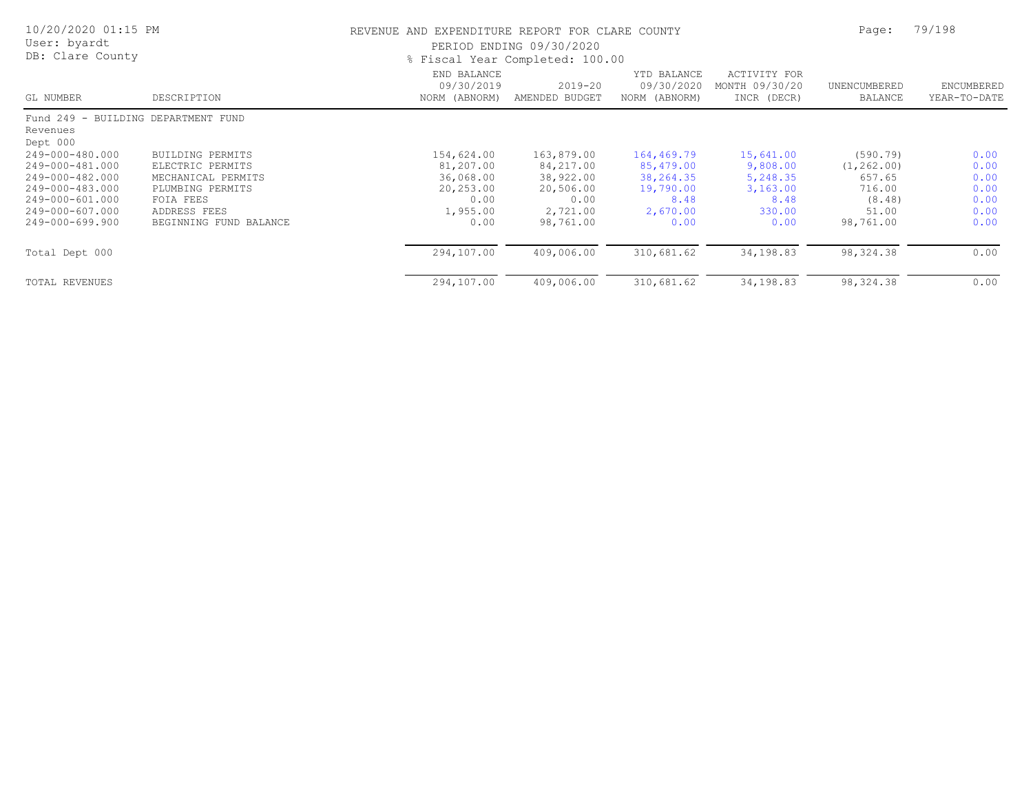| 10/20/2020 01:15 PM<br>User: byardt<br>DB: Clare County |                        | REVENUE AND EXPENDITURE REPORT FOR CLARE COUNTY<br>PERIOD ENDING 09/30/2020<br>% Fiscal Year Completed: 100.00 |                               |                                            |                                                      |                                | 79/198                     |  |
|---------------------------------------------------------|------------------------|----------------------------------------------------------------------------------------------------------------|-------------------------------|--------------------------------------------|------------------------------------------------------|--------------------------------|----------------------------|--|
| GL NUMBER                                               | DESCRIPTION            | END BALANCE<br>09/30/2019<br>NORM (ABNORM)                                                                     | $2019 - 20$<br>AMENDED BUDGET | YTD BALANCE<br>09/30/2020<br>NORM (ABNORM) | <b>ACTIVITY FOR</b><br>MONTH 09/30/20<br>INCR (DECR) | UNENCUMBERED<br><b>BALANCE</b> | ENCUMBERED<br>YEAR-TO-DATE |  |
| Fund 249 - BUILDING DEPARTMENT FUND                     |                        |                                                                                                                |                               |                                            |                                                      |                                |                            |  |
| Revenues<br>Dept 000                                    |                        |                                                                                                                |                               |                                            |                                                      |                                |                            |  |
| 249-000-480.000                                         | BUILDING PERMITS       | 154,624.00                                                                                                     | 163,879.00                    | 164,469.79                                 | 15,641.00                                            | (590.79)                       | 0.00                       |  |
| 249-000-481.000                                         | ELECTRIC PERMITS       | 81,207.00                                                                                                      | 84,217.00                     | 85,479.00                                  | 9,808.00                                             | (1, 262, 00)                   | 0.00                       |  |
| 249-000-482.000                                         | MECHANICAL PERMITS     | 36,068.00                                                                                                      | 38,922.00                     | 38,264.35                                  | 5,248.35                                             | 657.65                         | 0.00                       |  |
| 249-000-483.000                                         | PLUMBING PERMITS       | 20,253.00                                                                                                      | 20,506.00                     | 19,790.00                                  | 3,163.00                                             | 716.00                         | 0.00                       |  |
| 249-000-601.000                                         | FOIA FEES              | 0.00                                                                                                           | 0.00                          | 8.48                                       | 8.48                                                 | (8.48)                         | 0.00                       |  |
| 249-000-607.000                                         | ADDRESS FEES           | 1,955.00                                                                                                       | 2,721.00                      | 2,670.00                                   | 330.00                                               | 51.00                          | 0.00                       |  |
| 249-000-699.900                                         | BEGINNING FUND BALANCE | 0.00                                                                                                           | 98,761.00                     | 0.00                                       | 0.00                                                 | 98,761.00                      | 0.00                       |  |
| Total Dept 000                                          |                        | 294,107.00                                                                                                     | 409,006.00                    | 310,681.62                                 | 34,198.83                                            | 98, 324.38                     | 0.00                       |  |
| <b>TOTAL REVENUES</b>                                   |                        | 294,107.00                                                                                                     | 409,006.00                    | 310,681.62                                 | 34,198.83                                            | 98, 324.38                     | 0.00                       |  |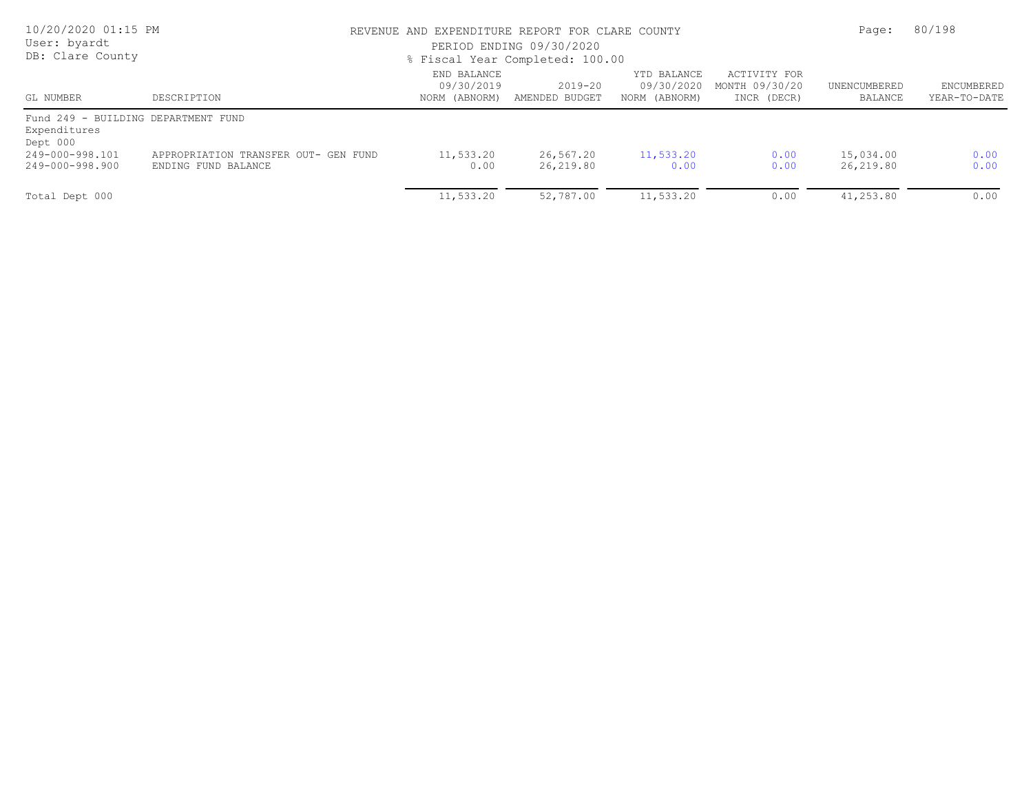| 10/20/2020 01:15 PM<br>User: byardt<br>DB: Clare County         |                                                             | REVENUE AND EXPENDITURE REPORT FOR CLARE COUNTY | PERIOD ENDING 09/30/2020<br>% Fiscal Year Completed: 100.00 |                                            | Page:                                         | 80/198                  |                            |
|-----------------------------------------------------------------|-------------------------------------------------------------|-------------------------------------------------|-------------------------------------------------------------|--------------------------------------------|-----------------------------------------------|-------------------------|----------------------------|
| GL NUMBER                                                       | DESCRIPTION                                                 | END BALANCE<br>09/30/2019<br>NORM (ABNORM)      | $2019 - 20$<br>AMENDED BUDGET                               | YTD BALANCE<br>09/30/2020<br>NORM (ABNORM) | ACTIVITY FOR<br>MONTH 09/30/20<br>INCR (DECR) | UNENCUMBERED<br>BALANCE | ENCUMBERED<br>YEAR-TO-DATE |
| Fund 249 - BUILDING DEPARTMENT FUND<br>Expenditures<br>Dept 000 |                                                             |                                                 |                                                             |                                            |                                               |                         |                            |
| 249-000-998.101<br>249-000-998.900                              | APPROPRIATION TRANSFER OUT- GEN FUND<br>ENDING FUND BALANCE | 11,533.20<br>0.00                               | 26,567.20<br>26,219.80                                      | 11,533.20<br>0.00                          | 0.00<br>0.00                                  | 15,034.00<br>26,219.80  | 0.00<br>0.00               |
| Total Dept 000                                                  |                                                             | 11,533.20                                       | 52,787.00                                                   | 11,533.20                                  | 0.00                                          | 41,253.80               | 0.00                       |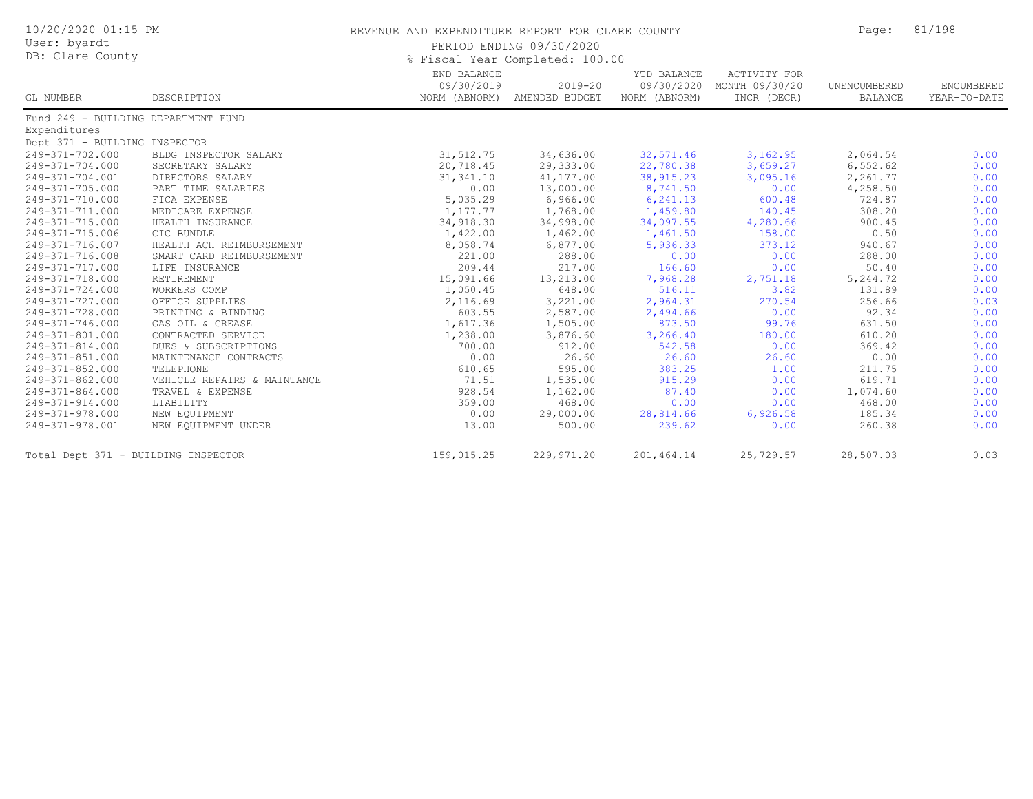| 10/20/2020 01:15 PM<br>User: byardt<br>DB: Clare County |                             | REVENUE AND EXPENDITURE REPORT FOR CLARE COUNTY<br>PERIOD ENDING 09/30/2020<br>% Fiscal Year Completed: 100.00 | Page:                                       | 81/198                                     |                                                      |                         |                            |
|---------------------------------------------------------|-----------------------------|----------------------------------------------------------------------------------------------------------------|---------------------------------------------|--------------------------------------------|------------------------------------------------------|-------------------------|----------------------------|
| GL NUMBER                                               | DESCRIPTION                 | END BALANCE<br>09/30/2019                                                                                      | $2019 - 20$<br>NORM (ABNORM) AMENDED BUDGET | YTD BALANCE<br>09/30/2020<br>NORM (ABNORM) | <b>ACTIVITY FOR</b><br>MONTH 09/30/20<br>INCR (DECR) | UNENCUMBERED<br>BALANCE | ENCUMBERED<br>YEAR-TO-DATE |
| Fund 249 - BUILDING DEPARTMENT FUND                     |                             |                                                                                                                |                                             |                                            |                                                      |                         |                            |
| Expenditures                                            |                             |                                                                                                                |                                             |                                            |                                                      |                         |                            |
| Dept 371 - BUILDING INSPECTOR                           |                             |                                                                                                                |                                             |                                            |                                                      |                         |                            |
| 249-371-702.000                                         | BLDG INSPECTOR SALARY       | 31, 512.75                                                                                                     | 34,636.00                                   | 32,571.46                                  | 3,162.95                                             | 2,064.54                | 0.00                       |
| 249-371-704.000                                         | SECRETARY SALARY            | 20,718.45                                                                                                      | 29,333.00                                   | 22,780.38                                  | 3,659.27                                             | 6,552.62                | 0.00                       |
| 249-371-704.001                                         | DIRECTORS SALARY            | 31, 341.10                                                                                                     | 41,177.00                                   | 38, 915.23                                 | 3,095.16                                             | 2,261.77                | 0.00                       |
| 249-371-705.000                                         | PART TIME SALARIES          | 0.00                                                                                                           | 13,000.00                                   | 8,741.50                                   | 0.00                                                 | 4,258.50                | 0.00                       |
| 249-371-710.000                                         | FICA EXPENSE                | 5,035.29                                                                                                       | 6,966.00                                    | 6,241.13                                   | 600.48                                               | 724.87                  | 0.00                       |
| 249-371-711.000                                         | MEDICARE EXPENSE            | 1,177.77                                                                                                       | 1,768.00                                    | 1,459.80                                   | 140.45                                               | 308.20                  | 0.00                       |
| 249-371-715.000                                         | HEALTH INSURANCE            | 34,918.30                                                                                                      | 34,998.00                                   | 34,097.55                                  | 4,280.66                                             | 900.45                  | 0.00                       |
| 249-371-715.006                                         | CIC BUNDLE                  | 1,422.00                                                                                                       | 1,462.00                                    | 1,461.50                                   | 158.00                                               | 0.50                    | 0.00                       |
| 249-371-716.007                                         | HEALTH ACH REIMBURSEMENT    | 8,058.74                                                                                                       | 6,877.00                                    | 5,936.33                                   | 373.12                                               | 940.67                  | 0.00                       |
| 249-371-716.008                                         | SMART CARD REIMBURSEMENT    | 221.00                                                                                                         | 288.00                                      | 0.00                                       | 0.00                                                 | 288.00                  | 0.00                       |
| 249-371-717.000                                         | LIFE INSURANCE              | 209.44                                                                                                         | 217.00                                      | 166.60                                     | 0.00                                                 | 50.40                   | 0.00                       |
| 249-371-718.000                                         | RETIREMENT                  | 15,091.66                                                                                                      | 13,213.00                                   | 7,968.28                                   | 2,751.18                                             | 5,244.72                | 0.00                       |
| 249-371-724.000                                         | WORKERS COMP                | 1,050.45                                                                                                       | 648.00                                      | 516.11                                     | 3.82                                                 | 131.89                  | 0.00                       |
| 249-371-727.000                                         | OFFICE SUPPLIES             | 2,116.69                                                                                                       | 3,221.00                                    | 2,964.31                                   | 270.54                                               | 256.66                  | 0.03                       |
| 249-371-728.000                                         | PRINTING & BINDING          | 603.55                                                                                                         | 2,587.00                                    | 2,494.66                                   | 0.00                                                 | 92.34                   | 0.00                       |
| 249-371-746.000                                         | GAS OIL & GREASE            | 1,617.36                                                                                                       | 1,505.00                                    | 873.50                                     | 99.76                                                | 631.50                  | 0.00                       |
| 249-371-801.000                                         | CONTRACTED SERVICE          | 1,238.00                                                                                                       | 3,876.60                                    | 3,266.40                                   | 180.00                                               | 610.20                  | 0.00                       |
| 249-371-814.000                                         | DUES & SUBSCRIPTIONS        | 700.00                                                                                                         | 912.00                                      | 542.58                                     | 0.00                                                 | 369.42                  | 0.00                       |
| 249-371-851.000                                         | MAINTENANCE CONTRACTS       | 0.00                                                                                                           | 26.60                                       | 26.60                                      | 26.60                                                | 0.00                    | 0.00                       |
| 249-371-852.000                                         | TELEPHONE                   | 610.65                                                                                                         | 595.00                                      | 383.25                                     | 1.00                                                 | 211.75                  | 0.00                       |
| 249-371-862.000                                         | VEHICLE REPAIRS & MAINTANCE | 71.51                                                                                                          | 1,535.00                                    | 915.29                                     | 0.00                                                 | 619.71                  | 0.00                       |
| 249-371-864.000                                         | TRAVEL & EXPENSE            | 928.54                                                                                                         | 1,162.00                                    | 87.40                                      | 0.00                                                 | 1,074.60                | 0.00                       |
| 249-371-914.000                                         | LIABILITY                   | 359.00                                                                                                         | 468.00                                      | 0.00                                       | 0.00                                                 | 468.00                  | 0.00                       |
| 249-371-978.000                                         | NEW EQUIPMENT               | 0.00                                                                                                           | 29,000.00                                   | 28,814.66                                  | 6,926.58                                             | 185.34                  | 0.00                       |
| 249-371-978.001                                         | NEW EQUIPMENT UNDER         | 13.00                                                                                                          | 500.00                                      | 239.62                                     | 0.00                                                 | 260.38                  | 0.00                       |
| Total Dept 371 - BUILDING INSPECTOR                     |                             | 159,015.25                                                                                                     | 229, 971.20                                 | 201,464.14                                 | 25,729.57                                            | 28,507.03               | 0.03                       |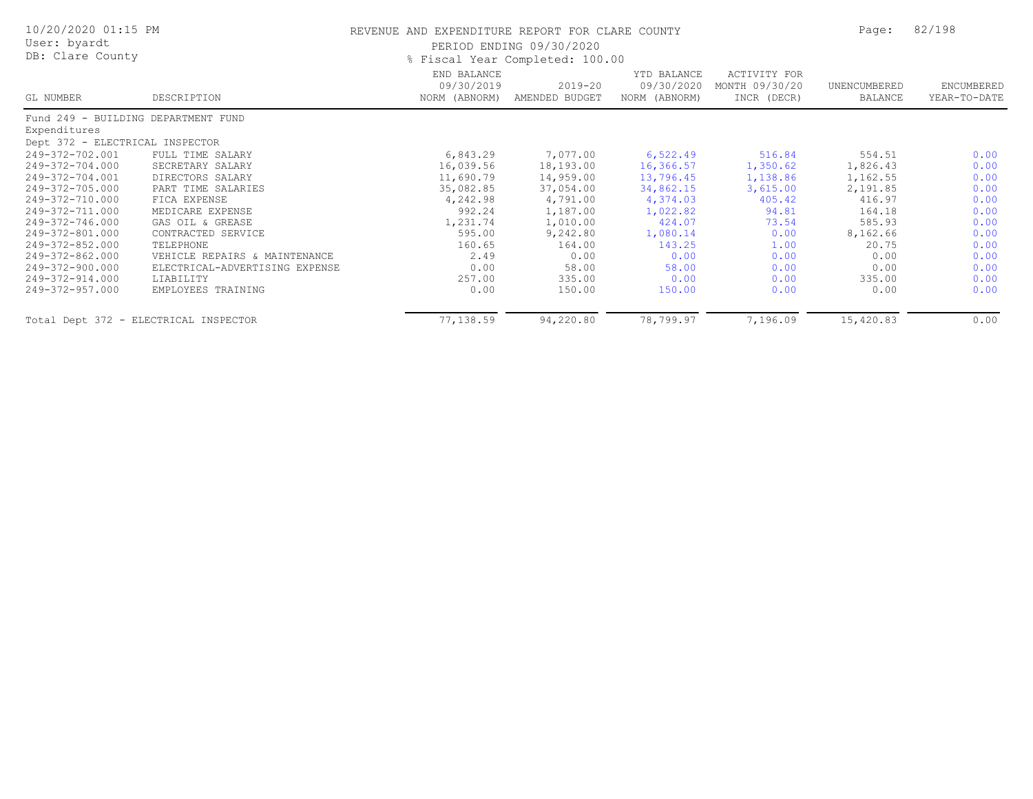| 10/20/2020 01:15 PM<br>User: byardt<br>DB: Clare County |                                | REVENUE AND EXPENDITURE REPORT FOR CLARE COUNTY<br>PERIOD ENDING 09/30/2020<br>% Fiscal Year Completed: 100.00 |                               |                                            |                                               |                         | 82/198                     |
|---------------------------------------------------------|--------------------------------|----------------------------------------------------------------------------------------------------------------|-------------------------------|--------------------------------------------|-----------------------------------------------|-------------------------|----------------------------|
| GL NUMBER                                               | DESCRIPTION                    | END BALANCE<br>09/30/2019<br>NORM (ABNORM)                                                                     | $2019 - 20$<br>AMENDED BUDGET | YTD BALANCE<br>09/30/2020<br>NORM (ABNORM) | ACTIVITY FOR<br>MONTH 09/30/20<br>INCR (DECR) | UNENCUMBERED<br>BALANCE | ENCUMBERED<br>YEAR-TO-DATE |
| Fund 249 - BUILDING DEPARTMENT FUND                     |                                |                                                                                                                |                               |                                            |                                               |                         |                            |
| Expenditures                                            |                                |                                                                                                                |                               |                                            |                                               |                         |                            |
| Dept 372 - ELECTRICAL INSPECTOR                         |                                |                                                                                                                |                               |                                            |                                               |                         |                            |
| 249-372-702.001                                         | FULL TIME SALARY               | 6,843.29                                                                                                       | 7,077.00                      | 6,522.49                                   | 516.84                                        | 554.51                  | 0.00                       |
| 249-372-704.000                                         | SECRETARY SALARY               | 16,039.56                                                                                                      | 18,193.00                     | 16,366.57                                  | 1,350.62                                      | 1,826.43                | 0.00                       |
| 249-372-704.001                                         | DIRECTORS SALARY               | 11,690.79                                                                                                      | 14,959.00                     | 13,796.45                                  | 1,138.86                                      | 1,162.55                | 0.00                       |
| 249-372-705.000                                         | PART TIME SALARIES             | 35,082.85                                                                                                      | 37,054.00                     | 34,862.15                                  | 3,615.00                                      | 2,191.85                | 0.00                       |
| 249-372-710.000                                         | FICA EXPENSE                   | 4,242.98                                                                                                       | 4,791.00                      | 4,374.03                                   | 405.42                                        | 416.97                  | 0.00                       |
| 249-372-711.000                                         | MEDICARE EXPENSE               | 992.24                                                                                                         | 1,187.00                      | 1,022.82                                   | 94.81                                         | 164.18                  | 0.00                       |
| 249-372-746.000                                         | GAS OIL & GREASE               | 1,231.74                                                                                                       | 1,010.00                      | 424.07                                     | 73.54                                         | 585.93                  | 0.00                       |
| 249-372-801.000                                         | CONTRACTED SERVICE             | 595.00                                                                                                         | 9,242.80                      | 1,080.14                                   | 0.00                                          | 8,162.66                | 0.00                       |
| 249-372-852.000                                         | TELEPHONE                      | 160.65                                                                                                         | 164.00                        | 143.25                                     | 1.00                                          | 20.75                   | 0.00                       |
| 249-372-862.000                                         | VEHICLE REPAIRS & MAINTENANCE  | 2.49                                                                                                           | 0.00                          | 0.00                                       | 0.00                                          | 0.00                    | 0.00                       |
| 249-372-900.000                                         | ELECTRICAL-ADVERTISING EXPENSE | 0.00                                                                                                           | 58.00                         | 58.00                                      | 0.00                                          | 0.00                    | 0.00                       |
| 249-372-914.000                                         | LIABILITY                      | 257.00                                                                                                         | 335.00                        | 0.00                                       | 0.00                                          | 335.00                  | 0.00                       |
| 249-372-957.000                                         | EMPLOYEES TRAINING             | 0.00                                                                                                           | 150.00                        | 150.00                                     | 0.00                                          | 0.00                    | 0.00                       |
| Total Dept 372 - ELECTRICAL INSPECTOR                   |                                | 77,138.59                                                                                                      | 94,220.80                     | 78,799.97                                  | 7,196.09                                      | 15,420.83               | 0.00                       |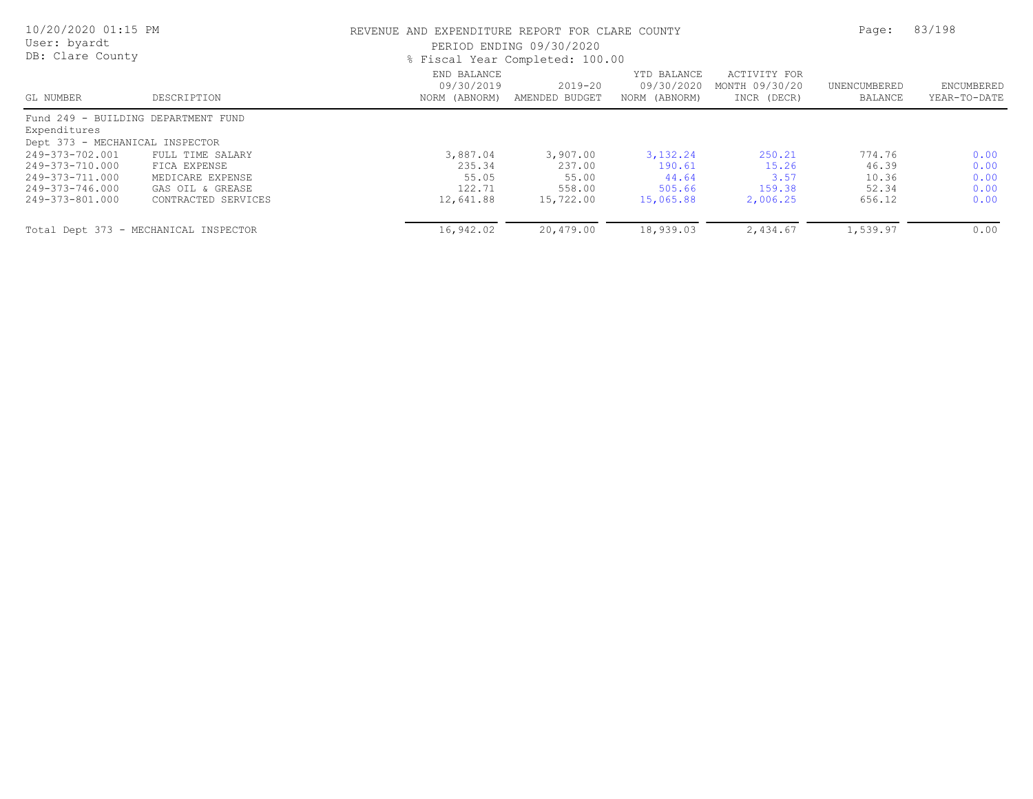| 10/20/2020 01:15 PM<br>User: byardt<br>DB: Clare County |                                       |                                            | REVENUE AND EXPENDITURE REPORT FOR CLARE COUNTY<br>PERIOD ENDING 09/30/2020<br>% Fiscal Year Completed: 100.00 |                                            |                                               |                         |                            |
|---------------------------------------------------------|---------------------------------------|--------------------------------------------|----------------------------------------------------------------------------------------------------------------|--------------------------------------------|-----------------------------------------------|-------------------------|----------------------------|
| GL NUMBER                                               | DESCRIPTION                           | END BALANCE<br>09/30/2019<br>NORM (ABNORM) | $2019 - 20$<br>AMENDED BUDGET                                                                                  | YTD BALANCE<br>09/30/2020<br>NORM (ABNORM) | ACTIVITY FOR<br>MONTH 09/30/20<br>INCR (DECR) | UNENCUMBERED<br>BALANCE | ENCUMBERED<br>YEAR-TO-DATE |
| Fund 249 - BUILDING DEPARTMENT FUND<br>Expenditures     |                                       |                                            |                                                                                                                |                                            |                                               |                         |                            |
| Dept 373 - MECHANICAL INSPECTOR                         |                                       |                                            |                                                                                                                |                                            |                                               |                         |                            |
| 249-373-702.001                                         | FULL TIME SALARY                      | 3,887.04                                   | 3,907.00                                                                                                       | 3, 132. 24                                 | 250.21                                        | 774.76                  | 0.00                       |
| 249-373-710.000                                         | FICA EXPENSE                          | 235.34                                     | 237.00                                                                                                         | 190.61                                     | 15.26                                         | 46.39                   | 0.00                       |
| 249-373-711.000                                         | MEDICARE EXPENSE                      | 55.05                                      | 55.00                                                                                                          | 44.64                                      | 3.57                                          | 10.36                   | 0.00                       |
| 249-373-746.000                                         | GAS OIL & GREASE                      | 122.71                                     | 558.00                                                                                                         | 505.66                                     | 159.38                                        | 52.34                   | 0.00                       |
| 249-373-801.000                                         | CONTRACTED SERVICES                   | 12,641.88                                  | 15,722.00                                                                                                      | 15,065.88                                  | 2,006.25                                      | 656.12                  | 0.00                       |
|                                                         | Total Dept 373 - MECHANICAL INSPECTOR | 16,942.02                                  | 20,479.00                                                                                                      | 18,939.03                                  | 2,434.67                                      | 1,539.97                | 0.00                       |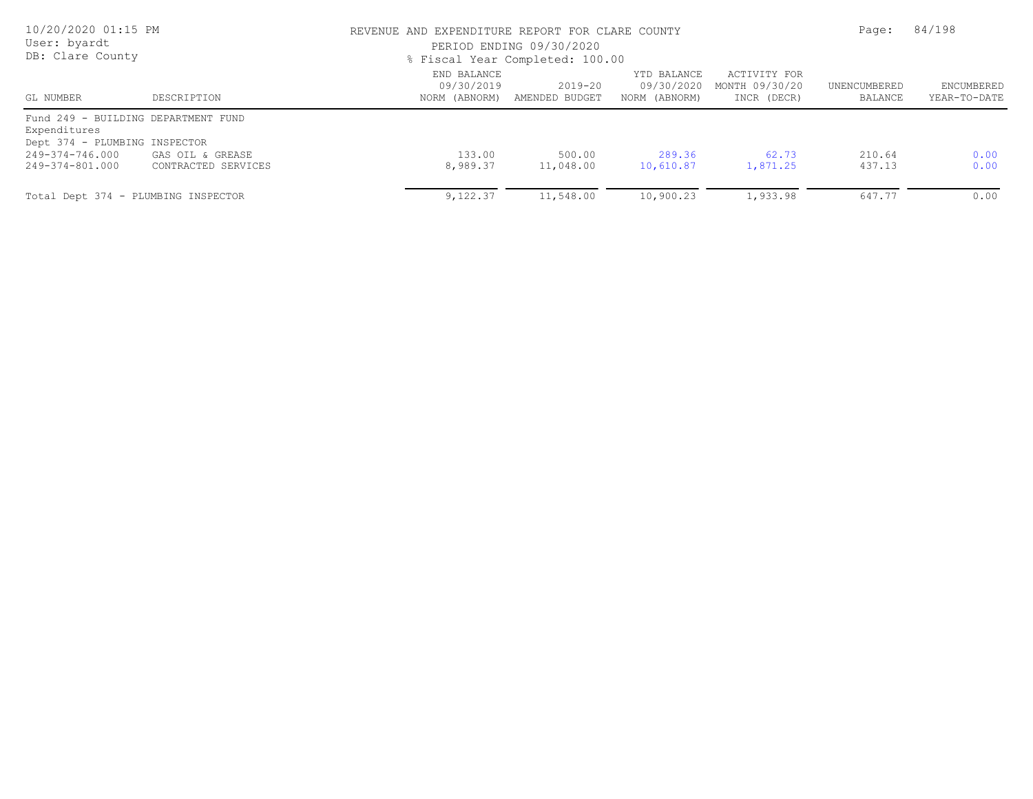| 10/20/2020 01:15 PM<br>User: byardt<br>DB: Clare County                                                       |                     |                                            | REVENUE AND EXPENDITURE REPORT FOR CLARE COUNTY<br>PERIOD ENDING 09/30/2020<br>% Fiscal Year Completed: 100.00 |                                            |                                               |                         |                            |
|---------------------------------------------------------------------------------------------------------------|---------------------|--------------------------------------------|----------------------------------------------------------------------------------------------------------------|--------------------------------------------|-----------------------------------------------|-------------------------|----------------------------|
| GL NUMBER                                                                                                     | DESCRIPTION         | END BALANCE<br>09/30/2019<br>NORM (ABNORM) | $2019 - 20$<br>AMENDED BUDGET                                                                                  | YTD BALANCE<br>09/30/2020<br>NORM (ABNORM) | ACTIVITY FOR<br>MONTH 09/30/20<br>INCR (DECR) | UNENCUMBERED<br>BALANCE | ENCUMBERED<br>YEAR-TO-DATE |
| Fund 249 - BUILDING DEPARTMENT FUND<br>Expenditures<br>Dept 374 - PLUMBING INSPECTOR<br>$249 - 374 - 746.000$ | GAS OIL & GREASE    | 133.00                                     | 500.00                                                                                                         | 289.36                                     | 62.73                                         | 210.64                  | 0.00                       |
| 249-374-801.000<br>Total Dept 374 - PLUMBING INSPECTOR                                                        | CONTRACTED SERVICES | 8,989.37<br>9,122.37                       | 11,048.00<br>11,548.00                                                                                         | 10,610.87<br>10,900.23                     | 1,871.25<br>1,933.98                          | 437.13<br>647.77        | 0.00<br>0.00               |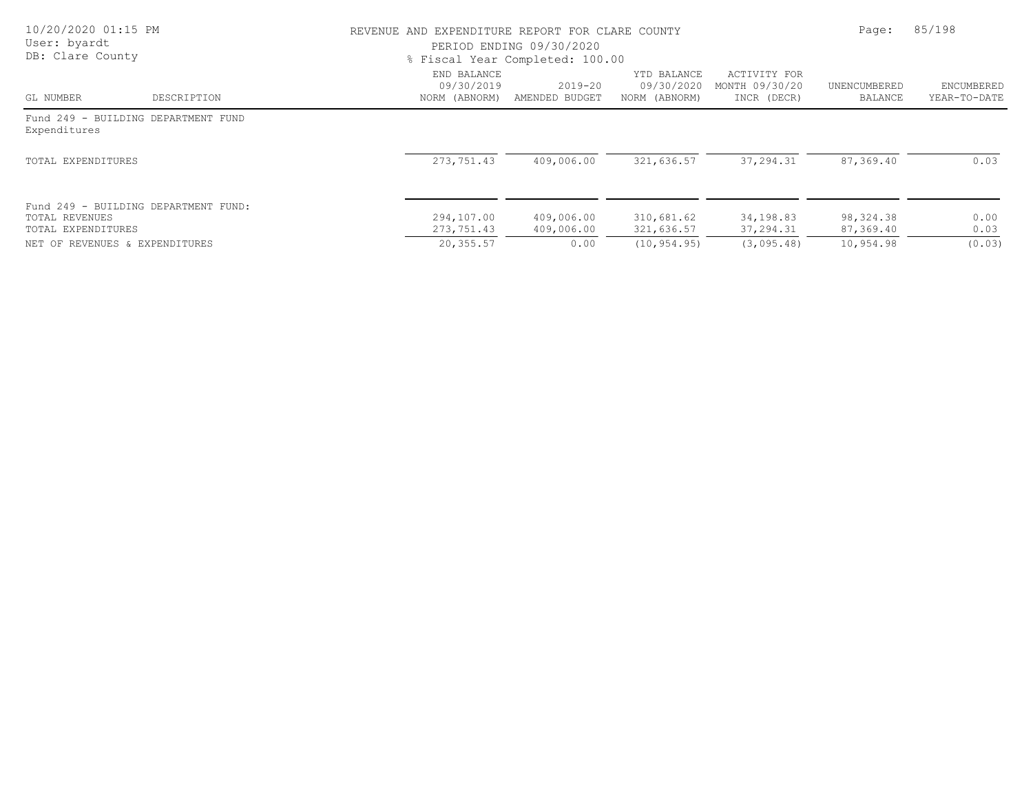| 10/20/2020 01:15 PM<br>User: byardt<br>DB: Clare County |                                      |                                            | REVENUE AND EXPENDITURE REPORT FOR CLARE COUNTY<br>PERIOD ENDING 09/30/2020<br>% Fiscal Year Completed: 100.00 |                                            |                                               |                         |                            |
|---------------------------------------------------------|--------------------------------------|--------------------------------------------|----------------------------------------------------------------------------------------------------------------|--------------------------------------------|-----------------------------------------------|-------------------------|----------------------------|
| GL NUMBER                                               | DESCRIPTION                          | END BALANCE<br>09/30/2019<br>NORM (ABNORM) | $2019 - 20$<br>AMENDED BUDGET                                                                                  | YTD BALANCE<br>09/30/2020<br>NORM (ABNORM) | ACTIVITY FOR<br>MONTH 09/30/20<br>INCR (DECR) | UNENCUMBERED<br>BALANCE | ENCUMBERED<br>YEAR-TO-DATE |
| Expenditures                                            | Fund 249 - BUILDING DEPARTMENT FUND  |                                            |                                                                                                                |                                            |                                               |                         |                            |
| TOTAL EXPENDITURES                                      |                                      | 273,751.43                                 | 409,006.00                                                                                                     | 321,636.57                                 | 37,294.31                                     | 87,369.40               | 0.03                       |
| TOTAL REVENUES<br>TOTAL EXPENDITURES                    | Fund 249 - BUILDING DEPARTMENT FUND: | 294,107.00<br>273,751.43                   | 409,006.00<br>409,006.00                                                                                       | 310,681.62<br>321,636.57                   | 34,198.83<br>37,294.31                        | 98, 324.38<br>87,369.40 | 0.00<br>0.03               |
| NET OF REVENUES & EXPENDITURES                          |                                      | 20,355.57                                  | 0.00                                                                                                           | (10, 954, 95)                              | (3,095.48)                                    | 10,954.98               | (0.03)                     |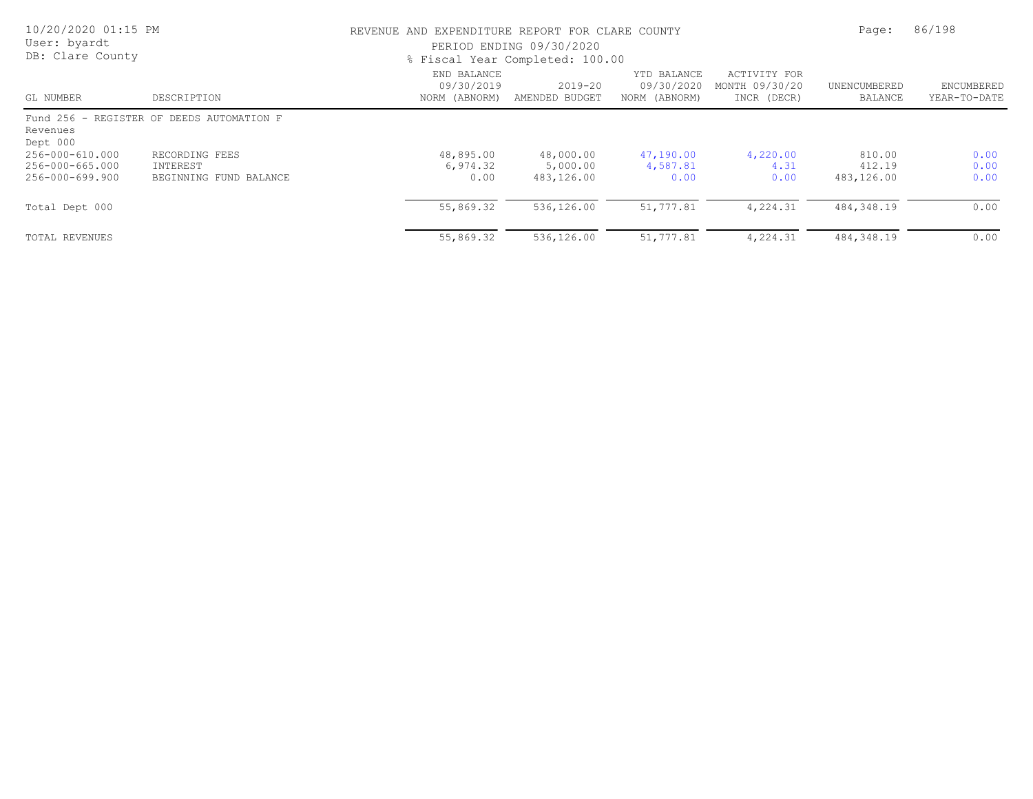| 10/20/2020 01:15 PM<br>User: byardt<br>DB: Clare County |                                                      | REVENUE AND EXPENDITURE REPORT FOR CLARE COUNTY<br>PERIOD ENDING 09/30/2020<br>% Fiscal Year Completed: 100.00 | Page:                               | 86/198                                     |                                               |                                |                            |
|---------------------------------------------------------|------------------------------------------------------|----------------------------------------------------------------------------------------------------------------|-------------------------------------|--------------------------------------------|-----------------------------------------------|--------------------------------|----------------------------|
| GL NUMBER                                               | DESCRIPTION                                          | END BALANCE<br>09/30/2019<br>NORM (ABNORM)                                                                     | $2019 - 20$<br>AMENDED BUDGET       | YTD BALANCE<br>09/30/2020<br>NORM (ABNORM) | ACTIVITY FOR<br>MONTH 09/30/20<br>INCR (DECR) | UNENCUMBERED<br>BALANCE        | ENCUMBERED<br>YEAR-TO-DATE |
| Revenues<br>Dept 000                                    | Fund 256 - REGISTER OF DEEDS AUTOMATION F            |                                                                                                                |                                     |                                            |                                               |                                |                            |
| 256-000-610.000<br>256-000-665.000<br>256-000-699.900   | RECORDING FEES<br>INTEREST<br>BEGINNING FUND BALANCE | 48,895.00<br>6,974.32<br>0.00                                                                                  | 48,000.00<br>5,000.00<br>483,126.00 | 47,190.00<br>4,587.81<br>0.00              | 4,220.00<br>4.31<br>0.00                      | 810.00<br>412.19<br>483,126.00 | 0.00<br>0.00<br>0.00       |
| Total Dept 000                                          |                                                      | 55,869.32                                                                                                      | 536,126.00                          | 51,777.81                                  | 4,224.31                                      | 484,348.19                     | 0.00                       |
| TOTAL REVENUES                                          |                                                      | 55,869.32                                                                                                      | 536,126.00                          | 51,777.81                                  | 4,224.31                                      | 484,348.19                     | 0.00                       |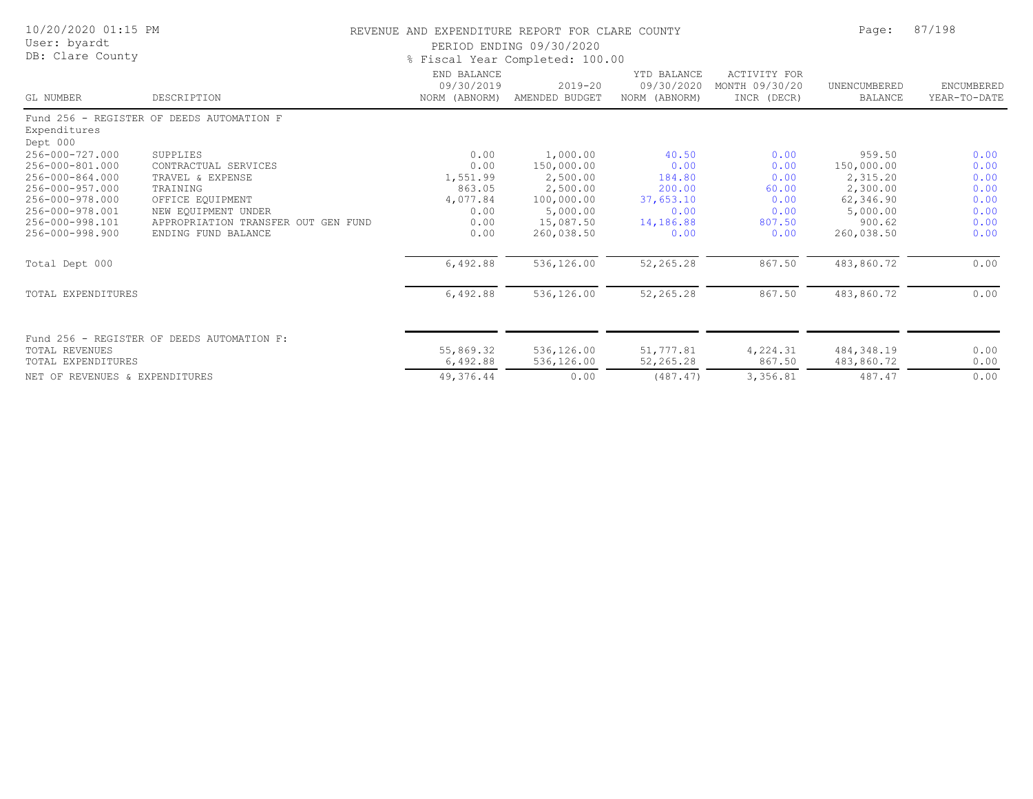| 10/20/2020 01:15 PM<br>User: byardt<br>DB: Clare County |                                            | REVENUE AND EXPENDITURE REPORT FOR CLARE COUNTY<br>PERIOD ENDING 09/30/2020<br>% Fiscal Year Completed: 100.00 | Page:                         | 87/198                                     |                                                      |                                |                            |
|---------------------------------------------------------|--------------------------------------------|----------------------------------------------------------------------------------------------------------------|-------------------------------|--------------------------------------------|------------------------------------------------------|--------------------------------|----------------------------|
| GL NUMBER                                               | DESCRIPTION                                | END BALANCE<br>09/30/2019<br>NORM (ABNORM)                                                                     | $2019 - 20$<br>AMENDED BUDGET | YTD BALANCE<br>09/30/2020<br>NORM (ABNORM) | <b>ACTIVITY FOR</b><br>MONTH 09/30/20<br>INCR (DECR) | UNENCUMBERED<br><b>BALANCE</b> | ENCUMBERED<br>YEAR-TO-DATE |
| Expenditures<br>Dept 000                                | Fund 256 - REGISTER OF DEEDS AUTOMATION F  |                                                                                                                |                               |                                            |                                                      |                                |                            |
| 256-000-727.000                                         | SUPPLIES                                   | 0.00                                                                                                           | 1,000.00                      | 40.50                                      | 0.00                                                 | 959.50                         | 0.00                       |
| 256-000-801.000                                         | CONTRACTUAL SERVICES                       | 0.00                                                                                                           | 150,000.00                    | 0.00                                       | 0.00                                                 | 150,000.00                     | 0.00                       |
| 256-000-864.000                                         | TRAVEL & EXPENSE                           | 1,551.99                                                                                                       | 2,500.00                      | 184.80                                     | 0.00                                                 | 2,315.20                       | 0.00                       |
| 256-000-957.000                                         | TRAINING                                   | 863.05                                                                                                         | 2,500.00                      | 200.00                                     | 60.00                                                | 2,300.00                       | 0.00                       |
| 256-000-978.000                                         | OFFICE EQUIPMENT                           | 4,077.84                                                                                                       | 100,000.00                    | 37,653.10                                  | 0.00                                                 | 62,346.90                      | 0.00                       |
| 256-000-978.001                                         | NEW EOUIPMENT UNDER                        | 0.00                                                                                                           | 5,000.00                      | 0.00                                       | 0.00                                                 | 5,000.00                       | 0.00                       |
| 256-000-998.101                                         | APPROPRIATION TRANSFER OUT GEN FUND        | 0.00                                                                                                           | 15,087.50                     | 14,186.88                                  | 807.50                                               | 900.62                         | 0.00                       |
| 256-000-998.900                                         | ENDING FUND BALANCE                        | 0.00                                                                                                           | 260,038.50                    | 0.00                                       | 0.00                                                 | 260,038.50                     | 0.00                       |
| Total Dept 000                                          |                                            | 6,492.88                                                                                                       | 536,126.00                    | 52,265.28                                  | 867.50                                               | 483,860.72                     | 0.00                       |
| TOTAL EXPENDITURES                                      |                                            | 6,492.88                                                                                                       | 536,126.00                    | 52,265.28                                  | 867.50                                               | 483,860.72                     | 0.00                       |
| TOTAL REVENUES                                          | Fund 256 - REGISTER OF DEEDS AUTOMATION F: | 55,869.32                                                                                                      | 536,126.00                    | 51,777.81                                  | 4,224.31                                             | 484, 348.19                    | 0.00                       |
| TOTAL EXPENDITURES                                      |                                            | 6,492.88                                                                                                       | 536,126.00                    | 52,265.28                                  | 867.50                                               | 483,860.72                     | 0.00                       |
| NET OF REVENUES & EXPENDITURES                          |                                            | 49,376.44                                                                                                      | 0.00                          | (487.47)                                   | 3,356.81                                             | 487.47                         | 0.00                       |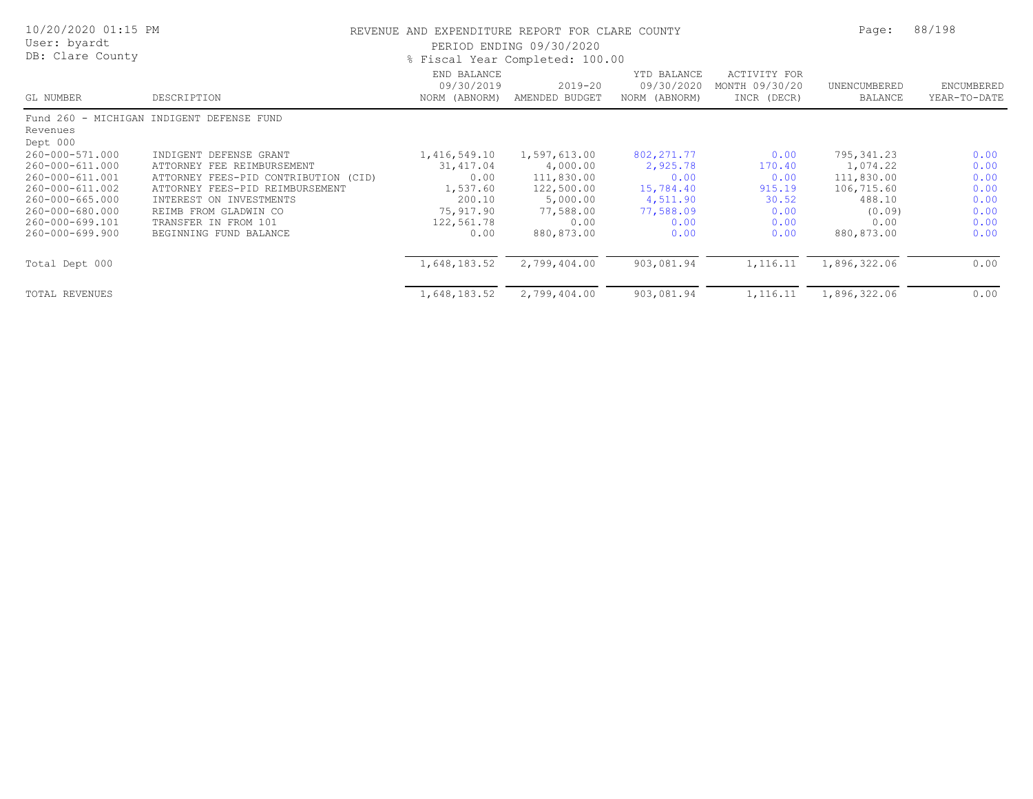| 10/20/2020 01:15 PM<br>User: byardt<br>DB: Clare County |                                           | REVENUE AND EXPENDITURE REPORT FOR CLARE COUNTY<br>PERIOD ENDING 09/30/2020<br>% Fiscal Year Completed: 100.00 |                               |                                            |                                                      |                         | 88/198                     |
|---------------------------------------------------------|-------------------------------------------|----------------------------------------------------------------------------------------------------------------|-------------------------------|--------------------------------------------|------------------------------------------------------|-------------------------|----------------------------|
| GL NUMBER                                               | DESCRIPTION                               | END BALANCE<br>09/30/2019<br>NORM (ABNORM)                                                                     | $2019 - 20$<br>AMENDED BUDGET | YTD BALANCE<br>09/30/2020<br>NORM (ABNORM) | <b>ACTIVITY FOR</b><br>MONTH 09/30/20<br>INCR (DECR) | UNENCUMBERED<br>BALANCE | ENCUMBERED<br>YEAR-TO-DATE |
|                                                         | Fund 260 - MICHIGAN INDIGENT DEFENSE FUND |                                                                                                                |                               |                                            |                                                      |                         |                            |
| Revenues<br>Dept 000                                    |                                           |                                                                                                                |                               |                                            |                                                      |                         |                            |
| 260-000-571.000                                         | INDIGENT DEFENSE GRANT                    | 1,416,549.10                                                                                                   | 1,597,613.00                  | 802, 271.77                                | 0.00                                                 | 795,341.23              | 0.00                       |
| 260-000-611.000                                         | ATTORNEY FEE REIMBURSEMENT                | 31,417.04                                                                                                      | 4,000.00                      | 2,925.78                                   | 170.40                                               | 1,074.22                | 0.00                       |
| 260-000-611.001                                         | ATTORNEY FEES-PID CONTRIBUTION (CID)      | 0.00                                                                                                           | 111,830.00                    | 0.00                                       | 0.00                                                 | 111,830.00              | 0.00                       |
| 260-000-611.002                                         | ATTORNEY FEES-PID REIMBURSEMENT           | 1,537.60                                                                                                       | 122,500.00                    | 15,784.40                                  | 915.19                                               | 106,715.60              | 0.00                       |
| 260-000-665.000                                         | INTEREST ON INVESTMENTS                   | 200.10                                                                                                         | 5,000.00                      | 4,511.90                                   | 30.52                                                | 488.10                  | 0.00                       |
| 260-000-680.000                                         | REIMB FROM GLADWIN CO                     | 75,917.90                                                                                                      | 77,588.00                     | 77,588.09                                  | 0.00                                                 | (0.09)                  | 0.00                       |
| 260-000-699.101                                         | TRANSFER IN FROM 101                      | 122,561.78                                                                                                     | 0.00                          | 0.00                                       | 0.00                                                 | 0.00                    | 0.00                       |
| 260-000-699.900                                         | BEGINNING FUND BALANCE                    | 0.00                                                                                                           | 880,873.00                    | 0.00                                       | 0.00                                                 | 880,873.00              | 0.00                       |
| Total Dept 000                                          |                                           | 1,648,183.52                                                                                                   | 2,799,404.00                  | 903,081.94                                 | 1,116.11                                             | 1,896,322.06            | 0.00                       |
| TOTAL REVENUES                                          |                                           | 1,648,183.52                                                                                                   | 2,799,404.00                  | 903,081.94                                 | 1,116.11                                             | 1,896,322.06            | 0.00                       |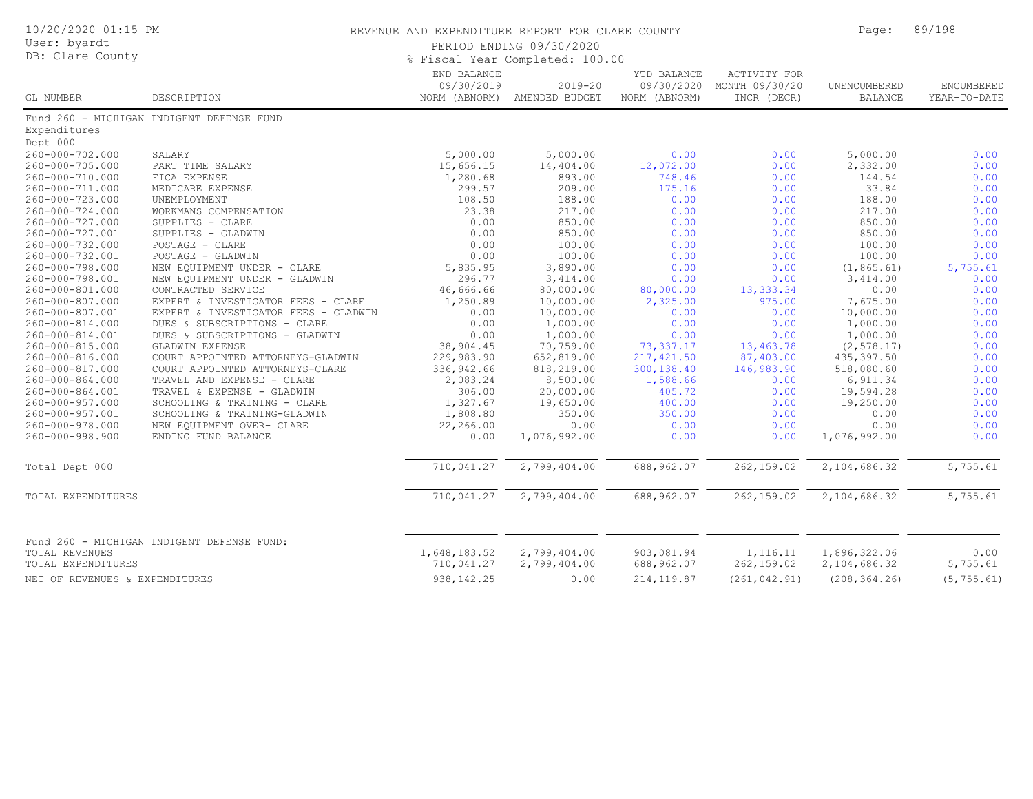| 10/20/2020 01:15 PM<br>User: byardt<br>DB: Clare County |                                                           | REVENUE AND EXPENDITURE REPORT FOR CLARE COUNTY<br>PERIOD ENDING 09/30/2020<br>% Fiscal Year Completed: 100.00 |                               |                                            |                                                      |                                | 89/198                     |
|---------------------------------------------------------|-----------------------------------------------------------|----------------------------------------------------------------------------------------------------------------|-------------------------------|--------------------------------------------|------------------------------------------------------|--------------------------------|----------------------------|
| GL NUMBER                                               | DESCRIPTION                                               | END BALANCE<br>09/30/2019<br>NORM (ABNORM)                                                                     | $2019 - 20$<br>AMENDED BUDGET | YTD BALANCE<br>09/30/2020<br>NORM (ABNORM) | <b>ACTIVITY FOR</b><br>MONTH 09/30/20<br>INCR (DECR) | UNENCUMBERED<br><b>BALANCE</b> | ENCUMBERED<br>YEAR-TO-DATE |
|                                                         | Fund 260 - MICHIGAN INDIGENT DEFENSE FUND                 |                                                                                                                |                               |                                            |                                                      |                                |                            |
| Expenditures                                            |                                                           |                                                                                                                |                               |                                            |                                                      |                                |                            |
| Dept 000                                                |                                                           |                                                                                                                |                               |                                            |                                                      |                                |                            |
| 260-000-702.000                                         | SALARY                                                    | 5,000.00                                                                                                       | 5,000.00                      | 0.00                                       | 0.00                                                 | 5,000.00                       | 0.00                       |
| 260-000-705.000                                         | PART TIME SALARY                                          | 15,656.15                                                                                                      | 14,404.00                     | 12,072.00                                  | 0.00                                                 | 2,332.00                       | 0.00                       |
| 260-000-710.000                                         | FICA EXPENSE                                              | 1,280.68                                                                                                       | 893.00                        | 748.46                                     | 0.00                                                 | 144.54                         | 0.00                       |
| 260-000-711.000                                         | MEDICARE EXPENSE                                          | 299.57                                                                                                         | 209.00                        | 175.16                                     | 0.00                                                 | 33.84                          | 0.00                       |
| 260-000-723.000                                         | UNEMPLOYMENT                                              | 108.50                                                                                                         | 188.00                        | 0.00                                       | 0.00                                                 | 188.00                         | 0.00                       |
| 260-000-724.000                                         | WORKMANS COMPENSATION                                     | 23.38                                                                                                          | 217.00                        | 0.00                                       | 0.00                                                 | 217.00                         | 0.00                       |
| 260-000-727.000                                         | SUPPLIES - CLARE                                          | 0.00                                                                                                           | 850.00                        | 0.00                                       | 0.00                                                 | 850.00                         | 0.00                       |
| 260-000-727.001                                         | SUPPLIES - GLADWIN                                        | 0.00                                                                                                           | 850.00                        | 0.00                                       | 0.00                                                 | 850.00                         | 0.00                       |
| 260-000-732.000                                         | POSTAGE - CLARE                                           | 0.00                                                                                                           | 100.00                        | 0.00                                       | 0.00                                                 | 100.00                         | 0.00                       |
| 260-000-732.001                                         | POSTAGE - GLADWIN                                         | 0.00                                                                                                           | 100.00                        | 0.00                                       | 0.00                                                 | 100.00                         | 0.00                       |
| 260-000-798.000                                         | NEW EQUIPMENT UNDER - CLARE                               | 5,835.95                                                                                                       | 3,890.00                      | 0.00                                       | 0.00                                                 | (1, 865.61)                    | 5,755.61                   |
| 260-000-798.001                                         | NEW EQUIPMENT UNDER - GLADWIN                             | 296.77                                                                                                         | 3,414.00                      | 0.00                                       | 0.00                                                 | 3,414.00                       | 0.00                       |
| 260-000-801.000                                         | CONTRACTED SERVICE                                        | 46,666.66                                                                                                      | 80,000.00                     | 80,000.00                                  | 13,333.34                                            | 0.00                           | 0.00                       |
| 260-000-807.000                                         | EXPERT & INVESTIGATOR FEES - CLARE                        | 1,250.89                                                                                                       | 10,000.00                     | 2,325.00                                   | 975.00                                               | 7,675.00                       | 0.00                       |
| 260-000-807.001                                         | EXPERT & INVESTIGATOR FEES - GLADWIN                      | 0.00                                                                                                           | 10,000.00                     | 0.00                                       | 0.00                                                 | 10,000.00                      | 0.00                       |
| 260-000-814.000                                         | DUES & SUBSCRIPTIONS - CLARE                              | 0.00                                                                                                           | 1,000.00                      | 0.00                                       | 0.00                                                 | 1,000.00                       | 0.00                       |
| 260-000-814.001                                         | DUES & SUBSCRIPTIONS - GLADWIN                            | 0.00                                                                                                           | 1,000.00                      | 0.00                                       | 0.00                                                 | 1,000.00                       | 0.00                       |
| 260-000-815.000                                         | <b>GLADWIN EXPENSE</b>                                    | 38,904.45                                                                                                      | 70,759.00                     | 73,337.17                                  | 13,463.78                                            | (2, 578.17)                    | 0.00                       |
| 260-000-816.000                                         | COURT APPOINTED ATTORNEYS-GLADWIN                         | 229,983.90                                                                                                     | 652,819.00                    | 217, 421.50                                | 87,403.00                                            | 435, 397.50                    | 0.00                       |
| 260-000-817.000                                         | COURT APPOINTED ATTORNEYS-CLARE                           | 336,942.66                                                                                                     | 818,219.00                    | 300, 138.40                                | 146,983.90                                           | 518,080.60                     | 0.00                       |
| 260-000-864.000                                         | TRAVEL AND EXPENSE - CLARE                                |                                                                                                                |                               | 1,588.66                                   | 0.00                                                 |                                | 0.00                       |
|                                                         |                                                           | 2,083.24                                                                                                       | 8,500.00                      |                                            |                                                      | 6,911.34                       |                            |
| 260-000-864.001<br>260-000-957.000                      | TRAVEL & EXPENSE - GLADWIN                                | 306.00                                                                                                         | 20,000.00<br>19,650.00        | 405.72                                     | 0.00<br>0.00                                         | 19,594.28<br>19,250.00         | 0.00                       |
|                                                         | SCHOOLING & TRAINING - CLARE                              | 1,327.67                                                                                                       |                               | 400.00<br>350.00                           |                                                      |                                | 0.00<br>0.00               |
| 260-000-957.001<br>$260 - 000 - 978.000$                | SCHOOLING & TRAINING-GLADWIN<br>NEW EQUIPMENT OVER- CLARE | 1,808.80<br>22,266.00                                                                                          | 350.00<br>0.00                | 0.00                                       | 0.00<br>0.00                                         | 0.00<br>0.00                   | 0.00                       |
| 260-000-998.900                                         | ENDING FUND BALANCE                                       | 0.00                                                                                                           | 1,076,992.00                  | 0.00                                       | 0.00                                                 | 1,076,992.00                   | 0.00                       |
| Total Dept 000                                          |                                                           | 710,041.27                                                                                                     | 2,799,404.00                  | 688,962.07                                 | 262,159.02                                           | 2,104,686.32                   | 5,755.61                   |
| TOTAL EXPENDITURES                                      |                                                           | 710,041.27                                                                                                     | 2,799,404.00                  | 688,962.07                                 | 262,159.02                                           | 2,104,686.32                   | 5,755.61                   |
| TOTAL REVENUES                                          | Fund 260 - MICHIGAN INDIGENT DEFENSE FUND:                | 1,648,183.52                                                                                                   | 2,799,404.00                  | 903,081.94                                 | 1,116.11                                             | 1,896,322.06                   | 0.00                       |
| TOTAL EXPENDITURES                                      |                                                           | 710,041.27                                                                                                     | 2,799,404.00                  | 688,962.07                                 | 262,159.02                                           | 2,104,686.32                   | 5,755.61                   |
| NET OF REVENUES & EXPENDITURES                          |                                                           | 938, 142. 25                                                                                                   | 0.00                          | 214, 119.87                                | (261, 042.91)                                        | (208, 364.26)                  | (5, 755.61)                |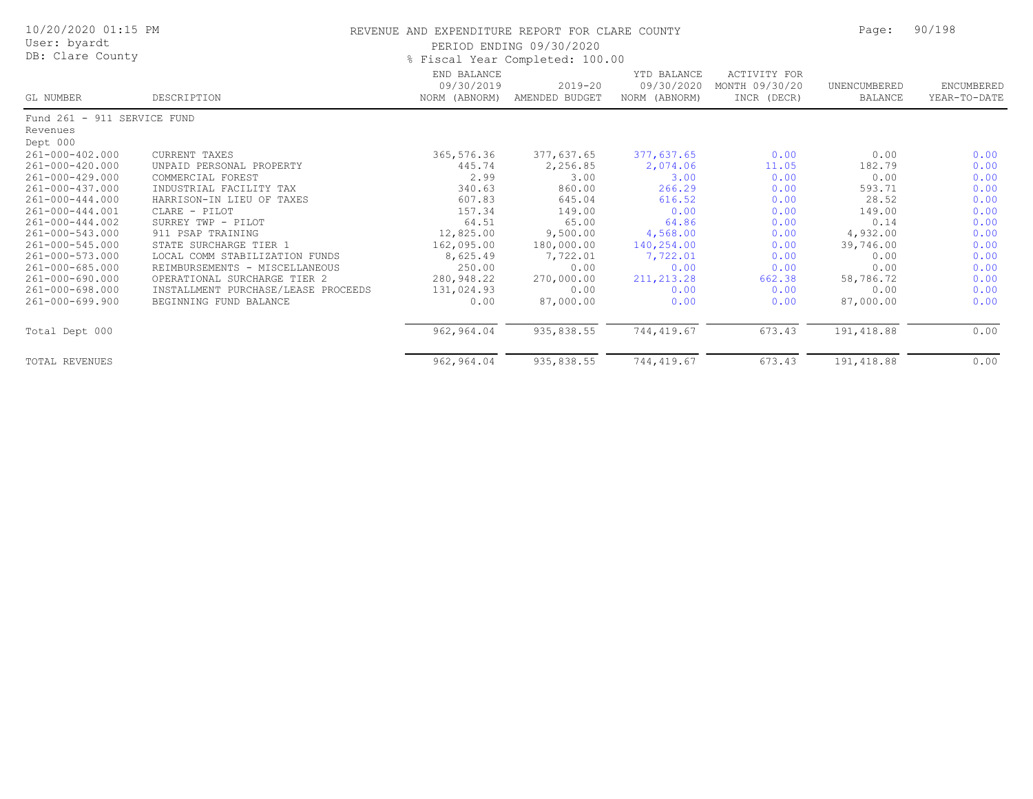| 10/20/2020 01:15 PM<br>User: byardt<br>DB: Clare County |                                     | REVENUE AND EXPENDITURE REPORT FOR CLARE COUNTY<br>PERIOD ENDING 09/30/2020<br>% Fiscal Year Completed: 100.00 | Page:                         | 90/198                                     |                                                      |                         |                            |
|---------------------------------------------------------|-------------------------------------|----------------------------------------------------------------------------------------------------------------|-------------------------------|--------------------------------------------|------------------------------------------------------|-------------------------|----------------------------|
| GL NUMBER                                               | DESCRIPTION                         | END BALANCE<br>09/30/2019<br>NORM (ABNORM)                                                                     | $2019 - 20$<br>AMENDED BUDGET | YTD BALANCE<br>09/30/2020<br>NORM (ABNORM) | <b>ACTIVITY FOR</b><br>MONTH 09/30/20<br>INCR (DECR) | UNENCUMBERED<br>BALANCE | ENCUMBERED<br>YEAR-TO-DATE |
| Fund 261 - 911 SERVICE FUND                             |                                     |                                                                                                                |                               |                                            |                                                      |                         |                            |
| Revenues                                                |                                     |                                                                                                                |                               |                                            |                                                      |                         |                            |
| Dept 000                                                |                                     |                                                                                                                |                               |                                            |                                                      |                         |                            |
| 261-000-402.000                                         | <b>CURRENT TAXES</b>                | 365,576.36                                                                                                     | 377,637.65                    | 377,637.65                                 | 0.00                                                 | 0.00                    | 0.00                       |
| 261-000-420.000                                         | UNPAID PERSONAL PROPERTY            | 445.74                                                                                                         | 2,256.85                      | 2,074.06                                   | 11.05                                                | 182.79                  | 0.00                       |
| 261-000-429.000                                         | COMMERCIAL FOREST                   | 2.99                                                                                                           | 3.00                          | 3.00                                       | 0.00                                                 | 0.00                    | 0.00                       |
| 261-000-437.000                                         | INDUSTRIAL FACILITY TAX             | 340.63                                                                                                         | 860.00                        | 266.29                                     | 0.00                                                 | 593.71                  | 0.00                       |
| 261-000-444.000                                         | HARRISON-IN LIEU OF TAXES           | 607.83                                                                                                         | 645.04                        | 616.52                                     | 0.00                                                 | 28.52                   | 0.00                       |
| 261-000-444.001                                         | CLARE - PILOT                       | 157.34                                                                                                         | 149.00                        | 0.00                                       | 0.00                                                 | 149.00                  | 0.00                       |
| 261-000-444.002                                         | SURREY TWP - PILOT                  | 64.51                                                                                                          | 65.00                         | 64.86                                      | 0.00                                                 | 0.14                    | 0.00                       |
| 261-000-543.000                                         | 911 PSAP TRAINING                   | 12,825.00                                                                                                      | 9,500.00                      | 4,568.00                                   | 0.00                                                 | 4,932.00                | 0.00                       |
| 261-000-545.000                                         | STATE SURCHARGE TIER 1              | 162,095.00                                                                                                     | 180,000.00                    | 140,254.00                                 | 0.00                                                 | 39,746.00               | 0.00                       |
| 261-000-573.000                                         | LOCAL COMM STABILIZATION FUNDS      | 8,625.49                                                                                                       | 7,722.01                      | 7,722.01                                   | 0.00                                                 | 0.00                    | 0.00                       |
| 261-000-685.000                                         | REIMBURSEMENTS - MISCELLANEOUS      | 250.00                                                                                                         | 0.00                          | 0.00                                       | 0.00                                                 | 0.00                    | 0.00                       |
| 261-000-690.000                                         | OPERATIONAL SURCHARGE TIER 2        | 280,948.22                                                                                                     | 270,000.00                    | 211, 213.28                                | 662.38                                               | 58,786.72               | 0.00                       |
| 261-000-698.000                                         | INSTALLMENT PURCHASE/LEASE PROCEEDS | 131,024.93                                                                                                     | 0.00                          | 0.00                                       | 0.00                                                 | 0.00                    | 0.00                       |
| 261-000-699.900                                         | BEGINNING FUND BALANCE              | 0.00                                                                                                           | 87,000.00                     | 0.00                                       | 0.00                                                 | 87,000.00               | 0.00                       |
| Total Dept 000                                          |                                     | 962,964.04                                                                                                     | 935,838.55                    | 744,419.67                                 | 673.43                                               | 191, 418.88             | 0.00                       |
| <b>TOTAL REVENUES</b>                                   |                                     | 962,964.04                                                                                                     | 935,838.55                    | 744,419.67                                 | 673.43                                               | 191, 418.88             | 0.00                       |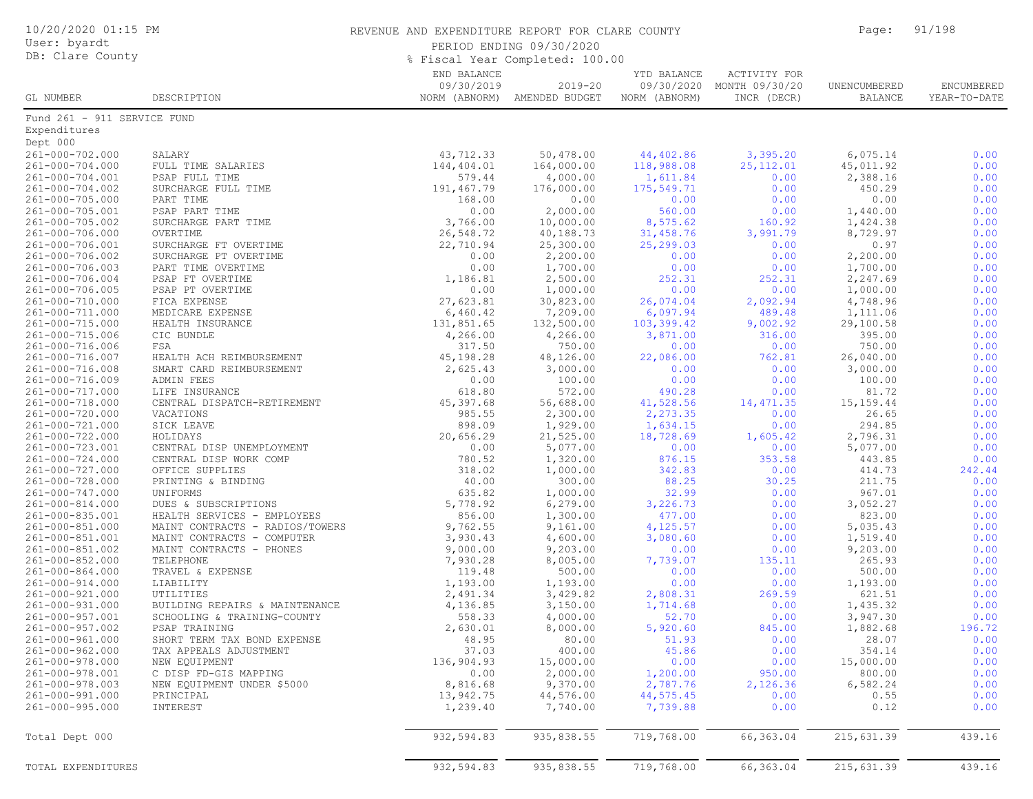| 10/20/2020 01:15 PM<br>User: byardt<br>DB: Clare County |                                                      | REVENUE AND EXPENDITURE REPORT FOR CLARE COUNTY<br>PERIOD ENDING 09/30/2020<br>% Fiscal Year Completed: 100.00 |                                             |                              |                                                          |                                | 91/198                     |  |
|---------------------------------------------------------|------------------------------------------------------|----------------------------------------------------------------------------------------------------------------|---------------------------------------------|------------------------------|----------------------------------------------------------|--------------------------------|----------------------------|--|
| GL NUMBER                                               | DESCRIPTION                                          | END BALANCE<br>09/30/2019                                                                                      | $2019 - 20$<br>NORM (ABNORM) AMENDED BUDGET | YTD BALANCE<br>NORM (ABNORM) | ACTIVITY FOR<br>09/30/2020 MONTH 09/30/20<br>INCR (DECR) | UNENCUMBERED<br><b>BALANCE</b> | ENCUMBERED<br>YEAR-TO-DATE |  |
| Fund 261 - 911 SERVICE FUND                             |                                                      |                                                                                                                |                                             |                              |                                                          |                                |                            |  |
| Expenditures                                            |                                                      |                                                                                                                |                                             |                              |                                                          |                                |                            |  |
| Dept 000<br>261-000-702.000                             | SALARY                                               | 43,712.33                                                                                                      | 50,478.00                                   | 44,402.86                    | 3,395.20                                                 | 6,075.14                       | 0.00                       |  |
| 261-000-704.000                                         | FULL TIME SALARIES                                   | 144,404.01                                                                                                     | 164,000.00                                  | 118,988.08                   | 25, 112.01                                               | 45,011.92                      | 0.00                       |  |
| 261-000-704.001                                         | PSAP FULL TIME                                       | 579.44                                                                                                         | 4,000.00                                    | 1,611.84                     | 0.00                                                     | 2,388.16                       | 0.00                       |  |
| 261-000-704.002                                         | SURCHARGE FULL TIME                                  | 191,467.79                                                                                                     | 176,000.00                                  | 175,549.71                   | 0.00                                                     | 450.29                         | 0.00                       |  |
| 261-000-705.000                                         | PART TIME                                            | 168.00                                                                                                         | 0.00                                        | 0.00                         | 0.00                                                     | 0.00                           | 0.00                       |  |
| 261-000-705.001<br>261-000-705.002                      | PSAP PART TIME<br>SURCHARGE PART TIME                | 0.00<br>3,766.00                                                                                               | 2,000.00<br>10,000.00                       | 560.00<br>8,575.62           | 0.00<br>160.92                                           | 1,440.00<br>1,424.38           | 0.00<br>0.00               |  |
| 261-000-706.000                                         | OVERTIME                                             | 26,548.72                                                                                                      | 40,188.73                                   | 31,458.76                    | 3,991.79                                                 | 8,729.97                       | 0.00                       |  |
| 261-000-706.001                                         | SURCHARGE FT OVERTIME                                | 22,710.94                                                                                                      | 25,300.00                                   | 25,299.03                    | 0.00                                                     | 0.97                           | 0.00                       |  |
| 261-000-706.002                                         | SURCHARGE PT OVERTIME                                | 0.00                                                                                                           | 2,200.00                                    | 0.00                         | 0.00                                                     | 2,200.00                       | 0.00                       |  |
| 261-000-706.003                                         | PART TIME OVERTIME                                   | 0.00                                                                                                           | 1,700.00                                    | 0.00                         | 0.00                                                     | 1,700.00                       | 0.00                       |  |
| 261-000-706.004                                         | PSAP FT OVERTIME                                     | 1,186.81                                                                                                       | 2,500.00                                    | 252.31                       | 252.31                                                   | 2,247.69                       | 0.00                       |  |
| 261-000-706.005<br>261-000-710.000                      | PSAP PT OVERTIME<br>FICA EXPENSE                     | 0.00<br>27,623.81                                                                                              | 1,000.00<br>30,823.00                       | 0.00<br>26,074.04            | 0.00<br>2,092.94                                         | 1,000.00<br>4,748.96           | 0.00<br>0.00               |  |
| 261-000-711.000                                         | MEDICARE EXPENSE                                     | 6,460.42                                                                                                       | 7,209.00                                    | 6,097.94                     | 489.48                                                   | 1,111.06                       | 0.00                       |  |
| 261-000-715.000                                         | HEALTH INSURANCE                                     | 131,851.65                                                                                                     | 132,500.00                                  | 103,399.42                   | 9,002.92                                                 | 29,100.58                      | 0.00                       |  |
| 261-000-715.006                                         | CIC BUNDLE                                           | 4,266.00                                                                                                       | 4,266.00                                    | 3,871.00                     | 316.00                                                   | 395.00                         | 0.00                       |  |
| 261-000-716.006                                         | FSA                                                  | 317.50                                                                                                         | 750.00                                      | 0.00                         | 0.00                                                     | 750.00                         | 0.00                       |  |
| 261-000-716.007<br>261-000-716.008                      | HEALTH ACH REIMBURSEMENT<br>SMART CARD REIMBURSEMENT | 45,198.28<br>2,625.43                                                                                          | 48,126.00<br>3,000.00                       | 22,086.00<br>0.00            | 762.81<br>0.00                                           | 26,040.00<br>3,000.00          | 0.00<br>0.00               |  |
| 261-000-716.009                                         | ADMIN FEES                                           | 0.00                                                                                                           | 100.00                                      | 0.00                         | 0.00                                                     | 100.00                         | 0.00                       |  |
| 261-000-717.000                                         | LIFE INSURANCE                                       | 618.80                                                                                                         | 572.00                                      | 490.28                       | 0.00                                                     | 81.72                          | 0.00                       |  |
| 261-000-718.000                                         | CENTRAL DISPATCH-RETIREMENT                          | 45,397.68                                                                                                      | 56,688.00                                   | 41,528.56                    | 14,471.35                                                | 15, 159. 44                    | 0.00                       |  |
| 261-000-720.000                                         | VACATIONS                                            | 985.55                                                                                                         | 2,300.00                                    | 2,273.35                     | 0.00                                                     | 26.65                          | 0.00                       |  |
| 261-000-721.000                                         | SICK LEAVE                                           | 898.09                                                                                                         | 1,929.00                                    | 1,634.15                     | 0.00                                                     | 294.85                         | 0.00                       |  |
| 261-000-722.000<br>261-000-723.001                      | HOLIDAYS<br>CENTRAL DISP UNEMPLOYMENT                | 20,656.29<br>0.00                                                                                              | 21,525.00<br>5,077.00                       | 18,728.69<br>0.00            | 1,605.42<br>0.00                                         | 2,796.31<br>5,077.00           | 0.00<br>0.00               |  |
| 261-000-724.000                                         | CENTRAL DISP WORK COMP                               | 780.52                                                                                                         | 1,320.00                                    | 876.15                       | 353.58                                                   | 443.85                         | 0.00                       |  |
| 261-000-727.000                                         | OFFICE SUPPLIES                                      | 318.02                                                                                                         | 1,000.00                                    | 342.83                       | 0.00                                                     | 414.73                         | 242.44                     |  |
| 261-000-728.000                                         | PRINTING & BINDING                                   | 40.00                                                                                                          | 300.00                                      | 88.25                        | 30.25                                                    | 211.75                         | 0.00                       |  |
| 261-000-747.000                                         | UNIFORMS                                             | 635.82                                                                                                         | 1,000.00                                    | 32.99                        | 0.00                                                     | 967.01                         | 0.00                       |  |
| 261-000-814.000<br>261-000-835.001                      | DUES & SUBSCRIPTIONS<br>HEALTH SERVICES - EMPLOYEES  | 5,778.92<br>856.00                                                                                             | 6, 279.00<br>1,300.00                       | 3,226.73<br>477.00           | 0.00<br>0.00                                             | 3,052.27<br>823.00             | 0.00<br>0.00               |  |
| 261-000-851.000                                         | MAINT CONTRACTS - RADIOS/TOWERS                      | 9,762.55                                                                                                       | 9,161.00                                    | 4,125.57                     | 0.00                                                     | 5,035.43                       | 0.00                       |  |
| 261-000-851.001                                         | MAINT CONTRACTS - COMPUTER                           | 3,930.43                                                                                                       | 4,600.00                                    | 3,080.60                     | 0.00                                                     | 1,519.40                       | 0.00                       |  |
| 261-000-851.002                                         | MAINT CONTRACTS - PHONES                             | 9,000.00                                                                                                       | 9,203.00                                    | 0.00                         | 0.00                                                     | 9,203.00                       | 0.00                       |  |
| 261-000-852.000                                         | TELEPHONE                                            | 7,930.28                                                                                                       | 8,005.00                                    | 7,739.07                     | 135.11                                                   | 265.93                         | 0.00                       |  |
| 261-000-864.000                                         | TRAVEL & EXPENSE                                     | 119.48                                                                                                         | 500.00                                      | 0.00                         | 0.00                                                     | 500.00                         | 0.00                       |  |
| 261-000-914.000<br>261-000-921.000                      | LIABILITY<br>UTILITIES                               | 1,193.00<br>2,491.34                                                                                           | 1,193.00<br>3,429.82                        | 0.00<br>2,808.31             | 0.00<br>269.59                                           | 1,193.00<br>621.51             | 0.00<br>0.00               |  |
| 261-000-931.000                                         | BUILDING REPAIRS & MAINTENANCE                       | 4,136.85                                                                                                       | 3,150.00                                    | 1,714.68                     | 0.00                                                     | 1,435.32                       | 0.00                       |  |
| 261-000-957.001                                         | SCHOOLING & TRAINING-COUNTY                          | 558.33                                                                                                         | 4,000.00                                    | 52.70                        | 0.00                                                     | 3,947.30                       | 0.00                       |  |
| 261-000-957.002                                         | PSAP TRAINING                                        | 2,630.01                                                                                                       | 8,000.00                                    | 5,920.60                     | 845.00                                                   | 1,882.68                       | 196.72                     |  |
| 261-000-961.000                                         | SHORT TERM TAX BOND EXPENSE                          | 48.95                                                                                                          | 80.00                                       | 51.93                        | 0.00                                                     | 28.07                          | 0.00                       |  |
| 261-000-962.000                                         | TAX APPEALS ADJUSTMENT                               | 37.03                                                                                                          | 400.00                                      | 45.86                        | 0.00                                                     | 354.14                         | 0.00                       |  |
| 261-000-978.000<br>261-000-978.001                      | NEW EQUIPMENT<br>C DISP FD-GIS MAPPING               | 136,904.93<br>0.00                                                                                             | 15,000.00<br>2,000.00                       | 0.00<br>1,200.00             | 0.00<br>950.00                                           | 15,000.00<br>800.00            | 0.00<br>0.00               |  |
| 261-000-978.003                                         | NEW EQUIPMENT UNDER \$5000                           | 8,816.68                                                                                                       | 9,370.00                                    | 2,787.76                     | 2,126.36                                                 | 6,582.24                       | 0.00                       |  |
| 261-000-991.000                                         | PRINCIPAL                                            | 13,942.75                                                                                                      | 44,576.00                                   | 44,575.45                    | 0.00                                                     | 0.55                           | 0.00                       |  |
| 261-000-995.000                                         | INTEREST                                             | 1,239.40                                                                                                       | 7,740.00                                    | 7,739.88                     | 0.00                                                     | 0.12                           | 0.00                       |  |
| Total Dept 000                                          |                                                      | 932,594.83                                                                                                     | 935,838.55                                  | 719,768.00                   | 66, 363.04                                               | 215,631.39                     | 439.16                     |  |
| TOTAL EXPENDITURES                                      |                                                      | 932,594.83                                                                                                     | 935,838.55                                  | 719,768.00                   | 66,363.04                                                | 215,631.39                     | 439.16                     |  |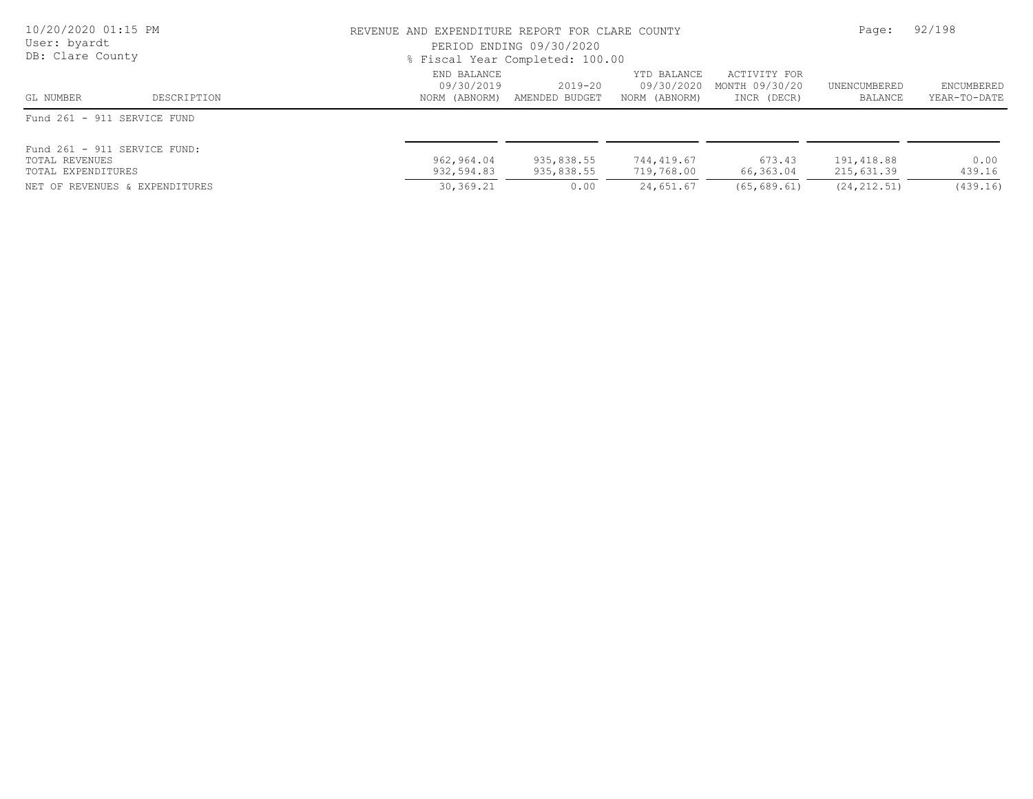| 10/20/2020 01:15 PM<br>User: byardt<br>DB: Clare County                                                | REVENUE AND EXPENDITURE REPORT FOR CLARE COUNTY<br>PERIOD ENDING 09/30/2020<br>% Fiscal Year Completed: 100.00 | Page:                            | 92/198                                     |                                               |                                           |                            |
|--------------------------------------------------------------------------------------------------------|----------------------------------------------------------------------------------------------------------------|----------------------------------|--------------------------------------------|-----------------------------------------------|-------------------------------------------|----------------------------|
| DESCRIPTION<br>GL NUMBER                                                                               | END BALANCE<br>09/30/2019<br>NORM (ABNORM)                                                                     | $2019 - 20$<br>AMENDED BUDGET    | YTD BALANCE<br>09/30/2020<br>NORM (ABNORM) | ACTIVITY FOR<br>MONTH 09/30/20<br>INCR (DECR) | UNENCUMBERED<br>BALANCE                   | ENCUMBERED<br>YEAR-TO-DATE |
| Fund 261 - 911 SERVICE FUND                                                                            |                                                                                                                |                                  |                                            |                                               |                                           |                            |
| Fund 261 - 911 SERVICE FUND:<br>TOTAL REVENUES<br>TOTAL EXPENDITURES<br>NET OF REVENUES & EXPENDITURES | 962,964.04<br>932,594.83<br>30,369.21                                                                          | 935,838.55<br>935,838.55<br>0.00 | 744,419.67<br>719,768.00<br>24,651.67      | 673.43<br>66,363.04<br>(65, 689, 61)          | 191,418.88<br>215,631.39<br>(24, 212, 51) | 0.00<br>439.16<br>(439.16) |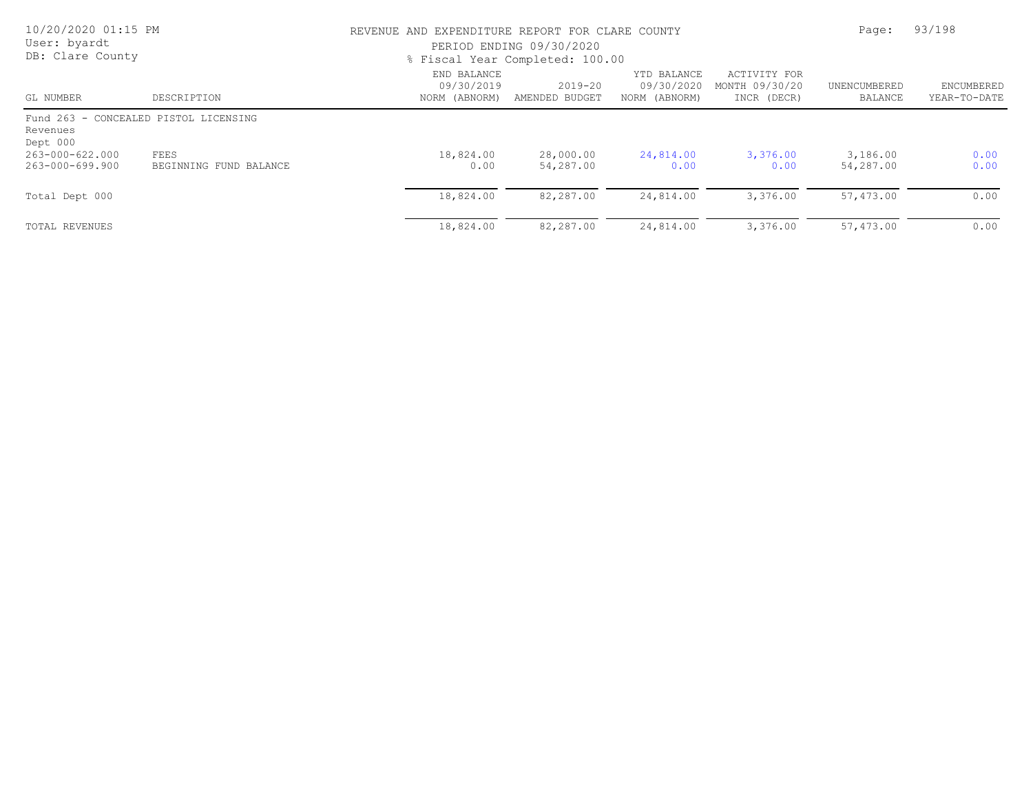| 10/20/2020 01:15 PM<br>User: byardt<br>DB: Clare County |                                       | REVENUE AND EXPENDITURE REPORT FOR CLARE COUNTY<br>PERIOD ENDING 09/30/2020<br>% Fiscal Year Completed: 100.00 |                               |                                            |                                               | Page:                   |                            |  |
|---------------------------------------------------------|---------------------------------------|----------------------------------------------------------------------------------------------------------------|-------------------------------|--------------------------------------------|-----------------------------------------------|-------------------------|----------------------------|--|
| GL NUMBER                                               | DESCRIPTION                           | END BALANCE<br>09/30/2019<br>NORM (ABNORM)                                                                     | $2019 - 20$<br>AMENDED BUDGET | YTD BALANCE<br>09/30/2020<br>NORM (ABNORM) | ACTIVITY FOR<br>MONTH 09/30/20<br>INCR (DECR) | UNENCUMBERED<br>BALANCE | ENCUMBERED<br>YEAR-TO-DATE |  |
| Revenues<br>Dept 000                                    | Fund 263 - CONCEALED PISTOL LICENSING |                                                                                                                |                               |                                            |                                               |                         |                            |  |
| 263-000-622.000<br>263-000-699.900                      | FEES<br>BEGINNING FUND BALANCE        | 18,824.00<br>0.00                                                                                              | 28,000.00<br>54,287.00        | 24,814.00<br>0.00                          | 3,376.00<br>0.00                              | 3,186.00<br>54,287.00   | 0.00<br>0.00               |  |
| Total Dept 000                                          |                                       | 18,824.00                                                                                                      | 82,287.00                     | 24,814.00                                  | 3,376.00                                      | 57,473.00               | 0.00                       |  |
| TOTAL REVENUES                                          |                                       | 18,824.00                                                                                                      | 82,287.00                     | 24,814.00                                  | 3,376.00                                      | 57,473.00               | 0.00                       |  |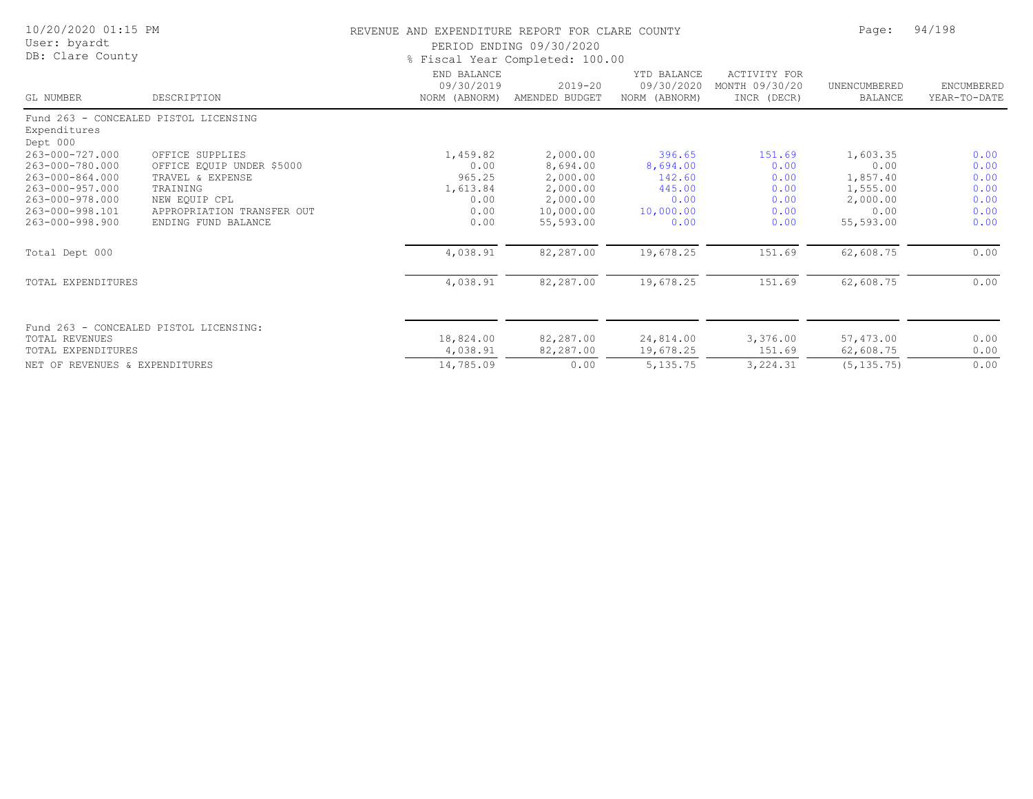| 10/20/2020 01:15 PM<br>User: byardt<br>DB: Clare County           |                                        |                                            | REVENUE AND EXPENDITURE REPORT FOR CLARE COUNTY<br>PERIOD ENDING 09/30/2020<br>% Fiscal Year Completed: 100.00 |                                            |                                               |                                |                            |
|-------------------------------------------------------------------|----------------------------------------|--------------------------------------------|----------------------------------------------------------------------------------------------------------------|--------------------------------------------|-----------------------------------------------|--------------------------------|----------------------------|
| GL NUMBER                                                         | DESCRIPTION                            | END BALANCE<br>09/30/2019<br>NORM (ABNORM) | $2019 - 20$<br>AMENDED BUDGET                                                                                  | YTD BALANCE<br>09/30/2020<br>NORM (ABNORM) | ACTIVITY FOR<br>MONTH 09/30/20<br>INCR (DECR) | UNENCUMBERED<br><b>BALANCE</b> | ENCUMBERED<br>YEAR-TO-DATE |
| Fund 263 - CONCEALED PISTOL LICENSING<br>Expenditures<br>Dept 000 |                                        |                                            |                                                                                                                |                                            |                                               |                                |                            |
| 263-000-727.000                                                   | OFFICE SUPPLIES                        | 1,459.82                                   | 2,000.00                                                                                                       | 396.65                                     | 151.69                                        | 1,603.35                       | 0.00                       |
| 263-000-780.000                                                   | OFFICE EQUIP UNDER \$5000              | 0.00                                       | 8,694.00                                                                                                       | 8,694.00                                   | 0.00                                          | 0.00                           | 0.00                       |
| 263-000-864.000                                                   | TRAVEL & EXPENSE                       | 965.25                                     | 2,000.00                                                                                                       | 142.60                                     | 0.00                                          | 1,857.40                       | 0.00                       |
| 263-000-957.000                                                   | TRAINING                               | 1,613.84                                   | 2,000.00                                                                                                       | 445.00                                     | 0.00                                          | 1,555.00                       | 0.00                       |
| 263-000-978.000                                                   | NEW EOUIP CPL                          | 0.00                                       | 2,000.00                                                                                                       | 0.00                                       | 0.00                                          | 2,000.00                       | 0.00                       |
| 263-000-998.101                                                   | APPROPRIATION TRANSFER OUT             | 0.00                                       | 10,000.00                                                                                                      | 10,000.00                                  | 0.00                                          | 0.00                           | 0.00                       |
| 263-000-998.900                                                   | ENDING FUND BALANCE                    | 0.00                                       | 55,593.00                                                                                                      | 0.00                                       | 0.00                                          | 55,593.00                      | 0.00                       |
| Total Dept 000                                                    |                                        | 4,038.91                                   | 82,287.00                                                                                                      | 19,678.25                                  | 151.69                                        | 62,608.75                      | 0.00                       |
| TOTAL EXPENDITURES                                                |                                        | 4,038.91                                   | 82,287.00                                                                                                      | 19,678.25                                  | 151.69                                        | 62,608.75                      | 0.00                       |
|                                                                   | Fund 263 - CONCEALED PISTOL LICENSING: |                                            |                                                                                                                |                                            |                                               |                                |                            |
| TOTAL REVENUES                                                    |                                        | 18,824.00                                  | 82,287.00                                                                                                      | 24,814.00                                  | 3,376.00                                      | 57,473.00                      | 0.00                       |
| TOTAL EXPENDITURES                                                |                                        | 4,038.91                                   | 82,287.00                                                                                                      | 19,678.25                                  | 151.69                                        | 62,608.75                      | 0.00                       |
| NET OF REVENUES & EXPENDITURES                                    |                                        | 14,785.09                                  | 0.00                                                                                                           | 5, 135.75                                  | 3,224.31                                      | (5, 135, 75)                   | 0.00                       |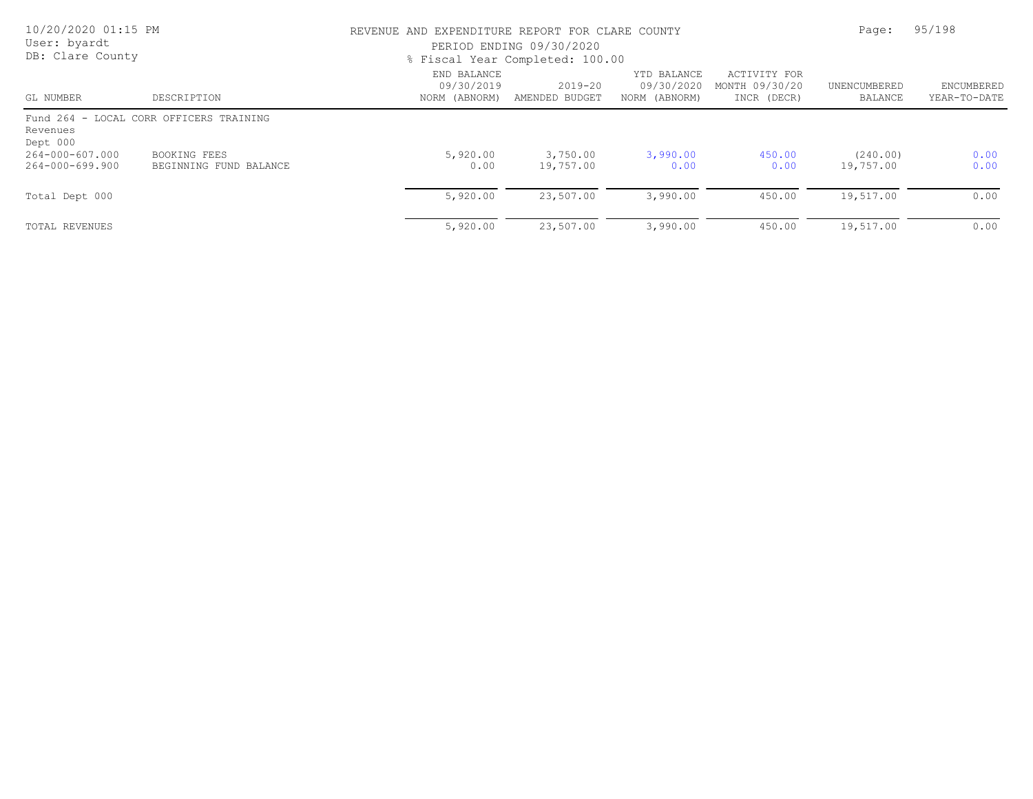| 10/20/2020 01:15 PM<br>User: byardt<br>DB: Clare County |                                         | REVENUE AND EXPENDITURE REPORT FOR CLARE COUNTY<br>PERIOD ENDING 09/30/2020<br>% Fiscal Year Completed: 100.00 | Page:                         | 95/198                                     |                                               |                         |                            |
|---------------------------------------------------------|-----------------------------------------|----------------------------------------------------------------------------------------------------------------|-------------------------------|--------------------------------------------|-----------------------------------------------|-------------------------|----------------------------|
| GL NUMBER                                               | DESCRIPTION                             | END BALANCE<br>09/30/2019<br>NORM (ABNORM)                                                                     | $2019 - 20$<br>AMENDED BUDGET | YTD BALANCE<br>09/30/2020<br>NORM (ABNORM) | ACTIVITY FOR<br>MONTH 09/30/20<br>INCR (DECR) | UNENCUMBERED<br>BALANCE | ENCUMBERED<br>YEAR-TO-DATE |
| Revenues<br>Dept 000                                    | Fund 264 - LOCAL CORR OFFICERS TRAINING |                                                                                                                |                               |                                            |                                               |                         |                            |
| 264-000-607.000<br>264-000-699.900                      | BOOKING FEES<br>BEGINNING FUND BALANCE  | 5,920.00<br>0.00                                                                                               | 3,750.00<br>19,757.00         | 3,990.00<br>0.00                           | 450.00<br>0.00                                | (240.00)<br>19,757.00   | 0.00<br>0.00               |
| Total Dept 000                                          |                                         | 5,920.00                                                                                                       | 23,507.00                     | 3,990.00                                   | 450.00                                        | 19,517.00               | 0.00                       |
| <b>TOTAL REVENUES</b>                                   |                                         | 5,920.00                                                                                                       | 23,507.00                     | 3,990.00                                   | 450.00                                        | 19,517.00               | 0.00                       |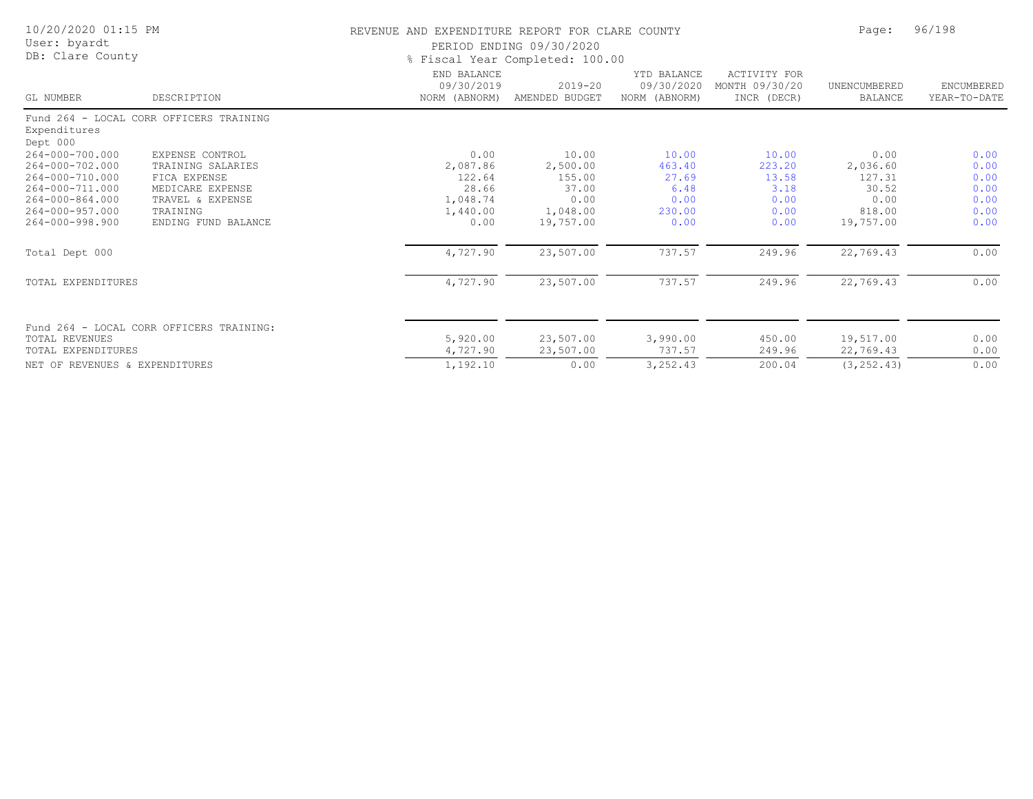| 10/20/2020 01:15 PM<br>User: byardt<br>DB: Clare County |                                          | REVENUE AND EXPENDITURE REPORT FOR CLARE COUNTY<br>PERIOD ENDING 09/30/2020<br>% Fiscal Year Completed: 100.00 | Page:                         | 96/198                                     |                                               |                                |                            |
|---------------------------------------------------------|------------------------------------------|----------------------------------------------------------------------------------------------------------------|-------------------------------|--------------------------------------------|-----------------------------------------------|--------------------------------|----------------------------|
| <b>GL NUMBER</b>                                        | DESCRIPTION                              | END BALANCE<br>09/30/2019<br>NORM (ABNORM)                                                                     | $2019 - 20$<br>AMENDED BUDGET | YTD BALANCE<br>09/30/2020<br>NORM (ABNORM) | ACTIVITY FOR<br>MONTH 09/30/20<br>INCR (DECR) | UNENCUMBERED<br><b>BALANCE</b> | ENCUMBERED<br>YEAR-TO-DATE |
| Expenditures<br>Dept 000                                | Fund 264 - LOCAL CORR OFFICERS TRAINING  |                                                                                                                |                               |                                            |                                               |                                |                            |
| 264-000-700.000                                         | EXPENSE CONTROL                          | 0.00                                                                                                           | 10.00                         | 10.00                                      | 10.00                                         | 0.00                           | 0.00                       |
| 264-000-702.000                                         | TRAINING SALARIES                        | 2,087.86                                                                                                       | 2,500.00                      | 463.40                                     | 223.20                                        | 2,036.60                       | 0.00                       |
| 264-000-710.000                                         | FICA EXPENSE                             | 122.64                                                                                                         | 155.00                        | 27.69                                      | 13.58                                         | 127.31                         | 0.00                       |
| 264-000-711.000                                         | MEDICARE EXPENSE                         | 28.66                                                                                                          | 37.00                         | 6.48                                       | 3.18                                          | 30.52                          | 0.00                       |
| 264-000-864.000                                         | TRAVEL & EXPENSE                         | 1,048.74                                                                                                       | 0.00                          | 0.00                                       | 0.00                                          | 0.00                           | 0.00                       |
| 264-000-957.000                                         | TRAINING                                 | 1,440.00                                                                                                       | 1,048.00                      | 230.00                                     | 0.00                                          | 818.00                         | 0.00                       |
| 264-000-998.900                                         | ENDING FUND BALANCE                      | 0.00                                                                                                           | 19,757.00                     | 0.00                                       | 0.00                                          | 19,757.00                      | 0.00                       |
| Total Dept 000                                          |                                          | 4,727.90                                                                                                       | 23,507.00                     | 737.57                                     | 249.96                                        | 22,769.43                      | 0.00                       |
| TOTAL EXPENDITURES                                      |                                          | 4,727.90                                                                                                       | 23,507.00                     | 737.57                                     | 249.96                                        | 22,769.43                      | 0.00                       |
|                                                         | Fund 264 - LOCAL CORR OFFICERS TRAINING: |                                                                                                                |                               |                                            |                                               |                                |                            |
| TOTAL REVENUES                                          |                                          | 5,920.00                                                                                                       | 23,507.00                     | 3,990.00                                   | 450.00                                        | 19,517.00                      | 0.00                       |
| TOTAL EXPENDITURES                                      |                                          | 4,727.90                                                                                                       | 23,507.00                     | 737.57                                     | 249.96                                        | 22,769.43                      | 0.00                       |
| REVENUES & EXPENDITURES<br>NET OF                       |                                          | 1,192.10                                                                                                       | 0.00                          | 3,252.43                                   | 200.04                                        | (3, 252, 43)                   | 0.00                       |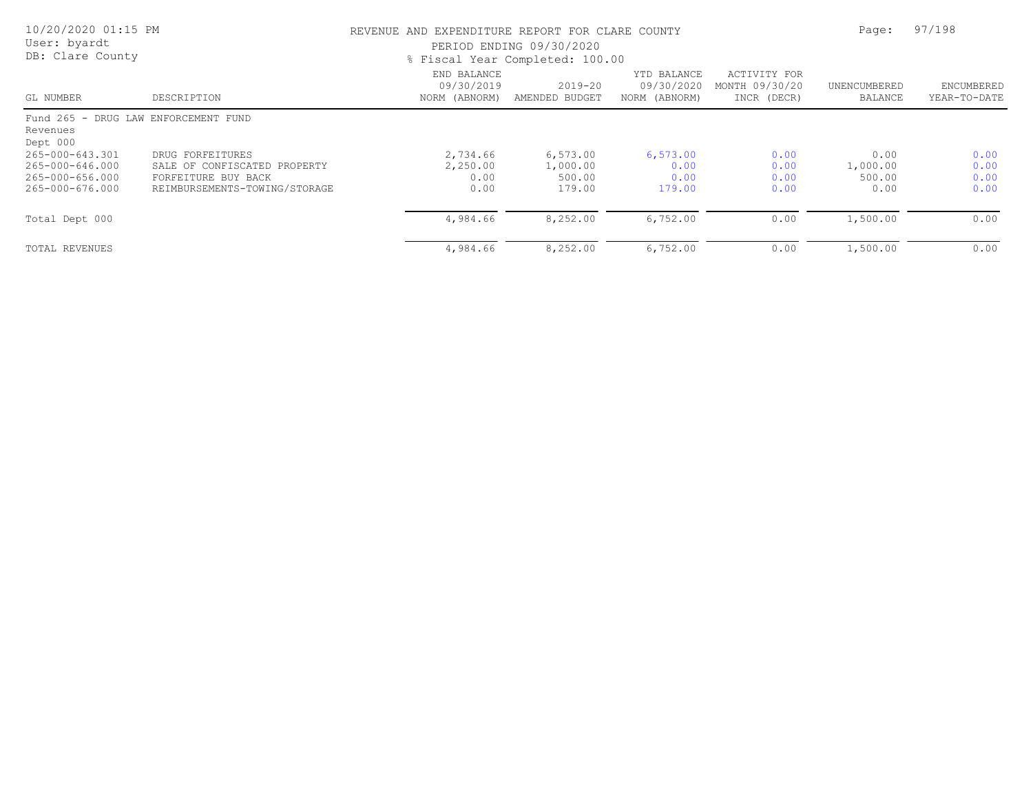| 10/20/2020 01:15 PM<br>User: byardt<br>DB: Clare County                  |                                                                                                          | REVENUE AND EXPENDITURE REPORT FOR CLARE COUNTY<br>PERIOD ENDING 09/30/2020<br>% Fiscal Year Completed: 100.00 | Page:                                    | 97/198                                     |                                               |                                    |                              |
|--------------------------------------------------------------------------|----------------------------------------------------------------------------------------------------------|----------------------------------------------------------------------------------------------------------------|------------------------------------------|--------------------------------------------|-----------------------------------------------|------------------------------------|------------------------------|
| GL NUMBER                                                                | DESCRIPTION                                                                                              | END BALANCE<br>09/30/2019<br>NORM (ABNORM)                                                                     | $2019 - 20$<br>AMENDED BUDGET            | YTD BALANCE<br>09/30/2020<br>NORM (ABNORM) | ACTIVITY FOR<br>MONTH 09/30/20<br>INCR (DECR) | UNENCUMBERED<br>BALANCE            | ENCUMBERED<br>YEAR-TO-DATE   |
| Fund 265 - DRUG LAW ENFORCEMENT FUND<br>Revenues<br>Dept 000             |                                                                                                          |                                                                                                                |                                          |                                            |                                               |                                    |                              |
| 265-000-643.301<br>265-000-646.000<br>265-000-656.000<br>265-000-676.000 | DRUG FORFEITURES<br>SALE OF CONFISCATED PROPERTY<br>FORFEITURE BUY BACK<br>REIMBURSEMENTS-TOWING/STORAGE | 2,734.66<br>2,250.00<br>0.00<br>0.00                                                                           | 6,573.00<br>1,000.00<br>500.00<br>179.00 | 6,573.00<br>0.00<br>0.00<br>179.00         | 0.00<br>0.00<br>0.00<br>0.00                  | 0.00<br>1,000.00<br>500.00<br>0.00 | 0.00<br>0.00<br>0.00<br>0.00 |
| Total Dept 000                                                           |                                                                                                          | 4,984.66                                                                                                       | 8,252.00                                 | 6,752,00                                   | 0.00                                          | 1,500.00                           | 0.00                         |
| TOTAL REVENUES                                                           |                                                                                                          | 4,984.66                                                                                                       | 8,252.00                                 | 6,752,00                                   | 0.00                                          | 1,500.00                           | 0.00                         |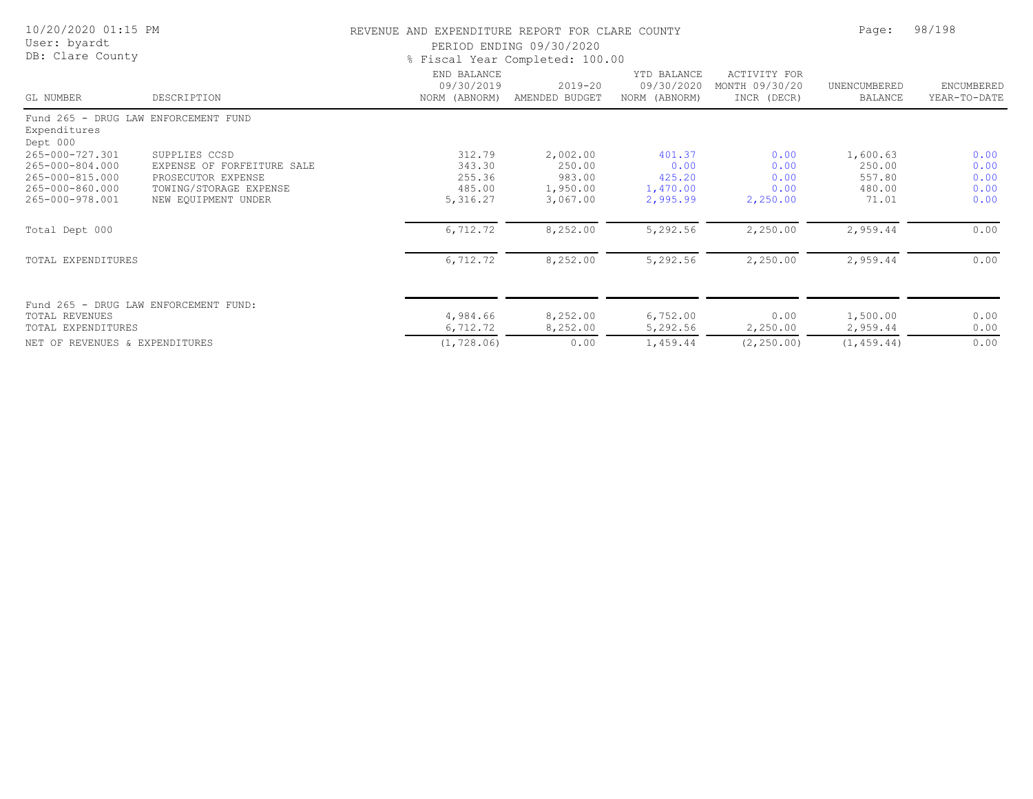| 10/20/2020 01:15 PM<br>User: byardt<br>DB: Clare County          |                            | REVENUE AND EXPENDITURE REPORT FOR CLARE COUNTY | PERIOD ENDING 09/30/2020<br>% Fiscal Year Completed: 100.00 |                                            |                                               | Page:                          | 98/198                            |  |
|------------------------------------------------------------------|----------------------------|-------------------------------------------------|-------------------------------------------------------------|--------------------------------------------|-----------------------------------------------|--------------------------------|-----------------------------------|--|
| GL NUMBER                                                        | DESCRIPTION                | END BALANCE<br>09/30/2019<br>NORM (ABNORM)      | $2019 - 20$<br>AMENDED BUDGET                               | YTD BALANCE<br>09/30/2020<br>NORM (ABNORM) | ACTIVITY FOR<br>MONTH 09/30/20<br>INCR (DECR) | UNENCUMBERED<br><b>BALANCE</b> | <b>ENCUMBERED</b><br>YEAR-TO-DATE |  |
| Fund 265 - DRUG LAW ENFORCEMENT FUND<br>Expenditures<br>Dept 000 |                            |                                                 |                                                             |                                            |                                               |                                |                                   |  |
| 265-000-727.301                                                  | SUPPLIES CCSD              | 312.79                                          | 2,002.00                                                    | 401.37                                     | 0.00                                          | 1,600.63                       | 0.00                              |  |
| 265-000-804.000                                                  | EXPENSE OF FORFEITURE SALE | 343.30                                          | 250.00                                                      | 0.00                                       | 0.00                                          | 250.00                         | 0.00                              |  |
| 265-000-815.000                                                  | PROSECUTOR EXPENSE         | 255.36                                          | 983.00                                                      | 425.20                                     | 0.00                                          | 557.80                         | 0.00                              |  |
| 265-000-860.000                                                  | TOWING/STORAGE EXPENSE     | 485.00                                          | 1,950.00                                                    | 1,470.00                                   | 0.00                                          | 480.00                         | 0.00                              |  |
| 265-000-978.001                                                  | NEW EOUIPMENT UNDER        | 5,316.27                                        | 3,067.00                                                    | 2,995.99                                   | 2,250.00                                      | 71.01                          | 0.00                              |  |
| Total Dept 000                                                   |                            | 6,712.72                                        | 8,252.00                                                    | 5,292.56                                   | 2,250.00                                      | 2,959.44                       | 0.00                              |  |
| TOTAL EXPENDITURES                                               |                            | 6,712.72                                        | 8,252.00                                                    | 5,292.56                                   | 2,250.00                                      | 2,959.44                       | 0.00                              |  |
| Fund 265 - DRUG LAW ENFORCEMENT FUND:                            |                            |                                                 |                                                             |                                            |                                               |                                |                                   |  |
| <b>TOTAL REVENUES</b>                                            |                            | 4,984.66                                        | 8,252.00                                                    | 6,752.00                                   | 0.00                                          | 1,500.00                       | 0.00                              |  |
| TOTAL EXPENDITURES                                               |                            | 6,712.72                                        | 8,252.00                                                    | 5,292.56                                   | 2,250.00                                      | 2,959.44                       | 0.00                              |  |
| NET OF REVENUES & EXPENDITURES                                   |                            | (1, 728.06)                                     | 0.00                                                        | 1,459.44                                   | (2, 250.00)                                   | (1, 459.44)                    | 0.00                              |  |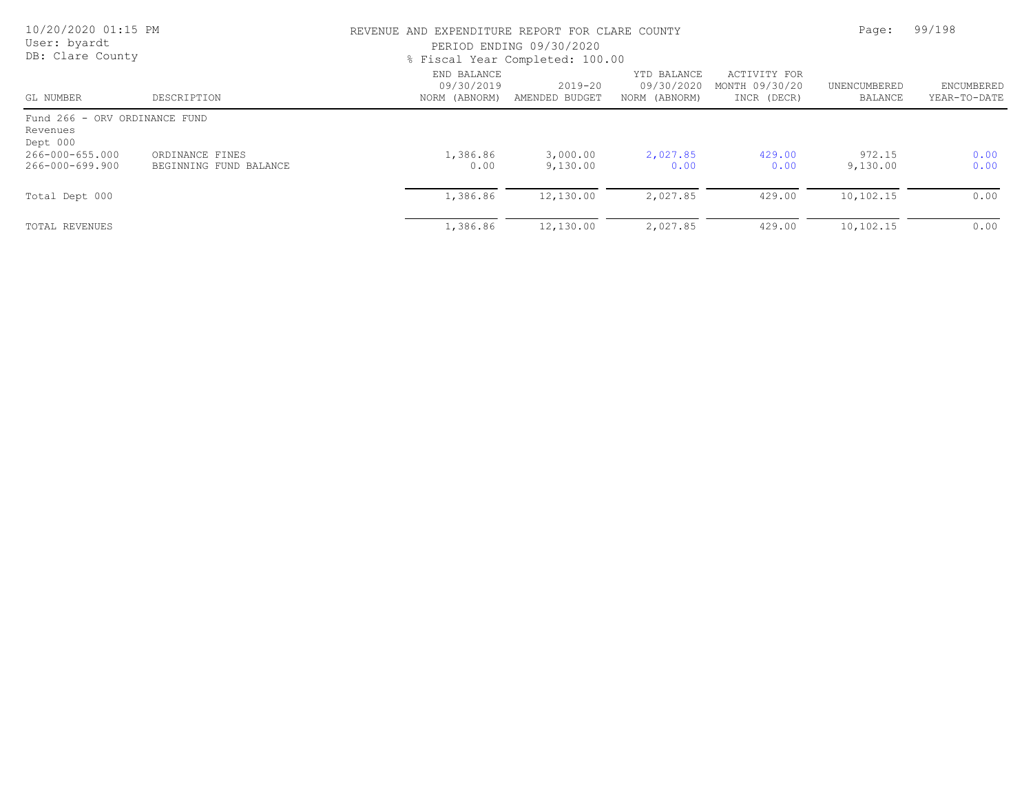| 10/20/2020 01:15 PM<br>User: byardt<br>DB: Clare County |                                           |                                            | REVENUE AND EXPENDITURE REPORT FOR CLARE COUNTY<br>PERIOD ENDING 09/30/2020<br>% Fiscal Year Completed: 100.00 |                                            |                                               |                         |                            |
|---------------------------------------------------------|-------------------------------------------|--------------------------------------------|----------------------------------------------------------------------------------------------------------------|--------------------------------------------|-----------------------------------------------|-------------------------|----------------------------|
| GL NUMBER                                               | DESCRIPTION                               | END BALANCE<br>09/30/2019<br>NORM (ABNORM) | $2019 - 20$<br>AMENDED BUDGET                                                                                  | YTD BALANCE<br>09/30/2020<br>NORM (ABNORM) | ACTIVITY FOR<br>MONTH 09/30/20<br>INCR (DECR) | UNENCUMBERED<br>BALANCE | ENCUMBERED<br>YEAR-TO-DATE |
| Fund 266 - ORV ORDINANCE FUND<br>Revenues<br>Dept 000   |                                           |                                            |                                                                                                                |                                            |                                               |                         |                            |
| 266-000-655.000<br>266-000-699.900                      | ORDINANCE FINES<br>BEGINNING FUND BALANCE | 1,386.86<br>0.00                           | 3,000.00<br>9,130.00                                                                                           | 2,027.85<br>0.00                           | 429.00<br>0.00                                | 972.15<br>9,130.00      | 0.00<br>0.00               |
| Total Dept 000                                          |                                           | 1,386.86                                   | 12,130.00                                                                                                      | 2,027.85                                   | 429.00                                        | 10,102.15               | 0.00                       |
| TOTAL REVENUES                                          |                                           | 1,386.86                                   | 12,130.00                                                                                                      | 2,027.85                                   | 429.00                                        | 10,102.15               | 0.00                       |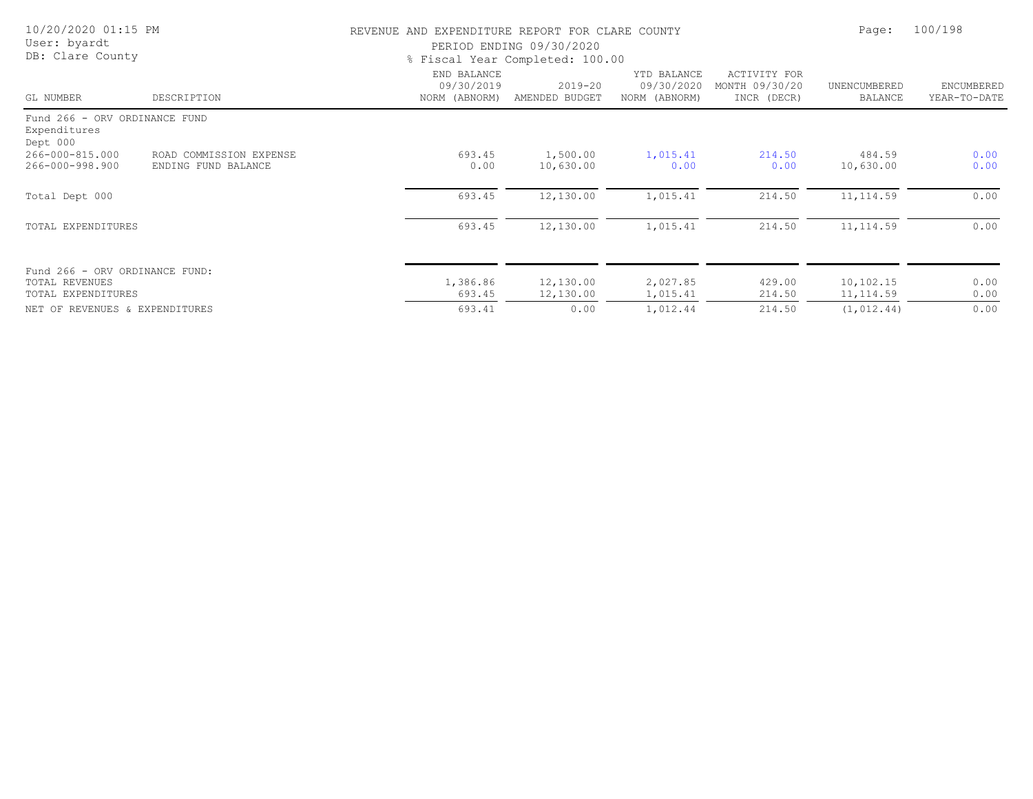| 10/20/2020 01:15 PM<br>User: byardt<br>DB: Clare County   |                                                | REVENUE AND EXPENDITURE REPORT FOR CLARE COUNTY | PERIOD ENDING 09/30/2020<br>% Fiscal Year Completed: 100.00 |                                            |                                               | Page:                          | 100/198                    |
|-----------------------------------------------------------|------------------------------------------------|-------------------------------------------------|-------------------------------------------------------------|--------------------------------------------|-----------------------------------------------|--------------------------------|----------------------------|
| GL NUMBER                                                 | DESCRIPTION                                    | END BALANCE<br>09/30/2019<br>NORM (ABNORM)      | $2019 - 20$<br>AMENDED BUDGET                               | YTD BALANCE<br>09/30/2020<br>NORM (ABNORM) | ACTIVITY FOR<br>MONTH 09/30/20<br>INCR (DECR) | UNENCUMBERED<br><b>BALANCE</b> | ENCUMBERED<br>YEAR-TO-DATE |
| Fund 266 - ORV ORDINANCE FUND<br>Expenditures<br>Dept 000 |                                                |                                                 |                                                             |                                            |                                               |                                |                            |
| 266-000-815.000<br>266-000-998.900                        | ROAD COMMISSION EXPENSE<br>ENDING FUND BALANCE | 693.45<br>0.00                                  | 1,500.00<br>10,630.00                                       | 1,015.41<br>0.00                           | 214.50<br>0.00                                | 484.59<br>10,630.00            | 0.00<br>0.00               |
| Total Dept 000                                            |                                                | 693.45                                          | 12,130.00                                                   | 1,015.41                                   | 214.50                                        | 11, 114.59                     | 0.00                       |
| TOTAL EXPENDITURES                                        |                                                | 693.45                                          | 12,130.00                                                   | 1,015.41                                   | 214.50                                        | 11, 114.59                     | 0.00                       |
| Fund 266 - ORV ORDINANCE FUND:<br><b>TOTAL REVENUES</b>   |                                                | 1,386.86                                        | 12,130.00                                                   | 2,027.85                                   | 429.00                                        | 10,102.15                      | 0.00                       |
| TOTAL EXPENDITURES                                        |                                                | 693.45                                          | 12,130.00                                                   | 1,015.41                                   | 214.50                                        | 11, 114.59                     | 0.00                       |
| NET OF REVENUES & EXPENDITURES                            |                                                | 693.41                                          | 0.00                                                        | 1,012.44                                   | 214.50                                        | (1, 012.44)                    | 0.00                       |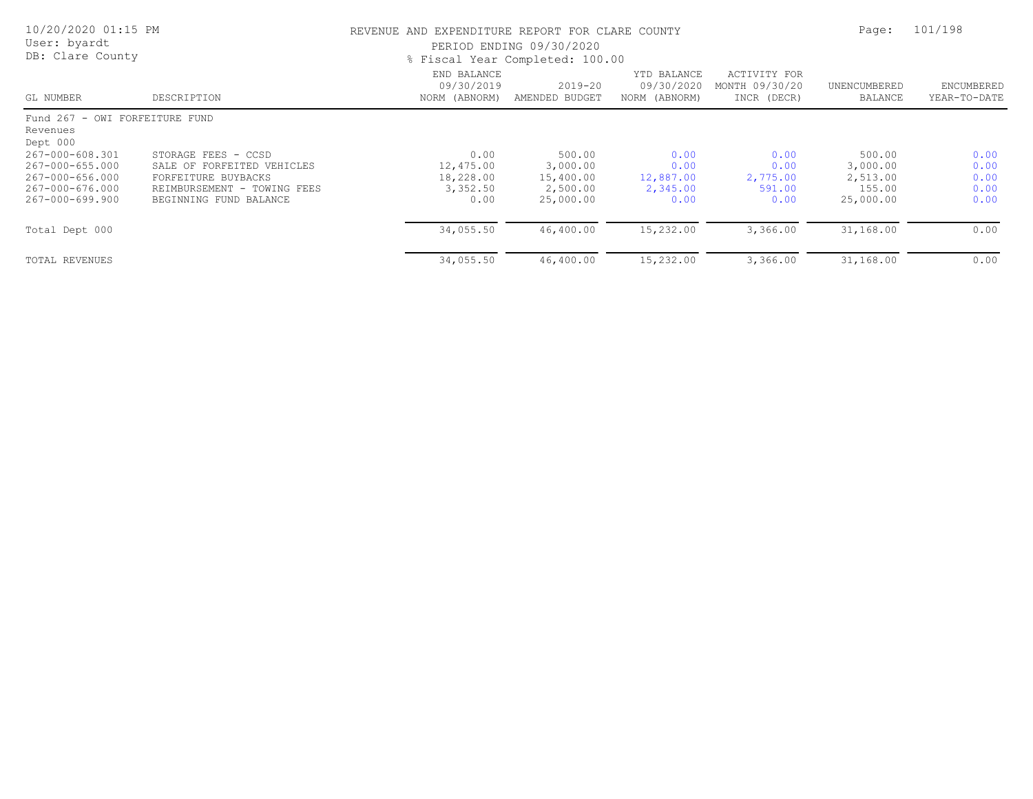| 10/20/2020 01:15 PM<br>User: byardt<br>DB: Clare County |                                                                          |                                            | REVENUE AND EXPENDITURE REPORT FOR CLARE COUNTY<br>PERIOD ENDING 09/30/2020<br>% Fiscal Year Completed: 100.00 |                                            |                                               |                                |                                   |
|---------------------------------------------------------|--------------------------------------------------------------------------|--------------------------------------------|----------------------------------------------------------------------------------------------------------------|--------------------------------------------|-----------------------------------------------|--------------------------------|-----------------------------------|
| GL NUMBER                                               | DESCRIPTION                                                              | END BALANCE<br>09/30/2019<br>NORM (ABNORM) | $2019 - 20$<br>AMENDED BUDGET                                                                                  | YTD BALANCE<br>09/30/2020<br>NORM (ABNORM) | ACTIVITY FOR<br>MONTH 09/30/20<br>INCR (DECR) | UNENCUMBERED<br>BALANCE        | <b>ENCUMBERED</b><br>YEAR-TO-DATE |
| Fund 267 - OWI FORFEITURE FUND<br>Revenues<br>Dept 000  |                                                                          |                                            |                                                                                                                |                                            |                                               |                                |                                   |
| 267-000-608.301<br>267-000-655.000<br>267-000-656.000   | STORAGE FEES - CCSD<br>SALE OF FORFEITED VEHICLES<br>FORFEITURE BUYBACKS | 0.00<br>12,475.00<br>18,228.00             | 500.00<br>3,000.00<br>15,400.00                                                                                | 0.00<br>0.00<br>12,887.00                  | 0.00<br>0.00<br>2,775.00                      | 500.00<br>3,000.00<br>2,513.00 | 0.00<br>0.00<br>0.00              |
| 267-000-676.000<br>267-000-699.900                      | REIMBURSEMENT - TOWING FEES<br>BEGINNING FUND BALANCE                    | 3,352.50<br>0.00                           | 2,500.00<br>25,000.00                                                                                          | 2,345.00<br>0.00                           | 591.00<br>0.00                                | 155.00<br>25,000.00            | 0.00<br>0.00                      |
| Total Dept 000                                          |                                                                          | 34,055.50                                  | 46,400.00                                                                                                      | 15,232.00                                  | 3,366.00                                      | 31,168.00                      | 0.00                              |
| TOTAL REVENUES                                          |                                                                          | 34,055.50                                  | 46,400.00                                                                                                      | 15,232.00                                  | 3,366.00                                      | 31,168.00                      | 0.00                              |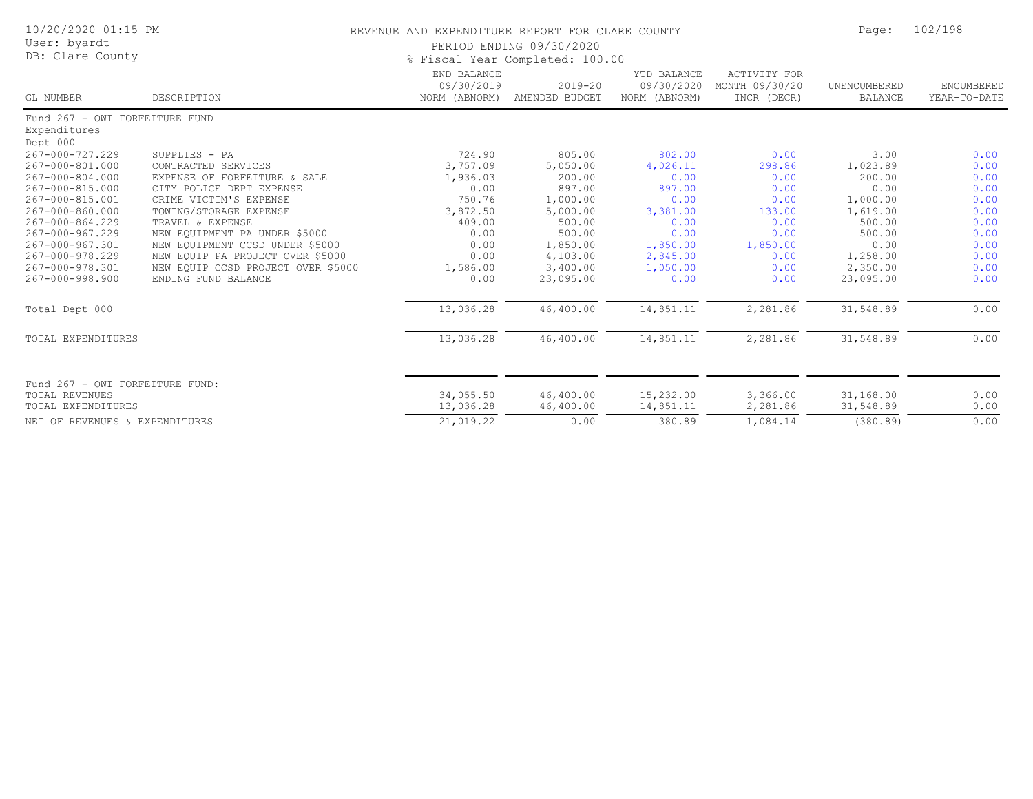| 10/20/2020 01:15 PM<br>User: byardt<br>DB: Clare County                                                                                                                                                                                      |                                                                                                                                                                                                                                                                                                                                               | REVENUE AND EXPENDITURE REPORT FOR CLARE COUNTY<br>PERIOD ENDING 09/30/2020<br>% Fiscal Year Completed: 100.00     | Page:                                                                                                                               | 102/198                                                                                                              |                                                                                                      |                                                                                                                             |                                                                                              |
|----------------------------------------------------------------------------------------------------------------------------------------------------------------------------------------------------------------------------------------------|-----------------------------------------------------------------------------------------------------------------------------------------------------------------------------------------------------------------------------------------------------------------------------------------------------------------------------------------------|--------------------------------------------------------------------------------------------------------------------|-------------------------------------------------------------------------------------------------------------------------------------|----------------------------------------------------------------------------------------------------------------------|------------------------------------------------------------------------------------------------------|-----------------------------------------------------------------------------------------------------------------------------|----------------------------------------------------------------------------------------------|
| GL NUMBER                                                                                                                                                                                                                                    | DESCRIPTION                                                                                                                                                                                                                                                                                                                                   | END BALANCE<br>09/30/2019<br>NORM (ABNORM)                                                                         | $2019 - 20$<br>AMENDED BUDGET                                                                                                       | YTD BALANCE<br>09/30/2020<br>NORM (ABNORM)                                                                           | ACTIVITY FOR<br>MONTH 09/30/20<br>INCR (DECR)                                                        | UNENCUMBERED<br><b>BALANCE</b>                                                                                              | ENCUMBERED<br>YEAR-TO-DATE                                                                   |
| Fund 267 - OWI FORFEITURE FUND<br>Expenditures                                                                                                                                                                                               |                                                                                                                                                                                                                                                                                                                                               |                                                                                                                    |                                                                                                                                     |                                                                                                                      |                                                                                                      |                                                                                                                             |                                                                                              |
| Dept 000<br>267-000-727.229<br>267-000-801.000<br>267-000-804.000<br>267-000-815.000<br>267-000-815.001<br>267-000-860.000<br>267-000-864.229<br>267-000-967.229<br>267-000-967.301<br>267-000-978.229<br>267-000-978.301<br>267-000-998.900 | SUPPLIES - PA<br>CONTRACTED SERVICES<br>EXPENSE OF FORFEITURE & SALE<br>CITY POLICE DEPT EXPENSE<br>CRIME VICTIM'S EXPENSE<br>TOWING/STORAGE EXPENSE<br>TRAVEL & EXPENSE<br>NEW EQUIPMENT PA UNDER \$5000<br>NEW EQUIPMENT CCSD UNDER \$5000<br>NEW EQUIP PA PROJECT OVER \$5000<br>NEW EQUIP CCSD PROJECT OVER \$5000<br>ENDING FUND BALANCE | 724.90<br>3,757.09<br>1,936.03<br>0.00<br>750.76<br>3,872.50<br>409.00<br>0.00<br>0.00<br>0.00<br>1,586.00<br>0.00 | 805.00<br>5,050.00<br>200.00<br>897.00<br>1,000.00<br>5,000.00<br>500.00<br>500.00<br>1,850.00<br>4,103.00<br>3,400.00<br>23,095.00 | 802.00<br>4,026.11<br>0.00<br>897.00<br>0.00<br>3,381.00<br>0.00<br>0.00<br>1,850.00<br>2,845.00<br>1,050.00<br>0.00 | 0.00<br>298.86<br>0.00<br>0.00<br>0.00<br>133.00<br>0.00<br>0.00<br>1,850.00<br>0.00<br>0.00<br>0.00 | 3.00<br>1,023.89<br>200.00<br>0.00<br>1,000.00<br>1,619.00<br>500.00<br>500.00<br>0.00<br>1,258.00<br>2,350.00<br>23,095.00 | 0.00<br>0.00<br>0.00<br>0.00<br>0.00<br>0.00<br>0.00<br>0.00<br>0.00<br>0.00<br>0.00<br>0.00 |
| Total Dept 000                                                                                                                                                                                                                               |                                                                                                                                                                                                                                                                                                                                               | 13,036.28                                                                                                          | 46,400.00                                                                                                                           | 14,851.11                                                                                                            | 2,281.86                                                                                             | 31,548.89                                                                                                                   | 0.00                                                                                         |
| TOTAL EXPENDITURES                                                                                                                                                                                                                           |                                                                                                                                                                                                                                                                                                                                               | 13,036.28                                                                                                          | 46,400.00                                                                                                                           | 14,851.11                                                                                                            | 2,281.86                                                                                             | 31,548.89                                                                                                                   | 0.00                                                                                         |
| Fund 267 - OWI FORFEITURE FUND:<br><b>TOTAL REVENUES</b><br>TOTAL EXPENDITURES<br>NET OF REVENUES & EXPENDITURES                                                                                                                             |                                                                                                                                                                                                                                                                                                                                               | 34,055.50<br>13,036.28<br>21,019.22                                                                                | 46,400.00<br>46,400.00<br>0.00                                                                                                      | 15,232.00<br>14,851.11<br>380.89                                                                                     | 3,366.00<br>2,281.86<br>1,084.14                                                                     | 31,168.00<br>31,548.89<br>(380.89)                                                                                          | 0.00<br>0.00<br>0.00                                                                         |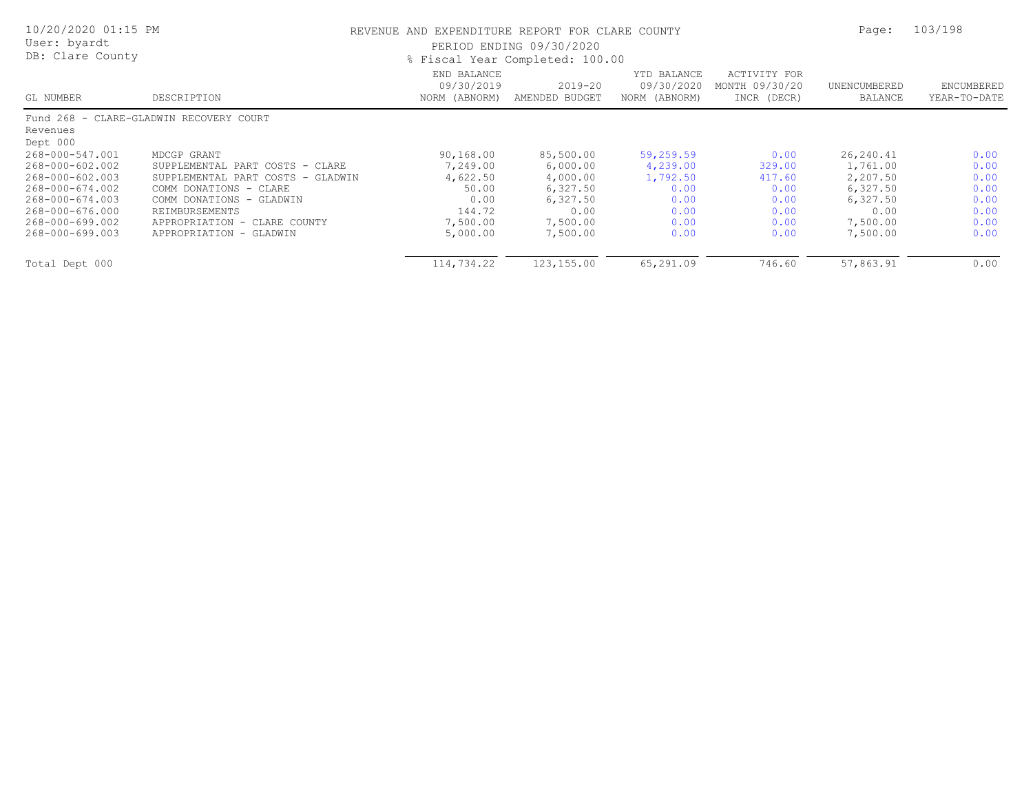| 10/20/2020 01:15 PM<br>User: byardt<br>DB: Clare County |                                         | REVENUE AND EXPENDITURE REPORT FOR CLARE COUNTY<br>PERIOD ENDING 09/30/2020<br>% Fiscal Year Completed: 100.00 | Page:                         | 103/198                                    |                                               |                         |                            |
|---------------------------------------------------------|-----------------------------------------|----------------------------------------------------------------------------------------------------------------|-------------------------------|--------------------------------------------|-----------------------------------------------|-------------------------|----------------------------|
| GL NUMBER                                               | DESCRIPTION                             | END BALANCE<br>09/30/2019<br>NORM (ABNORM)                                                                     | $2019 - 20$<br>AMENDED BUDGET | YTD BALANCE<br>09/30/2020<br>NORM (ABNORM) | ACTIVITY FOR<br>MONTH 09/30/20<br>INCR (DECR) | UNENCUMBERED<br>BALANCE | ENCUMBERED<br>YEAR-TO-DATE |
|                                                         | Fund 268 - CLARE-GLADWIN RECOVERY COURT |                                                                                                                |                               |                                            |                                               |                         |                            |
| Revenues                                                |                                         |                                                                                                                |                               |                                            |                                               |                         |                            |
| Dept 000                                                |                                         |                                                                                                                |                               |                                            |                                               |                         |                            |
| 268-000-547.001                                         | MDCGP GRANT                             | 90,168.00                                                                                                      | 85,500.00                     | 59,259.59                                  | 0.00                                          | 26, 240.41              | 0.00                       |
| 268-000-602.002                                         | SUPPLEMENTAL PART COSTS - CLARE         | 7,249.00                                                                                                       | 6,000.00                      | 4,239.00                                   | 329.00                                        | 1,761.00                | 0.00                       |
| 268-000-602.003                                         | SUPPLEMENTAL PART COSTS - GLADWIN       | 4,622.50                                                                                                       | 4,000.00                      | 1,792.50                                   | 417.60                                        | 2,207.50                | 0.00                       |
| 268-000-674.002                                         | COMM DONATIONS - CLARE                  | 50.00                                                                                                          | 6,327.50                      | 0.00                                       | 0.00                                          | 6,327.50                | 0.00                       |
| 268-000-674.003                                         | COMM DONATIONS - GLADWIN                | 0.00                                                                                                           | 6,327.50                      | 0.00                                       | 0.00                                          | 6,327.50                | 0.00                       |
| 268-000-676.000                                         | REIMBURSEMENTS                          | 144.72                                                                                                         | 0.00                          | 0.00                                       | 0.00                                          | 0.00                    | 0.00                       |
| 268-000-699.002                                         | APPROPRIATION - CLARE COUNTY            | 7,500.00                                                                                                       | 7,500.00                      | 0.00                                       | 0.00                                          | 7,500.00                | 0.00                       |
| 268-000-699.003                                         | APPROPRIATION - GLADWIN                 | 5,000.00                                                                                                       | 7,500.00                      | 0.00                                       | 0.00                                          | 7,500.00                | 0.00                       |
| Total Dept 000                                          |                                         | 114,734.22                                                                                                     | 123,155.00                    | 65,291.09                                  | 746.60                                        | 57,863.91               | 0.00                       |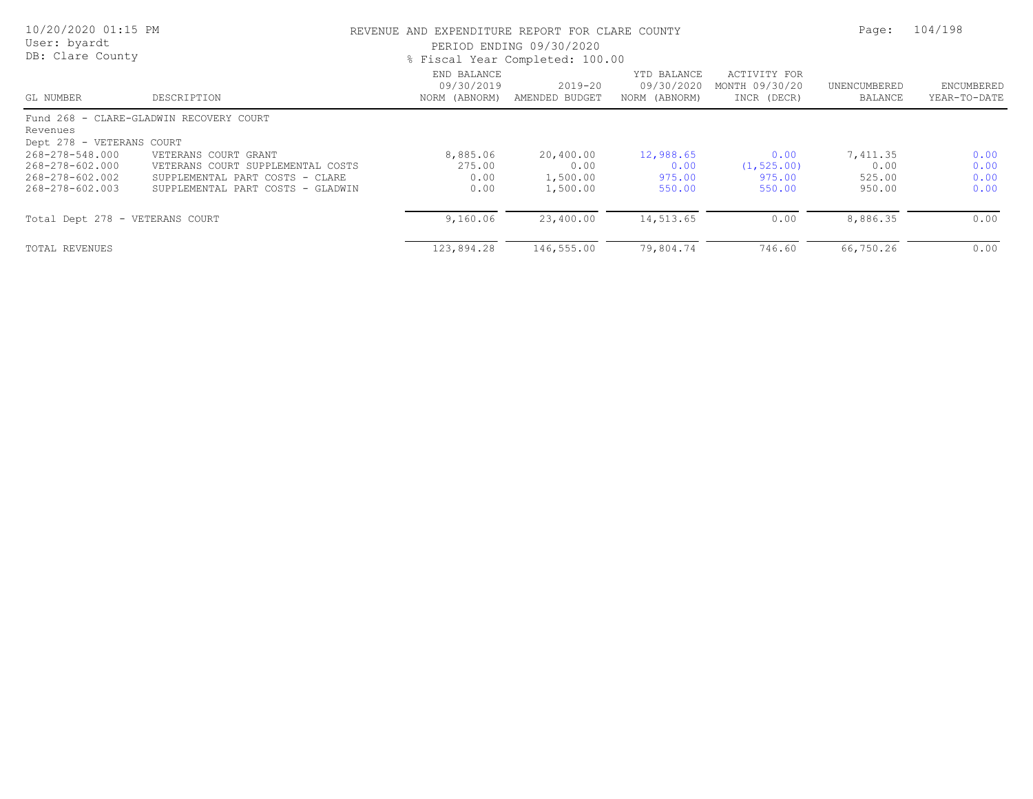| 10/20/2020 01:15 PM<br>User: byardt<br>DB: Clare County                  |                                                                                                                                   | REVENUE AND EXPENDITURE REPORT FOR CLARE COUNTY<br>PERIOD ENDING 09/30/2020<br>% Fiscal Year Completed: 100.00 |                                           |                                            |                                               |                                      | 104/198                      |
|--------------------------------------------------------------------------|-----------------------------------------------------------------------------------------------------------------------------------|----------------------------------------------------------------------------------------------------------------|-------------------------------------------|--------------------------------------------|-----------------------------------------------|--------------------------------------|------------------------------|
| GL NUMBER                                                                | DESCRIPTION                                                                                                                       | END BALANCE<br>09/30/2019<br>NORM (ABNORM)                                                                     | $2019 - 20$<br>AMENDED BUDGET             | YTD BALANCE<br>09/30/2020<br>NORM (ABNORM) | ACTIVITY FOR<br>MONTH 09/30/20<br>INCR (DECR) | UNENCUMBERED<br>BALANCE              | ENCUMBERED<br>YEAR-TO-DATE   |
| Revenues<br>Dept 278 - VETERANS COURT                                    | Fund 268 - CLARE-GLADWIN RECOVERY COURT                                                                                           |                                                                                                                |                                           |                                            |                                               |                                      |                              |
| 268-278-548.000<br>268-278-602.000<br>268-278-602.002<br>268-278-602.003 | VETERANS COURT GRANT<br>VETERANS COURT SUPPLEMENTAL COSTS<br>SUPPLEMENTAL PART COSTS - CLARE<br>SUPPLEMENTAL PART COSTS - GLADWIN | 8,885.06<br>275.00<br>0.00<br>0.00                                                                             | 20,400.00<br>0.00<br>1,500.00<br>1,500.00 | 12,988.65<br>0.00<br>975.00<br>550.00      | 0.00<br>(1, 525.00)<br>975.00<br>550.00       | 7,411.35<br>0.00<br>525.00<br>950.00 | 0.00<br>0.00<br>0.00<br>0.00 |
| Total Dept 278 - VETERANS COURT                                          |                                                                                                                                   | 9,160.06                                                                                                       | 23,400.00                                 | 14,513.65                                  | 0.00                                          | 8,886.35                             | 0.00                         |
| TOTAL REVENUES                                                           |                                                                                                                                   | 123,894.28                                                                                                     | 146,555.00                                | 79,804.74                                  | 746.60                                        | 66,750.26                            | 0.00                         |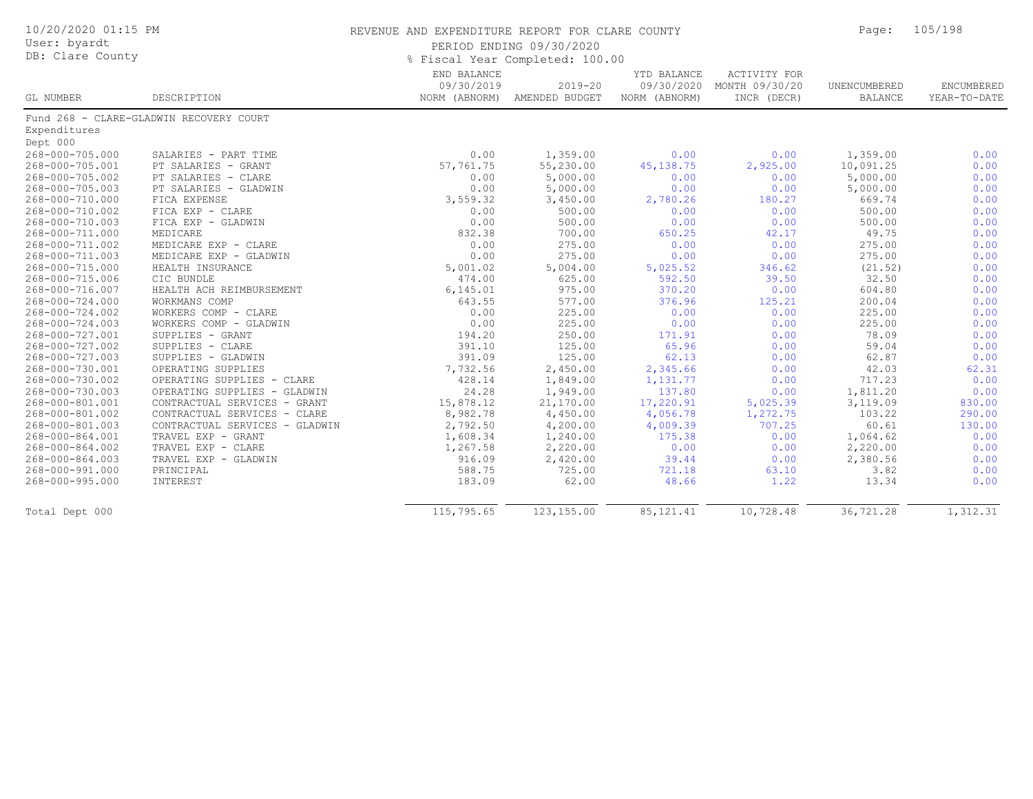| 10/20/2020 01:15 PM<br>User: byardt<br>DB: Clare County |                                             | REVENUE AND EXPENDITURE REPORT FOR CLARE COUNTY | PERIOD ENDING 09/30/2020<br>% Fiscal Year Completed: 100.00 |                                            |                                                      | Page:                          | 105/198                    |
|---------------------------------------------------------|---------------------------------------------|-------------------------------------------------|-------------------------------------------------------------|--------------------------------------------|------------------------------------------------------|--------------------------------|----------------------------|
| GL NUMBER                                               | DESCRIPTION                                 | END BALANCE<br>09/30/2019<br>NORM (ABNORM)      | $2019 - 20$<br>AMENDED BUDGET                               | YTD BALANCE<br>09/30/2020<br>NORM (ABNORM) | <b>ACTIVITY FOR</b><br>MONTH 09/30/20<br>INCR (DECR) | UNENCUMBERED<br><b>BALANCE</b> | ENCUMBERED<br>YEAR-TO-DATE |
|                                                         | Fund 268 - CLARE-GLADWIN RECOVERY COURT     |                                                 |                                                             |                                            |                                                      |                                |                            |
| Expenditures<br>Dept 000                                |                                             |                                                 |                                                             |                                            |                                                      |                                |                            |
| 268-000-705.000                                         |                                             | 0.00                                            |                                                             | 0.00                                       | 0.00                                                 |                                |                            |
| 268-000-705.001                                         | SALARIES - PART TIME<br>PT SALARIES - GRANT | 57,761.75                                       | 1,359.00<br>55,230.00                                       | 45, 138.75                                 | 2,925.00                                             | 1,359.00<br>10,091.25          | 0.00<br>0.00               |
| 268-000-705.002                                         | PT SALARIES - CLARE                         | 0.00                                            | 5,000.00                                                    | 0.00                                       | 0.00                                                 | 5,000.00                       | 0.00                       |
| 268-000-705.003                                         | PT SALARIES - GLADWIN                       | 0.00                                            | 5,000.00                                                    | 0.00                                       | 0.00                                                 | 5,000.00                       | 0.00                       |
| 268-000-710.000                                         | FICA EXPENSE                                | 3,559.32                                        | 3,450.00                                                    | 2,780.26                                   | 180.27                                               | 669.74                         | 0.00                       |
| 268-000-710.002                                         | FICA EXP - CLARE                            | 0.00                                            | 500.00                                                      | 0.00                                       | 0.00                                                 | 500.00                         | 0.00                       |
| 268-000-710.003                                         | FICA EXP - GLADWIN                          | 0.00                                            | 500.00                                                      | 0.00                                       | 0.00                                                 | 500.00                         | 0.00                       |
| 268-000-711.000                                         | MEDICARE                                    | 832.38                                          | 700.00                                                      | 650.25                                     | 42.17                                                | 49.75                          | 0.00                       |
| 268-000-711.002                                         | MEDICARE EXP - CLARE                        | 0.00                                            | 275.00                                                      | 0.00                                       | 0.00                                                 | 275.00                         | 0.00                       |
| 268-000-711.003                                         | MEDICARE EXP - GLADWIN                      | 0.00                                            | 275.00                                                      | 0.00                                       | 0.00                                                 | 275.00                         | 0.00                       |
| 268-000-715.000                                         | HEALTH INSURANCE                            | 5,001.02                                        | 5,004.00                                                    | 5,025.52                                   | 346.62                                               | (21.52)                        | 0.00                       |
| 268-000-715.006                                         | CIC BUNDLE                                  | 474.00                                          | 625.00                                                      | 592.50                                     | 39.50                                                | 32.50                          | 0.00                       |
| 268-000-716.007                                         | HEALTH ACH REIMBURSEMENT                    | 6,145.01                                        | 975.00                                                      | 370.20                                     | 0.00                                                 | 604.80                         | 0.00                       |
| 268-000-724.000                                         | WORKMANS COMP                               | 643.55                                          | 577.00                                                      | 376.96                                     | 125.21                                               | 200.04                         | 0.00                       |
| 268-000-724.002                                         | WORKERS COMP - CLARE                        | 0.00                                            | 225.00                                                      | 0.00                                       | 0.00                                                 | 225.00                         | 0.00                       |
| 268-000-724.003                                         | WORKERS COMP - GLADWIN                      | 0.00                                            | 225.00                                                      | 0.00                                       | 0.00                                                 | 225.00                         | 0.00                       |
| 268-000-727.001                                         | SUPPLIES - GRANT                            | 194.20                                          | 250.00                                                      | 171.91                                     | 0.00                                                 | 78.09                          | 0.00                       |
| 268-000-727.002                                         | SUPPLIES - CLARE                            | 391.10                                          | 125.00                                                      | 65.96                                      | 0.00                                                 | 59.04                          | 0.00                       |
| 268-000-727.003                                         | SUPPLIES - GLADWIN                          | 391.09                                          | 125.00                                                      | 62.13                                      | 0.00                                                 | 62.87                          | 0.00                       |
| 268-000-730.001                                         | OPERATING SUPPLIES                          | 7,732.56                                        | 2,450.00                                                    | 2,345.66                                   | 0.00                                                 | 42.03                          | 62.31                      |
| 268-000-730.002                                         | OPERATING SUPPLIES - CLARE                  | 428.14                                          | 1,849.00                                                    | 1,131.77                                   | 0.00                                                 | 717.23                         | 0.00                       |
| 268-000-730.003                                         | OPERATING SUPPLIES - GLADWIN                | 24.28                                           | 1,949.00                                                    | 137.80                                     | 0.00                                                 | 1,811.20                       | 0.00                       |
| 268-000-801.001                                         | CONTRACTUAL SERVICES - GRANT                | 15,878.12                                       | 21,170.00                                                   | 17,220.91                                  | 5,025.39                                             | 3,119.09                       | 830.00                     |
| 268-000-801.002                                         | CONTRACTUAL SERVICES - CLARE                | 8,982.78                                        | 4,450.00                                                    | 4,056.78                                   | 1,272.75                                             | 103.22                         | 290.00                     |
| 268-000-801.003                                         | CONTRACTUAL SERVICES - GLADWIN              | 2,792.50                                        | 4,200.00                                                    | 4,009.39                                   | 707.25                                               | 60.61                          | 130.00                     |
| 268-000-864.001                                         | TRAVEL EXP - GRANT                          | 1,608.34                                        | 1,240.00                                                    | 175.38                                     | 0.00                                                 | 1,064.62                       | 0.00                       |
| 268-000-864.002                                         | TRAVEL EXP - CLARE                          | 1,267.58                                        | 2,220.00                                                    | 0.00                                       | 0.00                                                 | 2,220.00                       | 0.00                       |
| 268-000-864.003                                         | TRAVEL EXP - GLADWIN                        | 916.09                                          | 2,420.00                                                    | 39.44                                      | 0.00                                                 | 2,380.56                       | 0.00                       |
| 268-000-991.000                                         | PRINCIPAL                                   | 588.75                                          | 725.00                                                      | 721.18                                     | 63.10                                                | 3.82                           | 0.00                       |
| 268-000-995.000                                         | INTEREST                                    | 183.09                                          | 62.00                                                       | 48.66                                      | 1.22                                                 | 13.34                          | 0.00                       |
| Total Dept 000                                          |                                             | 115,795.65                                      | 123, 155.00                                                 | 85, 121.41                                 | 10,728.48                                            | 36,721.28                      | 1,312.31                   |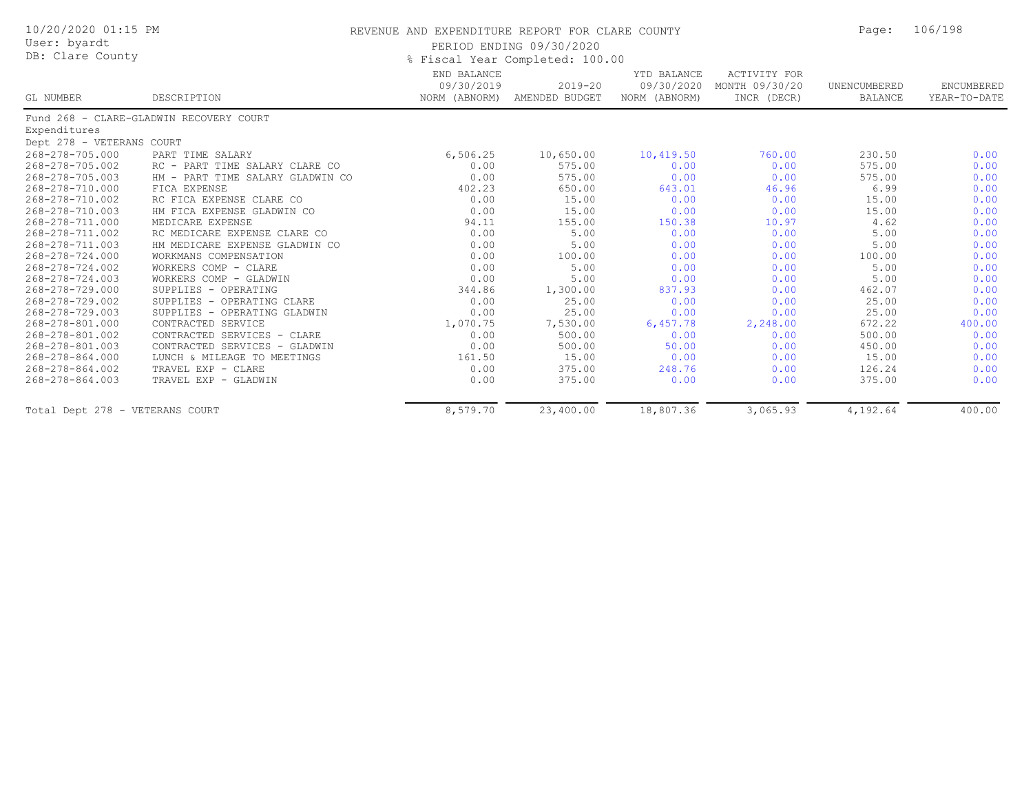| 10/20/2020 01:15 PM<br>User: byardt |                                         | REVENUE AND EXPENDITURE REPORT FOR CLARE COUNTY |                                                                                |                                            |                                               | Page:                   | 106/198                    |
|-------------------------------------|-----------------------------------------|-------------------------------------------------|--------------------------------------------------------------------------------|--------------------------------------------|-----------------------------------------------|-------------------------|----------------------------|
| DB: Clare County                    |                                         | PERIOD ENDING 09/30/2020                        |                                                                                |                                            |                                               |                         |                            |
| GL NUMBER                           | DESCRIPTION                             | END BALANCE<br>09/30/2019                       | % Fiscal Year Completed: 100.00<br>$2019 - 20$<br>NORM (ABNORM) AMENDED BUDGET | YTD BALANCE<br>09/30/2020<br>NORM (ABNORM) | ACTIVITY FOR<br>MONTH 09/30/20<br>INCR (DECR) | UNENCUMBERED<br>BALANCE | ENCUMBERED<br>YEAR-TO-DATE |
|                                     | Fund 268 - CLARE-GLADWIN RECOVERY COURT |                                                 |                                                                                |                                            |                                               |                         |                            |
| Expenditures                        |                                         |                                                 |                                                                                |                                            |                                               |                         |                            |
| Dept 278 - VETERANS COURT           |                                         |                                                 |                                                                                |                                            |                                               |                         |                            |
| 268-278-705.000                     | PART TIME SALARY                        | 6,506.25                                        | 10,650.00                                                                      | 10,419.50                                  | 760.00                                        | 230.50                  | 0.00                       |
| 268-278-705.002                     | RC - PART TIME SALARY CLARE CO          | 0.00                                            | 575.00                                                                         | 0.00                                       | 0.00                                          | 575.00                  | 0.00                       |
| 268-278-705.003                     | HM - PART TIME SALARY GLADWIN CO        | 0.00                                            | 575.00                                                                         | 0.00                                       | 0.00                                          | 575.00                  | 0.00                       |
| 268-278-710.000                     | FICA EXPENSE                            | 402.23                                          | 650.00                                                                         | 643.01                                     | 46.96                                         | 6.99                    | 0.00                       |
| 268-278-710.002                     | RC FICA EXPENSE CLARE CO                | 0.00                                            | 15.00                                                                          | 0.00                                       | 0.00                                          | 15.00                   | 0.00                       |
| 268-278-710.003                     | HM FICA EXPENSE GLADWIN CO              | 0.00                                            | 15.00                                                                          | 0.00                                       | 0.00                                          | 15.00                   | 0.00                       |
| 268-278-711.000                     | MEDICARE EXPENSE                        | 94.11                                           | 155.00                                                                         | 150.38                                     | 10.97                                         | 4.62                    | 0.00                       |
| 268-278-711.002                     | RC MEDICARE EXPENSE CLARE CO            | 0.00                                            | 5.00                                                                           | 0.00                                       | 0.00                                          | 5.00                    | 0.00                       |
| 268-278-711.003                     | HM MEDICARE EXPENSE GLADWIN CO          | 0.00                                            | 5.00                                                                           | 0.00                                       | 0.00                                          | 5.00                    | 0.00                       |
| 268-278-724.000                     | WORKMANS COMPENSATION                   | 0.00                                            | 100.00                                                                         | 0.00                                       | 0.00                                          | 100.00                  | 0.00                       |
| 268-278-724.002                     | WORKERS COMP - CLARE                    | 0.00                                            | 5.00                                                                           | 0.00                                       | 0.00                                          | 5.00                    | 0.00                       |
| 268-278-724.003                     | WORKERS COMP - GLADWIN                  | 0.00                                            | 5.00                                                                           | 0.00                                       | 0.00                                          | 5.00                    | 0.00                       |
| 268-278-729.000                     | SUPPLIES - OPERATING                    | 344.86                                          | 1,300.00                                                                       | 837.93                                     | 0.00                                          | 462.07                  | 0.00                       |
| 268-278-729.002                     | SUPPLIES - OPERATING CLARE              | 0.00                                            | 25.00                                                                          | 0.00                                       | 0.00                                          | 25.00                   | 0.00                       |
| 268-278-729.003                     | SUPPLIES - OPERATING GLADWIN            | 0.00                                            | 25.00                                                                          | 0.00                                       | 0.00                                          | 25.00                   | 0.00                       |
| 268-278-801.000                     | CONTRACTED SERVICE                      | 1,070.75                                        | 7,530.00                                                                       | 6,457.78                                   | 2,248.00                                      | 672.22                  | 400.00                     |
| 268-278-801.002                     | CONTRACTED SERVICES - CLARE             | 0.00                                            | 500.00                                                                         | 0.00                                       | 0.00                                          | 500.00                  | 0.00                       |
| 268-278-801.003                     | CONTRACTED SERVICES - GLADWIN           | 0.00                                            | 500.00                                                                         | 50.00                                      | 0.00                                          | 450.00                  | 0.00                       |
| 268-278-864.000                     | LUNCH & MILEAGE TO MEETINGS             | 161.50                                          | 15.00                                                                          | 0.00                                       | 0.00                                          | 15.00                   | 0.00                       |
| 268-278-864.002                     | TRAVEL EXP - CLARE                      | 0.00                                            | 375.00                                                                         | 248.76                                     | 0.00                                          | 126.24                  | 0.00                       |
| 268-278-864.003                     | TRAVEL EXP - GLADWIN                    | 0.00                                            | 375.00                                                                         | 0.00                                       | 0.00                                          | 375.00                  | 0.00                       |
| Total Dept 278 - VETERANS COURT     |                                         | 8,579.70                                        | 23,400.00                                                                      | 18,807.36                                  | 3,065.93                                      | 4,192.64                | 400.00                     |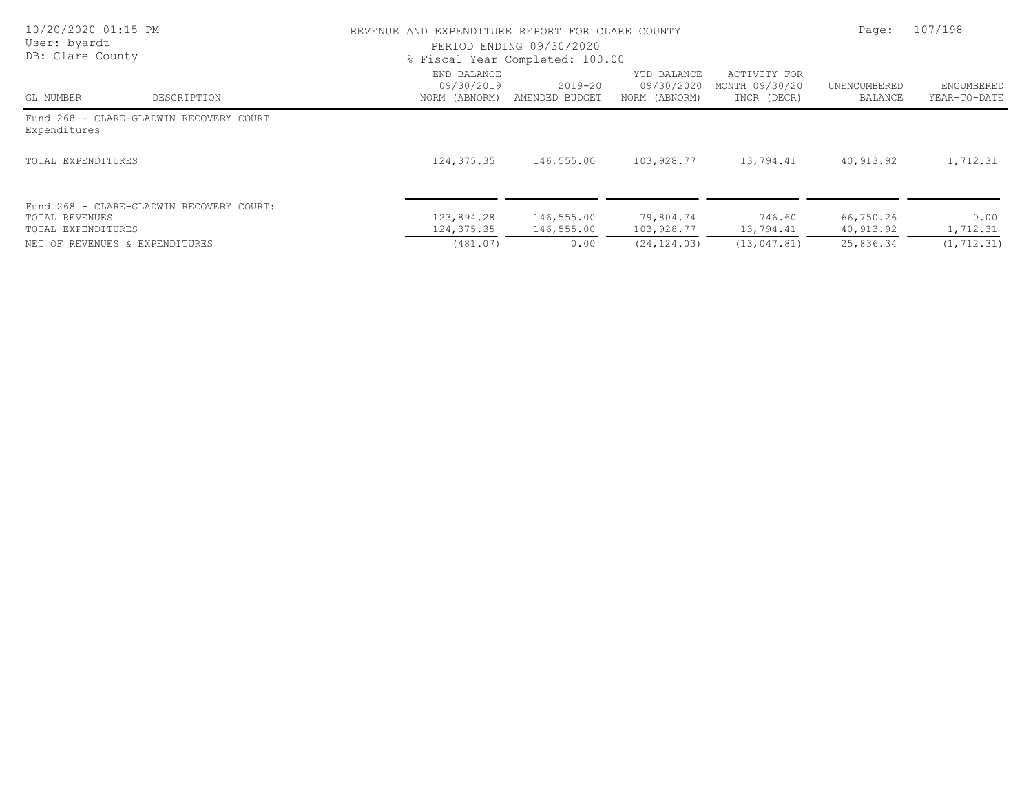| 10/20/2020 01:15 PM<br>User: byardt<br>DB: Clare County |                                          | REVENUE AND EXPENDITURE REPORT FOR CLARE COUNTY | PERIOD ENDING 09/30/2020<br>% Fiscal Year Completed: 100.00 |                                            |                                               | Page:                   | 107/198                    |
|---------------------------------------------------------|------------------------------------------|-------------------------------------------------|-------------------------------------------------------------|--------------------------------------------|-----------------------------------------------|-------------------------|----------------------------|
| GL NUMBER                                               | DESCRIPTION                              | END BALANCE<br>09/30/2019<br>NORM (ABNORM)      | 2019-20<br>AMENDED BUDGET                                   | YTD BALANCE<br>09/30/2020<br>NORM (ABNORM) | ACTIVITY FOR<br>MONTH 09/30/20<br>INCR (DECR) | UNENCUMBERED<br>BALANCE | ENCUMBERED<br>YEAR-TO-DATE |
| Expenditures                                            | Fund 268 - CLARE-GLADWIN RECOVERY COURT  |                                                 |                                                             |                                            |                                               |                         |                            |
| TOTAL EXPENDITURES                                      |                                          | 124, 375.35                                     | 146,555.00                                                  | 103,928.77                                 | 13,794.41                                     | 40,913.92               | 1,712.31                   |
| TOTAL REVENUES<br>TOTAL EXPENDITURES                    | Fund 268 - CLARE-GLADWIN RECOVERY COURT: | 123,894.28<br>124,375.35                        | 146,555.00<br>146,555.00                                    | 79,804.74<br>103,928.77                    | 746.60<br>13,794.41                           | 66,750.26<br>40,913.92  | 0.00<br>1,712.31           |
| NET OF REVENUES & EXPENDITURES                          |                                          | (481.07)                                        | 0.00                                                        | (24, 124, 03)                              | (13, 047, 81)                                 | 25,836.34               | (1, 712, 31)               |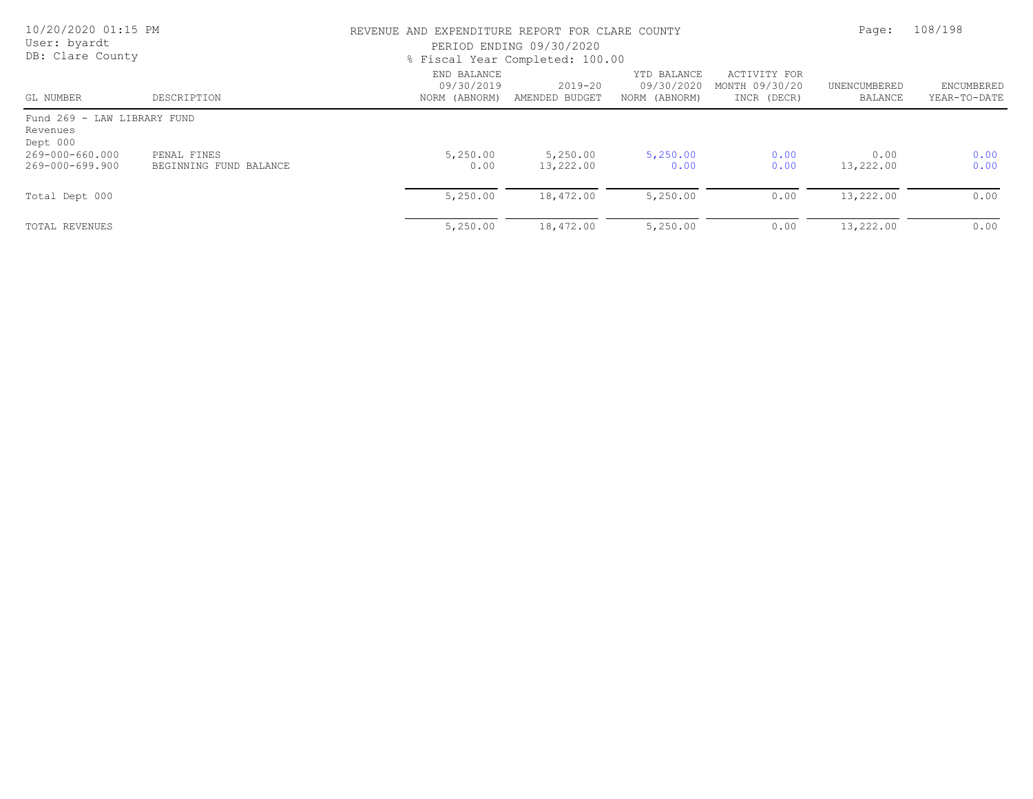| 10/20/2020 01:15 PM<br>User: byardt<br>DB: Clare County |                                       |                                            | REVENUE AND EXPENDITURE REPORT FOR CLARE COUNTY<br>PERIOD ENDING 09/30/2020<br>% Fiscal Year Completed: 100.00 |                                            |                                               |                         |                            |
|---------------------------------------------------------|---------------------------------------|--------------------------------------------|----------------------------------------------------------------------------------------------------------------|--------------------------------------------|-----------------------------------------------|-------------------------|----------------------------|
| GL NUMBER                                               | DESCRIPTION                           | END BALANCE<br>09/30/2019<br>NORM (ABNORM) | $2019 - 20$<br>AMENDED BUDGET                                                                                  | YTD BALANCE<br>09/30/2020<br>NORM (ABNORM) | ACTIVITY FOR<br>MONTH 09/30/20<br>INCR (DECR) | UNENCUMBERED<br>BALANCE | ENCUMBERED<br>YEAR-TO-DATE |
| Fund 269 - LAW LIBRARY FUND<br>Revenues<br>Dept 000     |                                       |                                            |                                                                                                                |                                            |                                               |                         |                            |
| 269-000-660.000<br>269-000-699.900                      | PENAL FINES<br>BEGINNING FUND BALANCE | 5,250.00<br>0.00                           | 5,250.00<br>13,222.00                                                                                          | 5,250.00<br>0.00                           | 0.00<br>0.00                                  | 0.00<br>13,222.00       | 0.00<br>0.00               |
| Total Dept 000                                          |                                       | 5,250.00                                   | 18,472.00                                                                                                      | 5,250.00                                   | 0.00                                          | 13,222.00               | 0.00                       |
| TOTAL REVENUES                                          |                                       | 5,250.00                                   | 18,472.00                                                                                                      | 5,250.00                                   | 0.00                                          | 13,222.00               | 0.00                       |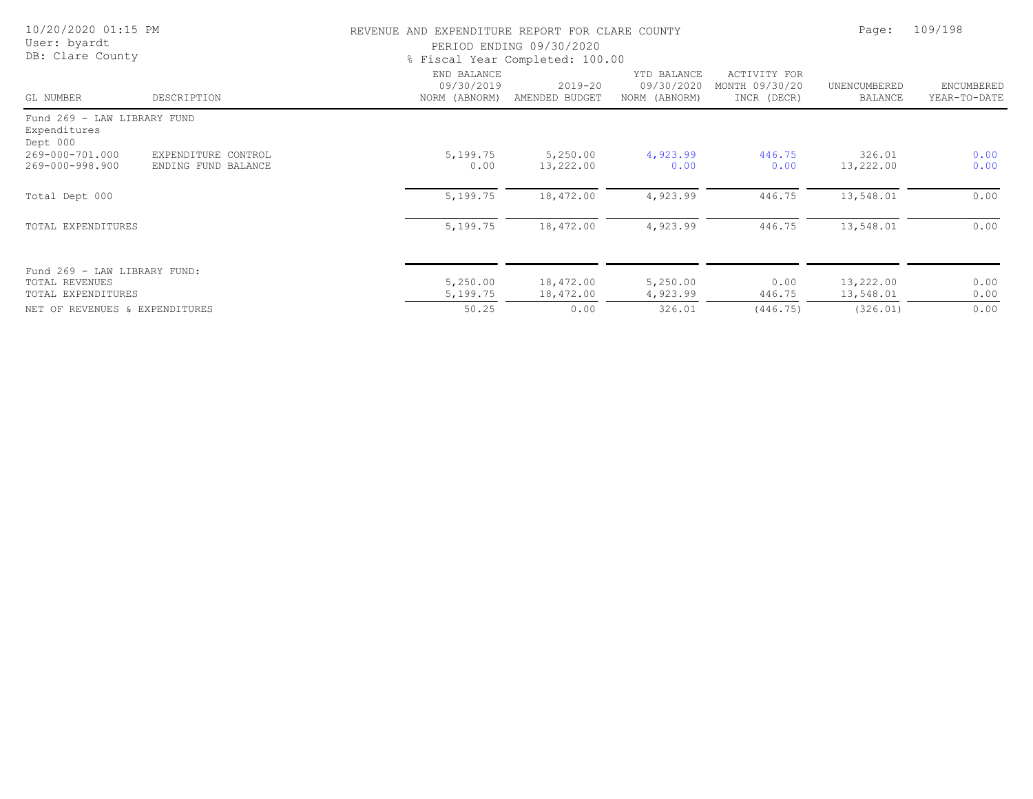| 10/20/2020 01:15 PM<br>User: byardt<br>DB: Clare County              |                                            | REVENUE AND EXPENDITURE REPORT FOR CLARE COUNTY | PERIOD ENDING 09/30/2020<br>% Fiscal Year Completed: 100.00 |                                            |                                               | Page:                   | 109/198                    |  |
|----------------------------------------------------------------------|--------------------------------------------|-------------------------------------------------|-------------------------------------------------------------|--------------------------------------------|-----------------------------------------------|-------------------------|----------------------------|--|
| GL NUMBER                                                            | DESCRIPTION                                | END BALANCE<br>09/30/2019<br>NORM (ABNORM)      | 2019-20<br>AMENDED BUDGET                                   | YTD BALANCE<br>09/30/2020<br>NORM (ABNORM) | ACTIVITY FOR<br>MONTH 09/30/20<br>INCR (DECR) | UNENCUMBERED<br>BALANCE | ENCUMBERED<br>YEAR-TO-DATE |  |
| Fund 269 - LAW LIBRARY FUND<br>Expenditures<br>Dept 000              |                                            |                                                 |                                                             |                                            |                                               |                         |                            |  |
| 269-000-701.000<br>269-000-998.900                                   | EXPENDITURE CONTROL<br>ENDING FUND BALANCE | 5,199.75<br>0.00                                | 5,250.00<br>13,222.00                                       | 4,923.99<br>0.00                           | 446.75<br>0.00                                | 326.01<br>13,222.00     | 0.00<br>0.00               |  |
| Total Dept 000                                                       |                                            | 5,199.75                                        | 18,472.00                                                   | 4,923.99                                   | 446.75                                        | 13,548.01               | 0.00                       |  |
| TOTAL EXPENDITURES                                                   |                                            | 5,199.75                                        | 18,472.00                                                   | 4,923.99                                   | 446.75                                        | 13,548.01               | 0.00                       |  |
| Fund 269 - LAW LIBRARY FUND:<br>TOTAL REVENUES<br>TOTAL EXPENDITURES |                                            | 5,250.00<br>5,199.75                            | 18,472.00<br>18,472.00                                      | 5,250.00<br>4,923.99                       | 0.00<br>446.75                                | 13,222.00<br>13,548.01  | 0.00<br>0.00               |  |
| NET OF REVENUES & EXPENDITURES                                       |                                            | 50.25                                           | 0.00                                                        | 326.01                                     | (446.75)                                      | (326.01)                | 0.00                       |  |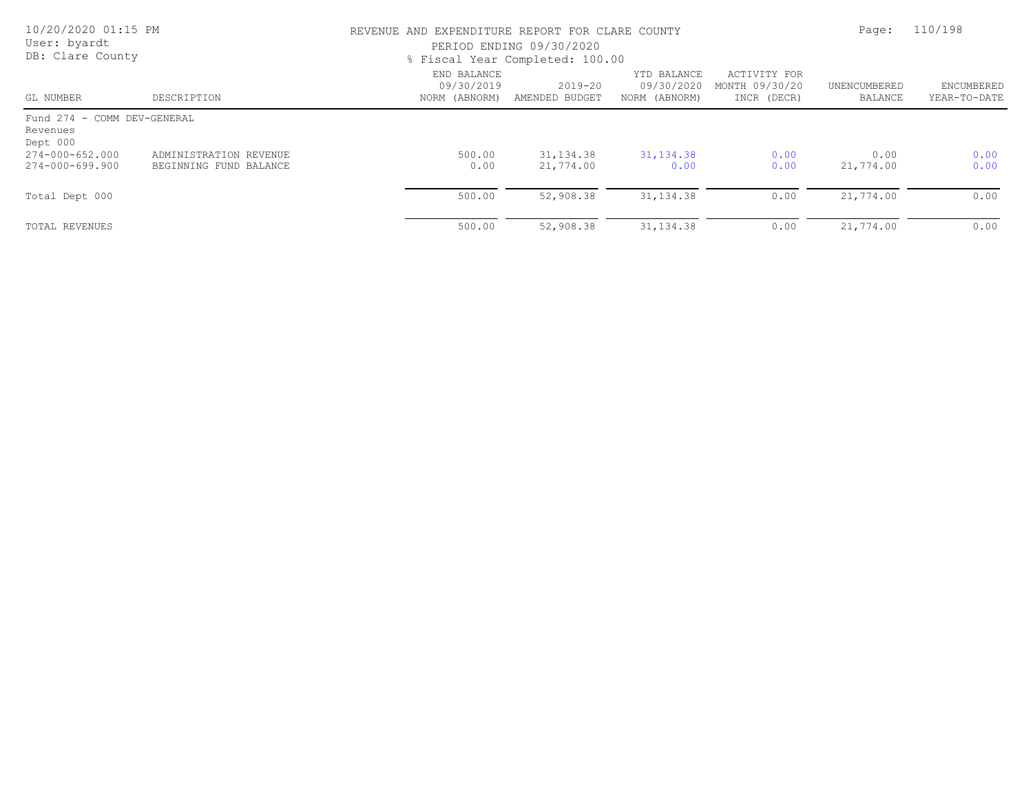| 10/20/2020 01:15 PM<br>User: byardt<br>DB: Clare County |                                                  |                                            | REVENUE AND EXPENDITURE REPORT FOR CLARE COUNTY<br>PERIOD ENDING 09/30/2020<br>% Fiscal Year Completed: 100.00 |                                            |                                               |                         |                            |
|---------------------------------------------------------|--------------------------------------------------|--------------------------------------------|----------------------------------------------------------------------------------------------------------------|--------------------------------------------|-----------------------------------------------|-------------------------|----------------------------|
| GL NUMBER                                               | DESCRIPTION                                      | END BALANCE<br>09/30/2019<br>NORM (ABNORM) | $2019 - 20$<br>AMENDED BUDGET                                                                                  | YTD BALANCE<br>09/30/2020<br>NORM (ABNORM) | ACTIVITY FOR<br>MONTH 09/30/20<br>INCR (DECR) | UNENCUMBERED<br>BALANCE | ENCUMBERED<br>YEAR-TO-DATE |
| Fund 274 - COMM DEV-GENERAL<br>Revenues<br>Dept 000     |                                                  |                                            |                                                                                                                |                                            |                                               |                         |                            |
| 274-000-652.000<br>274-000-699.900                      | ADMINISTRATION REVENUE<br>BEGINNING FUND BALANCE | 500.00<br>0.00                             | 31, 134.38<br>21,774.00                                                                                        | 31, 134.38<br>0.00                         | 0.00<br>0.00                                  | 0.00<br>21,774.00       | 0.00<br>0.00               |
| Total Dept 000                                          |                                                  | 500.00                                     | 52,908.38                                                                                                      | 31, 134.38                                 | 0.00                                          | 21,774.00               | 0.00                       |
| TOTAL REVENUES                                          |                                                  | 500.00                                     | 52,908.38                                                                                                      | 31, 134.38                                 | 0.00                                          | 21,774.00               | 0.00                       |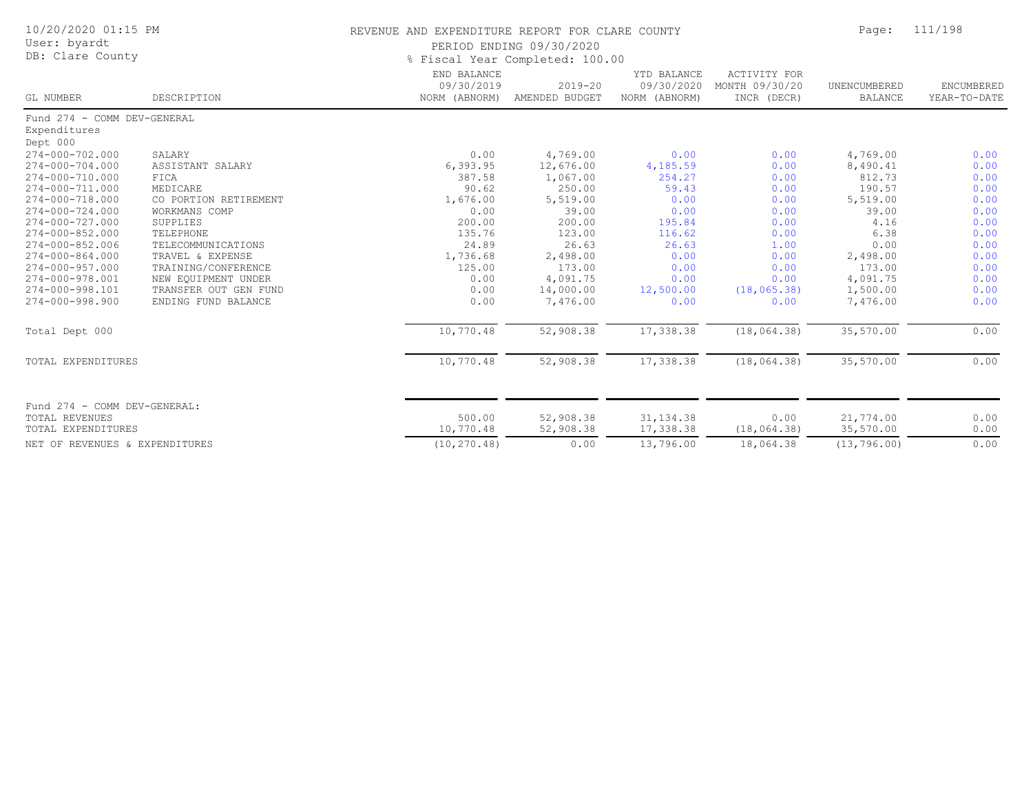| 10/20/2020 01:15 PM<br>User: byardt<br>DB: Clare County |                       | REVENUE AND EXPENDITURE REPORT FOR CLARE COUNTY<br>PERIOD ENDING 09/30/2020<br>% Fiscal Year Completed: 100.00 | Page:                         | 111/198                                    |                                               |                                |                            |
|---------------------------------------------------------|-----------------------|----------------------------------------------------------------------------------------------------------------|-------------------------------|--------------------------------------------|-----------------------------------------------|--------------------------------|----------------------------|
| GL NUMBER                                               | DESCRIPTION           | END BALANCE<br>09/30/2019<br>NORM (ABNORM)                                                                     | $2019 - 20$<br>AMENDED BUDGET | YTD BALANCE<br>09/30/2020<br>NORM (ABNORM) | ACTIVITY FOR<br>MONTH 09/30/20<br>INCR (DECR) | UNENCUMBERED<br><b>BALANCE</b> | ENCUMBERED<br>YEAR-TO-DATE |
| Fund 274 - COMM DEV-GENERAL                             |                       |                                                                                                                |                               |                                            |                                               |                                |                            |
| Expenditures                                            |                       |                                                                                                                |                               |                                            |                                               |                                |                            |
| Dept 000<br>274-000-702.000                             | SALARY                | 0.00                                                                                                           | 4,769.00                      | 0.00                                       | 0.00                                          | 4,769.00                       | 0.00                       |
| $274 - 000 - 704.000$                                   | ASSISTANT SALARY      | 6, 393.95                                                                                                      | 12,676.00                     | 4,185.59                                   | 0.00                                          | 8,490.41                       | 0.00                       |
| 274-000-710.000                                         | FICA                  | 387.58                                                                                                         | 1,067.00                      | 254.27                                     | 0.00                                          | 812.73                         | 0.00                       |
| 274-000-711.000                                         | MEDICARE              | 90.62                                                                                                          | 250.00                        | 59.43                                      | 0.00                                          | 190.57                         | 0.00                       |
| 274-000-718.000                                         | CO PORTION RETIREMENT | 1,676.00                                                                                                       | 5,519.00                      | 0.00                                       | 0.00                                          | 5,519.00                       | 0.00                       |
| 274-000-724.000                                         | WORKMANS COMP         | 0.00                                                                                                           | 39.00                         | 0.00                                       | 0.00                                          | 39.00                          | 0.00                       |
| 274-000-727.000                                         | SUPPLIES              | 200.00                                                                                                         | 200.00                        | 195.84                                     | 0.00                                          | 4.16                           | 0.00                       |
| 274-000-852.000                                         | TELEPHONE             | 135.76                                                                                                         | 123.00                        | 116.62                                     | 0.00                                          | 6.38                           | 0.00                       |
| 274-000-852.006                                         | TELECOMMUNICATIONS    | 24.89                                                                                                          | 26.63                         | 26.63                                      | 1.00                                          | 0.00                           | 0.00                       |
| $274 - 000 - 864.000$                                   | TRAVEL & EXPENSE      | 1,736.68                                                                                                       | 2,498.00                      | 0.00                                       | 0.00                                          | 2,498.00                       | 0.00                       |
| $274 - 000 - 957.000$                                   | TRAINING/CONFERENCE   | 125.00                                                                                                         | 173.00                        | 0.00                                       | 0.00                                          | 173.00                         | 0.00                       |
| 274-000-978.001                                         | NEW EOUIPMENT UNDER   | 0.00                                                                                                           | 4,091.75                      | 0.00                                       | 0.00                                          | 4,091.75                       | 0.00                       |
| 274-000-998.101                                         | TRANSFER OUT GEN FUND | 0.00                                                                                                           | 14,000.00                     | 12,500.00                                  | (18, 065.38)                                  | 1,500.00                       | 0.00                       |
| $274 - 000 - 998.900$                                   | ENDING FUND BALANCE   | 0.00                                                                                                           | 7,476.00                      | 0.00                                       | 0.00                                          | 7,476.00                       | 0.00                       |
| Total Dept 000                                          |                       | 10,770.48                                                                                                      | 52,908.38                     | 17,338.38                                  | (18, 064.38)                                  | 35,570.00                      | 0.00                       |
| TOTAL EXPENDITURES                                      |                       | 10,770.48                                                                                                      | 52,908.38                     | 17,338.38                                  | (18, 064.38)                                  | 35,570.00                      | 0.00                       |
| Fund 274 - COMM DEV-GENERAL:                            |                       |                                                                                                                |                               |                                            |                                               |                                |                            |
| TOTAL REVENUES                                          |                       | 500.00                                                                                                         | 52,908.38                     | 31, 134.38                                 | 0.00                                          | 21,774.00                      | 0.00                       |
| TOTAL EXPENDITURES                                      |                       | 10,770.48                                                                                                      | 52,908.38                     | 17,338.38                                  | (18, 064.38)                                  | 35,570.00                      | 0.00                       |
| NET OF REVENUES & EXPENDITURES                          |                       | (10, 270.48)                                                                                                   | 0.00                          | 13,796.00                                  | 18,064.38                                     | (13, 796.00)                   | 0.00                       |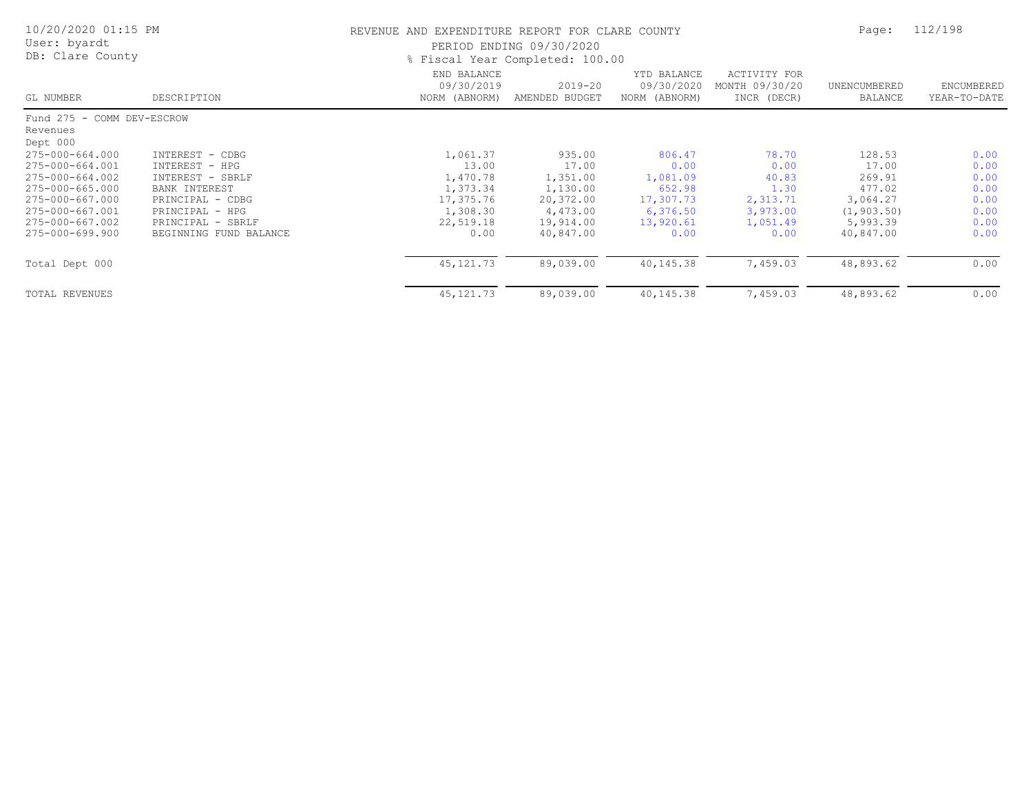| 10/20/2020 01:15 PM<br>User: byardt<br>DB: Clare County |                        | REVENUE AND EXPENDITURE REPORT FOR CLARE COUNTY | PERIOD ENDING 09/30/2020<br>% Fiscal Year Completed: 100.00 |                                            |                                               | Page:                   | 112/198                    |
|---------------------------------------------------------|------------------------|-------------------------------------------------|-------------------------------------------------------------|--------------------------------------------|-----------------------------------------------|-------------------------|----------------------------|
| GL NUMBER                                               | DESCRIPTION            | END BALANCE<br>09/30/2019<br>NORM (ABNORM)      | $2019 - 20$<br>AMENDED BUDGET                               | YTD BALANCE<br>09/30/2020<br>NORM (ABNORM) | ACTIVITY FOR<br>MONTH 09/30/20<br>INCR (DECR) | UNENCUMBERED<br>BALANCE | ENCUMBERED<br>YEAR-TO-DATE |
| Fund 275 - COMM DEV-ESCROW                              |                        |                                                 |                                                             |                                            |                                               |                         |                            |
| Revenues<br>Dept 000                                    |                        |                                                 |                                                             |                                            |                                               |                         |                            |
| 275-000-664.000                                         | INTEREST - CDBG        | 1,061.37                                        | 935.00                                                      | 806.47                                     | 78.70                                         | 128.53                  | 0.00                       |
| 275-000-664.001                                         | INTEREST - HPG         | 13.00                                           | 17.00                                                       | 0.00                                       | 0.00                                          | 17.00                   | 0.00                       |
| 275-000-664.002                                         | INTEREST - SBRLF       | 1,470.78                                        | 1,351.00                                                    | 1,081.09                                   | 40.83                                         | 269.91                  | 0.00                       |
| 275-000-665.000                                         | BANK INTEREST          | 1,373.34                                        | 1,130.00                                                    | 652.98                                     | 1.30                                          | 477.02                  | 0.00                       |
| 275-000-667.000                                         | PRINCIPAL - CDBG       | 17,375.76                                       | 20,372.00                                                   | 17,307.73                                  | 2,313.71                                      | 3,064.27                | 0.00                       |
| 275-000-667.001                                         | PRINCIPAL - HPG        | 1,308.30                                        | 4,473.00                                                    | 6,376.50                                   | 3,973.00                                      | (1, 903.50)             | 0.00                       |
| 275-000-667.002                                         | PRINCIPAL - SBRLF      | 22,519.18                                       | 19,914.00                                                   | 13,920.61                                  | 1,051.49                                      | 5,993.39                | 0.00                       |
| 275-000-699.900                                         | BEGINNING FUND BALANCE | 0.00                                            | 40,847.00                                                   | 0.00                                       | 0.00                                          | 40,847.00               | 0.00                       |
| Total Dept 000                                          |                        | 45, 121.73                                      | 89,039.00                                                   | 40,145.38                                  | 7,459.03                                      | 48,893.62               | 0.00                       |
| TOTAL REVENUES                                          |                        | 45, 121.73                                      | 89,039.00                                                   | 40,145.38                                  | 7,459.03                                      | 48,893.62               | 0.00                       |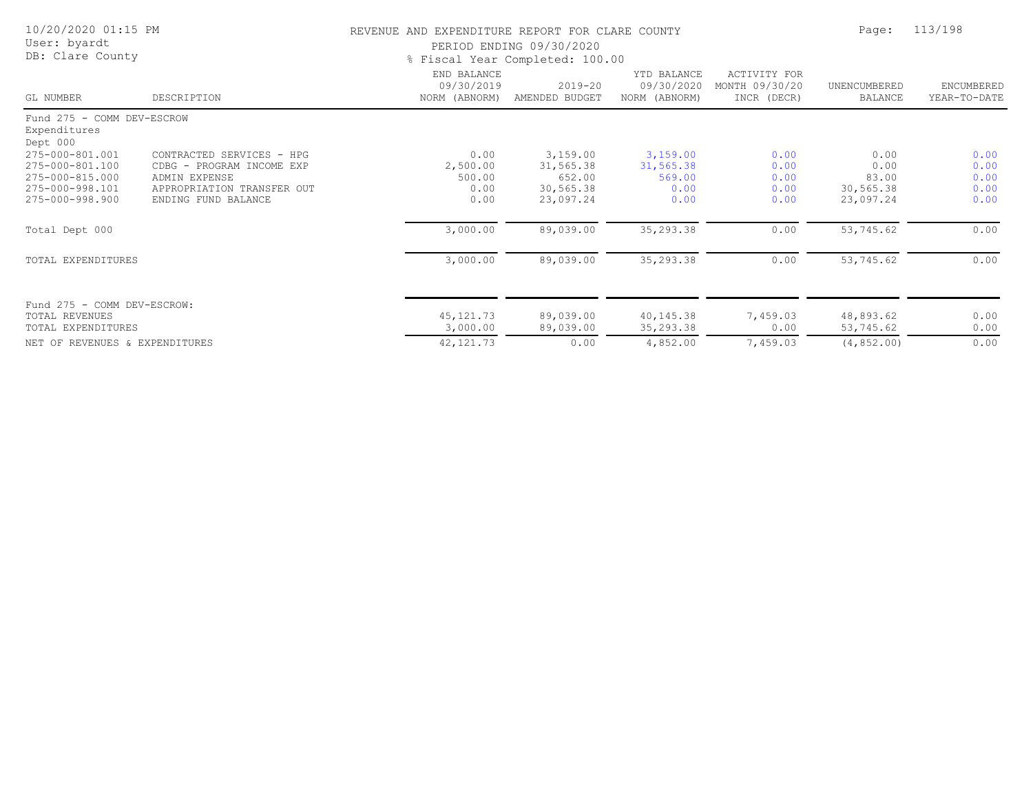| 10/20/2020 01:15 PM<br>User: byardt<br>DB: Clare County |                            |                                            | REVENUE AND EXPENDITURE REPORT FOR CLARE COUNTY<br>PERIOD ENDING 09/30/2020<br>% Fiscal Year Completed: 100.00 |                                            |                                                      |                                |                            |  |
|---------------------------------------------------------|----------------------------|--------------------------------------------|----------------------------------------------------------------------------------------------------------------|--------------------------------------------|------------------------------------------------------|--------------------------------|----------------------------|--|
| GL NUMBER                                               | DESCRIPTION                | END BALANCE<br>09/30/2019<br>NORM (ABNORM) | $2019 - 20$<br>AMENDED BUDGET                                                                                  | YTD BALANCE<br>09/30/2020<br>NORM (ABNORM) | <b>ACTIVITY FOR</b><br>MONTH 09/30/20<br>INCR (DECR) | UNENCUMBERED<br><b>BALANCE</b> | ENCUMBERED<br>YEAR-TO-DATE |  |
| Fund 275 - COMM DEV-ESCROW<br>Expenditures<br>Dept 000  |                            |                                            |                                                                                                                |                                            |                                                      |                                |                            |  |
| 275-000-801.001                                         | CONTRACTED SERVICES - HPG  | 0.00                                       | 3,159.00                                                                                                       | 3,159.00                                   | 0.00                                                 | 0.00                           | 0.00                       |  |
| 275-000-801.100                                         | CDBG - PROGRAM INCOME EXP  | 2,500.00                                   | 31,565.38                                                                                                      | 31,565.38                                  | 0.00                                                 | 0.00                           | 0.00                       |  |
| 275-000-815.000                                         | ADMIN EXPENSE              | 500.00                                     | 652.00                                                                                                         | 569.00                                     | 0.00                                                 | 83.00                          | 0.00                       |  |
| 275-000-998.101                                         | APPROPRIATION TRANSFER OUT | 0.00                                       | 30,565.38                                                                                                      | 0.00                                       | 0.00                                                 | 30,565.38                      | 0.00                       |  |
| 275-000-998.900                                         | ENDING FUND BALANCE        | 0.00                                       | 23,097.24                                                                                                      | 0.00                                       | 0.00                                                 | 23,097.24                      | 0.00                       |  |
| Total Dept 000                                          |                            | 3,000.00                                   | 89,039.00                                                                                                      | 35,293.38                                  | 0.00                                                 | 53,745.62                      | 0.00                       |  |
| TOTAL EXPENDITURES                                      |                            | 3,000.00                                   | 89,039.00                                                                                                      | 35,293.38                                  | 0.00                                                 | 53,745.62                      | 0.00                       |  |
| Fund 275 - COMM DEV-ESCROW:                             |                            |                                            |                                                                                                                |                                            |                                                      |                                |                            |  |
| TOTAL REVENUES                                          |                            | 45, 121.73                                 | 89,039.00                                                                                                      | 40,145.38                                  | 7,459.03                                             | 48,893.62                      | 0.00                       |  |
| TOTAL EXPENDITURES                                      |                            | 3,000.00                                   | 89,039.00                                                                                                      | 35,293.38                                  | 0.00                                                 | 53,745.62                      | 0.00                       |  |
| NET OF REVENUES & EXPENDITURES                          |                            | 42, 121.73                                 | 0.00                                                                                                           | 4,852.00                                   | 7,459.03                                             | (4, 852.00)                    | 0.00                       |  |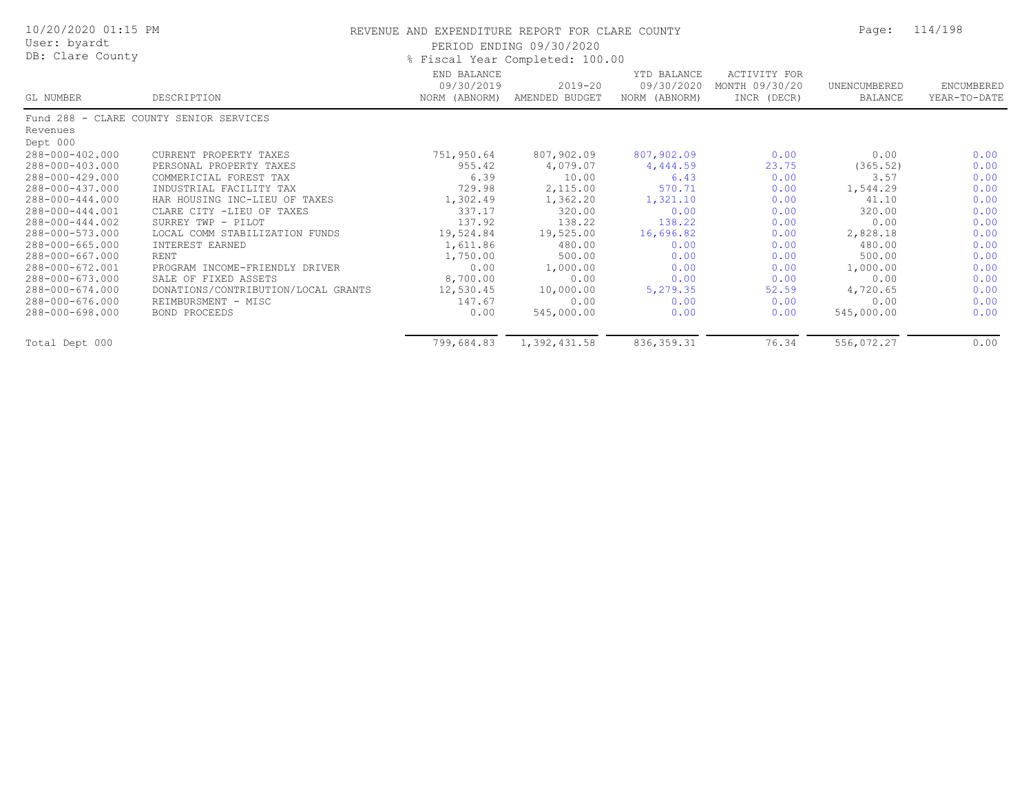| 10/20/2020 01:15 PM<br>User: byardt |                                         | REVENUE AND EXPENDITURE REPORT FOR CLARE COUNTY | PERIOD ENDING 09/30/2020        |                                            |                                               | Page:                   | 114/198                    |
|-------------------------------------|-----------------------------------------|-------------------------------------------------|---------------------------------|--------------------------------------------|-----------------------------------------------|-------------------------|----------------------------|
| DB: Clare County                    |                                         |                                                 | % Fiscal Year Completed: 100.00 |                                            |                                               |                         |                            |
| GL NUMBER                           | DESCRIPTION                             | END BALANCE<br>09/30/2019<br>NORM (ABNORM)      | 2019-20<br>AMENDED BUDGET       | YTD BALANCE<br>09/30/2020<br>NORM (ABNORM) | ACTIVITY FOR<br>MONTH 09/30/20<br>INCR (DECR) | UNENCUMBERED<br>BALANCE | ENCUMBERED<br>YEAR-TO-DATE |
|                                     | Fund 288 - CLARE COUNTY SENIOR SERVICES |                                                 |                                 |                                            |                                               |                         |                            |
| Revenues                            |                                         |                                                 |                                 |                                            |                                               |                         |                            |
| Dept 000                            |                                         |                                                 |                                 |                                            |                                               |                         |                            |
| 288-000-402.000                     | CURRENT PROPERTY TAXES                  | 751,950.64                                      | 807,902.09                      | 807,902.09                                 | 0.00                                          | 0.00                    | 0.00                       |
| 288-000-403.000                     | PERSONAL PROPERTY TAXES                 | 955.42                                          | 4,079.07                        | 4,444.59                                   | 23.75                                         | (365.52)                | 0.00                       |
| 288-000-429.000                     | COMMERICIAL FOREST TAX                  | 6.39                                            | 10.00                           | 6.43                                       | 0.00                                          | 3.57                    | 0.00                       |
| 288-000-437.000                     | INDUSTRIAL FACILITY TAX                 | 729.98                                          | 2,115.00                        | 570.71                                     | 0.00                                          | 1,544.29                | 0.00                       |
| 288-000-444.000                     | HAR HOUSING INC-LIEU OF TAXES           | 1,302.49                                        | 1,362.20                        | 1,321.10                                   | 0.00                                          | 41.10                   | 0.00                       |
| 288-000-444.001                     | CLARE CITY -LIEU OF TAXES               | 337.17                                          | 320.00                          | 0.00                                       | 0.00                                          | 320.00                  | 0.00                       |
| 288-000-444.002                     | SURREY TWP - PILOT                      | 137.92                                          | 138.22                          | 138.22                                     | 0.00                                          | 0.00                    | 0.00                       |
| 288-000-573.000                     | LOCAL COMM STABILIZATION FUNDS          | 19,524.84                                       | 19,525.00                       | 16,696.82                                  | 0.00                                          | 2,828.18                | 0.00                       |
| 288-000-665.000                     | INTEREST EARNED                         | 1,611.86                                        | 480.00                          | 0.00                                       | 0.00                                          | 480.00                  | 0.00                       |
| 288-000-667.000                     | <b>RENT</b>                             | 1,750.00                                        | 500.00                          | 0.00                                       | 0.00                                          | 500.00                  | 0.00                       |
| 288-000-672.001                     | PROGRAM INCOME-FRIENDLY DRIVER          | 0.00                                            | 1,000.00                        | 0.00                                       | 0.00                                          | 1,000.00                | 0.00                       |
| 288-000-673.000                     | SALE OF FIXED ASSETS                    | 8,700.00                                        | 0.00                            | 0.00                                       | 0.00                                          | 0.00                    | 0.00                       |
| 288-000-674.000                     | DONATIONS/CONTRIBUTION/LOCAL GRANTS     | 12,530.45                                       | 10,000.00                       | 5,279.35                                   | 52.59                                         | 4,720.65                | 0.00                       |
| 288-000-676.000                     | REIMBURSMENT - MISC                     | 147.67                                          | 0.00                            | 0.00                                       | 0.00                                          | 0.00                    | 0.00                       |
| 288-000-698.000                     | BOND PROCEEDS                           | 0.00                                            | 545,000.00                      | 0.00                                       | 0.00                                          | 545,000.00              | 0.00                       |
| Total Dept 000                      |                                         | 799,684.83                                      | 1,392,431.58                    | 836, 359.31                                | 76.34                                         | 556,072.27              | 0.00                       |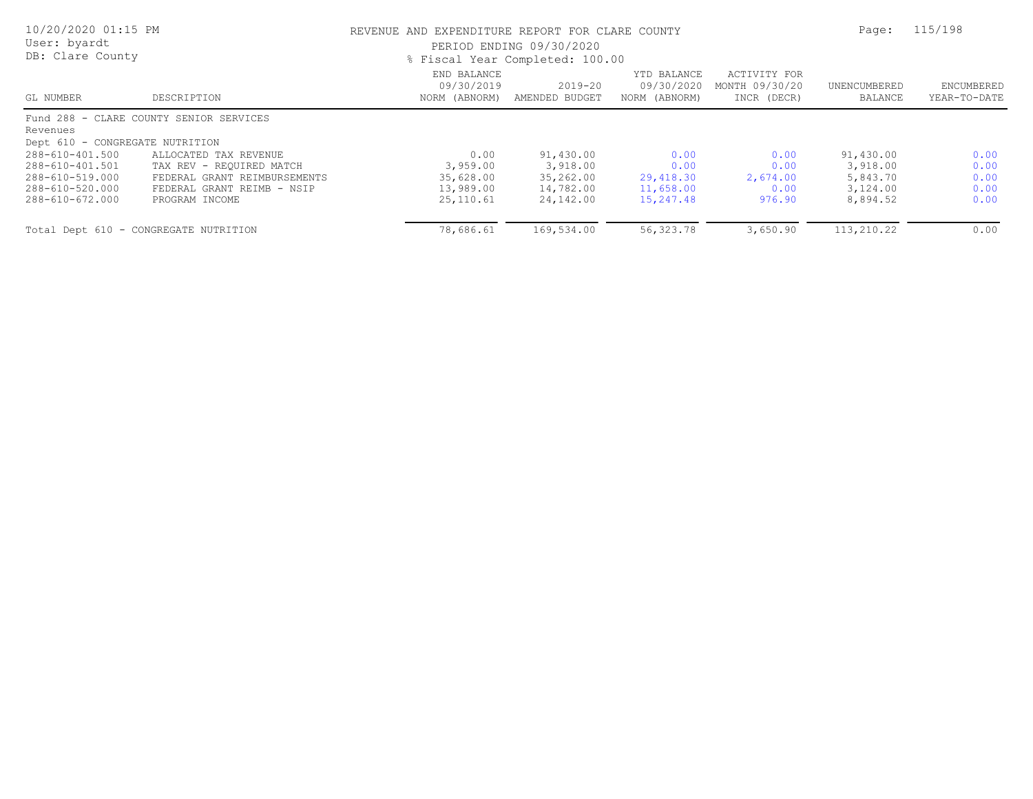| 10/20/2020 01:15 PM<br>User: byardt<br>DB: Clare County |                                         | REVENUE AND EXPENDITURE REPORT FOR CLARE COUNTY<br>PERIOD ENDING 09/30/2020<br>% Fiscal Year Completed: 100.00 | Page:                     | 115/198                                    |                                               |                         |                            |
|---------------------------------------------------------|-----------------------------------------|----------------------------------------------------------------------------------------------------------------|---------------------------|--------------------------------------------|-----------------------------------------------|-------------------------|----------------------------|
| GL NUMBER                                               | DESCRIPTION                             | END BALANCE<br>09/30/2019<br>NORM (ABNORM)                                                                     | 2019-20<br>AMENDED BUDGET | YTD BALANCE<br>09/30/2020<br>NORM (ABNORM) | ACTIVITY FOR<br>MONTH 09/30/20<br>INCR (DECR) | UNENCUMBERED<br>BALANCE | ENCUMBERED<br>YEAR-TO-DATE |
|                                                         | Fund 288 - CLARE COUNTY SENIOR SERVICES |                                                                                                                |                           |                                            |                                               |                         |                            |
| Revenues<br>Dept 610 - CONGREGATE NUTRITION             |                                         |                                                                                                                |                           |                                            |                                               |                         |                            |
| 288-610-401.500                                         | ALLOCATED TAX REVENUE                   | 0.00                                                                                                           | 91,430.00                 | 0.00                                       | 0.00                                          | 91,430.00               | 0.00                       |
| 288-610-401.501                                         | TAX REV - REQUIRED MATCH                | 3,959.00                                                                                                       | 3,918.00                  | 0.00                                       | 0.00                                          | 3,918.00                | 0.00                       |
| 288-610-519.000                                         | FEDERAL GRANT REIMBURSEMENTS            | 35,628.00                                                                                                      | 35,262.00                 | 29,418.30                                  | 2,674.00                                      | 5,843.70                | 0.00                       |
| 288-610-520.000                                         | FEDERAL GRANT REIMB - NSIP              | 13,989.00                                                                                                      | 14,782.00                 | 11,658.00                                  | 0.00                                          | 3,124.00                | 0.00                       |
| 288-610-672.000                                         | PROGRAM INCOME                          | 25,110.61                                                                                                      | 24,142.00                 | 15,247.48                                  | 976.90                                        | 8,894.52                | 0.00                       |
|                                                         | Total Dept 610 - CONGREGATE NUTRITION   | 78,686.61                                                                                                      | 169,534.00                | 56,323.78                                  | 3,650.90                                      | 113,210.22              | 0.00                       |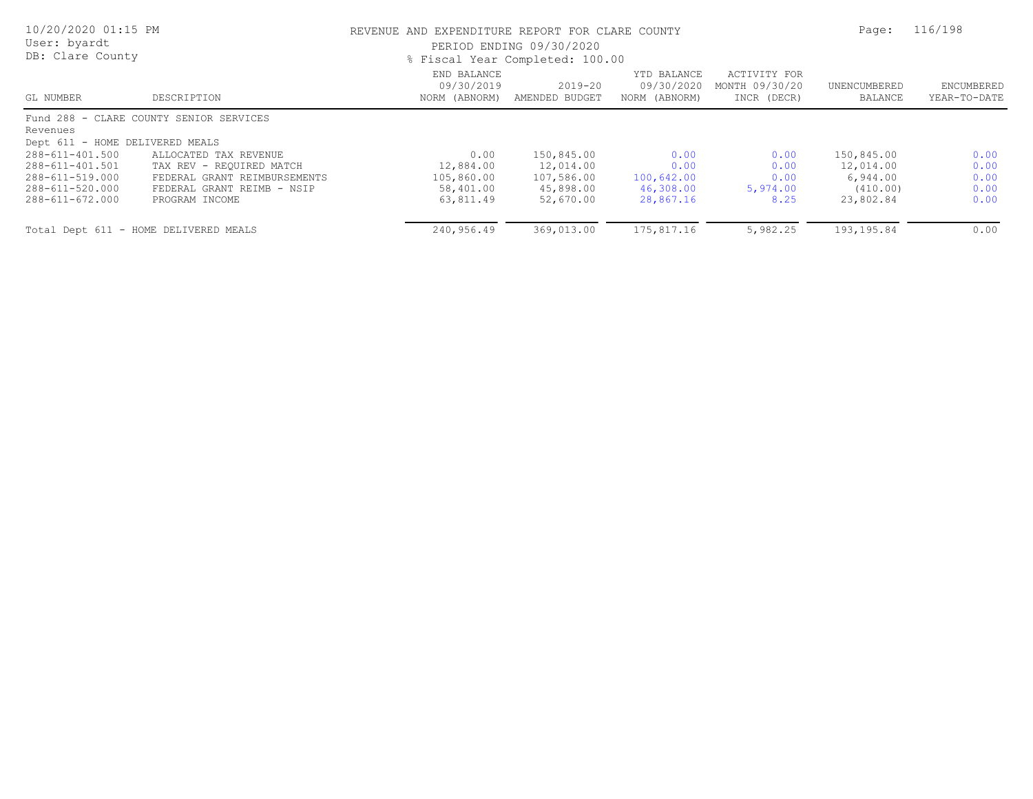| 10/20/2020 01:15 PM<br>User: byardt<br>DB: Clare County |                                         | REVENUE AND EXPENDITURE REPORT FOR CLARE COUNTY<br>PERIOD ENDING 09/30/2020<br>% Fiscal Year Completed: 100.00 | Page:                     | 116/198                                    |                                               |                         |                            |
|---------------------------------------------------------|-----------------------------------------|----------------------------------------------------------------------------------------------------------------|---------------------------|--------------------------------------------|-----------------------------------------------|-------------------------|----------------------------|
| GL NUMBER                                               | DESCRIPTION                             | END BALANCE<br>09/30/2019<br>NORM (ABNORM)                                                                     | 2019-20<br>AMENDED BUDGET | YTD BALANCE<br>09/30/2020<br>NORM (ABNORM) | ACTIVITY FOR<br>MONTH 09/30/20<br>INCR (DECR) | UNENCUMBERED<br>BALANCE | ENCUMBERED<br>YEAR-TO-DATE |
|                                                         | Fund 288 - CLARE COUNTY SENIOR SERVICES |                                                                                                                |                           |                                            |                                               |                         |                            |
| Revenues                                                |                                         |                                                                                                                |                           |                                            |                                               |                         |                            |
| Dept 611 - HOME DELIVERED MEALS                         |                                         |                                                                                                                |                           |                                            |                                               |                         |                            |
| 288-611-401.500                                         | ALLOCATED TAX REVENUE                   | 0.00                                                                                                           | 150,845.00                | 0.00                                       | 0.00                                          | 150,845.00              | 0.00                       |
| 288-611-401.501                                         | TAX REV - REQUIRED MATCH                | 12,884.00                                                                                                      | 12,014.00                 | 0.00                                       | 0.00                                          | 12,014.00               | 0.00                       |
| 288-611-519.000                                         | FEDERAL GRANT REIMBURSEMENTS            | 105,860.00                                                                                                     | 107,586.00                | 100,642.00                                 | 0.00                                          | 6,944.00                | 0.00                       |
| 288-611-520.000                                         | FEDERAL GRANT REIMB - NSIP              | 58,401.00                                                                                                      | 45,898.00                 | 46,308.00                                  | 5,974.00                                      | (410.00)                | 0.00                       |
| 288-611-672.000                                         | PROGRAM INCOME                          | 63,811.49                                                                                                      | 52,670.00                 | 28,867.16                                  | 8.25                                          | 23,802.84               | 0.00                       |
|                                                         | Total Dept 611 - HOME DELIVERED MEALS   | 240,956.49                                                                                                     | 369,013.00                | 175,817.16                                 | 5,982.25                                      | 193, 195.84             | 0.00                       |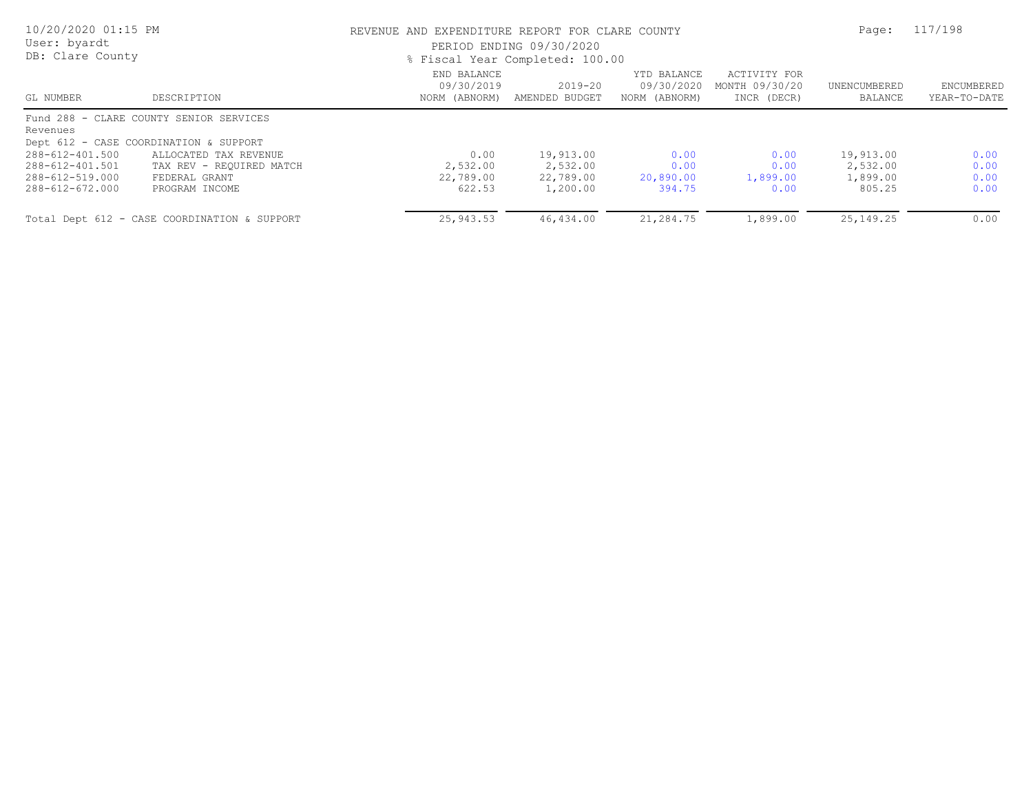| 10/20/2020 01:15 PM<br>User: byardt<br>DB: Clare County |                                              |                                            | REVENUE AND EXPENDITURE REPORT FOR CLARE COUNTY<br>PERIOD ENDING 09/30/2020<br>% Fiscal Year Completed: 100.00 |                                            |                                               |                         |                            |
|---------------------------------------------------------|----------------------------------------------|--------------------------------------------|----------------------------------------------------------------------------------------------------------------|--------------------------------------------|-----------------------------------------------|-------------------------|----------------------------|
| GL NUMBER                                               | DESCRIPTION                                  | END BALANCE<br>09/30/2019<br>NORM (ABNORM) | $2019 - 20$<br>AMENDED BUDGET                                                                                  | YTD BALANCE<br>09/30/2020<br>NORM (ABNORM) | ACTIVITY FOR<br>MONTH 09/30/20<br>INCR (DECR) | UNENCUMBERED<br>BALANCE | ENCUMBERED<br>YEAR-TO-DATE |
|                                                         | Fund 288 - CLARE COUNTY SENIOR SERVICES      |                                            |                                                                                                                |                                            |                                               |                         |                            |
| Revenues                                                |                                              |                                            |                                                                                                                |                                            |                                               |                         |                            |
|                                                         | Dept 612 - CASE COORDINATION & SUPPORT       |                                            |                                                                                                                |                                            |                                               |                         |                            |
| 288-612-401.500                                         | ALLOCATED TAX REVENUE                        | 0.00                                       | 19,913.00                                                                                                      | 0.00                                       | 0.00                                          | 19,913.00               | 0.00                       |
| 288-612-401.501                                         | TAX REV - REQUIRED MATCH                     | 2,532.00                                   | 2,532.00                                                                                                       | 0.00                                       | 0.00                                          | 2,532.00                | 0.00                       |
| 288-612-519.000                                         | FEDERAL GRANT                                | 22,789.00                                  | 22,789.00                                                                                                      | 20,890.00                                  | 1,899.00                                      | 1,899.00                | 0.00                       |
| 288-612-672.000                                         | PROGRAM INCOME                               | 622.53                                     | 1,200.00                                                                                                       | 394.75                                     | 0.00                                          | 805.25                  | 0.00                       |
|                                                         | Total Dept 612 - CASE COORDINATION & SUPPORT | 25,943.53                                  | 46,434.00                                                                                                      | 21,284.75                                  | 1,899.00                                      | 25, 149. 25             | 0.00                       |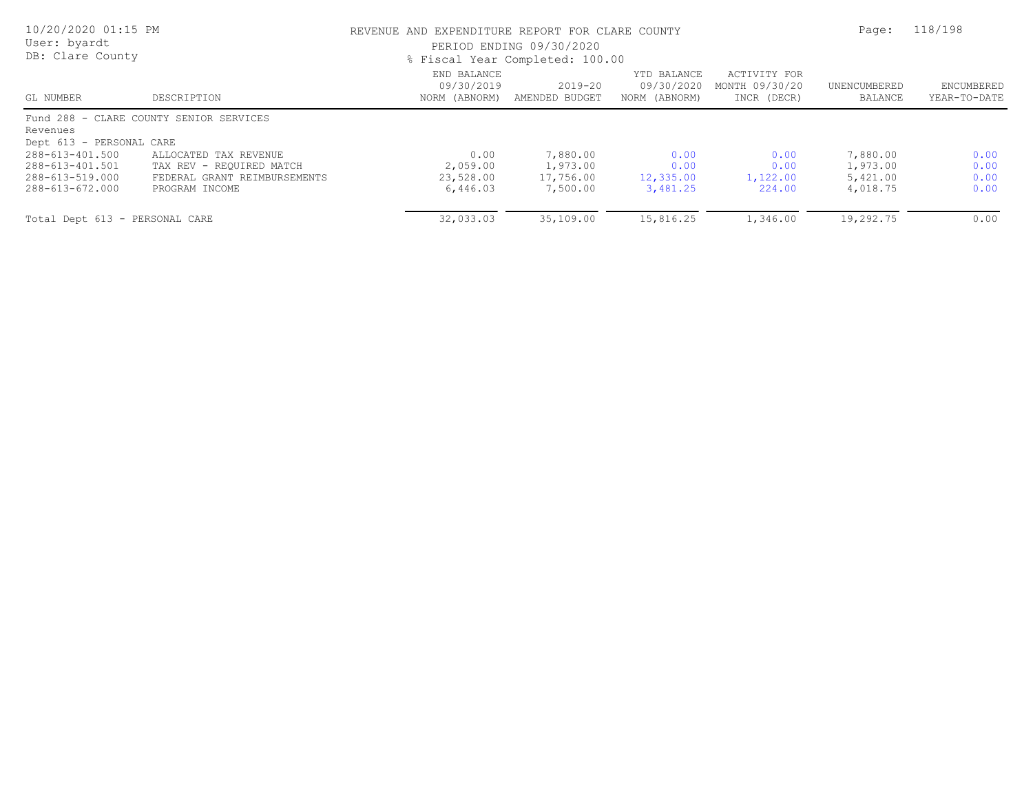| 10/20/2020 01:15 PM<br>User: byardt<br>DB: Clare County                  |                                                                                                     | REVENUE AND EXPENDITURE REPORT FOR CLARE COUNTY<br>PERIOD ENDING 09/30/2020<br>% Fiscal Year Completed: 100.00 | Page:                                         | 118/198                                    |                                               |                                              |                              |
|--------------------------------------------------------------------------|-----------------------------------------------------------------------------------------------------|----------------------------------------------------------------------------------------------------------------|-----------------------------------------------|--------------------------------------------|-----------------------------------------------|----------------------------------------------|------------------------------|
| GL NUMBER                                                                | DESCRIPTION                                                                                         | END BALANCE<br>09/30/2019<br>NORM (ABNORM)                                                                     | 2019-20<br>AMENDED BUDGET                     | YTD BALANCE<br>09/30/2020<br>NORM (ABNORM) | ACTIVITY FOR<br>MONTH 09/30/20<br>INCR (DECR) | UNENCUMBERED<br>BALANCE                      | ENCUMBERED<br>YEAR-TO-DATE   |
| Revenues<br>Dept 613 - PERSONAL CARE                                     | Fund 288 - CLARE COUNTY SENIOR SERVICES                                                             |                                                                                                                |                                               |                                            |                                               |                                              |                              |
| 288-613-401.500<br>288-613-401.501<br>288-613-519.000<br>288-613-672.000 | ALLOCATED TAX REVENUE<br>TAX REV - REQUIRED MATCH<br>FEDERAL GRANT REIMBURSEMENTS<br>PROGRAM INCOME | 0.00<br>2,059.00<br>23,528.00<br>6,446.03                                                                      | 7,880.00<br>1,973.00<br>17,756.00<br>7,500.00 | 0.00<br>0.00<br>12,335.00<br>3,481.25      | 0.00<br>0.00<br>1,122.00<br>224.00            | 7,880.00<br>1,973.00<br>5,421.00<br>4,018.75 | 0.00<br>0.00<br>0.00<br>0.00 |
| Total Dept 613 - PERSONAL CARE                                           |                                                                                                     | 32,033.03                                                                                                      | 35,109.00                                     | 15,816.25                                  | 1,346.00                                      | 19,292.75                                    | 0.00                         |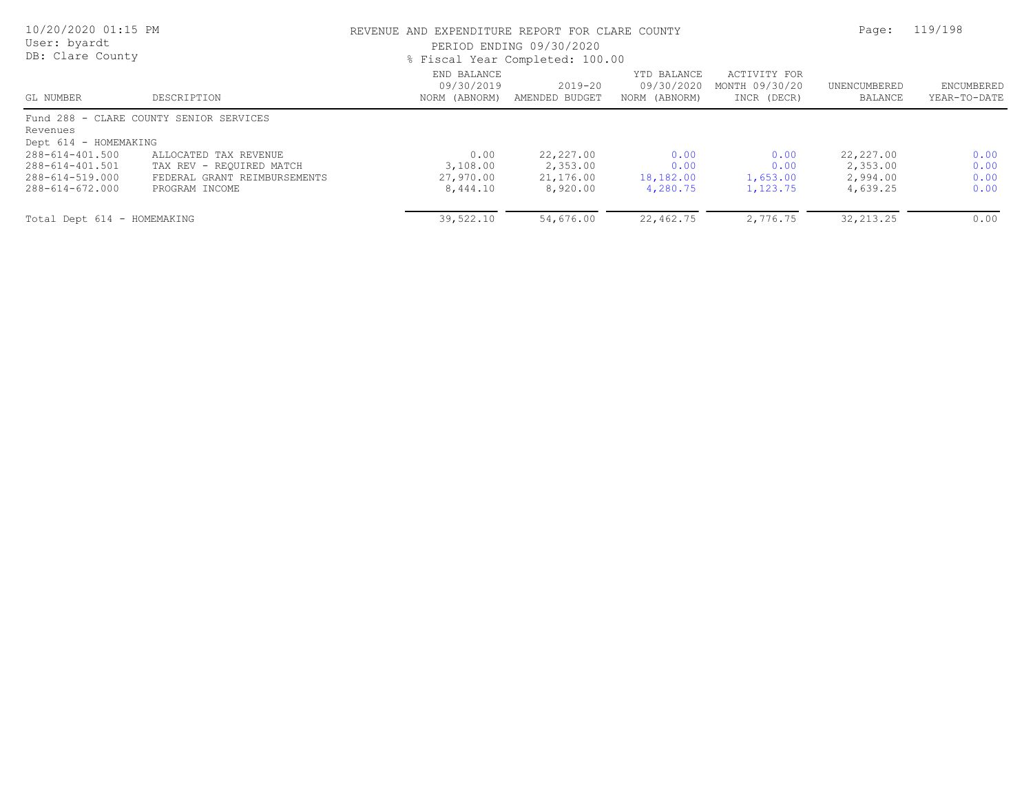| 10/20/2020 01:15 PM<br>User: byardt<br>DB: Clare County                 |                                                                                              | REVENUE AND EXPENDITURE REPORT FOR CLARE COUNTY<br>PERIOD ENDING 09/30/2020<br>% Fiscal Year Completed: 100.00 | Page:                     | 119/198                                    |                                               |                         |                                   |
|-------------------------------------------------------------------------|----------------------------------------------------------------------------------------------|----------------------------------------------------------------------------------------------------------------|---------------------------|--------------------------------------------|-----------------------------------------------|-------------------------|-----------------------------------|
| GL NUMBER                                                               | DESCRIPTION                                                                                  | END BALANCE<br>09/30/2019<br>NORM (ABNORM)                                                                     | 2019-20<br>AMENDED BUDGET | YTD BALANCE<br>09/30/2020<br>NORM (ABNORM) | ACTIVITY FOR<br>MONTH 09/30/20<br>INCR (DECR) | UNENCUMBERED<br>BALANCE | <b>ENCUMBERED</b><br>YEAR-TO-DATE |
| Revenues<br>Dept 614 - HOMEMAKING<br>288-614-401.500<br>288-614-401.501 | Fund 288 - CLARE COUNTY SENIOR SERVICES<br>ALLOCATED TAX REVENUE<br>TAX REV - REQUIRED MATCH | 0.00<br>3,108.00                                                                                               | 22,227.00<br>2,353.00     | 0.00<br>0.00                               | 0.00<br>0.00                                  | 22,227.00<br>2,353.00   | 0.00<br>0.00                      |
| 288-614-519.000<br>288-614-672.000                                      | FEDERAL GRANT REIMBURSEMENTS<br>PROGRAM INCOME                                               | 27,970.00<br>8,444.10                                                                                          | 21,176.00<br>8,920.00     | 18,182.00<br>4,280.75                      | 1,653.00<br>1,123.75                          | 2,994.00<br>4,639.25    | 0.00<br>0.00                      |
| Total Dept 614 - HOMEMAKING                                             |                                                                                              | 39,522.10                                                                                                      | 54,676.00                 | 22,462.75                                  | 2,776.75                                      | 32, 213.25              | 0.00                              |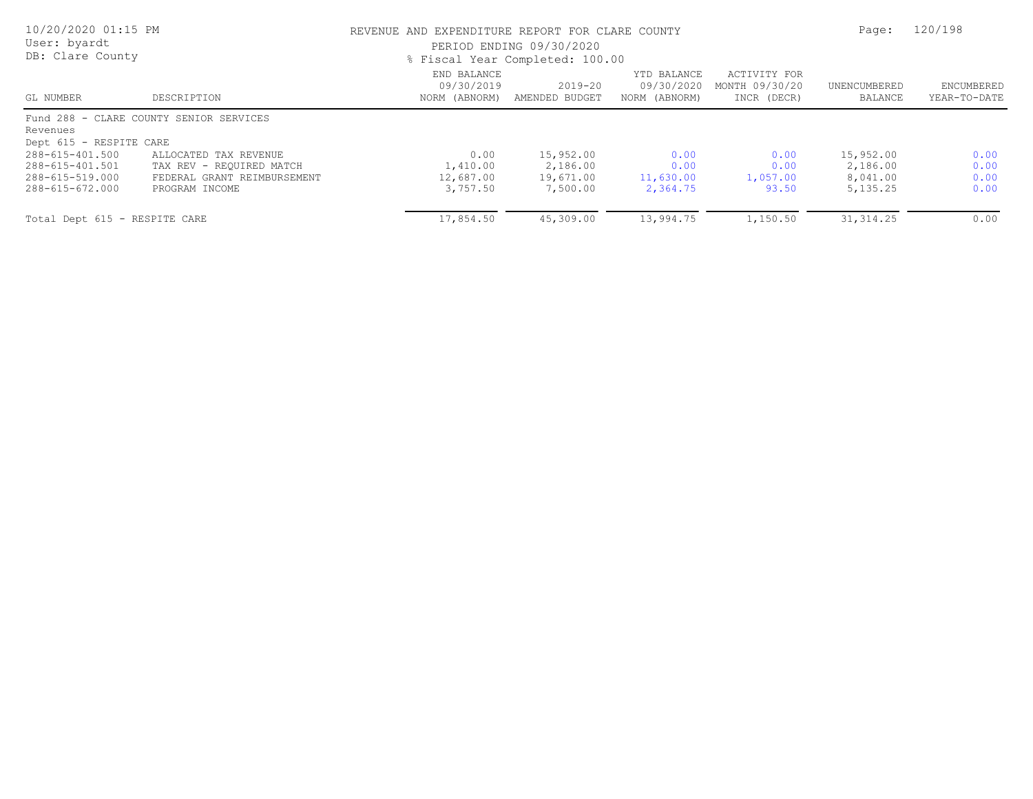| 10/20/2020 01:15 PM<br>User: byardt<br>DB: Clare County                  |                                                                                                    |                                            | REVENUE AND EXPENDITURE REPORT FOR CLARE COUNTY<br>PERIOD ENDING 09/30/2020<br>% Fiscal Year Completed: 100.00 |                                            |                                               |                                                |                              |
|--------------------------------------------------------------------------|----------------------------------------------------------------------------------------------------|--------------------------------------------|----------------------------------------------------------------------------------------------------------------|--------------------------------------------|-----------------------------------------------|------------------------------------------------|------------------------------|
| GL NUMBER                                                                | DESCRIPTION                                                                                        | END BALANCE<br>09/30/2019<br>NORM (ABNORM) | $2019 - 20$<br>AMENDED BUDGET                                                                                  | YTD BALANCE<br>09/30/2020<br>NORM (ABNORM) | ACTIVITY FOR<br>MONTH 09/30/20<br>INCR (DECR) | UNENCUMBERED<br>BALANCE                        | ENCUMBERED<br>YEAR-TO-DATE   |
| Revenues<br>Dept 615 - RESPITE CARE                                      | Fund 288 - CLARE COUNTY SENIOR SERVICES                                                            |                                            |                                                                                                                |                                            |                                               |                                                |                              |
| 288-615-401.500<br>288-615-401.501<br>288-615-519.000<br>288-615-672.000 | ALLOCATED TAX REVENUE<br>TAX REV - REOUIRED MATCH<br>FEDERAL GRANT REIMBURSEMENT<br>PROGRAM INCOME | 0.00<br>1,410.00<br>12,687.00<br>3,757.50  | 15,952.00<br>2,186.00<br>19,671.00<br>7,500.00                                                                 | 0.00<br>0.00<br>11,630.00<br>2,364.75      | 0.00<br>0.00<br>1,057.00<br>93.50             | 15,952.00<br>2,186.00<br>8,041.00<br>5, 135.25 | 0.00<br>0.00<br>0.00<br>0.00 |
| Total Dept 615 - RESPITE CARE                                            |                                                                                                    | 17,854.50                                  | 45,309.00                                                                                                      | 13,994.75                                  | 1,150.50                                      | 31, 314.25                                     | 0.00                         |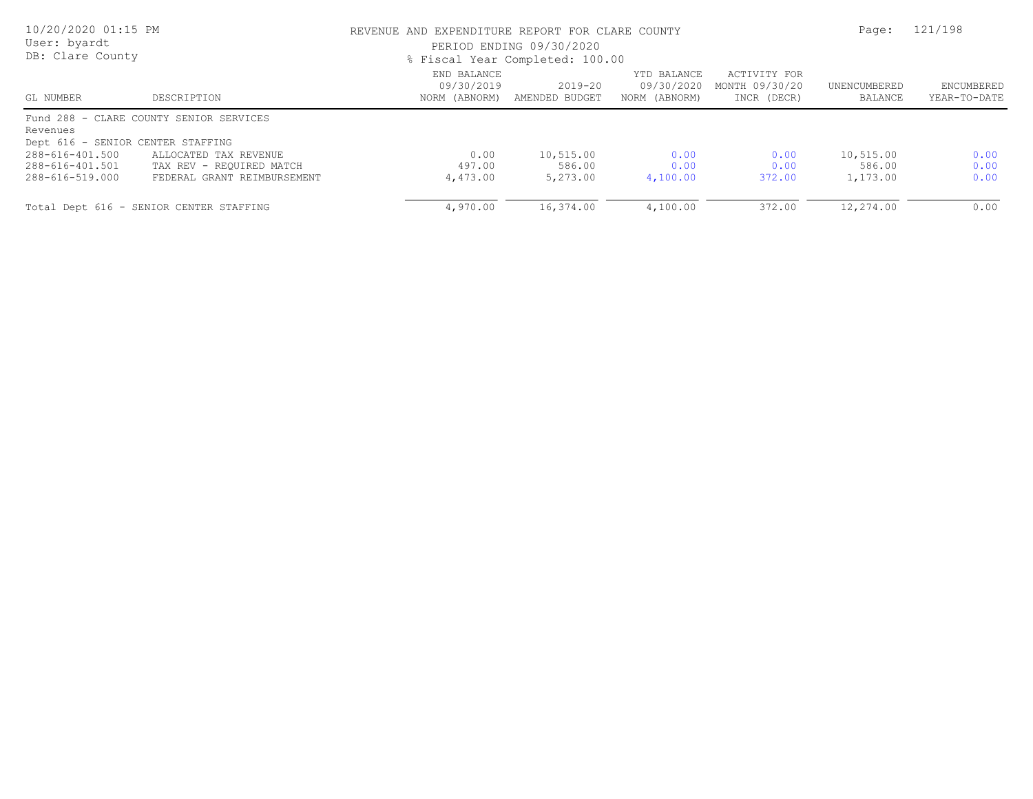| 10/20/2020 01:15 PM<br>User: byardt<br>DB: Clare County |                                                            | REVENUE AND EXPENDITURE REPORT FOR CLARE COUNTY<br>PERIOD ENDING 09/30/2020<br>% Fiscal Year Completed: 100.00 | Page:                           | 121/198                                    |                                               |                         |                            |
|---------------------------------------------------------|------------------------------------------------------------|----------------------------------------------------------------------------------------------------------------|---------------------------------|--------------------------------------------|-----------------------------------------------|-------------------------|----------------------------|
| GL NUMBER                                               | DESCRIPTION                                                | END BALANCE<br>09/30/2019<br>NORM (ABNORM)                                                                     | $2019 - 20$<br>AMENDED BUDGET   | YTD BALANCE<br>09/30/2020<br>NORM (ABNORM) | ACTIVITY FOR<br>MONTH 09/30/20<br>INCR (DECR) | UNENCUMBERED<br>BALANCE | ENCUMBERED<br>YEAR-TO-DATE |
|                                                         | Fund 288 - CLARE COUNTY SENIOR SERVICES                    |                                                                                                                |                                 |                                            |                                               |                         |                            |
| Revenues                                                |                                                            |                                                                                                                |                                 |                                            |                                               |                         |                            |
| 288-616-401.500                                         | Dept 616 - SENIOR CENTER STAFFING<br>ALLOCATED TAX REVENUE | 0.00                                                                                                           |                                 |                                            |                                               | 10,515.00               |                            |
| 288-616-401.501<br>288-616-519.000                      | TAX REV - REQUIRED MATCH<br>FEDERAL GRANT REIMBURSEMENT    | 497.00<br>4,473.00                                                                                             | 10,515.00<br>586.00<br>5,273.00 | 0.00<br>0.00<br>4,100.00                   | 0.00<br>0.00<br>372.00                        | 586.00<br>1,173.00      | 0.00<br>0.00<br>0.00       |
|                                                         | Total Dept 616 - SENIOR CENTER STAFFING                    | 4,970.00                                                                                                       | 16,374.00                       | 4,100.00                                   | 372.00                                        | 12,274.00               | 0.00                       |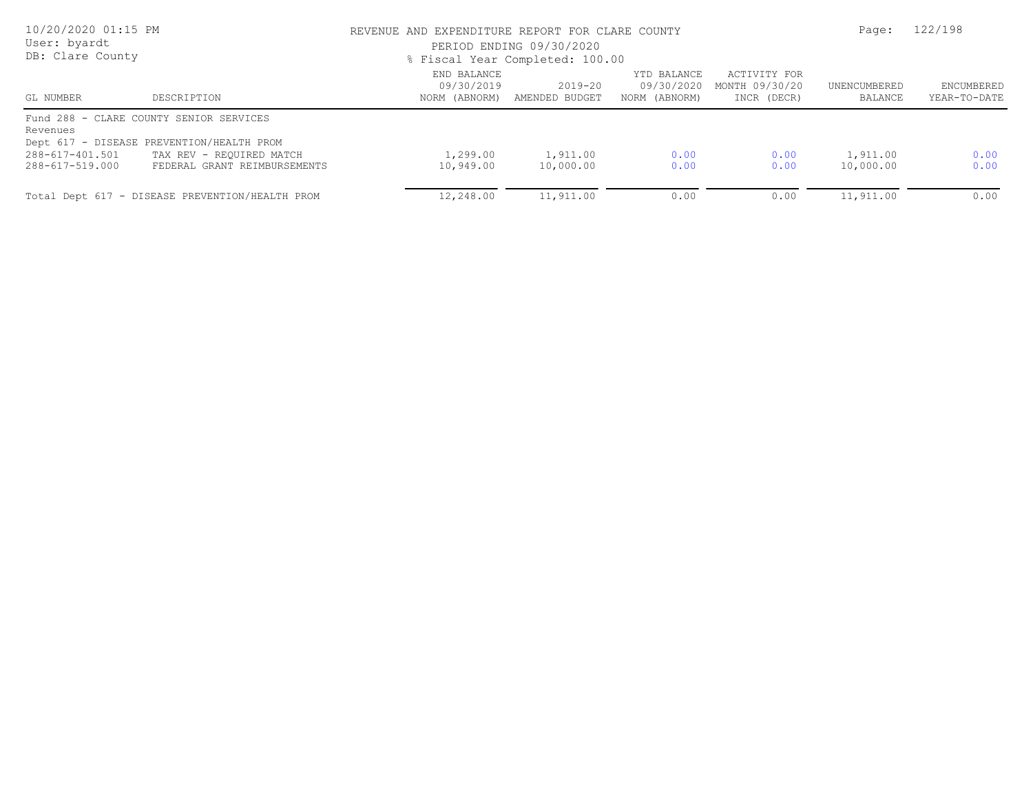| 10/20/2020 01:15 PM<br>User: byardt<br>DB: Clare County |                                                 | REVENUE AND EXPENDITURE REPORT FOR CLARE COUNTY<br>PERIOD ENDING 09/30/2020<br>% Fiscal Year Completed: 100.00 | Page:                         | 122/198                                    |                                               |                         |                            |
|---------------------------------------------------------|-------------------------------------------------|----------------------------------------------------------------------------------------------------------------|-------------------------------|--------------------------------------------|-----------------------------------------------|-------------------------|----------------------------|
| GL NUMBER                                               | DESCRIPTION                                     | END BALANCE<br>09/30/2019<br>NORM (ABNORM)                                                                     | $2019 - 20$<br>AMENDED BUDGET | YTD BALANCE<br>09/30/2020<br>NORM (ABNORM) | ACTIVITY FOR<br>MONTH 09/30/20<br>INCR (DECR) | UNENCUMBERED<br>BALANCE | ENCUMBERED<br>YEAR-TO-DATE |
| Revenues                                                | Fund 288 - CLARE COUNTY SENIOR SERVICES         |                                                                                                                |                               |                                            |                                               |                         |                            |
|                                                         | Dept 617 - DISEASE PREVENTION/HEALTH PROM       |                                                                                                                |                               |                                            |                                               |                         |                            |
| 288-617-401.501                                         | TAX REV - REQUIRED MATCH                        | 1,299.00                                                                                                       | 1,911.00                      | 0.00                                       | 0.00                                          | 1,911.00                | 0.00                       |
| 288-617-519.000                                         | FEDERAL GRANT REIMBURSEMENTS                    | 10,949.00                                                                                                      | 10,000.00                     | 0.00                                       | 0.00                                          | 10,000.00               | 0.00                       |
|                                                         | Total Dept 617 - DISEASE PREVENTION/HEALTH PROM | 12,248.00                                                                                                      | 11,911.00                     | 0.00                                       | 0.00                                          | 11,911.00               | 0.00                       |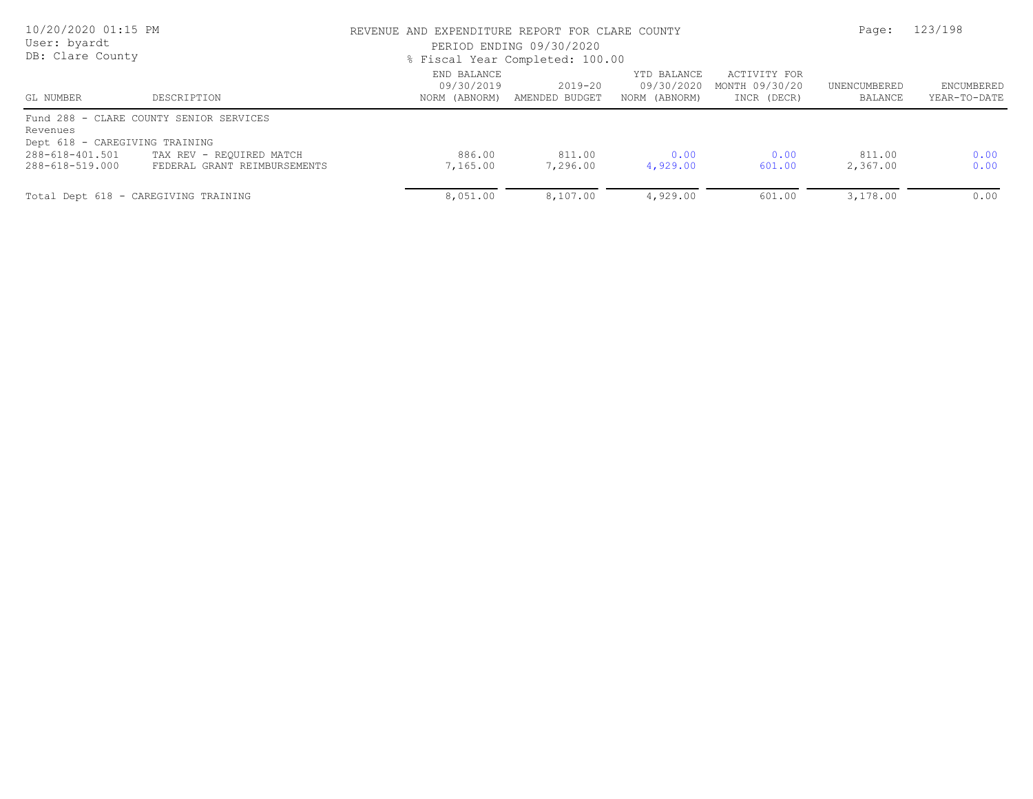| 10/20/2020 01:15 PM<br>User: byardt<br>DB: Clare County |                                         | REVENUE AND EXPENDITURE REPORT FOR CLARE COUNTY<br>PERIOD ENDING 09/30/2020<br>% Fiscal Year Completed: 100.00 | Page:                                       | 123/198                                    |                                               |                         |                            |
|---------------------------------------------------------|-----------------------------------------|----------------------------------------------------------------------------------------------------------------|---------------------------------------------|--------------------------------------------|-----------------------------------------------|-------------------------|----------------------------|
| GL NUMBER                                               | DESCRIPTION                             | END BALANCE<br>09/30/2019                                                                                      | $2019 - 20$<br>NORM (ABNORM) AMENDED BUDGET | YTD BALANCE<br>09/30/2020<br>NORM (ABNORM) | ACTIVITY FOR<br>MONTH 09/30/20<br>INCR (DECR) | UNENCUMBERED<br>BALANCE | ENCUMBERED<br>YEAR-TO-DATE |
| Revenues                                                | Fund 288 - CLARE COUNTY SENIOR SERVICES |                                                                                                                |                                             |                                            |                                               |                         |                            |
| Dept 618 - CAREGIVING TRAINING                          |                                         |                                                                                                                |                                             |                                            |                                               |                         |                            |
| 288-618-401.501                                         | TAX REV - REQUIRED MATCH                | 886.00                                                                                                         | 811.00                                      | 0.00                                       | 0.00                                          | 811.00                  | 0.00                       |
| 288-618-519.000                                         | FEDERAL GRANT REIMBURSEMENTS            | 7,165.00                                                                                                       | 7,296.00                                    | 4,929.00                                   | 601.00                                        | 2,367.00                | 0.00                       |
|                                                         | Total Dept 618 - CAREGIVING TRAINING    | 8,051.00                                                                                                       | 8,107.00                                    | 4,929.00                                   | 601.00                                        | 3,178.00                | 0.00                       |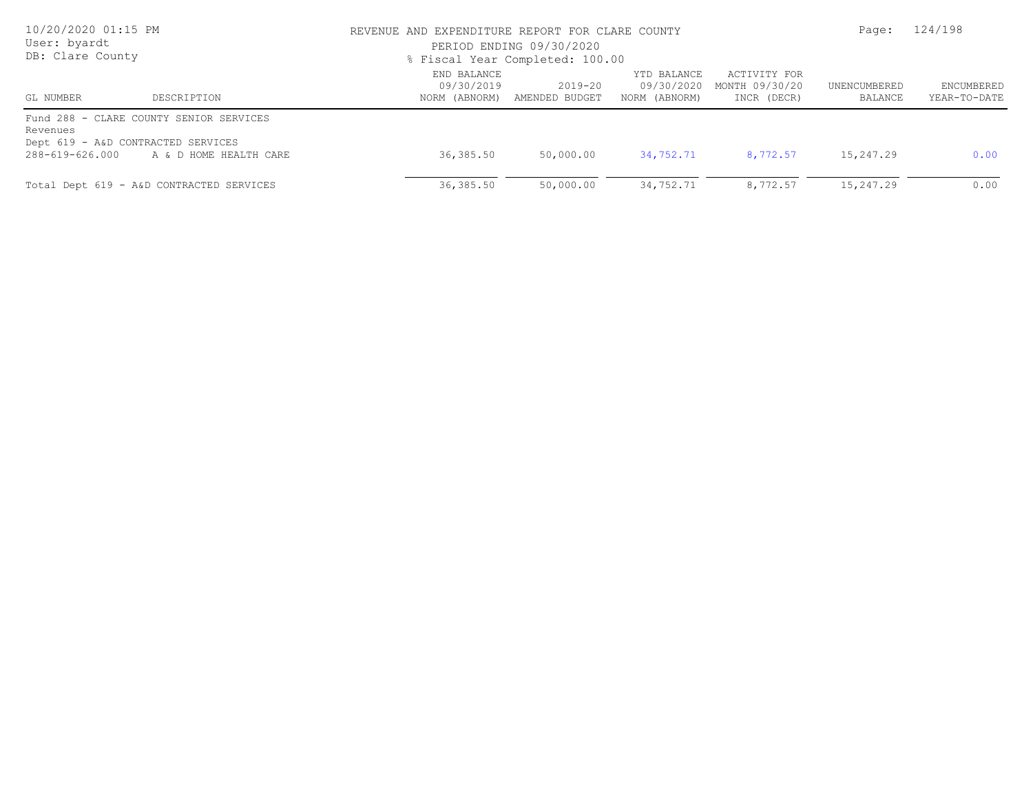| 10/20/2020 01:15 PM<br>User: byardt<br>DB: Clare County |                                                                                                         | REVENUE AND EXPENDITURE REPORT FOR CLARE COUNTY<br>PERIOD ENDING 09/30/2020<br>% Fiscal Year Completed: 100.00 | Page:                     | 124/198                                    |                                               |                         |                            |
|---------------------------------------------------------|---------------------------------------------------------------------------------------------------------|----------------------------------------------------------------------------------------------------------------|---------------------------|--------------------------------------------|-----------------------------------------------|-------------------------|----------------------------|
| GL NUMBER                                               | DESCRIPTION                                                                                             | END BALANCE<br>09/30/2019<br>NORM (ABNORM)                                                                     | 2019-20<br>AMENDED BUDGET | YTD BALANCE<br>09/30/2020<br>NORM (ABNORM) | ACTIVITY FOR<br>MONTH 09/30/20<br>INCR (DECR) | UNENCUMBERED<br>BALANCE | ENCUMBERED<br>YEAR-TO-DATE |
| Revenues<br>288-619-626.000                             | Fund 288 - CLARE COUNTY SENIOR SERVICES<br>Dept 619 - A&D CONTRACTED SERVICES<br>A & D HOME HEALTH CARE | 36,385.50                                                                                                      | 50,000.00                 | 34,752.71                                  | 8,772.57                                      | 15,247.29               | 0.00                       |
|                                                         | Total Dept 619 - A&D CONTRACTED SERVICES                                                                | 36,385.50                                                                                                      | 50,000.00                 | 34,752.71                                  | 8,772.57                                      | 15,247.29               | 0.00                       |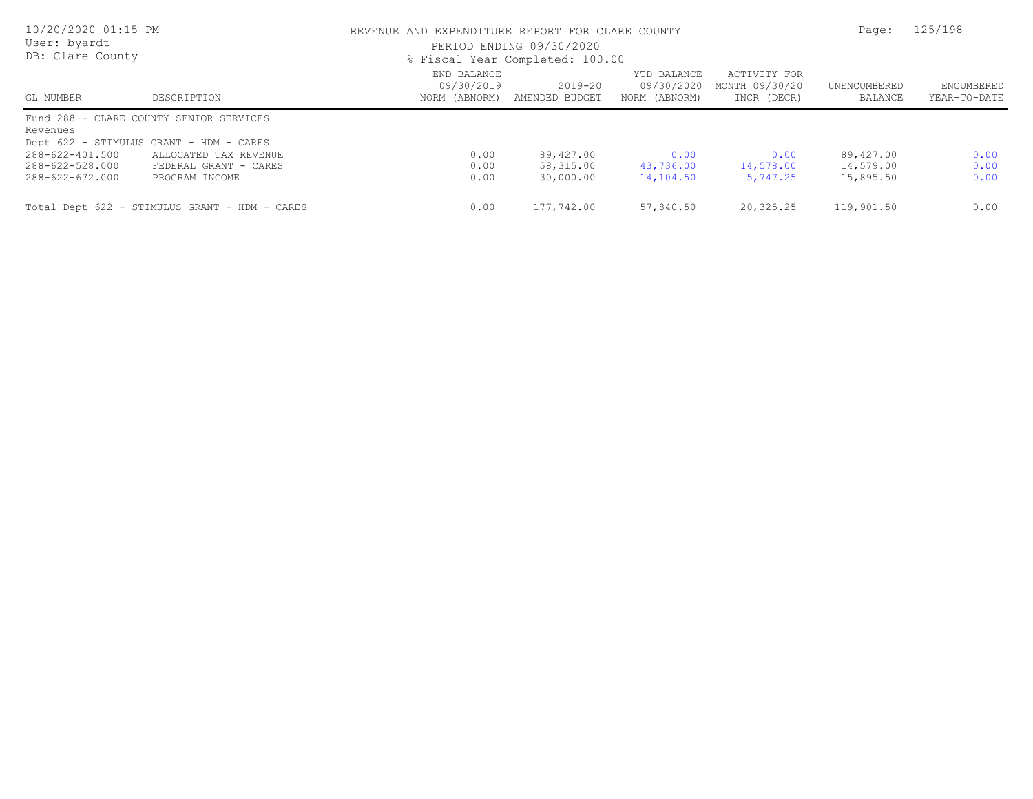| 10/20/2020 01:15 PM<br>User: byardt<br>DB: Clare County |                                               | REVENUE AND EXPENDITURE REPORT FOR CLARE COUNTY<br>PERIOD ENDING 09/30/2020<br>% Fiscal Year Completed: 100.00 |                               |                                            |                                               |                         | 125/198                    |
|---------------------------------------------------------|-----------------------------------------------|----------------------------------------------------------------------------------------------------------------|-------------------------------|--------------------------------------------|-----------------------------------------------|-------------------------|----------------------------|
| GL NUMBER                                               | DESCRIPTION                                   | END BALANCE<br>09/30/2019<br>NORM (ABNORM)                                                                     | $2019 - 20$<br>AMENDED BUDGET | YTD BALANCE<br>09/30/2020<br>NORM (ABNORM) | ACTIVITY FOR<br>MONTH 09/30/20<br>INCR (DECR) | UNENCUMBERED<br>BALANCE | ENCUMBERED<br>YEAR-TO-DATE |
| Revenues                                                | Fund 288 - CLARE COUNTY SENIOR SERVICES       |                                                                                                                |                               |                                            |                                               |                         |                            |
|                                                         | Dept 622 - STIMULUS GRANT - HDM - CARES       |                                                                                                                |                               |                                            |                                               |                         |                            |
| 288-622-401.500                                         | ALLOCATED TAX REVENUE                         | 0.00                                                                                                           | 89,427.00                     | 0.00                                       | 0.00                                          | 89,427.00               | 0.00                       |
| 288-622-528.000                                         | FEDERAL GRANT - CARES                         | 0.00                                                                                                           | 58,315.00                     | 43,736.00                                  | 14,578.00                                     | 14,579.00               | 0.00                       |
| 288-622-672.000                                         | PROGRAM INCOME                                | 0.00                                                                                                           | 30,000.00                     | 14,104.50                                  | 5,747.25                                      | 15,895.50               | 0.00                       |
|                                                         | Total Dept 622 - STIMULUS GRANT - HDM - CARES | 0.00                                                                                                           | 177,742.00                    | 57,840.50                                  | 20,325.25                                     | 119,901.50              | 0.00                       |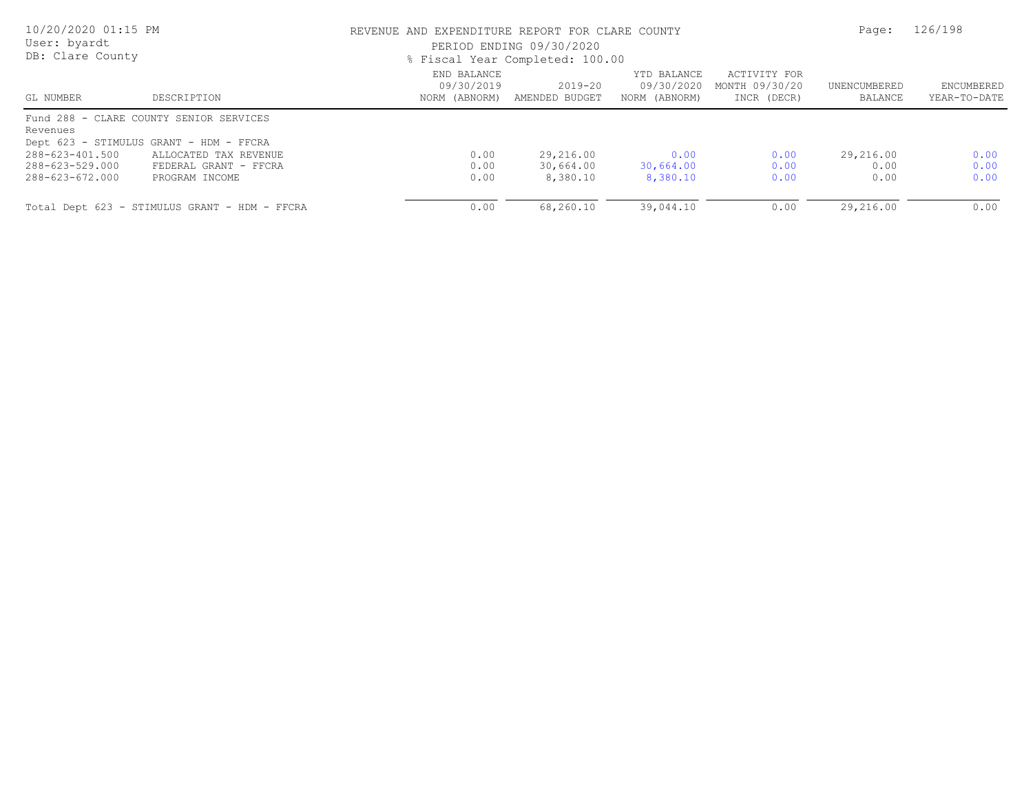| 10/20/2020 01:15 PM<br>User: byardt<br>DB: Clare County |                                               | REVENUE AND EXPENDITURE REPORT FOR CLARE COUNTY<br>PERIOD ENDING 09/30/2020<br>% Fiscal Year Completed: 100.00 | Page:                     | 126/198                                    |                                               |                         |                            |
|---------------------------------------------------------|-----------------------------------------------|----------------------------------------------------------------------------------------------------------------|---------------------------|--------------------------------------------|-----------------------------------------------|-------------------------|----------------------------|
| GL NUMBER                                               | DESCRIPTION                                   | END BALANCE<br>09/30/2019<br>NORM (ABNORM)                                                                     | 2019-20<br>AMENDED BUDGET | YTD BALANCE<br>09/30/2020<br>NORM (ABNORM) | ACTIVITY FOR<br>MONTH 09/30/20<br>INCR (DECR) | UNENCUMBERED<br>BALANCE | ENCUMBERED<br>YEAR-TO-DATE |
| Revenues                                                | Fund 288 - CLARE COUNTY SENIOR SERVICES       |                                                                                                                |                           |                                            |                                               |                         |                            |
|                                                         | Dept 623 - STIMULUS GRANT - HDM - FFCRA       |                                                                                                                |                           |                                            |                                               |                         |                            |
| 288-623-401.500                                         | ALLOCATED TAX REVENUE                         | 0.00                                                                                                           | 29,216.00                 | 0.00                                       | 0.00                                          | 29,216.00               | 0.00                       |
| 288-623-529.000                                         | FEDERAL GRANT - FFCRA                         | 0.00                                                                                                           | 30,664.00                 | 30,664.00                                  | 0.00                                          | 0.00                    | 0.00                       |
| 288-623-672.000                                         | PROGRAM INCOME                                | 0.00                                                                                                           | 8,380.10                  | 8,380.10                                   | 0.00                                          | 0.00                    | 0.00                       |
|                                                         | Total Dept 623 - STIMULUS GRANT - HDM - FFCRA | 0.00                                                                                                           | 68,260.10                 | 39,044.10                                  | 0.00                                          | 29,216.00               | 0.00                       |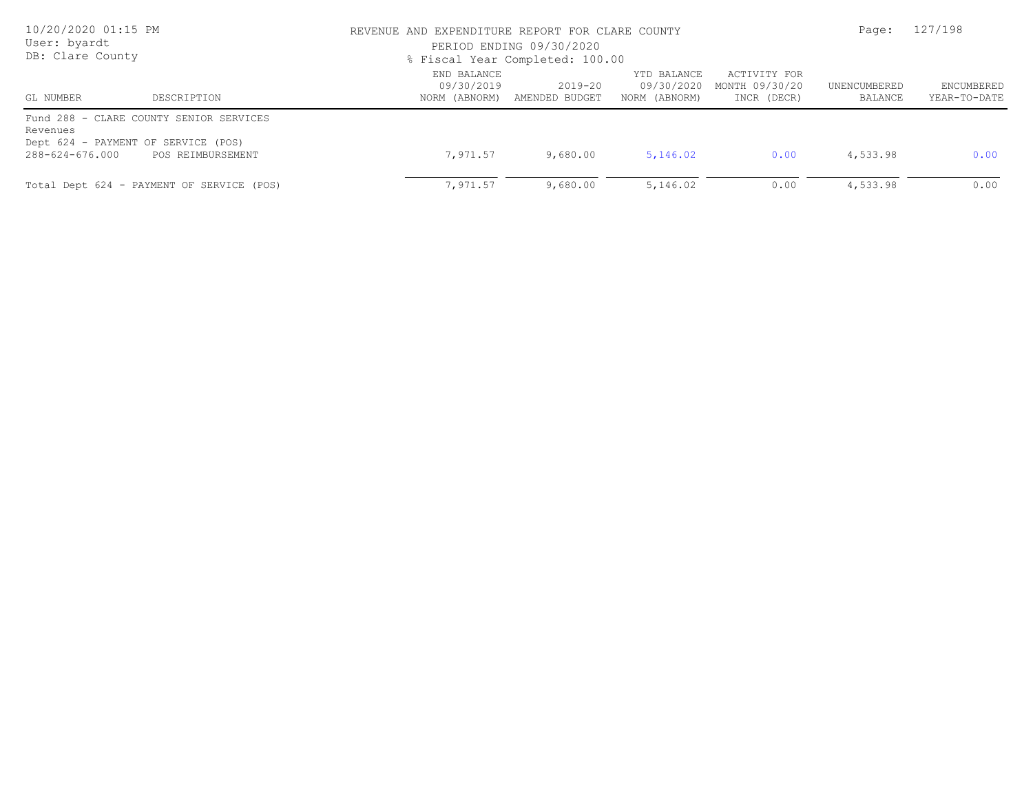| 10/20/2020 01:15 PM<br>User: byardt<br>DB: Clare County |                                                                                                     | REVENUE AND EXPENDITURE REPORT FOR CLARE COUNTY<br>PERIOD ENDING 09/30/2020<br>% Fiscal Year Completed: 100.00        | Page:                                         | 127/198                 |                            |          |      |
|---------------------------------------------------------|-----------------------------------------------------------------------------------------------------|-----------------------------------------------------------------------------------------------------------------------|-----------------------------------------------|-------------------------|----------------------------|----------|------|
| GL NUMBER                                               | DESCRIPTION                                                                                         | END BALANCE<br>YTD BALANCE<br>2019-20<br>09/30/2019<br>09/30/2020<br>AMENDED BUDGET<br>NORM (ABNORM)<br>NORM (ABNORM) | ACTIVITY FOR<br>MONTH 09/30/20<br>INCR (DECR) | UNENCUMBERED<br>BALANCE | ENCUMBERED<br>YEAR-TO-DATE |          |      |
| Revenues<br>288-624-676.000                             | Fund 288 - CLARE COUNTY SENIOR SERVICES<br>Dept 624 - PAYMENT OF SERVICE (POS)<br>POS REIMBURSEMENT | 7,971.57                                                                                                              | 9,680.00                                      | 5,146.02                | 0.00                       | 4,533.98 | 0.00 |
|                                                         | Total Dept 624 - PAYMENT OF SERVICE (POS)                                                           | 7,971.57                                                                                                              | 9,680.00                                      | 5,146.02                | 0.00                       | 4,533.98 | 0.00 |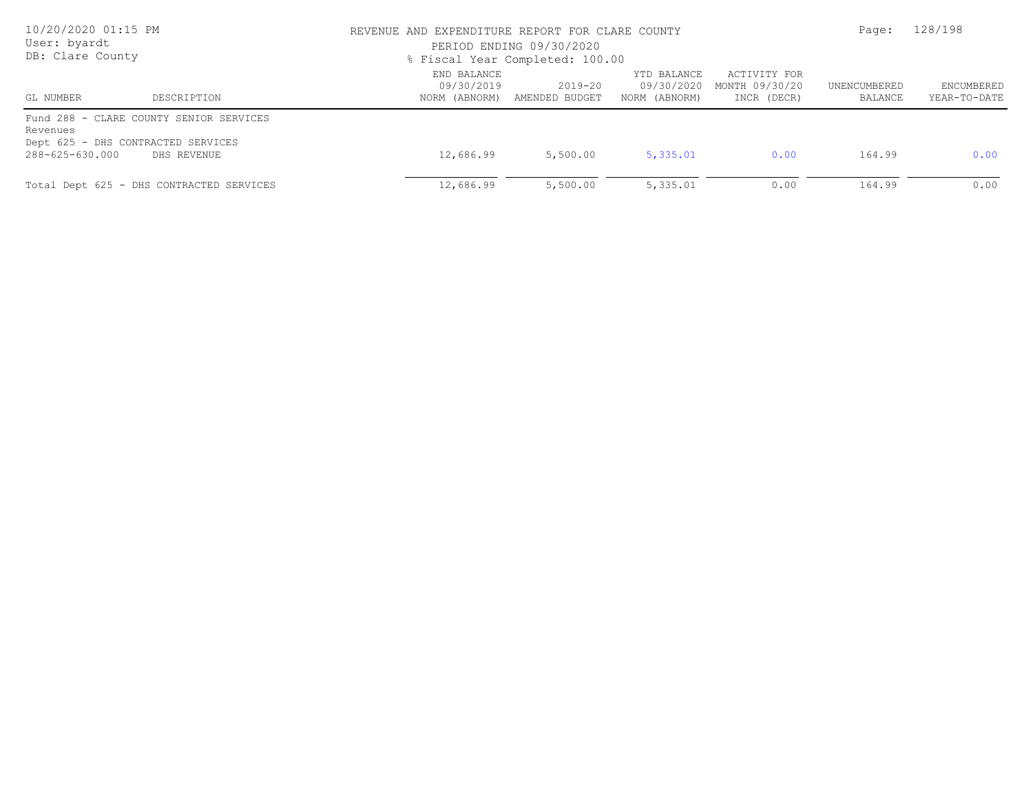| 10/20/2020 01:15 PM<br>User: byardt<br>DB: Clare County                                                                     | REVENUE AND EXPENDITURE REPORT FOR CLARE COUNTY<br>PERIOD ENDING 09/30/2020<br>% Fiscal Year Completed: 100.00 | Page:                                       | 128/198                                    |                                               |                         |                            |
|-----------------------------------------------------------------------------------------------------------------------------|----------------------------------------------------------------------------------------------------------------|---------------------------------------------|--------------------------------------------|-----------------------------------------------|-------------------------|----------------------------|
| GL NUMBER<br>DESCRIPTION                                                                                                    | END BALANCE<br>09/30/2019                                                                                      | $2019 - 20$<br>NORM (ABNORM) AMENDED BUDGET | YTD BALANCE<br>09/30/2020<br>NORM (ABNORM) | ACTIVITY FOR<br>MONTH 09/30/20<br>INCR (DECR) | UNENCUMBERED<br>BALANCE | ENCUMBERED<br>YEAR-TO-DATE |
| Fund 288 - CLARE COUNTY SENIOR SERVICES<br>Revenues<br>Dept 625 - DHS CONTRACTED SERVICES<br>288-625-630.000<br>DHS REVENUE | 12,686.99                                                                                                      | 5,500.00                                    | 5,335.01                                   | 0.00                                          | 164.99                  | 0.00                       |
| Total Dept 625 - DHS CONTRACTED SERVICES                                                                                    | 12,686.99                                                                                                      | 5,500.00                                    | 5,335.01                                   | 0.00                                          | 164.99                  | 0.00                       |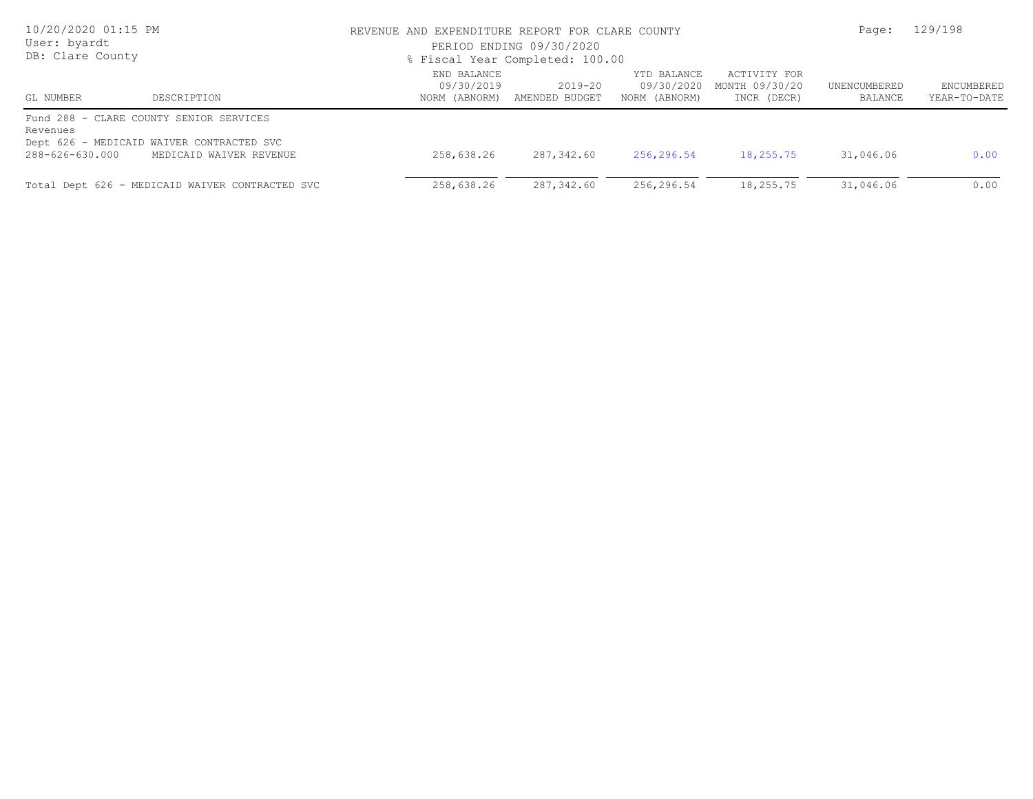| 10/20/2020 01:15 PM<br>User: byardt<br>DB: Clare County |                                                                                      | REVENUE AND EXPENDITURE REPORT FOR CLARE COUNTY<br>PERIOD ENDING 09/30/2020<br>% Fiscal Year Completed: 100.00 | Page:                     | 129/198                                    |                                               |                         |                            |
|---------------------------------------------------------|--------------------------------------------------------------------------------------|----------------------------------------------------------------------------------------------------------------|---------------------------|--------------------------------------------|-----------------------------------------------|-------------------------|----------------------------|
| DESCRIPTION<br>GL NUMBER                                |                                                                                      | END BALANCE<br>09/30/2019<br>NORM (ABNORM)                                                                     | 2019-20<br>AMENDED BUDGET | YTD BALANCE<br>09/30/2020<br>NORM (ABNORM) | ACTIVITY FOR<br>MONTH 09/30/20<br>INCR (DECR) | UNENCUMBERED<br>BALANCE | ENCUMBERED<br>YEAR-TO-DATE |
| Revenues                                                | Fund 288 - CLARE COUNTY SENIOR SERVICES<br>Dept 626 - MEDICAID WAIVER CONTRACTED SVC |                                                                                                                |                           |                                            |                                               |                         |                            |
| 288-626-630.000                                         | MEDICAID WAIVER REVENUE                                                              | 258,638.26                                                                                                     | 287,342.60                | 256,296.54                                 | 18,255.75                                     | 31,046.06               | 0.00                       |
|                                                         | Total Dept 626 - MEDICAID WAIVER CONTRACTED SVC                                      | 258,638.26                                                                                                     | 287,342.60                | 256,296.54                                 | 18,255.75                                     | 31,046.06               | 0.00                       |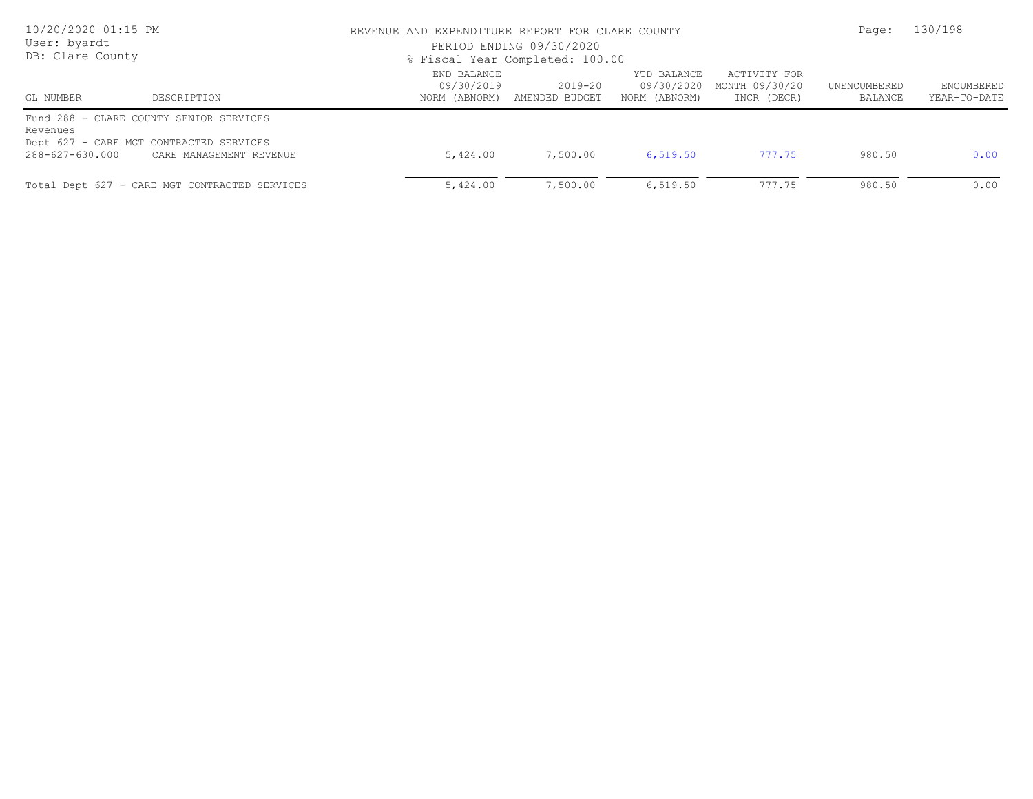| 10/20/2020 01:15 PM<br>User: byardt<br>DB: Clare County |                                                                                                               | REVENUE AND EXPENDITURE REPORT FOR CLARE COUNTY<br>PERIOD ENDING 09/30/2020<br>% Fiscal Year Completed: 100.00 |                                         |                                            |                                               |                         | 130/198                    |
|---------------------------------------------------------|---------------------------------------------------------------------------------------------------------------|----------------------------------------------------------------------------------------------------------------|-----------------------------------------|--------------------------------------------|-----------------------------------------------|-------------------------|----------------------------|
| GL NUMBER                                               | DESCRIPTION                                                                                                   | END BALANCE<br>09/30/2019                                                                                      | 2019-20<br>NORM (ABNORM) AMENDED BUDGET | YTD BALANCE<br>09/30/2020<br>NORM (ABNORM) | ACTIVITY FOR<br>MONTH 09/30/20<br>INCR (DECR) | UNENCUMBERED<br>BALANCE | ENCUMBERED<br>YEAR-TO-DATE |
| Revenues<br>288-627-630.000                             | Fund 288 - CLARE COUNTY SENIOR SERVICES<br>Dept 627 - CARE MGT CONTRACTED SERVICES<br>CARE MANAGEMENT REVENUE | 5,424.00                                                                                                       | 7,500.00                                | 6,519.50                                   | 777.75                                        | 980.50                  | 0.00                       |
|                                                         | Total Dept 627 - CARE MGT CONTRACTED SERVICES                                                                 | 5,424.00                                                                                                       | 7,500.00                                | 6,519.50                                   | 777.75                                        | 980.50                  | 0.00                       |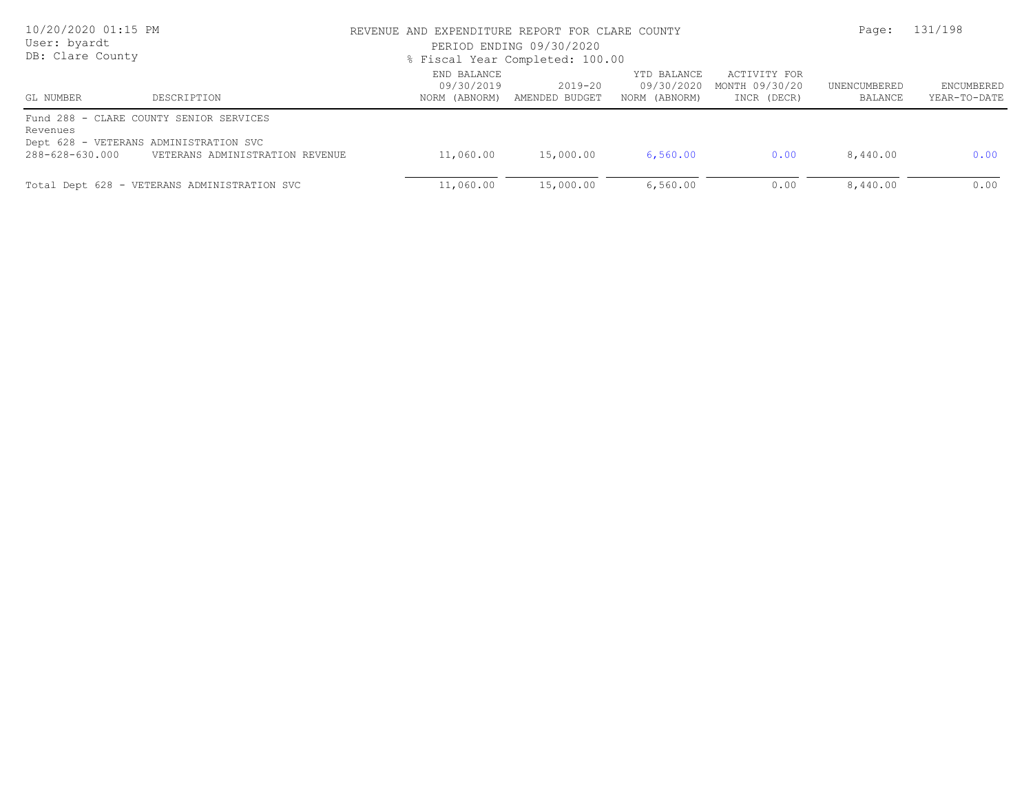| 10/20/2020 01:15 PM<br>User: byardt<br>DB: Clare County |                                                                                                                      | REVENUE AND EXPENDITURE REPORT FOR CLARE COUNTY<br>PERIOD ENDING 09/30/2020<br>% Fiscal Year Completed: 100.00 | Page:                     | 131/198                                    |                                               |                         |                            |
|---------------------------------------------------------|----------------------------------------------------------------------------------------------------------------------|----------------------------------------------------------------------------------------------------------------|---------------------------|--------------------------------------------|-----------------------------------------------|-------------------------|----------------------------|
| GL NUMBER<br>DESCRIPTION                                |                                                                                                                      | END BALANCE<br>09/30/2019<br>NORM (ABNORM)                                                                     | 2019-20<br>AMENDED BUDGET | YTD BALANCE<br>09/30/2020<br>NORM (ABNORM) | ACTIVITY FOR<br>MONTH 09/30/20<br>INCR (DECR) | UNENCUMBERED<br>BALANCE | ENCUMBERED<br>YEAR-TO-DATE |
| Revenues<br>288-628-630.000                             | Fund 288 - CLARE COUNTY SENIOR SERVICES<br>Dept 628 - VETERANS ADMINISTRATION SVC<br>VETERANS ADMINISTRATION REVENUE | 11,060.00                                                                                                      | 15,000.00                 | 6,560.00                                   | 0.00                                          | 8,440.00                | 0.00                       |
|                                                         | Total Dept 628 - VETERANS ADMINISTRATION SVC                                                                         | 11,060.00                                                                                                      | 15,000.00                 | 6,560.00                                   | 0.00                                          | 8,440.00                | 0.00                       |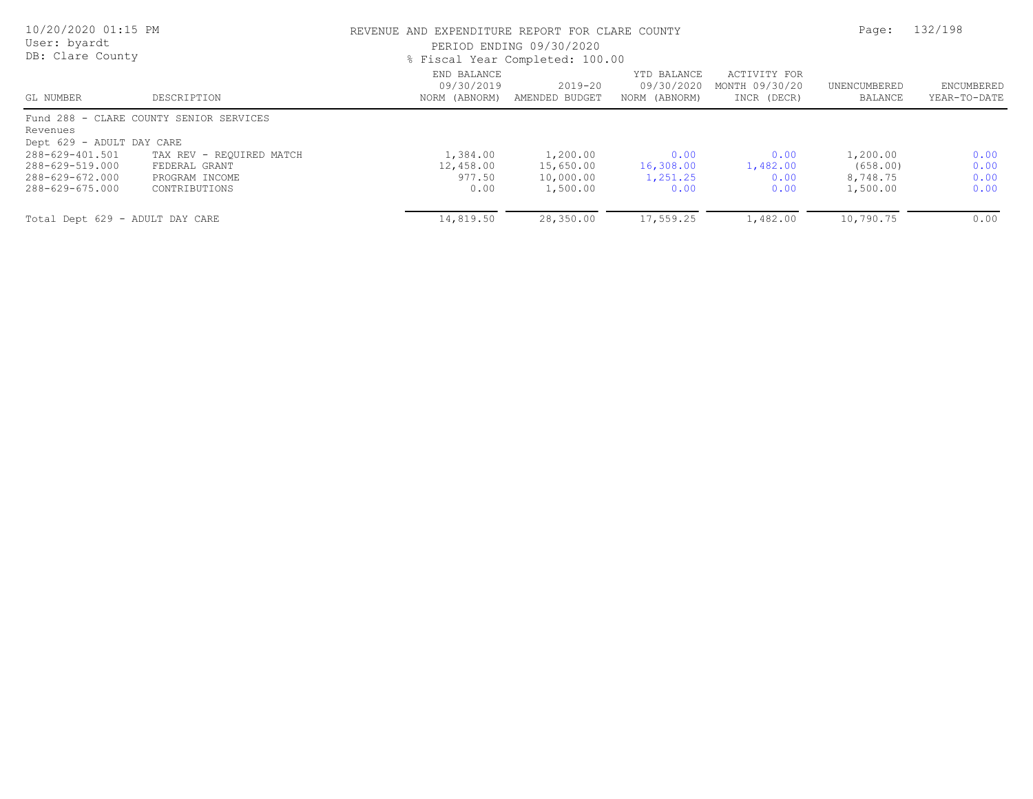| 10/20/2020 01:15 PM<br>User: byardt<br>DB: Clare County |                                         |                                            | REVENUE AND EXPENDITURE REPORT FOR CLARE COUNTY<br>PERIOD ENDING 09/30/2020<br>% Fiscal Year Completed: 100.00 |                                            |                                               |                         |                            |
|---------------------------------------------------------|-----------------------------------------|--------------------------------------------|----------------------------------------------------------------------------------------------------------------|--------------------------------------------|-----------------------------------------------|-------------------------|----------------------------|
| GL NUMBER                                               | DESCRIPTION                             | END BALANCE<br>09/30/2019<br>NORM (ABNORM) | 2019-20<br>AMENDED BUDGET                                                                                      | YTD BALANCE<br>09/30/2020<br>NORM (ABNORM) | ACTIVITY FOR<br>MONTH 09/30/20<br>INCR (DECR) | UNENCUMBERED<br>BALANCE | ENCUMBERED<br>YEAR-TO-DATE |
|                                                         | Fund 288 - CLARE COUNTY SENIOR SERVICES |                                            |                                                                                                                |                                            |                                               |                         |                            |
| Revenues                                                |                                         |                                            |                                                                                                                |                                            |                                               |                         |                            |
| Dept 629 - ADULT DAY CARE                               |                                         |                                            |                                                                                                                |                                            |                                               |                         |                            |
| 288-629-401.501                                         | TAX REV - REQUIRED MATCH                | 1,384.00                                   | 1,200.00                                                                                                       | 0.00                                       | 0.00                                          | 1,200.00                | 0.00                       |
| 288-629-519.000                                         | FEDERAL GRANT                           | 12,458.00                                  | 15,650.00                                                                                                      | 16,308.00                                  | 1,482.00                                      | (658.00)                | 0.00                       |
| 288-629-672.000                                         | PROGRAM INCOME                          | 977.50                                     | 10,000.00                                                                                                      | 1,251.25                                   | 0.00                                          | 8,748.75                | 0.00                       |
| 288-629-675.000                                         | CONTRIBUTIONS                           | 0.00                                       | 1,500.00                                                                                                       | 0.00                                       | 0.00                                          | 1,500.00                | 0.00                       |
| Total Dept 629 - ADULT DAY CARE                         |                                         | 14,819.50                                  | 28,350.00                                                                                                      | 17,559.25                                  | 1,482.00                                      | 10,790.75               | 0.00                       |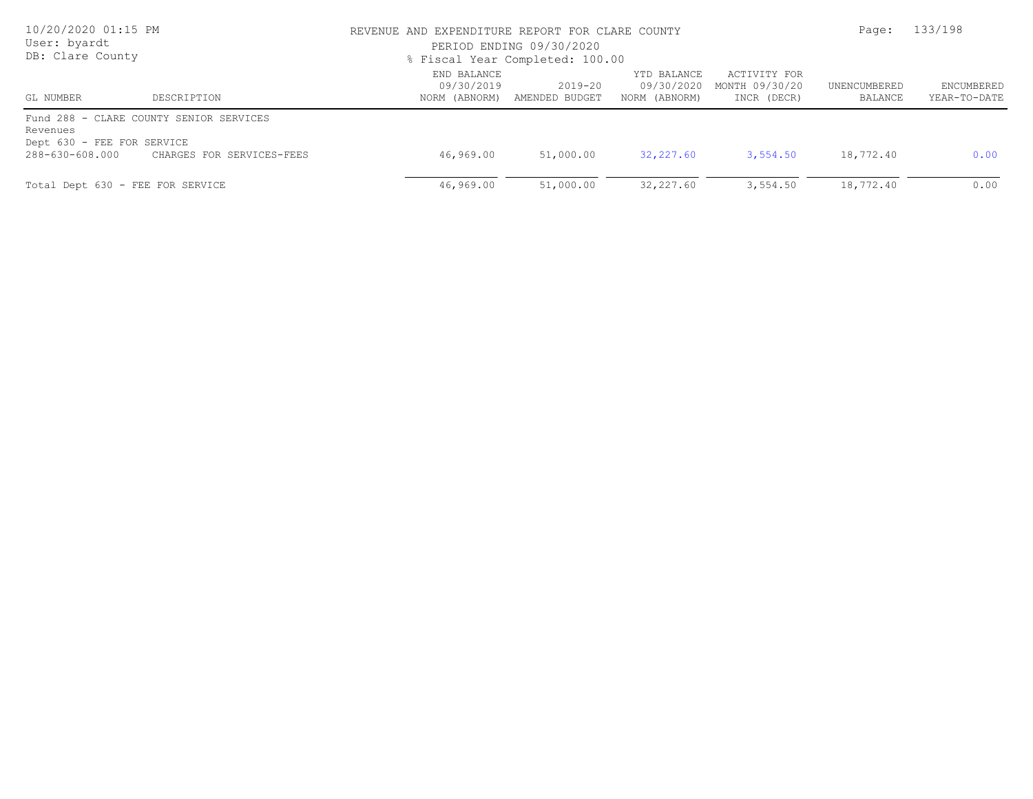| 10/20/2020 01:15 PM<br>User: byardt<br>DB: Clare County   |                                                                      | REVENUE AND EXPENDITURE REPORT FOR CLARE COUNTY<br>PERIOD ENDING 09/30/2020<br>% Fiscal Year Completed: 100.00 |                           | Page:                                      | 133/198                                       |                         |                            |
|-----------------------------------------------------------|----------------------------------------------------------------------|----------------------------------------------------------------------------------------------------------------|---------------------------|--------------------------------------------|-----------------------------------------------|-------------------------|----------------------------|
| GL NUMBER                                                 | DESCRIPTION                                                          | END BALANCE<br>09/30/2019<br>NORM (ABNORM)                                                                     | 2019-20<br>AMENDED BUDGET | YTD BALANCE<br>09/30/2020<br>NORM (ABNORM) | ACTIVITY FOR<br>MONTH 09/30/20<br>INCR (DECR) | UNENCUMBERED<br>BALANCE | ENCUMBERED<br>YEAR-TO-DATE |
| Revenues<br>Dept 630 - FEE FOR SERVICE<br>288-630-608.000 | Fund 288 - CLARE COUNTY SENIOR SERVICES<br>CHARGES FOR SERVICES-FEES | 46,969.00                                                                                                      | 51,000.00                 | 32,227.60                                  | 3,554.50                                      | 18,772.40               | 0.00                       |
|                                                           | Total Dept 630 - FEE FOR SERVICE                                     | 46,969.00                                                                                                      | 51,000.00                 | 32,227.60                                  | 3,554.50                                      | 18,772.40               | 0.00                       |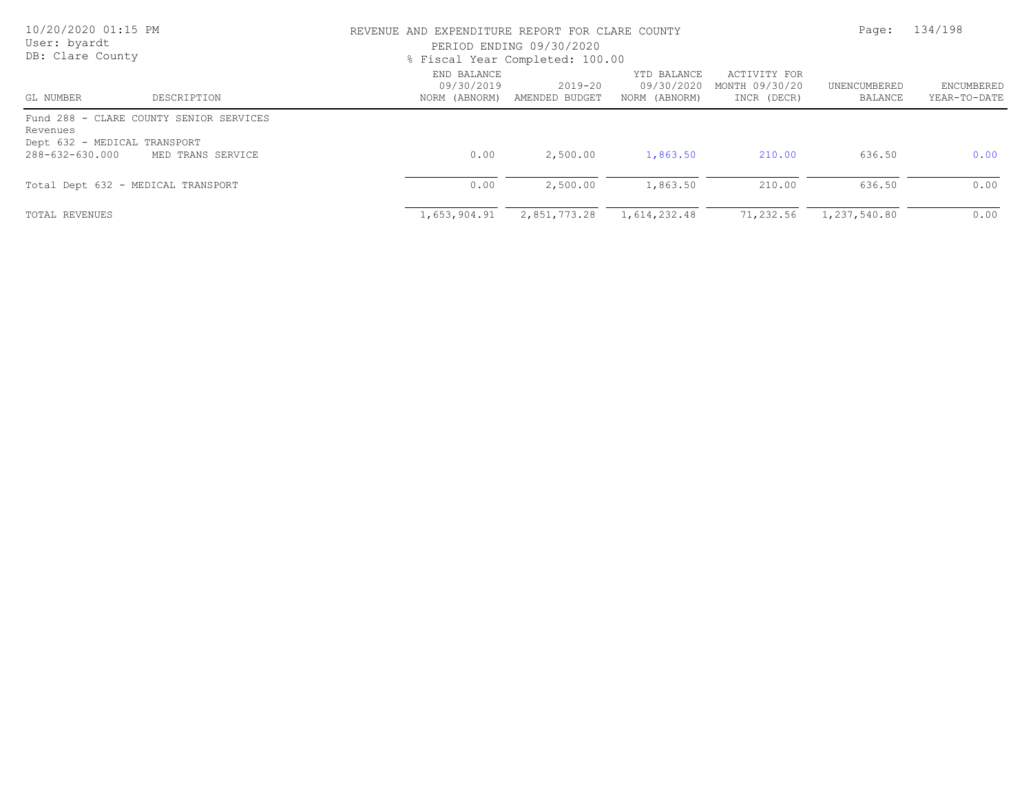| 10/20/2020 01:15 PM<br>User: byardt<br>DB: Clare County                                                                     |                           | REVENUE AND EXPENDITURE REPORT FOR CLARE COUNTY<br>PERIOD ENDING 09/30/2020<br>% Fiscal Year Completed: 100.00 |                                            |                                               |                         |                            |
|-----------------------------------------------------------------------------------------------------------------------------|---------------------------|----------------------------------------------------------------------------------------------------------------|--------------------------------------------|-----------------------------------------------|-------------------------|----------------------------|
| DESCRIPTION<br>GL NUMBER                                                                                                    | END BALANCE<br>09/30/2019 | 2019-20<br>NORM (ABNORM) AMENDED BUDGET                                                                        | YTD BALANCE<br>09/30/2020<br>NORM (ABNORM) | ACTIVITY FOR<br>MONTH 09/30/20<br>INCR (DECR) | UNENCUMBERED<br>BALANCE | ENCUMBERED<br>YEAR-TO-DATE |
| Fund 288 - CLARE COUNTY SENIOR SERVICES<br>Revenues<br>Dept 632 - MEDICAL TRANSPORT<br>288-632-630.000<br>MED TRANS SERVICE | 0.00                      | 2,500.00                                                                                                       | 1,863.50                                   | 210.00                                        | 636.50                  | 0.00                       |
| Total Dept 632 - MEDICAL TRANSPORT                                                                                          | 0.00                      | 2,500.00                                                                                                       | 1,863.50                                   | 210.00                                        | 636.50                  | 0.00                       |
| TOTAL REVENUES                                                                                                              | 1,653,904.91              | 2,851,773.28                                                                                                   | 1,614,232.48                               | 71,232.56                                     | 1,237,540.80            | 0.00                       |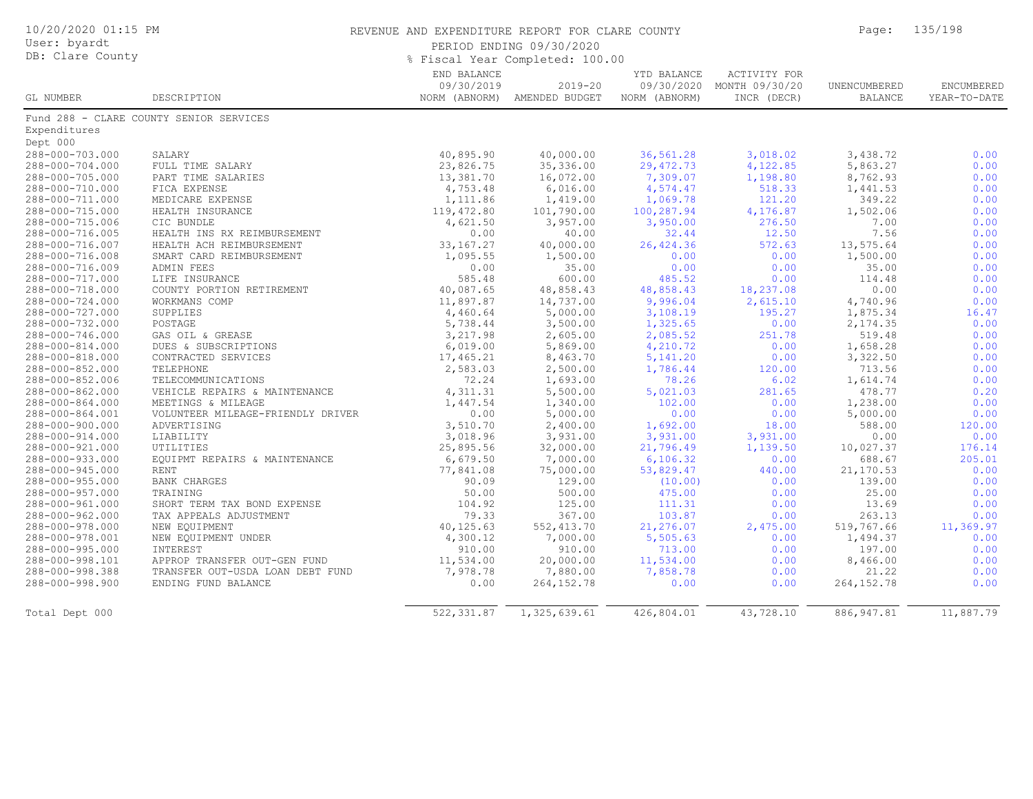| 10/20/2020 01:15 PM<br>User: byardt<br>DB: Clare County |                                         | REVENUE AND EXPENDITURE REPORT FOR CLARE COUNTY<br>PERIOD ENDING 09/30/2020<br>% Fiscal Year Completed: 100.00 |                                             |                                            |                                               |                                | 135/198                    |
|---------------------------------------------------------|-----------------------------------------|----------------------------------------------------------------------------------------------------------------|---------------------------------------------|--------------------------------------------|-----------------------------------------------|--------------------------------|----------------------------|
| GL NUMBER                                               | DESCRIPTION                             | END BALANCE<br>09/30/2019                                                                                      | $2019 - 20$<br>NORM (ABNORM) AMENDED BUDGET | YTD BALANCE<br>09/30/2020<br>NORM (ABNORM) | ACTIVITY FOR<br>MONTH 09/30/20<br>INCR (DECR) | UNENCUMBERED<br><b>BALANCE</b> | ENCUMBERED<br>YEAR-TO-DATE |
|                                                         | Fund 288 - CLARE COUNTY SENIOR SERVICES |                                                                                                                |                                             |                                            |                                               |                                |                            |
| Expenditures                                            |                                         |                                                                                                                |                                             |                                            |                                               |                                |                            |
| Dept 000                                                |                                         |                                                                                                                |                                             |                                            |                                               |                                |                            |
| 288-000-703.000                                         | SALARY                                  | 40,895.90                                                                                                      | 40,000.00                                   | 36,561.28                                  | 3,018.02                                      | 3,438.72                       | 0.00                       |
| 288-000-704.000                                         | FULL TIME SALARY                        | 23,826.75                                                                                                      | 35,336.00                                   | 29, 472.73                                 | 4,122.85                                      | 5,863.27                       | 0.00                       |
| 288-000-705.000                                         | PART TIME SALARIES                      | 13,381.70                                                                                                      | 16,072.00                                   | 7,309.07                                   | 1,198.80                                      | 8,762.93                       | 0.00                       |
| 288-000-710.000                                         | FICA EXPENSE                            | 4,753.48                                                                                                       | 6,016.00                                    | 4,574.47                                   | 518.33                                        | 1,441.53                       | 0.00                       |
| 288-000-711.000                                         | MEDICARE EXPENSE                        | 1,111.86                                                                                                       | 1,419.00                                    | 1,069.78                                   | 121.20                                        | 349.22                         | 0.00                       |
| 288-000-715.000                                         | HEALTH INSURANCE                        | 119,472.80                                                                                                     | 101,790.00                                  | 100,287.94                                 | 4,176.87                                      | 1,502.06                       | 0.00                       |
| 288-000-715.006                                         | CIC BUNDLE                              | 4,621.50                                                                                                       | 3,957.00                                    | 3,950.00                                   | 276.50                                        | 7.00                           | 0.00                       |
| 288-000-716.005                                         | HEALTH INS RX REIMBURSEMENT             | 0.00                                                                                                           | 40.00                                       | 32.44                                      | 12.50                                         | 7.56                           | 0.00                       |
| 288-000-716.007                                         | HEALTH ACH REIMBURSEMENT                | 33, 167. 27                                                                                                    | 40,000.00                                   | 26,424.36                                  | 572.63                                        | 13,575.64                      | 0.00                       |
| 288-000-716.008                                         | SMART CARD REIMBURSEMENT                | 1,095.55                                                                                                       | 1,500.00                                    | 0.00                                       | 0.00                                          | 1,500.00                       | 0.00                       |
| 288-000-716.009                                         | ADMIN FEES                              | 0.00                                                                                                           | 35.00                                       | 0.00                                       | 0.00                                          | 35.00                          | 0.00                       |
| 288-000-717.000                                         | LIFE INSURANCE                          | 585.48                                                                                                         | 600.00                                      | 485.52                                     | 0.00                                          | 114.48                         | 0.00                       |
| 288-000-718.000                                         | COUNTY PORTION RETIREMENT               | 40,087.65                                                                                                      | 48,858.43                                   | 48,858.43                                  | 18,237.08                                     | 0.00                           | 0.00                       |
| 288-000-724.000                                         | WORKMANS COMP                           | 11,897.87                                                                                                      | 14,737.00                                   | 9,996.04                                   | 2,615.10                                      | 4,740.96                       | 0.00                       |
| 288-000-727.000                                         | SUPPLIES                                | 4,460.64                                                                                                       | 5,000.00                                    | 3,108.19                                   | 195.27                                        | 1,875.34                       | 16.47                      |
| 288-000-732.000                                         | POSTAGE                                 | 5,738.44                                                                                                       | 3,500.00                                    | 1,325.65                                   | 0.00                                          | 2,174.35                       | 0.00                       |
| 288-000-746.000                                         | GAS OIL & GREASE                        | 3,217.98                                                                                                       | 2,605.00                                    | 2,085.52                                   | 251.78                                        | 519.48                         | 0.00                       |
| 288-000-814.000                                         | DUES & SUBSCRIPTIONS                    | 6,019.00                                                                                                       | 5,869.00                                    | 4,210.72                                   | 0.00                                          | 1,658.28                       | 0.00                       |
| 288-000-818.000                                         | CONTRACTED SERVICES                     | 17,465.21                                                                                                      | 8,463.70                                    | 5, 141.20                                  | 0.00                                          | 3,322.50                       | 0.00                       |
| 288-000-852.000                                         | TELEPHONE                               | 2,583.03                                                                                                       | 2,500.00                                    | 1,786.44                                   | 120.00                                        | 713.56                         | 0.00                       |
| 288-000-852.006                                         | TELECOMMUNICATIONS                      | 72.24                                                                                                          | 1,693.00                                    | 78.26                                      | 6.02                                          | 1,614.74                       | 0.00                       |
| 288-000-862.000                                         | VEHICLE REPAIRS & MAINTENANCE           | 4, 311.31                                                                                                      |                                             | 5,021.03                                   | 281.65                                        | 478.77                         | 0.20                       |
| 288-000-864.000                                         | MEETINGS & MILEAGE                      | 1,447.54                                                                                                       | 5,500.00<br>1,340.00                        | 102.00                                     | 0.00                                          | 1,238.00                       | 0.00                       |
|                                                         |                                         | 0.00                                                                                                           |                                             |                                            | 0.00                                          |                                | 0.00                       |
| 288-000-864.001                                         | VOLUNTEER MILEAGE-FRIENDLY DRIVER       |                                                                                                                | 5,000.00                                    | 0.00                                       |                                               | 5,000.00<br>588.00             |                            |
| 288-000-900.000                                         | ADVERTISING                             | 3,510.70                                                                                                       | 2,400.00                                    | 1,692.00                                   | 18.00                                         |                                | 120.00<br>0.00             |
| 288-000-914.000                                         | LIABILITY                               | 3,018.96                                                                                                       | 3,931.00                                    | 3,931.00                                   | 3,931.00                                      | 0.00                           |                            |
| 288-000-921.000                                         | UTILITIES                               | 25,895.56                                                                                                      | 32,000.00                                   | 21,796.49                                  | 1,139.50                                      | 10,027.37                      | 176.14                     |
| 288-000-933.000                                         | EQUIPMT REPAIRS & MAINTENANCE           | 6,679.50                                                                                                       | 7,000.00                                    | 6, 106.32                                  | 0.00                                          | 688.67                         | 205.01                     |
| 288-000-945.000                                         | <b>RENT</b>                             | 77,841.08                                                                                                      | 75,000.00                                   | 53,829.47                                  | 440.00                                        | 21,170.53                      | 0.00                       |
| 288-000-955.000                                         | BANK CHARGES                            | 90.09                                                                                                          | 129.00                                      | (10.00)                                    | 0.00                                          | 139.00                         | 0.00                       |
| 288-000-957.000                                         | TRAINING                                | 50.00                                                                                                          | 500.00                                      | 475.00                                     | 0.00                                          | 25.00                          | 0.00                       |
| 288-000-961.000                                         | SHORT TERM TAX BOND EXPENSE             | 104.92                                                                                                         | 125.00                                      | 111.31                                     | 0.00                                          | 13.69                          | 0.00                       |
| 288-000-962.000                                         | TAX APPEALS ADJUSTMENT                  | 79.33                                                                                                          | 367.00                                      | 103.87                                     | 0.00                                          | 263.13                         | 0.00                       |
| 288-000-978.000                                         | NEW EQUIPMENT                           | 40,125.63                                                                                                      | 552, 413.70                                 | 21,276.07                                  | 2,475.00                                      | 519,767.66                     | 11,369.97                  |
| 288-000-978.001                                         | NEW EQUIPMENT UNDER                     | 4,300.12                                                                                                       | 7,000.00                                    | 5,505.63                                   | 0.00                                          | 1,494.37                       | 0.00                       |
| 288-000-995.000                                         | INTEREST                                | 910.00                                                                                                         | 910.00                                      | 713.00                                     | 0.00                                          | 197.00                         | 0.00                       |
| 288-000-998.101                                         | APPROP TRANSFER OUT-GEN FUND            | 11,534.00                                                                                                      | 20,000.00                                   | 11,534.00                                  | 0.00                                          | 8,466.00                       | 0.00                       |
| 288-000-998.388                                         | TRANSFER OUT-USDA LOAN DEBT FUND        | 7,978.78                                                                                                       | 7,880.00                                    | 7,858.78                                   | 0.00                                          | 21.22                          | 0.00                       |
| 288-000-998.900                                         | ENDING FUND BALANCE                     | 0.00                                                                                                           | 264, 152.78                                 | 0.00                                       | 0.00                                          | 264, 152.78                    | 0.00                       |
| Total Dept 000                                          |                                         | 522, 331.87                                                                                                    | 1,325,639.61                                | 426,804.01                                 | 43,728.10                                     | 886, 947.81                    | 11,887.79                  |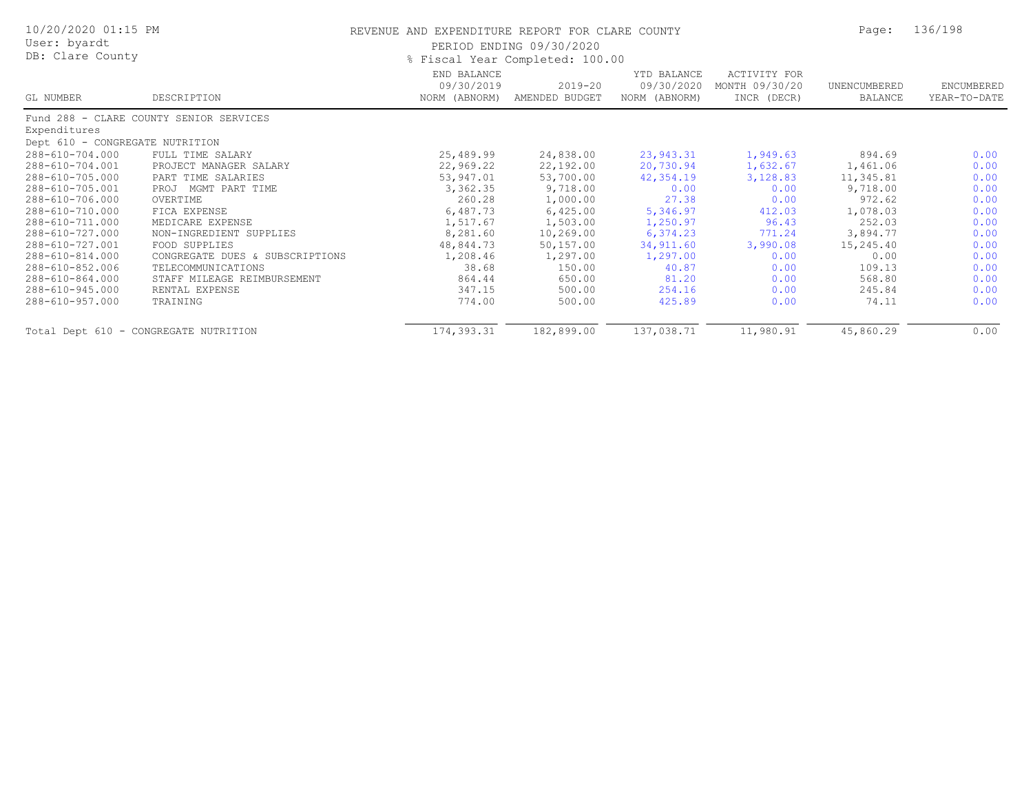| 10/20/2020 01:15 PM<br>User: byardt<br>DB: Clare County |                                         | REVENUE AND EXPENDITURE REPORT FOR CLARE COUNTY<br>PERIOD ENDING 09/30/2020<br>% Fiscal Year Completed: 100.00 | Page:                         | 136/198                                    |                                               |                         |                            |
|---------------------------------------------------------|-----------------------------------------|----------------------------------------------------------------------------------------------------------------|-------------------------------|--------------------------------------------|-----------------------------------------------|-------------------------|----------------------------|
| GL NUMBER                                               | DESCRIPTION                             | END BALANCE<br>09/30/2019<br>NORM (ABNORM)                                                                     | $2019 - 20$<br>AMENDED BUDGET | YTD BALANCE<br>09/30/2020<br>NORM (ABNORM) | ACTIVITY FOR<br>MONTH 09/30/20<br>INCR (DECR) | UNENCUMBERED<br>BALANCE | ENCUMBERED<br>YEAR-TO-DATE |
|                                                         | Fund 288 - CLARE COUNTY SENIOR SERVICES |                                                                                                                |                               |                                            |                                               |                         |                            |
| Expenditures                                            |                                         |                                                                                                                |                               |                                            |                                               |                         |                            |
| Dept 610 - CONGREGATE NUTRITION                         |                                         |                                                                                                                |                               |                                            |                                               |                         |                            |
| 288-610-704.000                                         | FULL TIME SALARY                        | 25,489.99                                                                                                      | 24,838.00                     | 23,943.31                                  | 1,949.63                                      | 894.69                  | 0.00                       |
| 288-610-704.001                                         | PROJECT MANAGER SALARY                  | 22,969.22                                                                                                      | 22,192.00                     | 20,730.94                                  | 1,632.67                                      | 1,461.06                | 0.00                       |
| 288-610-705.000                                         | PART TIME SALARIES                      | 53,947.01                                                                                                      | 53,700.00                     | 42,354.19                                  | 3,128.83                                      | 11,345.81               | 0.00                       |
| 288-610-705.001                                         | PROJ MGMT PART TIME                     | 3,362.35                                                                                                       | 9,718.00                      | 0.00                                       | 0.00                                          | 9,718.00                | 0.00                       |
| 288-610-706.000                                         | OVERTIME                                | 260.28                                                                                                         | 1,000.00                      | 27.38                                      | 0.00                                          | 972.62                  | 0.00                       |
| 288-610-710.000                                         | FICA EXPENSE                            | 6,487.73                                                                                                       | 6,425.00                      | 5,346.97                                   | 412.03                                        | 1,078.03                | 0.00                       |
| 288-610-711.000                                         | MEDICARE EXPENSE                        | 1,517.67                                                                                                       | 1,503.00                      | 1,250.97                                   | 96.43                                         | 252.03                  | 0.00                       |
| 288-610-727.000                                         | NON-INGREDIENT SUPPLIES                 | 8,281.60                                                                                                       | 10,269.00                     | 6,374.23                                   | 771.24                                        | 3,894.77                | 0.00                       |
| 288-610-727.001                                         | FOOD SUPPLIES                           | 48,844.73                                                                                                      | 50,157.00                     | 34,911.60                                  | 3,990.08                                      | 15,245.40               | 0.00                       |
| 288-610-814.000                                         | CONGREGATE DUES & SUBSCRIPTIONS         | 1,208.46                                                                                                       | 1,297.00                      | 1,297.00                                   | 0.00                                          | 0.00                    | 0.00                       |
| 288-610-852.006                                         | TELECOMMUNICATIONS                      | 38.68                                                                                                          | 150.00                        | 40.87                                      | 0.00                                          | 109.13                  | 0.00                       |
| 288-610-864.000                                         | STAFF MILEAGE REIMBURSEMENT             | 864.44                                                                                                         | 650.00                        | 81.20                                      | 0.00                                          | 568.80                  | 0.00                       |
| 288-610-945.000                                         | RENTAL EXPENSE                          | 347.15                                                                                                         | 500.00                        | 254.16                                     | 0.00                                          | 245.84                  | 0.00                       |
| 288-610-957.000                                         | TRAINING                                | 774.00                                                                                                         | 500.00                        | 425.89                                     | 0.00                                          | 74.11                   | 0.00                       |
| Total Dept 610 - CONGREGATE NUTRITION                   |                                         | 174,393.31                                                                                                     | 182,899.00                    | 137,038.71                                 | 11,980.91                                     | 45,860.29               | 0.00                       |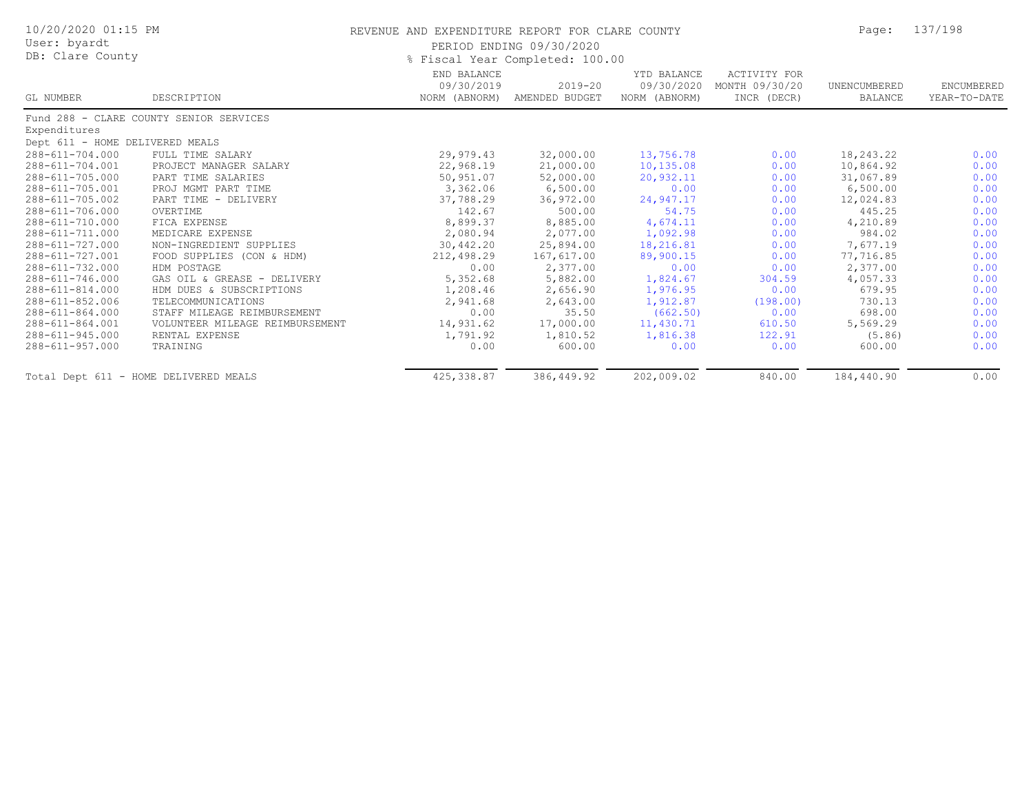| 10/20/2020 01:15 PM<br>User: byardt   |                                         | REVENUE AND EXPENDITURE REPORT FOR CLARE COUNTY | PERIOD ENDING 09/30/2020        |                                            |                                                      | Page:                   | 137/198                    |
|---------------------------------------|-----------------------------------------|-------------------------------------------------|---------------------------------|--------------------------------------------|------------------------------------------------------|-------------------------|----------------------------|
| DB: Clare County                      |                                         |                                                 | % Fiscal Year Completed: 100.00 |                                            |                                                      |                         |                            |
| GL NUMBER                             | DESCRIPTION                             | END BALANCE<br>09/30/2019<br>NORM (ABNORM)      | $2019 - 20$<br>AMENDED BUDGET   | YTD BALANCE<br>09/30/2020<br>NORM (ABNORM) | <b>ACTIVITY FOR</b><br>MONTH 09/30/20<br>INCR (DECR) | UNENCUMBERED<br>BALANCE | ENCUMBERED<br>YEAR-TO-DATE |
|                                       | Fund 288 - CLARE COUNTY SENIOR SERVICES |                                                 |                                 |                                            |                                                      |                         |                            |
| Expenditures                          |                                         |                                                 |                                 |                                            |                                                      |                         |                            |
| Dept 611 - HOME DELIVERED MEALS       |                                         |                                                 |                                 |                                            |                                                      |                         |                            |
| 288-611-704.000                       | FULL TIME SALARY                        | 29,979.43                                       | 32,000.00                       | 13,756.78                                  | 0.00                                                 | 18,243.22               | 0.00                       |
| 288-611-704.001                       | PROJECT MANAGER SALARY                  | 22,968.19                                       | 21,000.00                       | 10,135.08                                  | 0.00                                                 | 10,864.92               | 0.00                       |
| 288-611-705.000                       | PART TIME SALARIES                      | 50,951.07                                       | 52,000.00                       | 20,932.11                                  | 0.00                                                 | 31,067.89               | 0.00                       |
| 288-611-705.001                       | PROJ MGMT PART TIME                     | 3,362.06                                        | 6,500.00                        | 0.00                                       | 0.00                                                 | 6,500.00                | 0.00                       |
| 288-611-705.002                       | PART TIME - DELIVERY                    | 37,788.29                                       | 36,972.00                       | 24,947.17                                  | 0.00                                                 | 12,024.83               | 0.00                       |
| 288-611-706.000                       | OVERTIME                                | 142.67                                          | 500.00                          | 54.75                                      | 0.00                                                 | 445.25                  | 0.00                       |
| 288-611-710.000                       | FICA EXPENSE                            | 8,899.37                                        | 8,885.00                        | 4,674.11                                   | 0.00                                                 | 4,210.89                | 0.00                       |
| 288-611-711.000                       | MEDICARE EXPENSE                        | 2,080.94                                        | 2,077.00                        | 1,092.98                                   | 0.00                                                 | 984.02                  | 0.00                       |
| 288-611-727.000                       | NON-INGREDIENT SUPPLIES                 | 30,442.20                                       | 25,894.00                       | 18,216.81                                  | 0.00                                                 | 7,677.19                | 0.00                       |
| 288-611-727.001                       | FOOD SUPPLIES (CON & HDM)               | 212,498.29                                      | 167,617.00                      | 89,900.15                                  | 0.00                                                 | 77,716.85               | 0.00                       |
| 288-611-732.000                       | HDM POSTAGE                             | 0.00                                            | 2,377.00                        | 0.00                                       | 0.00                                                 | 2,377.00                | 0.00                       |
| 288-611-746.000                       | GAS OIL & GREASE - DELIVERY             | 5,352.68                                        | 5,882.00                        | 1,824.67                                   | 304.59                                               | 4,057.33                | 0.00                       |
| $288 - 611 - 814.000$                 | HDM DUES & SUBSCRIPTIONS                | 1,208.46                                        | 2,656.90                        | 1,976.95                                   | 0.00                                                 | 679.95                  | 0.00                       |
| 288-611-852.006                       | TELECOMMUNICATIONS                      | 2,941.68                                        | 2,643.00                        | 1,912.87                                   | (198.00)                                             | 730.13                  | 0.00                       |
| 288-611-864.000                       | STAFF MILEAGE REIMBURSEMENT             | 0.00                                            | 35.50                           | (662.50)                                   | 0.00                                                 | 698.00                  | 0.00                       |
| 288-611-864.001                       | VOLUNTEER MILEAGE REIMBURSEMENT         | 14,931.62                                       | 17,000.00                       | 11,430.71                                  | 610.50                                               | 5,569.29                | 0.00                       |
| 288-611-945.000                       | RENTAL EXPENSE                          | 1,791.92                                        | 1,810.52                        | 1,816.38                                   | 122.91                                               | (5.86)                  | 0.00                       |
| 288-611-957.000                       | TRAINING                                | 0.00                                            | 600.00                          | 0.00                                       | 0.00                                                 | 600.00                  | 0.00                       |
| Total Dept 611 - HOME DELIVERED MEALS |                                         | 425, 338.87                                     | 386, 449.92                     | 202,009.02                                 | 840.00                                               | 184,440.90              | 0.00                       |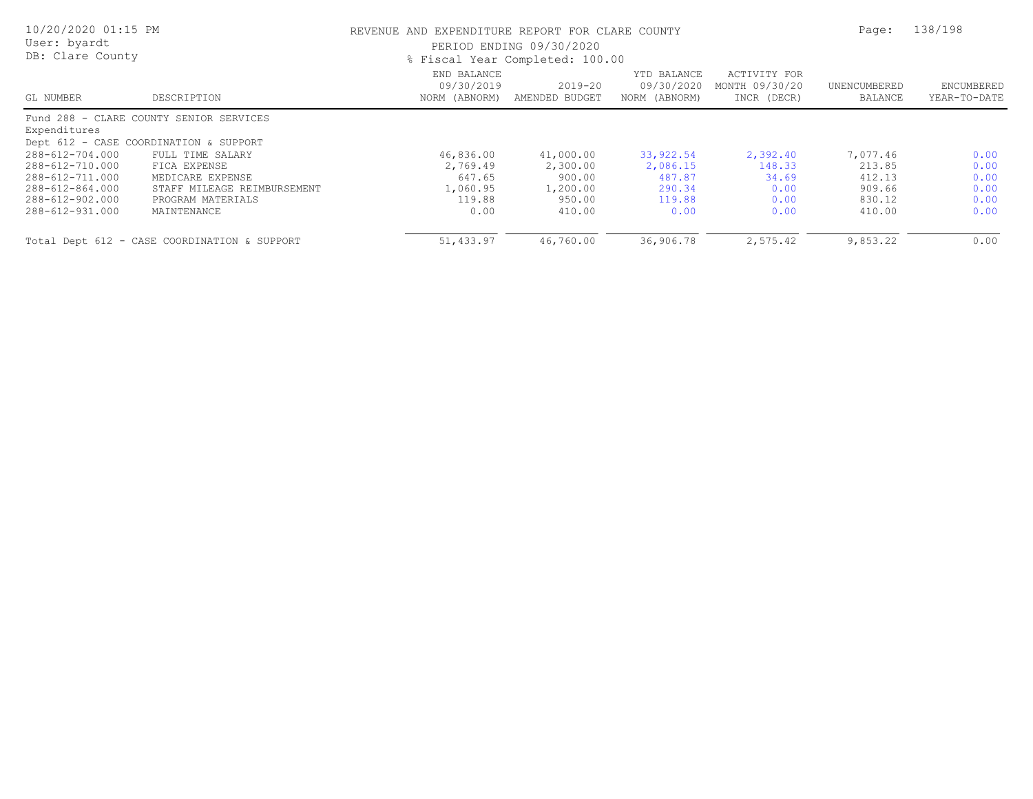| 10/20/2020 01:15 PM<br>User: byardt<br>DB: Clare County |                                              | REVENUE AND EXPENDITURE REPORT FOR CLARE COUNTY<br>PERIOD ENDING 09/30/2020<br>% Fiscal Year Completed: 100.00 | Page:                     | 138/198                                    |                                               |                         |                            |
|---------------------------------------------------------|----------------------------------------------|----------------------------------------------------------------------------------------------------------------|---------------------------|--------------------------------------------|-----------------------------------------------|-------------------------|----------------------------|
| GL NUMBER                                               | DESCRIPTION                                  | END BALANCE<br>09/30/2019<br>NORM (ABNORM)                                                                     | 2019-20<br>AMENDED BUDGET | YTD BALANCE<br>09/30/2020<br>NORM (ABNORM) | ACTIVITY FOR<br>MONTH 09/30/20<br>INCR (DECR) | UNENCUMBERED<br>BALANCE | ENCUMBERED<br>YEAR-TO-DATE |
|                                                         | Fund 288 - CLARE COUNTY SENIOR SERVICES      |                                                                                                                |                           |                                            |                                               |                         |                            |
| Expenditures                                            |                                              |                                                                                                                |                           |                                            |                                               |                         |                            |
|                                                         | Dept 612 - CASE COORDINATION & SUPPORT       |                                                                                                                |                           |                                            |                                               |                         |                            |
| 288-612-704.000                                         | FULL TIME SALARY                             | 46,836.00                                                                                                      | 41,000.00                 | 33,922.54                                  | 2,392.40                                      | 7,077.46                | 0.00                       |
| 288-612-710.000                                         | FICA EXPENSE                                 | 2,769.49                                                                                                       | 2,300.00                  | 2,086.15                                   | 148.33                                        | 213.85                  | 0.00                       |
| 288-612-711.000                                         | MEDICARE EXPENSE                             | 647.65                                                                                                         | 900.00                    | 487.87                                     | 34.69                                         | 412.13                  | 0.00                       |
| 288-612-864.000                                         | STAFF MILEAGE REIMBURSEMENT                  | 1,060.95                                                                                                       | 1,200.00                  | 290.34                                     | 0.00                                          | 909.66                  | 0.00                       |
| 288-612-902.000                                         | PROGRAM MATERIALS                            | 119.88                                                                                                         | 950.00                    | 119.88                                     | 0.00                                          | 830.12                  | 0.00                       |
| 288-612-931.000                                         | MAINTENANCE                                  | 0.00                                                                                                           | 410.00                    | 0.00                                       | 0.00                                          | 410.00                  | 0.00                       |
|                                                         | Total Dept 612 - CASE COORDINATION & SUPPORT | 51,433.97                                                                                                      | 46,760.00                 | 36,906.78                                  | 2,575.42                                      | 9,853.22                | 0.00                       |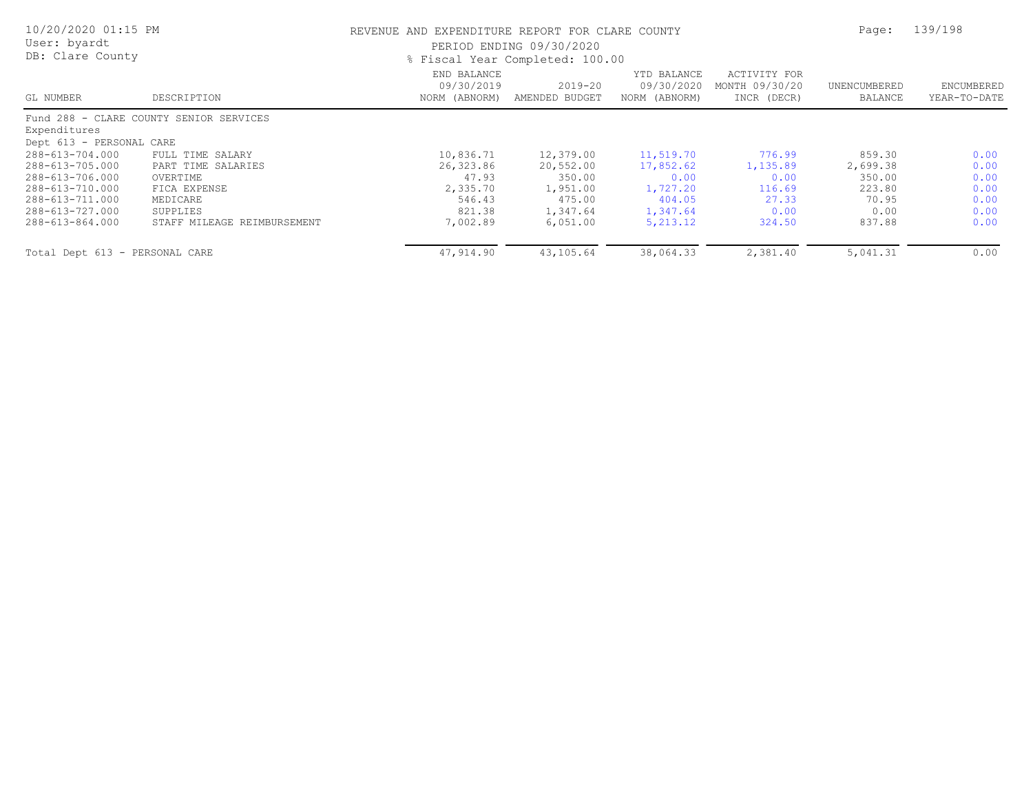| 10/20/2020 01:15 PM<br>User: byardt<br>DB: Clare County |                                         | REVENUE AND EXPENDITURE REPORT FOR CLARE COUNTY | PERIOD ENDING 09/30/2020<br>% Fiscal Year Completed: 100.00 |                                            |                                               | Page:                   | 139/198                    |
|---------------------------------------------------------|-----------------------------------------|-------------------------------------------------|-------------------------------------------------------------|--------------------------------------------|-----------------------------------------------|-------------------------|----------------------------|
| GL NUMBER                                               | DESCRIPTION                             | END BALANCE<br>09/30/2019<br>NORM (ABNORM)      | $2019 - 20$<br>AMENDED BUDGET                               | YTD BALANCE<br>09/30/2020<br>NORM (ABNORM) | ACTIVITY FOR<br>MONTH 09/30/20<br>INCR (DECR) | UNENCUMBERED<br>BALANCE | ENCUMBERED<br>YEAR-TO-DATE |
|                                                         | Fund 288 - CLARE COUNTY SENIOR SERVICES |                                                 |                                                             |                                            |                                               |                         |                            |
| Expenditures                                            |                                         |                                                 |                                                             |                                            |                                               |                         |                            |
| Dept 613 - PERSONAL CARE                                |                                         |                                                 |                                                             |                                            |                                               |                         |                            |
| 288-613-704.000                                         | FULL TIME SALARY                        | 10,836.71                                       | 12,379.00                                                   | 11,519.70                                  | 776.99                                        | 859.30                  | 0.00                       |
| 288-613-705.000                                         | PART TIME SALARIES                      | 26,323.86                                       | 20,552.00                                                   | 17,852.62                                  | 1,135.89                                      | 2,699.38                | 0.00                       |
| 288-613-706.000                                         | OVERTIME                                | 47.93                                           | 350.00                                                      | 0.00                                       | 0.00                                          | 350.00                  | 0.00                       |
| 288-613-710.000                                         | FICA EXPENSE                            | 2,335.70                                        | 1,951.00                                                    | 1,727.20                                   | 116.69                                        | 223.80                  | 0.00                       |
| 288-613-711.000                                         | MEDICARE                                | 546.43                                          | 475.00                                                      | 404.05                                     | 27.33                                         | 70.95                   | 0.00                       |
| 288-613-727.000                                         | SUPPLIES                                | 821.38                                          | 1,347.64                                                    | 1,347.64                                   | 0.00                                          | 0.00                    | 0.00                       |
| 288-613-864.000                                         | STAFF MILEAGE REIMBURSEMENT             | 7,002.89                                        | 6,051,00                                                    | 5, 213.12                                  | 324.50                                        | 837.88                  | 0.00                       |
| Total Dept 613 - PERSONAL CARE                          |                                         | 47,914.90                                       | 43,105.64                                                   | 38,064.33                                  | 2,381.40                                      | 5,041.31                | 0.00                       |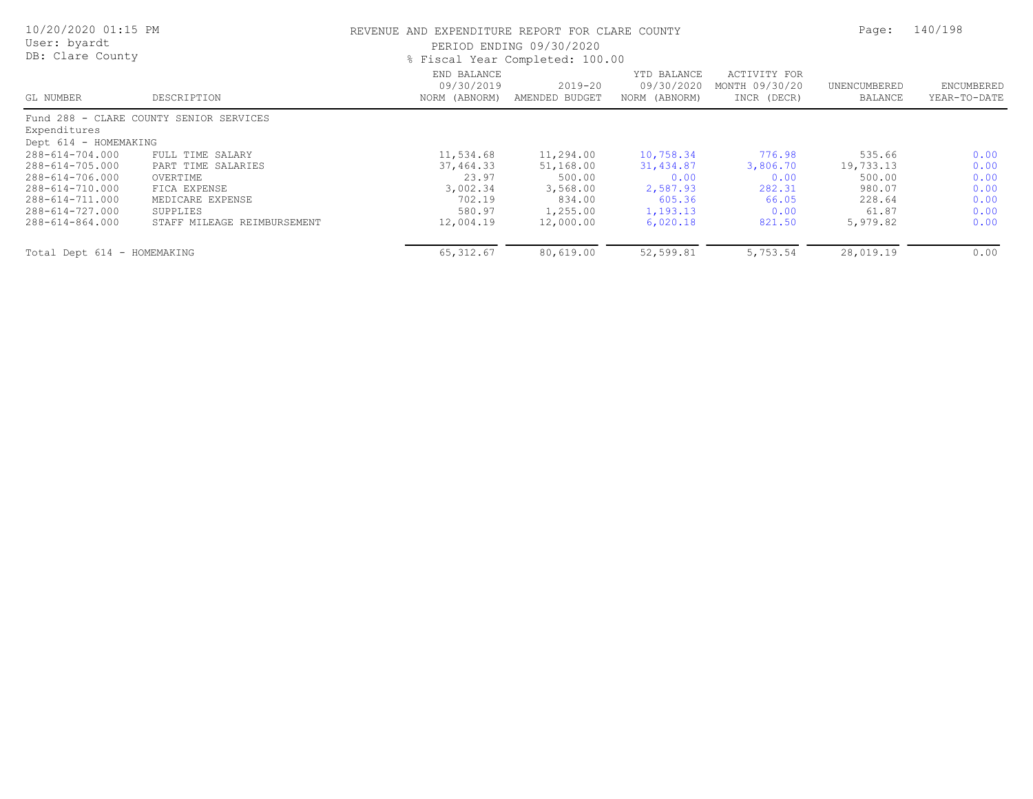| 10/20/2020 01:15 PM<br>User: byardt<br>DB: Clare County |                                         | REVENUE AND EXPENDITURE REPORT FOR CLARE COUNTY<br>PERIOD ENDING 09/30/2020<br>% Fiscal Year Completed: 100.00 | Page:                     | 140/198                                    |                                                      |                         |                            |
|---------------------------------------------------------|-----------------------------------------|----------------------------------------------------------------------------------------------------------------|---------------------------|--------------------------------------------|------------------------------------------------------|-------------------------|----------------------------|
| GL NUMBER                                               | DESCRIPTION                             | END BALANCE<br>09/30/2019<br>NORM (ABNORM)                                                                     | 2019-20<br>AMENDED BUDGET | YTD BALANCE<br>09/30/2020<br>NORM (ABNORM) | <b>ACTIVITY FOR</b><br>MONTH 09/30/20<br>INCR (DECR) | UNENCUMBERED<br>BALANCE | ENCUMBERED<br>YEAR-TO-DATE |
|                                                         | Fund 288 - CLARE COUNTY SENIOR SERVICES |                                                                                                                |                           |                                            |                                                      |                         |                            |
| Expenditures                                            |                                         |                                                                                                                |                           |                                            |                                                      |                         |                            |
| Dept 614 - HOMEMAKING                                   |                                         |                                                                                                                |                           |                                            |                                                      |                         |                            |
| 288-614-704.000                                         | FULL TIME SALARY                        | 11,534.68                                                                                                      | 11,294.00                 | 10,758.34                                  | 776.98                                               | 535.66                  | 0.00                       |
| 288-614-705.000                                         | PART TIME SALARIES                      | 37,464.33                                                                                                      | 51,168.00                 | 31,434.87                                  | 3,806.70                                             | 19,733.13               | 0.00                       |
| 288-614-706.000                                         | OVERTIME                                | 23.97                                                                                                          | 500.00                    | 0.00                                       | 0.00                                                 | 500.00                  | 0.00                       |
| 288-614-710.000                                         | FICA EXPENSE                            | 3,002.34                                                                                                       | 3,568.00                  | 2,587.93                                   | 282.31                                               | 980.07                  | 0.00                       |
| 288-614-711.000                                         | MEDICARE EXPENSE                        | 702.19                                                                                                         | 834.00                    | 605.36                                     | 66.05                                                | 228.64                  | 0.00                       |
| 288-614-727.000                                         | SUPPLIES                                | 580.97                                                                                                         | 1,255.00                  | 1,193.13                                   | 0.00                                                 | 61.87                   | 0.00                       |
| 288-614-864.000                                         | STAFF MILEAGE REIMBURSEMENT             | 12,004.19                                                                                                      | 12,000.00                 | 6,020.18                                   | 821.50                                               | 5,979.82                | 0.00                       |
| Total Dept 614 - HOMEMAKING                             |                                         | 65, 312.67                                                                                                     | 80,619.00                 | 52,599.81                                  | 5,753.54                                             | 28,019.19               | 0.00                       |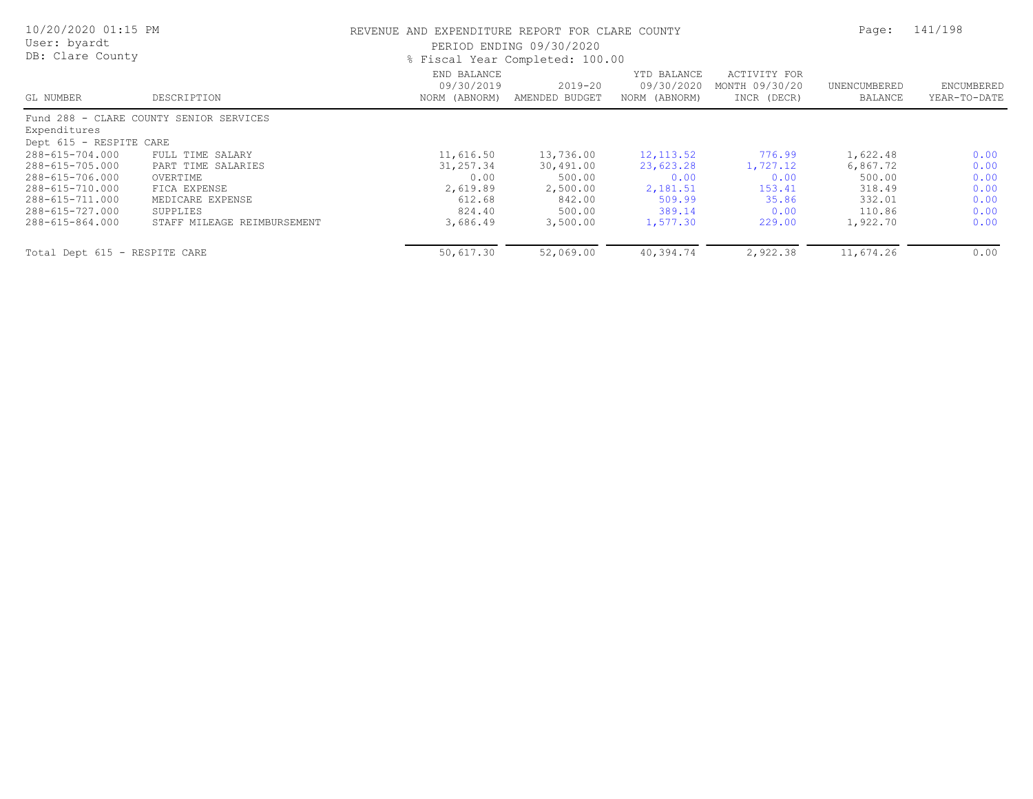| 10/20/2020 01:15 PM<br>User: byardt<br>DB: Clare County |                                         | REVENUE AND EXPENDITURE REPORT FOR CLARE COUNTY<br>PERIOD ENDING 09/30/2020<br>% Fiscal Year Completed: 100.00 |                               |                                            |                                               |                         | 141/198                    |
|---------------------------------------------------------|-----------------------------------------|----------------------------------------------------------------------------------------------------------------|-------------------------------|--------------------------------------------|-----------------------------------------------|-------------------------|----------------------------|
| GL NUMBER                                               | DESCRIPTION                             | END BALANCE<br>09/30/2019<br>NORM (ABNORM)                                                                     | $2019 - 20$<br>AMENDED BUDGET | YTD BALANCE<br>09/30/2020<br>NORM (ABNORM) | ACTIVITY FOR<br>MONTH 09/30/20<br>INCR (DECR) | UNENCUMBERED<br>BALANCE | ENCUMBERED<br>YEAR-TO-DATE |
|                                                         | Fund 288 - CLARE COUNTY SENIOR SERVICES |                                                                                                                |                               |                                            |                                               |                         |                            |
| Expenditures                                            |                                         |                                                                                                                |                               |                                            |                                               |                         |                            |
| Dept 615 - RESPITE CARE                                 |                                         |                                                                                                                |                               |                                            |                                               |                         |                            |
| 288-615-704.000                                         | FULL TIME SALARY                        | 11,616.50                                                                                                      | 13,736.00                     | 12, 113.52                                 | 776.99                                        | 1,622.48                | 0.00                       |
| 288-615-705.000                                         | PART TIME SALARIES                      | 31,257.34                                                                                                      | 30,491.00                     | 23,623.28                                  | 1,727.12                                      | 6,867.72                | 0.00                       |
| 288-615-706.000                                         | OVERTIME                                | 0.00                                                                                                           | 500.00                        | 0.00                                       | 0.00                                          | 500.00                  | 0.00                       |
| 288-615-710.000                                         | FICA EXPENSE                            | 2,619.89                                                                                                       | 2,500.00                      | 2,181.51                                   | 153.41                                        | 318.49                  | 0.00                       |
| 288-615-711.000                                         | MEDICARE EXPENSE                        | 612.68                                                                                                         | 842.00                        | 509.99                                     | 35.86                                         | 332.01                  | 0.00                       |
| 288-615-727.000                                         | SUPPLIES                                | 824.40                                                                                                         | 500.00                        | 389.14                                     | 0.00                                          | 110.86                  | 0.00                       |
| 288-615-864.000                                         | STAFF MILEAGE REIMBURSEMENT             | 3,686.49                                                                                                       | 3,500.00                      | 1,577.30                                   | 229.00                                        | 1,922.70                | 0.00                       |
| Total Dept 615 - RESPITE CARE                           |                                         | 50,617.30                                                                                                      | 52,069.00                     | 40,394.74                                  | 2,922.38                                      | 11,674.26               | 0.00                       |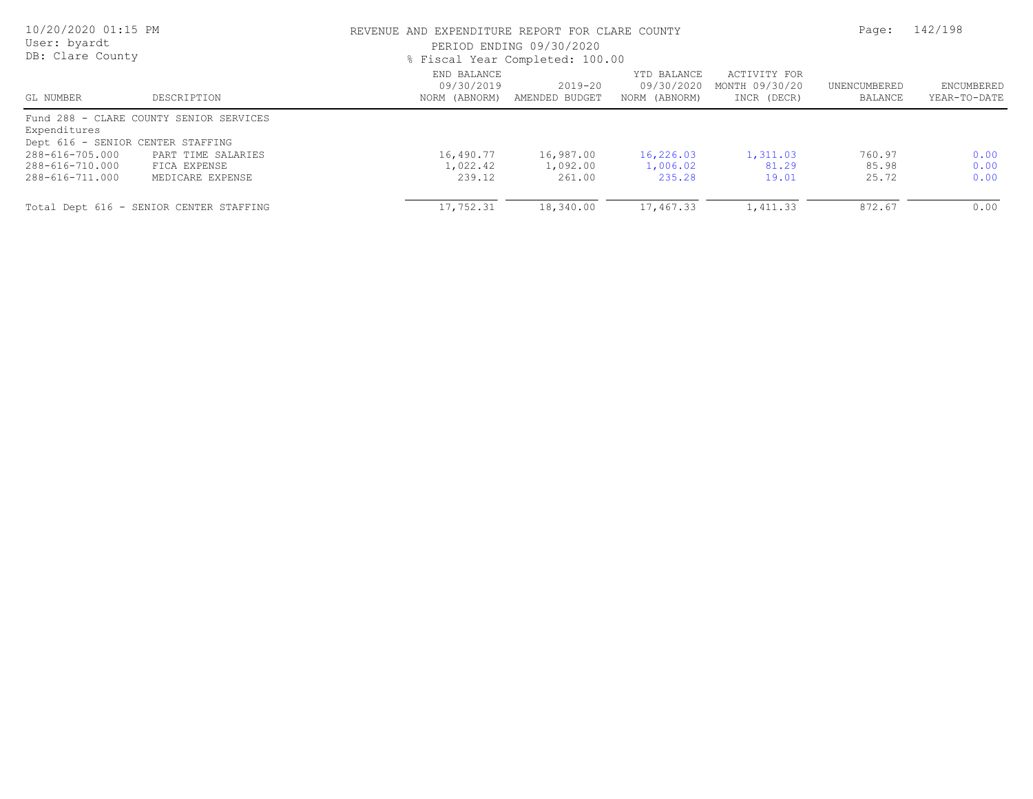| 10/20/2020 01:15 PM<br>User: byardt<br>DB: Clare County |                                         |                                            | REVENUE AND EXPENDITURE REPORT FOR CLARE COUNTY<br>PERIOD ENDING 09/30/2020<br>% Fiscal Year Completed: 100.00 |                                            |                                               |                         |                                   |
|---------------------------------------------------------|-----------------------------------------|--------------------------------------------|----------------------------------------------------------------------------------------------------------------|--------------------------------------------|-----------------------------------------------|-------------------------|-----------------------------------|
| GL NUMBER                                               | DESCRIPTION                             | END BALANCE<br>09/30/2019<br>NORM (ABNORM) | $2019 - 20$<br>AMENDED BUDGET                                                                                  | YTD BALANCE<br>09/30/2020<br>NORM (ABNORM) | ACTIVITY FOR<br>MONTH 09/30/20<br>INCR (DECR) | UNENCUMBERED<br>BALANCE | <b>ENCUMBERED</b><br>YEAR-TO-DATE |
| Expenditures                                            | Fund 288 - CLARE COUNTY SENIOR SERVICES |                                            |                                                                                                                |                                            |                                               |                         |                                   |
| Dept 616 - SENIOR CENTER STAFFING                       |                                         |                                            |                                                                                                                |                                            |                                               |                         |                                   |
| 288-616-705.000                                         | PART TIME SALARIES                      | 16,490.77                                  | 16,987.00                                                                                                      | 16,226.03                                  | 1,311.03                                      | 760.97                  | 0.00                              |
| 288-616-710.000                                         | FICA EXPENSE                            | 1,022.42                                   | 1,092.00                                                                                                       | 1,006.02                                   | 81.29                                         | 85.98                   | 0.00                              |
| 288-616-711.000                                         | MEDICARE EXPENSE                        | 239.12                                     | 261.00                                                                                                         | 235.28                                     | 19.01                                         | 25.72                   | 0.00                              |
|                                                         | Total Dept 616 - SENIOR CENTER STAFFING | 17,752.31                                  | 18,340.00                                                                                                      | 17,467.33                                  | 1,411.33                                      | 872.67                  | 0.00                              |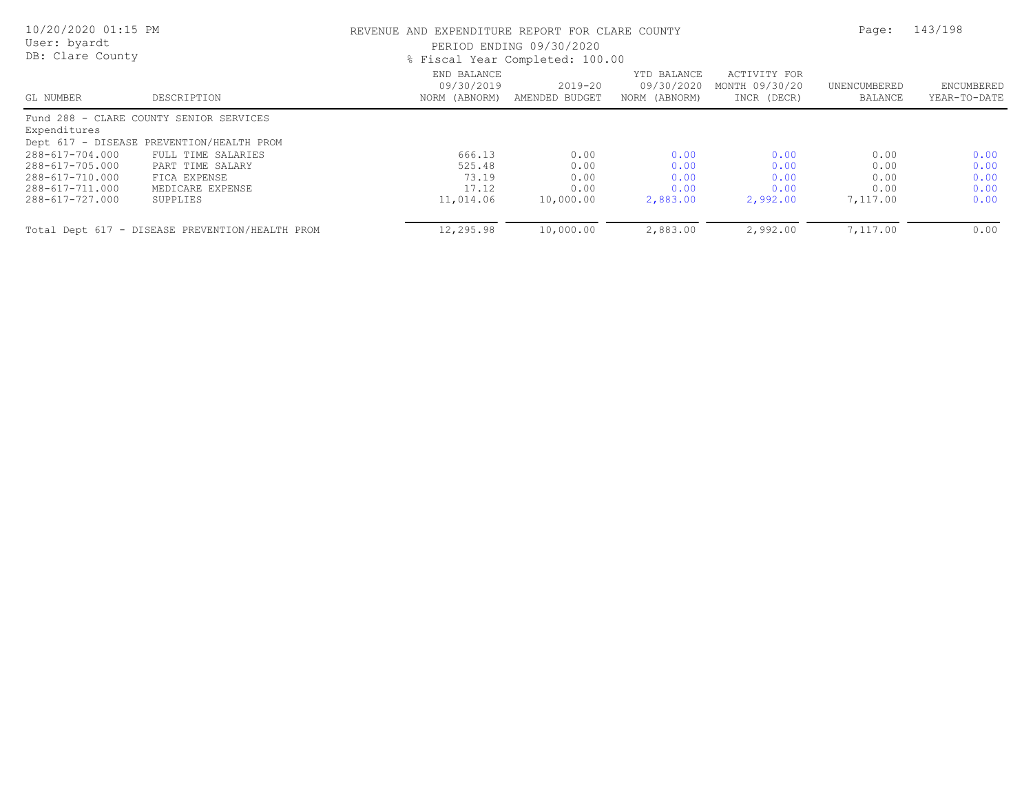| 10/20/2020 01:15 PM<br>User: byardt<br>DB: Clare County |                                                 | REVENUE AND EXPENDITURE REPORT FOR CLARE COUNTY<br>PERIOD ENDING 09/30/2020<br>% Fiscal Year Completed: 100.00 |                               |                                            |                                               |                         | 143/198                    |
|---------------------------------------------------------|-------------------------------------------------|----------------------------------------------------------------------------------------------------------------|-------------------------------|--------------------------------------------|-----------------------------------------------|-------------------------|----------------------------|
| GL NUMBER                                               | DESCRIPTION                                     | END BALANCE<br>09/30/2019<br>NORM (ABNORM)                                                                     | $2019 - 20$<br>AMENDED BUDGET | YTD BALANCE<br>09/30/2020<br>NORM (ABNORM) | ACTIVITY FOR<br>MONTH 09/30/20<br>INCR (DECR) | UNENCUMBERED<br>BALANCE | ENCUMBERED<br>YEAR-TO-DATE |
|                                                         | Fund 288 - CLARE COUNTY SENIOR SERVICES         |                                                                                                                |                               |                                            |                                               |                         |                            |
| Expenditures                                            | Dept 617 - DISEASE PREVENTION/HEALTH PROM       |                                                                                                                |                               |                                            |                                               |                         |                            |
| 288-617-704.000                                         | FULL TIME SALARIES                              | 666.13                                                                                                         | 0.00                          | 0.00                                       | 0.00                                          | 0.00                    | 0.00                       |
| 288-617-705.000                                         | PART TIME SALARY                                | 525.48                                                                                                         | 0.00                          | 0.00                                       | 0.00                                          | 0.00                    | 0.00                       |
| 288-617-710.000                                         | FICA EXPENSE                                    | 73.19                                                                                                          | 0.00                          | 0.00                                       | 0.00                                          | 0.00                    | 0.00                       |
| 288-617-711.000                                         | MEDICARE EXPENSE                                | 17.12                                                                                                          | 0.00                          | 0.00                                       | 0.00                                          | 0.00                    | 0.00                       |
| 288-617-727.000                                         | SUPPLIES                                        | 11,014.06                                                                                                      | 10,000.00                     | 2,883.00                                   | 2,992.00                                      | 7,117.00                | 0.00                       |
|                                                         | Total Dept 617 - DISEASE PREVENTION/HEALTH PROM | 12,295.98                                                                                                      | 10,000.00                     | 2,883.00                                   | 2,992.00                                      | 7,117.00                | 0.00                       |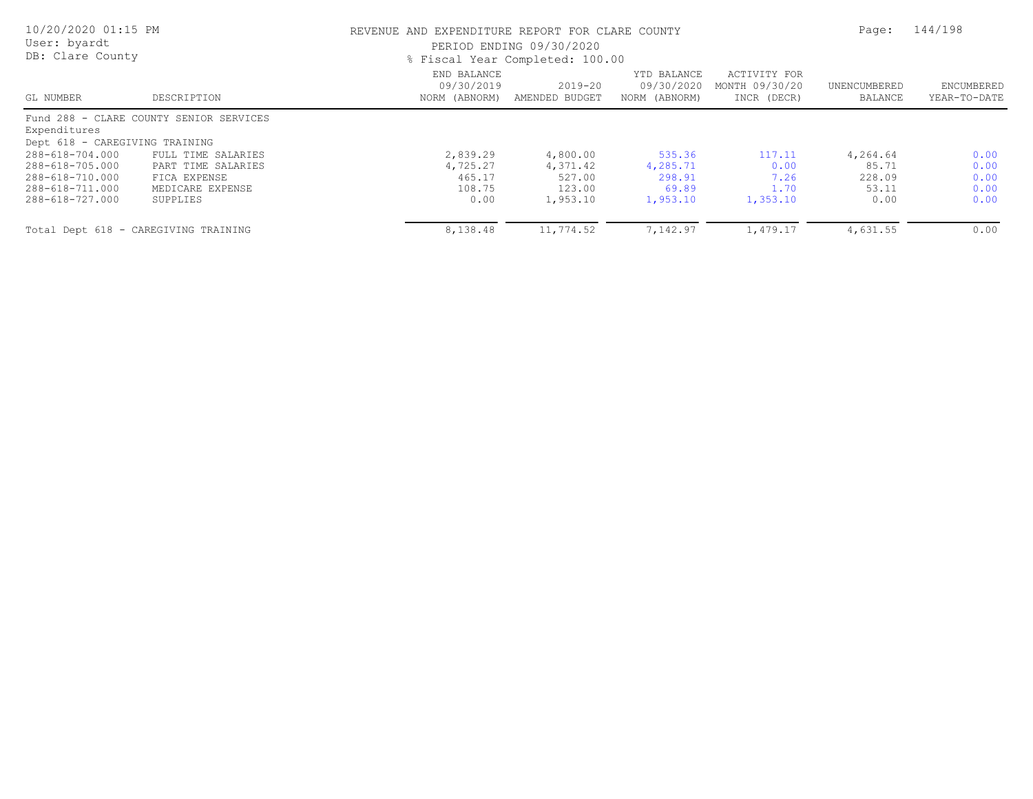| 10/20/2020 01:15 PM<br>User: byardt<br>DB: Clare County |                                         | REVENUE AND EXPENDITURE REPORT FOR CLARE COUNTY<br>PERIOD ENDING 09/30/2020<br>% Fiscal Year Completed: 100.00 | Page:                         | 144/198                                    |                                               |                         |                            |
|---------------------------------------------------------|-----------------------------------------|----------------------------------------------------------------------------------------------------------------|-------------------------------|--------------------------------------------|-----------------------------------------------|-------------------------|----------------------------|
| GL NUMBER                                               | DESCRIPTION                             | END BALANCE<br>09/30/2019<br>NORM (ABNORM)                                                                     | $2019 - 20$<br>AMENDED BUDGET | YTD BALANCE<br>09/30/2020<br>NORM (ABNORM) | ACTIVITY FOR<br>MONTH 09/30/20<br>INCR (DECR) | UNENCUMBERED<br>BALANCE | ENCUMBERED<br>YEAR-TO-DATE |
| Expenditures<br>Dept 618 - CAREGIVING TRAINING          | Fund 288 - CLARE COUNTY SENIOR SERVICES |                                                                                                                |                               |                                            |                                               |                         |                            |
| 288-618-704.000                                         | FULL TIME SALARIES                      | 2,839.29                                                                                                       | 4,800.00                      | 535.36                                     | 117.11                                        | 4,264.64                | 0.00                       |
| 288-618-705.000                                         | PART TIME SALARIES                      | 4,725.27                                                                                                       | 4,371.42                      | 4,285.71                                   | 0.00                                          | 85.71                   | 0.00                       |
| 288-618-710.000                                         | FICA EXPENSE                            | 465.17                                                                                                         | 527.00                        | 298.91                                     | 7.26                                          | 228.09                  | 0.00                       |
| 288-618-711.000                                         | MEDICARE EXPENSE                        | 108.75                                                                                                         | 123.00                        | 69.89                                      | 1.70                                          | 53.11                   | 0.00                       |
| 288-618-727.000                                         | SUPPLIES                                | 0.00                                                                                                           | 1,953.10                      | 1,953.10                                   | 1,353.10                                      | 0.00                    | 0.00                       |
|                                                         | Total Dept 618 - CAREGIVING TRAINING    | 8,138.48                                                                                                       | 11,774.52                     | 7,142.97                                   | 1,479.17                                      | 4,631.55                | 0.00                       |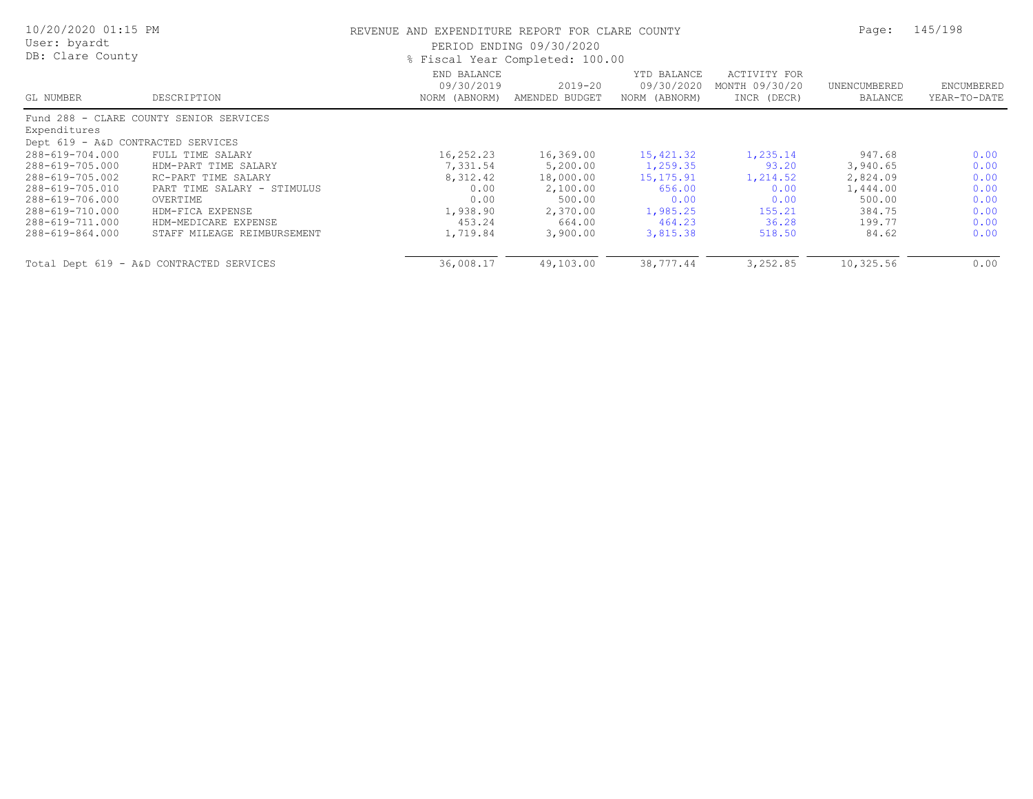| 10/20/2020 01:15 PM<br>User: byardt<br>DB: Clare County |                                          | REVENUE AND EXPENDITURE REPORT FOR CLARE COUNTY<br>PERIOD ENDING 09/30/2020<br>% Fiscal Year Completed: 100.00 | Page:                     | 145/198                                    |                                               |                         |                            |
|---------------------------------------------------------|------------------------------------------|----------------------------------------------------------------------------------------------------------------|---------------------------|--------------------------------------------|-----------------------------------------------|-------------------------|----------------------------|
| GL NUMBER                                               | DESCRIPTION                              | END BALANCE<br>09/30/2019<br>NORM (ABNORM)                                                                     | 2019-20<br>AMENDED BUDGET | YTD BALANCE<br>09/30/2020<br>NORM (ABNORM) | ACTIVITY FOR<br>MONTH 09/30/20<br>INCR (DECR) | UNENCUMBERED<br>BALANCE | ENCUMBERED<br>YEAR-TO-DATE |
|                                                         | Fund 288 - CLARE COUNTY SENIOR SERVICES  |                                                                                                                |                           |                                            |                                               |                         |                            |
| Expenditures                                            |                                          |                                                                                                                |                           |                                            |                                               |                         |                            |
| Dept 619 - A&D CONTRACTED SERVICES                      |                                          |                                                                                                                |                           |                                            |                                               |                         |                            |
| 288-619-704.000                                         | FULL TIME SALARY                         | 16,252.23                                                                                                      | 16,369.00                 | 15,421.32                                  | 1,235.14                                      | 947.68                  | 0.00                       |
| 288-619-705.000                                         | HDM-PART TIME SALARY                     | 7,331.54                                                                                                       | 5,200.00                  | 1,259.35                                   | 93.20                                         | 3,940.65                | 0.00                       |
| 288-619-705.002                                         | RC-PART TIME SALARY                      | 8,312.42                                                                                                       | 18,000.00                 | 15, 175. 91                                | 1,214.52                                      | 2,824.09                | 0.00                       |
| 288-619-705.010                                         | PART TIME SALARY - STIMULUS              | 0.00                                                                                                           | 2,100.00                  | 656.00                                     | 0.00                                          | 1,444.00                | 0.00                       |
| 288-619-706.000                                         | OVERTIME                                 | 0.00                                                                                                           | 500.00                    | 0.00                                       | 0.00                                          | 500.00                  | 0.00                       |
| 288-619-710.000                                         | HDM-FICA EXPENSE                         | 1,938.90                                                                                                       | 2,370.00                  | 1,985.25                                   | 155.21                                        | 384.75                  | 0.00                       |
| 288-619-711.000                                         | HDM-MEDICARE EXPENSE                     | 453.24                                                                                                         | 664.00                    | 464.23                                     | 36.28                                         | 199.77                  | 0.00                       |
| 288-619-864.000                                         | STAFF MILEAGE REIMBURSEMENT              | 1,719.84                                                                                                       | 3,900.00                  | 3,815.38                                   | 518.50                                        | 84.62                   | 0.00                       |
|                                                         | Total Dept 619 - A&D CONTRACTED SERVICES | 36,008.17                                                                                                      | 49,103.00                 | 38,777.44                                  | 3,252.85                                      | 10,325.56               | 0.00                       |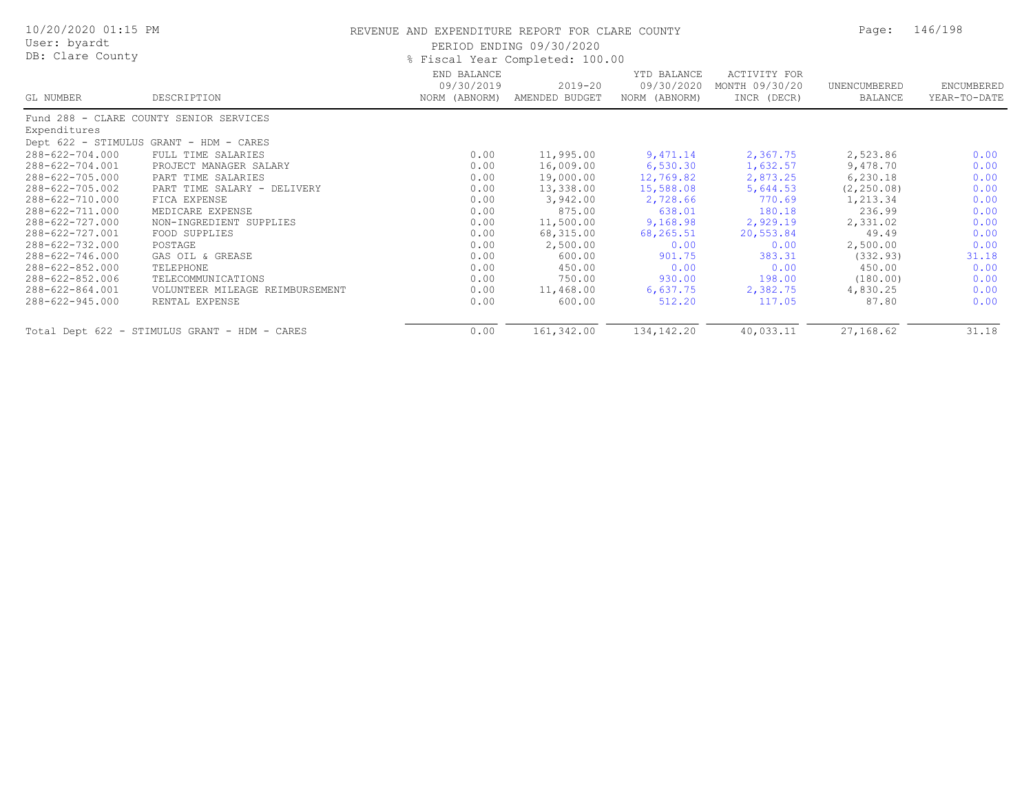| 10/20/2020 01:15 PM<br>User: byardt |                                               | REVENUE AND EXPENDITURE REPORT FOR CLARE COUNTY<br>PERIOD ENDING 09/30/2020 | Page:                         | 146/198                                    |                                               |                         |                            |
|-------------------------------------|-----------------------------------------------|-----------------------------------------------------------------------------|-------------------------------|--------------------------------------------|-----------------------------------------------|-------------------------|----------------------------|
| DB: Clare County                    |                                               | % Fiscal Year Completed: 100.00                                             |                               |                                            |                                               |                         |                            |
| GL NUMBER                           | DESCRIPTION                                   | END BALANCE<br>09/30/2019<br>NORM (ABNORM)                                  | $2019 - 20$<br>AMENDED BUDGET | YTD BALANCE<br>09/30/2020<br>NORM (ABNORM) | ACTIVITY FOR<br>MONTH 09/30/20<br>INCR (DECR) | UNENCUMBERED<br>BALANCE | ENCUMBERED<br>YEAR-TO-DATE |
|                                     | Fund 288 - CLARE COUNTY SENIOR SERVICES       |                                                                             |                               |                                            |                                               |                         |                            |
| Expenditures                        |                                               |                                                                             |                               |                                            |                                               |                         |                            |
|                                     | Dept 622 - STIMULUS GRANT - HDM - CARES       |                                                                             |                               |                                            |                                               |                         |                            |
| 288-622-704.000                     | FULL TIME SALARIES                            | 0.00                                                                        | 11,995.00                     | 9,471.14                                   | 2,367.75                                      | 2,523.86                | 0.00                       |
| 288-622-704.001                     | PROJECT MANAGER SALARY                        | 0.00                                                                        | 16,009.00                     | 6,530.30                                   | 1,632.57                                      | 9,478.70                | 0.00                       |
| 288-622-705.000                     | PART TIME SALARIES                            | 0.00                                                                        | 19,000.00                     | 12,769.82                                  | 2,873.25                                      | 6,230.18                | 0.00                       |
| 288-622-705.002                     | PART TIME SALARY - DELIVERY                   | 0.00                                                                        | 13,338.00                     | 15,588.08                                  | 5,644.53                                      | (2, 250.08)             | 0.00                       |
| 288-622-710.000                     | FICA EXPENSE                                  | 0.00                                                                        | 3,942.00                      | 2,728.66                                   | 770.69                                        | 1,213.34                | 0.00                       |
| 288-622-711.000                     | MEDICARE EXPENSE                              | 0.00                                                                        | 875.00                        | 638.01                                     | 180.18                                        | 236.99                  | 0.00                       |
| 288-622-727.000                     | NON-INGREDIENT SUPPLIES                       | 0.00                                                                        | 11,500.00                     | 9,168.98                                   | 2,929.19                                      | 2,331.02                | 0.00                       |
| 288-622-727.001                     | FOOD SUPPLIES                                 | 0.00                                                                        | 68,315.00                     | 68,265.51                                  | 20,553.84                                     | 49.49                   | 0.00                       |
| 288-622-732.000                     | POSTAGE                                       | 0.00                                                                        | 2,500.00                      | 0.00                                       | 0.00                                          | 2,500.00                | 0.00                       |
| 288-622-746.000                     | GAS OIL & GREASE                              | 0.00                                                                        | 600.00                        | 901.75                                     | 383.31                                        | (332.93)                | 31.18                      |
| 288-622-852.000                     | TELEPHONE                                     | 0.00                                                                        | 450.00                        | 0.00                                       | 0.00                                          | 450.00                  | 0.00                       |
| 288-622-852.006                     | TELECOMMUNICATIONS                            | 0.00                                                                        | 750.00                        | 930.00                                     | 198.00                                        | (180.00)                | 0.00                       |
| 288-622-864.001                     | VOLUNTEER MILEAGE REIMBURSEMENT               | 0.00                                                                        | 11,468.00                     | 6,637.75                                   | 2,382.75                                      | 4,830.25                | 0.00                       |
| 288-622-945.000                     | RENTAL EXPENSE                                | 0.00                                                                        | 600.00                        | 512.20                                     | 117.05                                        | 87.80                   | 0.00                       |
|                                     | Total Dept 622 - STIMULUS GRANT - HDM - CARES | 0.00                                                                        | 161,342.00                    | 134, 142. 20                               | 40,033.11                                     | 27,168.62               | 31.18                      |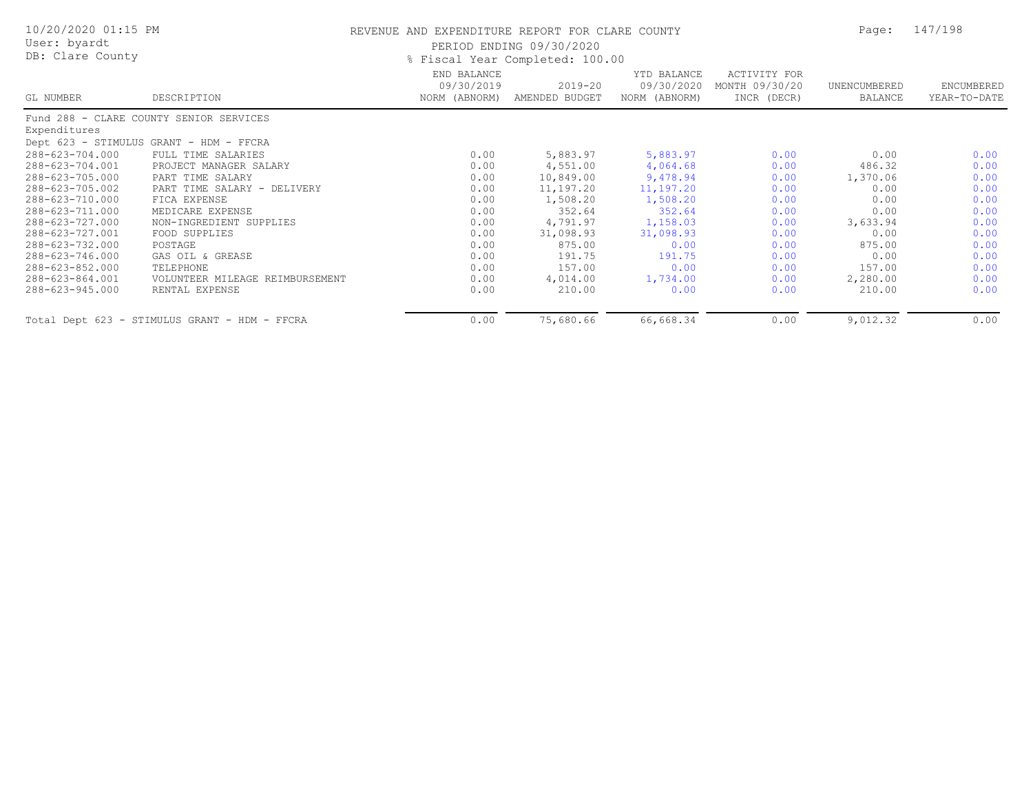| 10/20/2020 01:15 PM<br>User: byardt<br>DB: Clare County |                                               | REVENUE AND EXPENDITURE REPORT FOR CLARE COUNTY<br>PERIOD ENDING 09/30/2020<br>% Fiscal Year Completed: 100.00 | Page:                         | 147/198                                    |                                               |                         |                            |
|---------------------------------------------------------|-----------------------------------------------|----------------------------------------------------------------------------------------------------------------|-------------------------------|--------------------------------------------|-----------------------------------------------|-------------------------|----------------------------|
| GL NUMBER                                               | DESCRIPTION                                   | END BALANCE<br>09/30/2019<br>NORM (ABNORM)                                                                     | $2019 - 20$<br>AMENDED BUDGET | YTD BALANCE<br>09/30/2020<br>NORM (ABNORM) | ACTIVITY FOR<br>MONTH 09/30/20<br>INCR (DECR) | UNENCUMBERED<br>BALANCE | ENCUMBERED<br>YEAR-TO-DATE |
|                                                         | Fund 288 - CLARE COUNTY SENIOR SERVICES       |                                                                                                                |                               |                                            |                                               |                         |                            |
| Expenditures                                            |                                               |                                                                                                                |                               |                                            |                                               |                         |                            |
|                                                         | Dept 623 - STIMULUS GRANT - HDM - FFCRA       |                                                                                                                |                               |                                            |                                               |                         |                            |
| 288-623-704.000                                         | FULL TIME SALARIES                            | 0.00                                                                                                           | 5,883.97                      | 5,883.97                                   | 0.00                                          | 0.00                    | 0.00                       |
| 288-623-704.001                                         | PROJECT MANAGER SALARY                        | 0.00                                                                                                           | 4,551.00                      | 4,064.68                                   | 0.00                                          | 486.32                  | 0.00                       |
| 288-623-705.000                                         | PART TIME SALARY                              | 0.00                                                                                                           | 10,849.00                     | 9,478.94                                   | 0.00                                          | 1,370.06                | 0.00                       |
| 288-623-705.002                                         | PART TIME SALARY - DELIVERY                   | 0.00                                                                                                           | 11,197.20                     | 11,197.20                                  | 0.00                                          | 0.00                    | 0.00                       |
| 288-623-710.000                                         | FICA EXPENSE                                  | 0.00                                                                                                           | 1,508.20                      | 1,508.20                                   | 0.00                                          | 0.00                    | 0.00                       |
| 288-623-711.000                                         | MEDICARE EXPENSE                              | 0.00                                                                                                           | 352.64                        | 352.64                                     | 0.00                                          | 0.00                    | 0.00                       |
| 288-623-727.000                                         | NON-INGREDIENT SUPPLIES                       | 0.00                                                                                                           | 4,791.97                      | 1,158.03                                   | 0.00                                          | 3,633.94                | 0.00                       |
| 288-623-727.001                                         | FOOD SUPPLIES                                 | 0.00                                                                                                           | 31,098.93                     | 31,098.93                                  | 0.00                                          | 0.00                    | 0.00                       |
| 288-623-732.000                                         | POSTAGE                                       | 0.00                                                                                                           | 875.00                        | 0.00                                       | 0.00                                          | 875.00                  | 0.00                       |
| 288-623-746.000                                         | GAS OIL & GREASE                              | 0.00                                                                                                           | 191.75                        | 191.75                                     | 0.00                                          | 0.00                    | 0.00                       |
| 288-623-852.000                                         | TELEPHONE                                     | 0.00                                                                                                           | 157.00                        | 0.00                                       | 0.00                                          | 157.00                  | 0.00                       |
| 288-623-864.001                                         | VOLUNTEER MILEAGE REIMBURSEMENT               | 0.00                                                                                                           | 4,014.00                      | 1,734.00                                   | 0.00                                          | 2,280.00                | 0.00                       |
| 288-623-945.000                                         | RENTAL EXPENSE                                | 0.00                                                                                                           | 210.00                        | 0.00                                       | 0.00                                          | 210.00                  | 0.00                       |
|                                                         | Total Dept 623 - STIMULUS GRANT - HDM - FFCRA | 0.00                                                                                                           | 75,680.66                     | 66,668.34                                  | 0.00                                          | 9,012.32                | 0.00                       |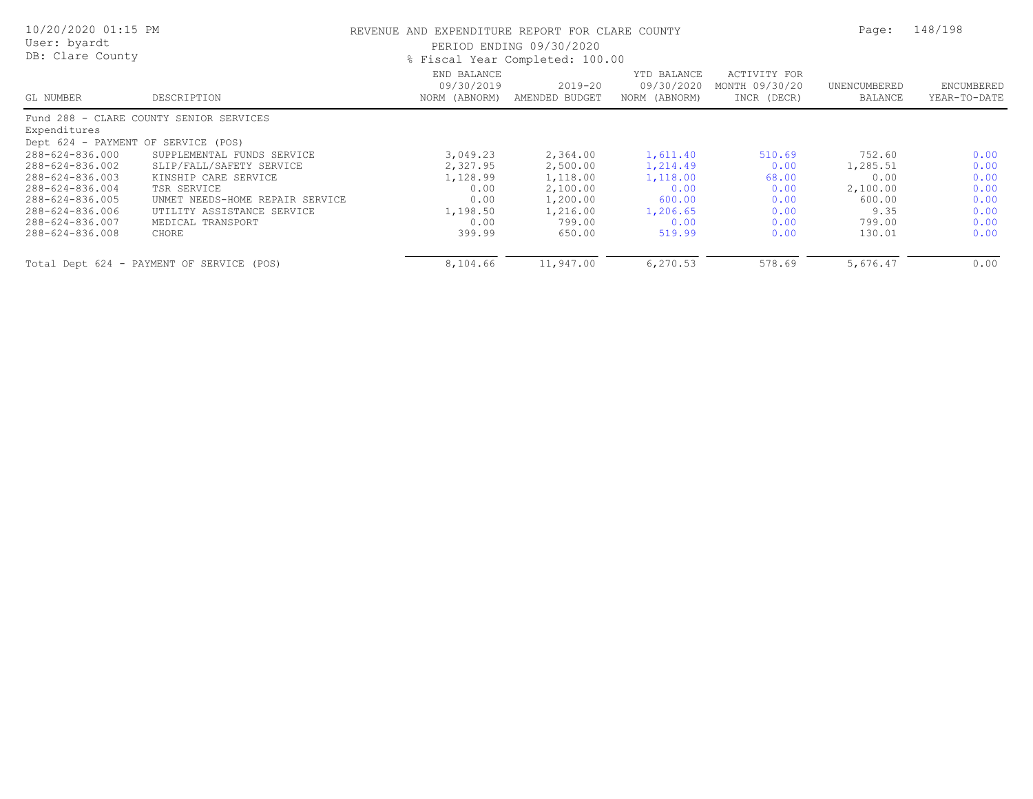| 10/20/2020 01:15 PM<br>User: byardt<br>DB: Clare County |                                           | REVENUE AND EXPENDITURE REPORT FOR CLARE COUNTY<br>PERIOD ENDING 09/30/2020<br>% Fiscal Year Completed: 100.00 |                               |                                            |                                               |                         | 148/198                    |
|---------------------------------------------------------|-------------------------------------------|----------------------------------------------------------------------------------------------------------------|-------------------------------|--------------------------------------------|-----------------------------------------------|-------------------------|----------------------------|
| GL NUMBER                                               | DESCRIPTION                               | END BALANCE<br>09/30/2019<br>NORM (ABNORM)                                                                     | $2019 - 20$<br>AMENDED BUDGET | YTD BALANCE<br>09/30/2020<br>NORM (ABNORM) | ACTIVITY FOR<br>MONTH 09/30/20<br>INCR (DECR) | UNENCUMBERED<br>BALANCE | ENCUMBERED<br>YEAR-TO-DATE |
|                                                         | Fund 288 - CLARE COUNTY SENIOR SERVICES   |                                                                                                                |                               |                                            |                                               |                         |                            |
| Expenditures                                            |                                           |                                                                                                                |                               |                                            |                                               |                         |                            |
| Dept 624 - PAYMENT OF SERVICE (POS)                     |                                           |                                                                                                                |                               |                                            |                                               |                         |                            |
| 288-624-836.000                                         | SUPPLEMENTAL FUNDS SERVICE                | 3,049.23                                                                                                       | 2,364.00                      | 1,611.40                                   | 510.69                                        | 752.60                  | 0.00                       |
| 288-624-836.002                                         | SLIP/FALL/SAFETY SERVICE                  | 2,327.95                                                                                                       | 2,500.00                      | 1,214.49                                   | 0.00                                          | 1,285.51                | 0.00                       |
| 288-624-836.003                                         | KINSHIP CARE SERVICE                      | 1,128.99                                                                                                       | 1,118.00                      | 1,118.00                                   | 68.00                                         | 0.00                    | 0.00                       |
| 288-624-836.004                                         | TSR SERVICE                               | 0.00                                                                                                           | 2,100.00                      | 0.00                                       | 0.00                                          | 2,100.00                | 0.00                       |
| 288-624-836.005                                         | UNMET NEEDS-HOME REPAIR SERVICE           | 0.00                                                                                                           | 1,200.00                      | 600.00                                     | 0.00                                          | 600.00                  | 0.00                       |
| 288-624-836.006                                         | UTILITY ASSISTANCE SERVICE                | 1,198.50                                                                                                       | 1,216.00                      | 1,206.65                                   | 0.00                                          | 9.35                    | 0.00                       |
| 288-624-836.007                                         | MEDICAL TRANSPORT                         | 0.00                                                                                                           | 799.00                        | 0.00                                       | 0.00                                          | 799.00                  | 0.00                       |
| 288-624-836.008                                         | CHORE                                     | 399.99                                                                                                         | 650.00                        | 519.99                                     | 0.00                                          | 130.01                  | 0.00                       |
|                                                         | Total Dept 624 - PAYMENT OF SERVICE (POS) | 8,104.66                                                                                                       | 11,947.00                     | 6,270.53                                   | 578.69                                        | 5,676.47                | 0.00                       |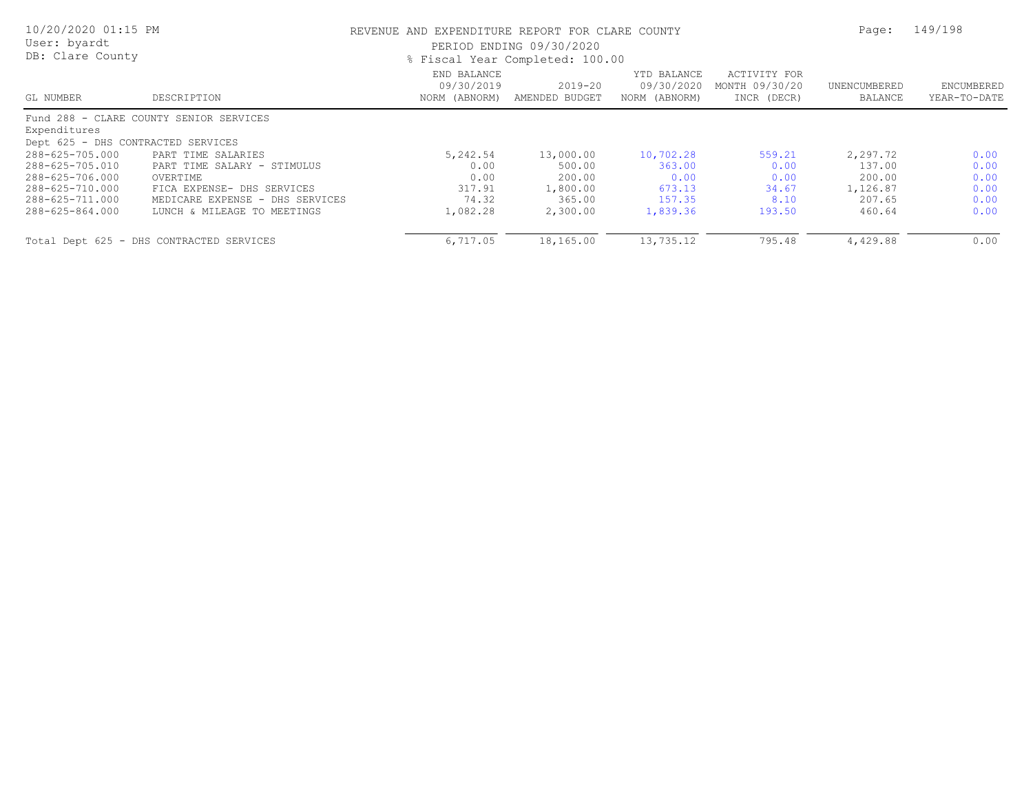| 10/20/2020 01:15 PM<br>User: byardt<br>DB: Clare County |                                          | REVENUE AND EXPENDITURE REPORT FOR CLARE COUNTY<br>PERIOD ENDING 09/30/2020<br>% Fiscal Year Completed: 100.00 | Page:                     | 149/198                                    |                                               |                         |                            |
|---------------------------------------------------------|------------------------------------------|----------------------------------------------------------------------------------------------------------------|---------------------------|--------------------------------------------|-----------------------------------------------|-------------------------|----------------------------|
| GL NUMBER                                               | DESCRIPTION                              | END BALANCE<br>09/30/2019<br>NORM (ABNORM)                                                                     | 2019-20<br>AMENDED BUDGET | YTD BALANCE<br>09/30/2020<br>NORM (ABNORM) | ACTIVITY FOR<br>MONTH 09/30/20<br>INCR (DECR) | UNENCUMBERED<br>BALANCE | ENCUMBERED<br>YEAR-TO-DATE |
| Expenditures<br>Dept 625 - DHS CONTRACTED SERVICES      | Fund 288 - CLARE COUNTY SENIOR SERVICES  |                                                                                                                |                           |                                            |                                               |                         |                            |
| 288-625-705.000                                         | PART TIME SALARIES                       | 5,242.54                                                                                                       | 13,000.00                 | 10,702.28                                  | 559.21                                        | 2,297.72                | 0.00                       |
| 288-625-705.010                                         | PART TIME SALARY - STIMULUS              | 0.00                                                                                                           | 500.00                    | 363.00                                     | 0.00                                          | 137.00                  | 0.00                       |
| 288-625-706.000                                         | OVERTIME                                 | 0.00                                                                                                           | 200.00                    | 0.00                                       | 0.00                                          | 200.00                  | 0.00                       |
| 288-625-710.000                                         | FICA EXPENSE- DHS SERVICES               | 317.91                                                                                                         | 1,800.00                  | 673.13                                     | 34.67                                         | 1,126.87                | 0.00                       |
| 288-625-711.000                                         | MEDICARE EXPENSE - DHS SERVICES          | 74.32                                                                                                          | 365.00                    | 157.35                                     | 8.10                                          | 207.65                  | 0.00                       |
| 288-625-864.000                                         | LUNCH & MILEAGE TO MEETINGS              | 1,082.28                                                                                                       | 2,300.00                  | 1,839.36                                   | 193.50                                        | 460.64                  | 0.00                       |
|                                                         | Total Dept 625 - DHS CONTRACTED SERVICES | 6,717.05                                                                                                       | 18,165.00                 | 13,735.12                                  | 795.48                                        | 4,429.88                | 0.00                       |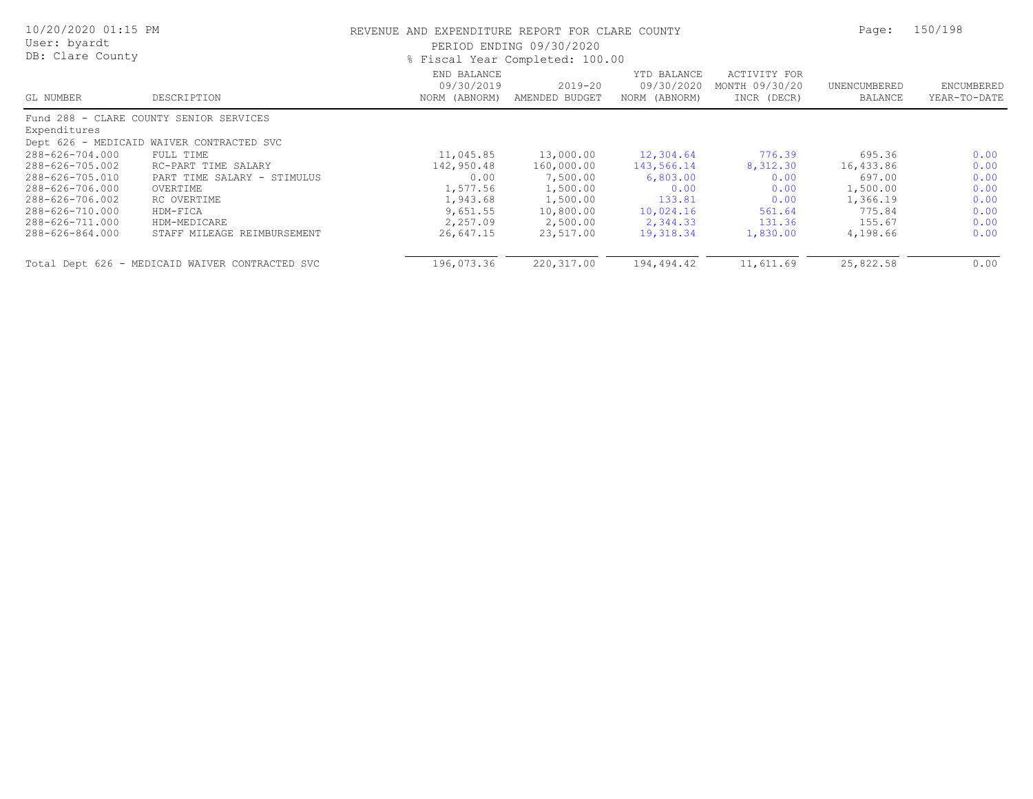| 10/20/2020 01:15 PM<br>User: byardt<br>DB: Clare County |                                                 | REVENUE AND EXPENDITURE REPORT FOR CLARE COUNTY<br>PERIOD ENDING 09/30/2020<br>% Fiscal Year Completed: 100.00 | Page:                         | 150/198                                    |                                               |                         |                            |
|---------------------------------------------------------|-------------------------------------------------|----------------------------------------------------------------------------------------------------------------|-------------------------------|--------------------------------------------|-----------------------------------------------|-------------------------|----------------------------|
| GL NUMBER                                               | DESCRIPTION                                     | END BALANCE<br>09/30/2019<br>NORM (ABNORM)                                                                     | $2019 - 20$<br>AMENDED BUDGET | YTD BALANCE<br>09/30/2020<br>NORM (ABNORM) | ACTIVITY FOR<br>MONTH 09/30/20<br>INCR (DECR) | UNENCUMBERED<br>BALANCE | ENCUMBERED<br>YEAR-TO-DATE |
|                                                         | Fund 288 - CLARE COUNTY SENIOR SERVICES         |                                                                                                                |                               |                                            |                                               |                         |                            |
| Expenditures                                            |                                                 |                                                                                                                |                               |                                            |                                               |                         |                            |
|                                                         | Dept 626 - MEDICAID WAIVER CONTRACTED SVC       |                                                                                                                |                               |                                            |                                               |                         |                            |
| 288-626-704.000                                         | FULL TIME                                       | 11,045.85                                                                                                      | 13,000.00                     | 12,304.64                                  | 776.39                                        | 695.36                  | 0.00                       |
| 288-626-705.002                                         | RC-PART TIME SALARY                             | 142,950.48                                                                                                     | 160,000.00                    | 143,566.14                                 | 8,312.30                                      | 16,433.86               | 0.00                       |
| 288-626-705.010                                         | PART TIME SALARY - STIMULUS                     | 0.00                                                                                                           | 7,500.00                      | 6,803.00                                   | 0.00                                          | 697.00                  | 0.00                       |
| 288-626-706.000                                         | OVERTIME                                        | 1,577.56                                                                                                       | 1,500.00                      | 0.00                                       | 0.00                                          | 1,500.00                | 0.00                       |
| 288-626-706.002                                         | RC OVERTIME                                     | 1,943.68                                                                                                       | 1,500.00                      | 133.81                                     | 0.00                                          | 1,366.19                | 0.00                       |
| 288-626-710.000                                         | HDM-FICA                                        | 9,651.55                                                                                                       | 10,800.00                     | 10,024.16                                  | 561.64                                        | 775.84                  | 0.00                       |
| 288-626-711.000                                         | HDM-MEDICARE                                    | 2,257.09                                                                                                       | 2,500.00                      | 2,344.33                                   | 131.36                                        | 155.67                  | 0.00                       |
| 288-626-864.000                                         | STAFF MILEAGE REIMBURSEMENT                     | 26,647.15                                                                                                      | 23,517.00                     | 19,318.34                                  | 1,830.00                                      | 4,198.66                | 0.00                       |
|                                                         | Total Dept 626 - MEDICAID WAIVER CONTRACTED SVC | 196,073.36                                                                                                     | 220,317.00                    | 194,494.42                                 | 11,611.69                                     | 25,822.58               | 0.00                       |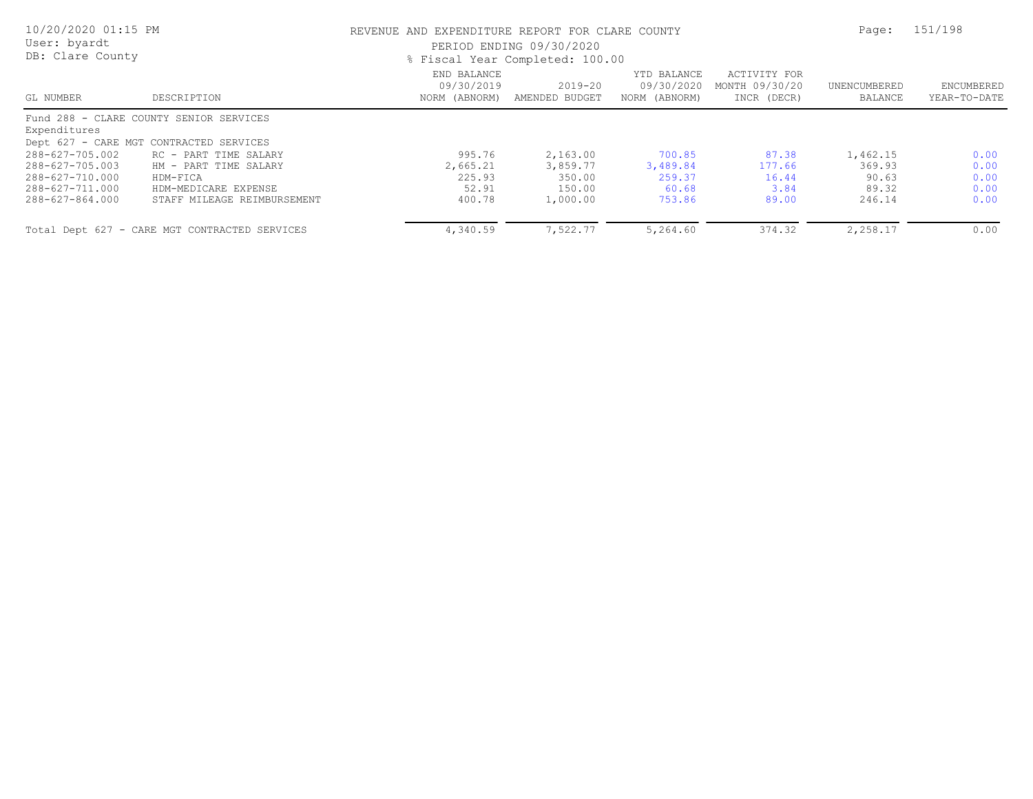| 10/20/2020 01:15 PM<br>User: byardt<br>DB: Clare County |                                                                                    | REVENUE AND EXPENDITURE REPORT FOR CLARE COUNTY<br>PERIOD ENDING 09/30/2020<br>% Fiscal Year Completed: 100.00 | Page:                         | 151/198                                    |                                               |                         |                            |
|---------------------------------------------------------|------------------------------------------------------------------------------------|----------------------------------------------------------------------------------------------------------------|-------------------------------|--------------------------------------------|-----------------------------------------------|-------------------------|----------------------------|
| GL NUMBER                                               | DESCRIPTION                                                                        | END BALANCE<br>09/30/2019<br>NORM (ABNORM)                                                                     | $2019 - 20$<br>AMENDED BUDGET | YTD BALANCE<br>09/30/2020<br>NORM (ABNORM) | ACTIVITY FOR<br>MONTH 09/30/20<br>INCR (DECR) | UNENCUMBERED<br>BALANCE | ENCUMBERED<br>YEAR-TO-DATE |
| Expenditures                                            | Fund 288 - CLARE COUNTY SENIOR SERVICES<br>Dept 627 - CARE MGT CONTRACTED SERVICES |                                                                                                                |                               |                                            |                                               |                         |                            |
| 288-627-705.002                                         | RC - PART TIME SALARY                                                              | 995.76                                                                                                         | 2,163.00                      | 700.85                                     | 87.38                                         | 1,462.15                | 0.00                       |
| 288-627-705.003                                         | HM - PART TIME SALARY                                                              | 2,665.21                                                                                                       | 3,859.77                      | 3,489.84                                   | 177.66                                        | 369.93                  | 0.00                       |
| 288-627-710.000                                         | HDM-FICA                                                                           | 225.93                                                                                                         | 350.00                        | 259.37                                     | 16.44                                         | 90.63                   | 0.00                       |
| 288-627-711.000                                         | HDM-MEDICARE EXPENSE                                                               | 52.91                                                                                                          | 150.00                        | 60.68                                      | 3.84                                          | 89.32                   | 0.00                       |
| 288-627-864.000                                         | STAFF MILEAGE REIMBURSEMENT                                                        | 400.78                                                                                                         | 1,000.00                      | 753.86                                     | 89.00                                         | 246.14                  | 0.00                       |
|                                                         | Total Dept 627 - CARE MGT CONTRACTED SERVICES                                      | 4,340.59                                                                                                       | 7,522.77                      | 5,264.60                                   | 374.32                                        | 2,258.17                | 0.00                       |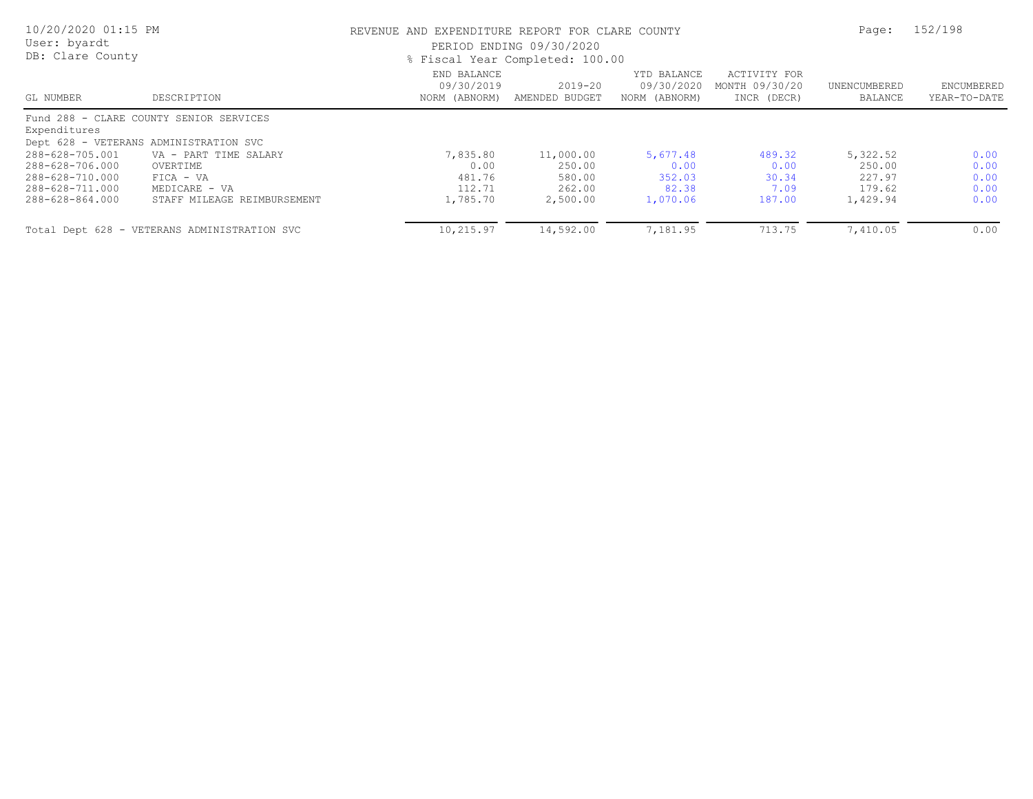| 10/20/2020 01:15 PM<br>User: byardt<br>DB: Clare County |                                              | REVENUE AND EXPENDITURE REPORT FOR CLARE COUNTY<br>PERIOD ENDING 09/30/2020<br>% Fiscal Year Completed: 100.00 | Page:                         | 152/198                                    |                                               |                         |                            |
|---------------------------------------------------------|----------------------------------------------|----------------------------------------------------------------------------------------------------------------|-------------------------------|--------------------------------------------|-----------------------------------------------|-------------------------|----------------------------|
| GL NUMBER                                               | DESCRIPTION                                  | END BALANCE<br>09/30/2019<br>NORM (ABNORM)                                                                     | $2019 - 20$<br>AMENDED BUDGET | YTD BALANCE<br>09/30/2020<br>NORM (ABNORM) | ACTIVITY FOR<br>MONTH 09/30/20<br>INCR (DECR) | UNENCUMBERED<br>BALANCE | ENCUMBERED<br>YEAR-TO-DATE |
| Expenditures                                            | Fund 288 - CLARE COUNTY SENIOR SERVICES      |                                                                                                                |                               |                                            |                                               |                         |                            |
|                                                         | Dept 628 - VETERANS ADMINISTRATION SVC       |                                                                                                                |                               |                                            |                                               |                         |                            |
| 288-628-705.001                                         | VA - PART TIME SALARY                        | 7,835.80                                                                                                       | 11,000.00                     | 5,677.48                                   | 489.32                                        | 5,322.52                | 0.00                       |
| 288-628-706.000                                         | OVERTIME                                     | 0.00                                                                                                           | 250.00                        | 0.00                                       | 0.00                                          | 250.00                  | 0.00                       |
| 288-628-710.000                                         | $FICA - VA$                                  | 481.76                                                                                                         | 580.00                        | 352.03                                     | 30.34                                         | 227.97                  | 0.00                       |
| 288-628-711.000                                         | MEDICARE - VA                                | 112.71                                                                                                         | 262.00                        | 82.38                                      | 7.09                                          | 179.62                  | 0.00                       |
| 288-628-864.000                                         | STAFF MILEAGE REIMBURSEMENT                  | 1,785.70                                                                                                       | 2,500.00                      | 1,070.06                                   | 187.00                                        | 1,429.94                | 0.00                       |
|                                                         | Total Dept 628 - VETERANS ADMINISTRATION SVC | 10,215.97                                                                                                      | 14,592.00                     | 7,181.95                                   | 713.75                                        | 7,410.05                | 0.00                       |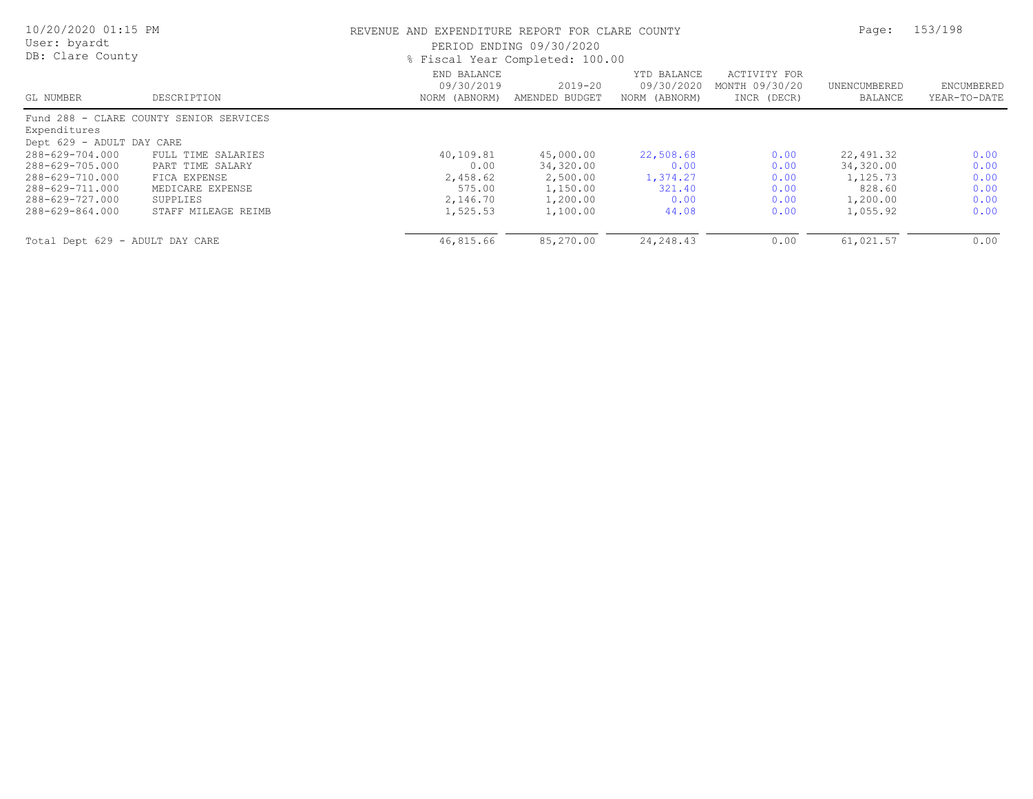| 10/20/2020 01:15 PM<br>User: byardt<br>DB: Clare County |                                         | REVENUE AND EXPENDITURE REPORT FOR CLARE COUNTY<br>PERIOD ENDING 09/30/2020<br>% Fiscal Year Completed: 100.00 | Page:                     | 153/198                                    |                                               |                         |                            |
|---------------------------------------------------------|-----------------------------------------|----------------------------------------------------------------------------------------------------------------|---------------------------|--------------------------------------------|-----------------------------------------------|-------------------------|----------------------------|
| GL NUMBER                                               | DESCRIPTION                             | END BALANCE<br>09/30/2019<br>NORM (ABNORM)                                                                     | 2019-20<br>AMENDED BUDGET | YTD BALANCE<br>09/30/2020<br>NORM (ABNORM) | ACTIVITY FOR<br>MONTH 09/30/20<br>INCR (DECR) | UNENCUMBERED<br>BALANCE | ENCUMBERED<br>YEAR-TO-DATE |
|                                                         | Fund 288 - CLARE COUNTY SENIOR SERVICES |                                                                                                                |                           |                                            |                                               |                         |                            |
| Expenditures                                            |                                         |                                                                                                                |                           |                                            |                                               |                         |                            |
| Dept 629 - ADULT DAY CARE                               |                                         |                                                                                                                |                           |                                            |                                               |                         |                            |
| 288-629-704.000                                         | FULL TIME SALARIES                      | 40,109.81                                                                                                      | 45,000.00                 | 22,508.68                                  | 0.00                                          | 22,491.32               | 0.00                       |
| 288-629-705.000                                         | PART TIME SALARY                        | 0.00                                                                                                           | 34,320.00                 | 0.00                                       | 0.00                                          | 34,320.00               | 0.00                       |
| 288-629-710.000                                         | FICA EXPENSE                            | 2,458.62                                                                                                       | 2,500.00                  | 1,374.27                                   | 0.00                                          | 1,125.73                | 0.00                       |
| 288-629-711.000                                         | MEDICARE EXPENSE                        | 575.00                                                                                                         | 1,150.00                  | 321.40                                     | 0.00                                          | 828.60                  | 0.00                       |
| 288-629-727.000                                         | SUPPLIES                                | 2,146.70                                                                                                       | 1,200.00                  | 0.00                                       | 0.00                                          | 1,200.00                | 0.00                       |
| 288-629-864.000                                         | STAFF MILEAGE REIMB                     | 1,525.53                                                                                                       | 1,100.00                  | 44.08                                      | 0.00                                          | 1,055.92                | 0.00                       |
| Total Dept 629 - ADULT DAY CARE                         |                                         | 46,815.66                                                                                                      | 85,270.00                 | 24, 248.43                                 | 0.00                                          | 61,021.57               | 0.00                       |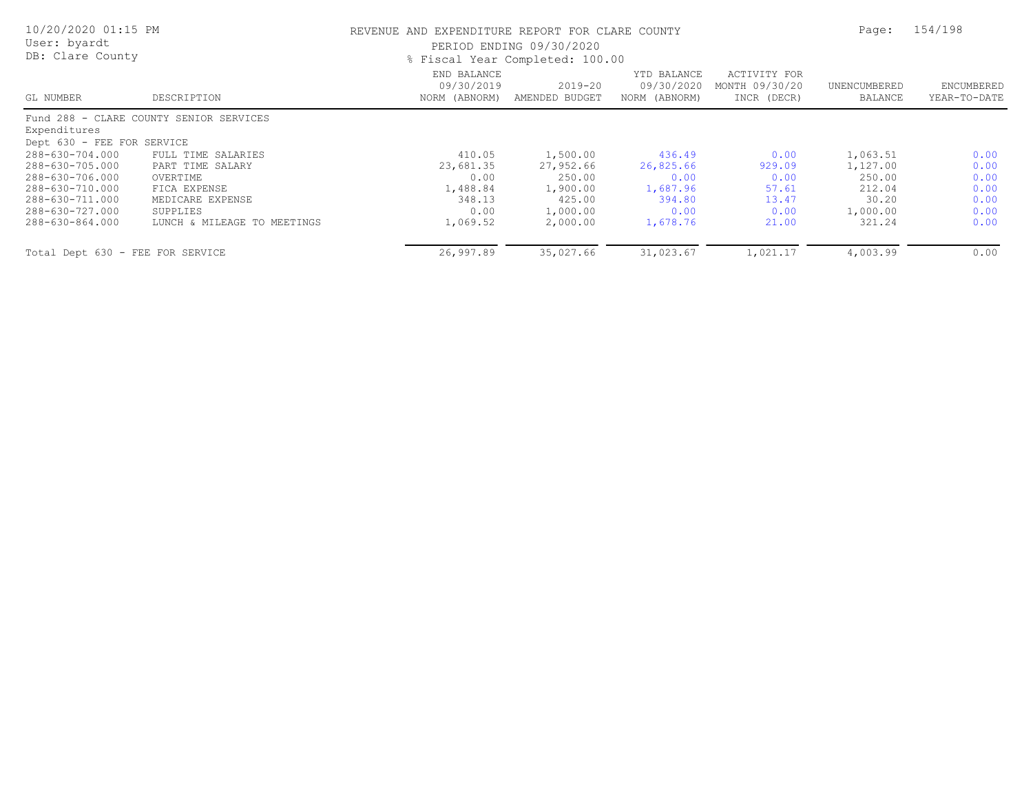| 10/20/2020 01:15 PM<br>User: byardt<br>DB: Clare County |                                         | REVENUE AND EXPENDITURE REPORT FOR CLARE COUNTY<br>PERIOD ENDING 09/30/2020<br>% Fiscal Year Completed: 100.00 | Page:                         | 154/198                                    |                                               |                         |                            |
|---------------------------------------------------------|-----------------------------------------|----------------------------------------------------------------------------------------------------------------|-------------------------------|--------------------------------------------|-----------------------------------------------|-------------------------|----------------------------|
| GL NUMBER                                               | DESCRIPTION                             | END BALANCE<br>09/30/2019<br>NORM (ABNORM)                                                                     | $2019 - 20$<br>AMENDED BUDGET | YTD BALANCE<br>09/30/2020<br>NORM (ABNORM) | ACTIVITY FOR<br>MONTH 09/30/20<br>INCR (DECR) | UNENCUMBERED<br>BALANCE | ENCUMBERED<br>YEAR-TO-DATE |
|                                                         | Fund 288 - CLARE COUNTY SENIOR SERVICES |                                                                                                                |                               |                                            |                                               |                         |                            |
| Expenditures                                            |                                         |                                                                                                                |                               |                                            |                                               |                         |                            |
| Dept 630 - FEE FOR SERVICE                              |                                         |                                                                                                                |                               |                                            |                                               |                         |                            |
| 288-630-704.000                                         | FULL TIME SALARIES                      | 410.05                                                                                                         | 1,500.00                      | 436.49                                     | 0.00                                          | 1,063.51                | 0.00                       |
| 288-630-705.000                                         | PART TIME SALARY                        | 23,681.35                                                                                                      | 27,952.66                     | 26,825.66                                  | 929.09                                        | 1,127.00                | 0.00                       |
| 288-630-706.000                                         | OVERTIME                                | 0.00                                                                                                           | 250.00                        | 0.00                                       | 0.00                                          | 250.00                  | 0.00                       |
| 288-630-710.000                                         | FICA EXPENSE                            | 1,488.84                                                                                                       | 1,900.00                      | 1,687.96                                   | 57.61                                         | 212.04                  | 0.00                       |
| 288-630-711.000                                         | MEDICARE EXPENSE                        | 348.13                                                                                                         | 425.00                        | 394.80                                     | 13.47                                         | 30.20                   | 0.00                       |
| 288-630-727.000                                         | SUPPLIES                                | 0.00                                                                                                           | 1,000.00                      | 0.00                                       | 0.00                                          | 1,000.00                | 0.00                       |
| 288-630-864.000                                         | LUNCH & MILEAGE TO MEETINGS             | 1,069.52                                                                                                       | 2,000.00                      | 1,678.76                                   | 21.00                                         | 321.24                  | 0.00                       |
| Total Dept 630 - FEE FOR SERVICE                        |                                         | 26,997.89                                                                                                      | 35,027.66                     | 31,023.67                                  | 1,021.17                                      | 4,003.99                | 0.00                       |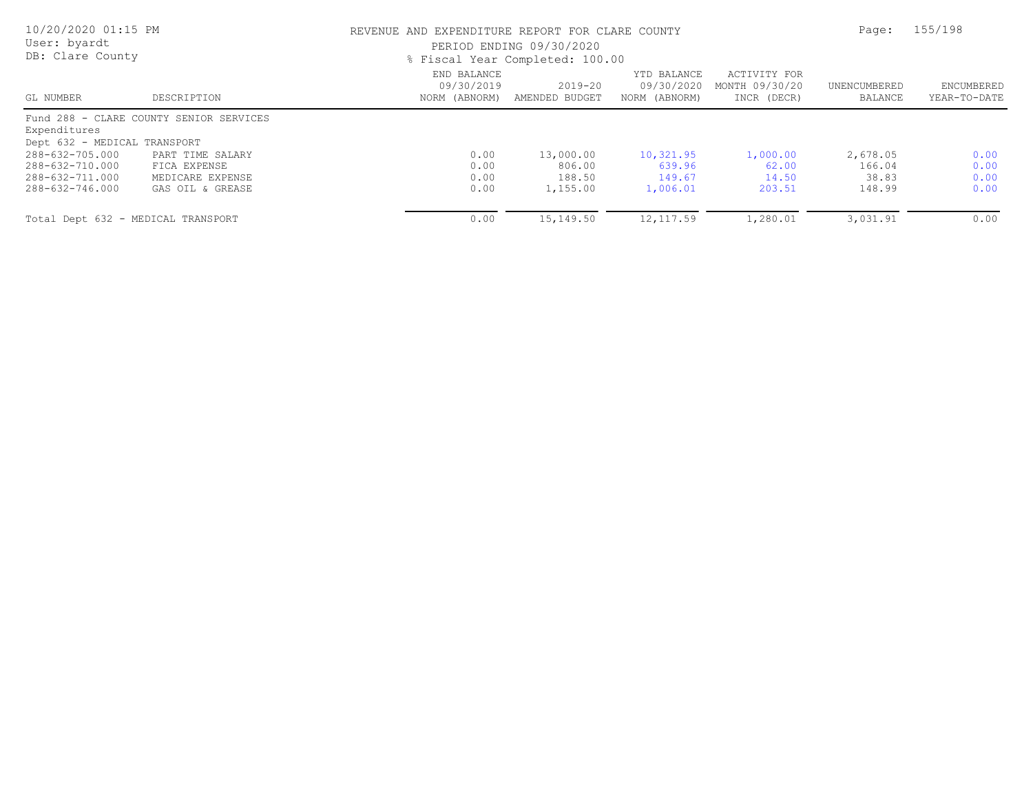| 10/20/2020 01:15 PM<br>User: byardt<br>DB: Clare County |                                         |                                            | REVENUE AND EXPENDITURE REPORT FOR CLARE COUNTY<br>PERIOD ENDING 09/30/2020<br>% Fiscal Year Completed: 100.00 |                                            |                                               |                         |                            |
|---------------------------------------------------------|-----------------------------------------|--------------------------------------------|----------------------------------------------------------------------------------------------------------------|--------------------------------------------|-----------------------------------------------|-------------------------|----------------------------|
| GL NUMBER                                               | DESCRIPTION                             | END BALANCE<br>09/30/2019<br>NORM (ABNORM) | 2019-20<br>AMENDED BUDGET                                                                                      | YTD BALANCE<br>09/30/2020<br>NORM (ABNORM) | ACTIVITY FOR<br>MONTH 09/30/20<br>INCR (DECR) | UNENCUMBERED<br>BALANCE | ENCUMBERED<br>YEAR-TO-DATE |
|                                                         | Fund 288 - CLARE COUNTY SENIOR SERVICES |                                            |                                                                                                                |                                            |                                               |                         |                            |
| Expenditures                                            |                                         |                                            |                                                                                                                |                                            |                                               |                         |                            |
| Dept 632 - MEDICAL TRANSPORT                            |                                         |                                            |                                                                                                                |                                            |                                               |                         |                            |
| 288-632-705.000                                         | PART TIME SALARY                        | 0.00                                       | 13,000.00                                                                                                      | 10,321.95                                  | 1,000.00                                      | 2,678.05                | 0.00                       |
| 288-632-710.000                                         | FICA EXPENSE                            | 0.00                                       | 806.00                                                                                                         | 639.96                                     | 62.00                                         | 166.04                  | 0.00                       |
| 288-632-711.000                                         | MEDICARE EXPENSE                        | 0.00                                       | 188.50                                                                                                         | 149.67                                     | 14.50                                         | 38.83                   | 0.00                       |
| 288-632-746.000                                         | GAS OIL & GREASE                        | 0.00                                       | 1,155.00                                                                                                       | 1,006.01                                   | 203.51                                        | 148.99                  | 0.00                       |
| Total Dept 632 - MEDICAL TRANSPORT                      |                                         | 0.00                                       | 15,149.50                                                                                                      | 12, 117.59                                 | 1,280.01                                      | 3,031.91                | 0.00                       |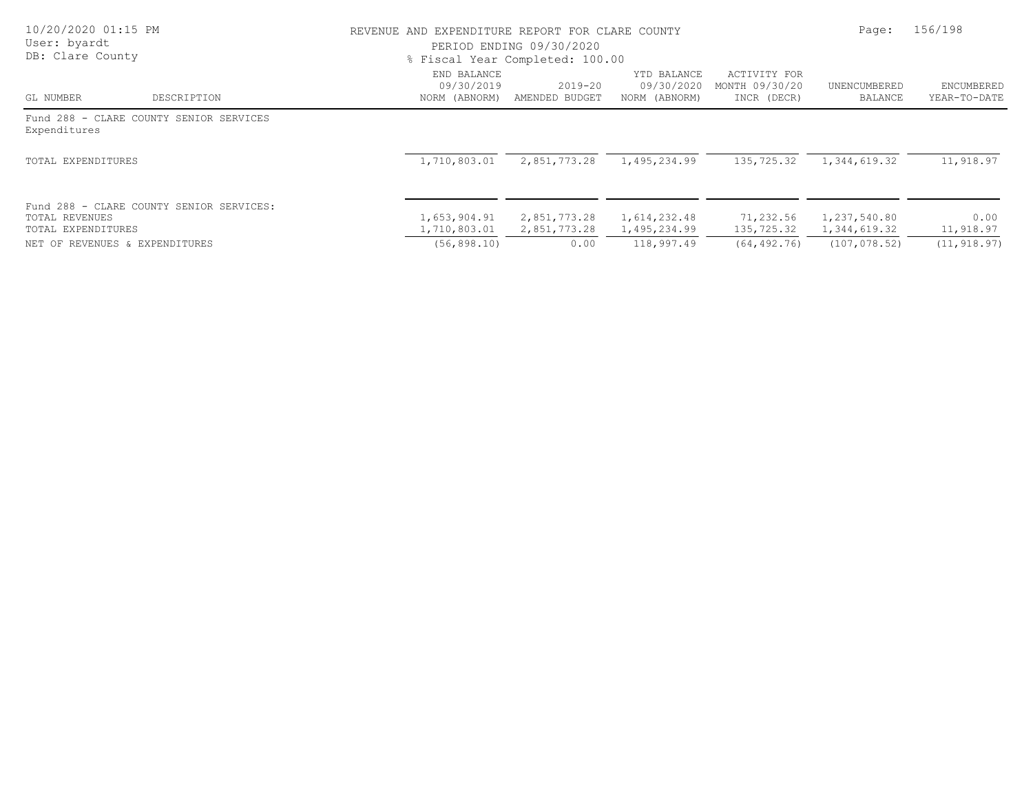| 10/20/2020 01:15 PM<br>User: byardt<br>DB: Clare County                          |                                            | REVENUE AND EXPENDITURE REPORT FOR CLARE COUNTY<br>PERIOD ENDING 09/30/2020<br>% Fiscal Year Completed: 100.00 |                                            |                                               |                              |                                   |
|----------------------------------------------------------------------------------|--------------------------------------------|----------------------------------------------------------------------------------------------------------------|--------------------------------------------|-----------------------------------------------|------------------------------|-----------------------------------|
| DESCRIPTION<br>GL NUMBER                                                         | END BALANCE<br>09/30/2019<br>NORM (ABNORM) | $2019 - 20$<br>AMENDED BUDGET                                                                                  | YTD BALANCE<br>09/30/2020<br>NORM (ABNORM) | ACTIVITY FOR<br>MONTH 09/30/20<br>INCR (DECR) | UNENCUMBERED<br>BALANCE      | <b>ENCUMBERED</b><br>YEAR-TO-DATE |
| Fund 288 - CLARE COUNTY SENIOR SERVICES<br>Expenditures                          |                                            |                                                                                                                |                                            |                                               |                              |                                   |
| TOTAL EXPENDITURES                                                               | 1,710,803.01                               | 2,851,773.28                                                                                                   | 1,495,234.99                               | 135,725.32                                    | 1,344,619.32                 | 11,918.97                         |
| Fund 288 - CLARE COUNTY SENIOR SERVICES:<br>TOTAL REVENUES<br>TOTAL EXPENDITURES | 1,653,904.91<br>1,710,803.01               | 2,851,773.28<br>2,851,773.28                                                                                   | 1,614,232.48<br>1,495,234.99               | 71,232.56<br>135,725.32                       | 1,237,540.80<br>1,344,619.32 | 0.00<br>11,918.97                 |
| NET OF REVENUES & EXPENDITURES                                                   | (56, 898, 10)                              | 0.00                                                                                                           | 118,997.49                                 | (64, 492, 76)                                 | (107, 078, 52)               | (11, 918, 97)                     |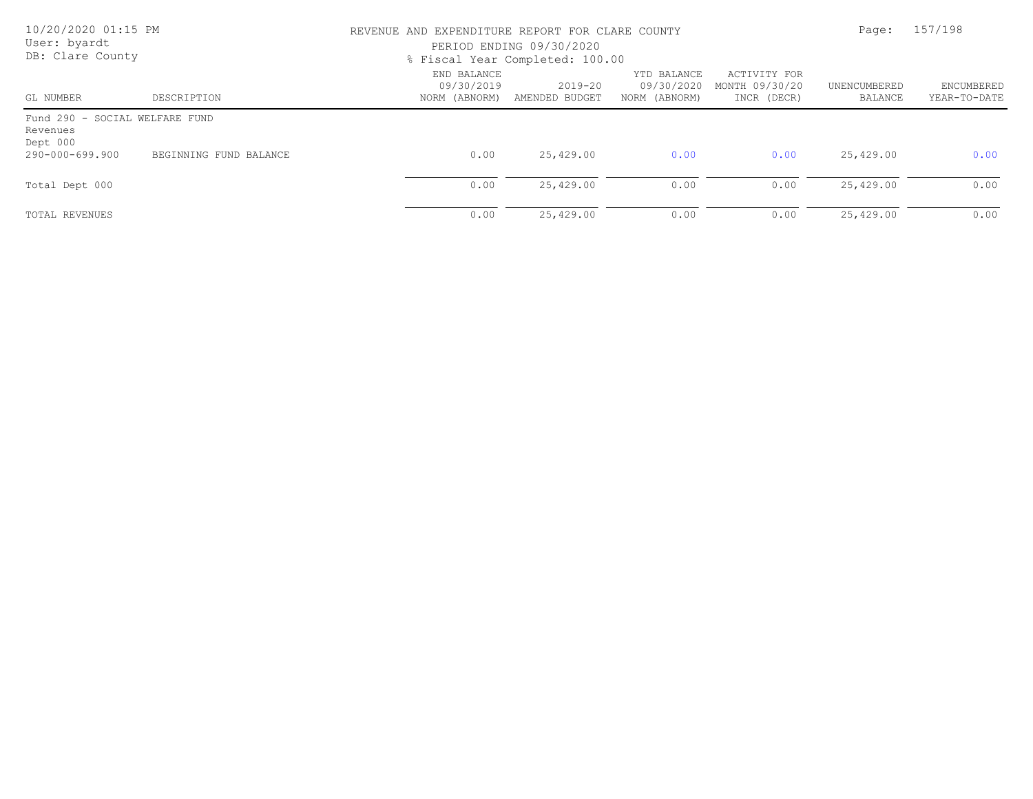| 10/20/2020 01:15 PM<br>User: byardt<br>DB: Clare County |                        |                                            | REVENUE AND EXPENDITURE REPORT FOR CLARE COUNTY<br>PERIOD ENDING 09/30/2020<br>% Fiscal Year Completed: 100.00 |                                            |                                               |                         |                            |
|---------------------------------------------------------|------------------------|--------------------------------------------|----------------------------------------------------------------------------------------------------------------|--------------------------------------------|-----------------------------------------------|-------------------------|----------------------------|
| GL NUMBER                                               | DESCRIPTION            | END BALANCE<br>09/30/2019<br>NORM (ABNORM) | $2019 - 20$<br>AMENDED BUDGET                                                                                  | YTD BALANCE<br>09/30/2020<br>NORM (ABNORM) | ACTIVITY FOR<br>MONTH 09/30/20<br>INCR (DECR) | UNENCUMBERED<br>BALANCE | ENCUMBERED<br>YEAR-TO-DATE |
| Fund 290 - SOCIAL WELFARE FUND<br>Revenues<br>Dept 000  |                        |                                            |                                                                                                                |                                            |                                               |                         |                            |
| 290-000-699.900                                         | BEGINNING FUND BALANCE | 0.00                                       | 25,429.00                                                                                                      | 0.00                                       | 0.00                                          | 25,429.00               | 0.00                       |
| Total Dept 000                                          |                        | 0.00                                       | 25,429.00                                                                                                      | 0.00                                       | 0.00                                          | 25,429.00               | 0.00                       |
| TOTAL REVENUES                                          |                        | 0.00                                       | 25,429.00                                                                                                      | 0.00                                       | 0.00                                          | 25,429.00               | 0.00                       |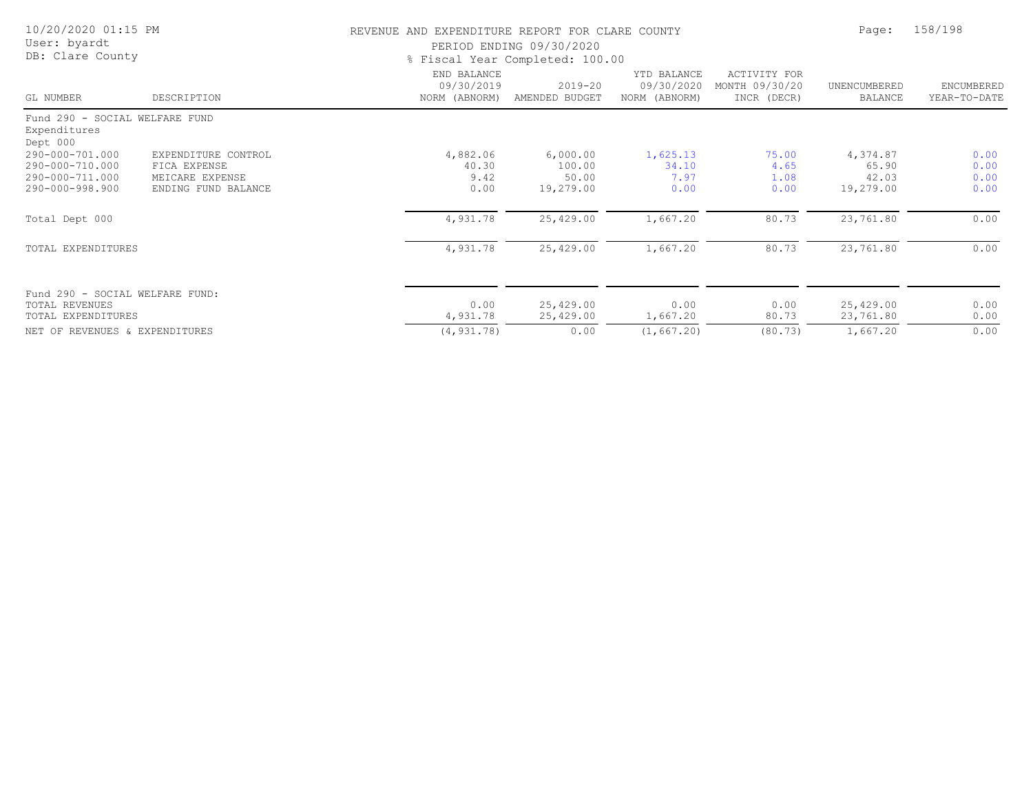| 10/20/2020 01:15 PM<br>User: byardt<br>DB: Clare County    |                                                        | REVENUE AND EXPENDITURE REPORT FOR CLARE COUNTY<br>PERIOD ENDING 09/30/2020<br>% Fiscal Year Completed: 100.00 | Page:                         | 158/198                                    |                                               |                                |                            |
|------------------------------------------------------------|--------------------------------------------------------|----------------------------------------------------------------------------------------------------------------|-------------------------------|--------------------------------------------|-----------------------------------------------|--------------------------------|----------------------------|
| GL NUMBER                                                  | DESCRIPTION                                            | END BALANCE<br>09/30/2019<br>NORM (ABNORM)                                                                     | $2019 - 20$<br>AMENDED BUDGET | YTD BALANCE<br>09/30/2020<br>NORM (ABNORM) | ACTIVITY FOR<br>MONTH 09/30/20<br>INCR (DECR) | UNENCUMBERED<br><b>BALANCE</b> | ENCUMBERED<br>YEAR-TO-DATE |
| Fund 290 - SOCIAL WELFARE FUND<br>Expenditures<br>Dept 000 |                                                        |                                                                                                                |                               |                                            |                                               |                                |                            |
| 290-000-701.000<br>290-000-710.000<br>290-000-711.000      | EXPENDITURE CONTROL<br>FICA EXPENSE<br>MEICARE EXPENSE | 4,882.06<br>40.30<br>9.42                                                                                      | 6,000.00<br>100.00<br>50.00   | 1,625.13<br>34.10<br>7.97                  | 75.00<br>4.65<br>1.08                         | 4,374.87<br>65.90<br>42.03     | 0.00<br>0.00<br>0.00       |
| 290-000-998.900                                            | ENDING FUND BALANCE                                    | 0.00                                                                                                           | 19,279.00                     | 0.00                                       | 0.00                                          | 19,279.00                      | 0.00                       |
| Total Dept 000                                             |                                                        | 4,931.78                                                                                                       | 25,429.00                     | 1,667.20                                   | 80.73                                         | 23,761.80                      | 0.00                       |
| TOTAL EXPENDITURES                                         |                                                        | 4,931.78                                                                                                       | 25,429.00                     | 1,667.20                                   | 80.73                                         | 23,761.80                      | 0.00                       |
| Fund 290 - SOCIAL WELFARE FUND:<br><b>TOTAL REVENUES</b>   |                                                        | 0.00                                                                                                           |                               | 0.00                                       | 0.00                                          |                                |                            |
| TOTAL EXPENDITURES                                         |                                                        | 4,931.78                                                                                                       | 25,429.00<br>25,429.00        | 1,667.20                                   | 80.73                                         | 25,429.00<br>23,761.80         | 0.00<br>0.00               |
| NET OF REVENUES & EXPENDITURES                             |                                                        | (4, 931.78)                                                                                                    | 0.00                          | (1, 667, 20)                               | (80.73)                                       | 1,667.20                       | 0.00                       |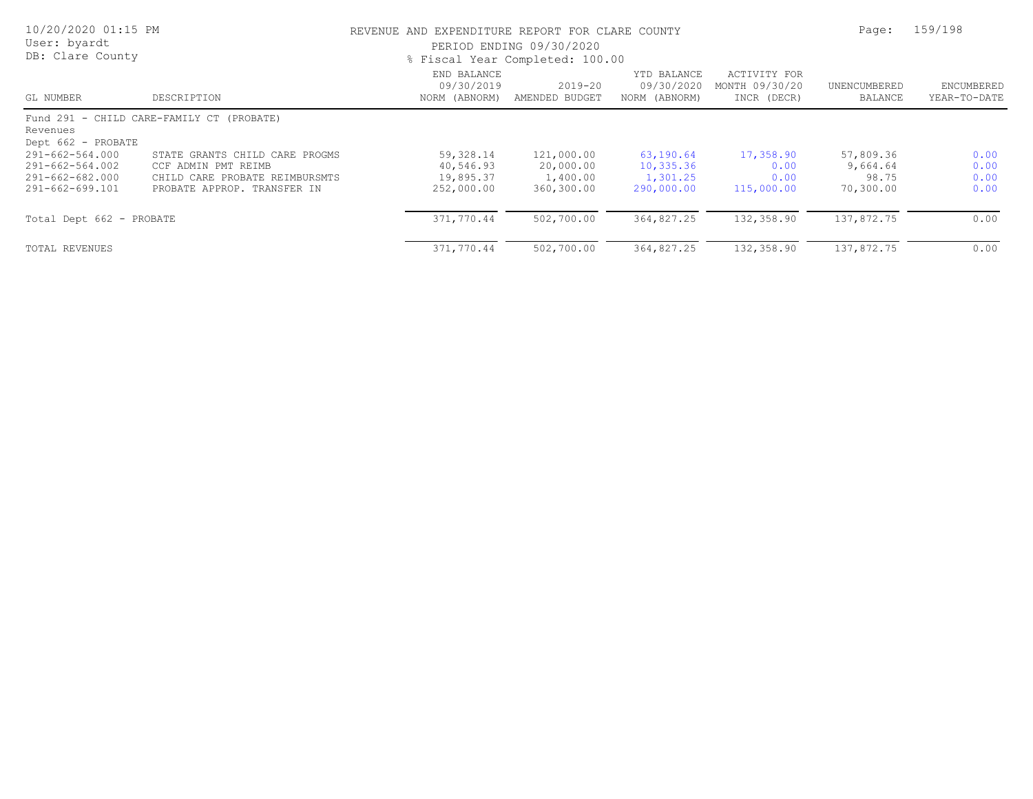| 10/20/2020 01:15 PM<br>User: byardt<br>DB: Clare County                  |                                                                                                                        | REVENUE AND EXPENDITURE REPORT FOR CLARE COUNTY<br>PERIOD ENDING 09/30/2020<br>% Fiscal Year Completed: 100.00 | Page:                                             | 159/198                                           |                                               |                                             |                                   |
|--------------------------------------------------------------------------|------------------------------------------------------------------------------------------------------------------------|----------------------------------------------------------------------------------------------------------------|---------------------------------------------------|---------------------------------------------------|-----------------------------------------------|---------------------------------------------|-----------------------------------|
| GL NUMBER                                                                | DESCRIPTION                                                                                                            | END BALANCE<br>09/30/2019<br>NORM (ABNORM)                                                                     | $2019 - 20$<br>AMENDED BUDGET                     | YTD BALANCE<br>09/30/2020<br>NORM (ABNORM)        | ACTIVITY FOR<br>MONTH 09/30/20<br>INCR (DECR) | UNENCUMBERED<br>BALANCE                     | <b>ENCUMBERED</b><br>YEAR-TO-DATE |
| Revenues<br>Dept 662 - PROBATE                                           | Fund 291 - CHILD CARE-FAMILY CT (PROBATE)                                                                              |                                                                                                                |                                                   |                                                   |                                               |                                             |                                   |
| 291-662-564.000<br>291-662-564.002<br>291-662-682.000<br>291-662-699.101 | STATE GRANTS CHILD CARE PROGMS<br>CCF ADMIN PMT REIMB<br>CHILD CARE PROBATE REIMBURSMTS<br>PROBATE APPROP. TRANSFER IN | 59,328.14<br>40,546.93<br>19,895.37<br>252,000.00                                                              | 121,000.00<br>20,000.00<br>1,400.00<br>360,300.00 | 63, 190.64<br>10,335.36<br>1,301.25<br>290,000.00 | 17,358.90<br>0.00<br>0.00<br>115,000.00       | 57,809.36<br>9,664.64<br>98.75<br>70,300.00 | 0.00<br>0.00<br>0.00<br>0.00      |
| Total Dept 662 - PROBATE                                                 |                                                                                                                        | 371,770.44                                                                                                     | 502,700.00                                        | 364,827.25                                        | 132,358.90                                    | 137,872.75                                  | 0.00                              |
| TOTAL REVENUES                                                           |                                                                                                                        | 371,770.44                                                                                                     | 502,700.00                                        | 364,827.25                                        | 132,358.90                                    | 137,872.75                                  | 0.00                              |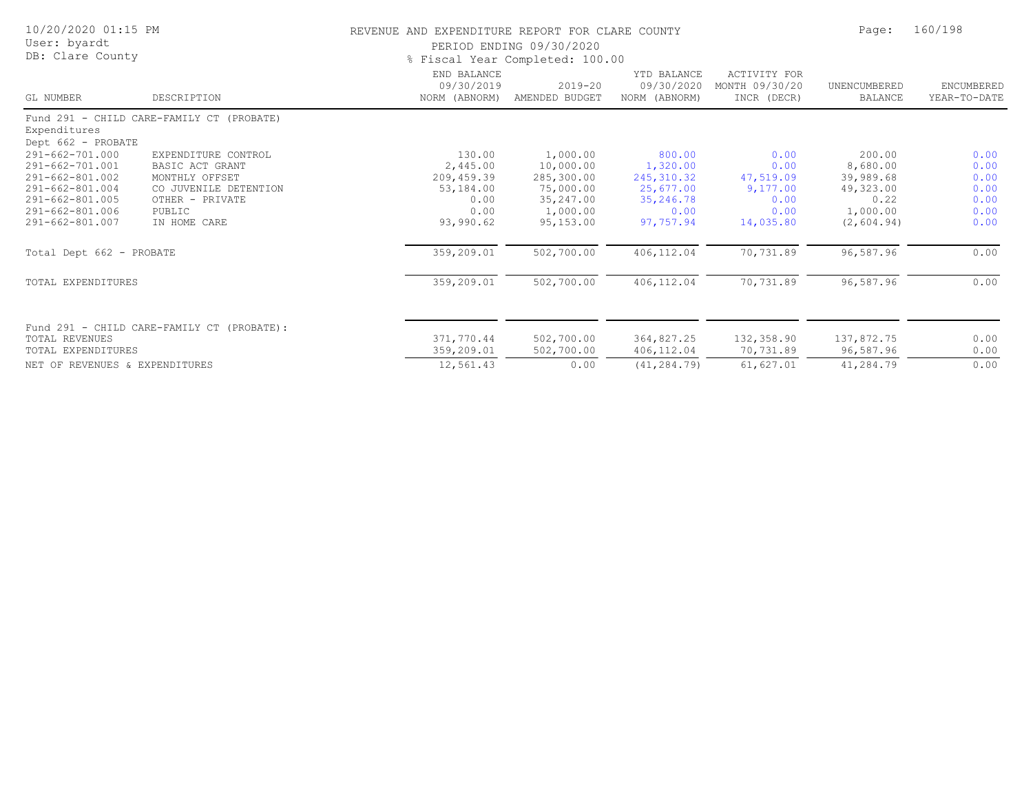| 10/20/2020 01:15 PM<br>User: byardt<br>DB: Clare County |                                            | REVENUE AND EXPENDITURE REPORT FOR CLARE COUNTY<br>PERIOD ENDING 09/30/2020<br>% Fiscal Year Completed: 100.00 | Page:                         | 160/198                                    |                                               |                                |                            |
|---------------------------------------------------------|--------------------------------------------|----------------------------------------------------------------------------------------------------------------|-------------------------------|--------------------------------------------|-----------------------------------------------|--------------------------------|----------------------------|
| GL NUMBER                                               | DESCRIPTION                                | END BALANCE<br>09/30/2019<br>NORM (ABNORM)                                                                     | $2019 - 20$<br>AMENDED BUDGET | YTD BALANCE<br>09/30/2020<br>NORM (ABNORM) | ACTIVITY FOR<br>MONTH 09/30/20<br>INCR (DECR) | UNENCUMBERED<br><b>BALANCE</b> | ENCUMBERED<br>YEAR-TO-DATE |
| Expenditures<br>Dept 662 - PROBATE                      | Fund 291 - CHILD CARE-FAMILY CT (PROBATE)  |                                                                                                                |                               |                                            |                                               |                                |                            |
| 291-662-701.000                                         | EXPENDITURE CONTROL                        | 130.00                                                                                                         | 1,000.00                      | 800.00                                     | 0.00                                          | 200.00                         | 0.00                       |
| 291-662-701.001                                         | BASIC ACT GRANT                            | 2,445.00                                                                                                       | 10,000.00                     | 1,320.00                                   | 0.00                                          | 8,680.00                       | 0.00                       |
| 291-662-801.002                                         | MONTHLY OFFSET                             | 209,459.39                                                                                                     | 285,300.00                    | 245, 310.32                                | 47,519.09                                     | 39,989.68                      | 0.00                       |
| 291-662-801.004                                         | CO JUVENILE DETENTION                      | 53,184.00                                                                                                      | 75,000.00                     | 25,677.00                                  | 9,177.00                                      | 49,323.00                      | 0.00                       |
| 291-662-801.005                                         | OTHER - PRIVATE                            | 0.00                                                                                                           | 35,247.00                     | 35,246.78                                  | 0.00                                          | 0.22                           | 0.00                       |
| 291-662-801.006                                         | PUBLIC                                     | 0.00                                                                                                           | 1,000.00                      | 0.00                                       | 0.00                                          | 1,000.00                       | 0.00                       |
| $291 - 662 - 801.007$                                   | IN HOME CARE                               | 93,990.62                                                                                                      | 95,153.00                     | 97,757.94                                  | 14,035.80                                     | (2, 604.94)                    | 0.00                       |
| Total Dept 662 - PROBATE                                |                                            | 359,209.01                                                                                                     | 502,700.00                    | 406,112.04                                 | 70,731.89                                     | 96,587.96                      | 0.00                       |
| TOTAL EXPENDITURES                                      |                                            | 359,209.01                                                                                                     | 502,700.00                    | 406,112.04                                 | 70,731.89                                     | 96,587.96                      | 0.00                       |
|                                                         | Fund 291 - CHILD CARE-FAMILY CT (PROBATE): |                                                                                                                |                               |                                            |                                               |                                |                            |
| TOTAL REVENUES                                          |                                            | 371,770.44                                                                                                     | 502,700.00                    | 364,827.25                                 | 132,358.90                                    | 137,872.75                     | 0.00                       |
| TOTAL EXPENDITURES                                      |                                            | 359,209.01                                                                                                     | 502,700.00                    | 406,112.04                                 | 70,731.89                                     | 96,587.96                      | 0.00                       |
| NET OF REVENUES & EXPENDITURES                          |                                            | 12,561.43                                                                                                      | 0.00                          | (41, 284, 79)                              | 61,627.01                                     | 41,284.79                      | 0.00                       |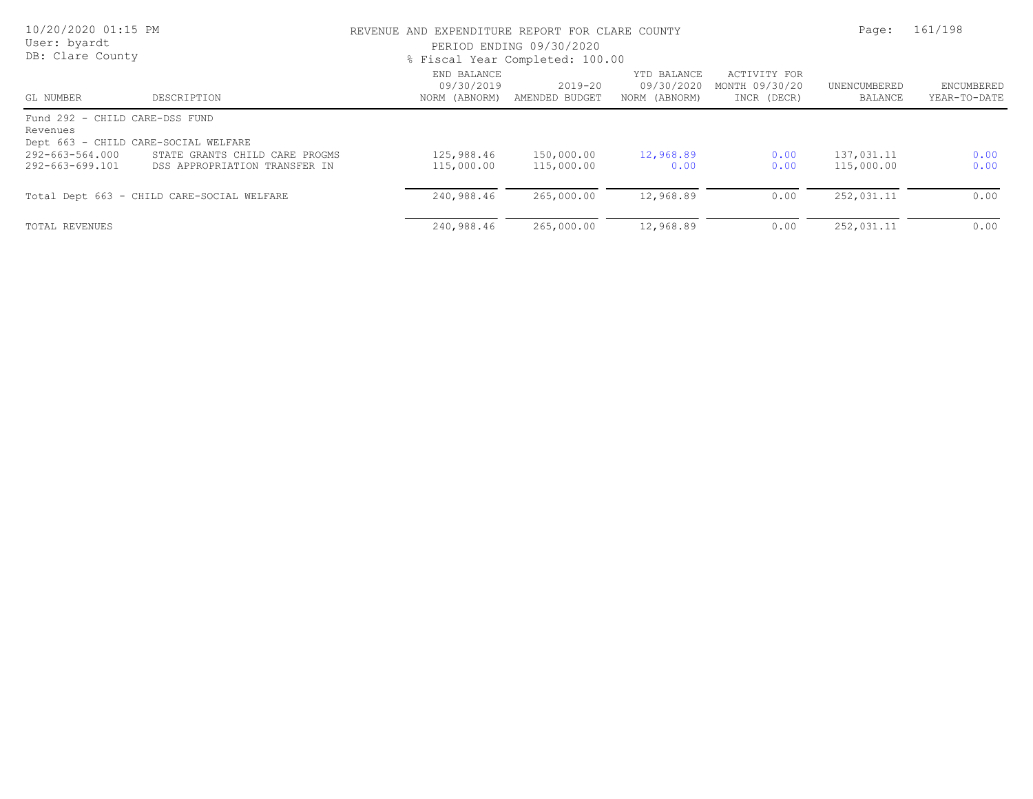| 10/20/2020 01:15 PM<br>User: byardt<br>DB: Clare County                            |                                                                 | REVENUE AND EXPENDITURE REPORT FOR CLARE COUNTY<br>PERIOD ENDING 09/30/2020<br>% Fiscal Year Completed: 100.00 |                               |                                            |                                               |                          | 161/198                    |  |
|------------------------------------------------------------------------------------|-----------------------------------------------------------------|----------------------------------------------------------------------------------------------------------------|-------------------------------|--------------------------------------------|-----------------------------------------------|--------------------------|----------------------------|--|
| GL NUMBER                                                                          | DESCRIPTION                                                     | END BALANCE<br>09/30/2019<br>NORM (ABNORM)                                                                     | $2019 - 20$<br>AMENDED BUDGET | YTD BALANCE<br>09/30/2020<br>NORM (ABNORM) | ACTIVITY FOR<br>MONTH 09/30/20<br>INCR (DECR) | UNENCUMBERED<br>BALANCE  | ENCUMBERED<br>YEAR-TO-DATE |  |
| Fund 292 - CHILD CARE-DSS FUND<br>Revenues<br>Dept 663 - CHILD CARE-SOCIAL WELFARE |                                                                 |                                                                                                                |                               |                                            |                                               |                          |                            |  |
| 292-663-564.000<br>292-663-699.101                                                 | STATE GRANTS CHILD CARE PROGMS<br>DSS APPROPRIATION TRANSFER IN | 125,988.46<br>115,000.00                                                                                       | 150,000.00<br>115,000.00      | 12,968.89<br>0.00                          | 0.00<br>0.00                                  | 137,031.11<br>115,000.00 | 0.00<br>0.00               |  |
|                                                                                    | Total Dept 663 - CHILD CARE-SOCIAL WELFARE                      | 240,988.46                                                                                                     | 265,000.00                    | 12,968.89                                  | 0.00                                          | 252,031.11               | 0.00                       |  |
| TOTAL REVENUES                                                                     |                                                                 | 240,988.46                                                                                                     | 265,000.00                    | 12,968.89                                  | 0.00                                          | 252,031.11               | 0.00                       |  |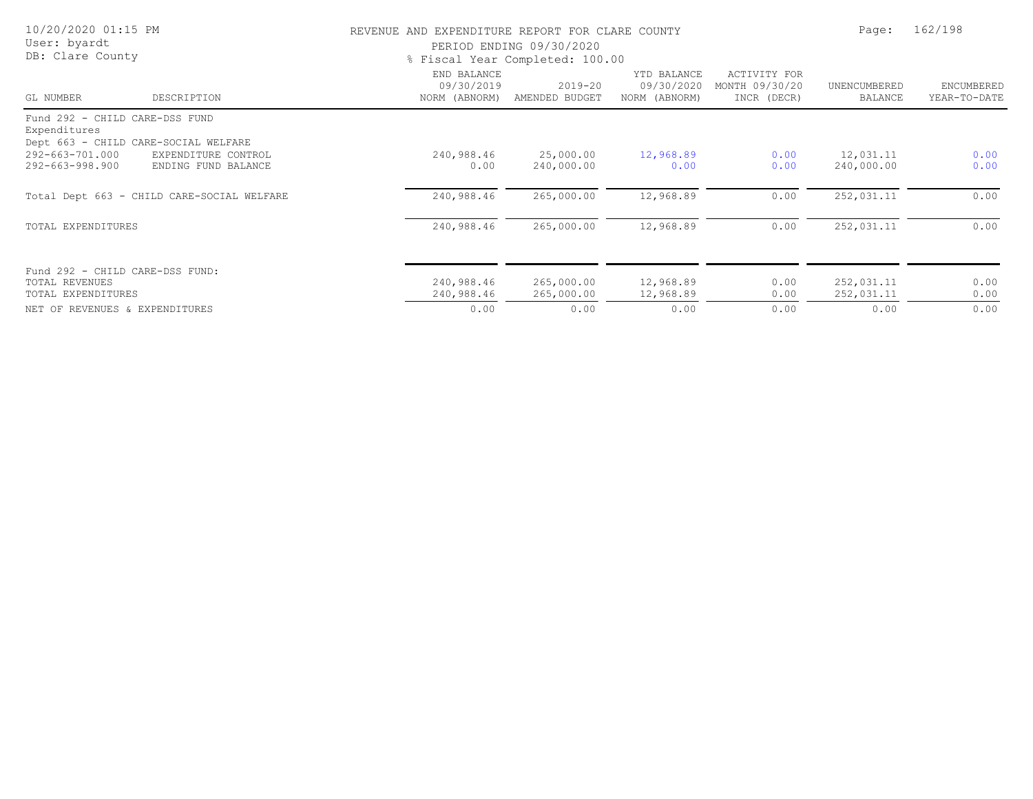| 10/20/2020 01:15 PM<br>User: byardt<br>DB: Clare County                                    |                                            | REVENUE AND EXPENDITURE REPORT FOR CLARE COUNTY | PERIOD ENDING 09/30/2020<br>% Fiscal Year Completed: 100.00 |                                            |                                               | Page:                          | 162/198                    |
|--------------------------------------------------------------------------------------------|--------------------------------------------|-------------------------------------------------|-------------------------------------------------------------|--------------------------------------------|-----------------------------------------------|--------------------------------|----------------------------|
| GL NUMBER                                                                                  | DESCRIPTION                                | END BALANCE<br>09/30/2019<br>NORM (ABNORM)      | 2019-20<br>AMENDED BUDGET                                   | YTD BALANCE<br>09/30/2020<br>NORM (ABNORM) | ACTIVITY FOR<br>MONTH 09/30/20<br>INCR (DECR) | UNENCUMBERED<br><b>BALANCE</b> | ENCUMBERED<br>YEAR-TO-DATE |
| Fund 292 - CHILD CARE-DSS FUND                                                             |                                            |                                                 |                                                             |                                            |                                               |                                |                            |
| Expenditures<br>Dept 663 - CHILD CARE-SOCIAL WELFARE<br>292-663-701.000<br>292-663-998.900 | EXPENDITURE CONTROL<br>ENDING FUND BALANCE | 240,988.46<br>0.00                              | 25,000.00<br>240,000.00                                     | 12,968.89<br>0.00                          | 0.00<br>0.00                                  | 12,031.11<br>240,000.00        | 0.00<br>0.00               |
|                                                                                            | Total Dept 663 - CHILD CARE-SOCIAL WELFARE | 240,988.46                                      | 265,000.00                                                  | 12,968.89                                  | 0.00                                          | 252,031.11                     | 0.00                       |
| TOTAL EXPENDITURES                                                                         |                                            | 240,988.46                                      | 265,000.00                                                  | 12,968.89                                  | 0.00                                          | 252,031.11                     | 0.00                       |
| Fund 292 - CHILD CARE-DSS FUND:<br>TOTAL REVENUES<br>TOTAL EXPENDITURES                    |                                            | 240,988.46<br>240,988.46                        | 265,000.00<br>265,000.00                                    | 12,968.89<br>12,968.89                     | 0.00<br>0.00                                  | 252,031.11<br>252,031.11       | 0.00<br>0.00               |
| NET OF REVENUES & EXPENDITURES                                                             |                                            | 0.00                                            | 0.00                                                        | 0.00                                       | 0.00                                          | 0.00                           | 0.00                       |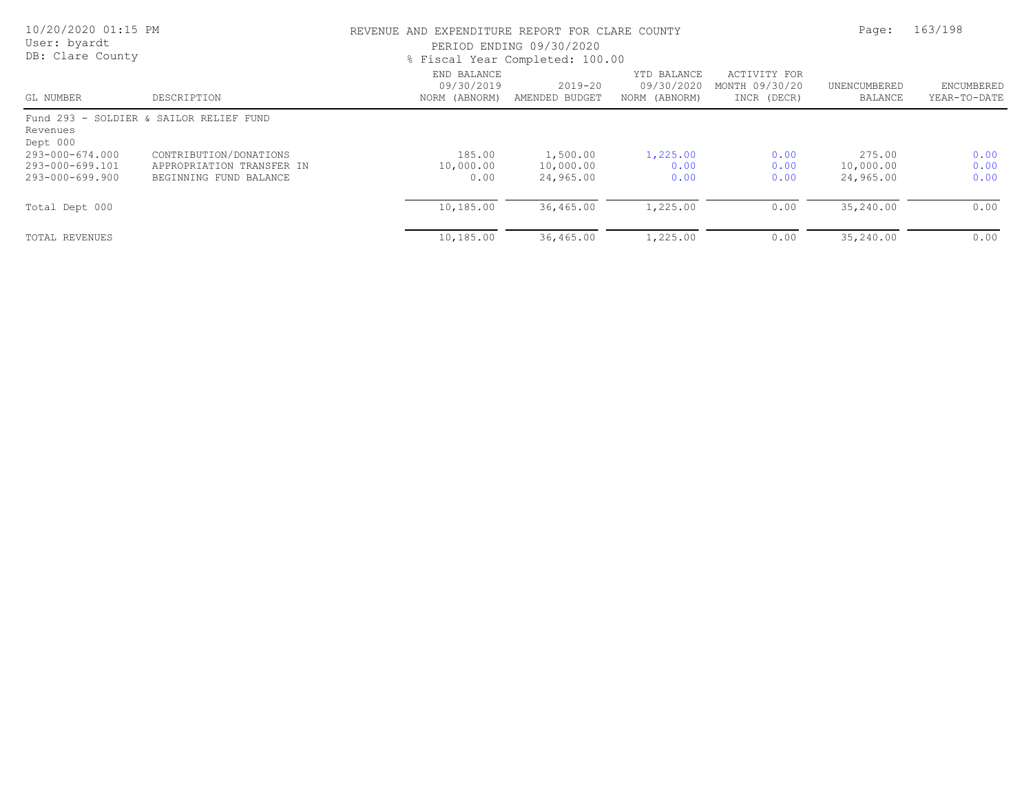| 10/20/2020 01:15 PM<br>User: byardt<br>DB: Clare County |                                                                               |                                            | REVENUE AND EXPENDITURE REPORT FOR CLARE COUNTY<br>PERIOD ENDING 09/30/2020<br>% Fiscal Year Completed: 100.00 |                                            |                                               |                                  |                            |
|---------------------------------------------------------|-------------------------------------------------------------------------------|--------------------------------------------|----------------------------------------------------------------------------------------------------------------|--------------------------------------------|-----------------------------------------------|----------------------------------|----------------------------|
| GL NUMBER                                               | DESCRIPTION                                                                   | END BALANCE<br>09/30/2019<br>NORM (ABNORM) | 2019-20<br>AMENDED BUDGET                                                                                      | YTD BALANCE<br>09/30/2020<br>NORM (ABNORM) | ACTIVITY FOR<br>MONTH 09/30/20<br>INCR (DECR) | UNENCUMBERED<br>BALANCE          | ENCUMBERED<br>YEAR-TO-DATE |
| Revenues<br>Dept 000                                    | Fund 293 - SOLDIER & SAILOR RELIEF FUND                                       |                                            |                                                                                                                |                                            |                                               |                                  |                            |
| 293-000-674.000<br>293-000-699.101<br>293-000-699.900   | CONTRIBUTION/DONATIONS<br>APPROPRIATION TRANSFER IN<br>BEGINNING FUND BALANCE | 185.00<br>10,000.00<br>0.00                | 1,500.00<br>10,000.00<br>24,965.00                                                                             | 1,225.00<br>0.00<br>0.00                   | 0.00<br>0.00<br>0.00                          | 275.00<br>10,000.00<br>24,965.00 | 0.00<br>0.00<br>0.00       |
| Total Dept 000                                          |                                                                               | 10,185.00                                  | 36,465.00                                                                                                      | 1,225.00                                   | 0.00                                          | 35,240.00                        | 0.00                       |
| TOTAL REVENUES                                          |                                                                               | 10,185.00                                  | 36,465.00                                                                                                      | 1,225.00                                   | 0.00                                          | 35,240.00                        | 0.00                       |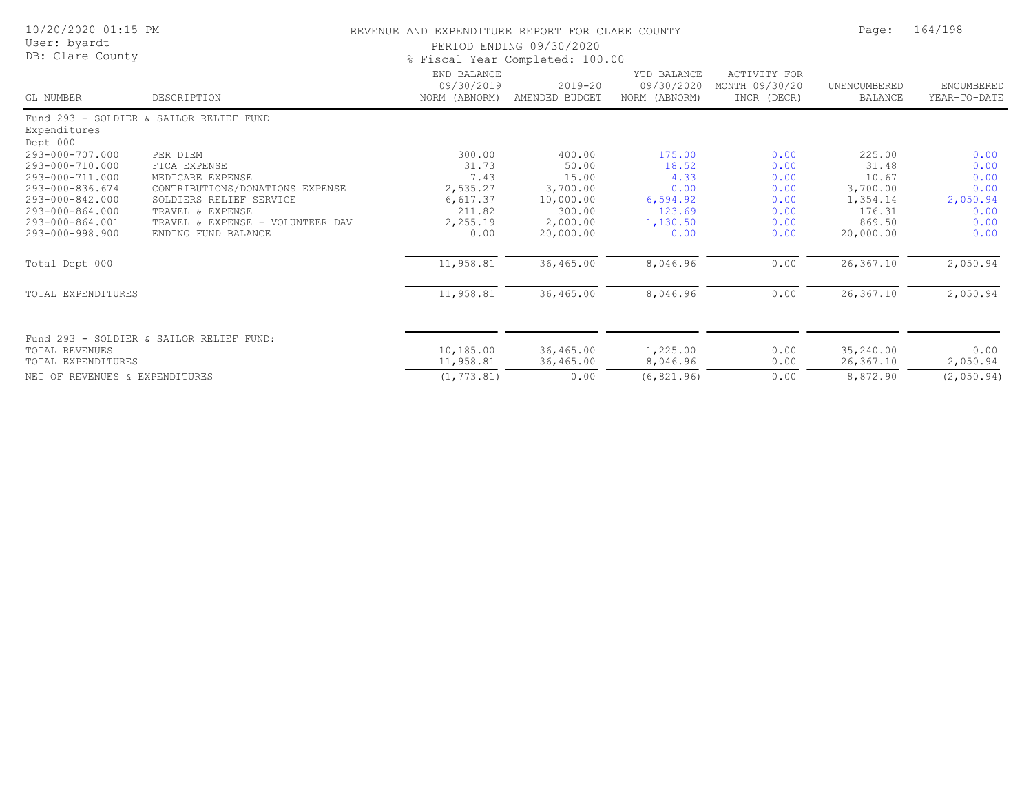| 10/20/2020 01:15 PM<br>User: byardt<br>DB: Clare County |                                          | REVENUE AND EXPENDITURE REPORT FOR CLARE COUNTY<br>PERIOD ENDING 09/30/2020<br>% Fiscal Year Completed: 100.00 | Page:                         | 164/198                                    |                                                      |                                |                                   |
|---------------------------------------------------------|------------------------------------------|----------------------------------------------------------------------------------------------------------------|-------------------------------|--------------------------------------------|------------------------------------------------------|--------------------------------|-----------------------------------|
| GL NUMBER                                               | DESCRIPTION                              | END BALANCE<br>09/30/2019<br>NORM (ABNORM)                                                                     | $2019 - 20$<br>AMENDED BUDGET | YTD BALANCE<br>09/30/2020<br>NORM (ABNORM) | <b>ACTIVITY FOR</b><br>MONTH 09/30/20<br>INCR (DECR) | UNENCUMBERED<br><b>BALANCE</b> | <b>ENCUMBERED</b><br>YEAR-TO-DATE |
| Expenditures<br>Dept 000                                | Fund 293 - SOLDIER & SAILOR RELIEF FUND  |                                                                                                                |                               |                                            |                                                      |                                |                                   |
| 293-000-707.000                                         | PER DIEM                                 | 300.00                                                                                                         | 400.00                        | 175.00                                     | 0.00                                                 | 225.00                         | 0.00                              |
| 293-000-710.000                                         | FICA EXPENSE                             | 31.73                                                                                                          | 50.00                         | 18.52                                      | 0.00                                                 | 31.48                          | 0.00                              |
| 293-000-711.000                                         | MEDICARE EXPENSE                         | 7.43                                                                                                           | 15.00                         | 4.33                                       | 0.00                                                 | 10.67                          | 0.00                              |
| 293-000-836.674                                         | CONTRIBUTIONS/DONATIONS EXPENSE          | 2,535.27                                                                                                       | 3,700.00                      | 0.00                                       | 0.00                                                 | 3,700.00                       | 0.00                              |
| 293-000-842.000                                         | SOLDIERS RELIEF SERVICE                  | 6,617.37                                                                                                       | 10,000.00                     | 6,594.92                                   | 0.00                                                 | 1,354.14                       | 2,050.94                          |
| 293-000-864.000                                         | TRAVEL & EXPENSE                         | 211.82                                                                                                         | 300.00                        | 123.69                                     | 0.00                                                 | 176.31                         | 0.00                              |
| 293-000-864.001                                         | TRAVEL & EXPENSE - VOLUNTEER DAV         | 2,255.19                                                                                                       | 2,000.00                      | 1,130.50                                   | 0.00                                                 | 869.50                         | 0.00                              |
| 293-000-998.900                                         | ENDING FUND BALANCE                      | 0.00                                                                                                           | 20,000.00                     | 0.00                                       | 0.00                                                 | 20,000.00                      | 0.00                              |
| Total Dept 000                                          |                                          | 11,958.81                                                                                                      | 36,465.00                     | 8,046.96                                   | 0.00                                                 | 26,367.10                      | 2,050.94                          |
| TOTAL EXPENDITURES                                      |                                          | 11,958.81                                                                                                      | 36,465.00                     | 8,046.96                                   | 0.00                                                 | 26,367.10                      | 2,050.94                          |
| TOTAL REVENUES<br>TOTAL EXPENDITURES                    | Fund 293 - SOLDIER & SAILOR RELIEF FUND: | 10,185.00<br>11,958.81                                                                                         | 36,465.00                     | 1,225.00<br>8,046.96                       | 0.00<br>0.00                                         | 35,240.00<br>26,367.10         | 0.00                              |
|                                                         |                                          |                                                                                                                | 36,465.00                     |                                            |                                                      |                                | 2,050.94                          |
| NET OF REVENUES & EXPENDITURES                          |                                          | (1, 773.81)                                                                                                    | 0.00                          | (6, 821.96)                                | 0.00                                                 | 8,872.90                       | (2,050.94)                        |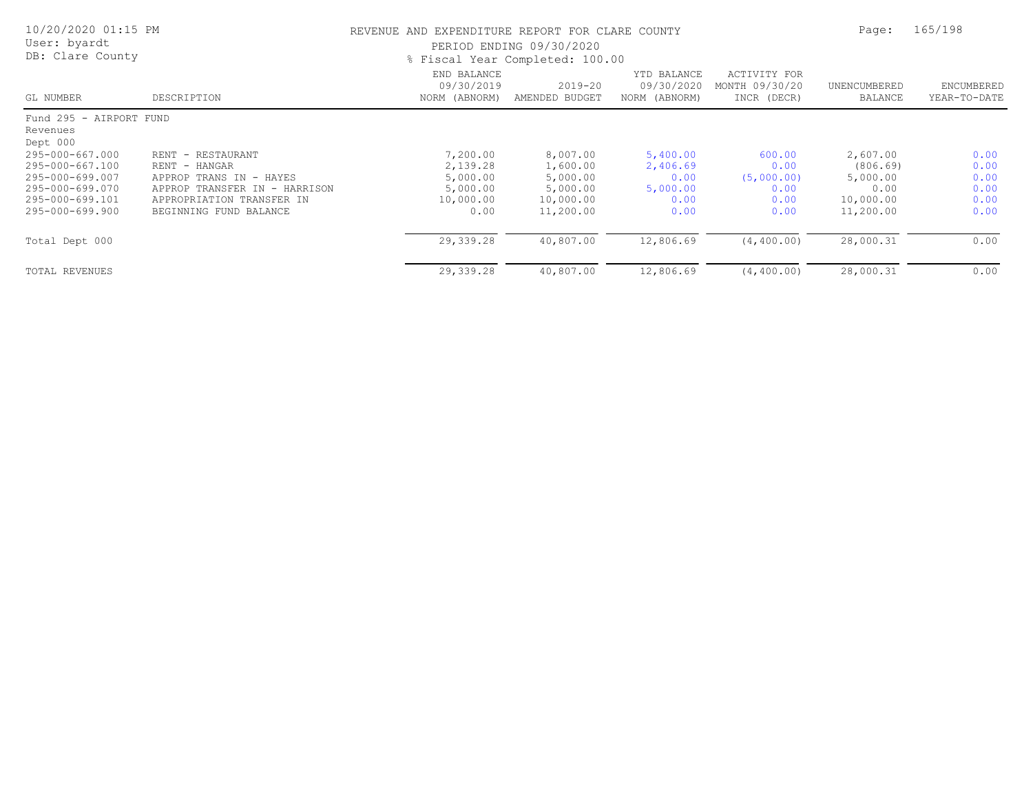| 10/20/2020 01:15 PM<br>User: byardt<br>DB: Clare County |                                  | REVENUE AND EXPENDITURE REPORT FOR CLARE COUNTY<br>PERIOD ENDING 09/30/2020<br>% Fiscal Year Completed: 100.00 | Page:                         | 165/198                                    |                                                      |                         |                            |
|---------------------------------------------------------|----------------------------------|----------------------------------------------------------------------------------------------------------------|-------------------------------|--------------------------------------------|------------------------------------------------------|-------------------------|----------------------------|
| GL NUMBER                                               | DESCRIPTION                      | END BALANCE<br>09/30/2019<br>NORM (ABNORM)                                                                     | $2019 - 20$<br>AMENDED BUDGET | YTD BALANCE<br>09/30/2020<br>NORM (ABNORM) | <b>ACTIVITY FOR</b><br>MONTH 09/30/20<br>INCR (DECR) | UNENCUMBERED<br>BALANCE | ENCUMBERED<br>YEAR-TO-DATE |
| Fund 295 - AIRPORT FUND                                 |                                  |                                                                                                                |                               |                                            |                                                      |                         |                            |
| Revenues                                                |                                  |                                                                                                                |                               |                                            |                                                      |                         |                            |
| Dept 000                                                |                                  |                                                                                                                |                               |                                            |                                                      |                         |                            |
| 295-000-667.000                                         | RENT - RESTAURANT                | 7,200.00                                                                                                       | 8,007.00                      | 5,400.00                                   | 600.00                                               | 2,607.00                | 0.00                       |
| 295-000-667.100                                         | RENT - HANGAR                    | 2,139.28                                                                                                       | 1,600.00                      | 2,406.69                                   | 0.00                                                 | (806.69)                | 0.00                       |
| 295-000-699.007                                         | APPROP TRANS IN - HAYES          | 5,000.00                                                                                                       | 5,000.00                      | 0.00                                       | (5,000.00)                                           | 5,000.00                | 0.00                       |
| 295-000-699.070                                         | APPROP TRANSFER IN<br>- HARRISON | 5,000.00                                                                                                       | 5,000.00                      | 5,000.00                                   | 0.00                                                 | 0.00                    | 0.00                       |
| 295-000-699.101                                         | APPROPRIATION TRANSFER IN        | 10,000.00                                                                                                      | 10,000.00                     | 0.00                                       | 0.00                                                 | 10,000.00               | 0.00                       |
| 295-000-699.900                                         | BEGINNING FUND BALANCE           | 0.00                                                                                                           | 11,200.00                     | 0.00                                       | 0.00                                                 | 11,200.00               | 0.00                       |
| Total Dept 000                                          |                                  | 29,339.28                                                                                                      | 40,807.00                     | 12,806.69                                  | (4, 400, 00)                                         | 28,000.31               | 0.00                       |
| <b>TOTAL REVENUES</b>                                   |                                  | 29,339.28                                                                                                      | 40,807.00                     | 12,806.69                                  | (4, 400, 00)                                         | 28,000.31               | 0.00                       |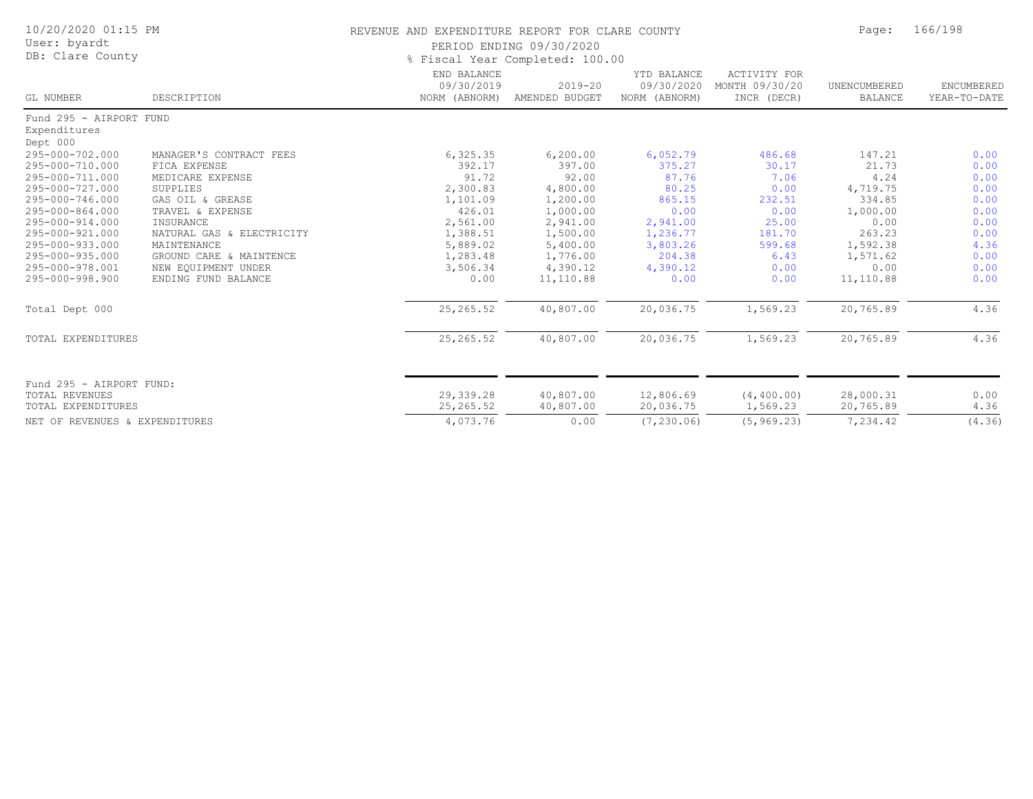| 10/20/2020 01:15 PM<br>User: byardt<br>DB: Clare County |                           | REVENUE AND EXPENDITURE REPORT FOR CLARE COUNTY<br>PERIOD ENDING 09/30/2020<br>% Fiscal Year Completed: 100.00 | Page:                         | 166/198                                    |                                                      |                         |                            |
|---------------------------------------------------------|---------------------------|----------------------------------------------------------------------------------------------------------------|-------------------------------|--------------------------------------------|------------------------------------------------------|-------------------------|----------------------------|
| GL NUMBER                                               | DESCRIPTION               | END BALANCE<br>09/30/2019<br>NORM (ABNORM)                                                                     | $2019 - 20$<br>AMENDED BUDGET | YTD BALANCE<br>09/30/2020<br>NORM (ABNORM) | <b>ACTIVITY FOR</b><br>MONTH 09/30/20<br>INCR (DECR) | UNENCUMBERED<br>BALANCE | ENCUMBERED<br>YEAR-TO-DATE |
| Fund 295 - AIRPORT FUND                                 |                           |                                                                                                                |                               |                                            |                                                      |                         |                            |
| Expenditures                                            |                           |                                                                                                                |                               |                                            |                                                      |                         |                            |
| Dept 000                                                |                           |                                                                                                                |                               |                                            |                                                      |                         |                            |
| 295-000-702.000                                         | MANAGER'S CONTRACT FEES   | 6, 325.35                                                                                                      | 6, 200.00                     | 6,052.79                                   | 486.68                                               | 147.21                  | 0.00                       |
| 295-000-710.000                                         | FICA EXPENSE              | 392.17                                                                                                         | 397.00                        | 375.27                                     | 30.17                                                | 21.73                   | 0.00                       |
| 295-000-711.000                                         | MEDICARE EXPENSE          | 91.72                                                                                                          | 92.00                         | 87.76                                      | 7.06                                                 | 4.24                    | 0.00                       |
| 295-000-727.000                                         | SUPPLIES                  | 2,300.83                                                                                                       | 4,800.00                      | 80.25                                      | 0.00                                                 | 4,719.75                | 0.00                       |
| 295-000-746.000                                         | GAS OIL & GREASE          | 1,101.09                                                                                                       | 1,200.00                      | 865.15                                     | 232.51                                               | 334.85                  | 0.00                       |
| 295-000-864.000                                         | TRAVEL & EXPENSE          | 426.01                                                                                                         | 1,000.00                      | 0.00                                       | 0.00                                                 | 1,000.00                | 0.00                       |
| 295-000-914.000                                         | INSURANCE                 | 2,561.00                                                                                                       | 2,941.00                      | 2,941.00                                   | 25.00                                                | 0.00                    | 0.00                       |
| 295-000-921.000                                         | NATURAL GAS & ELECTRICITY | 1,388.51                                                                                                       | 1,500.00                      | 1,236.77                                   | 181.70                                               | 263.23                  | 0.00                       |
| 295-000-933.000                                         | MAINTENANCE               | 5,889.02                                                                                                       | 5,400.00                      | 3,803.26                                   | 599.68                                               | 1,592.38                | 4.36                       |
| 295-000-935.000                                         | GROUND CARE & MAINTENCE   | 1,283.48                                                                                                       | 1,776.00                      | 204.38                                     | 6.43                                                 | 1,571.62                | 0.00                       |
| 295-000-978.001                                         | NEW EQUIPMENT UNDER       | 3,506.34                                                                                                       | 4,390.12                      | 4,390.12                                   | 0.00                                                 | 0.00                    | 0.00                       |
| 295-000-998.900                                         | ENDING FUND BALANCE       | 0.00                                                                                                           | 11,110.88                     | 0.00                                       | 0.00                                                 | 11,110.88               | 0.00                       |
| Total Dept 000                                          |                           | 25, 265.52                                                                                                     | 40,807.00                     | 20,036.75                                  | 1,569.23                                             | 20,765.89               | 4.36                       |
| TOTAL EXPENDITURES                                      |                           | 25, 265.52                                                                                                     | 40,807.00                     | 20,036.75                                  | 1,569.23                                             | 20,765.89               | 4.36                       |
|                                                         |                           |                                                                                                                |                               |                                            |                                                      |                         |                            |
| Fund 295 - AIRPORT FUND:                                |                           |                                                                                                                |                               |                                            |                                                      |                         |                            |
| TOTAL REVENUES                                          |                           | 29,339.28                                                                                                      | 40,807.00                     | 12,806.69                                  | (4, 400.00)                                          | 28,000.31               | 0.00                       |
| TOTAL EXPENDITURES                                      |                           | 25, 265.52                                                                                                     | 40,807.00                     | 20,036.75                                  | 1,569.23                                             | 20,765.89               | 4.36                       |
| NET OF REVENUES & EXPENDITURES                          |                           | 4,073.76                                                                                                       | 0.00                          | (7, 230, 06)                               | (5, 969.23)                                          | 7,234.42                | (4.36)                     |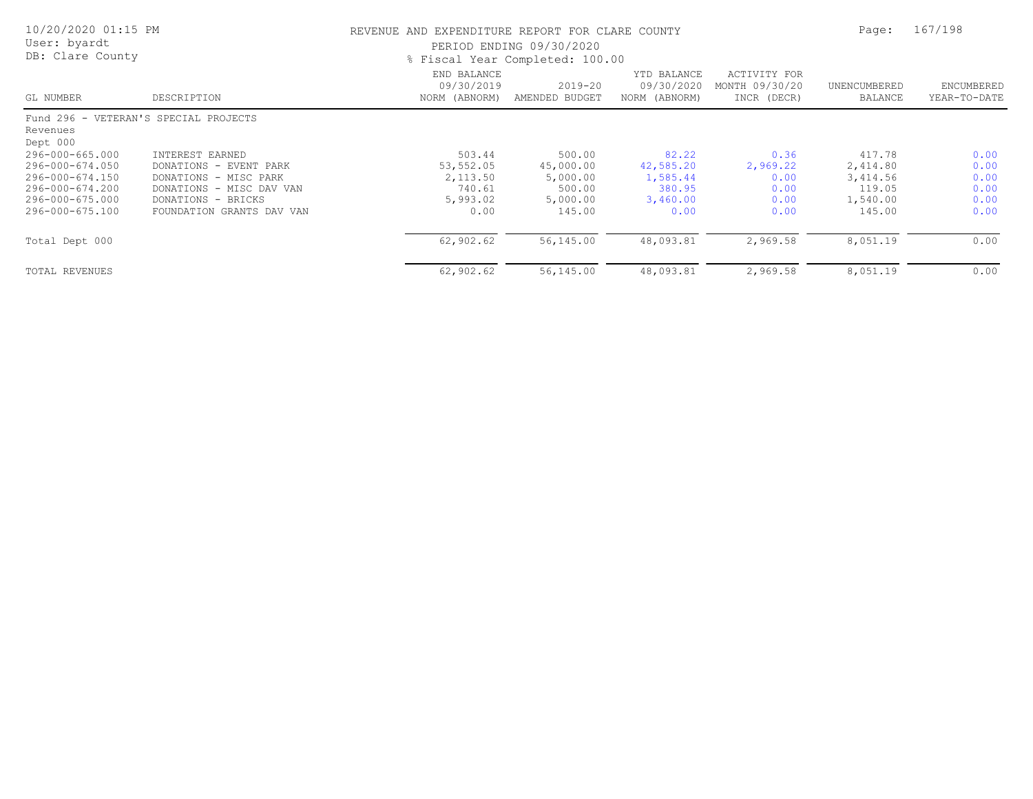| 10/20/2020 01:15 PM<br>User: byardt<br>DB: Clare County |                                       | REVENUE AND EXPENDITURE REPORT FOR CLARE COUNTY<br>PERIOD ENDING 09/30/2020<br>% Fiscal Year Completed: 100.00 | Page:                         | 167/198                                    |                                               |                         |                            |
|---------------------------------------------------------|---------------------------------------|----------------------------------------------------------------------------------------------------------------|-------------------------------|--------------------------------------------|-----------------------------------------------|-------------------------|----------------------------|
| GL NUMBER                                               | DESCRIPTION                           | END BALANCE<br>09/30/2019<br>NORM (ABNORM)                                                                     | $2019 - 20$<br>AMENDED BUDGET | YTD BALANCE<br>09/30/2020<br>NORM (ABNORM) | ACTIVITY FOR<br>MONTH 09/30/20<br>INCR (DECR) | UNENCUMBERED<br>BALANCE | ENCUMBERED<br>YEAR-TO-DATE |
|                                                         | Fund 296 - VETERAN'S SPECIAL PROJECTS |                                                                                                                |                               |                                            |                                               |                         |                            |
| Revenues                                                |                                       |                                                                                                                |                               |                                            |                                               |                         |                            |
| Dept 000                                                |                                       |                                                                                                                |                               |                                            |                                               |                         |                            |
| 296-000-665.000                                         | INTEREST EARNED                       | 503.44                                                                                                         | 500.00                        | 82.22                                      | 0.36                                          | 417.78                  | 0.00                       |
| 296-000-674.050                                         | DONATIONS - EVENT PARK                | 53,552.05                                                                                                      | 45,000.00                     | 42,585.20                                  | 2,969.22                                      | 2,414.80                | 0.00                       |
| 296-000-674.150                                         | DONATIONS - MISC PARK                 | 2,113.50                                                                                                       | 5,000.00                      | 1,585.44                                   | 0.00                                          | 3,414.56                | 0.00                       |
| 296-000-674.200                                         | DONATIONS - MISC DAV VAN              | 740.61                                                                                                         | 500.00                        | 380.95                                     | 0.00                                          | 119.05                  | 0.00                       |
| 296-000-675.000                                         | DONATIONS - BRICKS                    | 5,993.02                                                                                                       | 5,000.00                      | 3,460.00                                   | 0.00                                          | 1,540.00                | 0.00                       |
| 296-000-675.100                                         | FOUNDATION GRANTS DAV VAN             | 0.00                                                                                                           | 145.00                        | 0.00                                       | 0.00                                          | 145.00                  | 0.00                       |
| Total Dept 000                                          |                                       | 62,902.62                                                                                                      | 56,145.00                     | 48,093.81                                  | 2,969.58                                      | 8,051.19                | 0.00                       |
| TOTAL REVENUES                                          |                                       | 62,902.62                                                                                                      | 56,145.00                     | 48,093.81                                  | 2,969.58                                      | 8,051.19                | 0.00                       |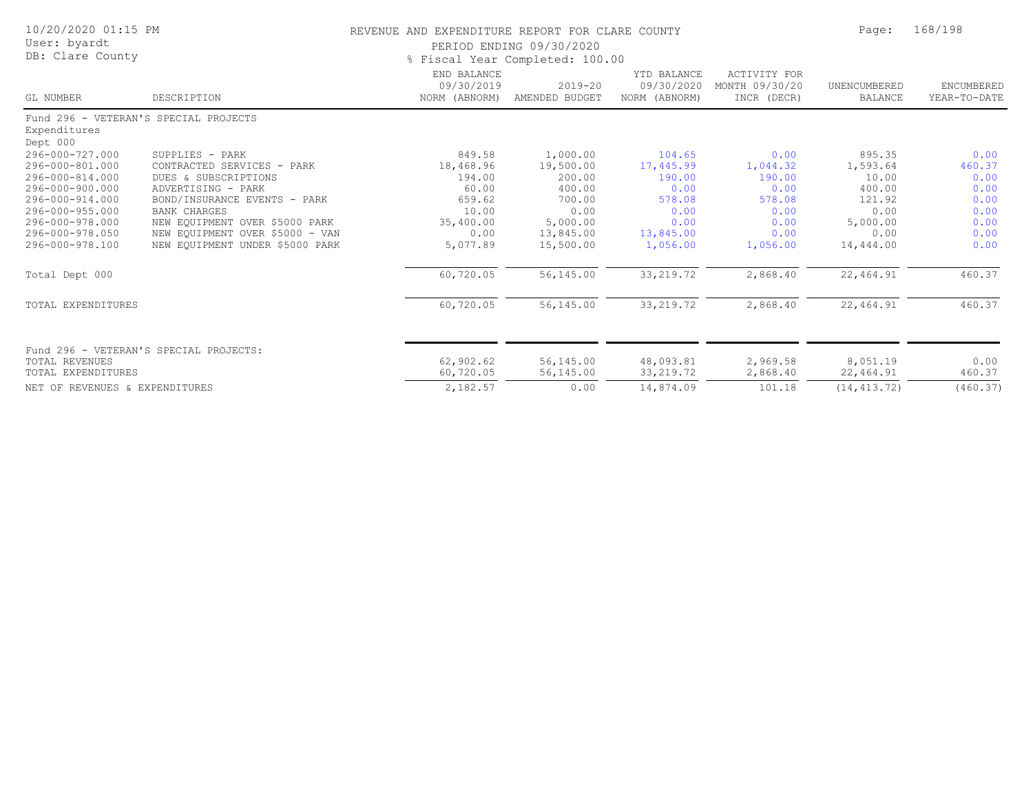| 10/20/2020 01:15 PM<br>User: byardt<br>DB: Clare County |                                        | REVENUE AND EXPENDITURE REPORT FOR CLARE COUNTY | PERIOD ENDING 09/30/2020<br>% Fiscal Year Completed: 100.00 |                                            |                                                      | Page:                   | 168/198                    |  |
|---------------------------------------------------------|----------------------------------------|-------------------------------------------------|-------------------------------------------------------------|--------------------------------------------|------------------------------------------------------|-------------------------|----------------------------|--|
| GL NUMBER                                               | DESCRIPTION                            | END BALANCE<br>09/30/2019<br>NORM (ABNORM)      | $2019 - 20$<br>AMENDED BUDGET                               | YTD BALANCE<br>09/30/2020<br>NORM (ABNORM) | <b>ACTIVITY FOR</b><br>MONTH 09/30/20<br>INCR (DECR) | UNENCUMBERED<br>BALANCE | ENCUMBERED<br>YEAR-TO-DATE |  |
| Fund 296 - VETERAN'S SPECIAL PROJECTS                   |                                        |                                                 |                                                             |                                            |                                                      |                         |                            |  |
| Expenditures<br>Dept 000                                |                                        |                                                 |                                                             |                                            |                                                      |                         |                            |  |
| 296-000-727.000                                         | SUPPLIES - PARK                        | 849.58                                          | 1,000.00                                                    | 104.65                                     | 0.00                                                 | 895.35                  | 0.00                       |  |
| 296-000-801.000                                         | CONTRACTED SERVICES - PARK             | 18,468.96                                       | 19,500.00                                                   | 17,445.99                                  | 1,044.32                                             | 1,593.64                | 460.37                     |  |
| 296-000-814.000                                         | DUES & SUBSCRIPTIONS                   | 194.00                                          | 200.00                                                      | 190.00                                     | 190.00                                               | 10.00                   | 0.00                       |  |
| 296-000-900.000                                         | ADVERTISING - PARK                     | 60.00                                           | 400.00                                                      | 0.00                                       | 0.00                                                 | 400.00                  | 0.00                       |  |
| 296-000-914.000                                         | BOND/INSURANCE EVENTS - PARK           | 659.62                                          | 700.00                                                      | 578.08                                     | 578.08                                               | 121.92                  | 0.00                       |  |
| 296-000-955.000                                         | <b>BANK CHARGES</b>                    | 10.00                                           | 0.00                                                        | 0.00                                       | 0.00                                                 | 0.00                    | 0.00                       |  |
| 296-000-978.000                                         | NEW EQUIPMENT OVER \$5000 PARK         | 35,400.00                                       | 5,000.00                                                    | 0.00                                       | 0.00                                                 | 5,000.00                | 0.00                       |  |
| 296-000-978.050                                         | NEW EQUIPMENT OVER \$5000 - VAN        | 0.00                                            | 13,845.00                                                   | 13,845.00                                  | 0.00                                                 | 0.00                    | 0.00                       |  |
| 296-000-978.100                                         | NEW EQUIPMENT UNDER \$5000 PARK        | 5,077.89                                        | 15,500.00                                                   | 1,056.00                                   | 1,056.00                                             | 14,444.00               | 0.00                       |  |
| Total Dept 000                                          |                                        | 60,720.05                                       | 56,145.00                                                   | 33, 219.72                                 | 2,868.40                                             | 22,464.91               | 460.37                     |  |
| TOTAL EXPENDITURES                                      |                                        | 60,720.05                                       | 56,145.00                                                   | 33, 219.72                                 | 2,868.40                                             | 22,464.91               | 460.37                     |  |
|                                                         | Fund 296 - VETERAN'S SPECIAL PROJECTS: |                                                 |                                                             |                                            |                                                      |                         |                            |  |
| <b>TOTAL REVENUES</b>                                   |                                        | 62,902.62                                       | 56,145.00                                                   | 48,093.81                                  | 2,969.58                                             | 8,051.19                | 0.00                       |  |
| TOTAL EXPENDITURES                                      |                                        | 60,720.05                                       | 56,145.00                                                   | 33, 219.72                                 | 2,868.40                                             | 22,464.91               | 460.37                     |  |
| NET OF REVENUES & EXPENDITURES                          |                                        | 2,182.57                                        | 0.00                                                        | 14,874.09                                  | 101.18                                               | (14, 413, 72)           | (460.37)                   |  |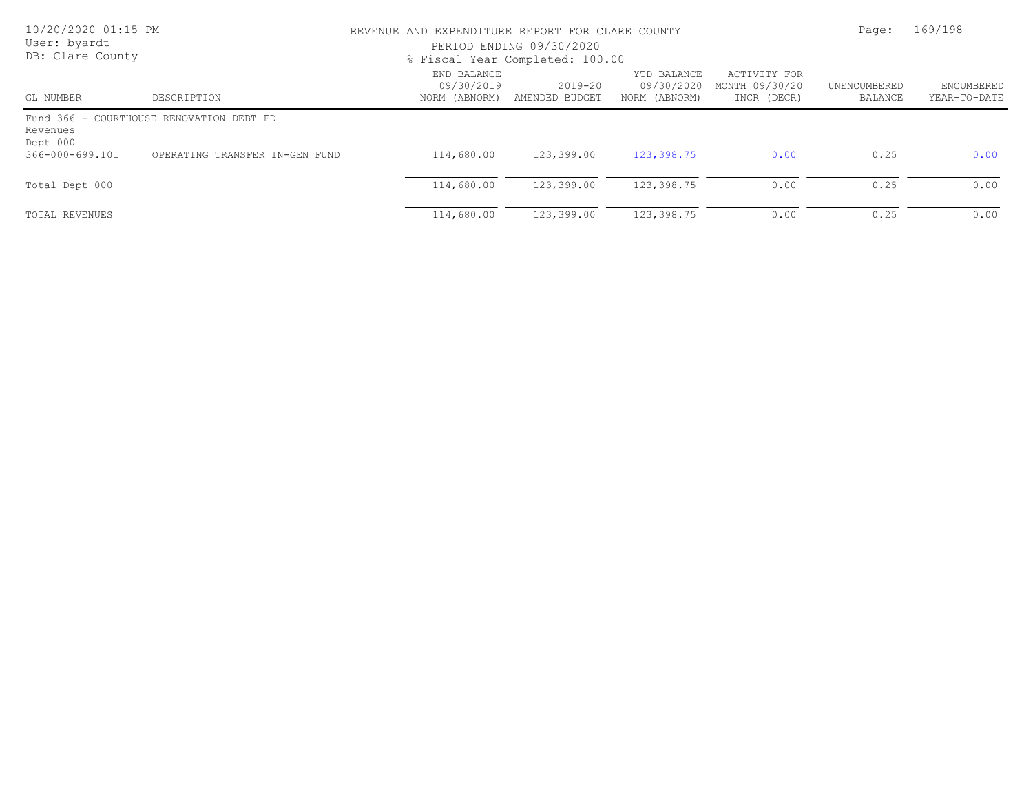| 10/20/2020 01:15 PM<br>User: byardt<br>DB: Clare County |                                          | REVENUE AND EXPENDITURE REPORT FOR CLARE COUNTY<br>PERIOD ENDING 09/30/2020<br>% Fiscal Year Completed: 100.00 |                               |                                            |                                               |                         | 169/198                           |
|---------------------------------------------------------|------------------------------------------|----------------------------------------------------------------------------------------------------------------|-------------------------------|--------------------------------------------|-----------------------------------------------|-------------------------|-----------------------------------|
| GL NUMBER                                               | DESCRIPTION                              | END BALANCE<br>09/30/2019<br>NORM (ABNORM)                                                                     | $2019 - 20$<br>AMENDED BUDGET | YTD BALANCE<br>09/30/2020<br>NORM (ABNORM) | ACTIVITY FOR<br>MONTH 09/30/20<br>INCR (DECR) | UNENCUMBERED<br>BALANCE | <b>ENCUMBERED</b><br>YEAR-TO-DATE |
| Revenues<br>Dept 000                                    | Fund 366 - COURTHOUSE RENOVATION DEBT FD |                                                                                                                |                               |                                            |                                               |                         |                                   |
| 366-000-699.101                                         | OPERATING TRANSFER IN-GEN FUND           | 114,680.00                                                                                                     | 123,399.00                    | 123,398.75                                 | 0.00                                          | 0.25                    | 0.00                              |
| Total Dept 000                                          |                                          | 114,680.00                                                                                                     | 123,399.00                    | 123,398.75                                 | 0.00                                          | 0.25                    | 0.00                              |
| TOTAL REVENUES                                          |                                          | 114,680.00                                                                                                     | 123,399.00                    | 123,398.75                                 | 0.00                                          | 0.25                    | 0.00                              |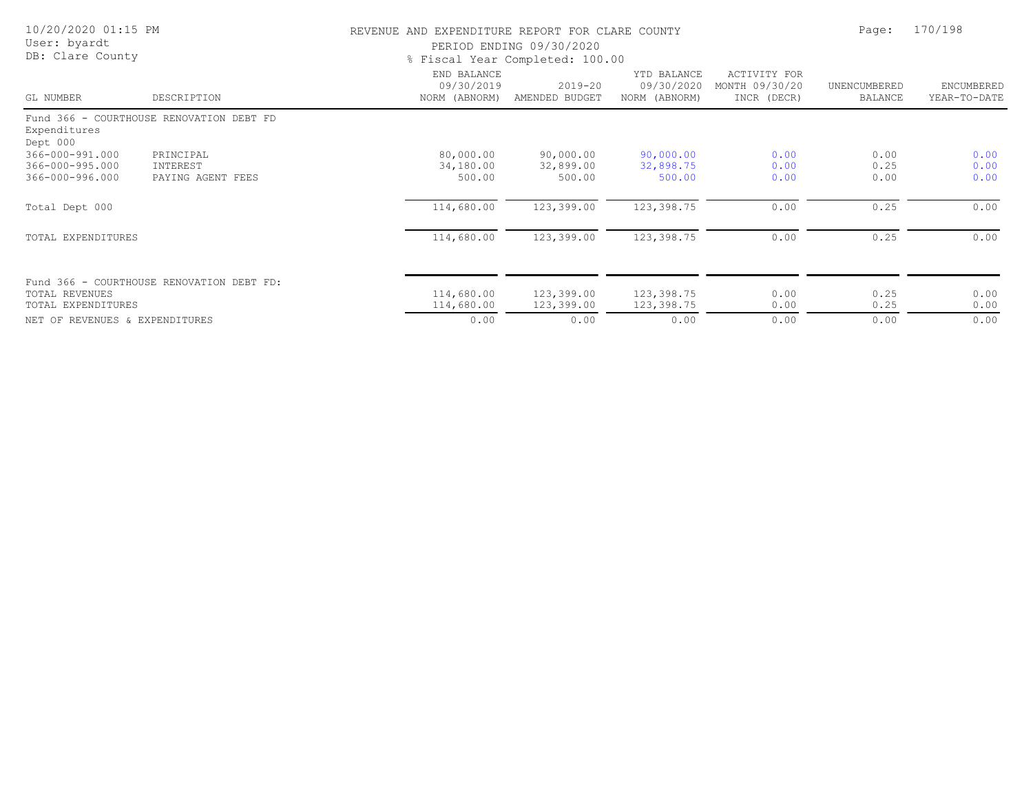| 10/20/2020 01:15 PM<br>User: byardt<br>DB: Clare County |                                            |                                            | REVENUE AND EXPENDITURE REPORT FOR CLARE COUNTY<br>PERIOD ENDING 09/30/2020<br>% Fiscal Year Completed: 100.00 |                                            |                                               |                                |                                   |
|---------------------------------------------------------|--------------------------------------------|--------------------------------------------|----------------------------------------------------------------------------------------------------------------|--------------------------------------------|-----------------------------------------------|--------------------------------|-----------------------------------|
| GL NUMBER                                               | DESCRIPTION                                | END BALANCE<br>09/30/2019<br>NORM (ABNORM) | $2019 - 20$<br>AMENDED BUDGET                                                                                  | YTD BALANCE<br>09/30/2020<br>NORM (ABNORM) | ACTIVITY FOR<br>MONTH 09/30/20<br>INCR (DECR) | UNENCUMBERED<br><b>BALANCE</b> | <b>ENCUMBERED</b><br>YEAR-TO-DATE |
| Expenditures<br>Dept 000                                | Fund 366 - COURTHOUSE RENOVATION DEBT FD   |                                            |                                                                                                                |                                            |                                               |                                |                                   |
| 366-000-991.000<br>366-000-995.000<br>366-000-996.000   | PRINCIPAL<br>INTEREST<br>PAYING AGENT FEES | 80,000.00<br>34,180.00<br>500.00           | 90,000.00<br>32,899.00<br>500.00                                                                               | 90,000.00<br>32,898.75<br>500.00           | 0.00<br>0.00<br>0.00                          | 0.00<br>0.25<br>0.00           | 0.00<br>0.00<br>0.00              |
| Total Dept 000                                          |                                            | 114,680.00                                 | 123,399.00                                                                                                     | 123,398.75                                 | 0.00                                          | 0.25                           | 0.00                              |
| TOTAL EXPENDITURES                                      |                                            | 114,680.00                                 | 123,399.00                                                                                                     | 123,398.75                                 | 0.00                                          | 0.25                           | 0.00                              |
| <b>TOTAL REVENUES</b><br>TOTAL EXPENDITURES             | Fund 366 - COURTHOUSE RENOVATION DEBT FD:  | 114,680.00<br>114,680.00                   | 123,399.00<br>123,399.00                                                                                       | 123,398.75<br>123,398.75                   | 0.00<br>0.00                                  | 0.25<br>0.25                   | 0.00<br>0.00                      |
| NET OF REVENUES & EXPENDITURES                          |                                            | 0.00                                       | 0.00                                                                                                           | 0.00                                       | 0.00                                          | 0.00                           | 0.00                              |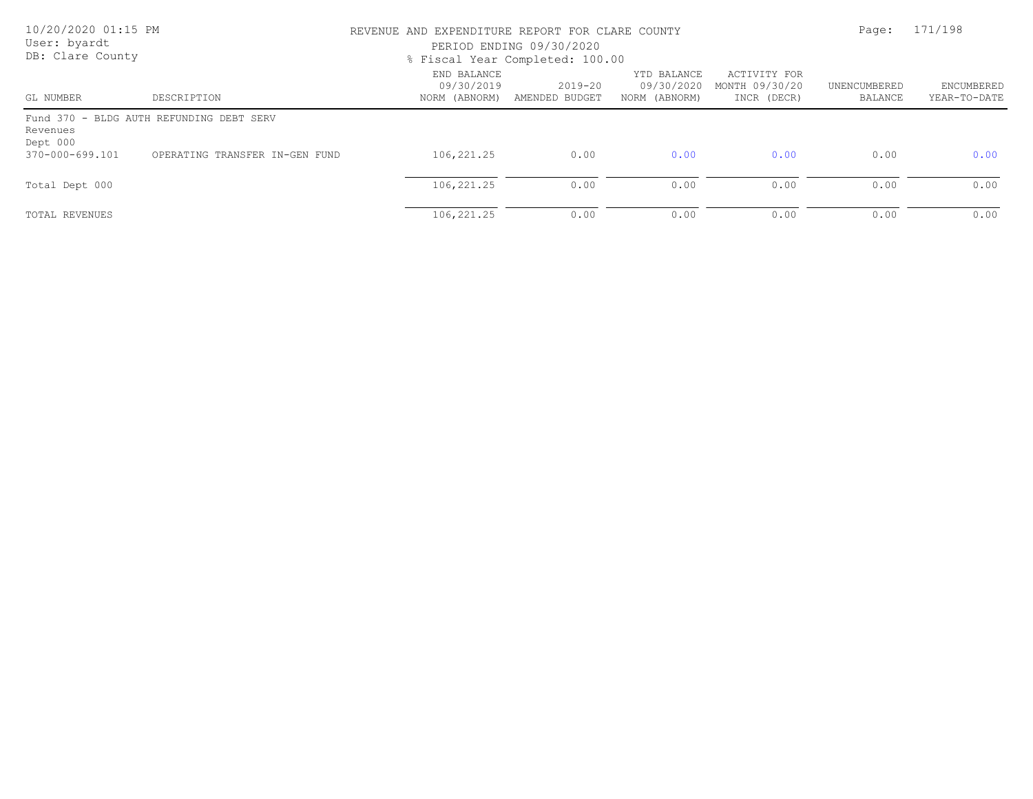| 10/20/2020 01:15 PM<br>User: byardt<br>DB: Clare County |                                          | REVENUE AND EXPENDITURE REPORT FOR CLARE COUNTY<br>PERIOD ENDING 09/30/2020<br>% Fiscal Year Completed: 100.00 |                               |                                            |                                               |                         | 171/198                    |  |
|---------------------------------------------------------|------------------------------------------|----------------------------------------------------------------------------------------------------------------|-------------------------------|--------------------------------------------|-----------------------------------------------|-------------------------|----------------------------|--|
| GL NUMBER                                               | DESCRIPTION                              | END BALANCE<br>09/30/2019<br>NORM (ABNORM)                                                                     | $2019 - 20$<br>AMENDED BUDGET | YTD BALANCE<br>09/30/2020<br>NORM (ABNORM) | ACTIVITY FOR<br>MONTH 09/30/20<br>INCR (DECR) | UNENCUMBERED<br>BALANCE | ENCUMBERED<br>YEAR-TO-DATE |  |
| Revenues<br>Dept 000                                    | Fund 370 - BLDG AUTH REFUNDING DEBT SERV |                                                                                                                |                               |                                            |                                               |                         |                            |  |
| 370-000-699.101                                         | OPERATING TRANSFER IN-GEN FUND           | 106,221.25                                                                                                     | 0.00                          | 0.00                                       | 0.00                                          | 0.00                    | 0.00                       |  |
| Total Dept 000                                          |                                          | 106,221.25                                                                                                     | 0.00                          | 0.00                                       | 0.00                                          | 0.00                    | 0.00                       |  |
| TOTAL REVENUES                                          |                                          | 106,221.25                                                                                                     | 0.00                          | 0.00                                       | 0.00                                          | 0.00                    | 0.00                       |  |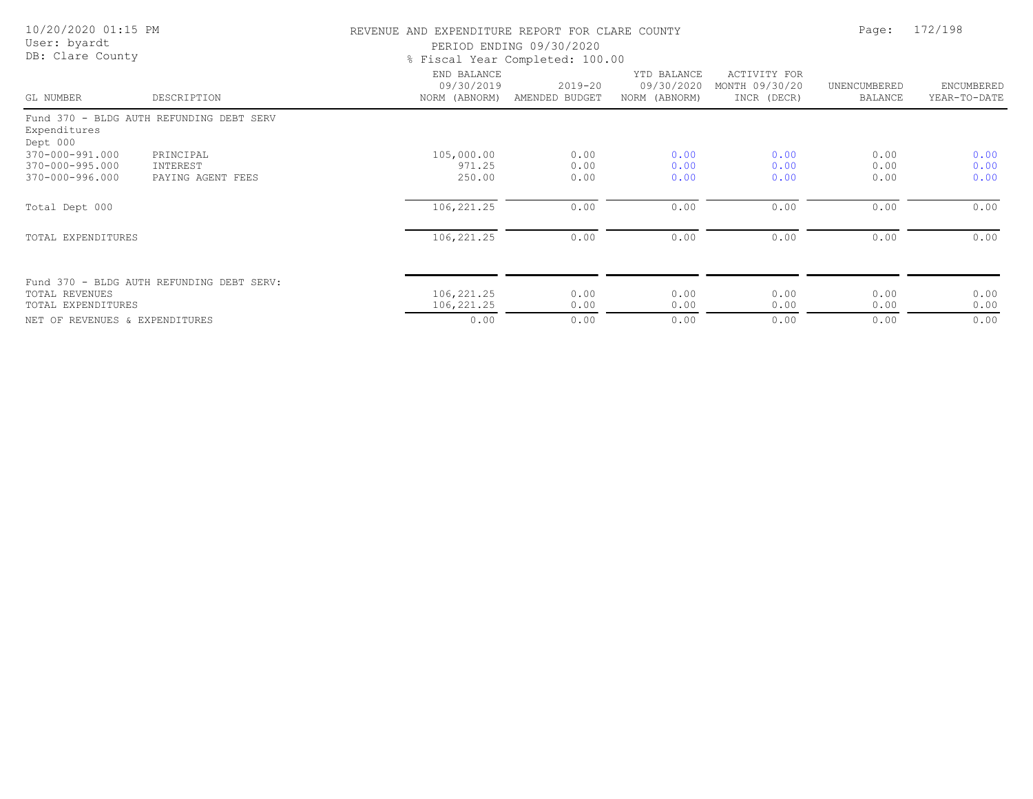| 10/20/2020 01:15 PM<br>User: byardt<br>DB: Clare County |                                            | REVENUE AND EXPENDITURE REPORT FOR CLARE COUNTY<br>PERIOD ENDING 09/30/2020<br>% Fiscal Year Completed: 100.00 | Page:                     | 172/198                                    |                                               |                         |                            |
|---------------------------------------------------------|--------------------------------------------|----------------------------------------------------------------------------------------------------------------|---------------------------|--------------------------------------------|-----------------------------------------------|-------------------------|----------------------------|
| GL NUMBER                                               | DESCRIPTION                                | END BALANCE<br>09/30/2019<br>NORM (ABNORM)                                                                     | 2019-20<br>AMENDED BUDGET | YTD BALANCE<br>09/30/2020<br>NORM (ABNORM) | ACTIVITY FOR<br>MONTH 09/30/20<br>INCR (DECR) | UNENCUMBERED<br>BALANCE | ENCUMBERED<br>YEAR-TO-DATE |
| Expenditures<br>Dept 000                                | Fund 370 - BLDG AUTH REFUNDING DEBT SERV   |                                                                                                                |                           |                                            |                                               |                         |                            |
| 370-000-991.000<br>370-000-995.000<br>370-000-996.000   | PRINCIPAL<br>INTEREST<br>PAYING AGENT FEES | 105,000.00<br>971.25<br>250.00                                                                                 | 0.00<br>0.00<br>0.00      | 0.00<br>0.00<br>0.00                       | 0.00<br>0.00<br>0.00                          | 0.00<br>0.00<br>0.00    | 0.00<br>0.00<br>0.00       |
| Total Dept 000                                          |                                            | 106,221.25                                                                                                     | 0.00                      | 0.00                                       | 0.00                                          | 0.00                    | 0.00                       |
| TOTAL EXPENDITURES                                      |                                            | 106,221.25                                                                                                     | 0.00                      | 0.00                                       | 0.00                                          | 0.00                    | 0.00                       |
| TOTAL REVENUES<br>TOTAL EXPENDITURES                    | Fund 370 - BLDG AUTH REFUNDING DEBT SERV:  | 106,221.25<br>106,221.25                                                                                       | 0.00<br>0.00              | 0.00<br>0.00                               | 0.00<br>0.00                                  | 0.00<br>0.00            | 0.00<br>0.00               |
| NET OF REVENUES & EXPENDITURES                          |                                            | 0.00                                                                                                           | 0.00                      | 0.00                                       | 0.00                                          | 0.00                    | 0.00                       |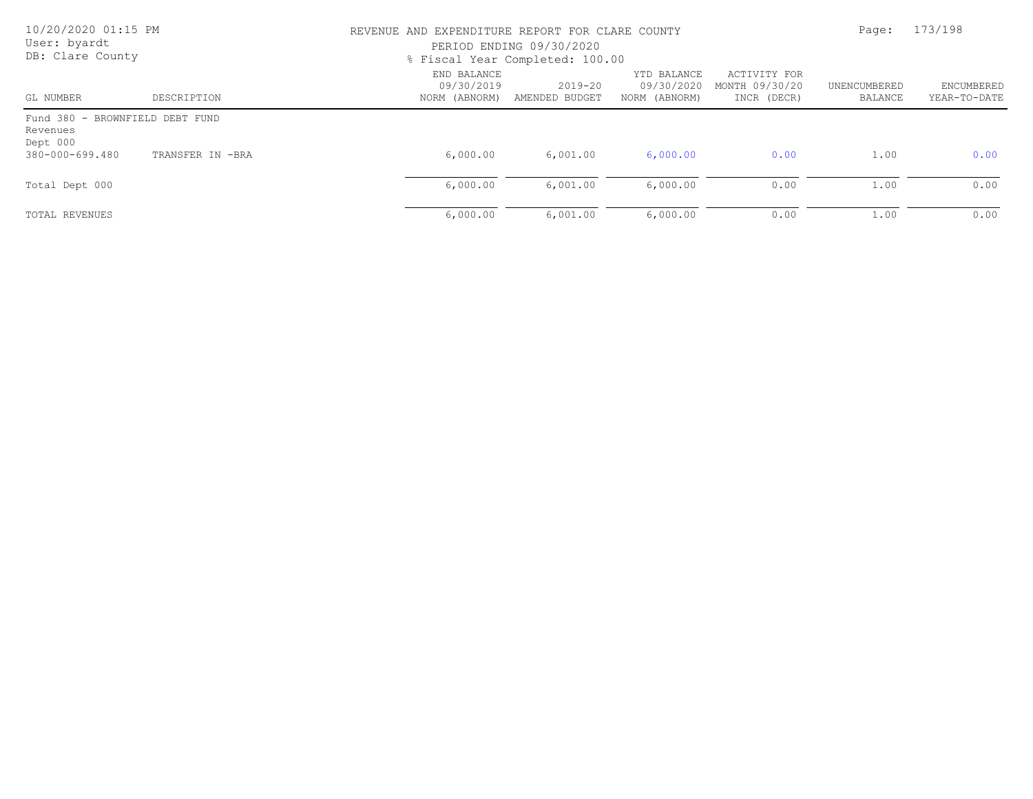| 10/20/2020 01:15 PM<br>User: byardt<br>DB: Clare County |                  | REVENUE AND EXPENDITURE REPORT FOR CLARE COUNTY<br>PERIOD ENDING 09/30/2020<br>% Fiscal Year Completed: 100.00 |                               |                                            |                                               |                         | 173/198                    |
|---------------------------------------------------------|------------------|----------------------------------------------------------------------------------------------------------------|-------------------------------|--------------------------------------------|-----------------------------------------------|-------------------------|----------------------------|
| GL NUMBER                                               | DESCRIPTION      | END BALANCE<br>09/30/2019<br>NORM (ABNORM)                                                                     | $2019 - 20$<br>AMENDED BUDGET | YTD BALANCE<br>09/30/2020<br>NORM (ABNORM) | ACTIVITY FOR<br>MONTH 09/30/20<br>INCR (DECR) | UNENCUMBERED<br>BALANCE | ENCUMBERED<br>YEAR-TO-DATE |
| Fund 380 - BROWNFIELD DEBT FUND<br>Revenues<br>Dept 000 |                  |                                                                                                                |                               |                                            |                                               |                         |                            |
| 380-000-699.480                                         | TRANSFER IN -BRA | 6,000.00                                                                                                       | 6,001.00                      | 6,000.00                                   | 0.00                                          | 1.00                    | 0.00                       |
| Total Dept 000                                          |                  | 6,000.00                                                                                                       | 6,001.00                      | 6,000.00                                   | 0.00                                          | 1.00                    | 0.00                       |
| TOTAL REVENUES                                          |                  | 6,000.00                                                                                                       | 6,001.00                      | 6,000.00                                   | 0.00                                          | 1.00                    | 0.00                       |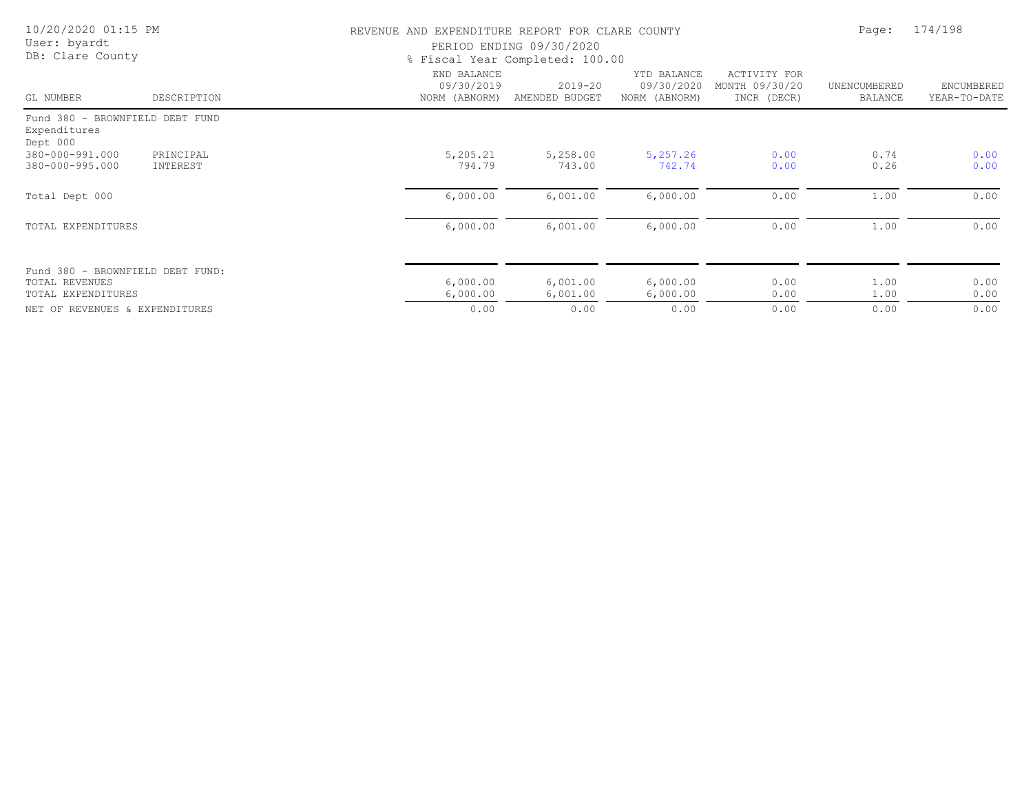| 10/20/2020 01:15 PM<br>User: byardt<br>DB: Clare County                  |                       |                                            | REVENUE AND EXPENDITURE REPORT FOR CLARE COUNTY<br>PERIOD ENDING 09/30/2020<br>% Fiscal Year Completed: 100.00 |                                            |                                               |                                |                            |
|--------------------------------------------------------------------------|-----------------------|--------------------------------------------|----------------------------------------------------------------------------------------------------------------|--------------------------------------------|-----------------------------------------------|--------------------------------|----------------------------|
| GL NUMBER                                                                | DESCRIPTION           | END BALANCE<br>09/30/2019<br>NORM (ABNORM) | 2019-20<br>AMENDED BUDGET                                                                                      | YTD BALANCE<br>09/30/2020<br>NORM (ABNORM) | ACTIVITY FOR<br>MONTH 09/30/20<br>INCR (DECR) | UNENCUMBERED<br><b>BALANCE</b> | ENCUMBERED<br>YEAR-TO-DATE |
| Fund 380 - BROWNFIELD DEBT FUND<br>Expenditures<br>Dept 000              |                       |                                            |                                                                                                                |                                            |                                               |                                |                            |
| 380-000-991.000<br>380-000-995.000                                       | PRINCIPAL<br>INTEREST | 5,205.21<br>794.79                         | 5,258.00<br>743.00                                                                                             | 5,257.26<br>742.74                         | 0.00<br>0.00                                  | 0.74<br>0.26                   | 0.00<br>0.00               |
| Total Dept 000                                                           |                       | 6,000.00                                   | 6,001.00                                                                                                       | 6,000.00                                   | 0.00                                          | 1.00                           | 0.00                       |
| TOTAL EXPENDITURES                                                       |                       | 6,000.00                                   | 6,001.00                                                                                                       | 6,000.00                                   | 0.00                                          | 1.00                           | 0.00                       |
| Fund 380 - BROWNFIELD DEBT FUND:<br>TOTAL REVENUES<br>TOTAL EXPENDITURES |                       | 6,000.00<br>6,000.00                       | 6,001.00<br>6,001.00                                                                                           | 6,000.00<br>6,000.00                       | 0.00<br>0.00                                  | 1.00<br>1.00                   | 0.00<br>0.00               |
| NET OF REVENUES & EXPENDITURES                                           |                       | 0.00                                       | 0.00                                                                                                           | 0.00                                       | 0.00                                          | 0.00                           | 0.00                       |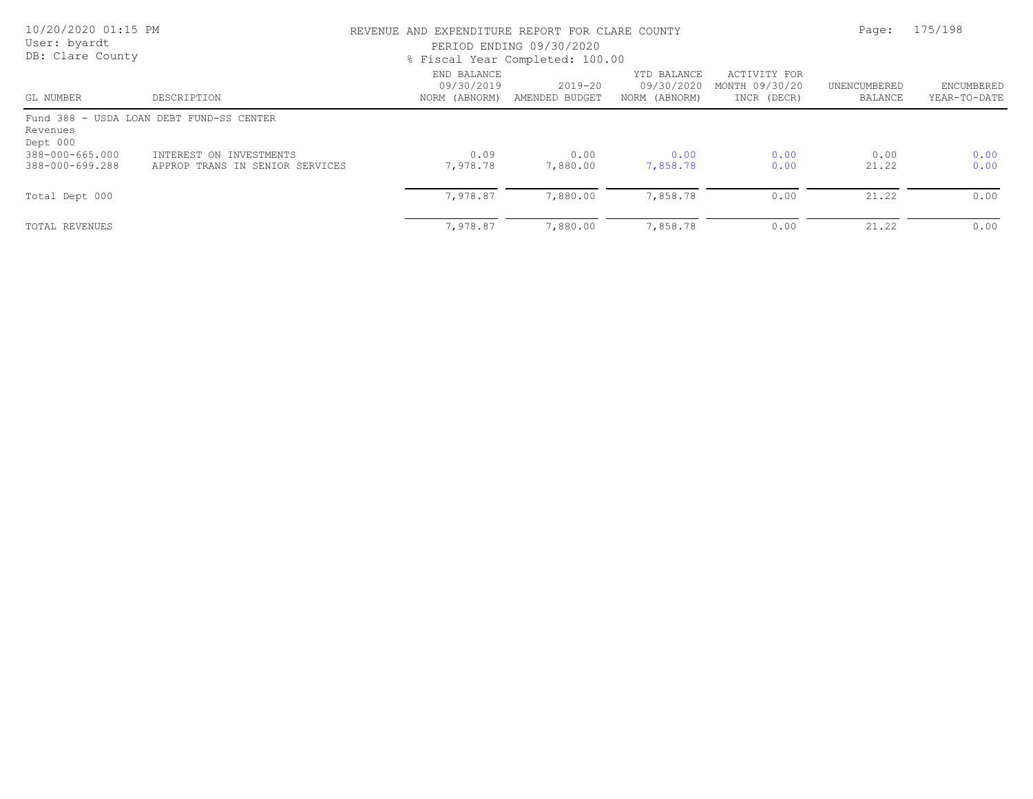| 10/20/2020 01:15 PM<br>User: byardt<br>DB: Clare County |                                                            | REVENUE AND EXPENDITURE REPORT FOR CLARE COUNTY<br>PERIOD ENDING 09/30/2020<br>% Fiscal Year Completed: 100.00 |                           |                                            |                                               |                         | 175/198                    |  |
|---------------------------------------------------------|------------------------------------------------------------|----------------------------------------------------------------------------------------------------------------|---------------------------|--------------------------------------------|-----------------------------------------------|-------------------------|----------------------------|--|
| GL NUMBER                                               | DESCRIPTION                                                | END BALANCE<br>09/30/2019<br>NORM (ABNORM)                                                                     | 2019-20<br>AMENDED BUDGET | YTD BALANCE<br>09/30/2020<br>NORM (ABNORM) | ACTIVITY FOR<br>MONTH 09/30/20<br>INCR (DECR) | UNENCUMBERED<br>BALANCE | ENCUMBERED<br>YEAR-TO-DATE |  |
| Revenues<br>Dept 000                                    | Fund 388 - USDA LOAN DEBT FUND-SS CENTER                   |                                                                                                                |                           |                                            |                                               |                         |                            |  |
| 388-000-665.000<br>388-000-699.288                      | INTEREST ON INVESTMENTS<br>APPROP TRANS IN SENIOR SERVICES | 0.09<br>7,978.78                                                                                               | 0.00<br>7,880.00          | 0.00<br>7,858.78                           | 0.00<br>0.00                                  | 0.00<br>21.22           | 0.00<br>0.00               |  |
| Total Dept 000                                          |                                                            | 7,978.87                                                                                                       | 7,880.00                  | 7,858.78                                   | 0.00                                          | 21.22                   | 0.00                       |  |
| TOTAL REVENUES                                          |                                                            | 7,978.87                                                                                                       | 7,880.00                  | 7,858.78                                   | 0.00                                          | 21.22                   | 0.00                       |  |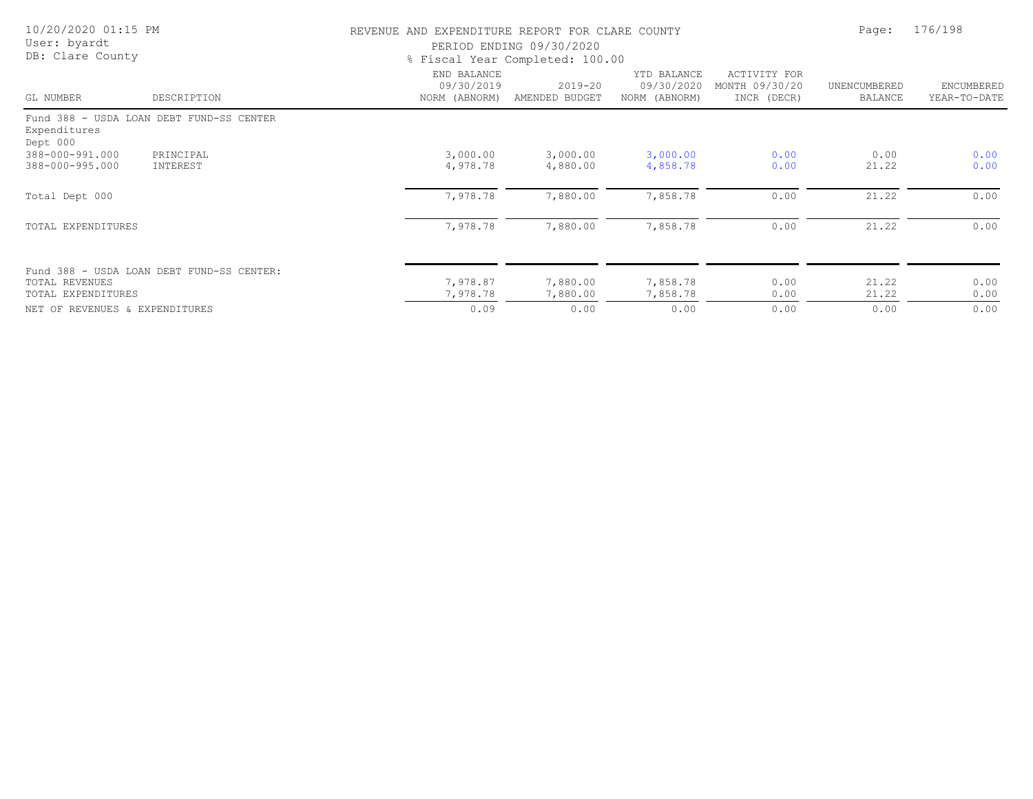| 10/20/2020 01:15 PM<br>User: byardt |                                           | REVENUE AND EXPENDITURE REPORT FOR CLARE COUNTY | PERIOD ENDING 09/30/2020        |                                            |                                               | Page:                   | 176/198                    |  |
|-------------------------------------|-------------------------------------------|-------------------------------------------------|---------------------------------|--------------------------------------------|-----------------------------------------------|-------------------------|----------------------------|--|
| DB: Clare County                    |                                           |                                                 | % Fiscal Year Completed: 100.00 |                                            |                                               |                         |                            |  |
| GL NUMBER                           | DESCRIPTION                               | END BALANCE<br>09/30/2019<br>NORM (ABNORM)      | $2019 - 20$<br>AMENDED BUDGET   | YTD BALANCE<br>09/30/2020<br>NORM (ABNORM) | ACTIVITY FOR<br>MONTH 09/30/20<br>INCR (DECR) | UNENCUMBERED<br>BALANCE | ENCUMBERED<br>YEAR-TO-DATE |  |
|                                     | Fund 388 - USDA LOAN DEBT FUND-SS CENTER  |                                                 |                                 |                                            |                                               |                         |                            |  |
| Expenditures<br>Dept 000            |                                           |                                                 |                                 |                                            |                                               |                         |                            |  |
| 388-000-991.000                     | PRINCIPAL                                 | 3,000.00                                        | 3,000.00                        | 3,000.00                                   | 0.00                                          | 0.00                    | 0.00                       |  |
| 388-000-995.000                     | INTEREST                                  | 4,978.78                                        | 4,880.00                        | 4,858.78                                   | 0.00                                          | 21.22                   | 0.00                       |  |
| Total Dept 000                      |                                           | 7,978.78                                        | 7,880.00                        | 7,858.78                                   | 0.00                                          | 21.22                   | 0.00                       |  |
| TOTAL EXPENDITURES                  |                                           | 7,978.78                                        | 7,880.00                        | 7,858.78                                   | 0.00                                          | 21.22                   | 0.00                       |  |
|                                     | Fund 388 - USDA LOAN DEBT FUND-SS CENTER: |                                                 |                                 |                                            |                                               |                         |                            |  |
| TOTAL REVENUES                      |                                           | 7,978.87                                        | 7,880.00                        | 7,858.78                                   | 0.00                                          | 21.22                   | 0.00                       |  |
| TOTAL EXPENDITURES                  |                                           | 7,978.78                                        | 7,880.00                        | 7,858.78                                   | 0.00                                          | 21.22                   | 0.00                       |  |
| NET OF REVENUES & EXPENDITURES      |                                           | 0.09                                            | 0.00                            | 0.00                                       | 0.00                                          | 0.00                    | 0.00                       |  |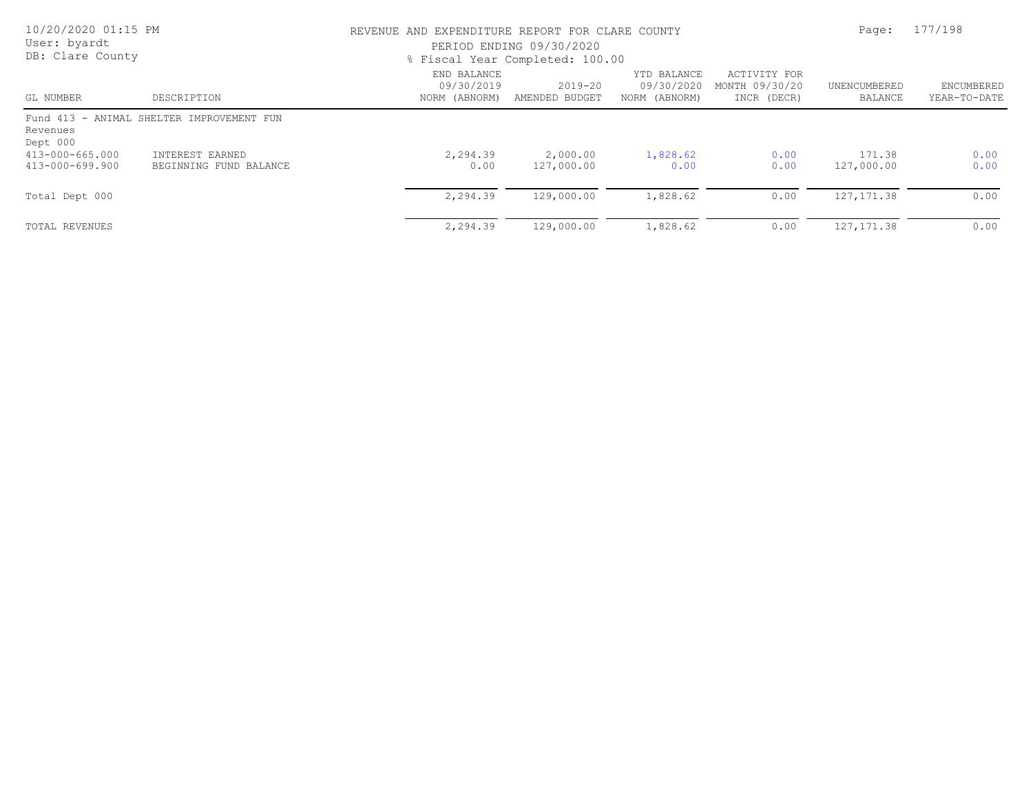| 10/20/2020 01:15 PM<br>User: byardt<br>DB: Clare County |                                           | REVENUE AND EXPENDITURE REPORT FOR CLARE COUNTY<br>PERIOD ENDING 09/30/2020<br>% Fiscal Year Completed: 100.00 | Page:                     | 177/198                                    |                                               |                         |                            |
|---------------------------------------------------------|-------------------------------------------|----------------------------------------------------------------------------------------------------------------|---------------------------|--------------------------------------------|-----------------------------------------------|-------------------------|----------------------------|
| GL NUMBER                                               | DESCRIPTION                               | END BALANCE<br>09/30/2019<br>NORM (ABNORM)                                                                     | 2019-20<br>AMENDED BUDGET | YTD BALANCE<br>09/30/2020<br>NORM (ABNORM) | ACTIVITY FOR<br>MONTH 09/30/20<br>INCR (DECR) | UNENCUMBERED<br>BALANCE | ENCUMBERED<br>YEAR-TO-DATE |
| Revenues<br>Dept 000                                    | Fund 413 - ANIMAL SHELTER IMPROVEMENT FUN |                                                                                                                |                           |                                            |                                               |                         |                            |
| 413-000-665.000<br>413-000-699.900                      | INTEREST EARNED<br>BEGINNING FUND BALANCE | 2,294.39<br>0.00                                                                                               | 2,000.00<br>127,000.00    | 1,828.62<br>0.00                           | 0.00<br>0.00                                  | 171.38<br>127,000.00    | 0.00<br>0.00               |
| Total Dept 000                                          |                                           | 2,294.39                                                                                                       | 129,000.00                | 1,828.62                                   | 0.00                                          | 127, 171.38             | 0.00                       |
| TOTAL REVENUES                                          |                                           | 2,294.39                                                                                                       | 129,000.00                | 1,828.62                                   | 0.00                                          | 127, 171.38             | 0.00                       |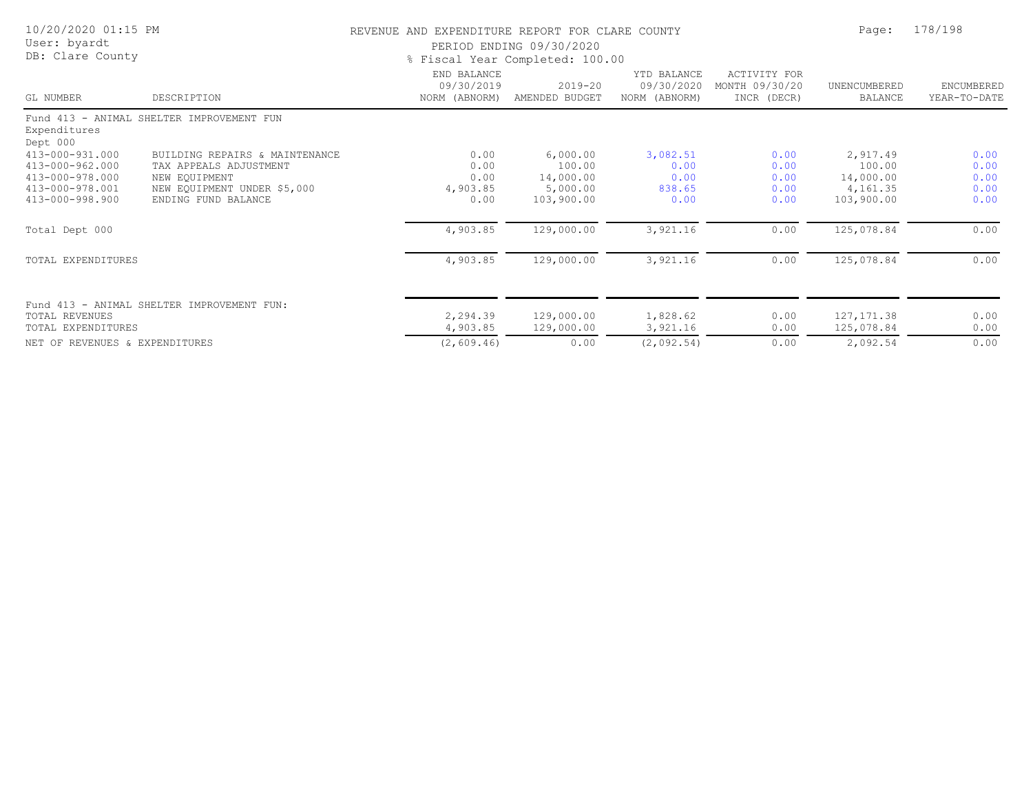| 10/20/2020 01:15 PM<br>User: byardt<br>DB: Clare County                  |                                                                           | REVENUE AND EXPENDITURE REPORT FOR CLARE COUNTY | PERIOD ENDING 09/30/2020<br>% Fiscal Year Completed: 100.00 |                                            |                                               | Page:                           | 178/198                    |
|--------------------------------------------------------------------------|---------------------------------------------------------------------------|-------------------------------------------------|-------------------------------------------------------------|--------------------------------------------|-----------------------------------------------|---------------------------------|----------------------------|
| GL NUMBER                                                                | DESCRIPTION                                                               | END BALANCE<br>09/30/2019<br>NORM (ABNORM)      | $2019 - 20$<br>AMENDED BUDGET                               | YTD BALANCE<br>09/30/2020<br>NORM (ABNORM) | ACTIVITY FOR<br>MONTH 09/30/20<br>INCR (DECR) | UNENCUMBERED<br>BALANCE         | ENCUMBERED<br>YEAR-TO-DATE |
| Expenditures<br>Dept 000                                                 | Fund 413 - ANIMAL SHELTER IMPROVEMENT FUN                                 |                                                 |                                                             |                                            |                                               |                                 |                            |
| 413-000-931.000<br>413-000-962.000<br>413-000-978.000<br>413-000-978.001 | BUILDING REPAIRS & MAINTENANCE<br>TAX APPEALS ADJUSTMENT<br>NEW EQUIPMENT | 0.00<br>0.00<br>0.00                            | 6,000.00<br>100.00<br>14,000.00                             | 3,082.51<br>0.00<br>0.00                   | 0.00<br>0.00<br>0.00                          | 2,917.49<br>100.00<br>14,000.00 | 0.00<br>0.00<br>0.00       |
| 413-000-998.900                                                          | NEW EQUIPMENT UNDER \$5,000<br>ENDING FUND BALANCE                        | 4,903.85<br>0.00                                | 5,000.00<br>103,900.00                                      | 838.65<br>0.00                             | 0.00<br>0.00                                  | 4,161.35<br>103,900.00          | 0.00<br>0.00               |
| Total Dept 000                                                           |                                                                           | 4,903.85                                        | 129,000.00                                                  | 3,921.16                                   | 0.00                                          | 125,078.84                      | 0.00                       |
| TOTAL EXPENDITURES                                                       |                                                                           | 4,903.85                                        | 129,000.00                                                  | 3,921.16                                   | 0.00                                          | 125,078.84                      | 0.00                       |
| TOTAL REVENUES                                                           | Fund 413 - ANIMAL SHELTER IMPROVEMENT FUN:                                | 2,294.39                                        | 129,000.00                                                  | 1,828.62                                   | 0.00                                          | 127, 171.38                     | 0.00                       |
| TOTAL EXPENDITURES                                                       |                                                                           | 4,903.85                                        | 129,000.00                                                  | 3,921.16                                   | 0.00                                          | 125,078.84                      | 0.00                       |
| NET OF REVENUES & EXPENDITURES                                           |                                                                           | (2, 609.46)                                     | 0.00                                                        | (2,092.54)                                 | 0.00                                          | 2,092.54                        | 0.00                       |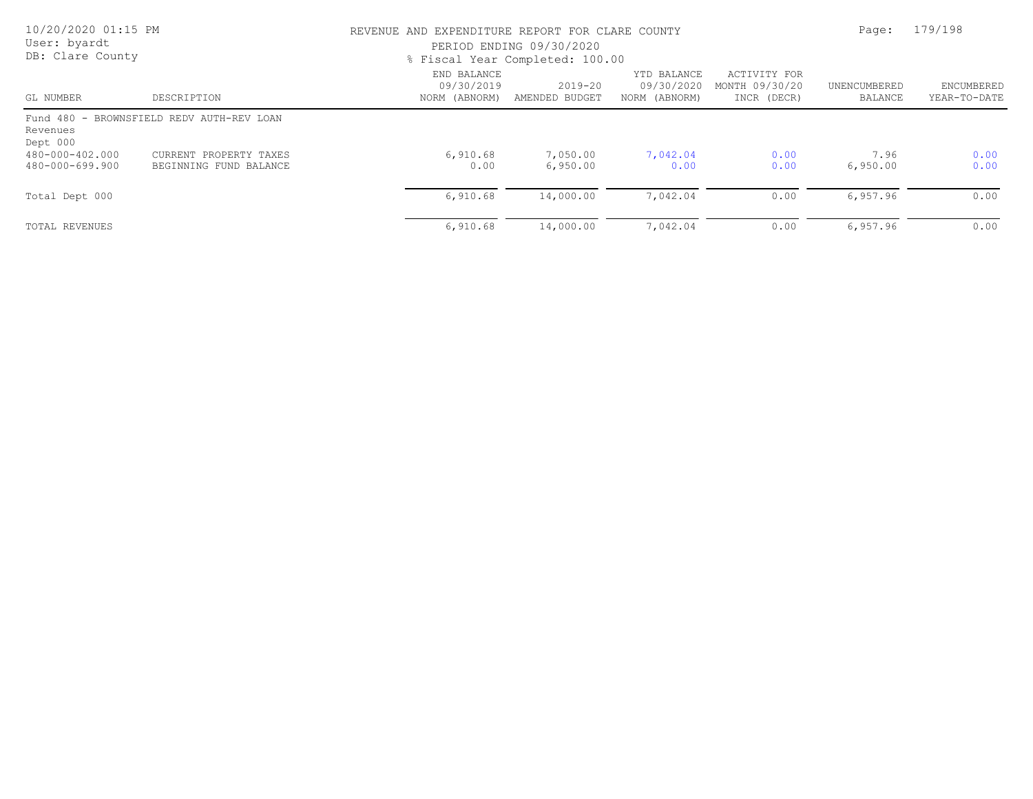| 10/20/2020 01:15 PM<br>User: byardt<br>DB: Clare County |                                                  | REVENUE AND EXPENDITURE REPORT FOR CLARE COUNTY<br>PERIOD ENDING 09/30/2020<br>% Fiscal Year Completed: 100.00 | Page:                     | 179/198                                    |                                               |                         |                            |
|---------------------------------------------------------|--------------------------------------------------|----------------------------------------------------------------------------------------------------------------|---------------------------|--------------------------------------------|-----------------------------------------------|-------------------------|----------------------------|
| GL NUMBER                                               | DESCRIPTION                                      | END BALANCE<br>09/30/2019<br>NORM (ABNORM)                                                                     | 2019-20<br>AMENDED BUDGET | YTD BALANCE<br>09/30/2020<br>NORM (ABNORM) | ACTIVITY FOR<br>MONTH 09/30/20<br>INCR (DECR) | UNENCUMBERED<br>BALANCE | ENCUMBERED<br>YEAR-TO-DATE |
| Revenues<br>Dept 000                                    | Fund 480 - BROWNSFIELD REDV AUTH-REV LOAN        |                                                                                                                |                           |                                            |                                               |                         |                            |
| 480-000-402.000<br>480-000-699.900                      | CURRENT PROPERTY TAXES<br>BEGINNING FUND BALANCE | 6,910.68<br>0.00                                                                                               | 7,050.00<br>6,950.00      | 7,042.04<br>0.00                           | 0.00<br>0.00                                  | 7.96<br>6,950.00        | 0.00<br>0.00               |
| Total Dept 000                                          |                                                  | 6,910.68                                                                                                       | 14,000.00                 | 7,042.04                                   | 0.00                                          | 6,957.96                | 0.00                       |
| TOTAL REVENUES                                          |                                                  | 6,910.68                                                                                                       | 14,000.00                 | 7,042.04                                   | 0.00                                          | 6,957.96                | 0.00                       |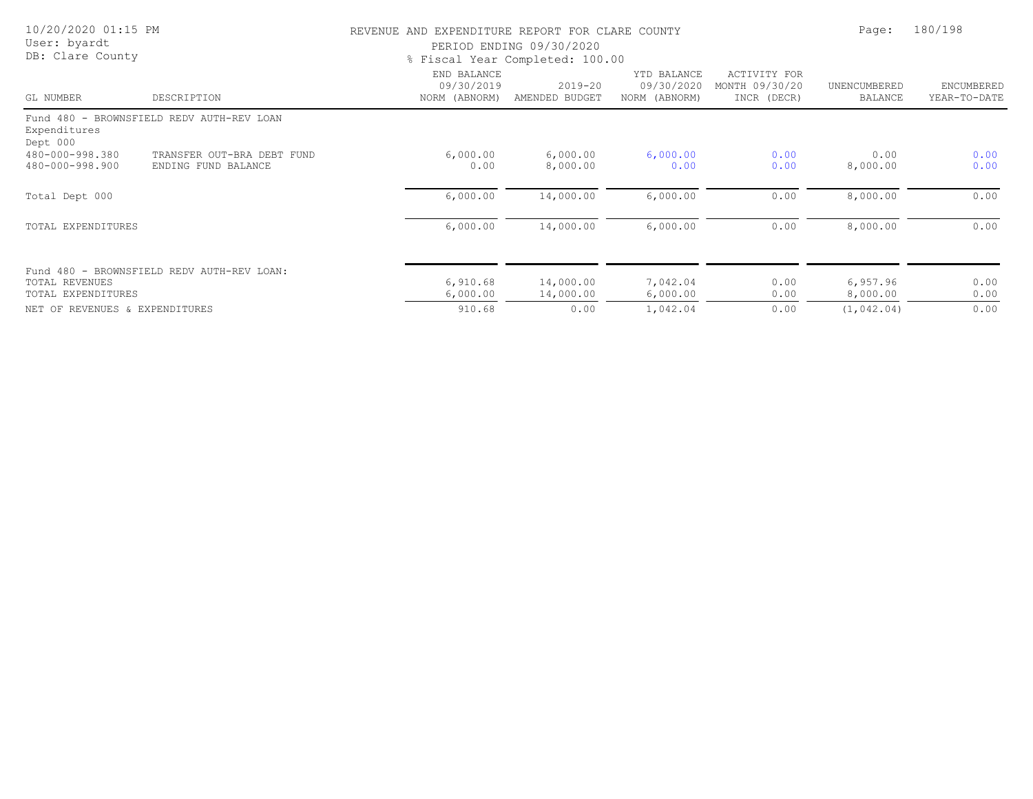| 10/20/2020 01:15 PM<br>User: byardt  |                                                   | REVENUE AND EXPENDITURE REPORT FOR CLARE COUNTY | PERIOD ENDING 09/30/2020      |                                            |                                               | Page:                   | 180/198                    |
|--------------------------------------|---------------------------------------------------|-------------------------------------------------|-------------------------------|--------------------------------------------|-----------------------------------------------|-------------------------|----------------------------|
| DB: Clare County                     |                                                   | % Fiscal Year Completed: 100.00                 |                               |                                            |                                               |                         |                            |
| GL NUMBER                            | DESCRIPTION                                       | END BALANCE<br>09/30/2019<br>NORM (ABNORM)      | $2019 - 20$<br>AMENDED BUDGET | YTD BALANCE<br>09/30/2020<br>NORM (ABNORM) | ACTIVITY FOR<br>MONTH 09/30/20<br>INCR (DECR) | UNENCUMBERED<br>BALANCE | ENCUMBERED<br>YEAR-TO-DATE |
|                                      | Fund 480 - BROWNSFIELD REDV AUTH-REV LOAN         |                                                 |                               |                                            |                                               |                         |                            |
| Expenditures<br>Dept 000             |                                                   |                                                 |                               |                                            |                                               |                         |                            |
| 480-000-998.380<br>480-000-998.900   | TRANSFER OUT-BRA DEBT FUND<br>ENDING FUND BALANCE | 6,000.00<br>0.00                                | 6,000.00<br>8,000.00          | 6,000.00<br>0.00                           | 0.00<br>0.00                                  | 0.00<br>8,000.00        | 0.00<br>0.00               |
| Total Dept 000                       |                                                   | 6,000.00                                        | 14,000.00                     | 6,000.00                                   | 0.00                                          | 8,000.00                | 0.00                       |
| TOTAL EXPENDITURES                   |                                                   | 6,000.00                                        | 14,000.00                     | 6,000.00                                   | 0.00                                          | 8,000.00                | 0.00                       |
|                                      | Fund 480 - BROWNSFIELD REDV AUTH-REV LOAN:        |                                                 |                               |                                            |                                               |                         |                            |
| TOTAL REVENUES<br>TOTAL EXPENDITURES |                                                   | 6,910.68<br>6,000.00                            | 14,000.00<br>14,000.00        | 7,042.04<br>6,000.00                       | 0.00<br>0.00                                  | 6,957.96<br>8,000.00    | 0.00<br>0.00               |
| NET OF REVENUES & EXPENDITURES       |                                                   | 910.68                                          | 0.00                          | 1,042.04                                   | 0.00                                          | (1, 042, 04)            | 0.00                       |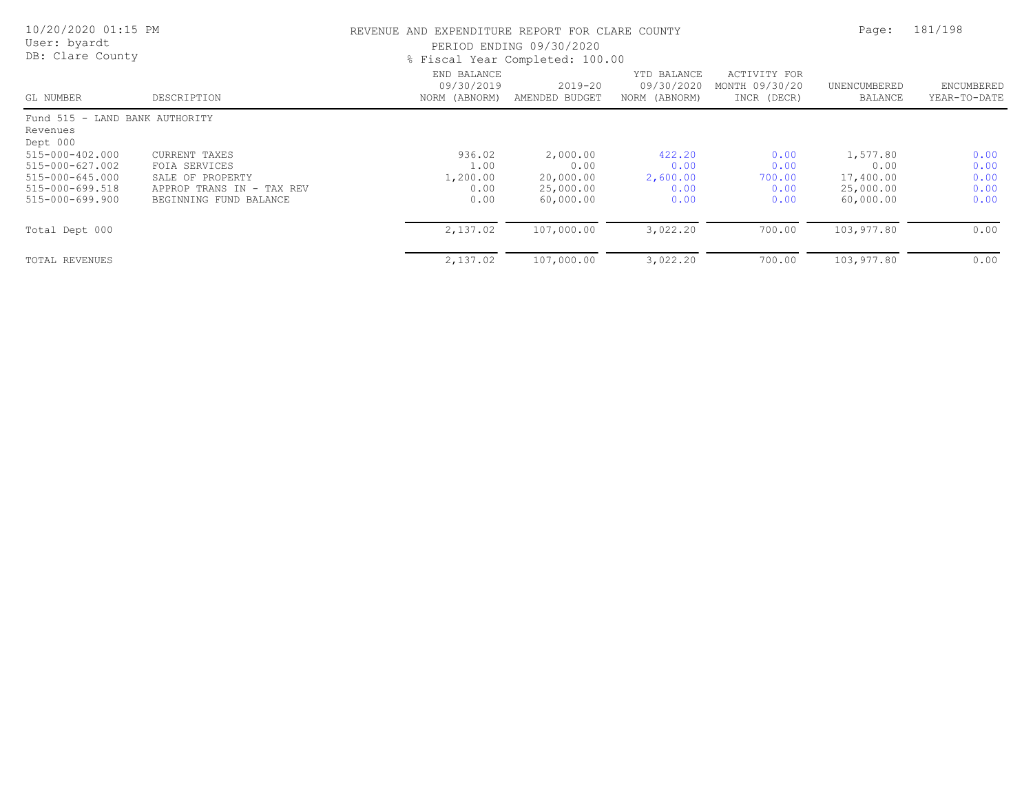| 10/20/2020 01:15 PM<br>User: byardt<br>DB: Clare County |                           | REVENUE AND EXPENDITURE REPORT FOR CLARE COUNTY<br>PERIOD ENDING 09/30/2020<br>% Fiscal Year Completed: 100.00 | Page:                         | 181/198                                    |                                               |                         |                            |
|---------------------------------------------------------|---------------------------|----------------------------------------------------------------------------------------------------------------|-------------------------------|--------------------------------------------|-----------------------------------------------|-------------------------|----------------------------|
| GL NUMBER                                               | DESCRIPTION               | END BALANCE<br>09/30/2019<br>NORM (ABNORM)                                                                     | $2019 - 20$<br>AMENDED BUDGET | YTD BALANCE<br>09/30/2020<br>NORM (ABNORM) | ACTIVITY FOR<br>MONTH 09/30/20<br>INCR (DECR) | UNENCUMBERED<br>BALANCE | ENCUMBERED<br>YEAR-TO-DATE |
| Fund 515 - LAND BANK AUTHORITY<br>Revenues              |                           |                                                                                                                |                               |                                            |                                               |                         |                            |
| Dept 000                                                |                           |                                                                                                                |                               |                                            |                                               |                         |                            |
| 515-000-402.000                                         | CURRENT TAXES             | 936.02                                                                                                         | 2,000.00                      | 422.20                                     | 0.00                                          | 1,577.80                | 0.00                       |
| 515-000-627.002                                         | FOIA SERVICES             | 1.00                                                                                                           | 0.00                          | 0.00                                       | 0.00                                          | 0.00                    | 0.00                       |
| 515-000-645.000                                         | SALE OF PROPERTY          | 1,200.00                                                                                                       | 20,000.00                     | 2,600.00                                   | 700.00                                        | 17,400.00               | 0.00                       |
| 515-000-699.518                                         | APPROP TRANS IN - TAX REV | 0.00                                                                                                           | 25,000.00                     | 0.00                                       | 0.00                                          | 25,000.00               | 0.00                       |
| 515-000-699.900                                         | BEGINNING FUND BALANCE    | 0.00                                                                                                           | 60,000.00                     | 0.00                                       | 0.00                                          | 60,000.00               | 0.00                       |
| Total Dept 000                                          |                           | 2,137.02                                                                                                       | 107,000.00                    | 3,022.20                                   | 700.00                                        | 103,977.80              | 0.00                       |
| <b>TOTAL REVENUES</b>                                   |                           | 2,137.02                                                                                                       | 107,000.00                    | 3,022.20                                   | 700.00                                        | 103,977.80              | 0.00                       |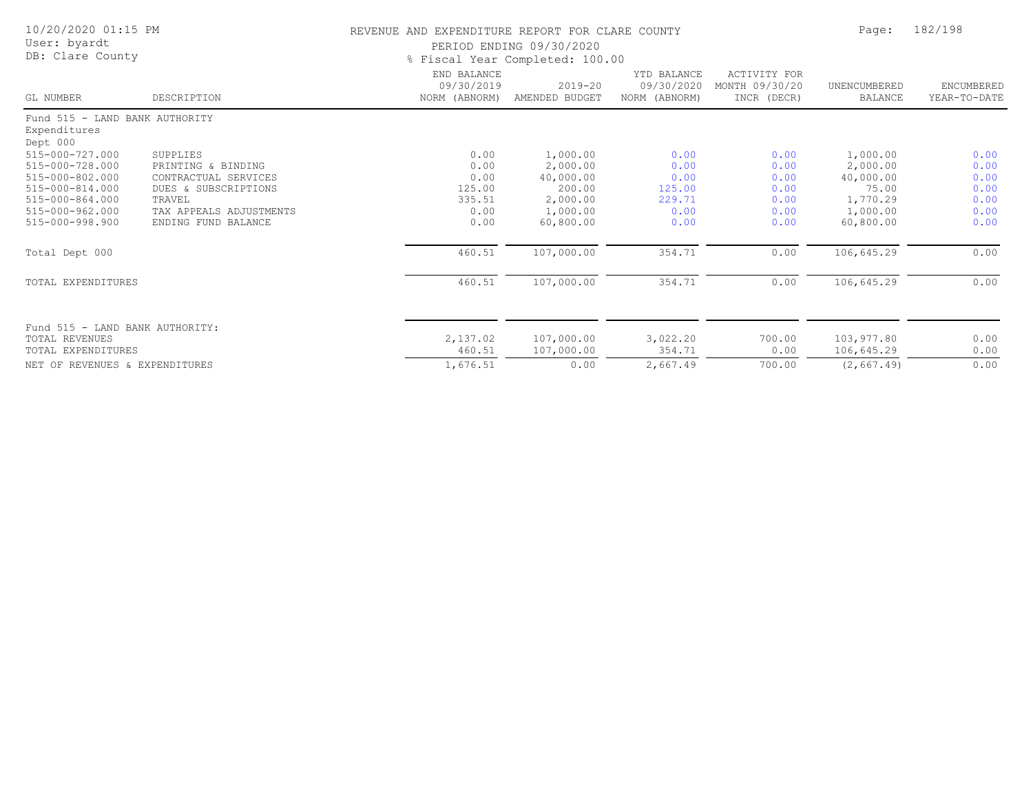| 10/20/2020 01:15 PM<br>User: byardt<br>DB: Clare County                                                                           |                                                                                                                                            | REVENUE AND EXPENDITURE REPORT FOR CLARE COUNTY<br>PERIOD ENDING 09/30/2020<br>% Fiscal Year Completed: 100.00 |                                                                                  |                                                          |                                                      |                                                                                 | 182/198                                              |
|-----------------------------------------------------------------------------------------------------------------------------------|--------------------------------------------------------------------------------------------------------------------------------------------|----------------------------------------------------------------------------------------------------------------|----------------------------------------------------------------------------------|----------------------------------------------------------|------------------------------------------------------|---------------------------------------------------------------------------------|------------------------------------------------------|
| GL NUMBER                                                                                                                         | DESCRIPTION                                                                                                                                | END BALANCE<br>09/30/2019<br>NORM (ABNORM)                                                                     | $2019 - 20$<br>AMENDED BUDGET                                                    | YTD BALANCE<br>09/30/2020<br>NORM (ABNORM)               | <b>ACTIVITY FOR</b><br>MONTH 09/30/20<br>INCR (DECR) | UNENCUMBERED<br>BALANCE                                                         | ENCUMBERED<br>YEAR-TO-DATE                           |
| Fund 515 - LAND BANK AUTHORITY<br>Expenditures<br>Dept 000                                                                        |                                                                                                                                            |                                                                                                                |                                                                                  |                                                          |                                                      |                                                                                 |                                                      |
| 515-000-727.000<br>515-000-728.000<br>515-000-802.000<br>515-000-814.000<br>515-000-864.000<br>515-000-962.000<br>515-000-998.900 | SUPPLIES<br>PRINTING & BINDING<br>CONTRACTUAL SERVICES<br>DUES & SUBSCRIPTIONS<br>TRAVEL<br>TAX APPEALS ADJUSTMENTS<br>ENDING FUND BALANCE | 0.00<br>0.00<br>0.00<br>125.00<br>335.51<br>0.00<br>0.00                                                       | 1,000.00<br>2,000.00<br>40,000.00<br>200.00<br>2,000.00<br>1,000.00<br>60,800.00 | 0.00<br>0.00<br>0.00<br>125.00<br>229.71<br>0.00<br>0.00 | 0.00<br>0.00<br>0.00<br>0.00<br>0.00<br>0.00<br>0.00 | 1,000.00<br>2,000.00<br>40,000.00<br>75.00<br>1,770.29<br>1,000.00<br>60,800.00 | 0.00<br>0.00<br>0.00<br>0.00<br>0.00<br>0.00<br>0.00 |
| Total Dept 000                                                                                                                    |                                                                                                                                            | 460.51                                                                                                         | 107,000.00                                                                       | 354.71                                                   | 0.00                                                 | 106,645.29                                                                      | 0.00                                                 |
| TOTAL EXPENDITURES                                                                                                                |                                                                                                                                            | 460.51                                                                                                         | 107,000.00                                                                       | 354.71                                                   | 0.00                                                 | 106,645.29                                                                      | 0.00                                                 |
| Fund 515 - LAND BANK AUTHORITY:<br>TOTAL REVENUES<br>TOTAL EXPENDITURES                                                           |                                                                                                                                            | 2,137.02<br>460.51                                                                                             | 107,000.00<br>107,000.00                                                         | 3,022.20<br>354.71                                       | 700.00<br>0.00                                       | 103,977.80<br>106,645.29                                                        | 0.00<br>0.00                                         |
| NET OF REVENUES & EXPENDITURES                                                                                                    |                                                                                                                                            | 1,676.51                                                                                                       | 0.00                                                                             | 2,667.49                                                 | 700.00                                               | (2, 667.49)                                                                     | 0.00                                                 |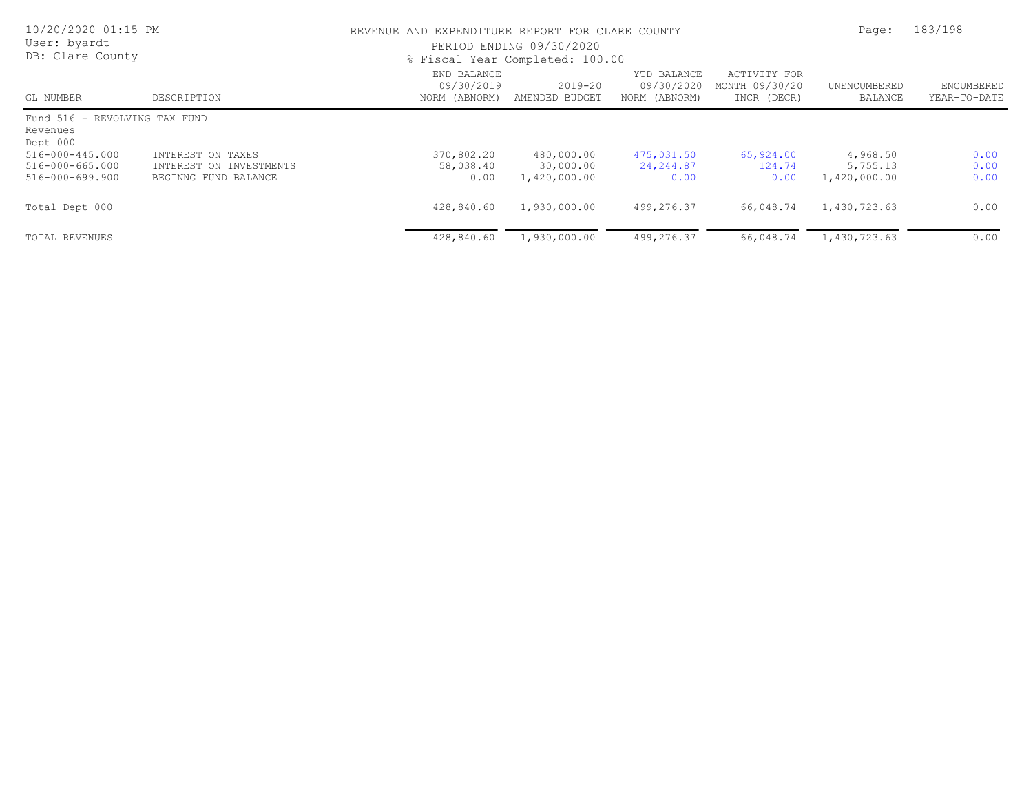| 10/20/2020 01:15 PM<br>User: byardt<br>DB: Clare County                                                        |                                                                      |                                            | REVENUE AND EXPENDITURE REPORT FOR CLARE COUNTY<br>PERIOD ENDING 09/30/2020<br>% Fiscal Year Completed: 100.00 |                                            |                                               |                                      |                            |
|----------------------------------------------------------------------------------------------------------------|----------------------------------------------------------------------|--------------------------------------------|----------------------------------------------------------------------------------------------------------------|--------------------------------------------|-----------------------------------------------|--------------------------------------|----------------------------|
| GL NUMBER                                                                                                      | DESCRIPTION                                                          | END BALANCE<br>09/30/2019<br>NORM (ABNORM) | $2019 - 20$<br>AMENDED BUDGET                                                                                  | YTD BALANCE<br>09/30/2020<br>NORM (ABNORM) | ACTIVITY FOR<br>MONTH 09/30/20<br>INCR (DECR) | UNENCUMBERED<br>BALANCE              | ENCUMBERED<br>YEAR-TO-DATE |
| Fund 516 - REVOLVING TAX FUND<br>Revenues<br>Dept 000<br>516-000-445.000<br>516-000-665.000<br>516-000-699.900 | INTEREST ON TAXES<br>INTEREST ON INVESTMENTS<br>BEGINNG FUND BALANCE | 370,802.20<br>58,038.40<br>0.00            | 480,000.00<br>30,000.00<br>1,420,000.00                                                                        | 475,031.50<br>24,244.87<br>0.00            | 65,924.00<br>124.74<br>0.00                   | 4,968.50<br>5,755.13<br>1,420,000.00 | 0.00<br>0.00<br>0.00       |
| Total Dept 000                                                                                                 |                                                                      | 428,840.60                                 | 1,930,000.00                                                                                                   | 499,276.37                                 | 66,048.74                                     | 1,430,723.63                         | 0.00                       |
| TOTAL REVENUES                                                                                                 |                                                                      | 428,840.60                                 | 1,930,000.00                                                                                                   | 499,276.37                                 | 66,048.74                                     | 1,430,723.63                         | 0.00                       |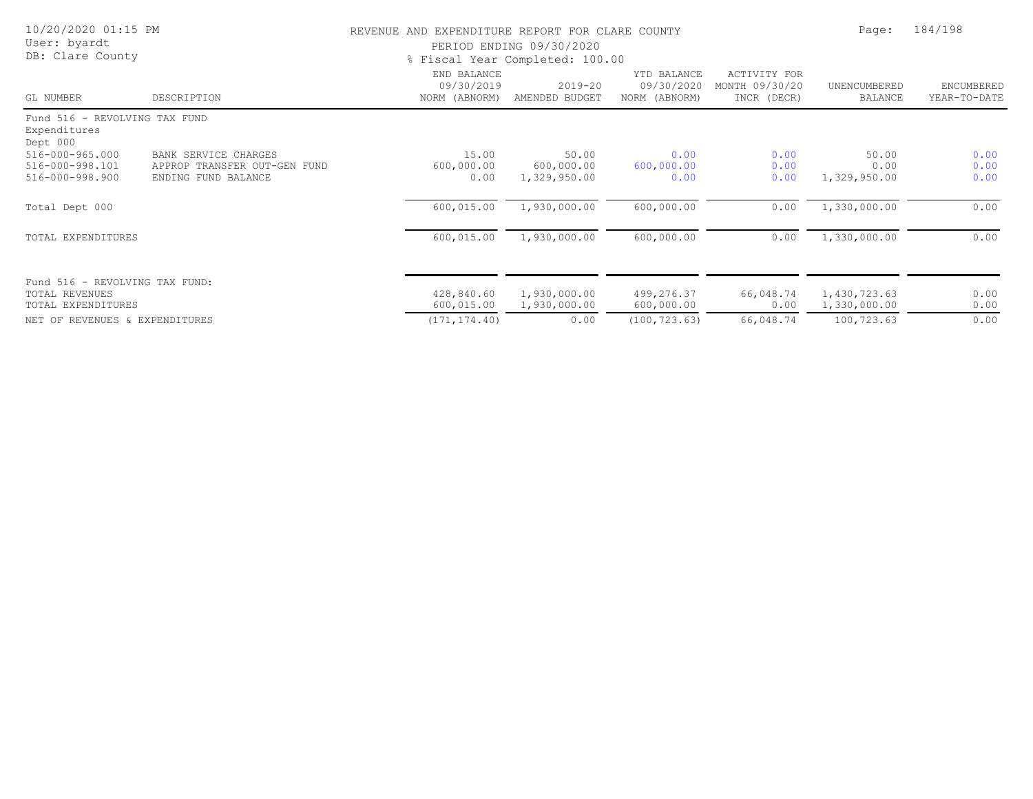| 10/20/2020 01:15 PM<br>User: byardt<br>DB: Clare County                       |                                                                             | REVENUE AND EXPENDITURE REPORT FOR CLARE COUNTY | PERIOD ENDING 09/30/2020<br>% Fiscal Year Completed: 100.00 |                                            |                                               | Page:                         | 184/198                           |
|-------------------------------------------------------------------------------|-----------------------------------------------------------------------------|-------------------------------------------------|-------------------------------------------------------------|--------------------------------------------|-----------------------------------------------|-------------------------------|-----------------------------------|
| GL NUMBER                                                                     | DESCRIPTION                                                                 | END BALANCE<br>09/30/2019<br>NORM (ABNORM)      | $2019 - 20$<br>AMENDED BUDGET                               | YTD BALANCE<br>09/30/2020<br>NORM (ABNORM) | ACTIVITY FOR<br>MONTH 09/30/20<br>INCR (DECR) | UNENCUMBERED<br>BALANCE       | <b>ENCUMBERED</b><br>YEAR-TO-DATE |
| Fund 516 - REVOLVING TAX FUND<br>Expenditures<br>Dept 000                     |                                                                             |                                                 |                                                             |                                            |                                               |                               |                                   |
| 516-000-965.000<br>516-000-998.101<br>516-000-998.900                         | BANK SERVICE CHARGES<br>APPROP TRANSFER OUT-GEN FUND<br>ENDING FUND BALANCE | 15.00<br>600,000.00<br>0.00                     | 50.00<br>600,000.00<br>1,329,950.00                         | 0.00<br>600,000.00<br>0.00                 | 0.00<br>0.00<br>0.00                          | 50.00<br>0.00<br>1,329,950.00 | 0.00<br>0.00<br>0.00              |
| Total Dept 000                                                                |                                                                             | 600,015.00                                      | 1,930,000.00                                                | 600,000.00                                 | 0.00                                          | 1,330,000.00                  | 0.00                              |
| TOTAL EXPENDITURES                                                            |                                                                             | 600,015.00                                      | 1,930,000.00                                                | 600,000.00                                 | 0.00                                          | 1,330,000.00                  | 0.00                              |
| Fund 516 - REVOLVING TAX FUND:<br>TOTAL REVENUES<br><b>TOTAL EXPENDITURES</b> |                                                                             | 428,840.60<br>600,015.00                        | 1,930,000.00<br>1,930,000.00                                | 499,276.37<br>600,000.00                   | 66,048.74<br>0.00                             | 1,430,723.63<br>1,330,000.00  | 0.00<br>0.00                      |
| NET OF REVENUES & EXPENDITURES                                                |                                                                             | (171, 174.40)                                   | 0.00                                                        | (100, 723.63)                              | 66,048.74                                     | 100,723.63                    | 0.00                              |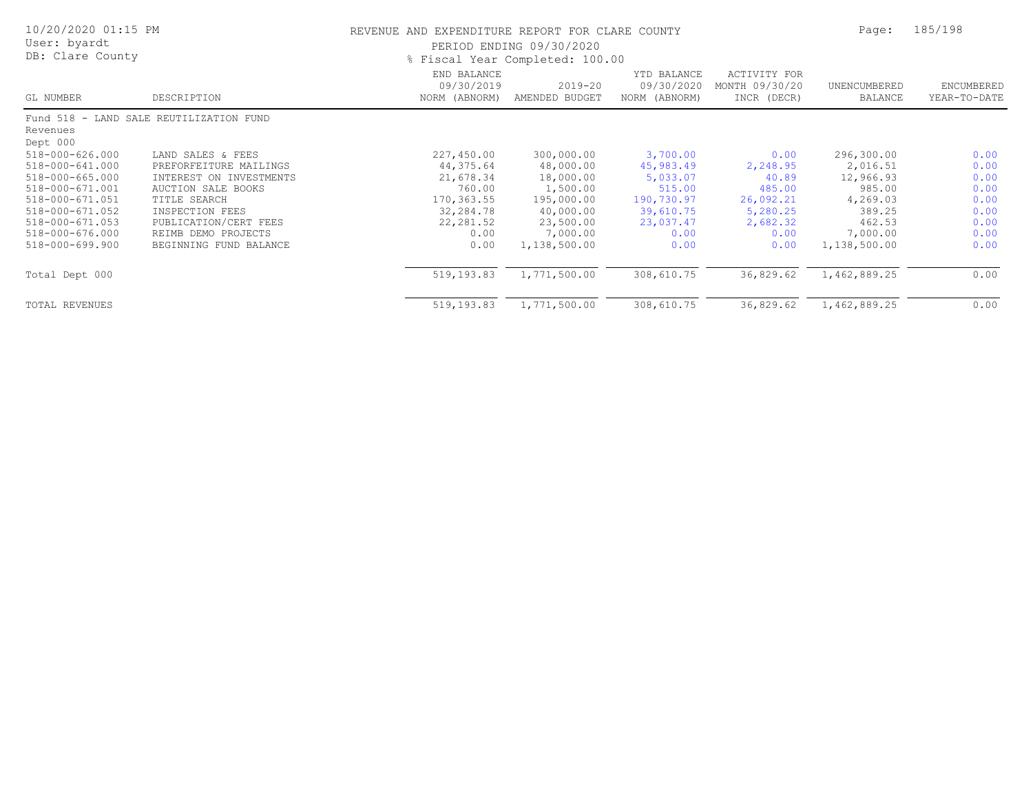| 10/20/2020 01:15 PM<br>User: byardt<br>DB: Clare County |                                         | REVENUE AND EXPENDITURE REPORT FOR CLARE COUNTY | PERIOD ENDING 09/30/2020<br>% Fiscal Year Completed: 100.00 |                                            |                                                      | Page:                          | 185/198                    |  |
|---------------------------------------------------------|-----------------------------------------|-------------------------------------------------|-------------------------------------------------------------|--------------------------------------------|------------------------------------------------------|--------------------------------|----------------------------|--|
| GL NUMBER                                               | DESCRIPTION                             | END BALANCE<br>09/30/2019<br>NORM (ABNORM)      | $2019 - 20$<br>AMENDED BUDGET                               | YTD BALANCE<br>09/30/2020<br>NORM (ABNORM) | <b>ACTIVITY FOR</b><br>MONTH 09/30/20<br>INCR (DECR) | UNENCUMBERED<br><b>BALANCE</b> | ENCUMBERED<br>YEAR-TO-DATE |  |
|                                                         | Fund 518 - LAND SALE REUTILIZATION FUND |                                                 |                                                             |                                            |                                                      |                                |                            |  |
| Revenues<br>Dept 000                                    |                                         |                                                 |                                                             |                                            |                                                      |                                |                            |  |
| 518-000-626.000                                         | LAND SALES & FEES                       | 227,450.00                                      | 300,000.00                                                  | 3,700.00                                   | 0.00                                                 | 296,300.00                     | 0.00                       |  |
| 518-000-641.000                                         | PREFORFEITURE MAILINGS                  | 44,375.64                                       | 48,000.00                                                   | 45,983.49                                  | 2,248.95                                             | 2,016.51                       | 0.00                       |  |
| 518-000-665.000                                         | INTEREST ON INVESTMENTS                 | 21,678.34                                       | 18,000.00                                                   | 5,033.07                                   | 40.89                                                | 12,966.93                      | 0.00                       |  |
| 518-000-671.001                                         | AUCTION SALE BOOKS                      | 760.00                                          | 1,500.00                                                    | 515.00                                     | 485.00                                               | 985.00                         | 0.00                       |  |
| 518-000-671.051                                         | TITLE SEARCH                            | 170, 363.55                                     | 195,000.00                                                  | 190,730.97                                 | 26,092.21                                            | 4,269.03                       | 0.00                       |  |
| 518-000-671.052                                         | INSPECTION FEES                         | 32,284.78                                       | 40,000.00                                                   | 39,610.75                                  | 5,280.25                                             | 389.25                         | 0.00                       |  |
| 518-000-671.053                                         | PUBLICATION/CERT FEES                   | 22,281.52                                       | 23,500.00                                                   | 23,037.47                                  | 2,682.32                                             | 462.53                         | 0.00                       |  |
| 518-000-676.000                                         | REIMB DEMO PROJECTS                     | 0.00                                            | 7,000.00                                                    | 0.00                                       | 0.00                                                 | 7,000.00                       | 0.00                       |  |
| 518-000-699.900                                         | BEGINNING FUND BALANCE                  | 0.00                                            | 1,138,500.00                                                | 0.00                                       | 0.00                                                 | 1,138,500.00                   | 0.00                       |  |
| Total Dept 000                                          |                                         | 519,193.83                                      | 1,771,500.00                                                | 308,610.75                                 | 36,829.62                                            | 1,462,889.25                   | 0.00                       |  |
| TOTAL REVENUES                                          |                                         | 519,193.83                                      | 1,771,500.00                                                | 308,610.75                                 | 36,829.62                                            | 1,462,889.25                   | 0.00                       |  |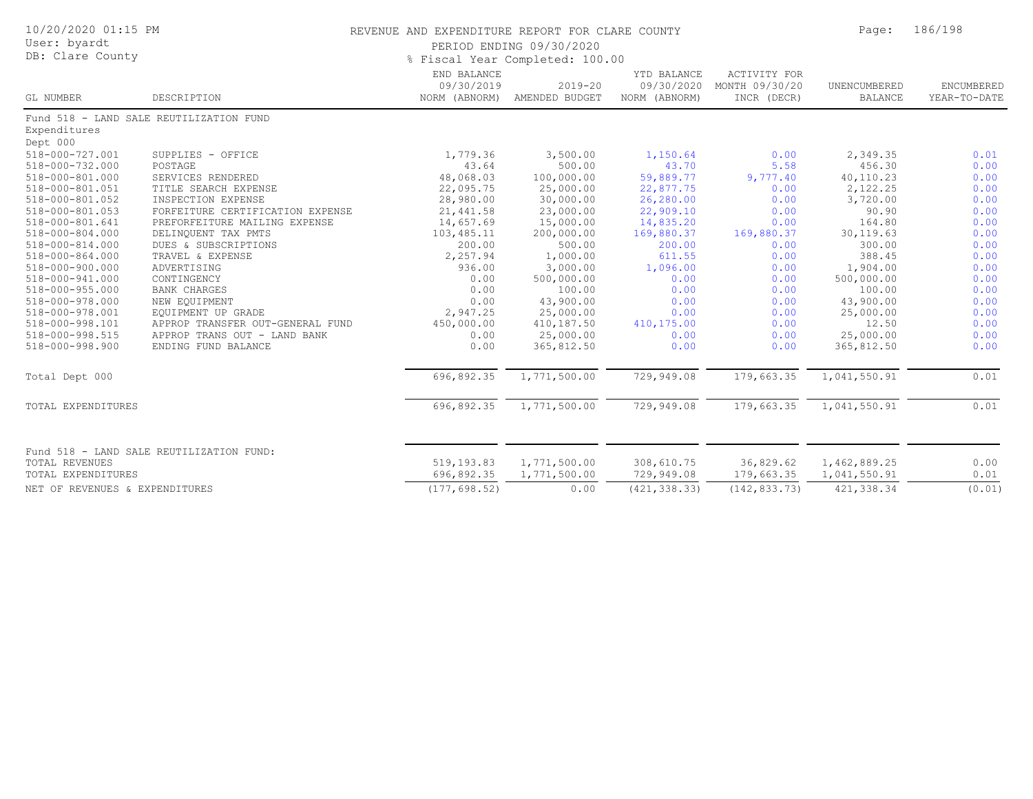| 10/20/2020 01:15 PM<br>User: byardt<br>DB: Clare County |                                          |                           | REVENUE AND EXPENDITURE REPORT FOR CLARE COUNTY<br>PERIOD ENDING 09/30/2020<br>% Fiscal Year Completed: 100.00 |                                            |                                                      |                                |                            |
|---------------------------------------------------------|------------------------------------------|---------------------------|----------------------------------------------------------------------------------------------------------------|--------------------------------------------|------------------------------------------------------|--------------------------------|----------------------------|
| GL NUMBER                                               | DESCRIPTION                              | END BALANCE<br>09/30/2019 | $2019 - 20$<br>NORM (ABNORM) AMENDED BUDGET                                                                    | YTD BALANCE<br>09/30/2020<br>NORM (ABNORM) | <b>ACTIVITY FOR</b><br>MONTH 09/30/20<br>INCR (DECR) | UNENCUMBERED<br><b>BALANCE</b> | ENCUMBERED<br>YEAR-TO-DATE |
|                                                         | Fund 518 - LAND SALE REUTILIZATION FUND  |                           |                                                                                                                |                                            |                                                      |                                |                            |
| Expenditures<br>Dept 000                                |                                          |                           |                                                                                                                |                                            |                                                      |                                |                            |
| 518-000-727.001                                         | SUPPLIES - OFFICE                        | 1,779.36                  | 3,500.00                                                                                                       | 1,150.64                                   | 0.00                                                 | 2,349.35                       | 0.01                       |
| 518-000-732.000                                         | POSTAGE                                  | 43.64                     | 500.00                                                                                                         | 43.70                                      | 5.58                                                 | 456.30                         | 0.00                       |
| 518-000-801.000                                         | SERVICES RENDERED                        | 48,068.03                 | 100,000.00                                                                                                     | 59,889.77                                  | 9,777.40                                             | 40,110.23                      | 0.00                       |
| 518-000-801.051                                         | TITLE SEARCH EXPENSE                     | 22,095.75                 | 25,000.00                                                                                                      | 22,877.75                                  | 0.00                                                 | 2,122.25                       | 0.00                       |
| 518-000-801.052                                         | INSPECTION EXPENSE                       | 28,980.00                 | 30,000.00                                                                                                      | 26,280.00                                  | 0.00                                                 | 3,720.00                       | 0.00                       |
| 518-000-801.053                                         | FORFEITURE CERTIFICATION EXPENSE         | 21, 441.58                | 23,000.00                                                                                                      | 22,909.10                                  | 0.00                                                 | 90.90                          | 0.00                       |
| 518-000-801.641                                         | PREFORFEITURE MAILING EXPENSE            | 14,657.69                 | 15,000.00                                                                                                      | 14,835.20                                  | 0.00                                                 | 164.80                         | 0.00                       |
| 518-000-804.000                                         | DELINQUENT TAX PMTS                      | 103,485.11                | 200,000.00                                                                                                     | 169,880.37                                 | 169,880.37                                           | 30, 119.63                     | 0.00                       |
| 518-000-814.000                                         | DUES & SUBSCRIPTIONS                     | 200.00                    | 500.00                                                                                                         | 200.00                                     | 0.00                                                 | 300.00                         | 0.00                       |
| 518-000-864.000                                         | TRAVEL & EXPENSE                         | 2,257.94                  | 1,000.00                                                                                                       | 611.55                                     | 0.00                                                 | 388.45                         | 0.00                       |
| 518-000-900.000                                         | ADVERTISING                              | 936.00                    | 3,000.00                                                                                                       | 1,096.00                                   | 0.00                                                 | 1,904.00                       | 0.00                       |
| 518-000-941.000                                         | CONTINGENCY                              | 0.00                      | 500,000.00                                                                                                     | 0.00                                       | 0.00                                                 | 500,000.00                     | 0.00                       |
| $518 - 000 - 955.000$                                   | <b>BANK CHARGES</b>                      | 0.00                      | 100.00                                                                                                         | 0.00                                       | 0.00                                                 | 100.00                         | 0.00                       |
| 518-000-978.000                                         | NEW EQUIPMENT                            | 0.00                      | 43,900.00                                                                                                      | 0.00                                       | 0.00                                                 | 43,900.00                      | 0.00                       |
| 518-000-978.001                                         | EQUIPMENT UP GRADE                       | 2,947.25                  | 25,000.00                                                                                                      | 0.00                                       | 0.00                                                 | 25,000.00                      | 0.00                       |
| 518-000-998.101                                         | APPROP TRANSFER OUT-GENERAL FUND         | 450,000.00                | 410,187.50                                                                                                     | 410,175.00                                 | 0.00                                                 | 12.50                          | 0.00                       |
| 518-000-998.515                                         | APPROP TRANS OUT - LAND BANK             | 0.00                      | 25,000.00                                                                                                      | 0.00                                       | 0.00                                                 | 25,000.00                      | 0.00                       |
| 518-000-998.900                                         | ENDING FUND BALANCE                      | 0.00                      | 365,812.50                                                                                                     | 0.00                                       | 0.00                                                 | 365,812.50                     | 0.00                       |
| Total Dept 000                                          |                                          | 696,892.35                | 1,771,500.00                                                                                                   | 729,949.08                                 | 179,663.35                                           | 1,041,550.91                   | 0.01                       |
| TOTAL EXPENDITURES                                      |                                          | 696,892.35                | 1,771,500.00                                                                                                   | 729,949.08                                 | 179,663.35                                           | 1,041,550.91                   | 0.01                       |
| <b>TOTAL REVENUES</b>                                   | Fund 518 - LAND SALE REUTILIZATION FUND: | 519,193.83                | 1,771,500.00                                                                                                   | 308,610.75                                 | 36,829.62                                            | 1,462,889.25                   | 0.00                       |
| TOTAL EXPENDITURES                                      |                                          | 696,892.35                | 1,771,500.00                                                                                                   | 729,949.08                                 | 179,663.35                                           | 1,041,550.91                   | 0.01                       |
| NET OF REVENUES & EXPENDITURES                          |                                          | (177, 698.52)             | 0.00                                                                                                           | (421, 338.33)                              | (142, 833.73)                                        | 421, 338.34                    | (0.01)                     |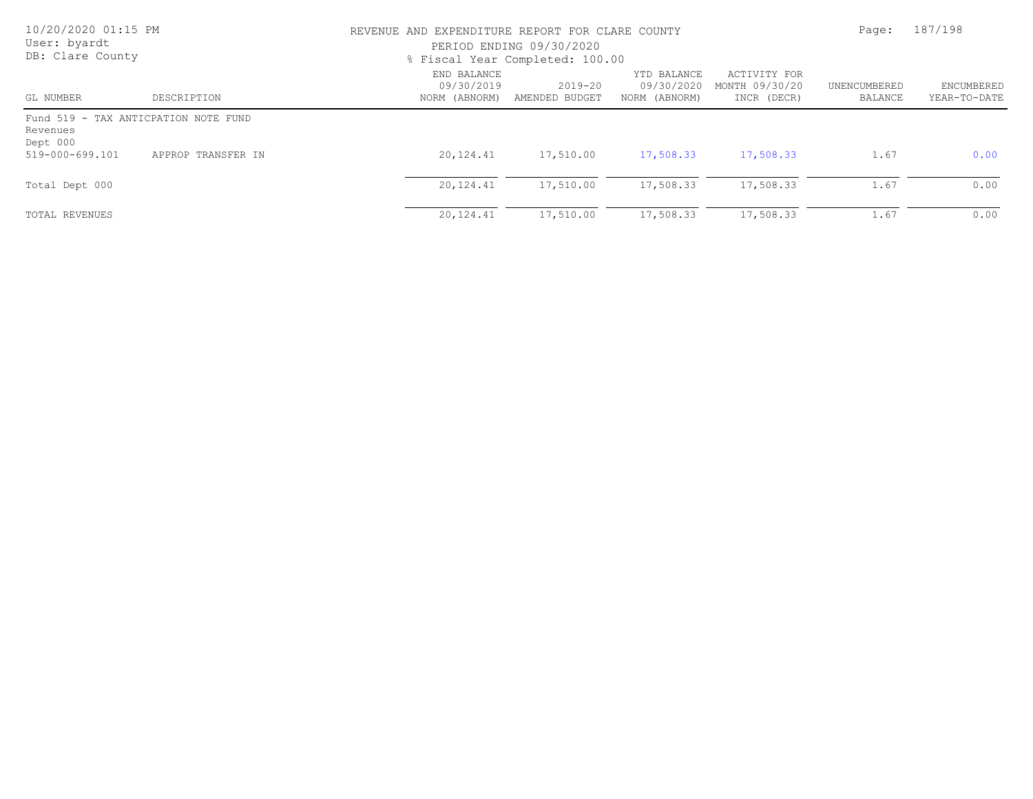| 10/20/2020 01:15 PM<br>User: byardt<br>DB: Clare County |                                      | REVENUE AND EXPENDITURE REPORT FOR CLARE COUNTY<br>PERIOD ENDING 09/30/2020<br>% Fiscal Year Completed: 100.00 | Page:                         | 187/198                                    |                                               |                         |                            |
|---------------------------------------------------------|--------------------------------------|----------------------------------------------------------------------------------------------------------------|-------------------------------|--------------------------------------------|-----------------------------------------------|-------------------------|----------------------------|
| GL NUMBER                                               | DESCRIPTION                          | END BALANCE<br>09/30/2019<br>NORM (ABNORM)                                                                     | $2019 - 20$<br>AMENDED BUDGET | YTD BALANCE<br>09/30/2020<br>NORM (ABNORM) | ACTIVITY FOR<br>MONTH 09/30/20<br>INCR (DECR) | UNENCUMBERED<br>BALANCE | ENCUMBERED<br>YEAR-TO-DATE |
| Revenues<br>Dept 000                                    | Fund 519 - TAX ANTICPATION NOTE FUND |                                                                                                                |                               |                                            |                                               |                         |                            |
| 519-000-699.101                                         | APPROP TRANSFER IN                   | 20,124.41                                                                                                      | 17,510.00                     | 17,508.33                                  | 17,508.33                                     | 1.67                    | 0.00                       |
| Total Dept 000                                          |                                      | 20,124.41                                                                                                      | 17,510.00                     | 17,508.33                                  | 17,508.33                                     | 1.67                    | 0.00                       |
| TOTAL REVENUES                                          |                                      | 20,124.41                                                                                                      | 17,510.00                     | 17,508.33                                  | 17,508.33                                     | 1.67                    | 0.00                       |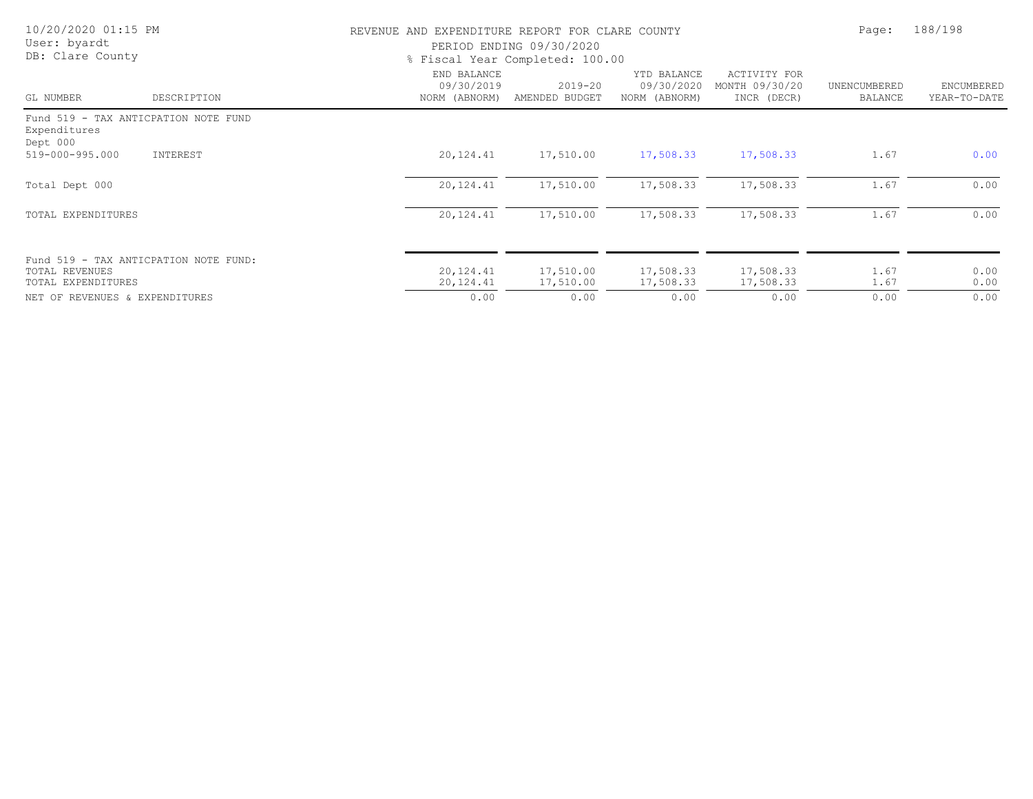| 10/20/2020 01:15 PM<br>User: byardt<br>DB: Clare County                       |             | REVENUE AND EXPENDITURE REPORT FOR CLARE COUNTY<br>PERIOD ENDING 09/30/2020<br>% Fiscal Year Completed: 100.00 | Page:                         | 188/198                                    |                                               |                                |                                   |
|-------------------------------------------------------------------------------|-------------|----------------------------------------------------------------------------------------------------------------|-------------------------------|--------------------------------------------|-----------------------------------------------|--------------------------------|-----------------------------------|
| GL NUMBER                                                                     | DESCRIPTION | END BALANCE<br>09/30/2019<br>NORM (ABNORM)                                                                     | $2019 - 20$<br>AMENDED BUDGET | YTD BALANCE<br>09/30/2020<br>NORM (ABNORM) | ACTIVITY FOR<br>MONTH 09/30/20<br>INCR (DECR) | UNENCUMBERED<br><b>BALANCE</b> | <b>ENCUMBERED</b><br>YEAR-TO-DATE |
| Fund 519 - TAX ANTICPATION NOTE FUND<br>Expenditures<br>Dept 000              |             |                                                                                                                |                               |                                            |                                               |                                |                                   |
| 519-000-995.000                                                               | INTEREST    | 20,124.41                                                                                                      | 17,510.00                     | 17,508.33                                  | 17,508.33                                     | 1.67                           | 0.00                              |
| Total Dept 000                                                                |             | 20,124.41                                                                                                      | 17,510.00                     | 17,508.33                                  | 17,508.33                                     | 1.67                           | 0.00                              |
| TOTAL EXPENDITURES                                                            |             | 20,124.41                                                                                                      | 17,510.00                     | 17,508.33                                  | 17,508.33                                     | 1.67                           | 0.00                              |
| Fund 519 - TAX ANTICPATION NOTE FUND:<br>TOTAL REVENUES<br>TOTAL EXPENDITURES |             | 20,124.41<br>20,124.41                                                                                         | 17,510.00<br>17,510.00        | 17,508.33<br>17,508.33                     | 17,508.33<br>17,508.33                        | 1.67<br>1.67                   | 0.00<br>0.00                      |
| NET OF REVENUES & EXPENDITURES                                                |             | 0.00                                                                                                           | 0.00                          | 0.00                                       | 0.00                                          | 0.00                           | 0.00                              |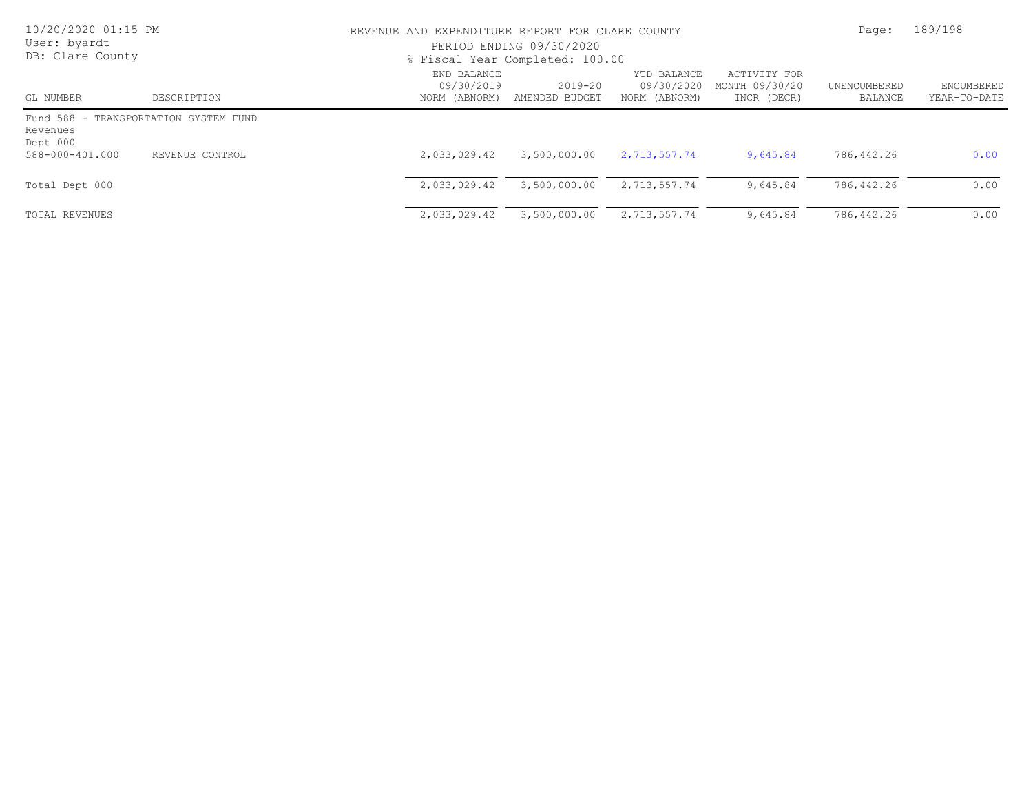| 10/20/2020 01:15 PM<br>User: byardt<br>DB: Clare County |                                       | REVENUE AND EXPENDITURE REPORT FOR CLARE COUNTY<br>PERIOD ENDING 09/30/2020<br>% Fiscal Year Completed: 100.00 | Page:                         | 189/198                                    |                                               |                         |                            |
|---------------------------------------------------------|---------------------------------------|----------------------------------------------------------------------------------------------------------------|-------------------------------|--------------------------------------------|-----------------------------------------------|-------------------------|----------------------------|
| GL NUMBER                                               | DESCRIPTION                           | END BALANCE<br>09/30/2019<br>NORM (ABNORM)                                                                     | $2019 - 20$<br>AMENDED BUDGET | YTD BALANCE<br>09/30/2020<br>NORM (ABNORM) | ACTIVITY FOR<br>MONTH 09/30/20<br>INCR (DECR) | UNENCUMBERED<br>BALANCE | ENCUMBERED<br>YEAR-TO-DATE |
| Revenues<br>Dept 000                                    | Fund 588 - TRANSPORTATION SYSTEM FUND |                                                                                                                |                               |                                            |                                               |                         |                            |
| 588-000-401.000                                         | REVENUE CONTROL                       | 2,033,029.42                                                                                                   | 3,500,000.00                  | 2,713,557.74                               | 9,645.84                                      | 786,442.26              | 0.00                       |
| Total Dept 000                                          |                                       | 2,033,029.42                                                                                                   | 3,500,000.00                  | 2,713,557.74                               | 9,645.84                                      | 786,442.26              | 0.00                       |
| TOTAL REVENUES                                          |                                       | 2,033,029.42                                                                                                   | 3,500,000.00                  | 2,713,557.74                               | 9,645.84                                      | 786,442.26              | 0.00                       |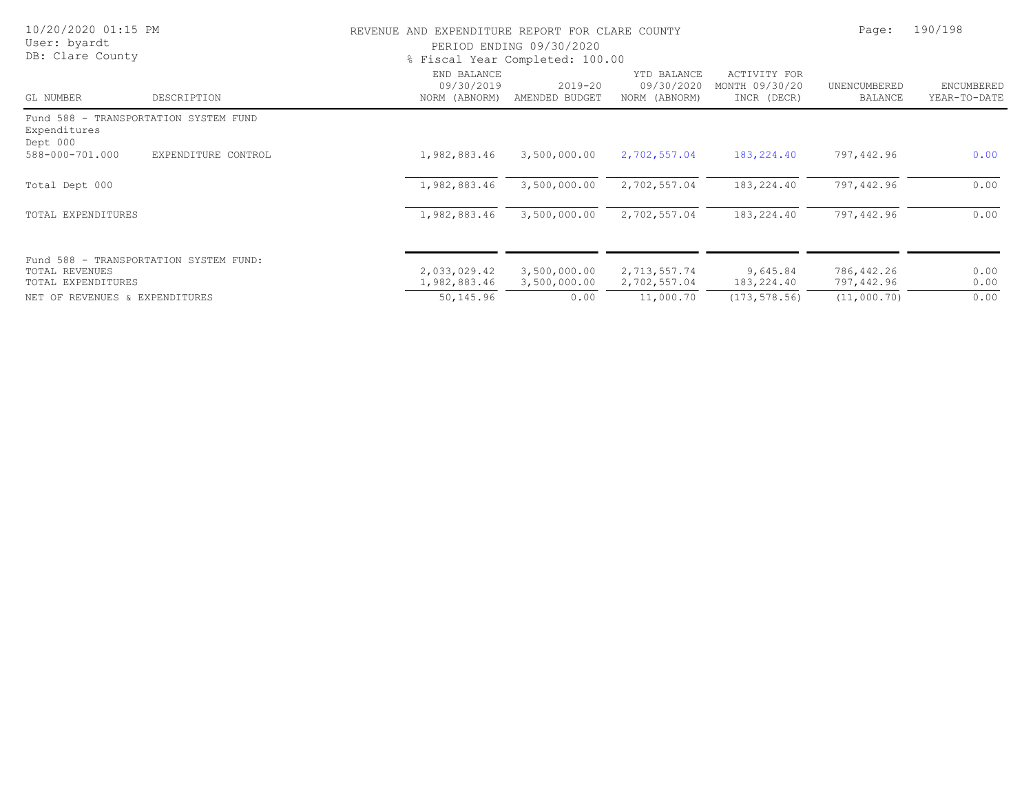| 10/20/2020 01:15 PM<br>User: byardt<br>DB: Clare County                        |                     | REVENUE AND EXPENDITURE REPORT FOR CLARE COUNTY<br>PERIOD ENDING 09/30/2020<br>% Fiscal Year Completed: 100.00 | Page:                         | 190/198                                    |                                                      |                          |                            |
|--------------------------------------------------------------------------------|---------------------|----------------------------------------------------------------------------------------------------------------|-------------------------------|--------------------------------------------|------------------------------------------------------|--------------------------|----------------------------|
| GL NUMBER                                                                      | DESCRIPTION         | END BALANCE<br>09/30/2019<br>NORM (ABNORM)                                                                     | $2019 - 20$<br>AMENDED BUDGET | YTD BALANCE<br>09/30/2020<br>NORM (ABNORM) | <b>ACTIVITY FOR</b><br>MONTH 09/30/20<br>INCR (DECR) | UNENCUMBERED<br>BALANCE  | ENCUMBERED<br>YEAR-TO-DATE |
| Fund 588 - TRANSPORTATION SYSTEM FUND<br>Expenditures<br>Dept 000              |                     |                                                                                                                |                               |                                            |                                                      |                          |                            |
| 588-000-701.000                                                                | EXPENDITURE CONTROL | 1,982,883.46                                                                                                   | 3,500,000.00                  | 2,702,557.04                               | 183,224.40                                           | 797,442.96               | 0.00                       |
| Total Dept 000                                                                 |                     | 1,982,883.46                                                                                                   | 3,500,000.00                  | 2,702,557.04                               | 183,224.40                                           | 797,442.96               | 0.00                       |
| TOTAL EXPENDITURES                                                             |                     | 1,982,883.46                                                                                                   | 3,500,000.00                  | 2,702,557.04                               | 183,224.40                                           | 797,442.96               | 0.00                       |
| Fund 588 - TRANSPORTATION SYSTEM FUND:<br>TOTAL REVENUES<br>TOTAL EXPENDITURES |                     | 2,033,029.42<br>1,982,883.46                                                                                   | 3,500,000.00<br>3,500,000.00  | 2,713,557.74<br>2,702,557.04               | 9,645.84<br>183,224.40                               | 786,442.26<br>797,442.96 | 0.00<br>0.00               |
| NET OF REVENUES & EXPENDITURES                                                 |                     | 50,145.96                                                                                                      | 0.00                          | 11,000.70                                  | (173, 578, 56)                                       | (11,000.70)              | 0.00                       |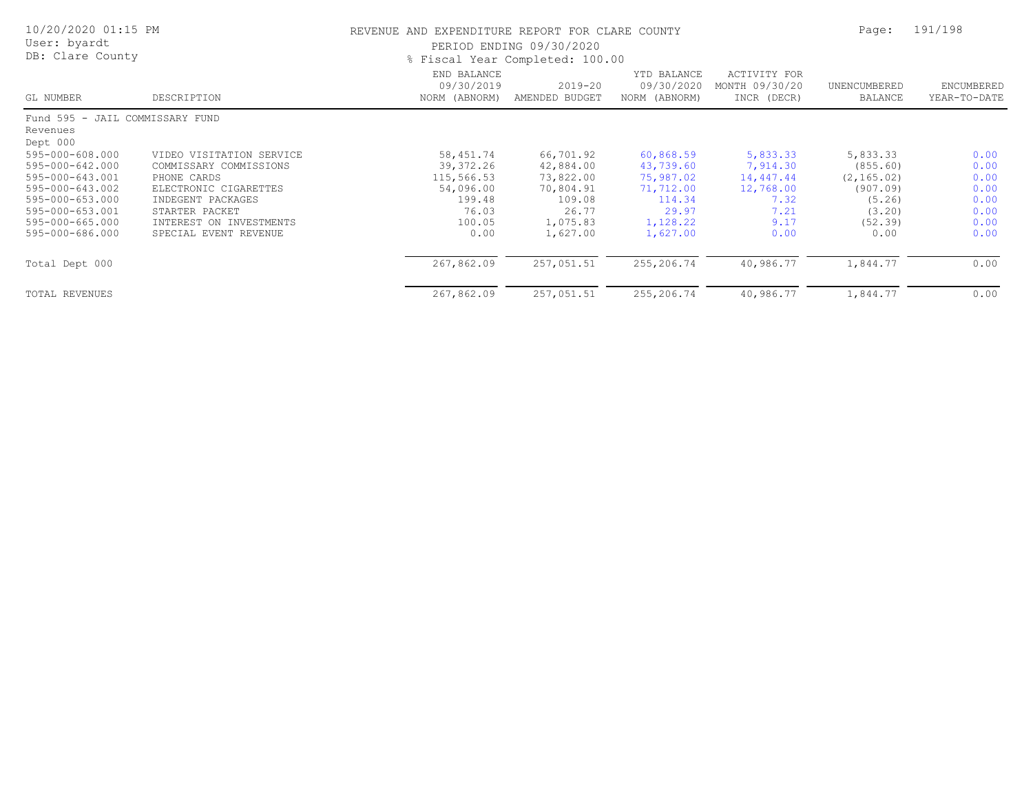| 10/20/2020 01:15 PM<br>User: byardt<br>DB: Clare County    |                                                                    | REVENUE AND EXPENDITURE REPORT FOR CLARE COUNTY<br>PERIOD ENDING 09/30/2020<br>% Fiscal Year Completed: 100.00 | Page:                            | 191/198                                    |                                               |                                    |                            |
|------------------------------------------------------------|--------------------------------------------------------------------|----------------------------------------------------------------------------------------------------------------|----------------------------------|--------------------------------------------|-----------------------------------------------|------------------------------------|----------------------------|
| GL NUMBER                                                  | DESCRIPTION                                                        | END BALANCE<br>09/30/2019<br>NORM (ABNORM)                                                                     | 2019-20<br>AMENDED BUDGET        | YTD BALANCE<br>09/30/2020<br>NORM (ABNORM) | ACTIVITY FOR<br>MONTH 09/30/20<br>INCR (DECR) | UNENCUMBERED<br>BALANCE            | ENCUMBERED<br>YEAR-TO-DATE |
| Fund 595 - JAIL COMMISSARY FUND                            |                                                                    |                                                                                                                |                                  |                                            |                                               |                                    |                            |
| Revenues<br>Dept 000<br>595-000-608.000<br>595-000-642.000 | VIDEO VISITATION SERVICE<br>COMMISSARY COMMISSIONS                 | 58,451.74<br>39, 372. 26                                                                                       | 66,701.92<br>42,884.00           | 60,868.59<br>43,739.60                     | 5,833.33<br>7,914.30                          | 5,833.33<br>(855.60)               | 0.00<br>0.00               |
| 595-000-643.001<br>595-000-643.002<br>595-000-653.000      | PHONE CARDS<br>ELECTRONIC CIGARETTES<br>INDEGENT PACKAGES          | 115,566.53<br>54,096.00<br>199.48                                                                              | 73,822.00<br>70,804.91<br>109.08 | 75,987.02<br>71,712.00<br>114.34           | 14,447.44<br>12,768.00<br>7.32                | (2, 165.02)<br>(907.09)<br>(5, 26) | 0.00<br>0.00<br>0.00       |
| 595-000-653.001<br>595-000-665.000<br>595-000-686.000      | STARTER PACKET<br>INTEREST ON INVESTMENTS<br>SPECIAL EVENT REVENUE | 76.03<br>100.05<br>0.00                                                                                        | 26.77<br>1,075.83<br>1,627.00    | 29.97<br>1,128.22<br>1,627.00              | 7.21<br>9.17<br>0.00                          | (3, 20)<br>(52, 39)<br>0.00        | 0.00<br>0.00<br>0.00       |
| Total Dept 000                                             |                                                                    | 267,862.09                                                                                                     | 257,051.51                       | 255,206.74                                 | 40,986.77                                     | 1,844.77                           | 0.00                       |
| <b>TOTAL REVENUES</b>                                      |                                                                    | 267,862.09                                                                                                     | 257,051.51                       | 255,206.74                                 | 40,986.77                                     | 1,844.77                           | 0.00                       |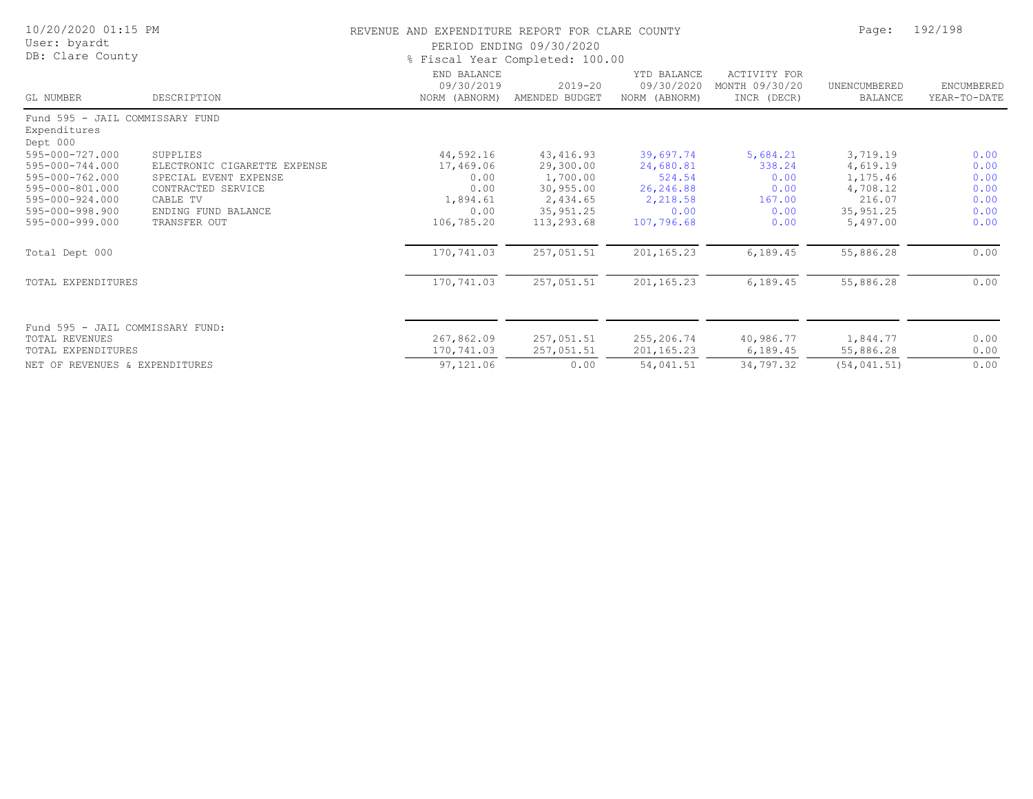| 10/20/2020 01:15 PM<br>User: byardt<br>DB: Clare County     |                              | REVENUE AND EXPENDITURE REPORT FOR CLARE COUNTY<br>PERIOD ENDING 09/30/2020<br>% Fiscal Year Completed: 100.00 | Page:                         | 192/198                                    |                                               |                                |                            |
|-------------------------------------------------------------|------------------------------|----------------------------------------------------------------------------------------------------------------|-------------------------------|--------------------------------------------|-----------------------------------------------|--------------------------------|----------------------------|
| GL NUMBER                                                   | DESCRIPTION                  | END BALANCE<br>09/30/2019<br>NORM (ABNORM)                                                                     | $2019 - 20$<br>AMENDED BUDGET | YTD BALANCE<br>09/30/2020<br>NORM (ABNORM) | ACTIVITY FOR<br>MONTH 09/30/20<br>INCR (DECR) | UNENCUMBERED<br><b>BALANCE</b> | ENCUMBERED<br>YEAR-TO-DATE |
| Fund 595 - JAIL COMMISSARY FUND<br>Expenditures<br>Dept 000 |                              |                                                                                                                |                               |                                            |                                               |                                |                            |
| 595-000-727.000                                             | SUPPLIES                     | 44,592.16                                                                                                      | 43, 416.93                    | 39,697.74                                  | 5,684.21                                      | 3,719.19                       | 0.00                       |
| 595-000-744.000                                             | ELECTRONIC CIGARETTE EXPENSE | 17,469.06                                                                                                      | 29,300.00                     | 24,680.81                                  | 338.24                                        | 4,619.19                       | 0.00                       |
| 595-000-762.000                                             | SPECIAL EVENT EXPENSE        | 0.00                                                                                                           | 1,700.00                      | 524.54                                     | 0.00                                          | 1,175.46                       | 0.00                       |
| 595-000-801.000                                             | CONTRACTED SERVICE           | 0.00                                                                                                           | 30,955.00                     | 26,246.88                                  | 0.00                                          | 4,708.12                       | 0.00                       |
| 595-000-924.000                                             | CABLE TV                     | 1,894.61                                                                                                       | 2,434.65                      | 2,218.58                                   | 167.00                                        | 216.07                         | 0.00                       |
| 595-000-998.900                                             | ENDING FUND BALANCE          | 0.00                                                                                                           | 35, 951.25                    | 0.00                                       | 0.00                                          | 35, 951.25                     | 0.00                       |
| 595-000-999.000                                             | TRANSFER OUT                 | 106,785.20                                                                                                     | 113,293.68                    | 107,796.68                                 | 0.00                                          | 5,497.00                       | 0.00                       |
| Total Dept 000                                              |                              | 170,741.03                                                                                                     | 257,051.51                    | 201,165.23                                 | 6,189.45                                      | 55,886.28                      | 0.00                       |
| TOTAL EXPENDITURES                                          |                              | 170,741.03                                                                                                     | 257,051.51                    | 201,165.23                                 | 6,189.45                                      | 55,886.28                      | 0.00                       |
| Fund 595 - JAIL COMMISSARY FUND:                            |                              |                                                                                                                |                               |                                            |                                               |                                |                            |
| TOTAL REVENUES                                              |                              | 267,862.09                                                                                                     | 257,051.51                    | 255,206.74                                 | 40,986.77                                     | 1,844.77                       | 0.00                       |
| TOTAL EXPENDITURES                                          |                              | 170,741.03                                                                                                     | 257,051.51                    | 201,165.23                                 | 6,189.45                                      | 55,886.28                      | 0.00                       |
| NET OF REVENUES & EXPENDITURES                              |                              | 97,121.06                                                                                                      | 0.00                          | 54,041.51                                  | 34,797.32                                     | (54, 041.51)                   | 0.00                       |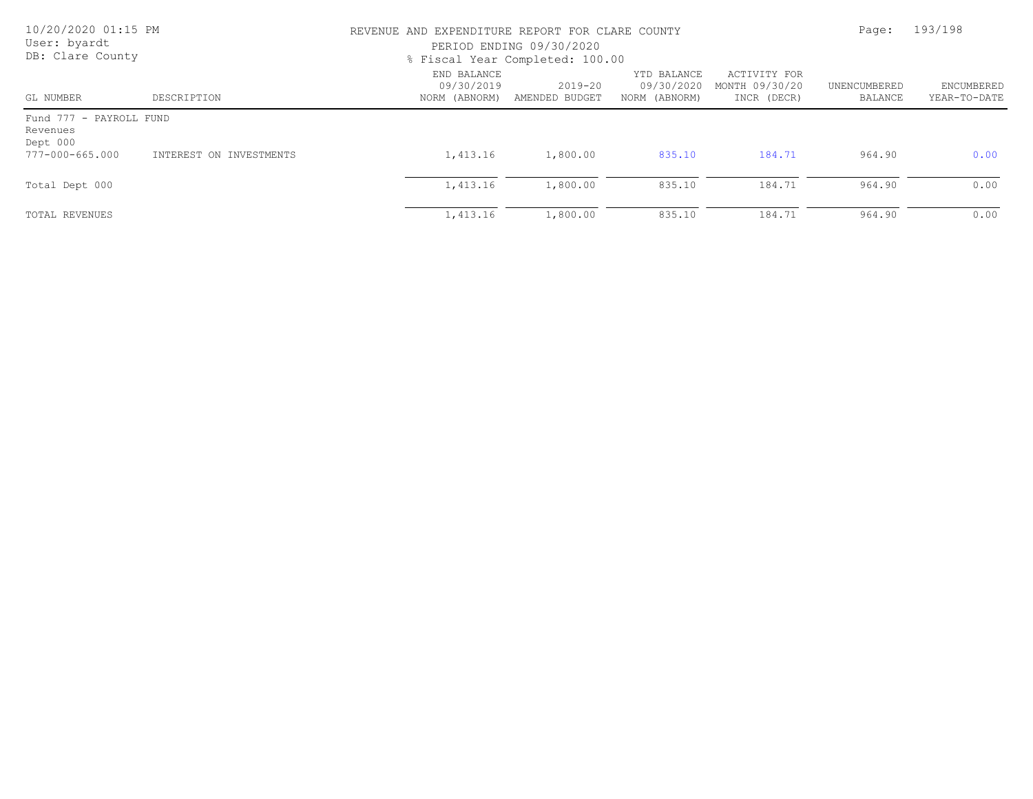| 10/20/2020 01:15 PM<br>User: byardt<br>DB: Clare County |                         | REVENUE AND EXPENDITURE REPORT FOR CLARE COUNTY<br>PERIOD ENDING 09/30/2020<br>% Fiscal Year Completed: 100.00 |                               |                                            |                                               | Page:                   | 193/198                    |
|---------------------------------------------------------|-------------------------|----------------------------------------------------------------------------------------------------------------|-------------------------------|--------------------------------------------|-----------------------------------------------|-------------------------|----------------------------|
| GL NUMBER                                               | DESCRIPTION             | END BALANCE<br>09/30/2019<br>NORM (ABNORM)                                                                     | $2019 - 20$<br>AMENDED BUDGET | YTD BALANCE<br>09/30/2020<br>NORM (ABNORM) | ACTIVITY FOR<br>MONTH 09/30/20<br>INCR (DECR) | UNENCUMBERED<br>BALANCE | ENCUMBERED<br>YEAR-TO-DATE |
| Fund 777 - PAYROLL FUND<br>Revenues<br>Dept 000         |                         |                                                                                                                |                               |                                            |                                               |                         |                            |
| 777-000-665.000                                         | INTEREST ON INVESTMENTS | 1,413.16                                                                                                       | 1,800.00                      | 835.10                                     | 184.71                                        | 964.90                  | 0.00                       |
| Total Dept 000                                          |                         | 1,413.16                                                                                                       | 1,800.00                      | 835.10                                     | 184.71                                        | 964.90                  | 0.00                       |
| TOTAL REVENUES                                          |                         | 1,413.16                                                                                                       | 1,800.00                      | 835.10                                     | 184.71                                        | 964.90                  | 0.00                       |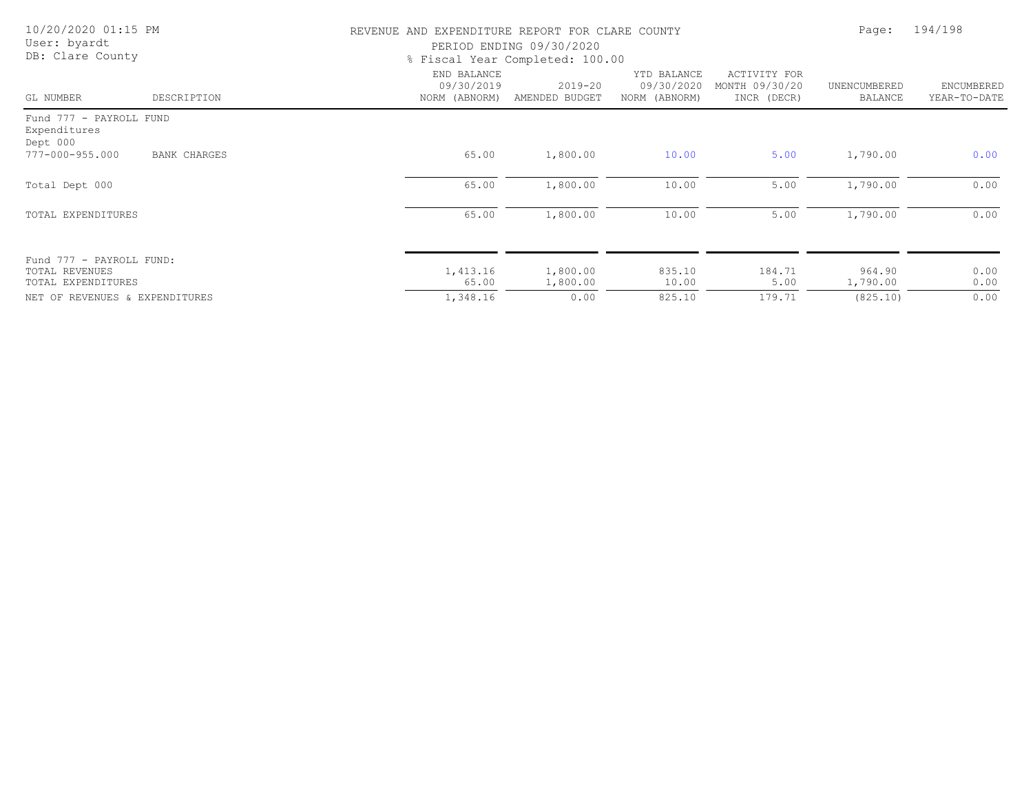| 10/20/2020 01:15 PM<br>User: byardt<br>DB: Clare County |                     | REVENUE AND EXPENDITURE REPORT FOR CLARE COUNTY<br>PERIOD ENDING 09/30/2020<br>% Fiscal Year Completed: 100.00 | Page:                         | 194/198                                    |                                               |                         |                            |
|---------------------------------------------------------|---------------------|----------------------------------------------------------------------------------------------------------------|-------------------------------|--------------------------------------------|-----------------------------------------------|-------------------------|----------------------------|
| GL NUMBER                                               | DESCRIPTION         | END BALANCE<br>09/30/2019<br>NORM (ABNORM)                                                                     | $2019 - 20$<br>AMENDED BUDGET | YTD BALANCE<br>09/30/2020<br>NORM (ABNORM) | ACTIVITY FOR<br>MONTH 09/30/20<br>INCR (DECR) | UNENCUMBERED<br>BALANCE | ENCUMBERED<br>YEAR-TO-DATE |
| Fund 777 - PAYROLL FUND<br>Expenditures<br>Dept 000     |                     |                                                                                                                |                               |                                            |                                               |                         |                            |
| 777-000-955.000                                         | <b>BANK CHARGES</b> | 65.00                                                                                                          | 1,800.00                      | 10.00                                      | 5.00                                          | 1,790.00                | 0.00                       |
| Total Dept 000                                          |                     | 65.00                                                                                                          | 1,800.00                      | 10.00                                      | 5.00                                          | 1,790.00                | 0.00                       |
| TOTAL EXPENDITURES                                      |                     | 65.00                                                                                                          | 1,800.00                      | 10.00                                      | 5.00                                          | 1,790.00                | 0.00                       |
| Fund 777 - PAYROLL FUND:                                |                     |                                                                                                                |                               |                                            |                                               |                         |                            |
| TOTAL REVENUES<br>TOTAL EXPENDITURES                    |                     | 1,413.16<br>65.00                                                                                              | 1,800.00<br>1,800.00          | 835.10<br>10.00                            | 184.71<br>5.00                                | 964.90<br>1,790.00      | 0.00<br>0.00               |
| NET OF REVENUES & EXPENDITURES                          |                     | 1,348.16                                                                                                       | 0.00                          | 825.10                                     | 179.71                                        | (825.10)                | 0.00                       |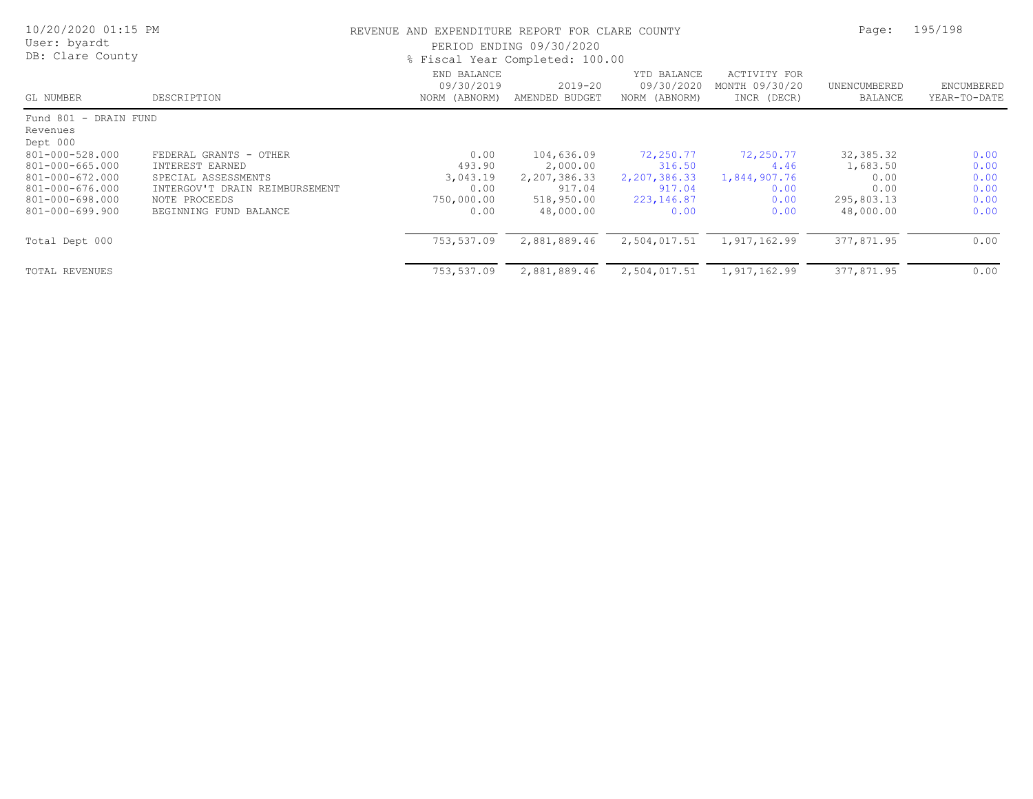| 10/20/2020 01:15 PM<br>User: byardt<br>DB: Clare County |                                | REVENUE AND EXPENDITURE REPORT FOR CLARE COUNTY<br>PERIOD ENDING 09/30/2020<br>% Fiscal Year Completed: 100.00 |                               |                                            |                                               | Page:                   | 195/198                    |  |
|---------------------------------------------------------|--------------------------------|----------------------------------------------------------------------------------------------------------------|-------------------------------|--------------------------------------------|-----------------------------------------------|-------------------------|----------------------------|--|
| GL NUMBER                                               | DESCRIPTION                    | END BALANCE<br>09/30/2019<br>NORM (ABNORM)                                                                     | $2019 - 20$<br>AMENDED BUDGET | YTD BALANCE<br>09/30/2020<br>NORM (ABNORM) | ACTIVITY FOR<br>MONTH 09/30/20<br>INCR (DECR) | UNENCUMBERED<br>BALANCE | ENCUMBERED<br>YEAR-TO-DATE |  |
| Fund 801 - DRAIN FUND                                   |                                |                                                                                                                |                               |                                            |                                               |                         |                            |  |
| Revenues                                                |                                |                                                                                                                |                               |                                            |                                               |                         |                            |  |
| Dept 000                                                |                                |                                                                                                                |                               |                                            |                                               |                         |                            |  |
| 801-000-528.000                                         | FEDERAL GRANTS - OTHER         | 0.00                                                                                                           | 104,636.09                    | 72,250.77                                  | 72,250.77                                     | 32, 385.32              | 0.00                       |  |
| 801-000-665.000                                         | INTEREST EARNED                | 493.90                                                                                                         | 2,000.00                      | 316.50                                     | 4.46                                          | 1,683.50                | 0.00                       |  |
| 801-000-672.000                                         | SPECIAL ASSESSMENTS            | 3,043.19                                                                                                       | 2,207,386.33                  | 2,207,386.33                               | 1,844,907.76                                  | 0.00                    | 0.00                       |  |
| 801-000-676.000                                         | INTERGOV'T DRAIN REIMBURSEMENT | 0.00                                                                                                           | 917.04                        | 917.04                                     | 0.00                                          | 0.00                    | 0.00                       |  |
| 801-000-698.000                                         | NOTE PROCEEDS                  | 750,000.00                                                                                                     | 518,950.00                    | 223, 146.87                                | 0.00                                          | 295,803.13              | 0.00                       |  |
| 801-000-699.900                                         | BEGINNING FUND BALANCE         | 0.00                                                                                                           | 48,000.00                     | 0.00                                       | 0.00                                          | 48,000.00               | 0.00                       |  |
| Total Dept 000                                          |                                | 753,537.09                                                                                                     | 2,881,889.46                  | 2,504,017.51                               | 1,917,162.99                                  | 377,871.95              | 0.00                       |  |
| TOTAL REVENUES                                          |                                | 753,537.09                                                                                                     | 2,881,889.46                  | 2,504,017.51                               | 1,917,162.99                                  | 377,871.95              | 0.00                       |  |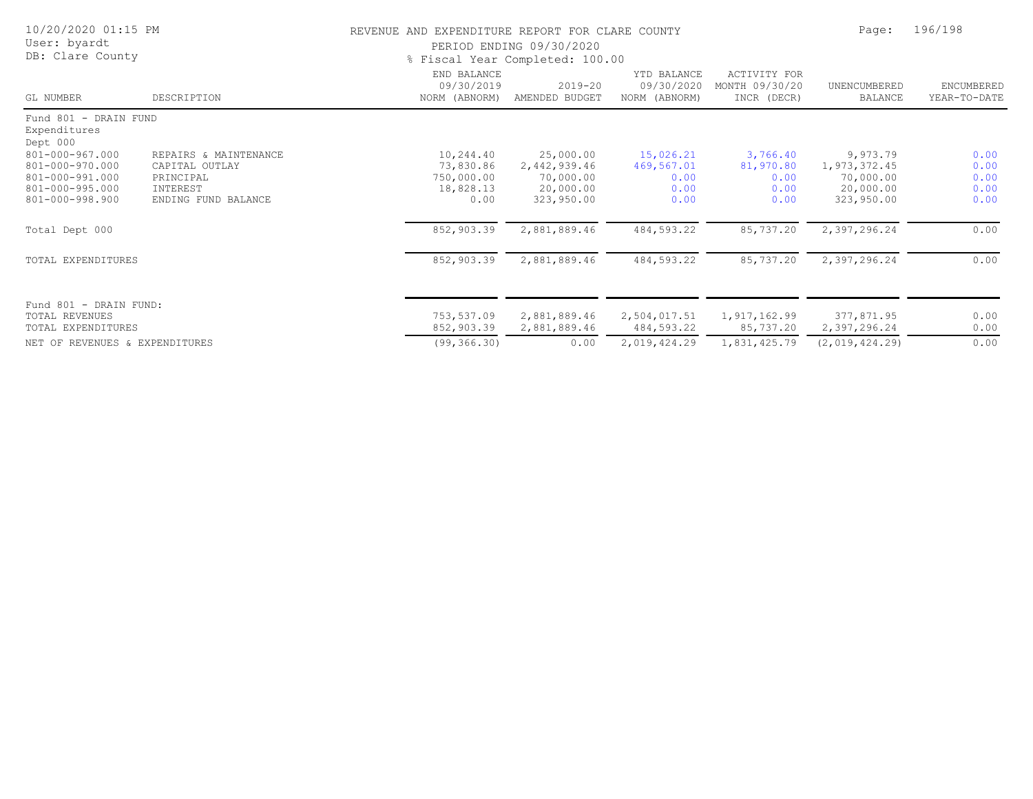| 10/20/2020 01:15 PM<br>User: byardt<br>DB: Clare County                                     |                                                                                         | REVENUE AND EXPENDITURE REPORT FOR CLARE COUNTY<br>PERIOD ENDING 09/30/2020<br>% Fiscal Year Completed: 100.00 | Page:                                                             | 196/198                                         |                                               |                                                                  |                                      |
|---------------------------------------------------------------------------------------------|-----------------------------------------------------------------------------------------|----------------------------------------------------------------------------------------------------------------|-------------------------------------------------------------------|-------------------------------------------------|-----------------------------------------------|------------------------------------------------------------------|--------------------------------------|
| GL NUMBER                                                                                   | DESCRIPTION                                                                             | END BALANCE<br>09/30/2019<br>NORM (ABNORM)                                                                     | $2019 - 20$<br>AMENDED BUDGET                                     | YTD BALANCE<br>09/30/2020<br>NORM (ABNORM)      | ACTIVITY FOR<br>MONTH 09/30/20<br>INCR (DECR) | UNENCUMBERED<br>BALANCE                                          | ENCUMBERED<br>YEAR-TO-DATE           |
| Fund 801 - DRAIN FUND<br>Expenditures<br>Dept 000                                           |                                                                                         |                                                                                                                |                                                                   |                                                 |                                               |                                                                  |                                      |
| 801-000-967.000<br>801-000-970.000<br>801-000-991.000<br>801-000-995.000<br>801-000-998.900 | REPAIRS & MAINTENANCE<br>CAPITAL OUTLAY<br>PRINCIPAL<br>INTEREST<br>ENDING FUND BALANCE | 10,244.40<br>73,830.86<br>750,000.00<br>18,828.13<br>0.00                                                      | 25,000.00<br>2,442,939.46<br>70,000.00<br>20,000.00<br>323,950.00 | 15,026.21<br>469,567.01<br>0.00<br>0.00<br>0.00 | 3,766.40<br>81,970.80<br>0.00<br>0.00<br>0.00 | 9,973.79<br>1,973,372.45<br>70,000.00<br>20,000.00<br>323,950.00 | 0.00<br>0.00<br>0.00<br>0.00<br>0.00 |
| Total Dept 000                                                                              |                                                                                         | 852,903.39                                                                                                     | 2,881,889.46                                                      | 484,593.22                                      | 85,737.20                                     | 2,397,296.24                                                     | 0.00                                 |
| TOTAL EXPENDITURES                                                                          |                                                                                         | 852,903.39                                                                                                     | 2,881,889.46                                                      | 484,593.22                                      | 85,737.20                                     | 2,397,296.24                                                     | 0.00                                 |
| Fund 801 - DRAIN FUND:<br><b>TOTAL REVENUES</b><br>TOTAL EXPENDITURES                       |                                                                                         | 753,537.09<br>852,903.39                                                                                       | 2,881,889.46<br>2,881,889.46                                      | 2,504,017.51<br>484,593.22                      | 1,917,162.99<br>85,737.20                     | 377,871.95<br>2,397,296.24                                       | 0.00<br>0.00                         |
| NET OF REVENUES & EXPENDITURES                                                              |                                                                                         | (99, 366.30)                                                                                                   | 0.00                                                              | 2,019,424.29                                    | 1,831,425.79                                  | (2,019,424,29)                                                   | 0.00                                 |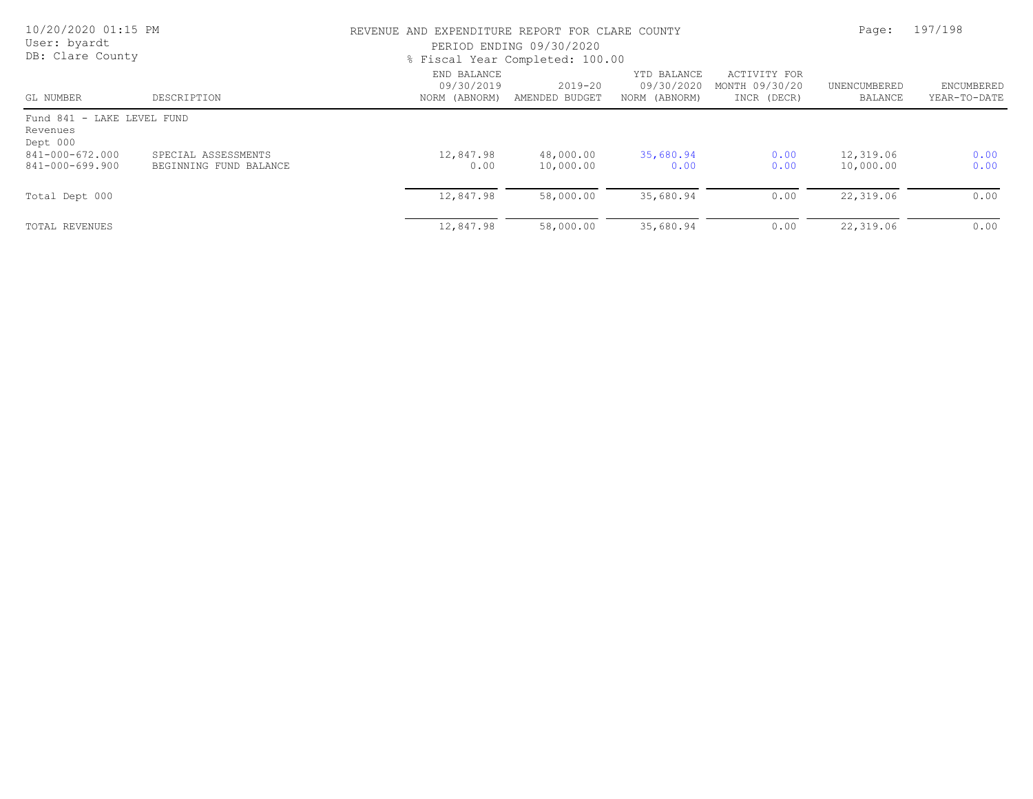| 10/20/2020 01:15 PM<br>User: byardt<br>DB: Clare County |                                               | REVENUE AND EXPENDITURE REPORT FOR CLARE COUNTY<br>PERIOD ENDING 09/30/2020<br>% Fiscal Year Completed: 100.00 | Page:                         | 197/198                                    |                                               |                         |                            |
|---------------------------------------------------------|-----------------------------------------------|----------------------------------------------------------------------------------------------------------------|-------------------------------|--------------------------------------------|-----------------------------------------------|-------------------------|----------------------------|
| GL NUMBER                                               | DESCRIPTION                                   | END BALANCE<br>09/30/2019<br>NORM (ABNORM)                                                                     | $2019 - 20$<br>AMENDED BUDGET | YTD BALANCE<br>09/30/2020<br>NORM (ABNORM) | ACTIVITY FOR<br>MONTH 09/30/20<br>INCR (DECR) | UNENCUMBERED<br>BALANCE | ENCUMBERED<br>YEAR-TO-DATE |
| Fund 841 - LAKE LEVEL FUND<br>Revenues<br>Dept 000      |                                               |                                                                                                                |                               |                                            |                                               |                         |                            |
| 841-000-672.000<br>841-000-699.900                      | SPECIAL ASSESSMENTS<br>BEGINNING FUND BALANCE | 12,847.98<br>0.00                                                                                              | 48,000.00<br>10,000.00        | 35,680.94<br>0.00                          | 0.00<br>0.00                                  | 12,319.06<br>10,000.00  | 0.00<br>0.00               |
| Total Dept 000                                          |                                               | 12,847.98                                                                                                      | 58,000.00                     | 35,680.94                                  | 0.00                                          | 22,319.06               | 0.00                       |
| TOTAL REVENUES                                          |                                               | 12,847.98                                                                                                      | 58,000.00                     | 35,680.94                                  | 0.00                                          | 22,319.06               | 0.00                       |